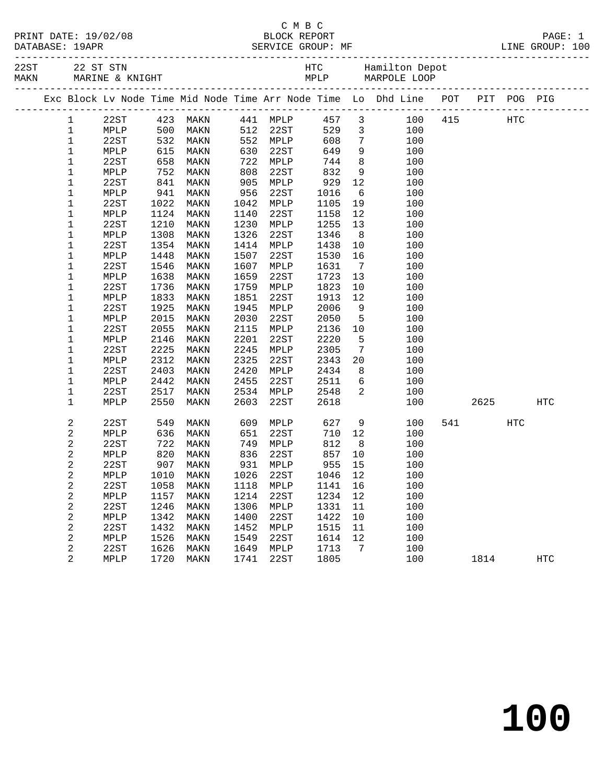| PRINT DATE: |  | 19/02/08 |  |
|-------------|--|----------|--|
| DATABASE:   |  | 19APR    |  |

## C M B C

|              | DATABASE: 19APR | PRINT DATE: 19/02/08         |     |      |     |      | BLOCK REPORT<br>SERVICE GROUP: MF |                         |                                                                |     |     |      | PAGE: 1<br>LINE GROUP: 100 |  |
|--------------|-----------------|------------------------------|-----|------|-----|------|-----------------------------------|-------------------------|----------------------------------------------------------------|-----|-----|------|----------------------------|--|
| 22ST<br>MAKN |                 | 22 ST STN<br>MARINE & KNIGHT |     |      |     |      | HTC<br>MPLP                       |                         | Hamilton Depot<br>MARPOLE LOOP                                 |     |     |      |                            |  |
|              |                 |                              |     |      |     |      |                                   |                         | Exc Block Ly Node Time Mid Node Time Arr Node Time Lo Dhd Line | POT | PIT | POG  | PIG                        |  |
|              |                 | 22ST                         | 423 | MAKN | 441 | MPLP | 457                               | $\overline{\mathbf{3}}$ | 100                                                            | 415 |     | HTC. |                            |  |
|              |                 | MPLP                         | 500 | MAKN | 512 | 22ST | 529                               | $\overline{\mathbf{3}}$ | 100                                                            |     |     |      |                            |  |
|              |                 | 22ST                         | 532 | MAKN | 552 | MPLP | 608                               | 7                       | 100                                                            |     |     |      |                            |  |
|              |                 | MPLP                         | 615 | MAKN | 630 | 22ST | 649                               | 9                       | 100                                                            |     |     |      |                            |  |

| $\mathbf{1}$     | MPLP | 500  | MAKN | 512  | 22ST | 529  | 3               | 100 |     |      |            |                   |  |
|------------------|------|------|------|------|------|------|-----------------|-----|-----|------|------------|-------------------|--|
| $\mathbf 1$      | 22ST | 532  | MAKN | 552  | MPLP | 608  | 7               | 100 |     |      |            |                   |  |
| $\mathbf 1$      | MPLP | 615  | MAKN | 630  | 22ST | 649  | 9               | 100 |     |      |            |                   |  |
| $\mathbf 1$      | 22ST | 658  | MAKN | 722  | MPLP | 744  | 8               | 100 |     |      |            |                   |  |
| $\mathbf 1$      | MPLP | 752  | MAKN | 808  | 22ST | 832  | 9               | 100 |     |      |            |                   |  |
| $\mathbf 1$      | 22ST | 841  | MAKN | 905  | MPLP | 929  | $12$            | 100 |     |      |            |                   |  |
| $\mathbf 1$      | MPLP | 941  | MAKN | 956  | 22ST | 1016 | 6               | 100 |     |      |            |                   |  |
| $\mathbf 1$      | 22ST | 1022 | MAKN | 1042 | MPLP | 1105 | 19              | 100 |     |      |            |                   |  |
| $\mathbf 1$      | MPLP | 1124 | MAKN | 1140 | 22ST | 1158 | $12$            | 100 |     |      |            |                   |  |
| $\mathbf 1$      | 22ST | 1210 | MAKN | 1230 | MPLP | 1255 | 13              | 100 |     |      |            |                   |  |
| $\mathbf 1$      | MPLP | 1308 | MAKN | 1326 | 22ST | 1346 | $\,8\,$         | 100 |     |      |            |                   |  |
| $\mathbf 1$      | 22ST | 1354 | MAKN | 1414 | MPLP | 1438 | 10              | 100 |     |      |            |                   |  |
| $\mathbf 1$      | MPLP | 1448 | MAKN | 1507 | 22ST | 1530 | 16              | 100 |     |      |            |                   |  |
| $\mathbf 1$      | 22ST | 1546 | MAKN | 1607 | MPLP | 1631 | $7\phantom{.0}$ | 100 |     |      |            |                   |  |
| $\mathbf 1$      | MPLP | 1638 | MAKN | 1659 | 22ST | 1723 | 13              | 100 |     |      |            |                   |  |
| $\mathbf 1$      | 22ST | 1736 | MAKN | 1759 | MPLP | 1823 | $10$            | 100 |     |      |            |                   |  |
| $\mathbf 1$      | MPLP | 1833 | MAKN | 1851 | 22ST | 1913 | $12$            | 100 |     |      |            |                   |  |
| $\mathbf 1$      | 22ST | 1925 | MAKN | 1945 | MPLP | 2006 | 9               | 100 |     |      |            |                   |  |
| $\mathbf 1$      | MPLP | 2015 | MAKN | 2030 | 22ST | 2050 | 5               | 100 |     |      |            |                   |  |
| $\mathbf 1$      | 22ST | 2055 | MAKN | 2115 | MPLP | 2136 | 10              | 100 |     |      |            |                   |  |
| $\mathbf 1$      | MPLP | 2146 | MAKN | 2201 | 22ST | 2220 | 5               | 100 |     |      |            |                   |  |
| $\mathbf 1$      | 22ST | 2225 | MAKN | 2245 | MPLP | 2305 | 7               | 100 |     |      |            |                   |  |
| $\mathbf 1$      | MPLP | 2312 | MAKN | 2325 | 22ST | 2343 | 20              | 100 |     |      |            |                   |  |
| $\mathbf 1$      | 22ST | 2403 | MAKN | 2420 | MPLP | 2434 | 8               | 100 |     |      |            |                   |  |
| $\mathbf 1$      | MPLP | 2442 | MAKN | 2455 | 22ST | 2511 | 6               | 100 |     |      |            |                   |  |
| $\mathbf 1$      | 22ST | 2517 | MAKN | 2534 | MPLP | 2548 | 2               | 100 |     |      |            |                   |  |
| $1\,$            | MPLP | 2550 | MAKN | 2603 | 22ST | 2618 |                 | 100 |     | 2625 |            | $_{\mathrm{HTC}}$ |  |
|                  |      |      |      |      |      |      |                 |     |     |      |            |                   |  |
| 2                | 22ST | 549  | MAKN | 609  | MPLP | 627  | 9               | 100 | 541 |      | <b>HTC</b> |                   |  |
| 2                | MPLP | 636  | MAKN | 651  | 22ST | 710  | 12              | 100 |     |      |            |                   |  |
| 2                | 22ST | 722  | MAKN | 749  | MPLP | 812  | $\,8\,$         | 100 |     |      |            |                   |  |
| $\mathbf 2$      | MPLP | 820  | MAKN | 836  | 22ST | 857  | 10              | 100 |     |      |            |                   |  |
| 2                | 22ST | 907  | MAKN | 931  | MPLP | 955  | 15              | 100 |     |      |            |                   |  |
| $\mathbf 2$      | MPLP | 1010 | MAKN | 1026 | 22ST | 1046 | $12$            | 100 |     |      |            |                   |  |
| $\boldsymbol{2}$ | 22ST | 1058 | MAKN | 1118 | MPLP | 1141 | 16              | 100 |     |      |            |                   |  |
| $\overline{c}$   | MPLP | 1157 | MAKN | 1214 | 22ST | 1234 | 12              | 100 |     |      |            |                   |  |
| 2                | 22ST | 1246 | MAKN | 1306 | MPLP | 1331 | 11              | 100 |     |      |            |                   |  |
| $\mathbf 2$      | MPLP | 1342 | MAKN | 1400 | 22ST | 1422 | 10              | 100 |     |      |            |                   |  |
| 2                | 22ST | 1432 | MAKN | 1452 | MPLP | 1515 | 11              | 100 |     |      |            |                   |  |
| $\boldsymbol{2}$ | MPLP | 1526 | MAKN | 1549 | 22ST | 1614 | 12              | 100 |     |      |            |                   |  |
| 2                | 22ST | 1626 | MAKN | 1649 | MPLP | 1713 | 7               | 100 |     |      |            |                   |  |
| 2                | MPLP | 1720 | MAKN | 1741 | 22ST | 1805 |                 | 100 |     | 1814 |            | $_{\mathrm{HTC}}$ |  |
|                  |      |      |      |      |      |      |                 |     |     |      |            |                   |  |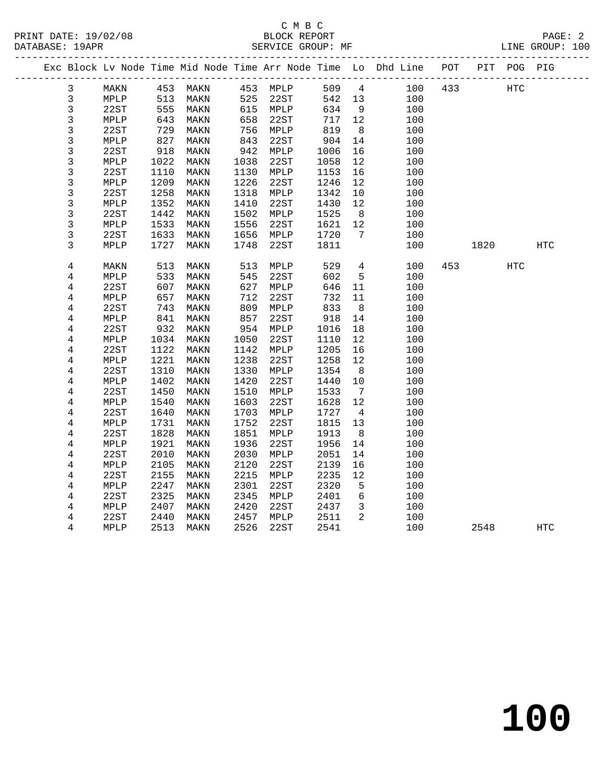|                |      |      |           |      |          |      |                 | Exc Block Lv Node Time Mid Node Time Arr Node Time Lo Dhd Line POT |     |      | PIT POG PIG |            |  |
|----------------|------|------|-----------|------|----------|------|-----------------|--------------------------------------------------------------------|-----|------|-------------|------------|--|
| 3              | MAKN |      | 453 MAKN  |      | 453 MPLP |      | 509 4           | 100                                                                | 433 | HTC  |             |            |  |
| 3              | MPLP | 513  | MAKN      | 525  | 22ST     |      | 542 13          | 100                                                                |     |      |             |            |  |
| $\mathsf{3}$   | 22ST | 555  | MAKN      |      | 615 MPLP | 634  | $\overline{9}$  | 100                                                                |     |      |             |            |  |
| 3              | MPLP | 643  | MAKN      | 658  | 22ST     | 717  | 12              | 100                                                                |     |      |             |            |  |
| $\mathsf{3}$   | 22ST | 729  | MAKN      | 756  | MPLP     | 819  | 8 <sup>8</sup>  | 100                                                                |     |      |             |            |  |
| 3              | MPLP | 827  | MAKN      | 843  | 22ST     | 904  | 14              | 100                                                                |     |      |             |            |  |
| 3              | 22ST | 918  | MAKN      | 942  | MPLP     | 1006 | 16              | 100                                                                |     |      |             |            |  |
| 3              | MPLP | 1022 | MAKN      | 1038 | 22ST     | 1058 | 12              | 100                                                                |     |      |             |            |  |
| 3              | 22ST | 1110 | MAKN      | 1130 | MPLP     | 1153 | 16              | 100                                                                |     |      |             |            |  |
| 3              | MPLP | 1209 | MAKN      | 1226 | 22ST     | 1246 | 12              | 100                                                                |     |      |             |            |  |
| 3              | 22ST | 1258 | MAKN      | 1318 | MPLP     | 1342 | 10              | 100                                                                |     |      |             |            |  |
| 3              | MPLP | 1352 | MAKN      | 1410 | 22ST     | 1430 | 12              | 100                                                                |     |      |             |            |  |
| 3              | 22ST | 1442 | MAKN      | 1502 | MPLP     | 1525 | 8 <sup>8</sup>  | 100                                                                |     |      |             |            |  |
| 3              | MPLP | 1533 | MAKN      | 1556 | 22ST     | 1621 | 12              | 100                                                                |     |      |             |            |  |
| 3              | 22ST | 1633 | MAKN      | 1656 | MPLP     | 1720 | $\overline{7}$  | 100                                                                |     |      |             |            |  |
| 3              | MPLP | 1727 | MAKN      | 1748 | 22ST     | 1811 |                 | 100                                                                |     | 1820 |             | HTC        |  |
| $\overline{4}$ | MAKN | 513  | MAKN      | 513  | MPLP     | 529  | $4\overline{ }$ | 100                                                                | 453 |      | HTC         |            |  |
| 4              | MPLP | 533  | MAKN      | 545  | 22ST     | 602  | $5^{\circ}$     | 100                                                                |     |      |             |            |  |
| 4              | 22ST | 607  | MAKN      | 627  | MPLP     | 646  | 11              | 100                                                                |     |      |             |            |  |
| $\overline{4}$ | MPLP | 657  | MAKN      | 712  | 22ST     | 732  | 11              | 100                                                                |     |      |             |            |  |
| 4              | 22ST | 743  | MAKN      | 809  | MPLP     | 833  | 8 <sup>8</sup>  | 100                                                                |     |      |             |            |  |
| 4              | MPLP | 841  | MAKN      | 857  | 22ST     | 918  | 14              | 100                                                                |     |      |             |            |  |
| $\,4$          | 22ST | 932  | MAKN      | 954  | MPLP     | 1016 | 18              | 100                                                                |     |      |             |            |  |
| 4              | MPLP | 1034 | MAKN      | 1050 | 22ST     | 1110 | 12              | 100                                                                |     |      |             |            |  |
| 4              | 22ST | 1122 | MAKN      | 1142 | MPLP     | 1205 | 16              | 100                                                                |     |      |             |            |  |
| 4              | MPLP | 1221 | MAKN      | 1238 | 22ST     | 1258 | 12              | 100                                                                |     |      |             |            |  |
| 4              | 22ST | 1310 | MAKN      | 1330 | MPLP     | 1354 | 8               | 100                                                                |     |      |             |            |  |
| $\overline{4}$ | MPLP | 1402 | MAKN      | 1420 | 22ST     | 1440 | 10              | 100                                                                |     |      |             |            |  |
| 4              | 22ST | 1450 | MAKN      | 1510 | MPLP     | 1533 | $\overline{7}$  | 100                                                                |     |      |             |            |  |
| 4              | MPLP | 1540 | MAKN      | 1603 | 22ST     | 1628 | 12              | 100                                                                |     |      |             |            |  |
| 4              | 22ST | 1640 | MAKN      | 1703 | MPLP     | 1727 | $\overline{4}$  | 100                                                                |     |      |             |            |  |
| 4              | MPLP | 1731 | MAKN      | 1752 | 22ST     | 1815 | 13              | 100                                                                |     |      |             |            |  |
| $\overline{4}$ | 22ST | 1828 | MAKN      | 1851 | MPLP     | 1913 | 8 <sup>8</sup>  | 100                                                                |     |      |             |            |  |
| 4              | MPLP | 1921 | MAKN      | 1936 | 22ST     | 1956 | 14              | 100                                                                |     |      |             |            |  |
| 4              | 22ST | 2010 | MAKN      | 2030 | MPLP     | 2051 | 14              | 100                                                                |     |      |             |            |  |
| 4              | MPLP | 2105 | MAKN      | 2120 | 22ST     | 2139 | 16              | 100                                                                |     |      |             |            |  |
| 4              | 22ST | 2155 | MAKN      | 2215 | MPLP     | 2235 | 12              | 100                                                                |     |      |             |            |  |
| 4              | MPLP | 2247 | MAKN      | 2301 | 22ST     | 2320 | 5               | 100                                                                |     |      |             |            |  |
| $\overline{4}$ | 22ST | 2325 | MAKN      | 2345 | MPLP     | 2401 | $6\overline{6}$ | 100                                                                |     |      |             |            |  |
| 4              | MPLP | 2407 | MAKN      | 2420 | 22ST     | 2437 | $\mathbf{3}$    | 100                                                                |     |      |             |            |  |
| 4              | 22ST | 2440 | MAKN      | 2457 | MPLP     | 2511 | 2               | 100                                                                |     |      |             |            |  |
| 4              | MPLP |      | 2513 MAKN | 2526 | 22ST     | 2541 |                 | 100                                                                |     | 2548 |             | <b>HTC</b> |  |
|                |      |      |           |      |          |      |                 |                                                                    |     |      |             |            |  |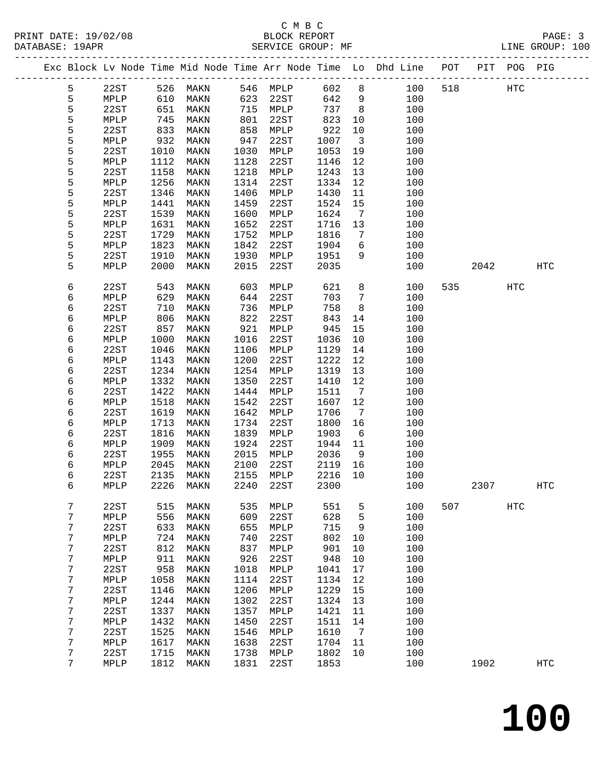## C M B C

| DATABASE: 19APR |   |                 |            | SERVICE GROUP: MF            |      |              |         |                              | LINE GROUP: 100                                                                |     |       |            |                   |  |
|-----------------|---|-----------------|------------|------------------------------|------|--------------|---------|------------------------------|--------------------------------------------------------------------------------|-----|-------|------------|-------------------|--|
|                 |   |                 |            |                              |      |              |         |                              | Exc Block Lv Node Time Mid Node Time Arr Node Time Lo Dhd Line POT PIT POG PIG |     |       |            |                   |  |
|                 | 5 |                 |            | 22ST 526 MAKN 546 MPLP 602 8 |      |              |         |                              | 100                                                                            | 518 | HTC   |            |                   |  |
|                 | 5 | MPLP            | 610        | MAKN                         | 623  | 22ST         | 642     | 9                            | 100                                                                            |     |       |            |                   |  |
|                 | 5 | 22ST            | 651        | MAKN                         |      | 715 MPLP     | 737     | 8 <sup>8</sup>               | 100                                                                            |     |       |            |                   |  |
|                 | 5 | MPLP            |            | MAKN                         | 801  | 22ST         | 823     | 10                           | 100                                                                            |     |       |            |                   |  |
|                 | 5 | 22ST            | 745<br>833 | MAKN                         | 858  | MPLP         | 922     | 10                           | 100                                                                            |     |       |            |                   |  |
|                 | 5 | MPLP            | 932        | MAKN                         | 947  | 22ST         | 1007    | $\overline{\mathbf{3}}$      | 100                                                                            |     |       |            |                   |  |
|                 | 5 | 22ST            | 1010       | MAKN                         | 1030 | MPLP         | 1053    | 19                           | 100                                                                            |     |       |            |                   |  |
|                 | 5 | MPLP            | 1112       | MAKN                         | 1128 | 22ST         | 1146    | 12                           | 100                                                                            |     |       |            |                   |  |
|                 | 5 | 22ST            | 1158       | MAKN                         | 1218 | MPLP         | 1243    | 13                           | 100                                                                            |     |       |            |                   |  |
|                 | 5 | MPLP            | 1256       | MAKN                         | 1314 | 22ST         | 1334    | 12                           | 100                                                                            |     |       |            |                   |  |
|                 | 5 | 22ST            | 1346       | MAKN                         | 1406 | MPLP         | 1430    | 11                           | 100                                                                            |     |       |            |                   |  |
|                 | 5 | MPLP            | 1441       | MAKN                         | 1459 | 22ST         | 1524    | 15                           | 100                                                                            |     |       |            |                   |  |
|                 | 5 | 22ST            | 1539       | MAKN                         | 1600 | MPLP         | 1624    | $\overline{7}$               | 100                                                                            |     |       |            |                   |  |
|                 | 5 | MPLP            | 1631       | MAKN                         | 1652 | 22ST         | 1716    | 13                           | 100                                                                            |     |       |            |                   |  |
|                 | 5 | 22ST            | 1729       | MAKN                         | 1752 | MPLP         | 1816    | 7                            | 100                                                                            |     |       |            |                   |  |
|                 | 5 | MPLP            | 1823       | MAKN                         | 1842 | 22ST         | 1904    | 6                            | 100                                                                            |     |       |            |                   |  |
|                 | 5 | 22ST            | 1910       | MAKN                         | 1930 | MPLP         | 1951    | 9                            | 100                                                                            |     |       |            |                   |  |
|                 | 5 | MPLP            | 2000       | MAKN                         | 2015 | 22ST         | 2035    |                              | 100                                                                            |     | 2042  |            | HTC               |  |
|                 |   |                 |            |                              |      |              |         |                              |                                                                                |     |       |            |                   |  |
|                 | 6 | 22ST            | 543        | MAKN                         | 603  | MPLP         | 621     | 8                            | 100                                                                            |     | 535 7 | <b>HTC</b> |                   |  |
|                 | 6 | MPLP            | 629        | MAKN                         | 644  | 22ST         | 703     | $7\overline{ }$              | 100                                                                            |     |       |            |                   |  |
|                 | 6 | 22ST            | 710        | MAKN                         | 736  | MPLP         | 758     | 8                            | 100                                                                            |     |       |            |                   |  |
|                 | 6 | MPLP            | 806        | MAKN                         | 822  | 22ST         | 843     | 14                           | 100                                                                            |     |       |            |                   |  |
|                 | 6 | 22ST            | 857        | MAKN                         | 921  | MPLP         | 945     | 15                           | 100                                                                            |     |       |            |                   |  |
|                 | 6 | MPLP            | 1000       | MAKN                         | 1016 | 22ST         | 1036    | 10                           | 100                                                                            |     |       |            |                   |  |
|                 | 6 | 22ST            | 1046       | MAKN                         | 1106 | MPLP         | 1129    | 14                           | 100                                                                            |     |       |            |                   |  |
|                 | 6 | MPLP            | 1143       | MAKN                         | 1200 | 22ST         | 1222    | 12                           | 100                                                                            |     |       |            |                   |  |
|                 | 6 | 22ST            | 1234       | MAKN                         | 1254 | MPLP         | 1319    | 13                           | 100                                                                            |     |       |            |                   |  |
|                 | 6 | MPLP            | 1332       | MAKN                         | 1350 | 22ST         | 1410    | 12                           | 100                                                                            |     |       |            |                   |  |
|                 | 6 | 22ST            | 1422       | MAKN                         | 1444 | MPLP         | 1511    | $7\overline{ }$              | 100                                                                            |     |       |            |                   |  |
|                 | 6 | MPLP            | 1518       | MAKN                         | 1542 | 22ST         | 1607    | 12                           | 100                                                                            |     |       |            |                   |  |
|                 | 6 | 22ST            | 1619       | MAKN                         | 1642 | MPLP         | 1706    | $7\phantom{.0}\phantom{.0}7$ | 100                                                                            |     |       |            |                   |  |
|                 | 6 | MPLP            | 1713       | MAKN                         | 1734 | 22ST         | 1800    | 16                           | 100                                                                            |     |       |            |                   |  |
|                 | 6 | 22ST            | 1816       | MAKN                         | 1839 | MPLP         | 1903    | 6                            | 100                                                                            |     |       |            |                   |  |
|                 | 6 | MPLP            | 1909       | MAKN                         | 1924 | 22ST         | 1944    | 11                           | 100                                                                            |     |       |            |                   |  |
|                 | 6 | 22ST            | 1955       | MAKN                         | 2015 | MPLP         | 2036    | 9                            | 100                                                                            |     |       |            |                   |  |
|                 | 6 | MPLP            | 2045       | MAKN                         | 2100 | 22ST         | 2119    | 16                           | 100                                                                            |     |       |            |                   |  |
|                 | 6 | 22ST            | 2135       | MAKN                         |      | 2155 MPLP    | 2216 10 |                              | 100                                                                            |     |       |            |                   |  |
|                 | 6 | $\texttt{MPLP}$ |            | 2226 MAKN 2240 22ST          |      |              |         |                              | 2300 100                                                                       |     | 2307  |            | $_{\mathrm{HTC}}$ |  |
|                 |   |                 |            |                              |      |              |         |                              |                                                                                |     |       |            |                   |  |
|                 | 7 | 22ST            | 515        | MAKN                         | 535  | MPLP         | 551     | 5                            | 100                                                                            | 507 |       | HTC        |                   |  |
|                 | 7 | MPLP            | 556        | MAKN                         | 609  | 22ST         | 628     | 5                            | 100                                                                            |     |       |            |                   |  |
|                 | 7 | 22ST            | 633        | MAKN                         | 655  | MPLP         | 715     | 9                            | 100                                                                            |     |       |            |                   |  |
|                 | 7 | MPLP            | 724        | MAKN                         | 740  | 22ST         | 802     | 10                           | 100                                                                            |     |       |            |                   |  |
|                 | 7 | 22ST            | 812        | MAKN                         | 837  | MPLP         | 901     | 10                           | 100                                                                            |     |       |            |                   |  |
|                 | 7 | MPLP            | 911        | MAKN                         | 926  | 22ST         | 948     | 10                           | 100                                                                            |     |       |            |                   |  |
|                 | 7 | 22ST            | 958        | MAKN                         | 1018 | MPLP         | 1041    | 17                           | 100                                                                            |     |       |            |                   |  |
|                 | 7 | MPLP            | 1058       | MAKN                         | 1114 | 22ST         | 1134    | 12                           | 100                                                                            |     |       |            |                   |  |
|                 | 7 | 22ST            | 1146       | MAKN                         | 1206 | ${\tt MPLP}$ | 1229    | 15                           | 100                                                                            |     |       |            |                   |  |
|                 | 7 | MPLP            | 1244       | MAKN                         | 1302 | 22ST         | 1324    | 13                           | 100                                                                            |     |       |            |                   |  |
|                 | 7 | 22ST            | 1337       | MAKN                         | 1357 | MPLP         | 1421    | 11                           | 100                                                                            |     |       |            |                   |  |
|                 | 7 | MPLP            | 1432       | MAKN                         | 1450 | 22ST         | 1511    | 14                           | 100                                                                            |     |       |            |                   |  |
|                 | 7 | 22ST            | 1525       | MAKN                         | 1546 | MPLP         | 1610    | 7                            | 100                                                                            |     |       |            |                   |  |
|                 | 7 | MPLP            | 1617       | MAKN                         | 1638 | 22ST         | 1704    | 11                           | 100                                                                            |     |       |            |                   |  |
|                 | 7 | 22ST            | 1715       | MAKN                         | 1738 | MPLP         | 1802    | 10                           | 100                                                                            |     |       |            |                   |  |
|                 | 7 | MPLP            |            | 1812 MAKN                    | 1831 | 22ST         | 1853    |                              | 100                                                                            |     | 1902  |            | <b>HTC</b>        |  |
|                 |   |                 |            |                              |      |              |         |                              |                                                                                |     |       |            |                   |  |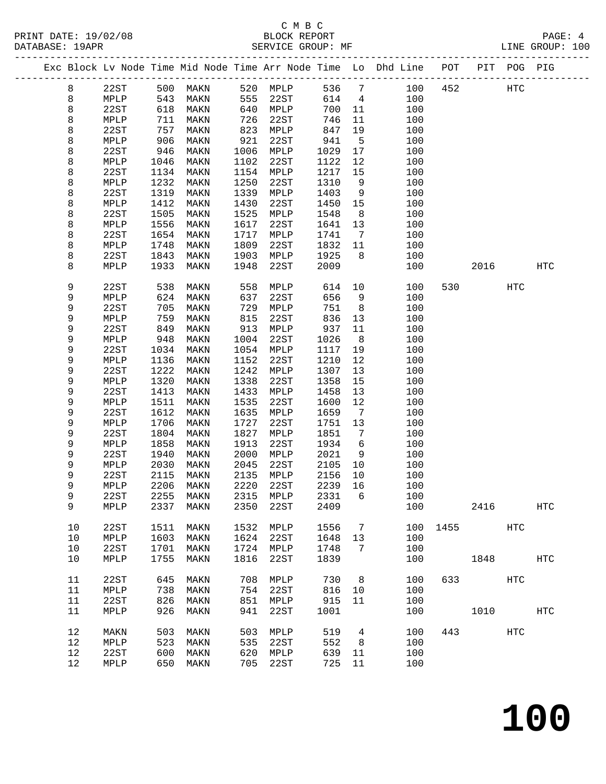## C M B C

| DATABASE: 19APR |    |                 |      | SERVICE GROUP: MF   |      |           |         |                 |                                                                                |         |                        |     | LINE GROUP: 100 |  |
|-----------------|----|-----------------|------|---------------------|------|-----------|---------|-----------------|--------------------------------------------------------------------------------|---------|------------------------|-----|-----------------|--|
|                 |    |                 |      |                     |      |           |         |                 | Exc Block Lv Node Time Mid Node Time Arr Node Time Lo Dhd Line POT PIT POG PIG |         |                        |     |                 |  |
|                 | 8  | 22ST            |      | 500 MAKN 520 MPLP   |      |           | 536 7   |                 |                                                                                | 100 452 | HTC                    |     |                 |  |
|                 | 8  | MPLP            | 543  | MAKN                |      | 555 22ST  | 614 4   |                 | 100                                                                            |         |                        |     |                 |  |
|                 | 8  | 22ST            | 618  | MAKN                |      | 640 MPLP  | 700     | 11              | 100                                                                            |         |                        |     |                 |  |
|                 | 8  | MPLP            | 711  | MAKN                | 726  | 22ST      | 746     | 11              | 100                                                                            |         |                        |     |                 |  |
|                 | 8  | 22ST            | 757  | MAKN                | 823  | MPLP      | 847     | 19              | 100                                                                            |         |                        |     |                 |  |
|                 | 8  | MPLP            | 906  | MAKN                | 921  | 22ST      | 941     | $5^{\circ}$     | 100                                                                            |         |                        |     |                 |  |
|                 | 8  | 22ST            | 946  | MAKN                | 1006 | MPLP      | 1029    | 17              | 100                                                                            |         |                        |     |                 |  |
|                 | 8  | MPLP            | 1046 | MAKN                | 1102 | 22ST      | 1122    | 12              | 100                                                                            |         |                        |     |                 |  |
|                 | 8  | 22ST            | 1134 | MAKN                | 1154 | MPLP      | 1217    | 15              | 100                                                                            |         |                        |     |                 |  |
|                 | 8  | MPLP            | 1232 | MAKN                | 1250 | 22ST      | 1310    | 9               | 100                                                                            |         |                        |     |                 |  |
|                 | 8  | 22ST            | 1319 | MAKN                | 1339 | MPLP      | 1403    | 9               | 100                                                                            |         |                        |     |                 |  |
|                 | 8  | MPLP            | 1412 | MAKN                | 1430 | 22ST      | 1450    | 15              | 100                                                                            |         |                        |     |                 |  |
|                 | 8  | 22ST            | 1505 | MAKN                | 1525 | MPLP      | 1548    | 8 <sup>8</sup>  | 100                                                                            |         |                        |     |                 |  |
|                 | 8  | MPLP            | 1556 | MAKN                | 1617 | 22ST      | 1641    | 13              | 100                                                                            |         |                        |     |                 |  |
|                 | 8  | 22ST            | 1654 | MAKN                | 1717 | MPLP      | 1741    | $\overline{7}$  | 100                                                                            |         |                        |     |                 |  |
|                 | 8  | MPLP            | 1748 | MAKN                | 1809 | 22ST      | 1832    | 11              | 100                                                                            |         |                        |     |                 |  |
|                 | 8  | 22ST            | 1843 | MAKN                | 1903 | MPLP      | 1925    | 8 <sup>8</sup>  | 100                                                                            |         |                        |     |                 |  |
|                 | 8  | MPLP            | 1933 | MAKN                | 1948 | 22ST      | 2009    |                 | 100                                                                            |         | 2016                   |     | HTC             |  |
|                 |    |                 |      |                     |      |           |         |                 |                                                                                |         |                        |     |                 |  |
|                 | 9  | 22ST            | 538  | MAKN                | 558  | MPLP      | 614     | 10              | 100                                                                            | 530     |                        | HTC |                 |  |
|                 | 9  | MPLP            | 624  | MAKN                | 637  | 22ST      | 656     | 9               | 100                                                                            |         |                        |     |                 |  |
|                 | 9  | 22ST            | 705  | MAKN                | 729  | MPLP      | 751     | 8 <sup>8</sup>  | 100                                                                            |         |                        |     |                 |  |
|                 | 9  | MPLP            | 759  | MAKN                | 815  | 22ST      | 836     | 13              | 100                                                                            |         |                        |     |                 |  |
|                 | 9  | 22ST            | 849  | MAKN                | 913  | MPLP      | 937     | 11              | 100                                                                            |         |                        |     |                 |  |
|                 | 9  | MPLP            | 948  | MAKN                | 1004 | 22ST      | 1026    | 8 <sup>8</sup>  | 100                                                                            |         |                        |     |                 |  |
|                 | 9  | 22ST            | 1034 | MAKN                | 1054 | MPLP      | 1117    | 19              | 100                                                                            |         |                        |     |                 |  |
|                 | 9  | MPLP            | 1136 | MAKN                | 1152 | 22ST      | 1210    | 12              | 100                                                                            |         |                        |     |                 |  |
|                 | 9  | 22ST            | 1222 | MAKN                | 1242 | MPLP      | 1307    | 13              | 100                                                                            |         |                        |     |                 |  |
|                 | 9  | MPLP            | 1320 | MAKN                | 1338 | 22ST      | 1358    | 15              | 100                                                                            |         |                        |     |                 |  |
|                 | 9  | 22ST            | 1413 | MAKN                | 1433 | MPLP      | 1458    | 13              | 100                                                                            |         |                        |     |                 |  |
|                 | 9  | MPLP            | 1511 | MAKN                | 1535 | 22ST      | 1600    | 12              | 100                                                                            |         |                        |     |                 |  |
|                 | 9  | 22ST            | 1612 | MAKN                | 1635 | MPLP      | 1659    | $\overline{7}$  | 100                                                                            |         |                        |     |                 |  |
|                 | 9  | MPLP            | 1706 | MAKN                | 1727 | 22ST      | 1751    | 13              | 100                                                                            |         |                        |     |                 |  |
|                 | 9  | 22ST            | 1804 | MAKN                | 1827 | MPLP      | 1851    | $7\overline{ }$ | 100                                                                            |         |                        |     |                 |  |
|                 | 9  | MPLP            | 1858 | MAKN                | 1913 | 22ST      | 1934    | 6               | 100                                                                            |         |                        |     |                 |  |
|                 | 9  | 22ST            | 1940 | MAKN                | 2000 | MPLP      | 2021    | 9               | 100                                                                            |         |                        |     |                 |  |
|                 | 9  | MPLP            | 2030 | MAKN                | 2045 | 22ST      | 2105    | 10              | 100                                                                            |         |                        |     |                 |  |
|                 | 9  | 22ST            | 2115 | MAKN                |      | 2135 MPLP | 2156 10 |                 | 100                                                                            |         |                        |     |                 |  |
|                 | q  | $\texttt{MPLP}$ |      | 2206 MAKN 2220 22ST |      |           | 2239 16 |                 | 100                                                                            |         |                        |     |                 |  |
|                 | 9  | 22ST            | 2255 | MAKN                | 2315 | MPLP      | 2331    | 6               | 100                                                                            |         |                        |     |                 |  |
|                 | 9  | MPLP            | 2337 | MAKN                | 2350 | 22ST      | 2409    |                 | 100                                                                            |         | 2416                   |     | <b>HTC</b>      |  |
|                 |    |                 |      |                     |      |           |         |                 |                                                                                |         |                        |     |                 |  |
|                 | 10 | 22ST            | 1511 | MAKN                | 1532 | MPLP      | 1556    | 7               | 100                                                                            |         | 1455                   | HTC |                 |  |
|                 | 10 | MPLP            | 1603 | MAKN                | 1624 | 22ST      | 1648    | 13              | 100                                                                            |         |                        |     |                 |  |
|                 | 10 | 22ST            | 1701 | MAKN                | 1724 | MPLP      | 1748    | 7               | 100                                                                            |         |                        |     |                 |  |
|                 | 10 | MPLP            | 1755 | MAKN                | 1816 | 22ST      | 1839    |                 | 100                                                                            |         | 1848                   |     | HTC             |  |
|                 |    |                 |      |                     |      |           |         |                 |                                                                                |         |                        |     |                 |  |
|                 | 11 | 22ST            | 645  | MAKN                | 708  | MPLP      | 730     | 8 <sup>8</sup>  | 100                                                                            |         | 633 and $\overline{a}$ | HTC |                 |  |
|                 | 11 | MPLP            | 738  | MAKN                | 754  | 22ST      | 816     | 10              | 100                                                                            |         |                        |     |                 |  |
|                 | 11 | 22ST            | 826  | MAKN                | 851  | MPLP      | 915     | 11              | 100                                                                            |         |                        |     |                 |  |
|                 | 11 | MPLP            | 926  | MAKN                | 941  | 22ST      | 1001    |                 | 100                                                                            |         | 1010                   |     | HTC             |  |
|                 | 12 | MAKN            | 503  | MAKN                | 503  | MPLP      | 519     | $4\overline{ }$ | 100                                                                            |         | 443                    | HTC |                 |  |
|                 | 12 | MPLP            | 523  | MAKN                | 535  | 22ST      | 552     | 8 <sup>8</sup>  | 100                                                                            |         |                        |     |                 |  |
|                 | 12 | 22ST            | 600  | MAKN                | 620  | MPLP      | 639     | 11              | 100                                                                            |         |                        |     |                 |  |
|                 | 12 | MPLP            |      | 650 MAKN            | 705  | 22ST      | 725 11  |                 | 100                                                                            |         |                        |     |                 |  |
|                 |    |                 |      |                     |      |           |         |                 |                                                                                |         |                        |     |                 |  |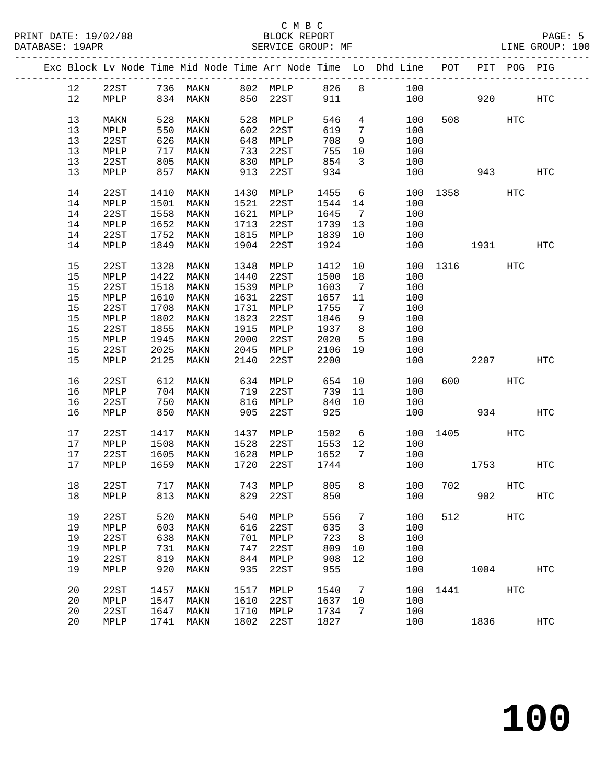## C M B C<br>BLOCK REPORT SERVICE GROUP: MF

-------------------------------------------------------------------------------------------------

|      |                 |      |      |      |                 |              |    | Exc Block Lv Node Time Mid Node Time Arr Node Time Lo Dhd Line | POT  | PIT  | POG PIG    |                   |
|------|-----------------|------|------|------|-----------------|--------------|----|----------------------------------------------------------------|------|------|------------|-------------------|
| 12   | 22ST            | 736  | MAKN | 802  | MPLP            | 826          | 8  | 100                                                            |      |      |            |                   |
| 12   | MPLP            | 834  | MAKN | 850  | 22ST            | 911          |    | 100                                                            |      | 920  |            | $_{\mathrm{HTC}}$ |
| 13   | MAKN            | 528  | MAKN | 528  | MPLP            | 546          | 4  | 100                                                            | 508  |      | <b>HTC</b> |                   |
| 13   | MPLP            | 550  | MAKN | 602  | 22ST            | 619          | 7  | 100                                                            |      |      |            |                   |
| 13   | 22ST            | 626  |      |      | ${\tt MPLP}$    | 708          |    | 100                                                            |      |      |            |                   |
| 13   |                 | 717  | MAKN | 648  | 22ST            | 755          | 9  | 100                                                            |      |      |            |                   |
|      | MPLP            |      | MAKN | 733  |                 |              | 10 |                                                                |      |      |            |                   |
| 13   | 22ST            | 805  | MAKN | 830  | MPLP            | 854          | 3  | 100                                                            |      |      |            |                   |
| 13   | MPLP            | 857  | MAKN | 913  | 22ST            | 934          |    | 100                                                            |      | 943  |            | HTC               |
| 14   | 22ST            | 1410 | MAKN | 1430 | MPLP            | 1455         | 6  | 100                                                            | 1358 |      | HTC        |                   |
| 14   | MPLP            | 1501 | MAKN | 1521 | 22ST            | 1544         | 14 | 100                                                            |      |      |            |                   |
| 14   | 22ST            | 1558 | MAKN | 1621 | MPLP            | 1645         | 7  | 100                                                            |      |      |            |                   |
| 14   | MPLP            | 1652 | MAKN | 1713 | 22ST            | 1739         | 13 | 100                                                            |      |      |            |                   |
| 14   | 22ST            | 1752 | MAKN | 1815 | MPLP            | 1839         | 10 | 100                                                            |      |      |            |                   |
| 14   | MPLP            | 1849 | MAKN | 1904 | 22ST            | 1924         |    | 100                                                            |      | 1931 |            | $_{\mathrm{HTC}}$ |
| 15   | 22ST            | 1328 | MAKN | 1348 | MPLP            | 1412         | 10 | 100                                                            | 1316 |      | HTC        |                   |
| 15   | MPLP            | 1422 | MAKN | 1440 | 22ST            | 1500         | 18 | 100                                                            |      |      |            |                   |
| 15   | 22ST            | 1518 | MAKN | 1539 | MPLP            | 1603         | 7  | 100                                                            |      |      |            |                   |
| 15   |                 | 1610 |      | 1631 |                 |              |    |                                                                |      |      |            |                   |
| 15   | MPLP<br>22ST    |      | MAKN | 1731 | 22ST            | 1657<br>1755 | 11 | 100<br>100                                                     |      |      |            |                   |
|      |                 | 1708 | MAKN |      | MPLP            |              | 7  |                                                                |      |      |            |                   |
| 15   | MPLP            | 1802 | MAKN | 1823 | 22ST            | 1846         | 9  | 100                                                            |      |      |            |                   |
| 15   | 22ST            | 1855 | MAKN | 1915 | MPLP            | 1937         | 8  | 100                                                            |      |      |            |                   |
| $15$ | MPLP            | 1945 | MAKN | 2000 | 22ST            | 2020         | 5  | 100                                                            |      |      |            |                   |
| 15   | 22ST            | 2025 | MAKN | 2045 | MPLP            | 2106         | 19 | 100                                                            |      |      |            |                   |
| 15   | MPLP            | 2125 | MAKN | 2140 | 22ST            | 2200         |    | 100                                                            |      | 2207 |            | <b>HTC</b>        |
| 16   | 22ST            | 612  | MAKN | 634  | MPLP            | 654          | 10 | 100                                                            | 600  |      | <b>HTC</b> |                   |
| 16   | MPLP            | 704  | MAKN | 719  | 22ST            | 739          | 11 | 100                                                            |      |      |            |                   |
| 16   | 22ST            | 750  | MAKN | 816  | MPLP            | 840          | 10 | 100                                                            |      |      |            |                   |
| 16   | MPLP            | 850  | MAKN | 905  | 22ST            | 925          |    | 100                                                            |      | 934  |            | <b>HTC</b>        |
| 17   | 22ST            | 1417 | MAKN | 1437 | MPLP            | 1502         | 6  | 100                                                            | 1405 |      | HTC        |                   |
| 17   | MPLP            | 1508 | MAKN | 1528 | 22ST            | 1553         | 12 | 100                                                            |      |      |            |                   |
| 17   | 22ST            | 1605 | MAKN | 1628 | MPLP            | 1652         | 7  | 100                                                            |      |      |            |                   |
| 17   | MPLP            | 1659 | MAKN | 1720 | 22ST            | 1744         |    | 100                                                            |      | 1753 |            | HTC               |
|      |                 |      |      |      |                 |              |    |                                                                |      |      |            |                   |
| 18   | 22ST            | 717  | MAKN | 743  | MPLP            | 805          | 8  | 100                                                            | 702  |      | HTC        |                   |
| 18   | MPLP            | 813  | MAKN | 829  | 22ST            | 850          |    | 100                                                            |      | 902  |            | $_{\mathrm{HTC}}$ |
| 19   | 22ST            | 520  | MAKN | 540  | MPLP            | 556          | 7  | 100                                                            | 512  |      | HTC        |                   |
| 19   | MPLP            | 603  | MAKN | 616  | 22ST            | 635          | 3  | 100                                                            |      |      |            |                   |
| 19   | 22ST            | 638  | MAKN | 701  | MPLP            | 723          | 8  | 100                                                            |      |      |            |                   |
| 19   | $\texttt{MPLP}$ | 731  | MAKN | 747  | 22ST            | 809          | 10 | 100                                                            |      |      |            |                   |
| 19   | 22ST            | 819  | MAKN | 844  | MPLP            | 908          | 12 | 100                                                            |      |      |            |                   |
| 19   | MPLP            | 920  | MAKN | 935  | 22ST            | 955          |    | 100                                                            |      | 1004 |            | $_{\mathrm{HTC}}$ |
|      |                 |      |      |      |                 |              |    |                                                                |      |      |            |                   |
| 20   | 22ST            | 1457 | MAKN | 1517 | MPLP            | 1540         | 7  | 100                                                            | 1441 |      | <b>HTC</b> |                   |
| 20   | MPLP            | 1547 | MAKN | 1610 | 22ST            | 1637         | 10 | 100                                                            |      |      |            |                   |
| 20   | 22ST            | 1647 | MAKN | 1710 | $\texttt{MPLP}$ | 1734         | 7  | 100                                                            |      |      |            |                   |
| 20   | MPLP            | 1741 | MAKN | 1802 | 22ST            | 1827         |    | 100                                                            |      | 1836 |            | <b>HTC</b>        |
|      |                 |      |      |      |                 |              |    |                                                                |      |      |            |                   |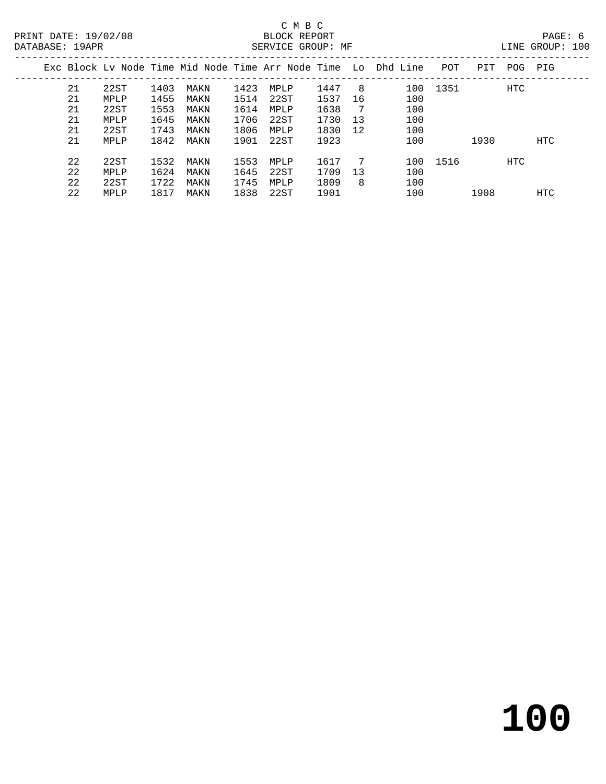| Exc Block Ly Node Time Mid Node Time Arr Node Time Lo Dhd Line |      |      |      |      |      |      |    |     | POT      | PIT  | POG        | PIG |
|----------------------------------------------------------------|------|------|------|------|------|------|----|-----|----------|------|------------|-----|
| 21                                                             | 22ST | 1403 | MAKN | 1423 | MPLP | 1447 | 8  | 100 | 1351     |      | <b>HTC</b> |     |
| 21                                                             | MPLP | 1455 | MAKN | 1514 | 22ST | 1537 | 16 | 100 |          |      |            |     |
| 21                                                             | 22ST | 1553 | MAKN | 1614 | MPLP | 1638 |    | 100 |          |      |            |     |
| 21                                                             | MPLP | 1645 | MAKN | 1706 | 22ST | 1730 | 13 | 100 |          |      |            |     |
| 21                                                             | 22ST | 1743 | MAKN | 1806 | MPLP | 1830 | 12 | 100 |          |      |            |     |
| 21                                                             | MPLP | 1842 | MAKN | 1901 | 22ST | 1923 |    | 100 |          | 1930 |            | HTC |
|                                                                |      |      |      |      |      |      |    |     |          |      |            |     |
| 22                                                             | 22ST | 1532 | MAKN | 1553 | MPLP | 1617 | 7  |     | 100 1516 |      | HTC        |     |
| 22                                                             | MPLP | 1624 | MAKN | 1645 | 22ST | 1709 | 13 | 100 |          |      |            |     |
| 22                                                             | 22ST | 1722 | MAKN | 1745 | MPLP | 1809 | 8  | 100 |          |      |            |     |
| 22                                                             | MPLP | 1817 | MAKN | 1838 | 22ST | 1901 |    | 100 |          | 1908 |            | HTC |
|                                                                |      |      |      |      |      |      |    |     |          |      |            |     |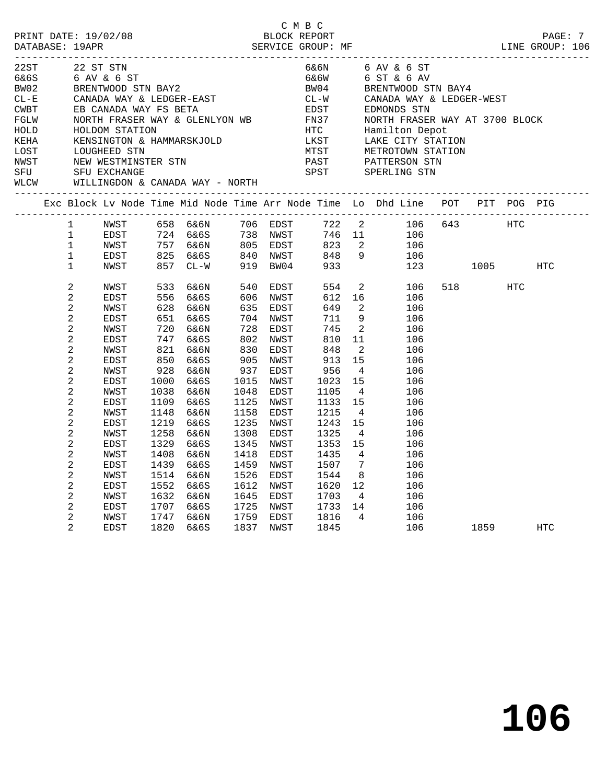| 22ST             |                | 22 ST STN    |      |                                                                                        |      |                      |      |                | 6&6N 6 AV & 6 ST                                                                          |             |     |            |  |
|------------------|----------------|--------------|------|----------------------------------------------------------------------------------------|------|----------------------|------|----------------|-------------------------------------------------------------------------------------------|-------------|-----|------------|--|
| 6&6S             |                |              |      |                                                                                        |      |                      | 6&6W |                | 6 ST & 6 AV                                                                               |             |     |            |  |
| BW02             |                |              |      | 22 ST STN<br>6 AV & 6 ST<br>BRENTWOOD STN BAY2                                         |      |                      |      |                | BW04 BRENTWOOD STN BAY4                                                                   |             |     |            |  |
| $CL-E$<br>$CL-E$ |                |              |      | BRENTWOOD SIN DAIZ<br>CANADA WAY & LEDGER-EAST<br>CANADA WAY FO BETA                   |      |                      |      |                |                                                                                           |             |     |            |  |
|                  |                |              |      |                                                                                        |      |                      |      |                | CL-W CANADA WAY & LEDGER-WEST<br>EDST       EDMONDS STN                                   |             |     |            |  |
| FGLW             |                |              |      |                                                                                        |      |                      |      |                | NORTH FRASER WAY AT 3700 BLOCK                                                            |             |     |            |  |
| HOLD             |                |              |      |                                                                                        |      |                      |      |                | NORTH FRASER WAY & GLENLYON WB FN37 MORTH FRASER W.<br>HOLDOM STATION HOLDOM STATION HERE |             |     |            |  |
| KEHA             |                |              |      | KENSINGTON & HAMMARSKJOLD                                                              |      |                      |      |                | LKST LAKE CITY STATION<br>MTST METROTOWN STATION                                          |             |     |            |  |
| LOST             |                | LOUGHEED STN |      |                                                                                        |      |                      |      |                |                                                                                           |             |     |            |  |
| NWST<br>SFU      |                |              |      | NEW WESTMINSTER STN<br>NEW WESTMINSTER STN<br>SFU EXCHANGE                             |      |                      |      |                | PAST PATTERSON STN<br>PAST PATTERSON STN<br>SPST SPERLING STN                             |             |     |            |  |
| SFU              |                | SFU EXCHANGE |      |                                                                                        |      |                      |      |                |                                                                                           |             |     |            |  |
| WLCW             |                |              |      | WILLINGDON & CANADA WAY - NORTH                                                        |      |                      |      |                |                                                                                           |             |     |            |  |
|                  |                |              |      |                                                                                        |      |                      |      |                | Exc Block Lv Node Time Mid Node Time Arr Node Time Lo Dhd Line POT PIT POG PIG            |             |     |            |  |
|                  | $\mathbf{1}$   | NWST         |      | 658 6&6N                                                                               |      | 706 EDST             |      |                | 722 2 106 643 HTC                                                                         |             |     |            |  |
|                  | $\mathbf{1}$   | EDST         |      |                                                                                        |      | 738 NWST<br>805 EDST |      |                | 746 11<br>106                                                                             |             |     |            |  |
|                  | $\mathbf 1$    | NWST         |      | 724 6&6S      738   NWST<br>757   6&6N       805   EDST<br>825   6&6S       840   NWST |      |                      | 823  |                | $\overline{\mathbf{2}}$<br>106                                                            |             |     |            |  |
|                  | $\mathbf 1$    | EDST         |      |                                                                                        |      | 840 NWST             | 848  |                | 9<br>106                                                                                  |             |     |            |  |
|                  | $\mathbf 1$    | NWST         | 857  | $CL - W$                                                                               |      | 919 BW04             | 933  |                | 123                                                                                       | 1005 — 1005 |     | HTC        |  |
|                  | 2              | NWST         | 533  | 6&6N                                                                                   | 540  | EDST                 | 554  |                | $\overline{2}$<br>106                                                                     | 518 — 10    | HTC |            |  |
|                  | 2              | EDST         | 556  | 6&6S                                                                                   |      | 606 NWST             | 612  | 16             | 106                                                                                       |             |     |            |  |
|                  | 2              | NWST         | 628  | 6&6N                                                                                   | 635  | EDST                 | 649  |                | $\overline{a}$<br>106                                                                     |             |     |            |  |
|                  | 2              | EDST         | 651  | 6&6S                                                                                   |      | 704 NWST             | 711  | 9              | 106                                                                                       |             |     |            |  |
|                  | 2              | NWST         | 720  | 6&6N                                                                                   | 728  | EDST                 | 745  | $\overline{2}$ | 106                                                                                       |             |     |            |  |
|                  | 2              | EDST         | 747  | 6&6S                                                                                   | 802  | NWST                 | 810  | 11             | 106                                                                                       |             |     |            |  |
|                  | 2              | NWST         | 821  | 6&6N                                                                                   | 830  | EDST                 | 848  | $\overline{2}$ | 106                                                                                       |             |     |            |  |
|                  | 2              | EDST         | 850  | 6&6S                                                                                   | 905  | NWST                 | 913  | 15             | 106                                                                                       |             |     |            |  |
|                  | 2              | NWST         | 928  | 6&6N                                                                                   | 937  | EDST                 | 956  | $\overline{4}$ | 106                                                                                       |             |     |            |  |
|                  | 2              | EDST         | 1000 | 6&6S                                                                                   | 1015 | NWST                 | 1023 | 15             | 106                                                                                       |             |     |            |  |
|                  | 2              | NWST         | 1038 | 6&6N                                                                                   | 1048 | EDST                 | 1105 | $\overline{4}$ | 106                                                                                       |             |     |            |  |
|                  | 2              | EDST         | 1109 | 6&6S                                                                                   | 1125 | NWST                 | 1133 | 15             | 106                                                                                       |             |     |            |  |
|                  | $\overline{a}$ | NWST         | 1148 | 6&6N                                                                                   | 1158 | EDST                 | 1215 | $\overline{4}$ | 106                                                                                       |             |     |            |  |
|                  | 2              | EDST         | 1219 | 6&6S                                                                                   | 1235 | NWST                 | 1243 | 15             | 106                                                                                       |             |     |            |  |
|                  | $\overline{a}$ | NWST         | 1258 | 6&6N                                                                                   | 1308 | EDST                 | 1325 | $\overline{4}$ | 106                                                                                       |             |     |            |  |
|                  | $\overline{c}$ | EDST         | 1329 | 6&6S                                                                                   | 1345 | NWST                 | 1353 | 15             | 106                                                                                       |             |     |            |  |
|                  | 2              | NWST         | 1408 | 6&6N                                                                                   | 1418 | EDST                 | 1435 | 4              | 106                                                                                       |             |     |            |  |
|                  | 2              | EDST         | 1439 | 6&6S                                                                                   | 1459 | NWST                 | 1507 |                | 7<br>106                                                                                  |             |     |            |  |
|                  | 2              | NWST         | 1514 | 6&6N                                                                                   | 1526 | EDST                 | 1544 | 8 <sup>8</sup> | 106                                                                                       |             |     |            |  |
|                  | 2              | EDST         | 1552 | 6&6S                                                                                   | 1612 | NWST                 | 1620 | 12             | 106                                                                                       |             |     |            |  |
|                  | 2              | NWST         | 1632 | 6&6N                                                                                   | 1645 | EDST                 | 1703 | $\overline{4}$ | 106                                                                                       |             |     |            |  |
|                  | 2              | EDST         | 1707 | 6&6S                                                                                   | 1725 | NWST                 | 1733 | 14             | 106                                                                                       |             |     |            |  |
|                  | 2              | NWST         | 1747 | 6&6N                                                                                   |      | 1759 EDST            | 1816 | $\overline{4}$ | 106                                                                                       |             |     |            |  |
|                  | 2              | <b>EDST</b>  | 1820 | 6&6S                                                                                   |      | 1837 NWST            | 1845 |                | 106                                                                                       | 1859 1880   |     | <b>HTC</b> |  |

C M B C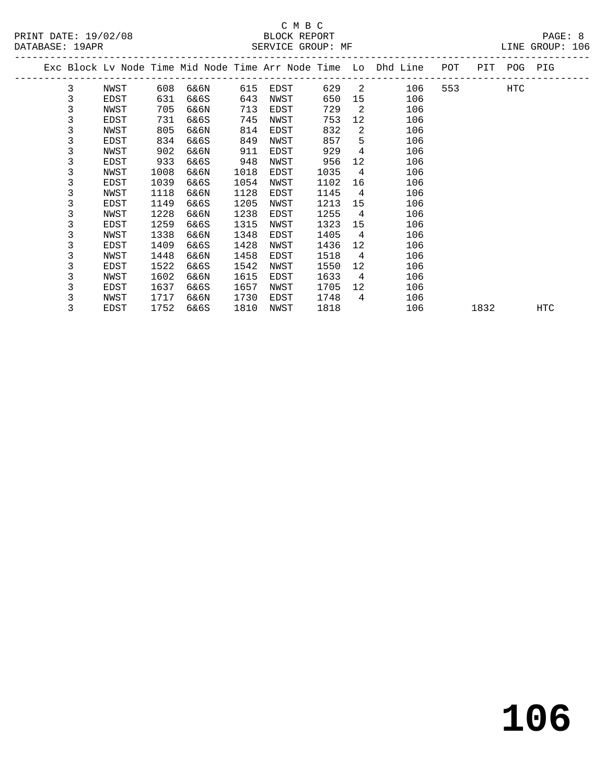## C M B C<br>BLOCK REPORT SERVICE GROUP: MF

**106**

|   |      |      |      |                    |      |      |                 |     | POT                                                            | PIT | POG  | PIG |
|---|------|------|------|--------------------|------|------|-----------------|-----|----------------------------------------------------------------|-----|------|-----|
| 3 | NWST |      | 6&6N | 615                | EDST | 629  | 2               | 106 | 553                                                            |     | HTC  |     |
| 3 | EDST | 631  | 6&6S | 643                | NWST | 650  | 15              | 106 |                                                                |     |      |     |
| 3 | NWST | 705  | 6&6N | 713                | EDST | 729  | 2               | 106 |                                                                |     |      |     |
| 3 | EDST | 731  | 6&6S | 745                | NWST | 753  | 12 <sup>°</sup> | 106 |                                                                |     |      |     |
| 3 | NWST | 805  | 6&6N | 814                | EDST | 832  | 2               | 106 |                                                                |     |      |     |
| 3 | EDST |      | 6&6S | 849                | NWST | 857  | 5               | 106 |                                                                |     |      |     |
| 3 | NWST | 902  | 6&6N | 911                | EDST | 929  | 4               | 106 |                                                                |     |      |     |
| 3 | EDST | 933  | 6&6S | 948                | NWST | 956  | 12              | 106 |                                                                |     |      |     |
| 3 | NWST | 1008 | 6&6N | 1018               | EDST | 1035 | 4               | 106 |                                                                |     |      |     |
| 3 | EDST | 1039 | 6&6S | 1054               | NWST | 1102 | 16              | 106 |                                                                |     |      |     |
| 3 | NWST | 1118 | 6&6N | 1128               | EDST | 1145 | 4               | 106 |                                                                |     |      |     |
| 3 | EDST | 1149 | 6&6S | 1205               | NWST | 1213 | 15              | 106 |                                                                |     |      |     |
| 3 | NWST | 1228 | 6&6N | 1238               | EDST | 1255 | $\overline{4}$  | 106 |                                                                |     |      |     |
| 3 | EDST | 1259 | 6&6S | 1315               | NWST | 1323 | 15              | 106 |                                                                |     |      |     |
| 3 | NWST | 1338 | 6&6N | 1348               | EDST | 1405 | 4               | 106 |                                                                |     |      |     |
| 3 | EDST | 1409 | 6&6S | 1428               | NWST | 1436 | 12              | 106 |                                                                |     |      |     |
| 3 | NWST | 1448 | 6&6N | 1458               | EDST | 1518 | 4               | 106 |                                                                |     |      |     |
| 3 | EDST | 1522 | 6&6S | 1542               | NWST | 1550 | 12              | 106 |                                                                |     |      |     |
| 3 | NWST | 1602 | 6&6N | 1615               | EDST | 1633 | $\overline{4}$  | 106 |                                                                |     |      |     |
| 3 | EDST | 1637 | 6&6S | 1657               | NWST | 1705 | 12              | 106 |                                                                |     |      |     |
| 3 | NWST | 1717 | 6&6N | 1730               | EDST | 1748 | $\overline{4}$  | 106 |                                                                |     |      |     |
| 3 | EDST |      | 6&6S | 1810               | NWST | 1818 |                 | 106 |                                                                |     |      | HTC |
|   |      |      |      | 608<br>834<br>1752 |      |      |                 |     | Exc Block Lv Node Time Mid Node Time Arr Node Time Lo Dhd Line |     | 1832 |     |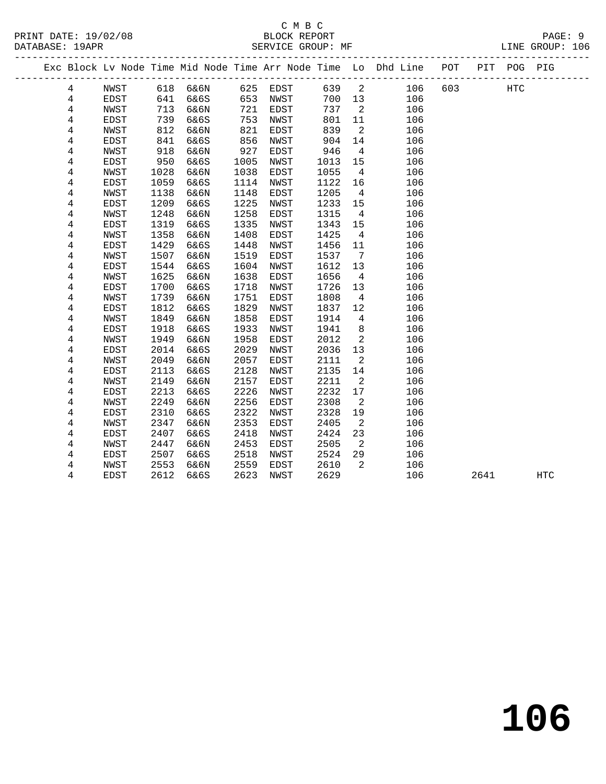|  |                |             |      | ------------------------------ |      |          |      |                         | Exc Block Lv Node Time Mid Node Time Arr Node Time Lo Dhd Line POT |     |      | PIT POG PIG |            |  |
|--|----------------|-------------|------|--------------------------------|------|----------|------|-------------------------|--------------------------------------------------------------------|-----|------|-------------|------------|--|
|  | $\overline{4}$ | NWST        |      | 618 6&6N                       |      | 625 EDST | 639  | $\overline{\mathbf{2}}$ | 106                                                                | 603 |      | HTC         |            |  |
|  | 4              | EDST        | 641  | 6&6S                           | 653  | NWST     | 700  | 13                      | 106                                                                |     |      |             |            |  |
|  | $\overline{4}$ | NWST        | 713  | 6&6N                           | 721  | EDST     | 737  | 2                       | 106                                                                |     |      |             |            |  |
|  | 4              | EDST        | 739  | 6&6S                           | 753  | NWST     | 801  | 11                      | 106                                                                |     |      |             |            |  |
|  | 4              | NWST        | 812  | 6&6N                           | 821  | EDST     | 839  | $\overline{2}$          | 106                                                                |     |      |             |            |  |
|  | 4              | EDST        | 841  | 6&6S                           | 856  | NWST     | 904  | 14                      | 106                                                                |     |      |             |            |  |
|  | 4              | NWST        | 918  | 6&6N                           | 927  | EDST     | 946  | $\overline{4}$          | 106                                                                |     |      |             |            |  |
|  | 4              | EDST        | 950  | 6&6S                           | 1005 | NWST     | 1013 | 15                      | 106                                                                |     |      |             |            |  |
|  | 4              | NWST        | 1028 | 6&6N                           | 1038 | EDST     | 1055 | $\overline{4}$          | 106                                                                |     |      |             |            |  |
|  | 4              | EDST        | 1059 | 6&6S                           | 1114 | NWST     | 1122 | 16                      | 106                                                                |     |      |             |            |  |
|  | 4              | NWST        | 1138 | 6&6N                           | 1148 | EDST     | 1205 | $\overline{4}$          | 106                                                                |     |      |             |            |  |
|  | 4              | EDST        | 1209 | 6&6S                           | 1225 | NWST     | 1233 | 15                      | 106                                                                |     |      |             |            |  |
|  | 4              | NWST        | 1248 | 6&6N                           | 1258 | EDST     | 1315 | $\overline{4}$          | 106                                                                |     |      |             |            |  |
|  | 4              | EDST        | 1319 | 6&6S                           | 1335 | NWST     | 1343 | 15                      | 106                                                                |     |      |             |            |  |
|  | 4              | NWST        | 1358 | 6&6N                           | 1408 | EDST     | 1425 | $\overline{4}$          | 106                                                                |     |      |             |            |  |
|  | 4              | EDST        | 1429 | 6&6S                           | 1448 | NWST     | 1456 | 11                      | 106                                                                |     |      |             |            |  |
|  | 4              | NWST        | 1507 | 6&6N                           | 1519 | EDST     | 1537 | 7                       | 106                                                                |     |      |             |            |  |
|  | 4              | EDST        | 1544 | 6&6S                           | 1604 | NWST     | 1612 | 13                      | 106                                                                |     |      |             |            |  |
|  | 4              | NWST        | 1625 | 6&6N                           | 1638 | EDST     | 1656 | $\overline{4}$          | 106                                                                |     |      |             |            |  |
|  | 4              | EDST        | 1700 | 6&6S                           | 1718 | NWST     | 1726 | 13                      | 106                                                                |     |      |             |            |  |
|  | 4              | NWST        | 1739 | 6&6N                           | 1751 | EDST     | 1808 | $\overline{4}$          | 106                                                                |     |      |             |            |  |
|  | 4              | EDST        | 1812 | 6&6S                           | 1829 | NWST     | 1837 | 12                      | 106                                                                |     |      |             |            |  |
|  | 4              | NWST        | 1849 | 6&6N                           | 1858 | EDST     | 1914 | 4                       | 106                                                                |     |      |             |            |  |
|  | 4              | EDST        | 1918 | 6&6S                           | 1933 | NWST     | 1941 | 8                       | 106                                                                |     |      |             |            |  |
|  | 4              | <b>NWST</b> | 1949 | 6&6N                           | 1958 | EDST     | 2012 | 2                       | 106                                                                |     |      |             |            |  |
|  | 4              | EDST        | 2014 | 6&6S                           | 2029 | NWST     | 2036 | 13                      | 106                                                                |     |      |             |            |  |
|  | 4              | NWST        | 2049 | 6&6N                           | 2057 | EDST     | 2111 | 2                       | 106                                                                |     |      |             |            |  |
|  | 4              | EDST        | 2113 | 6&6S                           | 2128 | NWST     | 2135 | 14                      | 106                                                                |     |      |             |            |  |
|  | 4              | NWST        | 2149 | 6&6N                           | 2157 | EDST     | 2211 | 2                       | 106                                                                |     |      |             |            |  |
|  | 4              | EDST        | 2213 | 6&6S                           | 2226 | NWST     | 2232 | 17                      | 106                                                                |     |      |             |            |  |
|  | 4              | NWST        | 2249 | 6&6N                           | 2256 | EDST     | 2308 | 2                       | 106                                                                |     |      |             |            |  |
|  | 4              | EDST        | 2310 | 6&6S                           | 2322 | NWST     | 2328 | 19                      | 106                                                                |     |      |             |            |  |
|  | 4              | NWST        | 2347 | 6&6N                           | 2353 | EDST     | 2405 | 2                       | 106                                                                |     |      |             |            |  |
|  | 4              | EDST        | 2407 | 6&6S                           | 2418 | NWST     | 2424 | 23                      | 106                                                                |     |      |             |            |  |
|  | 4              | NWST        | 2447 | 6&6N                           | 2453 | EDST     | 2505 | 2                       | 106                                                                |     |      |             |            |  |
|  | 4              | EDST        | 2507 | 6&6S                           | 2518 | NWST     | 2524 | 29                      | 106                                                                |     |      |             |            |  |
|  | 4              | NWST        | 2553 | 6&6N                           | 2559 | EDST     | 2610 | 2                       | 106                                                                |     |      |             |            |  |
|  | 4              | EDST        | 2612 | 6&6S                           | 2623 | NWST     | 2629 |                         | 106                                                                |     | 2641 |             | <b>HTC</b> |  |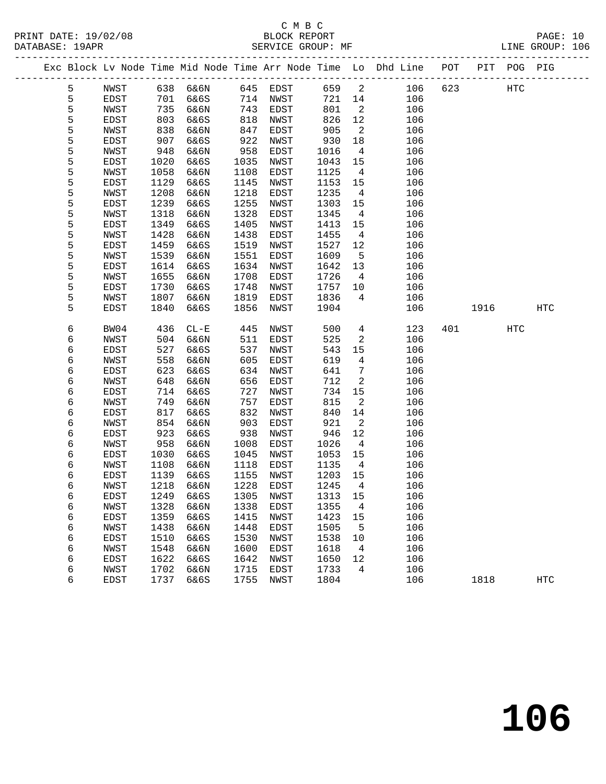PRINT DATE: 19/02/08 BLOCK REPORT BATABASE: 19APR BEST SERVICE GROUP: MF

## C M B C<br>BLOCK REPORT

PAGE: 10<br>LINE GROUP: 106

|  |   |      |      |                      |      |           |         |                          | Exc Block Lv Node Time Mid Node Time Arr Node Time Lo Dhd Line POT |     |      | PIT POG PIG |            |
|--|---|------|------|----------------------|------|-----------|---------|--------------------------|--------------------------------------------------------------------|-----|------|-------------|------------|
|  | 5 | NWST |      | 638  6&6N  645  EDST |      |           | 659     | $\overline{\mathbf{c}}$  | 106                                                                | 623 |      | HTC         |            |
|  | 5 | EDST | 701  | 6&6S                 | 714  | NWST      | 721     | 14                       | 106                                                                |     |      |             |            |
|  | 5 | NWST | 735  | 6&6N                 | 743  | EDST      | 801     | $\overline{\phantom{a}}$ | 106                                                                |     |      |             |            |
|  | 5 | EDST | 803  | 6&6S                 | 818  | NWST      | 826     | 12                       | 106                                                                |     |      |             |            |
|  | 5 | NWST | 838  | 6&6N                 | 847  | EDST      | 905     | $\overline{2}$           | 106                                                                |     |      |             |            |
|  | 5 | EDST | 907  | 6&6S                 | 922  | NWST      | 930     | 18                       | 106                                                                |     |      |             |            |
|  | 5 | NWST | 948  | 6&6N                 | 958  | EDST      | 1016    | $\overline{4}$           | 106                                                                |     |      |             |            |
|  | 5 | EDST | 1020 | 6&6S                 | 1035 | NWST      | 1043    | 15                       | 106                                                                |     |      |             |            |
|  | 5 | NWST | 1058 | 6&6N                 | 1108 | EDST      | 1125    | $\overline{4}$           | 106                                                                |     |      |             |            |
|  | 5 | EDST | 1129 | 6&6S                 | 1145 | NWST      | 1153    | 15                       | 106                                                                |     |      |             |            |
|  | 5 | NWST | 1208 | 6&6N                 | 1218 | EDST      | 1235    | $\overline{4}$           | 106                                                                |     |      |             |            |
|  | 5 | EDST | 1239 | 6&6S                 | 1255 | NWST      | 1303    | 15                       | 106                                                                |     |      |             |            |
|  | 5 | NWST | 1318 | 6&6N                 | 1328 | EDST      | 1345    | $\overline{4}$           | 106                                                                |     |      |             |            |
|  | 5 | EDST | 1349 | 6&6S                 | 1405 | NWST      | 1413    | 15                       | 106                                                                |     |      |             |            |
|  | 5 | NWST | 1428 | 6&6N                 | 1438 | EDST      | 1455    | $\overline{4}$           | 106                                                                |     |      |             |            |
|  | 5 | EDST | 1459 | 6&6S                 | 1519 | NWST      | 1527    | 12                       | 106                                                                |     |      |             |            |
|  | 5 | NWST | 1539 | 6&6N                 | 1551 | EDST      | 1609    | $5^{\circ}$              | 106                                                                |     |      |             |            |
|  | 5 | EDST | 1614 | 6&6S                 | 1634 | NWST      | 1642    | 13                       | 106                                                                |     |      |             |            |
|  | 5 | NWST | 1655 | 6&6N                 | 1708 | EDST      | 1726    | $\overline{4}$           | 106                                                                |     |      |             |            |
|  | 5 | EDST | 1730 | 6&6S                 | 1748 | NWST      | 1757    | 10                       | 106                                                                |     |      |             |            |
|  | 5 | NWST | 1807 | 6&6N                 | 1819 | EDST      | 1836    | 4                        | 106                                                                |     |      |             |            |
|  | 5 | EDST | 1840 | 6&6S                 | 1856 | NWST      | 1904    |                          | 106                                                                |     | 1916 |             | HTC        |
|  |   |      |      |                      |      |           |         |                          |                                                                    |     |      |             |            |
|  | 6 | BW04 | 436  | $CL - E$             | 445  | NWST      | 500     | $\overline{4}$           | 123                                                                |     | 401  | <b>HTC</b>  |            |
|  | 6 | NWST | 504  | 6&6N                 | 511  | EDST      | 525     | 2                        | 106                                                                |     |      |             |            |
|  | 6 | EDST | 527  | 6&6S                 | 537  | NWST      | 543     | 15                       | 106                                                                |     |      |             |            |
|  | 6 | NWST | 558  | 6&6N                 | 605  | EDST      | 619     | $\overline{4}$           | 106                                                                |     |      |             |            |
|  | 6 | EDST | 623  | 6&6S                 | 634  | NWST      | 641     | $7\phantom{.0}$          | 106                                                                |     |      |             |            |
|  | 6 | NWST | 648  | 6&6N                 | 656  | EDST      | 712     | 2                        | 106                                                                |     |      |             |            |
|  | 6 | EDST | 714  | 6&6S                 | 727  | NWST      | 734     | 15                       | 106                                                                |     |      |             |            |
|  | 6 | NWST | 749  | 6&6N                 | 757  | EDST      | 815     | 2                        | 106                                                                |     |      |             |            |
|  | 6 | EDST | 817  | 6&6S                 | 832  | NWST      | 840     | 14                       | 106                                                                |     |      |             |            |
|  | 6 | NWST | 854  | 6&6N                 | 903  | EDST      | 921     | 2                        | 106                                                                |     |      |             |            |
|  | 6 | EDST | 923  | 6&6S                 | 938  | NWST      | 946     | 12                       | 106                                                                |     |      |             |            |
|  | 6 | NWST | 958  | 6&6N                 | 1008 | EDST      | 1026    | $\overline{4}$           | 106                                                                |     |      |             |            |
|  | 6 | EDST | 1030 | 6&6S                 | 1045 | NWST      | 1053    | 15                       | 106                                                                |     |      |             |            |
|  | 6 | NWST | 1108 | 6&6N                 | 1118 | EDST      | 1135    | $\overline{4}$           | 106                                                                |     |      |             |            |
|  | 6 | EDST | 1139 | 6&6S                 | 1155 | NWST      | 1203    | 15                       | 106                                                                |     |      |             |            |
|  | 6 | NWST | 1218 | 6&6N                 | 1228 | EDST      | 1245    | $\overline{4}$           | 106                                                                |     |      |             |            |
|  | 6 | EDST |      | 1249 6&6S            |      | 1305 NWST | 1313 15 |                          | 106                                                                |     |      |             |            |
|  | 6 | NWST | 1328 | 6&6N                 | 1338 | EDST      | 1355    | 4                        | 106                                                                |     |      |             |            |
|  | 6 | EDST | 1359 | 6&6S                 | 1415 | NWST      | 1423    | 15                       | 106                                                                |     |      |             |            |
|  | 6 | NWST | 1438 | 6&6N                 | 1448 | EDST      | 1505    | $5^{\circ}$              | 106                                                                |     |      |             |            |
|  | 6 | EDST | 1510 | 6&6S                 | 1530 | NWST      | 1538    | 10                       | 106                                                                |     |      |             |            |
|  | 6 | NWST | 1548 | 6&6N                 | 1600 | EDST      | 1618    | $\overline{4}$           | 106                                                                |     |      |             |            |
|  | 6 | EDST | 1622 | 6&6S                 | 1642 | NWST      | 1650    | 12                       | 106                                                                |     |      |             |            |
|  | 6 | NWST | 1702 | 6&6N                 | 1715 | EDST      | 1733    | 4                        | 106                                                                |     |      |             |            |
|  | 6 | EDST | 1737 | 6&6S                 | 1755 | NWST      | 1804    |                          | 106                                                                |     | 1818 |             | <b>HTC</b> |
|  |   |      |      |                      |      |           |         |                          |                                                                    |     |      |             |            |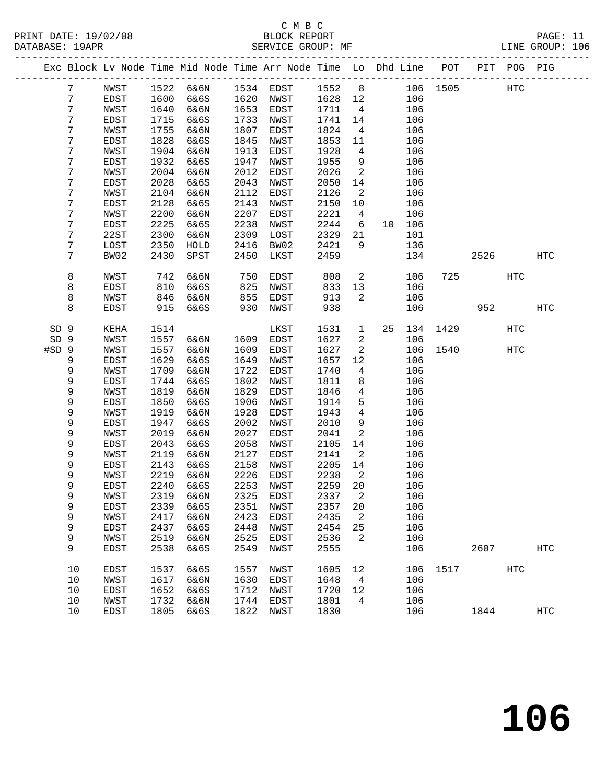PRINT DATE: 19/02/08 BLOCK REPORT BATABASE: 19APR BEST SERVICE GROUP: MF

## C M B C<br>BLOCK REPORT

PAGE: 11<br>LINE GROUP: 106

|                 |                 |              |              |                   |              | Exc Block Lv Node Time Mid Node Time Arr Node Time Lo Dhd Line POT |              |                                  |    |            |          |      | PIT POG PIG |            |
|-----------------|-----------------|--------------|--------------|-------------------|--------------|--------------------------------------------------------------------|--------------|----------------------------------|----|------------|----------|------|-------------|------------|
|                 | $7\phantom{.0}$ | NWST         | 1522         | 6&6N              |              | 1534 EDST                                                          | 1552         | 8 <sup>8</sup>                   |    |            | 106 1505 |      | <b>HTC</b>  |            |
|                 | 7               | EDST         | 1600         | 6&6S              | 1620         | NWST                                                               | 1628         | 12                               |    | 106        |          |      |             |            |
|                 | 7               | NWST         | 1640         | 6&6N              | 1653         | EDST                                                               | 1711         | $\overline{4}$                   |    | 106        |          |      |             |            |
|                 | 7               | EDST         | 1715         | 6&6S              | 1733         | NWST                                                               | 1741         | 14                               |    | 106        |          |      |             |            |
|                 | 7               | NWST         | 1755         | 6&6N              | 1807         | EDST                                                               | 1824         | 4                                |    | 106        |          |      |             |            |
|                 | 7               | EDST         | 1828         | 6&6S              | 1845         | NWST                                                               | 1853         | 11                               |    | 106        |          |      |             |            |
|                 | 7               | NWST         | 1904         | 6&6N              | 1913         | EDST                                                               | 1928         | $\overline{4}$                   |    | 106        |          |      |             |            |
|                 | 7               | EDST         | 1932         | 6&6S              | 1947         | NWST                                                               | 1955         | 9                                |    | 106        |          |      |             |            |
|                 | 7               | NWST         | 2004         | 6&6N              | 2012         | EDST                                                               | 2026         | 2                                |    | 106        |          |      |             |            |
|                 | 7               | EDST         | 2028         | 6&6S              | 2043         | NWST                                                               | 2050         | 14                               |    | 106        |          |      |             |            |
|                 | 7               | NWST         | 2104         | 6&6N              | 2112         | EDST                                                               | 2126         | 2                                |    | 106        |          |      |             |            |
|                 | 7               | EDST         | 2128         | 6&6S              | 2143         | NWST                                                               | 2150         | 10                               |    | 106        |          |      |             |            |
|                 | 7               | NWST         | 2200         | 6&6N              | 2207         | EDST                                                               | 2221         | 4                                |    | 106        |          |      |             |            |
|                 | 7               | EDST         | 2225         | 6&6S              | 2238         | NWST                                                               | 2244         | 6                                |    | 10 106     |          |      |             |            |
|                 | 7               | 22ST         | 2300         | 6&6N              | 2309         | LOST                                                               | 2329         | 21                               |    | 101        |          |      |             |            |
|                 | 7               | LOST         | 2350         | HOLD              | 2416         | BW02                                                               | 2421         | 9                                |    | 136        |          |      |             |            |
|                 | 7               | BW02         | 2430         | SPST              | 2450         | LKST                                                               | 2459         |                                  |    | 134        |          | 2526 |             | <b>HTC</b> |
|                 | 8               | NWST         | 742          | 6&6N              | 750          | EDST                                                               | 808          | $\overline{a}$                   |    | 106        | 725      |      | HTC         |            |
|                 | 8               | EDST         | 810          | 6&6S              | 825          | NWST                                                               | 833          | 13                               |    | 106        |          |      |             |            |
|                 | 8               | NWST         | 846          | 6&6N              | 855          | EDST                                                               | 913          | $\overline{a}$                   |    | 106        |          |      |             |            |
|                 | 8               | <b>EDST</b>  | 915          | 6&6S              | 930          | NWST                                                               | 938          |                                  |    | 106        |          | 952  |             | <b>HTC</b> |
|                 |                 |              |              |                   |              |                                                                    |              |                                  |    |            |          |      |             |            |
| SD <sub>9</sub> |                 | KEHA         | 1514         |                   |              | LKST                                                               | 1531         | $\mathbf{1}$                     | 25 | 134        | 1429     |      | HTC         |            |
| SD 9            |                 | NWST         | 1557         | 6&6N              | 1609         | EDST                                                               | 1627         | 2                                |    | 106        |          |      |             |            |
| #SD 9           |                 | NWST         | 1557         | 6&6N              | 1609         | EDST                                                               | 1627         | $\overline{a}$                   |    | 106        | 1540     |      | HTC         |            |
|                 | 9               | EDST         | 1629         | 6&6S              | 1649         | NWST                                                               | 1657         | 12                               |    | 106        |          |      |             |            |
|                 | 9               | NWST         | 1709         | 6&6N              | 1722         | EDST                                                               | 1740         | 4                                |    | 106        |          |      |             |            |
|                 | 9               | EDST         | 1744         | 6&6S              | 1802         | NWST                                                               | 1811         | 8                                |    | 106        |          |      |             |            |
|                 | 9               | NWST         | 1819         | 6&6N              | 1829         | EDST                                                               | 1846         | 4                                |    | 106        |          |      |             |            |
|                 | 9               | EDST         | 1850         | 6&6S              | 1906         | NWST                                                               | 1914         | 5                                |    | 106        |          |      |             |            |
|                 | 9               | NWST         | 1919         | 6&6N              | 1928         | EDST                                                               | 1943         | $\overline{4}$                   |    | 106        |          |      |             |            |
|                 | 9               | EDST         | 1947         | 6&6S              | 2002         | NWST                                                               | 2010         | 9                                |    | 106        |          |      |             |            |
|                 | 9               | NWST         | 2019         | 6&6N              | 2027         | EDST                                                               | 2041         | 2                                |    | 106        |          |      |             |            |
|                 | 9               | EDST         | 2043         | 6&6S              | 2058         | NWST                                                               | 2105         | 14                               |    | 106        |          |      |             |            |
|                 | 9               | NWST         | 2119         | 6&6N              | 2127         | EDST                                                               | 2141         | 2                                |    | 106        |          |      |             |            |
|                 | 9               | EDST         | 2143         | 6&6S              | 2158         | NWST                                                               | 2205         | 14                               |    | 106        |          |      |             |            |
|                 | 9<br>9          | NWST         | 2219<br>2240 | 6&6N              | 2226         | EDST                                                               | 2238<br>2259 | $\overline{\phantom{a}}^2$<br>20 |    | 106<br>106 |          |      |             |            |
|                 |                 | EDST<br>NWST |              | 6&6S<br>2319 6&6N | 2253         | NWST<br>2325 EDST                                                  | 2337 2       |                                  |    |            |          |      |             |            |
|                 | 9               |              |              |                   |              |                                                                    |              |                                  |    | 106        |          |      |             |            |
|                 | 9<br>9          | EDST<br>NWST | 2339<br>2417 | 6&6S<br>6&6N      | 2351<br>2423 | NWST<br>EDST                                                       | 2357<br>2435 | 20<br>2                          |    | 106<br>106 |          |      |             |            |
|                 | 9               | EDST         | 2437         | 6&6S              | 2448         | NWST                                                               | 2454         | 25                               |    | 106        |          |      |             |            |
|                 | 9               | NWST         | 2519         | 6&6N              | 2525         | <b>EDST</b>                                                        | 2536         | 2                                |    | 106        |          |      |             |            |
|                 | 9               | <b>EDST</b>  | 2538         | 6&6S              | 2549         | NWST                                                               | 2555         |                                  |    | 106        |          | 2607 |             | <b>HTC</b> |
|                 |                 |              |              |                   |              |                                                                    |              |                                  |    |            |          |      |             |            |
|                 | 10              | EDST         | 1537         | 6&6S              | 1557         | NWST                                                               | 1605         | 12                               |    | 106        | 1517     |      | <b>HTC</b>  |            |
|                 | 10              | NWST         | 1617         | 6&6N              | 1630         | EDST                                                               | 1648         | 4                                |    | 106        |          |      |             |            |
|                 | 10              | EDST         | 1652         | 6&6S              | 1712         | NWST                                                               | 1720         | 12                               |    | 106        |          |      |             |            |
|                 | 10              | NWST         | 1732         | 6&6N              | 1744         | EDST                                                               | 1801         | 4                                |    | 106        |          |      |             |            |
|                 | 10              | EDST         | 1805         | 6&6S              | 1822         | NWST                                                               | 1830         |                                  |    | 106        |          | 1844 |             | <b>HTC</b> |
|                 |                 |              |              |                   |              |                                                                    |              |                                  |    |            |          |      |             |            |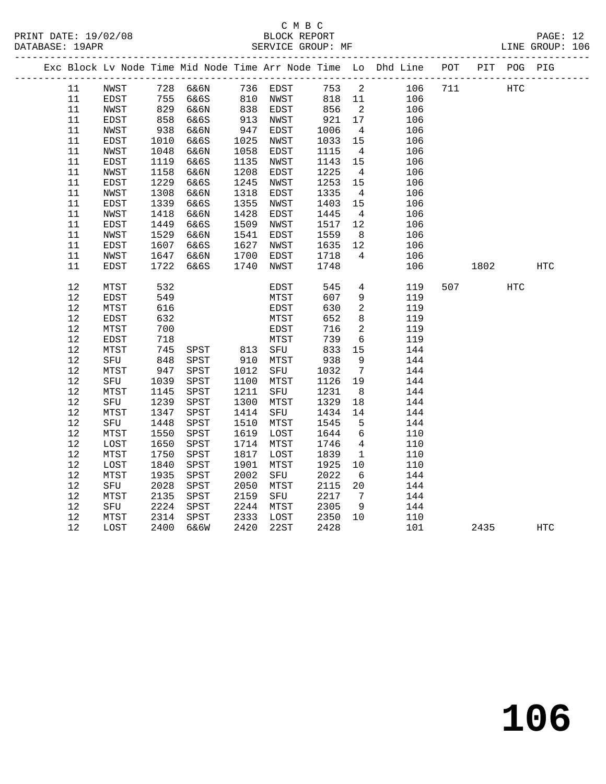## C M B C<br>BLOCK REPORT SERVICE GROUP: MF

|        |      |                 |              |            |              |            |                 | Exc Block Lv Node Time Mid Node Time Arr Node Time Lo Dhd Line POT PIT POG PIG |     |      |            |            |
|--------|------|-----------------|--------------|------------|--------------|------------|-----------------|--------------------------------------------------------------------------------|-----|------|------------|------------|
| 11     | NWST |                 |              |            |              |            |                 | 753 2<br>106                                                                   | 711 |      | <b>HTC</b> |            |
| 11     | EDST | 755             |              |            |              | 818 11     |                 | 106                                                                            |     |      |            |            |
| 11     | NWST | $82.$<br>$858.$ | 6&6N         |            | EDST         |            | $\overline{a}$  | 106                                                                            |     |      |            |            |
| 11     | EDST |                 | 6&6S         | 838<br>913 | NWST         | 856<br>921 | 17              | 106                                                                            |     |      |            |            |
| $11\,$ | NWST | 938             | 6&6N         | 947        | EDST         | 1006       | $\overline{4}$  | 106                                                                            |     |      |            |            |
| 11     | EDST | 1010            | 6&6S         | 1025       | NWST         | 1033       | 15              | 106                                                                            |     |      |            |            |
| 11     | NWST | 1048            | 6&6N         | 1058       | EDST         | 1115       | $\overline{4}$  | 106                                                                            |     |      |            |            |
| 11     | EDST | 1119            | 6&6S         | 1135       | NWST         | 1143       | 15              | 106                                                                            |     |      |            |            |
| $11\,$ | NWST | 1158            | 6&6N         | 1208       | EDST         | 1225       | $4\overline{4}$ | 106                                                                            |     |      |            |            |
| 11     | EDST | 1229            | 6&6S         | 1245       | NWST         | 1253       | 15              | 106                                                                            |     |      |            |            |
| 11     | NWST | 1308            | 6&6N         | 1318       | EDST         | 1335       | $\overline{4}$  | 106                                                                            |     |      |            |            |
| 11     | EDST | 1339            | 6&6S         | 1355       | NWST         | 1403       | 15              | 106                                                                            |     |      |            |            |
| 11     | NWST | 1418            | 6&6N         | 1428       | EDST         | 1445       | $\overline{4}$  | 106                                                                            |     |      |            |            |
| $11\,$ | EDST | 1449            | 6&6S         | 1509       | NWST         | 1517       | 12              | 106                                                                            |     |      |            |            |
| 11     | NWST | 1529            | 6&6N         | 1541       | <b>EDST</b>  | 1559       | 8 <sup>8</sup>  | 106                                                                            |     |      |            |            |
| 11     | EDST | 1607            | 6&6S         | 1627       | NWST         | 1635       | 12              | 106                                                                            |     |      |            |            |
| 11     | NWST | 1647            | 6&6N         | 1700       | EDST         | 1718       | $\overline{4}$  | 106                                                                            |     |      |            |            |
| 11     | EDST | 1722            | 6&6S         | 1740       | NWST         | 1748       |                 | 106                                                                            |     | 1802 |            | <b>HTC</b> |
|        |      |                 |              |            |              |            |                 |                                                                                |     |      |            |            |
| $12$   | MTST | 532             |              |            | EDST         | 545        |                 | $4\overline{ }$<br>119                                                         | 507 |      | <b>HTC</b> |            |
| 12     | EDST | 549             |              |            | MTST         | 607        | 9               | 119                                                                            |     |      |            |            |
| 12     | MTST | 616             |              |            | EDST         | 630        | $\overline{a}$  | 119                                                                            |     |      |            |            |
| $12$   | EDST | 632             |              |            | MTST         | 652        | 8               | 119                                                                            |     |      |            |            |
| 12     | MTST | 700             |              |            | EDST         | 716        | $\overline{a}$  | 119                                                                            |     |      |            |            |
| 12     | EDST | 718             |              |            | ${\tt MTST}$ | 739        | 6               | 119                                                                            |     |      |            |            |
| $12$   | MTST | 745             | SPST         | 813        | SFU          | 833        | 15              | 144                                                                            |     |      |            |            |
| 12     | SFU  | 848             | SPST         | 910        | MTST         | 938        | 9               | 144                                                                            |     |      |            |            |
| $12$   | MTST | 947             | SPST         | 1012       | SFU          | 1032       | $7\overline{ }$ | 144                                                                            |     |      |            |            |
| $12$   | SFU  | 1039            | ${\tt SPST}$ | 1100       | MTST         | 1126       | 19              | 144                                                                            |     |      |            |            |
| 12     | MTST | 1145            | SPST         | 1211       | SFU          | 1231       | 8 <sup>8</sup>  | 144                                                                            |     |      |            |            |
| $12$   | SFU  | 1239            | SPST         | 1300       | MTST         | 1329       | 18              | 144                                                                            |     |      |            |            |
| $12$   | MTST | 1347            | SPST         | 1414       | SFU          | 1434       | 14              | 144                                                                            |     |      |            |            |
| $12$   | SFU  | 1448            | SPST         | 1510       | MTST         | 1545       | $5\overline{)}$ | 144                                                                            |     |      |            |            |
| $12$   | MTST | 1550            | SPST         | 1619       | LOST         | 1644       | 6               | 110                                                                            |     |      |            |            |
| 12     | LOST | 1650            | SPST         | 1714       | MTST         | 1746       | 4               | 110                                                                            |     |      |            |            |
| $12$   | MTST | 1750            | SPST         | 1817       | LOST         | 1839       | $\overline{1}$  | 110                                                                            |     |      |            |            |
| 12     | LOST | 1840            | SPST         | 1901       | MTST         | 1925       | 10              | 110                                                                            |     |      |            |            |
| $12$   | MTST | 1935            | SPST         | 2002       | SFU          | 2022       | 6               | 144                                                                            |     |      |            |            |
| 12     | SFU  | 2028            | SPST         | 2050       | MTST         | 2115       | 20              | 144                                                                            |     |      |            |            |
| $12$   | MTST | 2135            | SPST         | 2159       | SFU          | 2217       | $7\overline{ }$ | 144                                                                            |     |      |            |            |
| 12     | SFU  | 2224            | SPST         | 2244       | MTST         | 2305       | 9               | 144                                                                            |     |      |            |            |
| 12     | MTST | 2314            | SPST         | 2333       | LOST         | 2350       | 10              | 110                                                                            |     |      |            |            |
| $12\,$ | LOST | 2400            | 6&6W         | 2420       | 22ST         | 2428       |                 | 101                                                                            |     | 2435 |            | HTC        |
|        |      |                 |              |            |              |            |                 |                                                                                |     |      |            |            |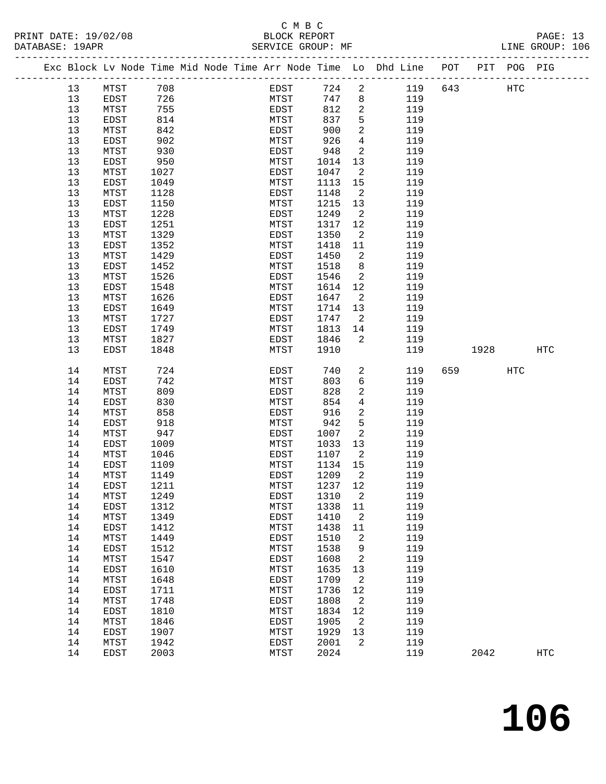|  |    |                 |      |  |             |      |          | Exc Block Lv Node Time Mid Node Time Arr Node Time Lo Dhd Line | POT | PIT |     | POG PIG |  |
|--|----|-----------------|------|--|-------------|------|----------|----------------------------------------------------------------|-----|-----|-----|---------|--|
|  | 13 | MTST            | 708  |  | EDST        | 724  | 2        | 119                                                            | 643 |     | HTC |         |  |
|  | 13 | EDST            | 726  |  | MTST        | 747  | 8        | 119                                                            |     |     |     |         |  |
|  | 13 | MTST            | 755  |  | EDST        | 812  | 2        | 119                                                            |     |     |     |         |  |
|  | 13 | EDST            | 814  |  | MTST        | 837  | 5        | 119                                                            |     |     |     |         |  |
|  | 13 | MTST            | 842  |  | EDST        | 900  | 2        | 119                                                            |     |     |     |         |  |
|  | 13 | EDST            | 902  |  | MTST        | 926  | 4        | 119                                                            |     |     |     |         |  |
|  | 13 | MTST            | 930  |  | EDST        | 948  | 2        | 119                                                            |     |     |     |         |  |
|  | 13 | EDST            | 950  |  | MTST        | 1014 | 13       | 119                                                            |     |     |     |         |  |
|  | 13 | MTST            | 1027 |  | EDST        | 1047 | 2        | 119                                                            |     |     |     |         |  |
|  | 13 | EDST            | 1049 |  | MTST        | 1113 | 15       | 119                                                            |     |     |     |         |  |
|  | 13 | MTST            | 1128 |  | EDST        | 1148 | 2        | 119                                                            |     |     |     |         |  |
|  | 13 | EDST            | 1150 |  | MTST        | 1215 | 13       | 119                                                            |     |     |     |         |  |
|  | 13 | MTST            | 1228 |  | EDST        | 1249 | 2        | 119                                                            |     |     |     |         |  |
|  | 13 | EDST            | 1251 |  | MTST        | 1317 | 12       | 119                                                            |     |     |     |         |  |
|  | 13 | MTST            | 1329 |  | EDST        | 1350 | -2       | 119                                                            |     |     |     |         |  |
|  | 13 | EDST            | 1352 |  | MTST        | 1418 | 11       | 119                                                            |     |     |     |         |  |
|  | າາ | M <sub>II</sub> | 1100 |  | <b>EDOT</b> | 11E  | $\Omega$ | 11 O                                                           |     |     |     |         |  |

| 13 | <b>MTST</b> | 1329 | <b>EDST</b> | 1350 | 2              | 119 |     |      |            |            |
|----|-------------|------|-------------|------|----------------|-----|-----|------|------------|------------|
| 13 | <b>EDST</b> | 1352 | MTST        | 1418 | 11             | 119 |     |      |            |            |
| 13 | MTST        | 1429 | <b>EDST</b> | 1450 | 2              | 119 |     |      |            |            |
| 13 | <b>EDST</b> | 1452 | MTST        | 1518 | 8              | 119 |     |      |            |            |
| 13 | MTST        | 1526 | <b>EDST</b> | 1546 | 2              | 119 |     |      |            |            |
| 13 | EDST        | 1548 | MTST        | 1614 | 12             | 119 |     |      |            |            |
| 13 | MTST        | 1626 | <b>EDST</b> | 1647 | 2              | 119 |     |      |            |            |
| 13 | <b>EDST</b> | 1649 | MTST        | 1714 | 13             | 119 |     |      |            |            |
| 13 | MTST        | 1727 | <b>EDST</b> | 1747 | 2              | 119 |     |      |            |            |
| 13 | <b>EDST</b> | 1749 | MTST        | 1813 | 14             | 119 |     |      |            |            |
| 13 | MTST        | 1827 | <b>EDST</b> | 1846 | 2              | 119 |     |      |            |            |
| 13 | <b>EDST</b> | 1848 | MTST        | 1910 |                | 119 |     | 1928 |            | <b>HTC</b> |
|    |             |      |             |      |                |     |     |      |            |            |
| 14 | MTST        | 724  | EDST        | 740  | 2              | 119 | 659 |      | <b>HTC</b> |            |
| 14 | <b>EDST</b> | 742  | MTST        | 803  | 6              | 119 |     |      |            |            |
| 14 | MTST        | 809  | <b>EDST</b> | 828  | 2              | 119 |     |      |            |            |
| 14 | EDST        | 830  | MTST        | 854  | 4              | 119 |     |      |            |            |
| 14 | MTST        | 858  | EDST        | 916  | 2              | 119 |     |      |            |            |
| 14 | EDST        | 918  | MTST        | 942  | 5              | 119 |     |      |            |            |
| 14 | MTST        | 947  | EDST        | 1007 | $\overline{a}$ | 119 |     |      |            |            |
| 14 | <b>EDST</b> | 1009 | MTST        | 1033 | 13             | 119 |     |      |            |            |
| 14 | MTST        | 1046 | EDST        | 1107 | 2              | 119 |     |      |            |            |
| 14 | EDST        | 1109 | MTST        | 1134 | 15             | 119 |     |      |            |            |
| 14 | MTST        | 1149 | <b>EDST</b> | 1209 | 2              | 119 |     |      |            |            |
| 14 | EDST        | 1211 | MTST        | 1237 | 12             | 119 |     |      |            |            |
| 14 | MTST        | 1249 | EDST        | 1310 | $\overline{a}$ | 119 |     |      |            |            |
| 14 | <b>EDST</b> | 1312 | MTST        | 1338 | 11             | 119 |     |      |            |            |
| 14 | MTST        | 1349 | EDST        | 1410 | 2              | 119 |     |      |            |            |
| 14 | EDST        | 1412 | MTST        | 1438 | 11             | 119 |     |      |            |            |
| 14 | MTST        | 1449 | EDST        | 1510 | 2              | 119 |     |      |            |            |
| 14 | EDST        | 1512 | MTST        | 1538 | 9              | 119 |     |      |            |            |
| 14 | MTST        | 1547 | EDST        | 1608 | 2              | 119 |     |      |            |            |
| 14 | <b>EDST</b> | 1610 | MTST        | 1635 | 13             | 119 |     |      |            |            |
| 14 | MTST        | 1648 | EDST        | 1709 | 2              | 119 |     |      |            |            |
| 14 | EDST        | 1711 | MTST        | 1736 | 12             | 119 |     |      |            |            |
| 14 | MTST        | 1748 | EDST        | 1808 | 2              | 119 |     |      |            |            |
| 14 | EDST        | 1810 | MTST        | 1834 | 12             | 119 |     |      |            |            |
| 14 | MTST        | 1846 | EDST        | 1905 | $\overline{a}$ | 119 |     |      |            |            |
| 14 | EDST        | 1907 | MTST        | 1929 | 13             | 119 |     |      |            |            |
| 14 | MTST        | 1942 | EDST        | 2001 | $\overline{2}$ | 119 |     |      |            |            |
| 14 | <b>EDST</b> | 2003 | MTST        | 2024 |                | 119 |     | 2042 |            | <b>HTC</b> |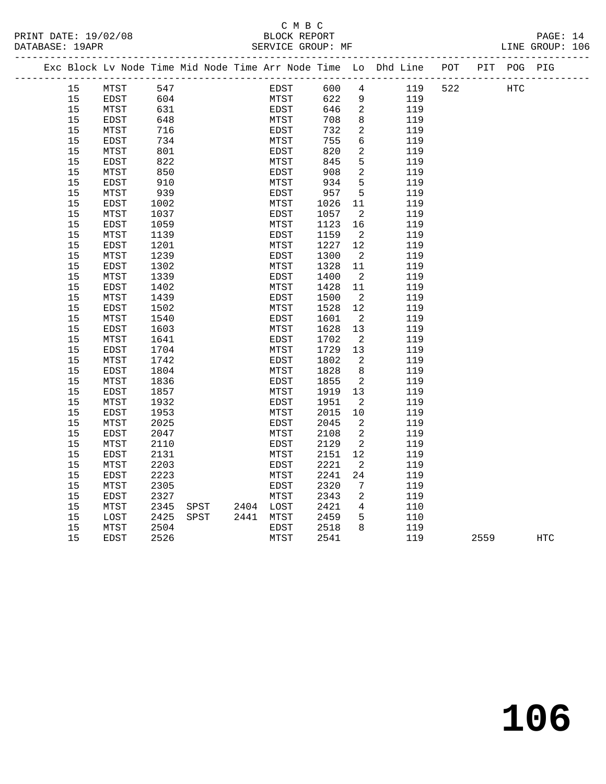## C M B C<br>BLOCK REPORT PRINT DATE: 19/02/08 BLOCK REPORT PAGE: 14

LINE GROUP: 106

|  |    | Exc Block Lv Node Time Mid Node Time Arr Node Time Lo Dhd Line POT |      |      |           |      |      |                 |     |     |      | PIT POG PIG |     |
|--|----|--------------------------------------------------------------------|------|------|-----------|------|------|-----------------|-----|-----|------|-------------|-----|
|  | 15 | MTST                                                               | 547  |      |           | EDST | 600  | $4\overline{ }$ | 119 | 522 |      | HTC         |     |
|  | 15 | EDST                                                               | 604  |      |           | MTST | 622  | 9               | 119 |     |      |             |     |
|  | 15 | MTST                                                               | 631  |      |           | EDST | 646  | $\overline{2}$  | 119 |     |      |             |     |
|  | 15 | <b>EDST</b>                                                        | 648  |      |           | MTST | 708  | 8               | 119 |     |      |             |     |
|  | 15 | MTST                                                               | 716  |      |           | EDST | 732  | $\overline{a}$  | 119 |     |      |             |     |
|  | 15 | EDST                                                               | 734  |      |           | MTST | 755  | $6\overline{6}$ | 119 |     |      |             |     |
|  | 15 | MTST                                                               | 801  |      |           | EDST | 820  | 2               | 119 |     |      |             |     |
|  | 15 | EDST                                                               | 822  |      |           | MTST | 845  | 5               | 119 |     |      |             |     |
|  | 15 | MTST                                                               | 850  |      |           | EDST | 908  | 2               | 119 |     |      |             |     |
|  | 15 | EDST                                                               | 910  |      |           | MTST | 934  | 5               | 119 |     |      |             |     |
|  | 15 | MTST                                                               | 939  |      |           | EDST | 957  | 5               | 119 |     |      |             |     |
|  | 15 | EDST                                                               | 1002 |      |           | MTST | 1026 | 11              | 119 |     |      |             |     |
|  | 15 | MTST                                                               | 1037 |      |           | EDST | 1057 | - 2             | 119 |     |      |             |     |
|  | 15 | EDST                                                               | 1059 |      |           | MTST | 1123 | 16              | 119 |     |      |             |     |
|  | 15 | MTST                                                               | 1139 |      |           | EDST | 1159 | $\overline{2}$  | 119 |     |      |             |     |
|  | 15 | EDST                                                               | 1201 |      |           | MTST | 1227 | 12              | 119 |     |      |             |     |
|  | 15 | MTST                                                               | 1239 |      |           | EDST | 1300 | - 2             | 119 |     |      |             |     |
|  | 15 | EDST                                                               | 1302 |      |           | MTST | 1328 | 11              | 119 |     |      |             |     |
|  | 15 | MTST                                                               | 1339 |      |           | EDST | 1400 | $\overline{2}$  | 119 |     |      |             |     |
|  | 15 | EDST                                                               | 1402 |      |           | MTST | 1428 | 11              | 119 |     |      |             |     |
|  | 15 | MTST                                                               | 1439 |      |           | EDST | 1500 | $\overline{2}$  | 119 |     |      |             |     |
|  | 15 | <b>EDST</b>                                                        | 1502 |      |           | MTST | 1528 | 12              | 119 |     |      |             |     |
|  | 15 | MTST                                                               | 1540 |      |           | EDST | 1601 | - 2             | 119 |     |      |             |     |
|  | 15 | EDST                                                               | 1603 |      |           | MTST | 1628 | 13              | 119 |     |      |             |     |
|  | 15 | MTST                                                               | 1641 |      |           | EDST | 1702 | $\overline{2}$  | 119 |     |      |             |     |
|  | 15 | EDST                                                               | 1704 |      |           | MTST | 1729 | 13              | 119 |     |      |             |     |
|  | 15 | MTST                                                               | 1742 |      |           | EDST | 1802 | 2               | 119 |     |      |             |     |
|  | 15 | <b>EDST</b>                                                        | 1804 |      |           | MTST | 1828 | 8               | 119 |     |      |             |     |
|  | 15 | MTST                                                               | 1836 |      |           | EDST | 1855 | $\overline{2}$  | 119 |     |      |             |     |
|  | 15 | EDST                                                               | 1857 |      |           | MTST | 1919 | 13              | 119 |     |      |             |     |
|  | 15 | MTST                                                               | 1932 |      |           | EDST | 1951 | - 2             | 119 |     |      |             |     |
|  | 15 | EDST                                                               | 1953 |      |           | MTST | 2015 | 10              | 119 |     |      |             |     |
|  | 15 | MTST                                                               | 2025 |      |           | EDST | 2045 | 2               | 119 |     |      |             |     |
|  | 15 | <b>EDST</b>                                                        | 2047 |      |           | MTST | 2108 | 2               | 119 |     |      |             |     |
|  | 15 | MTST                                                               | 2110 |      |           | EDST | 2129 | 2               | 119 |     |      |             |     |
|  | 15 | EDST                                                               | 2131 |      |           | MTST | 2151 | 12              | 119 |     |      |             |     |
|  | 15 | MTST                                                               | 2203 |      |           | EDST | 2221 | 2               | 119 |     |      |             |     |
|  | 15 | EDST                                                               | 2223 |      |           | MTST | 2241 | 24              | 119 |     |      |             |     |
|  | 15 | MTST                                                               | 2305 |      |           | EDST | 2320 | 7               | 119 |     |      |             |     |
|  | 15 | <b>EDST</b>                                                        | 2327 |      |           | MTST | 2343 | $\overline{2}$  | 119 |     |      |             |     |
|  | 15 | MTST                                                               | 2345 | SPST | 2404 LOST |      | 2421 | 4               | 110 |     |      |             |     |
|  | 15 | LOST                                                               | 2425 | SPST | 2441 MTST |      | 2459 | 5               | 110 |     |      |             |     |
|  | 15 | MTST                                                               | 2504 |      |           | EDST | 2518 | 8               | 119 |     |      |             |     |
|  | 15 | <b>EDST</b>                                                        | 2526 |      |           | MTST | 2541 |                 | 119 |     | 2559 |             | HTC |

**106**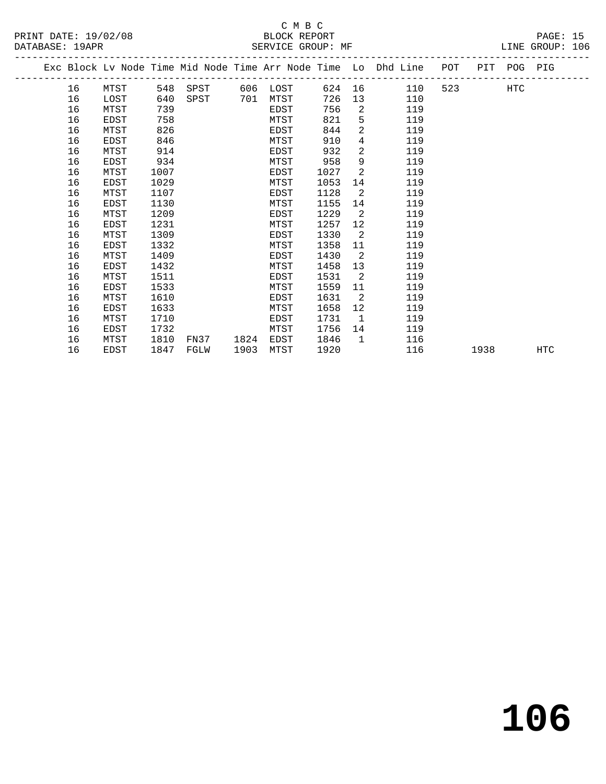PRINT DATE: 19/02/08 BLOCK REPORT BATABASE: 19APR BEST SERVICE GROUP: MF

## C M B C<br>BLOCK REPORT

PAGE: 15<br>LINE GROUP: 106

|  |    |      |      |      |      |      |      |                   | Exc Block Lv Node Time Mid Node Time Arr Node Time Lo Dhd Line | POT PIT POG PIG |                          |     |     |
|--|----|------|------|------|------|------|------|-------------------|----------------------------------------------------------------|-----------------|--------------------------|-----|-----|
|  | 16 | MTST | 548  | SPST | 606  | LOST |      |                   | 624 16<br>110                                                  |                 | 523 and $\overline{523}$ | HTC |     |
|  | 16 | LOST | 640  | SPST | 701  | MTST | 726  |                   | 13<br>110                                                      |                 |                          |     |     |
|  | 16 | MTST | 739  |      |      | EDST | 756  | 2                 | 119                                                            |                 |                          |     |     |
|  | 16 | EDST | 758  |      |      | MTST | 821  | 5                 | 119                                                            |                 |                          |     |     |
|  | 16 | MTST | 826  |      |      | EDST | 844  | $\overline{2}$    | 119                                                            |                 |                          |     |     |
|  | 16 | EDST | 846  |      |      | MTST | 910  | $\overline{4}$    | 119                                                            |                 |                          |     |     |
|  | 16 | MTST | 914  |      |      | EDST | 932  | $\overline{2}$    | 119                                                            |                 |                          |     |     |
|  | 16 | EDST | 934  |      |      | MTST | 958  | 9                 | 119                                                            |                 |                          |     |     |
|  | 16 | MTST | 1007 |      |      | EDST | 1027 | 2                 | 119                                                            |                 |                          |     |     |
|  | 16 | EDST | 1029 |      |      | MTST | 1053 | 14                | 119                                                            |                 |                          |     |     |
|  | 16 | MTST | 1107 |      |      | EDST | 1128 | 2                 | 119                                                            |                 |                          |     |     |
|  | 16 | EDST | 1130 |      |      | MTST | 1155 | 14                | 119                                                            |                 |                          |     |     |
|  | 16 | MTST | 1209 |      |      | EDST | 1229 | 2                 | 119                                                            |                 |                          |     |     |
|  | 16 | EDST | 1231 |      |      | MTST | 1257 | $12 \overline{ }$ | 119                                                            |                 |                          |     |     |
|  | 16 | MTST | 1309 |      |      | EDST | 1330 | $\overline{2}$    | 119                                                            |                 |                          |     |     |
|  | 16 | EDST | 1332 |      |      | MTST | 1358 | 11                | 119                                                            |                 |                          |     |     |
|  | 16 | MTST | 1409 |      |      | EDST | 1430 | 2                 | 119                                                            |                 |                          |     |     |
|  | 16 | EDST | 1432 |      |      | MTST | 1458 | 13                | 119                                                            |                 |                          |     |     |
|  | 16 | MTST | 1511 |      |      | EDST | 1531 | 2                 | 119                                                            |                 |                          |     |     |
|  | 16 | EDST | 1533 |      |      | MTST | 1559 | 11                | 119                                                            |                 |                          |     |     |
|  | 16 | MTST | 1610 |      |      | EDST | 1631 | $\overline{2}$    | 119                                                            |                 |                          |     |     |
|  | 16 | EDST | 1633 |      |      | MTST | 1658 | 12                | 119                                                            |                 |                          |     |     |
|  | 16 | MTST | 1710 |      |      | EDST | 1731 | $\overline{1}$    | 119                                                            |                 |                          |     |     |
|  | 16 | EDST | 1732 |      |      | MTST | 1756 | 14                | 119                                                            |                 |                          |     |     |
|  | 16 | MTST | 1810 | FN37 | 1824 | EDST | 1846 | $\overline{1}$    | 116                                                            |                 |                          |     |     |
|  | 16 | EDST | 1847 | FGLW | 1903 | MTST | 1920 |                   | 116                                                            |                 | 1938                     |     | HTC |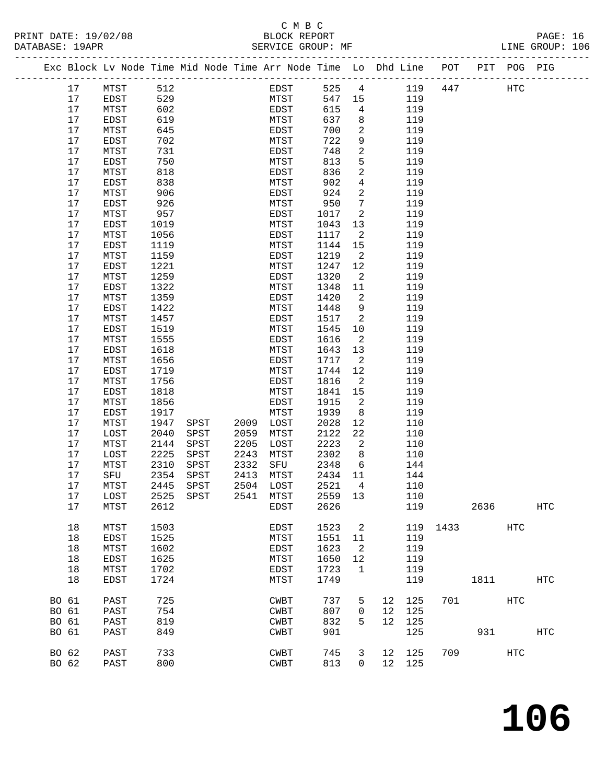|       |      | Exc Block Lv Node Time Mid Node Time Arr Node Time Lo Dhd Line POT PIT POG PIG |           |      |           |             |         |                            |    |        |     |      |            |            |
|-------|------|--------------------------------------------------------------------------------|-----------|------|-----------|-------------|---------|----------------------------|----|--------|-----|------|------------|------------|
|       | 17   | MTST                                                                           | 512       |      |           | EDST        | 525     | $\overline{4}$             |    | 119    | 447 |      | HTC        |            |
|       | 17   | EDST                                                                           | 529       |      |           | MTST        | 547     | 15                         |    | 119    |     |      |            |            |
|       | 17   | MTST                                                                           | 602       |      |           | EDST        | 615     | $4\overline{ }$            |    | 119    |     |      |            |            |
|       | 17   | EDST                                                                           | 619       |      |           | MTST        | 637     | 8                          |    | 119    |     |      |            |            |
|       | 17   | MTST                                                                           | 645       |      |           | EDST        | 700     | $\overline{2}$             |    | 119    |     |      |            |            |
|       | 17   | EDST                                                                           | 702       |      |           | MTST        | 722     | 9                          |    | 119    |     |      |            |            |
|       | 17   | MTST                                                                           | 731       |      |           | EDST        | 748     | 2                          |    | 119    |     |      |            |            |
|       | $17$ | EDST                                                                           | 750       |      |           | MTST        | 813     | 5                          |    | 119    |     |      |            |            |
|       | 17   | MTST                                                                           | 818       |      |           | EDST        | 836     | $\overline{2}$             |    | 119    |     |      |            |            |
|       | 17   | EDST                                                                           | 838       |      |           | MTST        | 902     | $\overline{4}$             |    | 119    |     |      |            |            |
|       | 17   | MTST                                                                           | 906       |      |           | EDST        | 924     | $\overline{2}$             |    | 119    |     |      |            |            |
|       | 17   | EDST                                                                           | 926       |      |           | MTST        | 950     | $7\phantom{.0}$            |    | 119    |     |      |            |            |
|       | 17   | MTST                                                                           | 957       |      |           | EDST        | 1017    | $\overline{2}$             |    | 119    |     |      |            |            |
|       | 17   | EDST                                                                           | 1019      |      |           | MTST        | 1043    | 13                         |    | 119    |     |      |            |            |
|       | 17   | MTST                                                                           | 1056      |      |           | EDST        | 1117    | $\overline{2}$             |    | 119    |     |      |            |            |
|       | 17   | EDST                                                                           | 1119      |      |           | MTST        | 1144    | 15                         |    | 119    |     |      |            |            |
|       | 17   | MTST                                                                           | 1159      |      |           | EDST        | 1219    | $\overline{\phantom{a}}^2$ |    | 119    |     |      |            |            |
|       | 17   | EDST                                                                           | 1221      |      |           | MTST        | 1247    | 12                         |    | 119    |     |      |            |            |
|       | 17   | MTST                                                                           | 1259      |      |           | EDST        | 1320    | $\overline{\phantom{a}}$   |    | 119    |     |      |            |            |
|       | 17   | EDST                                                                           | 1322      |      |           | MTST        | 1348    | 11                         |    | 119    |     |      |            |            |
|       | 17   | MTST                                                                           | 1359      |      |           | EDST        | 1420    | 2                          |    | 119    |     |      |            |            |
|       | 17   | EDST                                                                           | 1422      |      |           | MTST        | 1448    | 9                          |    | 119    |     |      |            |            |
|       | 17   | MTST                                                                           | 1457      |      |           | EDST        | 1517    | 2                          |    | 119    |     |      |            |            |
|       | 17   | EDST                                                                           | 1519      |      |           | MTST        | 1545    | 10                         |    | 119    |     |      |            |            |
|       | 17   | MTST                                                                           | 1555      |      |           | EDST        | 1616    | $\overline{2}$             |    | 119    |     |      |            |            |
|       | 17   | EDST                                                                           | 1618      |      |           | MTST        | 1643    | 13                         |    | 119    |     |      |            |            |
|       | 17   | MTST                                                                           | 1656      |      |           | EDST        | 1717    | $\overline{2}$             |    | 119    |     |      |            |            |
|       | 17   | EDST                                                                           | 1719      |      |           | MTST        | 1744    | 12                         |    | 119    |     |      |            |            |
|       | 17   | MTST                                                                           | 1756      |      |           | EDST        | 1816    | 2                          |    | 119    |     |      |            |            |
|       | 17   | EDST                                                                           | 1818      |      |           | MTST        | 1841    | 15                         |    | 119    |     |      |            |            |
|       | 17   | MTST                                                                           | 1856      |      |           | EDST        | 1915    | $\overline{2}$             |    | 119    |     |      |            |            |
|       | $17$ | EDST                                                                           | 1917      |      |           | MTST        | 1939    | 8                          |    | 119    |     |      |            |            |
|       | 17   | MTST                                                                           | 1947      | SPST | 2009      | LOST        | 2028    | 12                         |    | 110    |     |      |            |            |
|       | 17   | LOST                                                                           | 2040      | SPST | 2059      | MTST        | 2122    | 22                         |    | 110    |     |      |            |            |
|       | 17   | MTST                                                                           | 2144      | SPST | 2205      | LOST        | 2223    | $\overline{2}$             |    | 110    |     |      |            |            |
|       | 17   | LOST                                                                           | 2225      | SPST | 2243      | MTST        | 2302    | 8 <sup>8</sup>             |    | 110    |     |      |            |            |
|       | 17   | MTST                                                                           | 2310      | SPST | 2332      | SFU         | 2348    | 6                          |    | 144    |     |      |            |            |
|       | 17   | SFU                                                                            | 2354      | SPST | 2413      | MTST        | 2434    | 11                         |    | 144    |     |      |            |            |
|       | 17   | MTST                                                                           | 2445      | SPST | 2504 LOST |             | 2521    | $\overline{4}$             |    | 110    |     |      |            |            |
|       | 17   | LOST                                                                           | 2525 SPST |      | 2541 MTST |             | 2559 13 |                            |    | 110    |     |      |            |            |
|       | 17   | MTST                                                                           | 2612      |      |           | EDST        | 2626    |                            |    | 119    |     | 2636 |            | <b>HTC</b> |
|       |      |                                                                                |           |      |           |             |         |                            |    |        |     |      |            |            |
|       | 18   | MTST                                                                           | 1503      |      |           | EDST        | 1523    | 2                          |    | 119    |     | 1433 | <b>HTC</b> |            |
|       | 18   | EDST                                                                           | 1525      |      |           | MTST        | 1551    | 11                         |    | 119    |     |      |            |            |
|       | 18   | MTST                                                                           | 1602      |      |           | EDST        | 1623    | 2                          |    | 119    |     |      |            |            |
|       | 18   | EDST                                                                           | 1625      |      |           | MTST        | 1650    | 12                         |    | 119    |     |      |            |            |
|       | 18   | MTST                                                                           | 1702      |      |           | EDST        | 1723    | $\mathbf{1}$               |    | 119    |     |      |            |            |
|       | 18   | EDST                                                                           | 1724      |      |           | MTST        | 1749    |                            |    | 119    |     | 1811 |            | HTC        |
| BO 61 |      | PAST                                                                           | 725       |      |           | CWBT        | 737     | 5                          | 12 | 125    | 701 |      | HTC        |            |
| BO 61 |      | PAST                                                                           | 754       |      |           | CWBT        | 807     | 0                          | 12 | 125    |     |      |            |            |
| BO 61 |      | PAST                                                                           | 819       |      |           | CWBT        | 832     | 5                          | 12 | 125    |     |      |            |            |
| BO 61 |      | PAST                                                                           | 849       |      |           | <b>CWBT</b> | 901     |                            |    | 125    |     | 931  |            | <b>HTC</b> |
|       |      |                                                                                |           |      |           |             |         |                            |    |        |     |      |            |            |
| BO 62 |      | PAST                                                                           | 733       |      |           | CWBT        | 745     | 3                          |    | 12 125 | 709 |      | HTC        |            |
| BO 62 |      | PAST                                                                           | 800       |      |           | CWBT        | 813     | $\Omega$                   |    | 12 125 |     |      |            |            |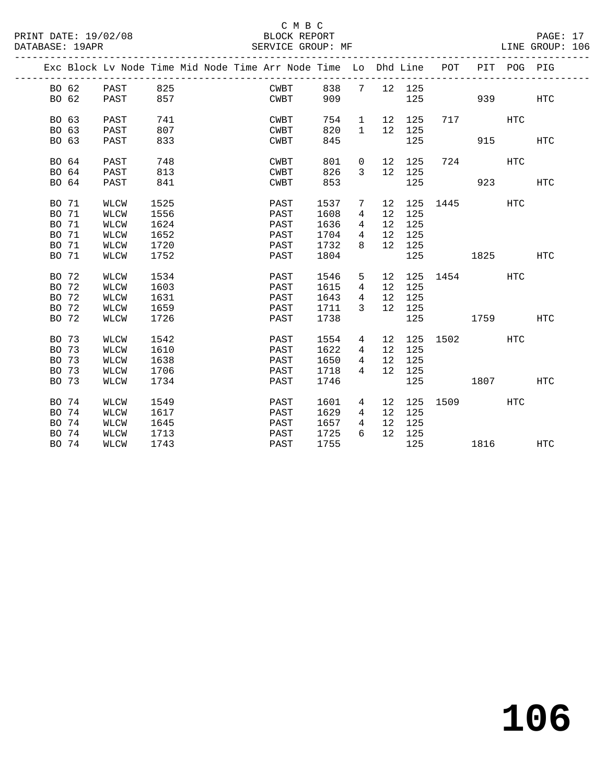### C M B C<br>BLOCK REPORT SERVICE GROUP: MF

**106**

|                |                     |              |  | Exc Block Lv Node Time Mid Node Time Arr Node Time Lo Dhd Line POT |              |                     |                   |            |              | PIT         | POG PIG |            |
|----------------|---------------------|--------------|--|--------------------------------------------------------------------|--------------|---------------------|-------------------|------------|--------------|-------------|---------|------------|
| BO 62          | PAST                | 825          |  | CWBT                                                               | 838          | $7\overline{ }$     |                   | 12 125     |              |             |         |            |
| BO 62          | PAST                | 857          |  | CWBT                                                               | 909          |                     |                   | 125        |              | 939 — 10    |         | HTC        |
|                |                     |              |  |                                                                    |              |                     |                   |            |              |             |         |            |
| BO 63          | PAST                | 741          |  | CWBT                                                               | 754          | 1                   | 12                | 125        |              | 717         | HTC     |            |
| BO 63          | PAST                | 807          |  | CWBT                                                               | 820          | $\mathbf{1}$        | 12                | 125        |              |             |         |            |
| BO 63          | PAST                | 833          |  | CWBT                                                               | 845          |                     |                   | 125        |              | 915         |         | <b>HTC</b> |
|                |                     |              |  |                                                                    |              |                     |                   |            |              |             |         |            |
| BO 64          | PAST                | 748          |  | CWBT                                                               | 801          | $\overline{0}$      | 12                | 125        | 724          |             | HTC     |            |
| BO 64          | PAST                | 813          |  | CWBT                                                               | 826          | 3                   | 12                | 125        |              |             |         |            |
| BO 64          | PAST                | 841          |  | CWBT                                                               | 853          |                     |                   | 125        |              | 923         |         | HTC        |
|                |                     |              |  |                                                                    |              |                     |                   |            |              |             |         |            |
| BO 71          | <b>WLCW</b>         | 1525         |  | PAST                                                               | 1537         | 7                   | 12                |            | 125 1445     |             | HTC     |            |
| BO 71          | <b>WLCW</b>         | 1556         |  | PAST                                                               | 1608         | 4                   | $12 \overline{ }$ | 125        |              |             |         |            |
| BO 71          | <b>WLCW</b>         | 1624         |  | PAST                                                               | 1636         | $\overline{4}$      | 12                | 125        |              |             |         |            |
| BO 71          | <b>WLCW</b>         | 1652         |  | PAST                                                               | 1704         | $4\overline{ }$     | 12                | 125        |              |             |         |            |
| BO 71          | <b>WLCW</b>         | 1720         |  | PAST                                                               | 1732         | 8                   | 12 <sup>12</sup>  | 125        |              |             |         |            |
| BO 71          | WLCW                | 1752         |  | PAST                                                               | 1804         |                     |                   | 125        |              | 1825        |         | HTC        |
|                |                     |              |  |                                                                    |              |                     |                   |            |              |             |         |            |
| BO 72          | WLCW                | 1534         |  | PAST                                                               | 1546         | 5                   | 12                |            | 125 1454     |             | HTC     |            |
| BO 72          | <b>WLCW</b>         | 1603         |  | PAST                                                               | 1615         | $4\overline{ }$     | 12                | 125        |              |             |         |            |
| BO 72          | WLCW                | 1631         |  | PAST                                                               | 1643         | $\overline{4}$<br>3 | 12<br>12          | 125        |              |             |         |            |
| BO 72<br>BO 72 | WLCW<br><b>WLCW</b> | 1659<br>1726 |  | PAST<br>PAST                                                       | 1711<br>1738 |                     |                   | 125<br>125 |              | 1759 176    |         |            |
|                |                     |              |  |                                                                    |              |                     |                   |            |              |             |         | HTC        |
| BO 73          | <b>WLCW</b>         | 1542         |  | PAST                                                               | 1554         | $4\overline{ }$     | 12                |            | 125 1502     |             | HTC     |            |
| BO 73          | <b>WLCW</b>         | 1610         |  | PAST                                                               | 1622         | 4                   | 12                | 125        |              |             |         |            |
| BO 73          | WLCW                | 1638         |  | PAST                                                               | 1650         | $4\phantom{0}$      | 12 <sup>°</sup>   | 125        |              |             |         |            |
| BO 73          | <b>WLCW</b>         | 1706         |  | PAST                                                               | 1718         | $\overline{4}$      |                   | 12 125     |              |             |         |            |
| BO 73          | <b>WLCW</b>         | 1734         |  | PAST                                                               | 1746         |                     |                   | 125        |              | 1807 - 1800 |         | <b>HTC</b> |
|                |                     |              |  |                                                                    |              |                     |                   |            |              |             |         |            |
| BO 74          | <b>WLCW</b>         | 1549         |  | PAST                                                               | 1601         | $4\overline{ }$     | 12                |            | 125 1509 HTC |             |         |            |
| BO 74          | <b>WLCW</b>         | 1617         |  | PAST                                                               | 1629         | $4\overline{ }$     | 12                | 125        |              |             |         |            |
| BO 74          | WLCW                | 1645         |  | PAST                                                               | 1657         | $4\overline{ }$     | 12                | 125        |              |             |         |            |
| BO 74          | WLCW                | 1713         |  | PAST                                                               | 1725         | 6                   | 12                | 125        |              |             |         |            |
| BO 74          | WLCW                | 1743         |  | PAST                                                               | 1755         |                     |                   | 125        |              | 1816        |         | HTC        |
|                |                     |              |  |                                                                    |              |                     |                   |            |              |             |         |            |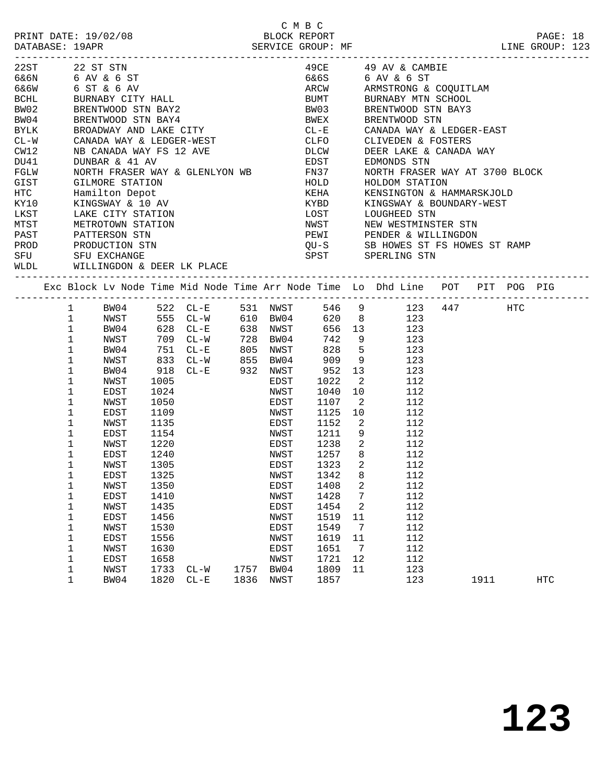|                    |              |                                       |      |                                                                                                                                                                                                     |      |      | C M B C        |                            |                         |                                                                                |      | PAGE: 18<br>LINE GROUP: 123 |  |
|--------------------|--------------|---------------------------------------|------|-----------------------------------------------------------------------------------------------------------------------------------------------------------------------------------------------------|------|------|----------------|----------------------------|-------------------------|--------------------------------------------------------------------------------|------|-----------------------------|--|
|                    |              |                                       |      | 22ST 22 ST STN<br>6&6N 6 AV & 6 ST<br>6&6W 6 ST & 6 AV<br>BCHL BURNABY CITY HALL<br>BW02 BRENTWOOD STN BAY2<br>BW04 BRENTWOOD STN BAY4<br>BYLK BROADWAY AND LAKE CITY<br>THE BROADWAY AND LAKE CITY |      |      |                |                            |                         | $49CE$ $49e$ AV & CAMBIE                                                       |      |                             |  |
|                    |              |                                       |      |                                                                                                                                                                                                     |      |      | 6&6S           |                            |                         | 6 AV & 6 ST                                                                    |      |                             |  |
|                    |              |                                       |      |                                                                                                                                                                                                     |      |      |                |                            |                         | ARCW ARMSTRONG & COQUITLAM                                                     |      |                             |  |
|                    |              |                                       |      |                                                                                                                                                                                                     |      |      |                |                            |                         | BUMT BURNABY MTN SCHOOL                                                        |      |                             |  |
|                    |              |                                       |      |                                                                                                                                                                                                     |      |      |                |                            |                         |                                                                                |      |                             |  |
|                    |              |                                       |      |                                                                                                                                                                                                     |      |      |                |                            |                         | BW03 BRENTWOOD STN BAY3<br>BWEX BRENTWOOD STN<br>CL-E CANADA WAY & LEDGER-EAST |      |                             |  |
|                    |              |                                       |      |                                                                                                                                                                                                     |      |      |                |                            |                         |                                                                                |      |                             |  |
|                    |              |                                       |      | CL-W CANADA WAY & LEDGER-WEST                                                                                                                                                                       |      |      |                |                            |                         | CLFO CLIVEDEN & FOSTERS                                                        |      |                             |  |
| CW12               |              |                                       |      | NB CANADA WAY FS 12 AVE                                                                                                                                                                             |      |      | <b>DLCW</b>    |                            |                         | DEER LAKE & CANADA WAY                                                         |      |                             |  |
| DU41               |              | DUNBAR & 41 AV                        |      | EDST<br>NORTH FRASER WAY & GLENLYON WB FN37<br>GILMORE STATION                                                                                                                                      |      |      | EDST           |                            |                         | EDMONDS STN                                                                    |      |                             |  |
| FGLW               |              |                                       |      |                                                                                                                                                                                                     |      |      |                |                            |                         | NORTH FRASER WAY AT 3700 BLOCK                                                 |      |                             |  |
| GIST               |              | GILMORE STATION                       |      |                                                                                                                                                                                                     |      |      |                |                            |                         | HOLDOM STATION                                                                 |      |                             |  |
| <b>HTC</b>         |              | Hamilton Depot                        |      |                                                                                                                                                                                                     |      |      | KEHA           |                            |                         | KENSINGTON & HAMMARSKJOLD                                                      |      |                             |  |
| KY10               |              | KINGSWAY & 10 AV<br>LAKE CITY STATION |      |                                                                                                                                                                                                     |      |      | KYBD           |                            |                         | KINGSWAY & BOUNDARY-WEST                                                       |      |                             |  |
| LKST               |              |                                       |      |                                                                                                                                                                                                     |      |      | LOST           |                            |                         | LOUGHEED STN                                                                   |      |                             |  |
| <b>MTST</b>        |              |                                       |      | METROTOWN STATION                                                                                                                                                                                   |      |      | NWST           |                            |                         | NEW WESTMINSTER STN                                                            |      |                             |  |
| PAST PATTERSON STN |              |                                       |      |                                                                                                                                                                                                     |      |      |                |                            |                         | PEWI PENDER & WILLINGDON                                                       |      |                             |  |
| PROD               |              | PRODUCTION STN                        |      |                                                                                                                                                                                                     |      |      |                |                            |                         | QU-S       SB HOWES ST FS HOWES ST RAMP<br>SPST       SPERLING STN             |      |                             |  |
| SFU                |              | SFU EXCHANGE                          |      |                                                                                                                                                                                                     |      |      |                |                            |                         |                                                                                |      |                             |  |
|                    |              |                                       |      | WLDL WILLINGDON & DEER LK PLACE                                                                                                                                                                     |      |      |                |                            |                         |                                                                                |      |                             |  |
|                    |              |                                       |      |                                                                                                                                                                                                     |      |      |                |                            |                         | Exc Block Lv Node Time Mid Node Time Arr Node Time Lo Dhd Line POT PIT POG PIG |      |                             |  |
|                    |              |                                       |      | 1 BW04 522 CL-E                                                                                                                                                                                     |      |      |                |                            |                         | 531 NWST 546 9 123 447 HTC                                                     |      |                             |  |
|                    | $\mathbf{1}$ | NWST                                  |      | 555 CL-W                                                                                                                                                                                            |      |      |                |                            |                         | 610 BW04 620 8 123                                                             |      |                             |  |
|                    | $\mathbf{1}$ | BW04                                  |      | 628 CL-E<br>709 CL-W                                                                                                                                                                                |      |      |                |                            |                         |                                                                                |      |                             |  |
|                    | $\mathbf{1}$ | NWST                                  |      | 709 CL-W                                                                                                                                                                                            |      |      |                |                            |                         | 638 NWST 656 13 123<br>728 BW04 742 9 123                                      |      |                             |  |
|                    | $\mathbf 1$  |                                       |      | BW04 751 CL-E                                                                                                                                                                                       |      |      | 805 NWST 828 5 |                            |                         | 123                                                                            |      |                             |  |
|                    | $\mathbf{1}$ | NWST                                  |      | 833 CL-W 855 BW04                                                                                                                                                                                   |      |      | $909$ 9        |                            |                         | 123                                                                            |      |                             |  |
|                    | $\mathbf 1$  | BW04                                  |      | 918 CL-E 932 NWST                                                                                                                                                                                   |      |      | 952            |                            |                         | 13<br>123                                                                      |      |                             |  |
|                    | $\mathbf 1$  | NWST                                  | 1005 |                                                                                                                                                                                                     |      | EDST | 1022           |                            | $\overline{\mathbf{2}}$ | 112                                                                            |      |                             |  |
|                    | 1            | EDST                                  | 1024 |                                                                                                                                                                                                     |      | NWST | 1040           | 10                         |                         | 112                                                                            |      |                             |  |
|                    | $\mathbf 1$  | NWST                                  |      | 1050 000                                                                                                                                                                                            |      | EDST | 1107           | $\overline{\phantom{a}}^2$ |                         | 112                                                                            |      |                             |  |
|                    | $\mathbf 1$  | EDST                                  |      | 1109<br>1135<br>1154                                                                                                                                                                                |      | NWST | 1125           | 10                         |                         | 112                                                                            |      |                             |  |
|                    | $\mathbf{1}$ | NWST                                  |      |                                                                                                                                                                                                     |      | EDST | 1152           |                            | $\mathbf{2}$            | 112                                                                            |      |                             |  |
|                    | $\mathbf{1}$ | EDST                                  |      |                                                                                                                                                                                                     |      | NWST |                | 12119                      |                         | 112                                                                            |      |                             |  |
|                    | 1            | NWST                                  | 1220 | <b>EDST</b>                                                                                                                                                                                         |      |      |                | 1238 2                     |                         | 112                                                                            |      |                             |  |
|                    | 1            | EDST                                  | 1240 |                                                                                                                                                                                                     |      | NWST | 1257           |                            | 8                       | 112                                                                            |      |                             |  |
|                    | 1            | NWST                                  | 1305 |                                                                                                                                                                                                     |      |      | EDST 1323 2    |                            |                         | 112                                                                            |      |                             |  |
|                    | 1            | EDST                                  | 1325 |                                                                                                                                                                                                     |      | NWST | 1342           |                            | 8                       | 112                                                                            |      |                             |  |
|                    | 1            | NWST                                  | 1350 |                                                                                                                                                                                                     |      | EDST | 1408           |                            | 2                       | 112                                                                            |      |                             |  |
|                    | 1            | <b>EDST</b>                           | 1410 |                                                                                                                                                                                                     |      | NWST | 1428           |                            | 7                       | 112                                                                            |      |                             |  |
|                    | $1\,$        | NWST                                  | 1435 |                                                                                                                                                                                                     |      | EDST | 1454           |                            | 2                       | 112                                                                            |      |                             |  |
|                    | $\mathbf 1$  | EDST                                  | 1456 |                                                                                                                                                                                                     |      | NWST | 1519           | 11                         |                         | 112                                                                            |      |                             |  |
|                    | $1\,$        | NWST                                  | 1530 |                                                                                                                                                                                                     |      | EDST | 1549           |                            | 7                       | 112                                                                            |      |                             |  |
|                    | 1            | <b>EDST</b>                           | 1556 |                                                                                                                                                                                                     |      | NWST | 1619           | 11                         |                         | 112                                                                            |      |                             |  |
|                    | $1\,$        | NWST                                  | 1630 |                                                                                                                                                                                                     |      | EDST | 1651           |                            | 7                       | 112                                                                            |      |                             |  |
|                    | $\mathbf 1$  | EDST                                  | 1658 |                                                                                                                                                                                                     |      | NWST | 1721           | 12                         |                         | 112                                                                            |      |                             |  |
|                    | 1            | NWST                                  | 1733 | $CL - W$                                                                                                                                                                                            | 1757 | BW04 | 1809           | 11                         |                         | 123                                                                            |      |                             |  |
|                    | $\mathbf{1}$ | BW04                                  | 1820 | $CL - E$                                                                                                                                                                                            | 1836 | NWST | 1857           |                            |                         | 123                                                                            | 1911 | HTC                         |  |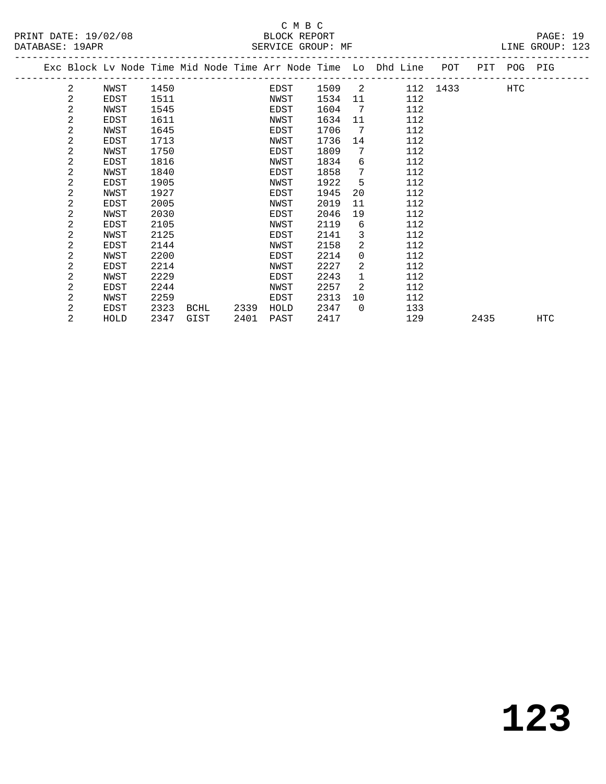|  |   | Exc Block Lv Node Time Mid Node Time Arr Node Time Lo Dhd Line |      |      |      |      |      |          |     | POT      |      | PIT POG PIG |     |
|--|---|----------------------------------------------------------------|------|------|------|------|------|----------|-----|----------|------|-------------|-----|
|  | 2 | NWST                                                           | 1450 |      |      | EDST | 1509 | 2        |     | 112 1433 |      | HTC         |     |
|  | 2 | EDST                                                           | 1511 |      |      | NWST | 1534 | 11       | 112 |          |      |             |     |
|  | 2 | NWST                                                           | 1545 |      |      | EDST | 1604 | 7        | 112 |          |      |             |     |
|  | 2 | EDST                                                           | 1611 |      |      | NWST | 1634 | 11       | 112 |          |      |             |     |
|  | 2 | NWST                                                           | 1645 |      |      | EDST | 1706 | 7        | 112 |          |      |             |     |
|  | 2 | EDST                                                           | 1713 |      |      | NWST | 1736 | 14       | 112 |          |      |             |     |
|  | 2 | NWST                                                           | 1750 |      |      | EDST | 1809 | 7        | 112 |          |      |             |     |
|  | 2 | EDST                                                           | 1816 |      |      | NWST | 1834 | 6        | 112 |          |      |             |     |
|  | 2 | NWST                                                           | 1840 |      |      | EDST | 1858 | 7        | 112 |          |      |             |     |
|  | 2 | EDST                                                           | 1905 |      |      | NWST | 1922 | 5        | 112 |          |      |             |     |
|  | 2 | NWST                                                           | 1927 |      |      | EDST | 1945 | 20       | 112 |          |      |             |     |
|  | 2 | EDST                                                           | 2005 |      |      | NWST | 2019 | 11       | 112 |          |      |             |     |
|  | 2 | NWST                                                           | 2030 |      |      | EDST | 2046 | 19       | 112 |          |      |             |     |
|  | 2 | EDST                                                           | 2105 |      |      | NWST | 2119 | 6        | 112 |          |      |             |     |
|  | 2 | NWST                                                           | 2125 |      |      | EDST | 2141 | 3        | 112 |          |      |             |     |
|  | 2 | EDST                                                           | 2144 |      |      | NWST | 2158 | 2        | 112 |          |      |             |     |
|  | 2 | NWST                                                           | 2200 |      |      | EDST | 2214 | $\Omega$ | 112 |          |      |             |     |
|  | 2 | EDST                                                           | 2214 |      |      | NWST | 2227 | 2        | 112 |          |      |             |     |
|  | 2 | NWST                                                           | 2229 |      |      | EDST | 2243 | 1        | 112 |          |      |             |     |
|  | 2 | EDST                                                           | 2244 |      |      | NWST | 2257 | 2        | 112 |          |      |             |     |
|  | 2 | NWST                                                           | 2259 |      |      | EDST | 2313 | 10       | 112 |          |      |             |     |
|  | 2 | EDST                                                           | 2323 | BCHL | 2339 | HOLD | 2347 | $\Omega$ | 133 |          |      |             |     |
|  | 2 | HOLD                                                           | 2347 | GIST | 2401 | PAST | 2417 |          | 129 |          | 2435 |             | HTC |
|  |   |                                                                |      |      |      |      |      |          |     |          |      |             |     |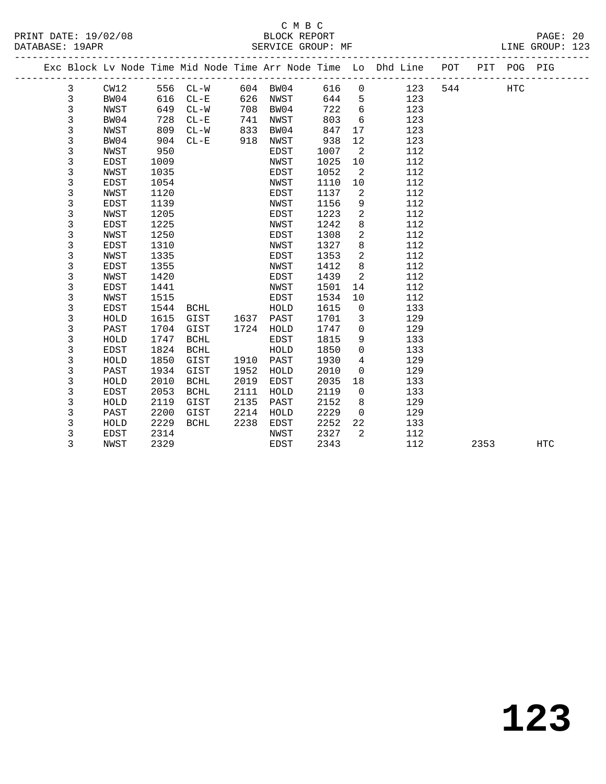## C M B C<br>BLOCK REPORT

| DATABASE: 19APR |                                                                                |  |  | SERVICE GROUP: MF |  |  |  | LINE GROUP: 123 |  |
|-----------------|--------------------------------------------------------------------------------|--|--|-------------------|--|--|--|-----------------|--|
|                 | Exc Block Ly Node Time Mid Node Time Arr Node Time Lo Dhd Line POT PIT POG PIG |  |  |                   |  |  |  |                 |  |
|                 |                                                                                |  |  |                   |  |  |  |                 |  |

| 3 | CW12        | 556  | $CL-W$                | 604 BW04 |      | 616  | $\overline{0}$             | 123 | 544 | HTC  |     |
|---|-------------|------|-----------------------|----------|------|------|----------------------------|-----|-----|------|-----|
| 3 | BW04        | 616  | $CL-E$                | 626      | NWST | 644  | 5                          | 123 |     |      |     |
| 3 | NWST        | 649  | $CL-W$                | 708      | BW04 | 722  | 6                          | 123 |     |      |     |
| 3 | BW04        | 728  | $CL - E$              | 741      | NWST | 803  | 6                          | 123 |     |      |     |
| 3 | NWST        | 809  | $CL-W$                | 833      | BW04 | 847  | 17                         | 123 |     |      |     |
| 3 | BW04        | 904  | $CL - E$              | 918      | NWST | 938  | 12                         | 123 |     |      |     |
| 3 | NWST        | 950  |                       |          | EDST | 1007 | $\overline{\phantom{0}}^2$ | 112 |     |      |     |
| 3 | EDST        | 1009 |                       |          | NWST | 1025 | 10                         | 112 |     |      |     |
| 3 | NWST        | 1035 |                       |          | EDST | 1052 | 2                          | 112 |     |      |     |
| 3 | <b>EDST</b> | 1054 |                       |          | NWST | 1110 | 10                         | 112 |     |      |     |
| 3 | NWST        | 1120 |                       |          | EDST | 1137 | 2                          | 112 |     |      |     |
| 3 | EDST        | 1139 |                       |          | NWST | 1156 | 9                          | 112 |     |      |     |
| 3 | NWST        | 1205 |                       |          | EDST | 1223 | 2                          | 112 |     |      |     |
| 3 | <b>EDST</b> | 1225 |                       |          | NWST | 1242 | 8                          | 112 |     |      |     |
| 3 | NWST        | 1250 |                       |          | EDST | 1308 | 2                          | 112 |     |      |     |
| 3 | EDST        | 1310 |                       |          | NWST | 1327 | 8                          | 112 |     |      |     |
| 3 | NWST        | 1335 |                       |          | EDST | 1353 | 2                          | 112 |     |      |     |
| 3 | EDST        | 1355 |                       |          | NWST | 1412 | 8                          | 112 |     |      |     |
| 3 | NWST        | 1420 |                       |          | EDST | 1439 | 2                          | 112 |     |      |     |
| 3 | EDST        | 1441 |                       |          | NWST | 1501 | 14                         | 112 |     |      |     |
| 3 | NWST        | 1515 |                       |          | EDST | 1534 | 10                         | 112 |     |      |     |
| 3 | EDST        | 1544 | BCHL                  |          | HOLD | 1615 | $\overline{0}$             | 133 |     |      |     |
| 3 | HOLD        | 1615 | GIST                  | 1637     | PAST | 1701 | 3                          | 129 |     |      |     |
| 3 | PAST        | 1704 | GIST                  | 1724     | HOLD | 1747 | $\mathbf 0$                | 129 |     |      |     |
| 3 | HOLD        | 1747 | BCHL                  |          | EDST | 1815 | 9                          | 133 |     |      |     |
| 3 | EDST        | 1824 | BCHL                  |          | HOLD | 1850 | $\mathbf 0$                | 133 |     |      |     |
| 3 | HOLD        | 1850 | GIST                  | 1910     | PAST | 1930 | 4                          | 129 |     |      |     |
| 3 | PAST        | 1934 | GIST                  | 1952     | HOLD | 2010 | $\overline{0}$             | 129 |     |      |     |
| 3 | HOLD        | 2010 | $\operatorname{BCHL}$ | 2019     | EDST | 2035 | 18                         | 133 |     |      |     |
| 3 | EDST        | 2053 | BCHL                  | 2111     | HOLD | 2119 | $\overline{0}$             | 133 |     |      |     |
| 3 | HOLD        | 2119 | GIST                  | 2135     | PAST | 2152 | 8                          | 129 |     |      |     |
| 3 | PAST        | 2200 | GIST                  | 2214     | HOLD | 2229 | $\mathbf 0$                | 129 |     |      |     |
| 3 | HOLD        | 2229 | BCHL                  | 2238     | EDST | 2252 | 22                         | 133 |     |      |     |
| 3 | EDST        | 2314 |                       |          | NWST | 2327 | 2                          | 112 |     |      |     |
| 3 | NWST        | 2329 |                       |          | EDST | 2343 |                            | 112 |     | 2353 | HTC |
|   |             |      |                       |          |      |      |                            |     |     |      |     |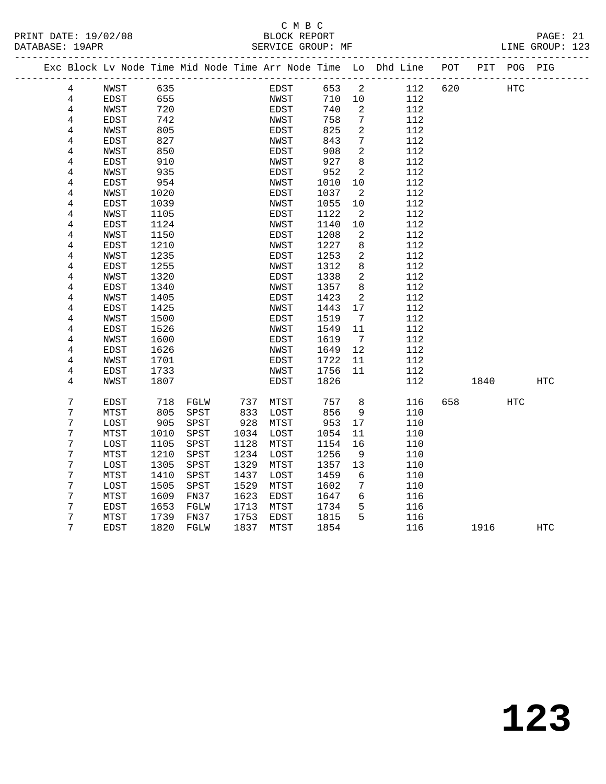### C M B C<br>BLOCK REPORT PRINT DATE: 19/02/08 BLOCK REPORT PAGE: 21 SERVICE GROUP: MF

|  |                |             |            |              |              |              |            |                            | Exc Block Lv Node Time Mid Node Time Arr Node Time Lo Dhd Line POT |     |      | PIT POG PIG |            |  |
|--|----------------|-------------|------------|--------------|--------------|--------------|------------|----------------------------|--------------------------------------------------------------------|-----|------|-------------|------------|--|
|  | 4              | NWST        | 635        |              |              | EDST         | 653        | $\overline{\phantom{a}}^2$ | 112                                                                | 620 |      | HTC         |            |  |
|  | $\overline{4}$ | EDST        | 655        |              |              | NWST         | 710        | 10                         | 112                                                                |     |      |             |            |  |
|  | 4              | NWST        | 720        |              |              | EDST         | 740        | 2                          | 112                                                                |     |      |             |            |  |
|  | 4              | EDST        | 742        |              |              | NWST         | 758        | 7                          | 112                                                                |     |      |             |            |  |
|  | 4              | NWST        | 805        |              |              | EDST         | 825        | 2                          | 112                                                                |     |      |             |            |  |
|  | 4              | EDST        | 827        |              |              | NWST         | 843        | 7                          | 112                                                                |     |      |             |            |  |
|  | 4              | NWST        | 850        |              |              | EDST         | 908        | 2                          | 112                                                                |     |      |             |            |  |
|  | 4              | EDST        | 910        |              |              | NWST         | 927        | 8                          | 112                                                                |     |      |             |            |  |
|  | 4              | NWST        | 935        |              |              | EDST         | 952        | 2                          | 112                                                                |     |      |             |            |  |
|  | 4              | EDST        | 954        |              |              | NWST         | 1010       | 10                         | 112                                                                |     |      |             |            |  |
|  | 4              | NWST        | 1020       |              |              | EDST         | 1037       | 2                          | 112                                                                |     |      |             |            |  |
|  | 4              | EDST        | 1039       |              |              | NWST         | 1055       | 10                         | 112                                                                |     |      |             |            |  |
|  | 4              | NWST        | 1105       |              |              | EDST         | 1122       | 2                          | 112                                                                |     |      |             |            |  |
|  | 4              | EDST        | 1124       |              |              | NWST         | 1140       | 10                         | 112                                                                |     |      |             |            |  |
|  | 4              | NWST        | 1150       |              |              | EDST         | 1208       | 2                          | 112                                                                |     |      |             |            |  |
|  | 4              | EDST        | 1210       |              |              | NWST         | 1227       | 8                          | 112                                                                |     |      |             |            |  |
|  | 4              | NWST        | 1235       |              |              | EDST         | 1253       | 2                          | 112                                                                |     |      |             |            |  |
|  | 4              | EDST        | 1255       |              |              | NWST         | 1312       | 8                          | 112                                                                |     |      |             |            |  |
|  | 4              | NWST        | 1320       |              |              | EDST         | 1338       | $\overline{c}$             | 112                                                                |     |      |             |            |  |
|  | 4              | EDST        | 1340       |              |              | NWST         | 1357       | 8                          | 112                                                                |     |      |             |            |  |
|  | 4              | NWST        | 1405       |              |              | EDST         | 1423       | 2                          | 112                                                                |     |      |             |            |  |
|  | $\,4$          | EDST        | 1425       |              |              | NWST         | 1443       | 17                         | 112                                                                |     |      |             |            |  |
|  | 4              | NWST        | 1500       |              |              | EDST         | 1519       | $\overline{7}$             | 112                                                                |     |      |             |            |  |
|  | 4              | EDST        | 1526       |              |              | NWST         | 1549       | 11                         | 112                                                                |     |      |             |            |  |
|  | 4              | NWST        | 1600       |              |              | EDST         | 1619       | $7\overline{ }$            | 112                                                                |     |      |             |            |  |
|  | 4              | EDST        | 1626       |              |              | NWST         | 1649       | 12                         | 112                                                                |     |      |             |            |  |
|  | $\,4$          | NWST        | 1701       |              |              | EDST         | 1722       | 11                         | 112                                                                |     |      |             |            |  |
|  | 4              | <b>EDST</b> | 1733       |              |              | NWST         | 1756       | 11                         | 112                                                                |     |      |             |            |  |
|  | 4              | NWST        | 1807       |              |              | EDST         | 1826       |                            | 112                                                                |     | 1840 |             | HTC        |  |
|  | 7              |             |            |              |              |              |            |                            |                                                                    |     |      |             |            |  |
|  | 7              | EDST        | 718<br>805 | FGLW<br>SPST | 737          | MTST         | 757<br>856 | 8<br>9                     | 116                                                                | 658 |      | HTC         |            |  |
|  | 7              | MTST        | 905        | SPST         | 833<br>928   | LOST<br>MTST | 953        | 17                         | 110<br>110                                                         |     |      |             |            |  |
|  | 7              | LOST        |            |              | 1034         |              |            |                            |                                                                    |     |      |             |            |  |
|  | 7              | MTST        | 1010       | SPST         | 1128         | LOST         | 1054       | 11                         | 110                                                                |     |      |             |            |  |
|  |                | LOST        | 1105       | SPST         |              | MTST         | 1154       | 16                         | 110                                                                |     |      |             |            |  |
|  | 7              | MTST        | 1210       | SPST         | 1234         | LOST         | 1256       | 9                          | 110                                                                |     |      |             |            |  |
|  | 7              | LOST        | 1305       | SPST         | 1329         | MTST         | 1357       | 13                         | 110                                                                |     |      |             |            |  |
|  | 7<br>7         | MTST        | 1410       | SPST         | 1437<br>1529 | LOST         | 1459       | 6                          | 110                                                                |     |      |             |            |  |
|  |                | LOST        | 1505       | SPST         |              | MTST         | 1602       | 7<br>6                     | 110                                                                |     |      |             |            |  |
|  | 7<br>7         | MTST        | 1609       | FN37         | 1623         | EDST         | 1647       |                            | 116                                                                |     |      |             |            |  |
|  |                | EDST        | 1653       | FGLW         | 1713         | MTST         | 1734       | 5<br>5                     | 116                                                                |     |      |             |            |  |
|  | 7              | MTST        | 1739       | FN37         | 1753         | EDST         | 1815       |                            | 116                                                                |     |      |             |            |  |
|  | 7              | <b>EDST</b> | 1820       | FGLW         | 1837         | MTST         | 1854       |                            | 116                                                                |     | 1916 |             | <b>HTC</b> |  |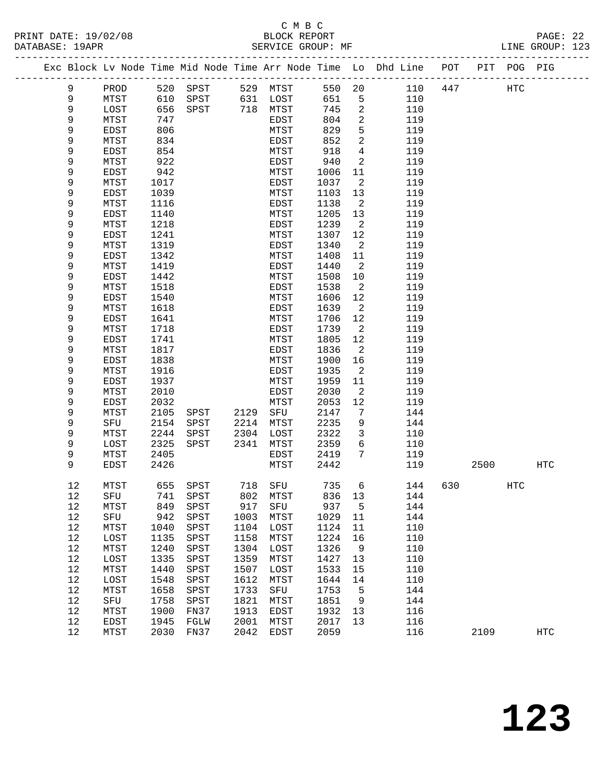## C M B C

| DATABASE: 19APR |                     |              | SERVICE GROUP: MF |              |                          |              |                            |                                                                                |      |     | LINE GROUP: 123 |  |
|-----------------|---------------------|--------------|-------------------|--------------|--------------------------|--------------|----------------------------|--------------------------------------------------------------------------------|------|-----|-----------------|--|
|                 |                     |              |                   |              |                          |              |                            | Exc Block Lv Node Time Mid Node Time Arr Node Time Lo Dhd Line POT PIT POG PIG |      |     |                 |  |
| 9               | PROD                |              | 520 SPST 529 MTST |              |                          |              |                            | 550 20<br>110 447                                                              | HTC  |     |                 |  |
| 9               | MTST                | 610          |                   |              | SPST 631 LOST            | 651          | $5^{\circ}$                | 110                                                                            |      |     |                 |  |
| 9               | LOST                | 656          | SPST 718 MTST     |              |                          | 745          | 2                          | 110                                                                            |      |     |                 |  |
| 9               | MTST                | 747          |                   |              | EDST                     | 804          | $\overline{a}$             | 119                                                                            |      |     |                 |  |
| 9               | EDST                | 806          |                   |              | MTST                     | 829          | 5                          | 119                                                                            |      |     |                 |  |
| 9               | MTST                | 834          |                   |              | EDST                     | 852          | $\overline{a}$             | 119                                                                            |      |     |                 |  |
| 9               | EDST                | 854          |                   |              | MTST                     | 918          | $4\overline{ }$            | 119                                                                            |      |     |                 |  |
| 9               | MTST                | 922          |                   |              | EDST                     | 940          | $\overline{a}$             | 119                                                                            |      |     |                 |  |
| 9               | EDST                | 942          |                   |              | MTST                     | 1006         | 11                         | 119                                                                            |      |     |                 |  |
| 9               | MTST                | 1017         |                   |              | EDST                     | 1037         | $\overline{a}$             | 119                                                                            |      |     |                 |  |
| 9               | EDST                | 1039         |                   |              | MTST                     | 1103         | 13                         | 119                                                                            |      |     |                 |  |
| 9               | MTST                | 1116         |                   |              | EDST                     | 1138         | $\overline{\phantom{a}}^2$ | 119                                                                            |      |     |                 |  |
| 9               | EDST                | 1140         |                   |              | MTST                     | 1205         | 13                         | 119                                                                            |      |     |                 |  |
| 9               | MTST                | 1218         |                   |              | EDST                     | 1239         | $\overline{2}$             | 119                                                                            |      |     |                 |  |
| 9               | EDST                | 1241         |                   |              | MTST                     | 1307         | 12                         | 119                                                                            |      |     |                 |  |
| 9               | MTST                | 1319         |                   |              | EDST                     | 1340         | $\overline{a}$             | 119                                                                            |      |     |                 |  |
| 9               | EDST                | 1342         |                   |              | MTST                     | 1408         | 11                         | 119                                                                            |      |     |                 |  |
| 9               | MTST                | 1419         |                   |              | EDST                     | 1440         | $\overline{2}$             | 119                                                                            |      |     |                 |  |
| 9               | EDST                | 1442         |                   |              | MTST                     | 1508         | 10                         | 119                                                                            |      |     |                 |  |
| 9               | MTST                | 1518         |                   |              | EDST                     | 1538         | $\overline{a}$             | 119                                                                            |      |     |                 |  |
| 9               | <b>EDST</b>         | 1540         |                   |              | MTST                     | 1606         | 12                         | 119                                                                            |      |     |                 |  |
| 9               | MTST                | 1618         |                   |              | EDST                     | 1639         | $\overline{2}$             | 119                                                                            |      |     |                 |  |
| 9               | EDST                | 1641         |                   |              | MTST                     | 1706         | 12                         | 119                                                                            |      |     |                 |  |
| 9               | MTST                | 1718         |                   |              | EDST                     | 1739         | 2                          | 119                                                                            |      |     |                 |  |
| 9               | EDST                | 1741         |                   |              | MTST                     | 1805         | 12                         | 119                                                                            |      |     |                 |  |
| 9               | MTST                | 1817         |                   |              | EDST                     | 1836         | $\overline{2}$             | 119                                                                            |      |     |                 |  |
| 9               | EDST                | 1838         |                   |              | MTST                     | 1900         | 16                         | 119                                                                            |      |     |                 |  |
| 9               | MTST                | 1916         |                   |              | EDST                     | 1935         | 2                          | 119                                                                            |      |     |                 |  |
| 9               | EDST                | 1937         |                   |              | MTST                     | 1959         | 11                         | 119                                                                            |      |     |                 |  |
| 9               | MTST                | 2010         |                   |              | EDST                     | 2030         | $\overline{a}$             | 119                                                                            |      |     |                 |  |
| 9               | EDST                | 2032         |                   |              | MTST                     | 2053         | 12                         | 119                                                                            |      |     |                 |  |
| 9               | MTST                | 2105         | SPST              | 2129         | SFU                      | 2147         | 7                          | 144                                                                            |      |     |                 |  |
| 9               | SFU                 | 2154         | SPST              |              | 2214 MTST<br>$2304$ LOST | 2235         | 9                          | 144                                                                            |      |     |                 |  |
| 9<br>9          | MTST                | 2244         | SPST              |              |                          | 2322         | $\overline{3}$             | 110                                                                            |      |     |                 |  |
| 9               | LOST                | 2325         | SPST              | 2341         | MTST                     | 2359         | 6<br>$7\phantom{.0}$       | 110<br>119                                                                     |      |     |                 |  |
| 9               | MTST<br>EDST        | 2405<br>2426 |                   |              | EDST<br>MTST             | 2419<br>2442 |                            | 119                                                                            | 2500 |     | HTC             |  |
|                 |                     |              |                   |              |                          |              |                            |                                                                                |      |     |                 |  |
| 12              | MTST                |              | 655 SPST 718 SFU  |              |                          |              |                            | 735 6 144 630                                                                  |      | HTC |                 |  |
| 12              | SFU                 | 741          | SPST              | 802          | MTST                     | 836          | 13                         | 144                                                                            |      |     |                 |  |
| 12              | MTST                | 849          | SPST              | 917          | SFU                      | 937          | $5^{\circ}$                | 144                                                                            |      |     |                 |  |
| 12              | SFU                 | 942          | SPST              | 1003         | MTST                     | 1029         | 11                         | 144                                                                            |      |     |                 |  |
| 12              | MTST                | 1040         | SPST              | 1104         | LOST                     | 1124         | 11                         | 110                                                                            |      |     |                 |  |
| 12              | LOST                | 1135         | SPST              | 1158         | MTST                     | 1224         | 16                         | 110                                                                            |      |     |                 |  |
| 12              | MTST                | 1240         | SPST              | 1304         | LOST                     | 1326         | 9                          | 110                                                                            |      |     |                 |  |
| 12              | LOST                | 1335         | SPST              | 1359         | MTST                     | 1427         | 13                         | 110                                                                            |      |     |                 |  |
| 12              | MTST                | 1440         | SPST              | 1507         | LOST                     | 1533         | 15                         | 110                                                                            |      |     |                 |  |
| 12<br>12        | LOST                | 1548<br>1658 | SPST              | 1612<br>1733 | MTST                     | 1644         | 14                         | 110<br>144                                                                     |      |     |                 |  |
| 12              | MTST                | 1758         | SPST              | 1821         | SFU                      | 1753<br>1851 | 5                          | 144                                                                            |      |     |                 |  |
| 12              | SFU                 | 1900         | SPST              | 1913         | MTST                     | 1932         | 9                          | 116                                                                            |      |     |                 |  |
| 12              | MTST<br><b>EDST</b> | 1945         | FN37<br>FGLW      | 2001         | EDST<br>MTST             | 2017         | 13<br>13                   |                                                                                |      |     |                 |  |
|                 |                     |              |                   |              |                          |              |                            | 116                                                                            |      |     |                 |  |
| 12              | MTST                | 2030         | FN37              | 2042         | EDST                     | 2059         |                            | 116                                                                            | 2109 |     | <b>HTC</b>      |  |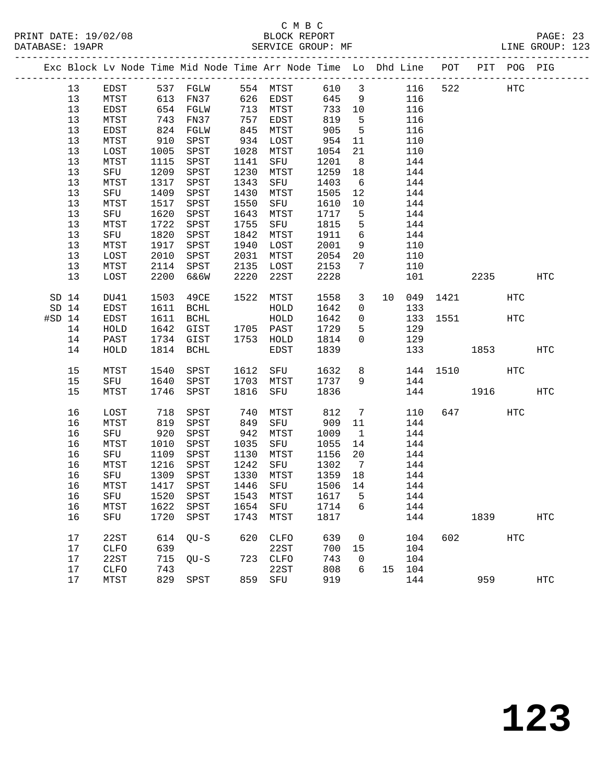PRINT DATE: 19/02/08 BLOCK REPORT BATABASE: 19APR BEST BERVICE GROUP: MF

# C M B C<br>BLOCK REPORT

PAGE: 23<br>LINE GROUP: 123

|          |                  |              |      | Exc Block Lv Node Time Mid Node Time Arr Node Time Lo Dhd Line POT PIT POG PIG |      |                        |         |                 |   |        |               |           |            |                   |
|----------|------------------|--------------|------|--------------------------------------------------------------------------------|------|------------------------|---------|-----------------|---|--------|---------------|-----------|------------|-------------------|
|          | 13               | EDST         |      | 537 FGLW 554 MTST                                                              |      |                        |         |                 |   |        | 610 3 116 522 | HTC       |            |                   |
|          | 13               | MTST         |      | 613 FN37 626 EDST                                                              |      |                        | 645     | 9               |   | 116    |               |           |            |                   |
|          | 13               | EDST         |      | 654 FGLW                                                                       |      | 713 MTST               | 733 10  |                 |   | 116    |               |           |            |                   |
|          | 13               | MTST         | 743  | FN37                                                                           |      | 757 EDST               | 819     | $5^{\circ}$     |   | 116    |               |           |            |                   |
|          | 13               | EDST         | 824  | FGLW                                                                           | 845  | MTST                   | 905     | $5^{\circ}$     |   | 116    |               |           |            |                   |
|          | 13               | MTST         | 910  | SPST                                                                           | 934  | LOST                   | 954     | 11              |   | 110    |               |           |            |                   |
|          | 13               | LOST         | 1005 | SPST                                                                           |      | 1028 MTST              | 1054    | 21              |   | 110    |               |           |            |                   |
|          | 13               | MTST         | 1115 | SPST                                                                           | 1141 | SFU                    | 1201    | 8 <sup>8</sup>  |   | 144    |               |           |            |                   |
|          | 13               | SFU          | 1209 | SPST                                                                           | 1230 | MTST                   | 1259    | 18              |   | 144    |               |           |            |                   |
|          | 13               | MTST         |      | 1317 SPST                                                                      | 1343 | SFU                    | 1403    | 6               |   | 144    |               |           |            |                   |
|          | 13               | SFU          | 1409 | SPST                                                                           | 1430 | MTST                   | 1505    | 12              |   | 144    |               |           |            |                   |
|          | 13               | MTST         | 1517 | SPST                                                                           | 1550 | SFU                    | 1610    | 10              |   | 144    |               |           |            |                   |
|          | 13               | SFU          | 1620 | SPST                                                                           | 1643 | MTST                   | 1717    | $5^{\circ}$     |   | 144    |               |           |            |                   |
|          | 13               | MTST         | 1722 | SPST                                                                           | 1755 | SFU                    | 1815    | 5               |   | 144    |               |           |            |                   |
|          | 13               | SFU          | 1820 | SPST                                                                           | 1842 | MTST                   | 1911    | 6               |   | 144    |               |           |            |                   |
|          | 13               | MTST         | 1917 | SPST                                                                           | 1940 | LOST                   | 2001    | 9               |   | 110    |               |           |            |                   |
|          | 13               | LOST         | 2010 | SPST                                                                           | 2031 | MTST                   | 2054    | 20              |   | 110    |               |           |            |                   |
|          | 13               | MTST         |      | 2114 SPST                                                                      | 2135 | LOST                   | 2153    | $\overline{7}$  |   | 110    |               |           |            |                   |
|          | 13               | LOST         |      | 2200 6&6W                                                                      | 2220 | 22ST                   | 2228    |                 |   | 101    |               | 2235      |            | HTC               |
|          | SD <sub>14</sub> | DU41         | 1503 | 49CE                                                                           |      | 1522 MTST              | 1558    | $\mathbf{3}$    |   | 10 049 |               | 1421      | HTC        |                   |
|          | $SD$ 14          | EDST         |      | 1611 BCHL                                                                      |      | HOLD                   | 1642    | $\overline{0}$  |   | 133    |               |           |            |                   |
| $#SD$ 14 |                  | EDST         | 1611 | BCHL                                                                           |      | HOLD                   | 1642    | $\overline{0}$  |   |        | 133 1551      |           | <b>HTC</b> |                   |
|          | 14               | ${\tt HOLD}$ | 1642 | GIST                                                                           |      | 1705 PAST              | 1729    | 5               |   | 129    |               |           |            |                   |
|          | 14               | PAST         |      | 1734 GIST                                                                      |      | 1753 HOLD              | 1814    | $\overline{0}$  |   | 129    |               |           |            |                   |
|          | 14               | HOLD         |      | 1814 BCHL                                                                      |      | EDST                   | 1839    |                 |   |        | 133           | 1853      |            | HTC               |
|          | 15               | MTST         | 1540 | SPST                                                                           | 1612 | SFU                    | 1632    |                 | 8 |        |               | 144 1510  | HTC        |                   |
|          | 15               | SFU          | 1640 | SPST                                                                           | 1703 | MTST                   | 1737    | 9               |   | 144    |               |           |            |                   |
|          | 15               | MTST         | 1746 | SPST                                                                           | 1816 | SFU                    | 1836    |                 |   |        | 144           | 1916      |            | HTC               |
|          | 16               | LOST         | 718  | SPST                                                                           | 740  | MTST                   | 812     | $7\phantom{.0}$ |   | 110    |               | 647 — 100 | HTC        |                   |
|          | 16               | MTST         | 819  | SPST                                                                           | 849  | SFU                    | 909     | 11              |   | 144    |               |           |            |                   |
|          | 16               | SFU          | 920  | SPST                                                                           | 942  | MTST                   | 1009    | $\overline{1}$  |   | 144    |               |           |            |                   |
|          | 16               | MTST         | 1010 | SPST                                                                           | 1035 | SFU                    | 1055    | 14              |   | 144    |               |           |            |                   |
|          | 16               | SFU          | 1109 | SPST                                                                           | 1130 | MTST                   | 1156    | 20              |   | 144    |               |           |            |                   |
|          | 16               | MTST         | 1216 | SPST                                                                           | 1242 | SFU                    | 1302    | $7\overline{ }$ |   | 144    |               |           |            |                   |
|          | 16               | SFU          | 1309 | SPST                                                                           |      | 1330 MTST              | 1359    | 18              |   | 144    |               |           |            |                   |
|          | 16               | MTST         |      | 1417 SPST                                                                      |      | ---- -----<br>1446 SFU | 1506 14 |                 |   | 144    |               |           |            |                   |
|          |                  |              |      | 16 SFU 1520 SPST 1543 MTST 1617 5 144                                          |      |                        |         |                 |   |        |               |           |            |                   |
|          | 16               | MTST         | 1622 | SPST                                                                           | 1654 | SFU                    | 1714    | 6               |   | 144    |               |           |            |                   |
|          | 16               | SFU          | 1720 | SPST                                                                           | 1743 | MTST                   | 1817    |                 |   | 144    |               | 1839      |            | <b>HTC</b>        |
|          | 17               | 22ST         |      | 614 QU-S                                                                       | 620  | CLFO                   | 639     | 0               |   | 104    | 602           |           | HTC        |                   |
|          | 17               | <b>CLFO</b>  | 639  |                                                                                |      | 22ST                   | 700     | 15              |   | 104    |               |           |            |                   |
|          | 17               | 22ST         | 715  | $QU-S$                                                                         |      | 723 CLFO               | 743     | 0               |   | 104    |               |           |            |                   |
|          | 17               | CLFO         | 743  |                                                                                |      | 22ST                   | 808     | 6               |   | 15 104 |               |           |            |                   |
|          | 17               | MTST         |      | 829 SPST                                                                       | 859  | SFU                    | 919     |                 |   | 144    |               | 959       |            | $_{\mathrm{HTC}}$ |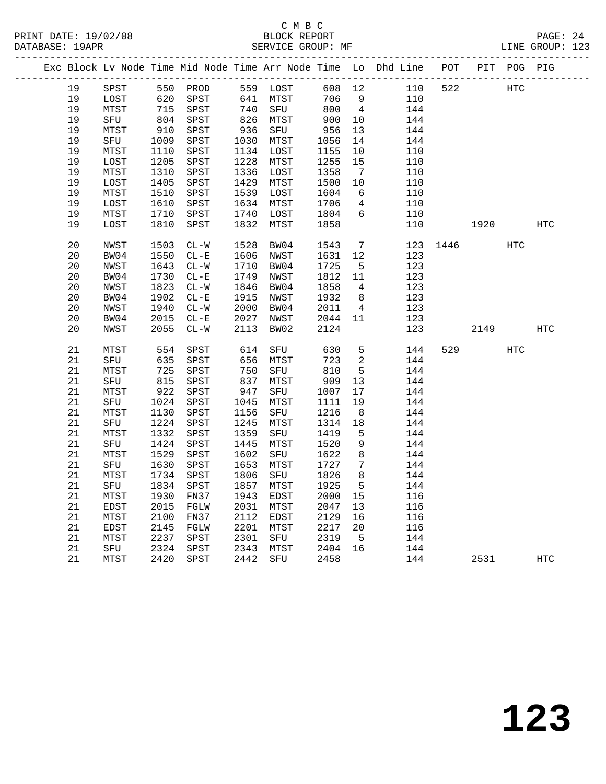|    |      |                                                                                          |          |      |                                                                  |        |                              | Exc Block Lv Node Time Mid Node Time Arr Node Time Lo Dhd Line POT PIT POG PIG |          |      |            |            |
|----|------|------------------------------------------------------------------------------------------|----------|------|------------------------------------------------------------------|--------|------------------------------|--------------------------------------------------------------------------------|----------|------|------------|------------|
| 19 | SPST |                                                                                          | 550 PROD |      | 559 LOST                                                         | 608 12 |                              | 110                                                                            | 522      |      | <b>HTC</b> |            |
| 19 | LOST | 620                                                                                      | SPST     |      | 641 MTST                                                         | 706    | 9                            | 110                                                                            |          |      |            |            |
| 19 | MTST | 715                                                                                      | SPST     | 740  | SFU                                                              | 800    | $\overline{4}$               | 144                                                                            |          |      |            |            |
| 19 | SFU  | $\begin{array}{c} \n \stackrel{\frown}{\phantom{}_{0}} \\  804 \\  \hline\n \end{array}$ | SPST     |      | $\begin{array}{cc}\n 740 \\  826 \\  \hline\n 771\n \end{array}$ | 900    | 10                           | 144                                                                            |          |      |            |            |
| 19 | MTST | 910                                                                                      | SPST     | 936  | SFU                                                              | 956    | 13                           | 144                                                                            |          |      |            |            |
| 19 | SFU  | 1009                                                                                     | SPST     |      | 1030 MTST                                                        | 1056   | 14                           | 144                                                                            |          |      |            |            |
| 19 | MTST | 1110                                                                                     | SPST     |      | 1134 LOST                                                        | 1155   | 10                           | 110                                                                            |          |      |            |            |
| 19 | LOST | 1205                                                                                     | SPST     | 1228 | MTST                                                             | 1255   | 15                           | 110                                                                            |          |      |            |            |
| 19 | MTST | 1310                                                                                     | SPST     |      | 1336 LOST                                                        | 1358   | $7\phantom{.0}\phantom{.0}7$ | 110                                                                            |          |      |            |            |
| 19 | LOST | 1405                                                                                     | SPST     | 1429 | MTST                                                             | 1500   | 10                           | 110                                                                            |          |      |            |            |
| 19 | MTST | 1510                                                                                     | SPST     |      | 1539 LOST                                                        | 1604   | 6                            | 110                                                                            |          |      |            |            |
| 19 | LOST | 1610                                                                                     | SPST     |      | 1634 MTST                                                        | 1706   | $\overline{4}$               | 110                                                                            |          |      |            |            |
| 19 | MTST | 1710                                                                                     | SPST     | 1740 | LOST                                                             | 1804   | 6                            | 110                                                                            |          |      |            |            |
| 19 | LOST | 1810                                                                                     | SPST     | 1832 | MTST                                                             | 1858   |                              | 110                                                                            |          | 1920 |            | <b>HTC</b> |
|    |      |                                                                                          |          |      |                                                                  |        |                              |                                                                                |          |      |            |            |
| 20 | NWST | 1503                                                                                     | $CL-W$   | 1528 | BW04                                                             | 1543   | $\overline{7}$               |                                                                                | 123 1446 |      | <b>HTC</b> |            |
| 20 | BW04 | 1550                                                                                     | $CL - E$ |      | 1606 NWST                                                        | 1631   | 12                           | 123                                                                            |          |      |            |            |
| 20 | NWST | 1643                                                                                     | $CL-W$   | 1710 | BW04                                                             | 1725   | $5^{\circ}$                  | 123                                                                            |          |      |            |            |
| 20 | BW04 | 1730                                                                                     | $CL - E$ | 1749 | NWST                                                             | 1812   | 11                           | 123                                                                            |          |      |            |            |
| 20 | NWST | 1823                                                                                     | $CL-W$   | 1846 | BW04                                                             | 1858   | $\overline{4}$               | 123                                                                            |          |      |            |            |
| 20 | BW04 | 1902                                                                                     | $CL - E$ | 1915 | NWST                                                             | 1932   | 8 <sup>8</sup>               | 123                                                                            |          |      |            |            |
| 20 | NWST | 1940                                                                                     | $CL-W$   | 2000 | BW04                                                             | 2011   | $\overline{4}$               | 123                                                                            |          |      |            |            |
| 20 | BW04 | 2015                                                                                     | $CL - E$ | 2027 | NWST                                                             | 2044   | 11                           | 123                                                                            |          |      |            |            |
| 20 | NWST | 2055                                                                                     | $CL-W$   | 2113 | BW02                                                             | 2124   |                              | 123                                                                            |          | 2149 |            | HTC        |
|    |      |                                                                                          |          |      |                                                                  |        |                              |                                                                                |          |      |            |            |
| 21 | MTST | 554                                                                                      | SPST     | 614  | SFU                                                              | 630    | 5                            | 144                                                                            | 529      |      | <b>HTC</b> |            |
| 21 | SFU  | 635                                                                                      | SPST     | 656  | MTST                                                             | 723    | 2                            | 144                                                                            |          |      |            |            |
| 21 | MTST | 725                                                                                      | SPST     | 750  | SFU                                                              | 810    | 5                            | 144                                                                            |          |      |            |            |
| 21 | SFU  | 815                                                                                      | SPST     | 837  | MTST                                                             | 909    | 13                           | 144                                                                            |          |      |            |            |
| 21 | MTST | 922                                                                                      | SPST     | 947  | SFU                                                              | 1007   | 17                           | 144                                                                            |          |      |            |            |
| 21 | SFU  | 1024                                                                                     | SPST     | 1045 | MTST                                                             | 1111   | 19                           | 144                                                                            |          |      |            |            |
| 21 | MTST | 1130                                                                                     | SPST     | 1156 | SFU                                                              | 1216   | 8                            | 144                                                                            |          |      |            |            |
| 21 | SFU  | 1224                                                                                     | SPST     | 1245 | MTST                                                             | 1314   | 18                           | 144                                                                            |          |      |            |            |
| 21 | MTST | 1332                                                                                     | SPST     | 1359 | SFU                                                              | 1419   | 5                            | 144                                                                            |          |      |            |            |
| 21 | SFU  | 1424                                                                                     | SPST     | 1445 | MTST                                                             | 1520   | 9                            | 144                                                                            |          |      |            |            |
| 21 | MTST | 1529                                                                                     | SPST     | 1602 | SFU                                                              | 1622   | 8                            | 144                                                                            |          |      |            |            |
| 21 | SFU  | 1630                                                                                     | SPST     | 1653 | MTST                                                             | 1727   | $7\phantom{.0}\phantom{.0}7$ | 144                                                                            |          |      |            |            |
| 21 | MTST | 1734                                                                                     | SPST     | 1806 | SFU                                                              | 1826   | 8                            | 144                                                                            |          |      |            |            |
| 21 | SFU  | 1834                                                                                     | SPST     | 1857 | MTST                                                             | 1925   | 5                            | 144                                                                            |          |      |            |            |
| 21 | MTST | 1930                                                                                     | FN37     | 1943 | EDST                                                             | 2000   | 15                           | 116                                                                            |          |      |            |            |
| 21 | EDST | 2015                                                                                     | FGLW     | 2031 | MTST                                                             | 2047   | 13                           | 116                                                                            |          |      |            |            |
| 21 | MTST | 2100                                                                                     | FN37     | 2112 | EDST                                                             | 2129   | 16                           | 116                                                                            |          |      |            |            |
| 21 | EDST | 2145                                                                                     | FGLW     | 2201 | MTST                                                             | 2217   | 20                           | 116                                                                            |          |      |            |            |
| 21 | MTST | 2237                                                                                     | SPST     | 2301 | SFU                                                              | 2319   | $5^{\circ}$                  | 144                                                                            |          |      |            |            |
| 21 | SFU  | 2324                                                                                     | SPST     | 2343 | MTST                                                             | 2404   | 16                           | 144                                                                            |          |      |            |            |
| 21 | MTST | 2420                                                                                     | SPST     | 2442 | SFU                                                              | 2458   |                              | 144                                                                            |          | 2531 |            | <b>HTC</b> |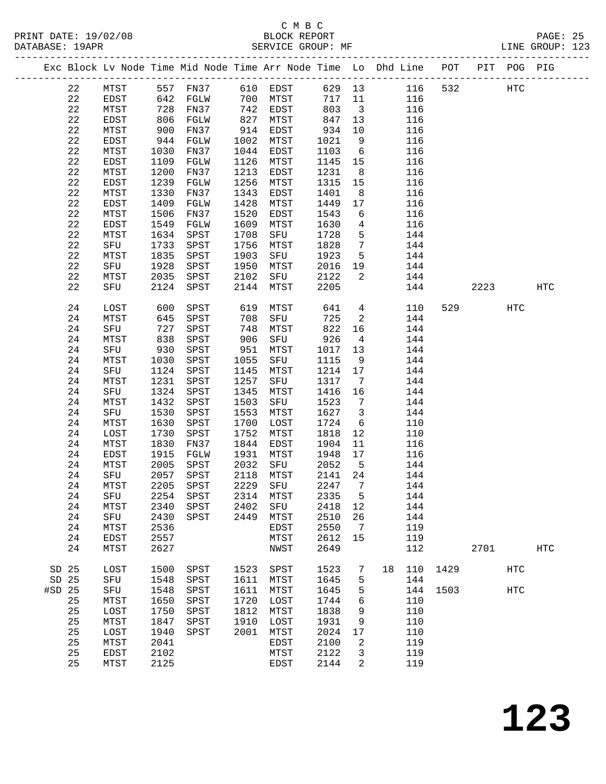# C M B C

| Exc Block Lv Node Time Mid Node Time Arr Node Time Lo Dhd Line POT PIT POG PIG<br>610 EDST 629 13 116 532 HTC<br>MTST 557 FN37<br>EDST 642 FGLW<br>MTST 728 FN37<br>22<br>22<br>700 MTST<br>מאחה כגי<br>717 11<br>116<br>742 EDST<br>803<br>22<br>$\overline{\mathbf{3}}$<br>116<br>806 FGLW<br>847 13<br>22<br>827<br>MTST<br>116<br>EDST<br>22<br>MTST<br>900<br>FN37<br>914<br>EDST<br>934<br>116<br>10<br>22<br>EDST<br>944<br>FGLW<br>1002<br>MTST<br>1021<br>9<br>116<br>22<br>MTST<br>1030<br>FN37<br>1044<br>EDST<br>1103<br>6<br>116<br>22<br>1109<br>1126<br>MTST<br>1145<br>15<br>116<br>EDST<br>FGLW<br>22<br>1200<br>1213<br>1231<br>8 <sup>8</sup><br>116<br>MTST<br>FN37<br>EDST<br>22<br>1239<br>1315<br>EDST<br>FGLW<br>1256<br>MTST<br>15<br>116<br>1401<br>22<br>1330<br>1343<br>8<br>116<br>MTST<br>FN37<br>EDST<br>22<br>1409<br>EDST<br>FGLW<br>1428<br>MTST<br>1449<br>17<br>116<br>22<br>1506<br>MTST<br>FN37<br>1520<br>EDST<br>1543<br>6<br>116<br>22<br>$\overline{4}$<br>1549<br>1609<br>1630<br>116<br>EDST<br>FGLW<br>MTST<br>22<br>$5^{\circ}$<br>1634<br>1708<br>1728<br>144<br>MTST<br>SPST<br>SFU<br>$\overline{7}$<br>22<br>1756<br>1828<br>144<br>SFU<br>1733<br>SPST<br>MTST<br>22<br>1923<br>$5^{\circ}$<br>1835<br>1903<br>SFU<br>144<br>MTST<br>SPST<br>22<br>1928<br>1950<br>2016<br>19<br>SFU<br>SPST<br>MTST<br>144<br>22<br>2035<br>2122<br>$\overline{2}$<br>144<br>MTST<br>SPST<br>2102<br>SFU<br>22<br>2124 SPST<br>2205<br>144<br>2144<br>MTST<br>2223<br>SFU<br>HTC<br>$4\overline{ }$<br>24<br>LOST<br>600<br>619<br>MTST<br>641<br>110<br>529 — 10<br>HTC<br>SPST<br>645<br>725<br>$\overline{\phantom{a}}$<br>144<br>24<br>MTST<br>SPST<br>708<br>SFU<br>822<br>24<br>727<br>748<br>MTST<br>16<br>144<br>SFU<br>SPST<br>24<br>906<br>926<br>$4\overline{4}$<br>144<br>MTST<br>838<br>SPST<br>SFU<br>24<br>144<br>SFU<br>930<br>SPST<br>951<br>MTST<br>1017 13<br>24<br>1115<br>144<br>MTST<br>1030<br>SPST<br>1055<br>9<br>SFU<br>1214 17<br>24<br>1124<br>1145<br>144<br>SFU<br>SPST<br>MTST<br>24<br>1231<br>1317<br>MTST<br>SPST<br>1257<br>SFU<br>$\overline{7}$<br>144<br>1324<br>1416<br>24<br>SFU<br>1345<br>16<br>144<br>SPST<br>MTST<br>24<br>1503<br>1523<br>$\overline{7}$<br>MTST<br>1432<br>SPST<br>SFU<br>144<br>24<br>1530<br>1553<br>1627<br>$\overline{\mathbf{3}}$<br>144<br>SFU<br>SPST<br>MTST<br>24<br>1700<br>1724<br>$6\overline{6}$<br>MTST<br>1630<br>SPST<br>LOST<br>110<br>24<br>1730<br>SPST<br>1752<br>MTST<br>1818<br>12<br>110<br>LOST<br>24<br>MTST<br>1830<br>1844<br>EDST<br>1904<br>11<br>116<br>FN37<br>24<br>1915<br>1931<br>1948 17<br>EDST<br>FGLW<br>MTST<br>116<br>24<br>MTST<br>2005 SPST<br>2032 SFU<br>2052 | DATABASE: 19APR |  |  |  | SERVICE GROUP: MF |             |     |  | LINE GROUP: 123 |
|-------------------------------------------------------------------------------------------------------------------------------------------------------------------------------------------------------------------------------------------------------------------------------------------------------------------------------------------------------------------------------------------------------------------------------------------------------------------------------------------------------------------------------------------------------------------------------------------------------------------------------------------------------------------------------------------------------------------------------------------------------------------------------------------------------------------------------------------------------------------------------------------------------------------------------------------------------------------------------------------------------------------------------------------------------------------------------------------------------------------------------------------------------------------------------------------------------------------------------------------------------------------------------------------------------------------------------------------------------------------------------------------------------------------------------------------------------------------------------------------------------------------------------------------------------------------------------------------------------------------------------------------------------------------------------------------------------------------------------------------------------------------------------------------------------------------------------------------------------------------------------------------------------------------------------------------------------------------------------------------------------------------------------------------------------------------------------------------------------------------------------------------------------------------------------------------------------------------------------------------------------------------------------------------------------------------------------------------------------------------------------------------------------------------------------------------------------------------------------------------------------------------------------------------------------------------------------------------------------------------------------------------------------------------------------------------------------------|-----------------|--|--|--|-------------------|-------------|-----|--|-----------------|
|                                                                                                                                                                                                                                                                                                                                                                                                                                                                                                                                                                                                                                                                                                                                                                                                                                                                                                                                                                                                                                                                                                                                                                                                                                                                                                                                                                                                                                                                                                                                                                                                                                                                                                                                                                                                                                                                                                                                                                                                                                                                                                                                                                                                                                                                                                                                                                                                                                                                                                                                                                                                                                                                                                             |                 |  |  |  |                   |             |     |  |                 |
|                                                                                                                                                                                                                                                                                                                                                                                                                                                                                                                                                                                                                                                                                                                                                                                                                                                                                                                                                                                                                                                                                                                                                                                                                                                                                                                                                                                                                                                                                                                                                                                                                                                                                                                                                                                                                                                                                                                                                                                                                                                                                                                                                                                                                                                                                                                                                                                                                                                                                                                                                                                                                                                                                                             |                 |  |  |  |                   |             |     |  |                 |
|                                                                                                                                                                                                                                                                                                                                                                                                                                                                                                                                                                                                                                                                                                                                                                                                                                                                                                                                                                                                                                                                                                                                                                                                                                                                                                                                                                                                                                                                                                                                                                                                                                                                                                                                                                                                                                                                                                                                                                                                                                                                                                                                                                                                                                                                                                                                                                                                                                                                                                                                                                                                                                                                                                             |                 |  |  |  |                   |             |     |  |                 |
|                                                                                                                                                                                                                                                                                                                                                                                                                                                                                                                                                                                                                                                                                                                                                                                                                                                                                                                                                                                                                                                                                                                                                                                                                                                                                                                                                                                                                                                                                                                                                                                                                                                                                                                                                                                                                                                                                                                                                                                                                                                                                                                                                                                                                                                                                                                                                                                                                                                                                                                                                                                                                                                                                                             |                 |  |  |  |                   |             |     |  |                 |
|                                                                                                                                                                                                                                                                                                                                                                                                                                                                                                                                                                                                                                                                                                                                                                                                                                                                                                                                                                                                                                                                                                                                                                                                                                                                                                                                                                                                                                                                                                                                                                                                                                                                                                                                                                                                                                                                                                                                                                                                                                                                                                                                                                                                                                                                                                                                                                                                                                                                                                                                                                                                                                                                                                             |                 |  |  |  |                   |             |     |  |                 |
|                                                                                                                                                                                                                                                                                                                                                                                                                                                                                                                                                                                                                                                                                                                                                                                                                                                                                                                                                                                                                                                                                                                                                                                                                                                                                                                                                                                                                                                                                                                                                                                                                                                                                                                                                                                                                                                                                                                                                                                                                                                                                                                                                                                                                                                                                                                                                                                                                                                                                                                                                                                                                                                                                                             |                 |  |  |  |                   |             |     |  |                 |
|                                                                                                                                                                                                                                                                                                                                                                                                                                                                                                                                                                                                                                                                                                                                                                                                                                                                                                                                                                                                                                                                                                                                                                                                                                                                                                                                                                                                                                                                                                                                                                                                                                                                                                                                                                                                                                                                                                                                                                                                                                                                                                                                                                                                                                                                                                                                                                                                                                                                                                                                                                                                                                                                                                             |                 |  |  |  |                   |             |     |  |                 |
|                                                                                                                                                                                                                                                                                                                                                                                                                                                                                                                                                                                                                                                                                                                                                                                                                                                                                                                                                                                                                                                                                                                                                                                                                                                                                                                                                                                                                                                                                                                                                                                                                                                                                                                                                                                                                                                                                                                                                                                                                                                                                                                                                                                                                                                                                                                                                                                                                                                                                                                                                                                                                                                                                                             |                 |  |  |  |                   |             |     |  |                 |
|                                                                                                                                                                                                                                                                                                                                                                                                                                                                                                                                                                                                                                                                                                                                                                                                                                                                                                                                                                                                                                                                                                                                                                                                                                                                                                                                                                                                                                                                                                                                                                                                                                                                                                                                                                                                                                                                                                                                                                                                                                                                                                                                                                                                                                                                                                                                                                                                                                                                                                                                                                                                                                                                                                             |                 |  |  |  |                   |             |     |  |                 |
|                                                                                                                                                                                                                                                                                                                                                                                                                                                                                                                                                                                                                                                                                                                                                                                                                                                                                                                                                                                                                                                                                                                                                                                                                                                                                                                                                                                                                                                                                                                                                                                                                                                                                                                                                                                                                                                                                                                                                                                                                                                                                                                                                                                                                                                                                                                                                                                                                                                                                                                                                                                                                                                                                                             |                 |  |  |  |                   |             |     |  |                 |
|                                                                                                                                                                                                                                                                                                                                                                                                                                                                                                                                                                                                                                                                                                                                                                                                                                                                                                                                                                                                                                                                                                                                                                                                                                                                                                                                                                                                                                                                                                                                                                                                                                                                                                                                                                                                                                                                                                                                                                                                                                                                                                                                                                                                                                                                                                                                                                                                                                                                                                                                                                                                                                                                                                             |                 |  |  |  |                   |             |     |  |                 |
|                                                                                                                                                                                                                                                                                                                                                                                                                                                                                                                                                                                                                                                                                                                                                                                                                                                                                                                                                                                                                                                                                                                                                                                                                                                                                                                                                                                                                                                                                                                                                                                                                                                                                                                                                                                                                                                                                                                                                                                                                                                                                                                                                                                                                                                                                                                                                                                                                                                                                                                                                                                                                                                                                                             |                 |  |  |  |                   |             |     |  |                 |
|                                                                                                                                                                                                                                                                                                                                                                                                                                                                                                                                                                                                                                                                                                                                                                                                                                                                                                                                                                                                                                                                                                                                                                                                                                                                                                                                                                                                                                                                                                                                                                                                                                                                                                                                                                                                                                                                                                                                                                                                                                                                                                                                                                                                                                                                                                                                                                                                                                                                                                                                                                                                                                                                                                             |                 |  |  |  |                   |             |     |  |                 |
|                                                                                                                                                                                                                                                                                                                                                                                                                                                                                                                                                                                                                                                                                                                                                                                                                                                                                                                                                                                                                                                                                                                                                                                                                                                                                                                                                                                                                                                                                                                                                                                                                                                                                                                                                                                                                                                                                                                                                                                                                                                                                                                                                                                                                                                                                                                                                                                                                                                                                                                                                                                                                                                                                                             |                 |  |  |  |                   |             |     |  |                 |
|                                                                                                                                                                                                                                                                                                                                                                                                                                                                                                                                                                                                                                                                                                                                                                                                                                                                                                                                                                                                                                                                                                                                                                                                                                                                                                                                                                                                                                                                                                                                                                                                                                                                                                                                                                                                                                                                                                                                                                                                                                                                                                                                                                                                                                                                                                                                                                                                                                                                                                                                                                                                                                                                                                             |                 |  |  |  |                   |             |     |  |                 |
|                                                                                                                                                                                                                                                                                                                                                                                                                                                                                                                                                                                                                                                                                                                                                                                                                                                                                                                                                                                                                                                                                                                                                                                                                                                                                                                                                                                                                                                                                                                                                                                                                                                                                                                                                                                                                                                                                                                                                                                                                                                                                                                                                                                                                                                                                                                                                                                                                                                                                                                                                                                                                                                                                                             |                 |  |  |  |                   |             |     |  |                 |
|                                                                                                                                                                                                                                                                                                                                                                                                                                                                                                                                                                                                                                                                                                                                                                                                                                                                                                                                                                                                                                                                                                                                                                                                                                                                                                                                                                                                                                                                                                                                                                                                                                                                                                                                                                                                                                                                                                                                                                                                                                                                                                                                                                                                                                                                                                                                                                                                                                                                                                                                                                                                                                                                                                             |                 |  |  |  |                   |             |     |  |                 |
|                                                                                                                                                                                                                                                                                                                                                                                                                                                                                                                                                                                                                                                                                                                                                                                                                                                                                                                                                                                                                                                                                                                                                                                                                                                                                                                                                                                                                                                                                                                                                                                                                                                                                                                                                                                                                                                                                                                                                                                                                                                                                                                                                                                                                                                                                                                                                                                                                                                                                                                                                                                                                                                                                                             |                 |  |  |  |                   |             |     |  |                 |
|                                                                                                                                                                                                                                                                                                                                                                                                                                                                                                                                                                                                                                                                                                                                                                                                                                                                                                                                                                                                                                                                                                                                                                                                                                                                                                                                                                                                                                                                                                                                                                                                                                                                                                                                                                                                                                                                                                                                                                                                                                                                                                                                                                                                                                                                                                                                                                                                                                                                                                                                                                                                                                                                                                             |                 |  |  |  |                   |             |     |  |                 |
|                                                                                                                                                                                                                                                                                                                                                                                                                                                                                                                                                                                                                                                                                                                                                                                                                                                                                                                                                                                                                                                                                                                                                                                                                                                                                                                                                                                                                                                                                                                                                                                                                                                                                                                                                                                                                                                                                                                                                                                                                                                                                                                                                                                                                                                                                                                                                                                                                                                                                                                                                                                                                                                                                                             |                 |  |  |  |                   |             |     |  |                 |
|                                                                                                                                                                                                                                                                                                                                                                                                                                                                                                                                                                                                                                                                                                                                                                                                                                                                                                                                                                                                                                                                                                                                                                                                                                                                                                                                                                                                                                                                                                                                                                                                                                                                                                                                                                                                                                                                                                                                                                                                                                                                                                                                                                                                                                                                                                                                                                                                                                                                                                                                                                                                                                                                                                             |                 |  |  |  |                   |             |     |  |                 |
|                                                                                                                                                                                                                                                                                                                                                                                                                                                                                                                                                                                                                                                                                                                                                                                                                                                                                                                                                                                                                                                                                                                                                                                                                                                                                                                                                                                                                                                                                                                                                                                                                                                                                                                                                                                                                                                                                                                                                                                                                                                                                                                                                                                                                                                                                                                                                                                                                                                                                                                                                                                                                                                                                                             |                 |  |  |  |                   |             |     |  |                 |
|                                                                                                                                                                                                                                                                                                                                                                                                                                                                                                                                                                                                                                                                                                                                                                                                                                                                                                                                                                                                                                                                                                                                                                                                                                                                                                                                                                                                                                                                                                                                                                                                                                                                                                                                                                                                                                                                                                                                                                                                                                                                                                                                                                                                                                                                                                                                                                                                                                                                                                                                                                                                                                                                                                             |                 |  |  |  |                   |             |     |  |                 |
|                                                                                                                                                                                                                                                                                                                                                                                                                                                                                                                                                                                                                                                                                                                                                                                                                                                                                                                                                                                                                                                                                                                                                                                                                                                                                                                                                                                                                                                                                                                                                                                                                                                                                                                                                                                                                                                                                                                                                                                                                                                                                                                                                                                                                                                                                                                                                                                                                                                                                                                                                                                                                                                                                                             |                 |  |  |  |                   |             |     |  |                 |
|                                                                                                                                                                                                                                                                                                                                                                                                                                                                                                                                                                                                                                                                                                                                                                                                                                                                                                                                                                                                                                                                                                                                                                                                                                                                                                                                                                                                                                                                                                                                                                                                                                                                                                                                                                                                                                                                                                                                                                                                                                                                                                                                                                                                                                                                                                                                                                                                                                                                                                                                                                                                                                                                                                             |                 |  |  |  |                   |             |     |  |                 |
|                                                                                                                                                                                                                                                                                                                                                                                                                                                                                                                                                                                                                                                                                                                                                                                                                                                                                                                                                                                                                                                                                                                                                                                                                                                                                                                                                                                                                                                                                                                                                                                                                                                                                                                                                                                                                                                                                                                                                                                                                                                                                                                                                                                                                                                                                                                                                                                                                                                                                                                                                                                                                                                                                                             |                 |  |  |  |                   |             |     |  |                 |
|                                                                                                                                                                                                                                                                                                                                                                                                                                                                                                                                                                                                                                                                                                                                                                                                                                                                                                                                                                                                                                                                                                                                                                                                                                                                                                                                                                                                                                                                                                                                                                                                                                                                                                                                                                                                                                                                                                                                                                                                                                                                                                                                                                                                                                                                                                                                                                                                                                                                                                                                                                                                                                                                                                             |                 |  |  |  |                   |             |     |  |                 |
|                                                                                                                                                                                                                                                                                                                                                                                                                                                                                                                                                                                                                                                                                                                                                                                                                                                                                                                                                                                                                                                                                                                                                                                                                                                                                                                                                                                                                                                                                                                                                                                                                                                                                                                                                                                                                                                                                                                                                                                                                                                                                                                                                                                                                                                                                                                                                                                                                                                                                                                                                                                                                                                                                                             |                 |  |  |  |                   |             |     |  |                 |
|                                                                                                                                                                                                                                                                                                                                                                                                                                                                                                                                                                                                                                                                                                                                                                                                                                                                                                                                                                                                                                                                                                                                                                                                                                                                                                                                                                                                                                                                                                                                                                                                                                                                                                                                                                                                                                                                                                                                                                                                                                                                                                                                                                                                                                                                                                                                                                                                                                                                                                                                                                                                                                                                                                             |                 |  |  |  |                   |             |     |  |                 |
|                                                                                                                                                                                                                                                                                                                                                                                                                                                                                                                                                                                                                                                                                                                                                                                                                                                                                                                                                                                                                                                                                                                                                                                                                                                                                                                                                                                                                                                                                                                                                                                                                                                                                                                                                                                                                                                                                                                                                                                                                                                                                                                                                                                                                                                                                                                                                                                                                                                                                                                                                                                                                                                                                                             |                 |  |  |  |                   |             |     |  |                 |
|                                                                                                                                                                                                                                                                                                                                                                                                                                                                                                                                                                                                                                                                                                                                                                                                                                                                                                                                                                                                                                                                                                                                                                                                                                                                                                                                                                                                                                                                                                                                                                                                                                                                                                                                                                                                                                                                                                                                                                                                                                                                                                                                                                                                                                                                                                                                                                                                                                                                                                                                                                                                                                                                                                             |                 |  |  |  |                   |             |     |  |                 |
|                                                                                                                                                                                                                                                                                                                                                                                                                                                                                                                                                                                                                                                                                                                                                                                                                                                                                                                                                                                                                                                                                                                                                                                                                                                                                                                                                                                                                                                                                                                                                                                                                                                                                                                                                                                                                                                                                                                                                                                                                                                                                                                                                                                                                                                                                                                                                                                                                                                                                                                                                                                                                                                                                                             |                 |  |  |  |                   |             |     |  |                 |
|                                                                                                                                                                                                                                                                                                                                                                                                                                                                                                                                                                                                                                                                                                                                                                                                                                                                                                                                                                                                                                                                                                                                                                                                                                                                                                                                                                                                                                                                                                                                                                                                                                                                                                                                                                                                                                                                                                                                                                                                                                                                                                                                                                                                                                                                                                                                                                                                                                                                                                                                                                                                                                                                                                             |                 |  |  |  |                   |             |     |  |                 |
|                                                                                                                                                                                                                                                                                                                                                                                                                                                                                                                                                                                                                                                                                                                                                                                                                                                                                                                                                                                                                                                                                                                                                                                                                                                                                                                                                                                                                                                                                                                                                                                                                                                                                                                                                                                                                                                                                                                                                                                                                                                                                                                                                                                                                                                                                                                                                                                                                                                                                                                                                                                                                                                                                                             |                 |  |  |  |                   |             |     |  |                 |
|                                                                                                                                                                                                                                                                                                                                                                                                                                                                                                                                                                                                                                                                                                                                                                                                                                                                                                                                                                                                                                                                                                                                                                                                                                                                                                                                                                                                                                                                                                                                                                                                                                                                                                                                                                                                                                                                                                                                                                                                                                                                                                                                                                                                                                                                                                                                                                                                                                                                                                                                                                                                                                                                                                             |                 |  |  |  |                   |             |     |  |                 |
|                                                                                                                                                                                                                                                                                                                                                                                                                                                                                                                                                                                                                                                                                                                                                                                                                                                                                                                                                                                                                                                                                                                                                                                                                                                                                                                                                                                                                                                                                                                                                                                                                                                                                                                                                                                                                                                                                                                                                                                                                                                                                                                                                                                                                                                                                                                                                                                                                                                                                                                                                                                                                                                                                                             |                 |  |  |  |                   |             |     |  |                 |
|                                                                                                                                                                                                                                                                                                                                                                                                                                                                                                                                                                                                                                                                                                                                                                                                                                                                                                                                                                                                                                                                                                                                                                                                                                                                                                                                                                                                                                                                                                                                                                                                                                                                                                                                                                                                                                                                                                                                                                                                                                                                                                                                                                                                                                                                                                                                                                                                                                                                                                                                                                                                                                                                                                             |                 |  |  |  |                   | $5^{\circ}$ | 144 |  |                 |

|          | 24 | MTST | 1830 | FN37 | 1844 | EDST | 1904 | 11 |    | 116 |      |      |     |     |
|----------|----|------|------|------|------|------|------|----|----|-----|------|------|-----|-----|
|          | 24 | EDST | 1915 | FGLW | 1931 | MTST | 1948 | 17 |    | 116 |      |      |     |     |
|          | 24 | MTST | 2005 | SPST | 2032 | SFU  | 2052 | 5  |    | 144 |      |      |     |     |
|          | 24 | SFU  | 2057 | SPST | 2118 | MTST | 2141 | 24 |    | 144 |      |      |     |     |
|          | 24 | MTST | 2205 | SPST | 2229 | SFU  | 2247 | 7  |    | 144 |      |      |     |     |
|          | 24 | SFU  | 2254 | SPST | 2314 | MTST | 2335 | 5  |    | 144 |      |      |     |     |
|          | 24 | MTST | 2340 | SPST | 2402 | SFU  | 2418 | 12 |    | 144 |      |      |     |     |
|          | 24 | SFU  | 2430 | SPST | 2449 | MTST | 2510 | 26 |    | 144 |      |      |     |     |
|          | 24 | MTST | 2536 |      |      | EDST | 2550 | 7  |    | 119 |      |      |     |     |
|          | 24 | EDST | 2557 |      |      | MTST | 2612 | 15 |    | 119 |      |      |     |     |
|          | 24 | MTST | 2627 |      |      | NWST | 2649 |    |    | 112 |      | 2701 |     | HTC |
| SD 25    |    | LOST | 1500 | SPST | 1523 | SPST | 1523 | 7  | 18 | 110 | 1429 |      | HTC |     |
| SD 25    |    | SFU  | 1548 | SPST | 1611 | MTST | 1645 | 5  |    | 144 |      |      |     |     |
| $#SD$ 25 |    | SFU  | 1548 | SPST | 1611 | MTST | 1645 | 5  |    | 144 | 1503 |      | HTC |     |
|          | 25 | MTST | 1650 | SPST | 1720 | LOST | 1744 | 6  |    | 110 |      |      |     |     |
|          | 25 | LOST | 1750 | SPST | 1812 | MTST | 1838 | 9  |    | 110 |      |      |     |     |
|          | 25 | MTST | 1847 | SPST | 1910 | LOST | 1931 | 9  |    | 110 |      |      |     |     |
|          | 25 | LOST | 1940 | SPST | 2001 | MTST | 2024 | 17 |    | 110 |      |      |     |     |
|          | 25 | MTST | 2041 |      |      | EDST | 2100 | 2  |    | 119 |      |      |     |     |
|          | 25 | EDST | 2102 |      |      | MTST | 2122 | 3  |    | 119 |      |      |     |     |
|          | 25 | MTST | 2125 |      |      | EDST | 2144 | 2  |    | 119 |      |      |     |     |
|          |    |      |      |      |      |      |      |    |    |     |      |      |     |     |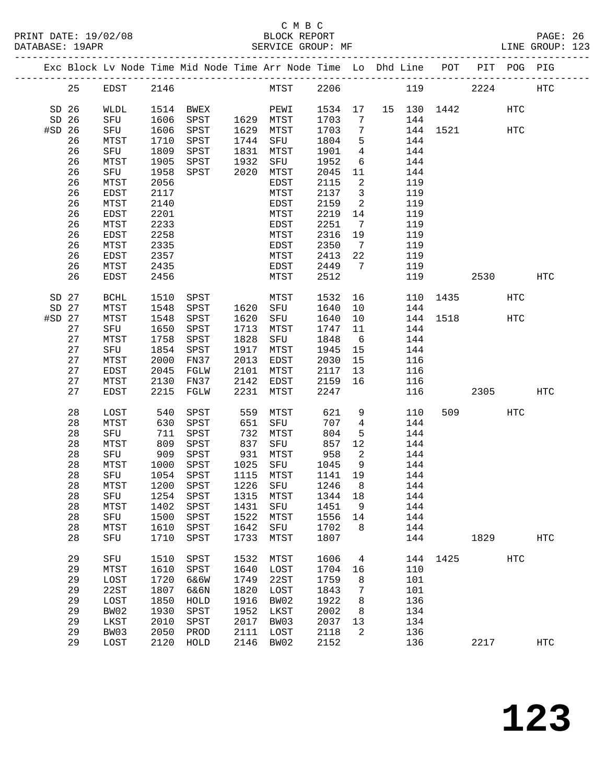|                  |    |               |              | Exc Block Lv Node Time Mid Node Time Arr Node Time Lo Dhd Line POT PIT POG PIG |      |                   |              |                            |     |             |         |            |            |
|------------------|----|---------------|--------------|--------------------------------------------------------------------------------|------|-------------------|--------------|----------------------------|-----|-------------|---------|------------|------------|
|                  | 25 | EDST 2146     |              |                                                                                |      | MTST 2206         |              |                            |     | 119         | 2224    |            | HTC        |
| SD <sub>26</sub> |    | WLDL          |              | 1514 BWEX                                                                      |      | PEWI              | 1534 17      |                            |     | 15 130 1442 |         | HTC        |            |
| SD 26            |    | SFU           | 1606         | SPST                                                                           |      | 1629 MTST         | 1703         | 7                          | 144 |             |         |            |            |
| #SD 26           |    | SFU           | 1606         | SPST                                                                           |      | 1629 MTST         | 1703         | $\overline{7}$             |     | 144 1521    |         | HTC        |            |
|                  | 26 | MTST          | 1710         | SPST                                                                           |      | 1744 SFU          | 1804         | 5                          | 144 |             |         |            |            |
|                  | 26 | SFU           | 1809         | SPST                                                                           |      | 1831 MTST         | 1901         | $\overline{4}$             | 144 |             |         |            |            |
|                  | 26 | MTST          | 1905         | SPST                                                                           | 1932 | SFU               | 1952         | 6                          | 144 |             |         |            |            |
|                  | 26 | SFU           | 1958         | SPST                                                                           | 2020 | MTST              | 2045         | 11                         | 144 |             |         |            |            |
|                  | 26 | MTST          | 2056         |                                                                                |      | EDST              | 2115         | $\overline{2}$             | 119 |             |         |            |            |
|                  | 26 | EDST          | 2117         |                                                                                |      | MTST              | 2137         | $\overline{\mathbf{3}}$    | 119 |             |         |            |            |
|                  | 26 | MTST          | 2140         |                                                                                |      | EDST              | 2159         | 2                          | 119 |             |         |            |            |
|                  | 26 | EDST          | 2201         |                                                                                |      | MTST              | 2219         | 14                         | 119 |             |         |            |            |
|                  | 26 | MTST          | 2233         |                                                                                |      | EDST              | 2251         | $\overline{7}$             | 119 |             |         |            |            |
|                  | 26 | EDST          | 2258         |                                                                                |      | MTST              | 2316         | 19                         | 119 |             |         |            |            |
|                  | 26 | MTST          | 2335         |                                                                                |      | EDST              | 2350         | $\overline{7}$             | 119 |             |         |            |            |
|                  | 26 | EDST          | 2357         |                                                                                |      | MTST              | 2413         | 22                         | 119 |             |         |            |            |
|                  | 26 | MTST          | 2435         |                                                                                |      | EDST              | 2449         | $\overline{7}$             | 119 |             |         |            |            |
|                  | 26 | <b>EDST</b>   | 2456         |                                                                                |      | MTST              | 2512         |                            | 119 |             | 2530    |            | HTC        |
|                  |    |               |              |                                                                                |      |                   |              |                            |     |             |         |            |            |
| SD 27            |    | BCHL          | 1510         | SPST                                                                           |      | MTST              | 1532         | 16                         |     | 110 1435    |         | <b>HTC</b> |            |
| SD 27            |    | MTST          | 1548         | SPST                                                                           |      | 1620 SFU          | 1640         | 10                         | 144 |             |         |            |            |
| $#SD$ 27         |    | MTST          | 1548         | SPST                                                                           | 1620 | SFU               | 1640         | 10                         |     | 144 1518    |         | HTC        |            |
|                  | 27 | SFU           | 1650         | SPST                                                                           | 1713 | MTST              | 1747         | 11                         | 144 |             |         |            |            |
|                  | 27 | MTST          | 1758         | SPST                                                                           | 1828 | SFU               | 1848         | 6                          | 144 |             |         |            |            |
|                  | 27 | SFU           | 1854         | SPST                                                                           | 1917 | MTST              | 1945         | 15                         | 144 |             |         |            |            |
|                  | 27 |               | 2000         |                                                                                | 2013 |                   |              | 15                         | 116 |             |         |            |            |
|                  | 27 | MTST          | 2045         | FN37                                                                           | 2101 | EDST              | 2030<br>2117 |                            | 116 |             |         |            |            |
|                  | 27 | EDST          |              | FGLW                                                                           | 2142 | MTST              |              | 13<br>16                   | 116 |             |         |            |            |
|                  | 27 | MTST<br>EDST  | 2130<br>2215 | FN37<br>FGLW                                                                   | 2231 | EDST<br>MTST      | 2159<br>2247 |                            | 116 |             | 2305    |            | HTC        |
|                  |    |               |              |                                                                                |      |                   |              |                            |     |             |         |            |            |
|                  | 28 | LOST          | 540          | SPST                                                                           | 559  | MTST              | 621          | 9                          | 110 |             | 509 300 | HTC        |            |
|                  | 28 | MTST          | 630          | SPST                                                                           | 651  | SFU               | 707          | $\overline{4}$             | 144 |             |         |            |            |
|                  | 28 | SFU           | 711          | SPST                                                                           | 732  | MTST              | 804          | 5                          | 144 |             |         |            |            |
|                  | 28 | MTST          | 809          | SPST                                                                           | 837  | SFU               | 857          | 12                         | 144 |             |         |            |            |
|                  | 28 | SFU           | 909          | SPST                                                                           | 931  | MTST              | 958          | $\overline{\phantom{a}}^2$ | 144 |             |         |            |            |
|                  | 28 | MTST          | 1000         | SPST                                                                           |      | 1025 SFU          | 1045         | 9                          | 144 |             |         |            |            |
|                  | 28 | SFU           | 1054         | SPST                                                                           |      | 1115 MTST         | 1141 19      |                            | 144 |             |         |            |            |
|                  | 28 | MTST          | 1200         | SPST                                                                           |      | 1226 SFU          | 1246         | 8                          | 144 |             |         |            |            |
|                  | 28 | SFU 1254 SPST |              |                                                                                |      | 1315 MTST 1344 18 |              |                            | 144 |             |         |            |            |
|                  | 28 | MTST          | 1402         | SPST                                                                           | 1431 | SFU               | 1451         | 9                          | 144 |             |         |            |            |
|                  | 28 | SFU           | 1500         | SPST                                                                           | 1522 | MTST              | 1556         | 14                         | 144 |             |         |            |            |
|                  | 28 | MTST          | 1610         | SPST                                                                           | 1642 | SFU               | 1702         | 8                          | 144 |             |         |            |            |
|                  | 28 | SFU           | 1710         | SPST                                                                           | 1733 | MTST              | 1807         |                            | 144 |             | 1829    |            | <b>HTC</b> |
|                  |    |               |              |                                                                                |      |                   |              |                            |     |             |         |            |            |
|                  | 29 | SFU           | 1510         | SPST                                                                           | 1532 | MTST              | 1606         | 4                          |     | 144 1425    |         | <b>HTC</b> |            |
|                  | 29 | MTST          | 1610         | SPST                                                                           | 1640 | LOST              | 1704         | 16                         | 110 |             |         |            |            |
|                  | 29 | LOST          | 1720         | 6&6W                                                                           | 1749 | 22ST              | 1759         | 8                          | 101 |             |         |            |            |
|                  | 29 | 22ST          | 1807         | 6&6N                                                                           | 1820 | LOST              | 1843         | 7                          | 101 |             |         |            |            |
|                  | 29 | LOST          | 1850         | HOLD                                                                           | 1916 | BW02              | 1922         | 8                          | 136 |             |         |            |            |
|                  | 29 | BW02          | 1930         | SPST                                                                           | 1952 | LKST              | 2002         | 8                          | 134 |             |         |            |            |
|                  | 29 | LKST          | 2010         | SPST                                                                           | 2017 | BW03              | 2037         | 13                         | 134 |             |         |            |            |
|                  | 29 | BW03          | 2050         | PROD                                                                           | 2111 | LOST              | 2118         | 2                          | 136 |             |         |            |            |
|                  | 29 | LOST          | 2120         | HOLD                                                                           | 2146 | BW02              | 2152         |                            | 136 |             | 2217    |            | <b>HTC</b> |
|                  |    |               |              |                                                                                |      |                   |              |                            |     |             |         |            |            |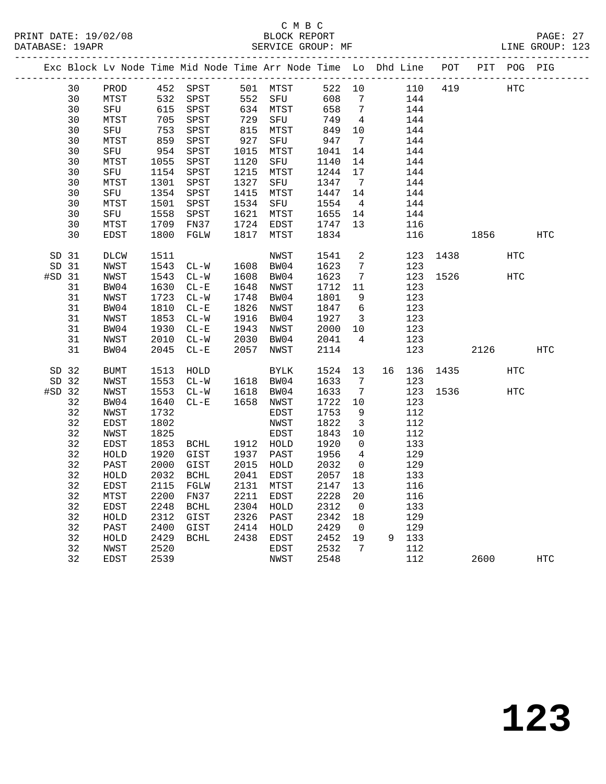PRINT DATE: 19/02/08 BLOCK REPORT BATABASE: 19APR BEST BERVICE GROUP: MF

# C M B C<br>BLOCK REPORT

PAGE: 27<br>LINE GROUP: 123

|          |       |              |      | Exc Block Lv Node Time Mid Node Time Arr Node Time Lo Dhd Line POT PIT POG PIG |            |             |         |                          |    |       |          |      |            |     |
|----------|-------|--------------|------|--------------------------------------------------------------------------------|------------|-------------|---------|--------------------------|----|-------|----------|------|------------|-----|
|          | 30    | PROD         |      | 452 SPST                                                                       |            | 501 MTST    | 522 10  |                          |    | 110   | 419      |      | <b>HTC</b> |     |
|          | 30    | ${\tt MTST}$ |      | 532 SPST                                                                       |            | 552 SFU     | 608     | $\overline{7}$           |    | 144   |          |      |            |     |
|          | 30    | SFU          | 615  | SPST                                                                           |            | 634 MTST    | 658     | $\overline{7}$           |    | 144   |          |      |            |     |
|          | 30    | MTST         | 705  | SPST                                                                           | 634<br>729 | SFU         | 749     | $\overline{4}$           |    | 144   |          |      |            |     |
|          | 30    | SFU          | 753  | SPST                                                                           | 815<br>927 | MTST        | 849     | 10                       |    | 144   |          |      |            |     |
|          | 30    | MTST         | 859  | SPST                                                                           |            | SFU         | 947     | $\overline{7}$           |    | 144   |          |      |            |     |
|          | 30    | SFU          | 954  | SPST                                                                           | 1015       | MTST        | 1041    | 14                       |    | 144   |          |      |            |     |
|          | 30    | MTST         | 1055 | SPST                                                                           | 1120       | SFU         | 1140    | 14                       |    | 144   |          |      |            |     |
|          | 30    | SFU          | 1154 | SPST                                                                           | 1215       | MTST        | 1244    | 17                       |    | 144   |          |      |            |     |
|          | 30    | MTST         | 1301 | SPST                                                                           | 1327       | SFU         | 1347    | $\overline{7}$           |    | 144   |          |      |            |     |
|          | 30    | SFU          | 1354 | SPST                                                                           |            | 1415 MTST   | 1447 14 |                          |    | 144   |          |      |            |     |
|          | 30    | MTST         | 1501 | SPST                                                                           |            | 1534 SFU    | 1554    | $\overline{4}$           |    | 144   |          |      |            |     |
|          | 30    | SFU          | 1558 | SPST                                                                           |            | 1621 MTST   | 1655 14 |                          |    | 144   |          |      |            |     |
|          | 30    | MTST         | 1709 | FN37                                                                           | 1724       | EDST        | 1747    | 13                       |    | 116   |          |      |            |     |
|          | 30    | EDST         | 1800 | FGLW                                                                           | 1817       | MTST        | 1834    |                          |    | 116   |          | 1856 |            | HTC |
|          | SD 31 | DLCW         | 1511 |                                                                                |            | NWST        | 1541    | 2                        |    |       | 123 1438 |      | HTC        |     |
|          | SD 31 | NWST         | 1543 | $CL-W$                                                                         |            | 1608 BW04   | 1623    | $7\overline{ }$          |    | 123   |          |      |            |     |
| $#SD$ 31 |       | NWST         | 1543 | $CL-W$                                                                         |            | 1608 BW04   | 1623    | 7                        |    |       | 123 1526 |      | <b>HTC</b> |     |
|          | 31    | BW04         | 1630 | $CL - E$                                                                       | 1648       | NWST        | 1712    | 11                       |    | 123   |          |      |            |     |
|          | 31    | NWST         | 1723 | $CL-W$                                                                         | 1748       | BW04        | 1801    | 9                        |    | 123   |          |      |            |     |
|          | 31    | BW04         | 1810 | $CL - E$                                                                       | 1826       | NWST        | 1847    | 6                        |    | 123   |          |      |            |     |
|          | 31    | NWST         | 1853 | $CL - W$                                                                       | 1916       | BW04        | 1927    | $\overline{\mathbf{3}}$  |    | 123   |          |      |            |     |
|          | 31    | BW04         | 1930 | $CL - E$                                                                       | 1943       | NWST        | 2000    | 10                       |    | 123   |          |      |            |     |
|          | 31    | NWST         | 2010 | $CL-W$                                                                         | 2030       | BW04        | 2041    | $\overline{4}$           |    | 123   |          |      |            |     |
|          | 31    | BW04         | 2045 | $CL - E$                                                                       | 2057       | NWST        | 2114    |                          |    | 123   |          | 2126 |            | HTC |
|          |       |              |      |                                                                                |            |             |         |                          |    |       |          |      |            |     |
|          | SD 32 | <b>BUMT</b>  | 1513 | HOLD                                                                           |            | <b>BYLK</b> | 1524    | 13                       | 16 | 136   | 1435     |      | <b>HTC</b> |     |
|          | SD 32 | NWST         | 1553 | $CL-W$                                                                         |            | 1618 BW04   | 1633    | $\overline{7}$           |    | 123   |          |      |            |     |
| #SD 32   |       | NWST         | 1553 | $CL-W$                                                                         | 1618       | BW04        | 1633    | $\overline{7}$           |    | 123   | 1536     |      | <b>HTC</b> |     |
|          | 32    | BW04         | 1640 | $CL - E$                                                                       |            | 1658 NWST   | 1722    | 10                       |    | 123   |          |      |            |     |
|          | 32    | NWST         | 1732 |                                                                                |            | EDST        | 1753    | $\overline{9}$           |    | 112   |          |      |            |     |
|          | 32    | EDST         | 1802 |                                                                                |            | NWST        | 1822    | $\overline{\mathbf{3}}$  |    | 112   |          |      |            |     |
|          | 32    | NWST         | 1825 |                                                                                |            | EDST        | 1843    | 10                       |    | 112   |          |      |            |     |
|          | 32    | EDST         | 1853 | BCHL                                                                           |            | 1912 HOLD   | 1920    | $\mathbf 0$              |    | 133   |          |      |            |     |
|          | 32    | HOLD         | 1920 | GIST                                                                           |            | 1937 PAST   | 1956    | $\overline{4}$           |    | 129   |          |      |            |     |
|          | 32    | PAST         | 2000 | GIST                                                                           |            | 2015 HOLD   | 2032    | $\overline{0}$           |    | 129   |          |      |            |     |
|          | 32    | HOLD         | 2032 | BCHL                                                                           | 2041       | EDST        | 2057    | 18                       |    | 133   |          |      |            |     |
|          | 32    | EDST         | 2115 | FGLW                                                                           | 2131       | MTST        | 2147    | 13                       |    | 116   |          |      |            |     |
|          | 32    | MTST         | 2200 | FN37                                                                           |            | 2211 EDST   | 2228    | 20                       |    | 116   |          |      |            |     |
|          | 32    | EDST         | 2248 | BCHL                                                                           |            | 2304 HOLD   | 2312    | $\overline{0}$           |    | 133   |          |      |            |     |
|          | 32    | HOLD         | 2312 | GIST                                                                           |            | 2326 PAST   | 2342    | 18                       |    | 129   |          |      |            |     |
|          | 32    | PAST         | 2400 | GIST                                                                           |            | 2414 HOLD   | 2429    | $\overline{\phantom{0}}$ |    | 129   |          |      |            |     |
|          | 32    | HOLD         | 2429 | BCHL                                                                           |            | 2438 EDST   | 2452    | 19                       |    | 9 133 |          |      |            |     |
|          | 32    | NWST         | 2520 |                                                                                |            | EDST        | 2532    | 7                        |    | 112   |          |      |            |     |
|          | 32    | EDST         | 2539 |                                                                                |            | NWST        | 2548    |                          |    | 112   |          | 2600 |            | HTC |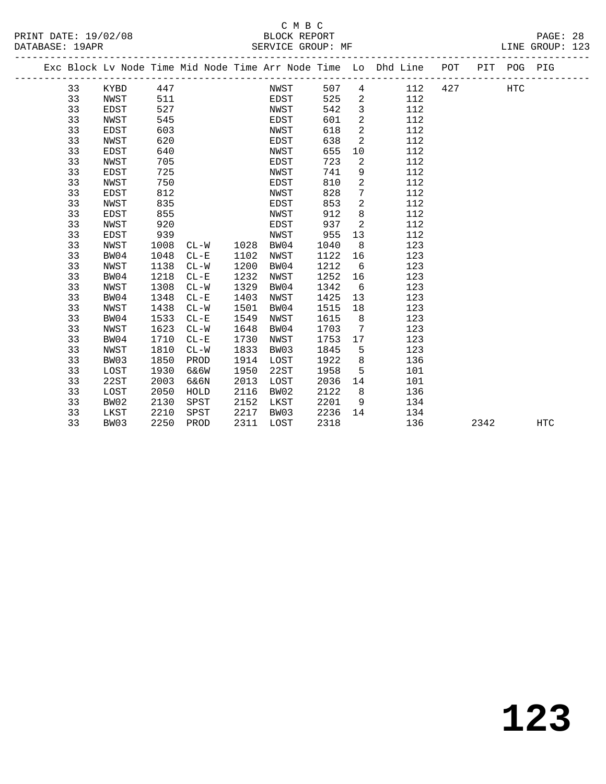|  |    | Exc Block Lv Node Time Mid Node Time Arr Node Time Lo Dhd Line POT PIT POG PIG |      |          |      |      |      |                |     |     |      |     |     |
|--|----|--------------------------------------------------------------------------------|------|----------|------|------|------|----------------|-----|-----|------|-----|-----|
|  | 33 | KYBD                                                                           | 447  |          |      | NWST | 507  | 4              | 112 | 427 |      | HTC |     |
|  | 33 | NWST                                                                           | 511  |          |      | EDST | 525  | 2              | 112 |     |      |     |     |
|  | 33 | EDST                                                                           | 527  |          |      | NWST | 542  | $\mathbf{3}$   | 112 |     |      |     |     |
|  | 33 | NWST                                                                           | 545  |          |      | EDST | 601  | 2              | 112 |     |      |     |     |
|  | 33 | EDST                                                                           | 603  |          |      | NWST | 618  | 2              | 112 |     |      |     |     |
|  | 33 | NWST                                                                           | 620  |          |      | EDST | 638  | 2              | 112 |     |      |     |     |
|  | 33 | EDST                                                                           | 640  |          |      | NWST | 655  | 10             | 112 |     |      |     |     |
|  | 33 | NWST                                                                           | 705  |          |      | EDST | 723  | 2              | 112 |     |      |     |     |
|  | 33 | EDST                                                                           | 725  |          |      | NWST | 741  | 9              | 112 |     |      |     |     |
|  | 33 | NWST                                                                           | 750  |          |      | EDST | 810  | 2              | 112 |     |      |     |     |
|  | 33 | EDST                                                                           | 812  |          |      | NWST | 828  | 7              | 112 |     |      |     |     |
|  | 33 | NWST                                                                           | 835  |          |      | EDST | 853  | $\overline{2}$ | 112 |     |      |     |     |
|  | 33 | EDST                                                                           | 855  |          |      | NWST | 912  | 8              | 112 |     |      |     |     |
|  | 33 | NWST                                                                           | 920  |          |      | EDST | 937  | 2              | 112 |     |      |     |     |
|  | 33 | EDST                                                                           | 939  |          |      | NWST | 955  | 13             | 112 |     |      |     |     |
|  | 33 | NWST                                                                           | 1008 | $CL-W$   | 1028 | BW04 | 1040 | 8              | 123 |     |      |     |     |
|  | 33 | BW04                                                                           | 1048 | $CL-E$   | 1102 | NWST | 1122 | 16             | 123 |     |      |     |     |
|  | 33 | NWST                                                                           | 1138 | $CL-W$   | 1200 | BW04 | 1212 | 6              | 123 |     |      |     |     |
|  | 33 | BW04                                                                           | 1218 | $CL - E$ | 1232 | NWST | 1252 | 16             | 123 |     |      |     |     |
|  | 33 | NWST                                                                           | 1308 | $CL-W$   | 1329 | BW04 | 1342 | 6              | 123 |     |      |     |     |
|  | 33 | BW04                                                                           | 1348 | $CL - E$ | 1403 | NWST | 1425 | 13             | 123 |     |      |     |     |
|  | 33 | NWST                                                                           | 1438 | $CL - W$ | 1501 | BW04 | 1515 | 18             | 123 |     |      |     |     |
|  | 33 | BW04                                                                           | 1533 | $CL - E$ | 1549 | NWST | 1615 | 8              | 123 |     |      |     |     |
|  | 33 | NWST                                                                           | 1623 | $CL-W$   | 1648 | BW04 | 1703 | $\overline{7}$ | 123 |     |      |     |     |
|  | 33 | BW04                                                                           | 1710 | $CL - E$ | 1730 | NWST | 1753 | 17             | 123 |     |      |     |     |
|  | 33 | NWST                                                                           | 1810 | $CL-W$   | 1833 | BW03 | 1845 | 5              | 123 |     |      |     |     |
|  | 33 | BW03                                                                           | 1850 | PROD     | 1914 | LOST | 1922 | 8              | 136 |     |      |     |     |
|  | 33 | LOST                                                                           | 1930 | 6&6W     | 1950 | 22ST | 1958 | 5              | 101 |     |      |     |     |
|  | 33 | 22ST                                                                           | 2003 | 6&6N     | 2013 | LOST | 2036 | 14             | 101 |     |      |     |     |
|  | 33 | LOST                                                                           | 2050 | HOLD     | 2116 | BW02 | 2122 | 8              | 136 |     |      |     |     |
|  | 33 | BW02                                                                           | 2130 | SPST     | 2152 | LKST | 2201 | 9              | 134 |     |      |     |     |
|  | 33 | LKST                                                                           | 2210 | SPST     | 2217 | BW03 | 2236 | 14             | 134 |     |      |     |     |
|  | 33 | BW03                                                                           | 2250 | PROD     | 2311 | LOST | 2318 |                | 136 |     | 2342 |     | HTC |
|  |    |                                                                                |      |          |      |      |      |                |     |     |      |     |     |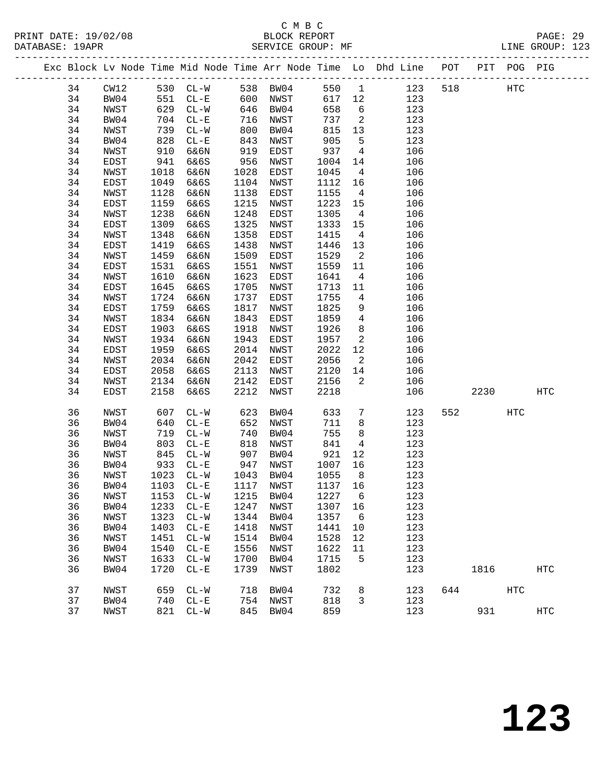|  |    |      |      | Exc Block Lv Node Time Mid Node Time Arr Node Time Lo Dhd Line POT PIT POG PIG |      |      |         |                            |     |     |      |            |                   |
|--|----|------|------|--------------------------------------------------------------------------------|------|------|---------|----------------------------|-----|-----|------|------------|-------------------|
|  | 34 | CW12 |      | 530 CL-W 538 BW04                                                              |      |      | 550 1   |                            | 123 | 518 |      | HTC        |                   |
|  | 34 | BW04 | 551  | $CL-E$                                                                         | 600  | NWST | 617 12  |                            | 123 |     |      |            |                   |
|  | 34 | NWST | 629  | $CL-W$                                                                         | 646  | BW04 | 658     | $6\overline{6}$            | 123 |     |      |            |                   |
|  | 34 | BW04 | 704  | $CL - E$                                                                       | 716  | NWST | 737     | $\overline{\phantom{a}}^2$ | 123 |     |      |            |                   |
|  | 34 | NWST | 739  | $CL-W$                                                                         | 800  | BW04 | 815     | 13                         | 123 |     |      |            |                   |
|  | 34 | BW04 | 828  | $CL - E$                                                                       | 843  | NWST | 905     | $5^{\circ}$                | 123 |     |      |            |                   |
|  | 34 | NWST | 910  | 6&6N                                                                           | 919  | EDST | 937     | $\overline{4}$             | 106 |     |      |            |                   |
|  | 34 | EDST | 941  | 6&6S                                                                           | 956  | NWST | 1004    | 14                         | 106 |     |      |            |                   |
|  | 34 | NWST | 1018 | 6&6N                                                                           | 1028 | EDST | 1045    | $\overline{4}$             | 106 |     |      |            |                   |
|  | 34 | EDST | 1049 | 6&6S                                                                           | 1104 | NWST | 1112    | 16                         | 106 |     |      |            |                   |
|  | 34 | NWST | 1128 | 6&6N                                                                           | 1138 | EDST | 1155    | $\overline{4}$             | 106 |     |      |            |                   |
|  | 34 | EDST | 1159 | 6&6S                                                                           | 1215 | NWST | 1223    | 15                         | 106 |     |      |            |                   |
|  | 34 | NWST | 1238 | 6&6N                                                                           | 1248 | EDST | 1305    | $\overline{4}$             | 106 |     |      |            |                   |
|  | 34 | EDST | 1309 | 6&6S                                                                           | 1325 | NWST | 1333    | 15                         | 106 |     |      |            |                   |
|  | 34 | NWST | 1348 | 6&6N                                                                           | 1358 | EDST | 1415    | $\overline{4}$             | 106 |     |      |            |                   |
|  | 34 | EDST | 1419 | 6&6S                                                                           | 1438 | NWST | 1446    | 13                         | 106 |     |      |            |                   |
|  | 34 | NWST | 1459 | 6&6N                                                                           | 1509 | EDST | 1529    | $\overline{\phantom{a}}^2$ | 106 |     |      |            |                   |
|  | 34 | EDST | 1531 | 6&6S                                                                           | 1551 | NWST | 1559    | 11                         | 106 |     |      |            |                   |
|  | 34 | NWST | 1610 | 6&6N                                                                           | 1623 | EDST | 1641    | $\overline{4}$             | 106 |     |      |            |                   |
|  | 34 | EDST | 1645 | 6&6S                                                                           | 1705 | NWST | 1713    | 11                         | 106 |     |      |            |                   |
|  | 34 | NWST | 1724 | 6&6N                                                                           | 1737 | EDST | 1755    | $4\overline{ }$            | 106 |     |      |            |                   |
|  | 34 | EDST | 1759 | 6&6S                                                                           | 1817 | NWST | 1825    | 9                          | 106 |     |      |            |                   |
|  | 34 | NWST | 1834 | 6&6N                                                                           | 1843 | EDST | 1859    | $\overline{4}$             | 106 |     |      |            |                   |
|  | 34 | EDST | 1903 | 6&6S                                                                           | 1918 | NWST | 1926    | 8                          | 106 |     |      |            |                   |
|  | 34 | NWST | 1934 | 6&6N                                                                           | 1943 | EDST | 1957    | 2                          | 106 |     |      |            |                   |
|  | 34 | EDST | 1959 | 6&6S                                                                           | 2014 | NWST | 2022    | 12                         | 106 |     |      |            |                   |
|  | 34 | NWST | 2034 | 6&6N                                                                           | 2042 | EDST | 2056    | 2                          | 106 |     |      |            |                   |
|  | 34 | EDST | 2058 | 6&6S                                                                           | 2113 | NWST | 2120    | 14                         | 106 |     |      |            |                   |
|  | 34 | NWST | 2134 | 6&6N                                                                           | 2142 | EDST | 2156    | 2                          | 106 |     |      |            |                   |
|  | 34 | EDST | 2158 | 6&6S                                                                           | 2212 | NWST | 2218    |                            | 106 |     | 2230 |            | HTC               |
|  | 36 | NWST | 607  | $CL-W$                                                                         | 623  | BW04 | 633     | $7\phantom{.0}$            | 123 | 552 |      | <b>HTC</b> |                   |
|  | 36 | BW04 | 640  | $CL - E$                                                                       | 652  | NWST | 711     | 8                          | 123 |     |      |            |                   |
|  | 36 | NWST | 719  | $CL-W$                                                                         | 740  | BW04 | 755     | 8                          | 123 |     |      |            |                   |
|  | 36 | BW04 | 803  | $CL - E$                                                                       | 818  | NWST | 841     | $\overline{4}$             | 123 |     |      |            |                   |
|  | 36 | NWST | 845  | $CL-W$                                                                         | 907  | BW04 | 921     | 12                         | 123 |     |      |            |                   |
|  | 36 | BW04 | 933  | $CL - E$                                                                       | 947  | NWST | 1007    | 16                         | 123 |     |      |            |                   |
|  | 36 | NWST | 1023 | $CL-W$                                                                         | 1043 | BW04 | 1055    | 8 <sup>8</sup>             | 123 |     |      |            |                   |
|  | 36 | BW04 | 1103 | $CL - E$                                                                       | 1117 | NWST | 1137 16 |                            | 123 |     |      |            |                   |
|  | 36 | NWST |      | 1153 CL-W 1215 BW04                                                            |      |      | 1227 6  |                            | 123 |     |      |            |                   |
|  | 36 | BW04 | 1233 | $CL-E$                                                                         | 1247 | NWST | 1307 16 |                            | 123 |     |      |            |                   |
|  | 36 | NWST | 1323 | $CL-W$                                                                         | 1344 | BW04 | 1357    | - 6                        | 123 |     |      |            |                   |
|  | 36 | BW04 | 1403 | $CL - E$                                                                       | 1418 | NWST | 1441    | 10                         | 123 |     |      |            |                   |
|  | 36 | NWST | 1451 | $CL - W$                                                                       | 1514 | BW04 | 1528    | 12                         | 123 |     |      |            |                   |
|  | 36 | BW04 | 1540 | $CL - E$                                                                       | 1556 | NWST | 1622    | 11                         | 123 |     |      |            |                   |
|  | 36 | NWST | 1633 | $CL - W$                                                                       | 1700 | BW04 | 1715    | 5                          | 123 |     |      |            |                   |
|  | 36 | BW04 | 1720 | $CL - E$                                                                       | 1739 | NWST | 1802    |                            | 123 |     | 1816 |            | $_{\mathrm{HTC}}$ |
|  | 37 | NWST | 659  | $CL-W$                                                                         | 718  | BW04 | 732     | 8                          | 123 | 644 |      | HTC        |                   |
|  | 37 | BW04 | 740  | $CL - E$                                                                       | 754  | NWST | 818     | 3                          | 123 |     |      |            |                   |
|  | 37 | NWST |      | 821 CL-W                                                                       | 845  | BW04 | 859     |                            | 123 |     | 931  |            | $_{\mathrm{HTC}}$ |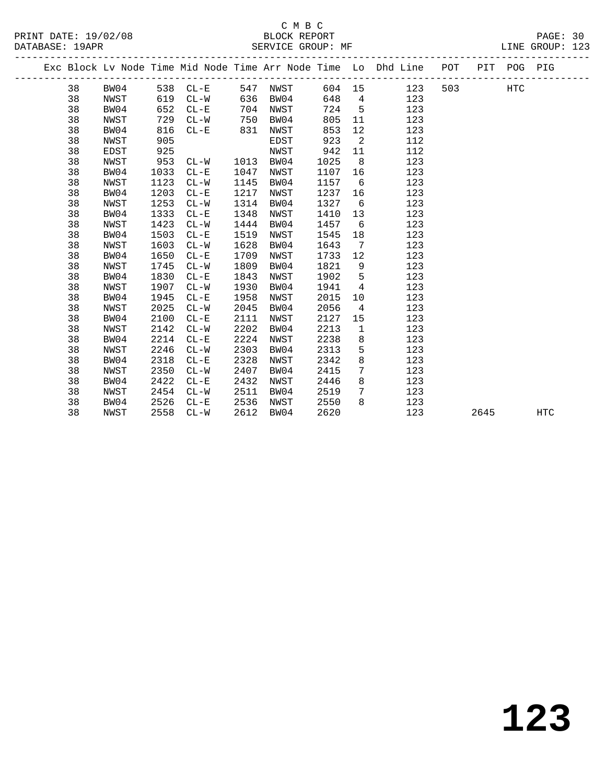## C M B C<br>BLOCK REPORT SERVICE GROUP: MF

-------------------------------------------------------------------------------------------------

PRINT DATE: 19/02/08 BLOCK REPORT PAGE: 30

|  |    |      |      |          |      |      |        |                | Exc Block Lv Node Time Mid Node Time Arr Node Time Lo Dhd Line | POT | PIT  | POG PIG |            |
|--|----|------|------|----------|------|------|--------|----------------|----------------------------------------------------------------|-----|------|---------|------------|
|  | 38 | BW04 |      | 538 CL-E | 547  | NWST | 604 15 |                | 123                                                            | 503 |      | HTC     |            |
|  | 38 | NWST | 619  | $CL - W$ | 636  | BW04 | 648    | 4              | 123                                                            |     |      |         |            |
|  | 38 | BW04 | 652  | $CL - E$ | 704  | NWST | 724    | 5              | 123                                                            |     |      |         |            |
|  | 38 | NWST | 729  | $CL-W$   | 750  | BW04 | 805    | 11             | 123                                                            |     |      |         |            |
|  | 38 | BW04 | 816  | $CL-E$   | 831  | NWST | 853    | 12             | 123                                                            |     |      |         |            |
|  | 38 | NWST | 905  |          |      | EDST | 923    | 2              | 112                                                            |     |      |         |            |
|  | 38 | EDST | 925  |          |      | NWST | 942    | 11             | 112                                                            |     |      |         |            |
|  | 38 | NWST | 953  | $CL - W$ | 1013 | BW04 | 1025   | 8              | 123                                                            |     |      |         |            |
|  | 38 | BW04 | 1033 | $CL - E$ | 1047 | NWST | 1107   | 16             | 123                                                            |     |      |         |            |
|  | 38 | NWST | 1123 | $CL-W$   | 1145 | BW04 | 1157   | 6              | 123                                                            |     |      |         |            |
|  | 38 | BW04 | 1203 | $CL - E$ | 1217 | NWST | 1237   | 16             | 123                                                            |     |      |         |            |
|  | 38 | NWST | 1253 | $CL-W$   | 1314 | BW04 | 1327   | 6              | 123                                                            |     |      |         |            |
|  | 38 | BW04 | 1333 | $CL - E$ | 1348 | NWST | 1410   | 13             | 123                                                            |     |      |         |            |
|  | 38 | NWST | 1423 | $CL-W$   | 1444 | BW04 | 1457   | 6              | 123                                                            |     |      |         |            |
|  | 38 | BW04 | 1503 | $CL - E$ | 1519 | NWST | 1545   | 18             | 123                                                            |     |      |         |            |
|  | 38 | NWST | 1603 | $CL-W$   | 1628 | BW04 | 1643   | 7              | 123                                                            |     |      |         |            |
|  | 38 | BW04 | 1650 | $CL - E$ | 1709 | NWST | 1733   | 12             | 123                                                            |     |      |         |            |
|  | 38 | NWST | 1745 | $CL - W$ | 1809 | BW04 | 1821   | 9              | 123                                                            |     |      |         |            |
|  | 38 | BW04 | 1830 | $CL - E$ | 1843 | NWST | 1902   | 5              | 123                                                            |     |      |         |            |
|  | 38 | NWST | 1907 | $CL - W$ | 1930 | BW04 | 1941   | $\overline{4}$ | 123                                                            |     |      |         |            |
|  | 38 | BW04 | 1945 | $CL - E$ | 1958 | NWST | 2015   | 10             | 123                                                            |     |      |         |            |
|  | 38 | NWST | 2025 | $CL - W$ | 2045 | BW04 | 2056   | $\overline{4}$ | 123                                                            |     |      |         |            |
|  | 38 | BW04 | 2100 | $CL - E$ | 2111 | NWST | 2127   | 15             | 123                                                            |     |      |         |            |
|  | 38 | NWST | 2142 | $CL-W$   | 2202 | BW04 | 2213   | $\mathbf 1$    | 123                                                            |     |      |         |            |
|  | 38 | BW04 | 2214 | $CL - E$ | 2224 | NWST | 2238   | 8              | 123                                                            |     |      |         |            |
|  | 38 | NWST | 2246 | $CL-W$   | 2303 | BW04 | 2313   | 5              | 123                                                            |     |      |         |            |
|  | 38 | BW04 | 2318 | $CL - E$ | 2328 | NWST | 2342   | 8              | 123                                                            |     |      |         |            |
|  | 38 | NWST | 2350 | $CL-W$   | 2407 | BW04 | 2415   | 7              | 123                                                            |     |      |         |            |
|  | 38 | BW04 | 2422 | $CL - E$ | 2432 | NWST | 2446   | 8              | 123                                                            |     |      |         |            |
|  | 38 | NWST | 2454 | $CL-W$   | 2511 | BW04 | 2519   | 7              | 123                                                            |     |      |         |            |
|  | 38 | BW04 | 2526 | $CL - E$ | 2536 | NWST | 2550   | 8              | 123                                                            |     |      |         |            |
|  | 38 | NWST | 2558 | $CL-W$   | 2612 | BW04 | 2620   |                | 123                                                            |     | 2645 |         | <b>HTC</b> |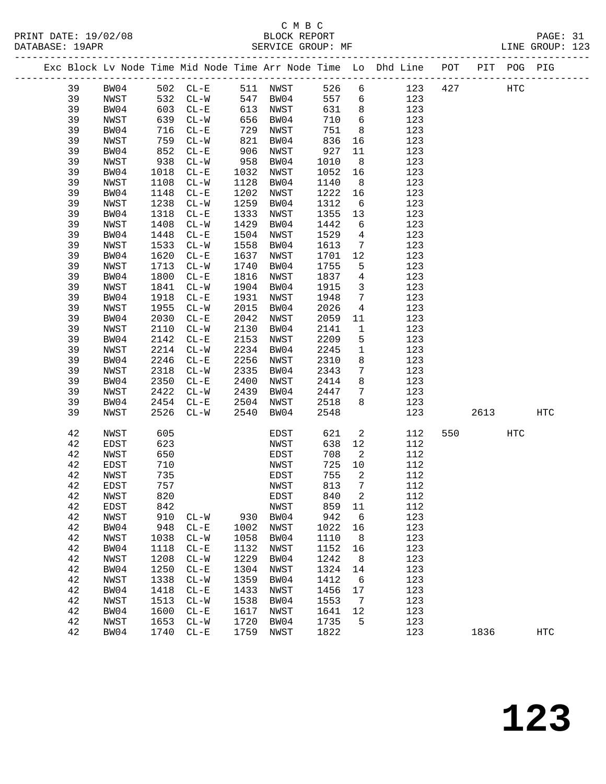|  |    |             |      |                          |      |          |      |                            | Exc Block Lv Node Time Mid Node Time Arr Node Time Lo Dhd Line POT |     |      | PIT POG PIG |            |  |
|--|----|-------------|------|--------------------------|------|----------|------|----------------------------|--------------------------------------------------------------------|-----|------|-------------|------------|--|
|  | 39 | BW04        |      | 502 CL-E                 |      | 511 NWST | 526  | 6                          | 123                                                                | 427 |      | <b>HTC</b>  |            |  |
|  | 39 | NWST        | 532  | $CL - W$                 |      | 547 BW04 | 557  | 6                          | 123                                                                |     |      |             |            |  |
|  | 39 | BW04        | 603  | $CL - E$                 | 613  | NWST     | 631  | 8                          | 123                                                                |     |      |             |            |  |
|  | 39 | NWST        | 639  | $CL - W$                 | 656  | BW04     | 710  | $6\overline{6}$            | 123                                                                |     |      |             |            |  |
|  | 39 | BW04        | 716  | $CL - E$                 | 729  | NWST     | 751  | 8                          | 123                                                                |     |      |             |            |  |
|  | 39 | NWST        | 759  | $CL-W$                   | 821  | BW04     | 836  | 16                         | 123                                                                |     |      |             |            |  |
|  | 39 | BW04        | 852  | $CL - E$                 | 906  | NWST     | 927  | 11                         | 123                                                                |     |      |             |            |  |
|  | 39 | NWST        | 938  | $CL-W$                   | 958  | BW04     | 1010 | 8                          | 123                                                                |     |      |             |            |  |
|  | 39 | BW04        | 1018 | $CL-E$                   | 1032 | NWST     | 1052 | 16                         | 123                                                                |     |      |             |            |  |
|  | 39 | NWST        | 1108 | $CL - W$                 | 1128 | BW04     | 1140 | 8                          | 123                                                                |     |      |             |            |  |
|  | 39 | BW04        | 1148 | $CL - E$                 | 1202 | NWST     | 1222 | 16                         | 123                                                                |     |      |             |            |  |
|  | 39 | NWST        | 1238 | $CL - W$                 | 1259 | BW04     | 1312 | 6                          | 123                                                                |     |      |             |            |  |
|  | 39 | BW04        | 1318 | $CL - E$                 | 1333 | NWST     | 1355 | 13                         | 123                                                                |     |      |             |            |  |
|  | 39 | NWST        | 1408 | $CL-W$                   | 1429 | BW04     | 1442 | 6                          | 123                                                                |     |      |             |            |  |
|  | 39 | BW04        | 1448 | $CL - E$                 | 1504 | NWST     | 1529 | $\overline{4}$             | 123                                                                |     |      |             |            |  |
|  | 39 | NWST        | 1533 | $CL - W$                 | 1558 | BW04     | 1613 | $7\overline{ }$            | 123                                                                |     |      |             |            |  |
|  | 39 | BW04        | 1620 | $CL - E$                 | 1637 | NWST     | 1701 | 12                         | 123                                                                |     |      |             |            |  |
|  | 39 | NWST        | 1713 | $CL-W$                   | 1740 | BW04     | 1755 | 5                          | 123                                                                |     |      |             |            |  |
|  | 39 | BW04        | 1800 | $CL - E$                 | 1816 | NWST     | 1837 | $\overline{4}$             | 123                                                                |     |      |             |            |  |
|  | 39 | NWST        | 1841 | $CL-W$                   | 1904 | BW04     | 1915 | $\overline{3}$             | 123                                                                |     |      |             |            |  |
|  | 39 | BW04        | 1918 | $CL - E$                 | 1931 | NWST     | 1948 | $7\phantom{.0}$            | 123                                                                |     |      |             |            |  |
|  | 39 | NWST        | 1955 | $CL-W$                   | 2015 | BW04     | 2026 | 4                          | 123                                                                |     |      |             |            |  |
|  | 39 | BW04        | 2030 | $CL - E$                 | 2042 | NWST     | 2059 | 11                         | 123                                                                |     |      |             |            |  |
|  | 39 | NWST        | 2110 | $CL-W$                   | 2130 | BW04     | 2141 | $\mathbf{1}$               | 123                                                                |     |      |             |            |  |
|  | 39 | BW04        | 2142 | $CL - E$                 | 2153 | NWST     | 2209 | 5                          | 123                                                                |     |      |             |            |  |
|  | 39 | NWST        | 2214 | $CL-W$                   | 2234 | BW04     | 2245 | $\mathbf{1}$               | 123                                                                |     |      |             |            |  |
|  | 39 | BW04        | 2246 | $CL - E$                 | 2256 | NWST     | 2310 | 8                          | 123                                                                |     |      |             |            |  |
|  | 39 | NWST        | 2318 | $CL-W$                   | 2335 | BW04     | 2343 | 7                          | 123                                                                |     |      |             |            |  |
|  | 39 | BW04        | 2350 | $CL - E$                 | 2400 | NWST     | 2414 | 8                          | 123                                                                |     |      |             |            |  |
|  | 39 | NWST        | 2422 | $CL-W$                   | 2439 | BW04     | 2447 | 7                          | 123                                                                |     |      |             |            |  |
|  | 39 | BW04        | 2454 | $CL - E$                 | 2504 | NWST     | 2518 | 8                          | 123                                                                |     |      |             |            |  |
|  | 39 | NWST        | 2526 | $CL-W$                   | 2540 | BW04     | 2548 |                            | 123                                                                |     | 2613 |             | HTC        |  |
|  |    |             |      |                          |      |          |      |                            |                                                                    |     |      |             |            |  |
|  | 42 | NWST        | 605  |                          |      | EDST     | 621  | 2                          | 112                                                                | 550 |      | <b>HTC</b>  |            |  |
|  | 42 | <b>EDST</b> | 623  |                          |      | NWST     | 638  | 12                         | 112                                                                |     |      |             |            |  |
|  | 42 | NWST        | 650  |                          |      | EDST     | 708  | 2                          | 112                                                                |     |      |             |            |  |
|  | 42 | EDST        | 710  |                          |      | NWST     | 725  | 10                         | 112                                                                |     |      |             |            |  |
|  | 42 | NWST        | 735  |                          |      | EDST     | 755  | 2                          | 112                                                                |     |      |             |            |  |
|  | 42 | EDST        | 757  |                          |      | NWST     | 813  | $7\phantom{.0}$            | 112                                                                |     |      |             |            |  |
|  | 42 | NWST        | 820  |                          |      | EDST     | 840  | $\overline{\phantom{a}}^2$ | 112                                                                |     |      |             |            |  |
|  | 42 | EDST        | 842  |                          |      | NWST     | 859  | 11                         | 112                                                                |     |      |             |            |  |
|  | 42 | NWST        | 910  | $CL-W$                   | 930  | BW04     | 942  | 6                          | 123                                                                |     |      |             |            |  |
|  | 42 | BW04        | 948  | $CL - E$                 | 1002 | NWST     | 1022 | 16                         | 123                                                                |     |      |             |            |  |
|  | 42 | NWST        | 1038 | $CL-W$                   | 1058 | BW04     | 1110 | 8                          | 123                                                                |     |      |             |            |  |
|  | 42 | BW04        | 1118 | $\rm CL-E$               | 1132 | NWST     | 1152 | 16                         | 123                                                                |     |      |             |            |  |
|  | 42 | NWST        | 1208 | $\mathtt{CL-}\mathtt{W}$ | 1229 | BW04     | 1242 | 8                          | 123                                                                |     |      |             |            |  |
|  | 42 | BW04        | 1250 | $\rm CL-E$               | 1304 | NWST     | 1324 | 14                         | 123                                                                |     |      |             |            |  |
|  | 42 | NWST        | 1338 | $CL-W$                   | 1359 | BW04     | 1412 | 6                          | 123                                                                |     |      |             |            |  |
|  | 42 | BW04        | 1418 | $\rm CL-E$               | 1433 | NWST     | 1456 | 17                         | 123                                                                |     |      |             |            |  |
|  | 42 | NWST        | 1513 | $CL-W$                   | 1538 | BW04     | 1553 | 7                          | 123                                                                |     |      |             |            |  |
|  | 42 | BW04        | 1600 | $CL - E$                 | 1617 | NWST     | 1641 | 12                         | 123                                                                |     |      |             |            |  |
|  | 42 | NWST        | 1653 | $CL-W$                   | 1720 | BW04     | 1735 | 5                          | 123                                                                |     |      |             |            |  |
|  | 42 | BW04        | 1740 | $CL-E$                   | 1759 | NWST     | 1822 |                            | 123                                                                |     | 1836 |             | <b>HTC</b> |  |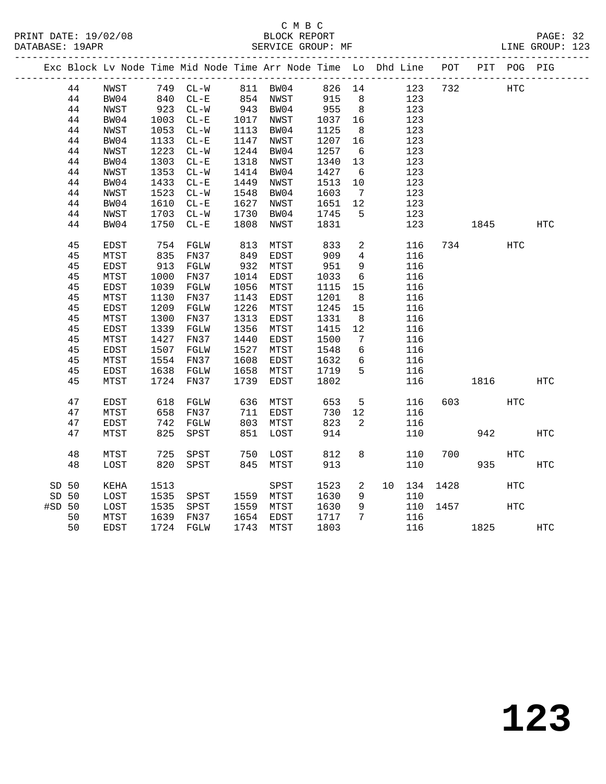|        |    | Exc Block Lv Node Time Mid Node Time Arr Node Time Lo Dhd Line POT |                   |          |                      |      |            |                 |        |      |          | PIT POG PIG |            |
|--------|----|--------------------------------------------------------------------|-------------------|----------|----------------------|------|------------|-----------------|--------|------|----------|-------------|------------|
|        | 44 | NWST                                                               | 749 CL-W 811 BW04 |          |                      |      | 826 14     |                 | 123    | 732  |          | HTC         |            |
|        | 44 | BW04                                                               |                   | $CL - E$ |                      |      |            | 8               | 123    |      |          |             |            |
|        | 44 | NWST                                                               | 840<br>923        | $CL-W$   | 854 NWST<br>943 BW04 |      | 915<br>955 | 8 <sup>8</sup>  | 123    |      |          |             |            |
|        | 44 | BW04                                                               | 1003              | $CL - E$ | 1017 NWST            |      | 1037       | 16              | 123    |      |          |             |            |
|        | 44 | NWST                                                               | 1053              | $CL-W$   | 1113 BW04            |      | 1125       | 8 <sup>8</sup>  | 123    |      |          |             |            |
|        | 44 | BW04                                                               | 1133              | $CL - E$ | 1147 NWST            |      | 1207       | 16              | 123    |      |          |             |            |
|        | 44 | NWST                                                               | 1223              | $CL-W$   | 1244                 | BW04 | 1257       | $6\overline{6}$ | 123    |      |          |             |            |
|        | 44 | BW04                                                               | 1303              | $CL - E$ | 1318                 | NWST | 1340       | 13              | 123    |      |          |             |            |
|        | 44 | NWST                                                               | 1353              | $CL-W$   | 1414                 | BW04 | 1427       | 6               | 123    |      |          |             |            |
|        | 44 | BW04                                                               | 1433              | $CL - E$ | 1449                 | NWST | 1513       | 10              | 123    |      |          |             |            |
|        | 44 | NWST                                                               | 1523              | $CL-W$   | 1548                 | BW04 | 1603       | $7\overline{ }$ | 123    |      |          |             |            |
|        | 44 | BW04                                                               | 1610              | $CL - E$ | 1627                 | NWST | 1651       | 12              | 123    |      |          |             |            |
|        | 44 | NWST                                                               | 1703              | $CL-W$   | 1730                 | BW04 | 1745       | $5^{\circ}$     | 123    |      |          |             |            |
|        | 44 | BW04                                                               | 1750              | $CL - E$ | 1808                 | NWST | 1831       |                 | 123    |      | 1845     |             | HTC        |
|        |    |                                                                    |                   |          |                      |      |            |                 |        |      |          |             |            |
|        | 45 | EDST                                                               | 754               | FGLW     | 813                  | MTST | 833        | $\overline{a}$  | 116    |      | 734      | HTC         |            |
|        | 45 | MTST                                                               | 835               | FN37     | 849                  | EDST | 909        | $\overline{4}$  | 116    |      |          |             |            |
|        | 45 | <b>EDST</b>                                                        | 913               | FGLW     | 932                  | MTST | 951        | 9               | 116    |      |          |             |            |
|        | 45 | MTST                                                               | 1000              | FN37     | 1014                 | EDST | 1033       | 6               | 116    |      |          |             |            |
|        | 45 | EDST                                                               | 1039              | FGLW     | 1056                 | MTST | 1115       | 15              | 116    |      |          |             |            |
|        | 45 | MTST                                                               | 1130              | FN37     | 1143                 | EDST | 1201       | 8 <sup>8</sup>  | 116    |      |          |             |            |
|        | 45 | <b>EDST</b>                                                        | 1209              | FGLW     | 1226                 | MTST | 1245       | 15              | 116    |      |          |             |            |
|        | 45 | MTST                                                               | 1300              | FN37     | 1313                 | EDST | 1331       | 8               | 116    |      |          |             |            |
|        | 45 | EDST                                                               | 1339              | FGLW     | 1356                 | MTST | 1415       | 12              | 116    |      |          |             |            |
|        | 45 | MTST                                                               | 1427              | FN37     | 1440                 | EDST | 1500       | $\overline{7}$  | 116    |      |          |             |            |
|        | 45 | EDST                                                               | 1507              | FGLW     | 1527                 | MTST | 1548       | 6               | 116    |      |          |             |            |
|        | 45 | MTST                                                               | 1554              | FN37     | 1608                 | EDST | 1632       | 6               | 116    |      |          |             |            |
|        | 45 | EDST                                                               | 1638              | FGLW     | 1658                 | MTST | 1719       | 5               | 116    |      |          |             |            |
|        | 45 | MTST                                                               | 1724              | FN37     | 1739                 | EDST | 1802       |                 | 116    |      | 1816     |             | HTC        |
|        |    |                                                                    |                   |          |                      |      |            |                 |        |      |          |             |            |
|        | 47 | EDST                                                               | 618<br>658        | FGLW     | 636                  | MTST | 653        | 5 <sup>5</sup>  | 116    |      | 603 000  | HTC         |            |
|        | 47 | MTST                                                               |                   | FN37     | 711                  | EDST | 730        | 12              | 116    |      |          |             |            |
|        | 47 | EDST                                                               | 742               | FGLW     | 803                  | MTST | 823        | $\overline{a}$  | 116    |      |          |             |            |
|        | 47 | MTST                                                               | 825               | SPST     | 851                  | LOST | 914        |                 | 110    |      | 942      |             | <b>HTC</b> |
|        | 48 | MTST                                                               | 725               | SPST     |                      | LOST | 812        | 8               | 110    | 700  |          | <b>HTC</b>  |            |
|        | 48 | LOST                                                               | 820               | SPST     | 750<br>845           | MTST | 913        |                 | 110    |      | 935      |             | HTC        |
|        |    |                                                                    |                   |          |                      |      |            |                 |        |      |          |             |            |
| SD 50  |    | KEHA                                                               | 1513              |          |                      | SPST | 1523       | $\overline{a}$  | 10 134 | 1428 |          | <b>HTC</b>  |            |
| SD 50  |    | LOST                                                               | 1535              | SPST     | 1559 MTST            |      | 1630       | 9               | 110    |      |          |             |            |
| #SD 50 |    | LOST                                                               | 1535              | SPST     | 1559 MTST            |      | 1630       | 9               | 110    | 1457 |          | <b>HTC</b>  |            |
|        | 50 | MTST                                                               | 1639              | FN37     | 1654 EDST            |      | 1717       | 7               | 116    |      |          |             |            |
|        | 50 | EDST                                                               | 1724 FGLW         |          | 1743                 | MTST | 1803       |                 |        |      | 116 1825 |             | <b>HTC</b> |
|        |    |                                                                    |                   |          |                      |      |            |                 |        |      |          |             |            |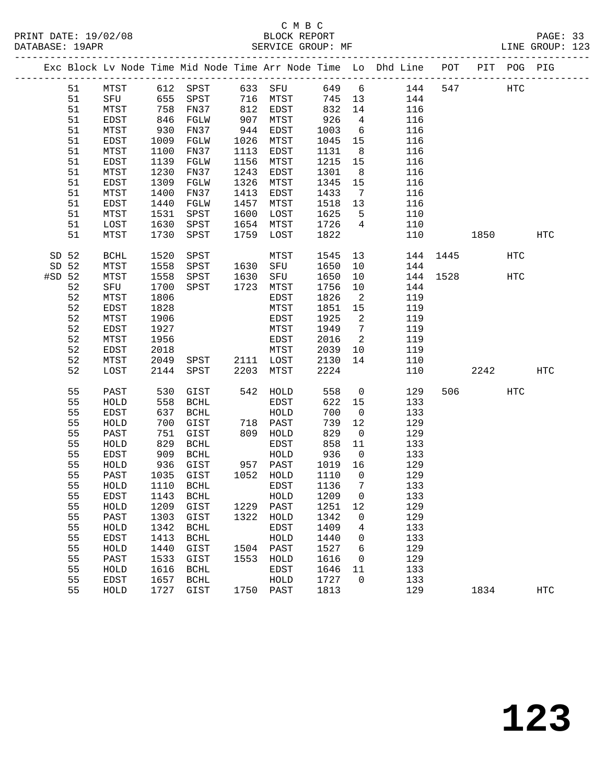|          |       |         |      |                       |            |           |         |                            | Exc Block Lv Node Time Mid Node Time Arr Node Time Lo Dhd Line POT PIT POG PIG |          |         |     |            |
|----------|-------|---------|------|-----------------------|------------|-----------|---------|----------------------------|--------------------------------------------------------------------------------|----------|---------|-----|------------|
|          | 51    |         |      | MTST 612 SPST 633 SFU |            |           |         |                            | 649 6 144                                                                      | 547      |         | HTC |            |
|          | 51    | SFU 655 |      | SPST 716 MTST         |            |           | 745 13  |                            | 144                                                                            |          |         |     |            |
|          | 51    | MTST    | 758  | FN37                  |            | 812 EDST  | 832     | 14                         | 116                                                                            |          |         |     |            |
|          | 51    | EDST    | 846  | FGLW                  |            | MTST      | 926     | $\overline{4}$             | 116                                                                            |          |         |     |            |
|          | 51    | MTST    | 930  | FN37                  | 907<br>944 | EDST      | 1003    | $6\overline{6}$            | 116                                                                            |          |         |     |            |
|          | 51    | EDST    | 1009 | FGLW                  | 1026       | MTST      | 1045    | 15                         | 116                                                                            |          |         |     |            |
|          | 51    | MTST    | 1100 | FN37                  | 1113       | EDST      | 1131    | 8 <sup>8</sup>             | 116                                                                            |          |         |     |            |
|          | 51    | EDST    | 1139 | FGLW                  | 1156       | MTST      | 1215    | 15                         | 116                                                                            |          |         |     |            |
|          | 51    | MTST    | 1230 | FN37                  | 1243       | EDST      | 1301    | 8 <sup>8</sup>             | 116                                                                            |          |         |     |            |
|          | 51    | EDST    | 1309 | FGLW                  | 1326       | MTST      | 1345    | 15                         | 116                                                                            |          |         |     |            |
|          | 51    | MTST    | 1400 | FN37                  | 1413       | EDST      | 1433    | $\overline{7}$             | 116                                                                            |          |         |     |            |
|          | 51    | EDST    | 1440 | FGLW                  | 1457       | MTST      | 1518    | 13                         | 116                                                                            |          |         |     |            |
|          | 51    | MTST    | 1531 | SPST                  | 1600       | LOST      | 1625    | $5^{\circ}$                | 110                                                                            |          |         |     |            |
|          | 51    | LOST    | 1630 | SPST                  | 1654       | MTST      | 1726    | $\overline{4}$             | 110                                                                            |          |         |     |            |
|          | 51    | MTST    | 1730 | SPST                  | 1759       | LOST      | 1822    |                            | 110                                                                            |          | 1850    |     | HTC        |
|          | SD 52 | BCHL    | 1520 | SPST                  |            | MTST      | 1545    | 13                         |                                                                                | 144 1445 |         | HTC |            |
|          | SD 52 | MTST    | 1558 | SPST 1630 SFU         |            |           | 1650    | 10                         | 144                                                                            |          |         |     |            |
| $#SD$ 52 |       | MTST    | 1558 | SPST                  | 1630       | SFU       | 1650    | 10                         |                                                                                | 144 1528 |         | HTC |            |
|          | 52    | SFU     | 1700 | SPST                  | 1723       | MTST      | 1756    | 10                         | 144                                                                            |          |         |     |            |
|          | 52    | MTST    | 1806 |                       |            | EDST      | 1826    | $\overline{\phantom{a}}^2$ | 119                                                                            |          |         |     |            |
|          | 52    | EDST    | 1828 |                       |            | MTST      | 1851 15 |                            | 119                                                                            |          |         |     |            |
|          | 52    | MTST    | 1906 |                       |            | EDST      | 1925    | $\overline{\mathbf{c}}$    | 119                                                                            |          |         |     |            |
|          | 52    | EDST    | 1927 |                       |            | MTST      | 1949    | $\overline{7}$             | 119                                                                            |          |         |     |            |
|          | 52    | MTST    | 1956 |                       |            | EDST      | 2016    | $\overline{\mathbf{2}}$    | 119                                                                            |          |         |     |            |
|          | 52    | EDST    | 2018 |                       |            | MTST      | 2039    | 10                         | 119                                                                            |          |         |     |            |
|          | 52    | MTST    | 2049 | SPST 2111 LOST        |            |           | 2130    | 14                         | 110                                                                            |          |         |     |            |
|          | 52    | LOST    | 2144 | SPST                  | 2203       | MTST      | 2224    |                            | 110                                                                            |          | 2242    |     | HTC        |
|          | 55    | PAST    | 530  | GIST                  |            | 542 HOLD  | 558     | $\overline{0}$             | 129                                                                            |          | 506 700 | HTC |            |
|          | 55    | HOLD    | 558  | BCHL                  |            | EDST      | 622     | 15                         | 133                                                                            |          |         |     |            |
|          | 55    | EDST    | 637  | BCHL                  |            | HOLD      | 700     | $\overline{0}$             | 133                                                                            |          |         |     |            |
|          | 55    | HOLD    | 700  | GIST                  |            | 718 PAST  | 739     | 12                         | 129                                                                            |          |         |     |            |
|          | 55    | PAST    | 751  | GIST                  |            | 809 HOLD  | 829     | $\overline{0}$             | 129                                                                            |          |         |     |            |
|          | 55    | HOLD    | 829  | BCHL                  |            | EDST      | 858     | 11                         | 133                                                                            |          |         |     |            |
|          | 55    | EDST    | 909  | BCHL                  |            | HOLD      | 936     | $\overline{0}$             | 133                                                                            |          |         |     |            |
|          | 55    | HOLD    | 936  | GIST                  |            | 957 PAST  | 1019    | 16                         | 129                                                                            |          |         |     |            |
|          | 55    | PAST    | 1035 | GIST                  |            | 1052 HOLD | 1110    | $\overline{0}$             | 129                                                                            |          |         |     |            |
|          | 55    | HOLD    | 1110 | BCHL                  |            | EDST      | 1136    | $\overline{7}$             | 133                                                                            |          |         |     |            |
|          | 55    | EDST    |      |                       |            |           |         |                            | 133                                                                            |          |         |     |            |
|          | 55    | HOLD    | 1209 | GIST                  | 1229       | PAST      | 1251    | 12                         | 129                                                                            |          |         |     |            |
|          | 55    | PAST    | 1303 | GIST                  | 1322       | HOLD      | 1342    | $\mathbf 0$                | 129                                                                            |          |         |     |            |
|          | 55    | HOLD    | 1342 | BCHL                  |            | EDST      | 1409    | 4                          | 133                                                                            |          |         |     |            |
|          | 55    | EDST    | 1413 | <b>BCHL</b>           |            | HOLD      | 1440    | 0                          | 133                                                                            |          |         |     |            |
|          | 55    | HOLD    | 1440 | GIST                  | 1504       | PAST      | 1527    | 6                          | 129                                                                            |          |         |     |            |
|          | 55    | PAST    | 1533 | GIST                  | 1553       | HOLD      | 1616    | 0                          | 129                                                                            |          |         |     |            |
|          | 55    | HOLD    | 1616 | BCHL                  |            | EDST      | 1646    | 11                         | 133                                                                            |          |         |     |            |
|          | 55    | EDST    | 1657 | BCHL                  |            | HOLD      | 1727    | $\mathbf 0$                | 133                                                                            |          |         |     |            |
|          | 55    | HOLD    | 1727 | GIST                  |            | 1750 PAST | 1813    |                            | 129                                                                            |          | 1834    |     | <b>HTC</b> |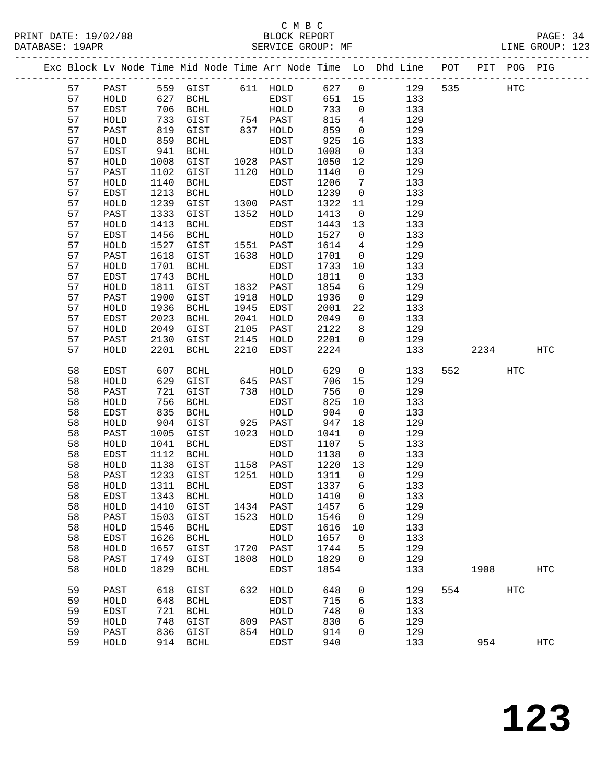# C M B C<br>BLOCK REPORT

| PRINT DATE: 19/02/08<br>DATABASE: 19APR |                                                                                | BLOCK REPORT<br>SERVICE GROUP: MF |  | PAGE: 34<br>LINE GROUP: 123 |  |
|-----------------------------------------|--------------------------------------------------------------------------------|-----------------------------------|--|-----------------------------|--|
|                                         | Exc Block Lv Node Time Mid Node Time Arr Node Time Lo Dhd Line POT PIT POG PIG |                                   |  |                             |  |

|  |    |              |      |                       |      |           |      |                | Exc Block Lv Node Time Mid Node Time Arr Node Time Lo Dhd Line | POT | PIT  | POG PIG |                   |
|--|----|--------------|------|-----------------------|------|-----------|------|----------------|----------------------------------------------------------------|-----|------|---------|-------------------|
|  | 57 | PAST         |      | 559 GIST              |      | 611 HOLD  | 627  | $\overline{0}$ | 129                                                            | 535 |      | HTC     |                   |
|  | 57 | HOLD         | 627  | BCHL                  |      | EDST      | 651  | 15             | 133                                                            |     |      |         |                   |
|  | 57 | EDST         | 706  | $\operatorname{BCHL}$ |      | HOLD      | 733  | $\mathbf 0$    | 133                                                            |     |      |         |                   |
|  | 57 | HOLD         | 733  | GIST                  |      | 754 PAST  | 815  | 4              | 129                                                            |     |      |         |                   |
|  | 57 | PAST         | 819  | GIST                  | 837  | HOLD      | 859  | $\mathbf 0$    | 129                                                            |     |      |         |                   |
|  | 57 | HOLD         | 859  | <b>BCHL</b>           |      | EDST      | 925  | 16             | 133                                                            |     |      |         |                   |
|  | 57 | EDST         | 941  | $\operatorname{BCHL}$ |      | HOLD      | 1008 | $\mathsf{O}$   | 133                                                            |     |      |         |                   |
|  | 57 | HOLD         | 1008 | GIST                  | 1028 | PAST      | 1050 | 12             | 129                                                            |     |      |         |                   |
|  | 57 | PAST         | 1102 | GIST                  | 1120 | HOLD      | 1140 | 0              | 129                                                            |     |      |         |                   |
|  | 57 | HOLD         | 1140 | <b>BCHL</b>           |      | EDST      | 1206 | 7              | 133                                                            |     |      |         |                   |
|  | 57 | EDST         | 1213 | $\operatorname{BCHL}$ |      | HOLD      | 1239 | $\mathsf{O}$   | 133                                                            |     |      |         |                   |
|  | 57 | HOLD         | 1239 | GIST                  | 1300 | PAST      | 1322 | 11             | 129                                                            |     |      |         |                   |
|  | 57 | PAST         | 1333 | GIST                  | 1352 | HOLD      | 1413 | $\mathsf{O}$   | 129                                                            |     |      |         |                   |
|  | 57 | HOLD         | 1413 | $\operatorname{BCHL}$ |      | EDST      | 1443 | 13             | 133                                                            |     |      |         |                   |
|  | 57 | EDST         | 1456 | <b>BCHL</b>           |      | HOLD      | 1527 | $\mathbf 0$    | 133                                                            |     |      |         |                   |
|  | 57 | HOLD         | 1527 | GIST                  | 1551 | PAST      | 1614 | 4              | 129                                                            |     |      |         |                   |
|  | 57 | PAST         | 1618 | GIST                  | 1638 | HOLD      | 1701 | 0              | 129                                                            |     |      |         |                   |
|  | 57 | HOLD         | 1701 | <b>BCHL</b>           |      | EDST      | 1733 | 10             | 133                                                            |     |      |         |                   |
|  | 57 | EDST         | 1743 | $\operatorname{BCHL}$ |      | HOLD      | 1811 | $\mathbf 0$    | 133                                                            |     |      |         |                   |
|  | 57 | HOLD         | 1811 | GIST                  | 1832 | PAST      | 1854 | 6              | 129                                                            |     |      |         |                   |
|  | 57 | PAST         | 1900 | GIST                  | 1918 | HOLD      | 1936 | 0              | 129                                                            |     |      |         |                   |
|  | 57 | HOLD         | 1936 | $\operatorname{BCHL}$ | 1945 | EDST      | 2001 | 22             | 133                                                            |     |      |         |                   |
|  | 57 | EDST         | 2023 | <b>BCHL</b>           | 2041 | HOLD      | 2049 | $\mathbf 0$    | 133                                                            |     |      |         |                   |
|  | 57 | ${\tt HOLD}$ | 2049 | GIST                  | 2105 | PAST      | 2122 | 8              | 129                                                            |     |      |         |                   |
|  | 57 | PAST         | 2130 | GIST                  | 2145 | HOLD      | 2201 | 0              | 129                                                            |     |      |         |                   |
|  | 57 | HOLD         | 2201 | <b>BCHL</b>           | 2210 | EDST      | 2224 |                | 133                                                            |     | 2234 |         | $_{\mathrm{HTC}}$ |
|  |    |              |      |                       |      |           |      |                |                                                                |     |      |         |                   |
|  | 58 | EDST         | 607  | $\operatorname{BCHL}$ |      | HOLD      | 629  | $\mathbf 0$    | 133                                                            | 552 |      | HTC     |                   |
|  | 58 | HOLD         | 629  | GIST                  | 645  | PAST      | 706  | 15             | 129                                                            |     |      |         |                   |
|  | 58 | PAST         | 721  | GIST                  | 738  | HOLD      | 756  | $\mathbf 0$    | 129                                                            |     |      |         |                   |
|  | 58 | HOLD         | 756  | <b>BCHL</b>           |      | EDST      | 825  | 10             | 133                                                            |     |      |         |                   |
|  | 58 | EDST         | 835  | $\operatorname{BCHL}$ |      | HOLD      | 904  | $\mathsf{O}$   | 133                                                            |     |      |         |                   |
|  | 58 | HOLD         | 904  | GIST                  | 925  | PAST      | 947  | 18             | 129                                                            |     |      |         |                   |
|  | 58 | PAST         | 1005 | GIST                  | 1023 | HOLD      | 1041 | 0              | 129                                                            |     |      |         |                   |
|  | 58 | HOLD         | 1041 | <b>BCHL</b>           |      | EDST      | 1107 | 5              | 133                                                            |     |      |         |                   |
|  | 58 | EDST         | 1112 | $\operatorname{BCHL}$ |      | HOLD      | 1138 | $\mathbf 0$    | 133                                                            |     |      |         |                   |
|  | 58 | HOLD         | 1138 | GIST                  | 1158 | PAST      | 1220 | 13             | 129                                                            |     |      |         |                   |
|  | 58 | PAST         | 1233 | GIST                  | 1251 | HOLD      | 1311 | 0              | 129                                                            |     |      |         |                   |
|  | 58 | HOLD         | 1311 | BCHL                  |      | EDST      | 1337 | 6              | 133                                                            |     |      |         |                   |
|  | 58 | EDST         | 1343 | <b>BCHL</b>           |      | HOLD      | 1410 | $\mathbf 0$    | 133                                                            |     |      |         |                   |
|  | 58 | HOLD         |      | 1410 GIST             |      | 1434 PAST | 1457 | 6              | 129                                                            |     |      |         |                   |
|  | 58 | PAST         | 1503 | GIST                  |      | 1523 HOLD | 1546 | $\mathbf 0$    | 129                                                            |     |      |         |                   |
|  | 58 | HOLD         | 1546 | BCHL                  |      | EDST      | 1616 | 10             | 133                                                            |     |      |         |                   |
|  | 58 | EDST         | 1626 | BCHL                  |      | HOLD      | 1657 | $\mathbf 0$    | 133                                                            |     |      |         |                   |
|  | 58 | HOLD         | 1657 | GIST                  |      | 1720 PAST | 1744 | 5              | 129                                                            |     |      |         |                   |
|  | 58 | PAST         | 1749 | GIST                  | 1808 | HOLD      | 1829 | 0              | 129                                                            |     |      |         |                   |
|  | 58 | HOLD         | 1829 | BCHL                  |      | EDST      | 1854 |                | 133                                                            |     | 1908 |         | $_{\mathrm{HTC}}$ |
|  | 59 | PAST         | 618  | GIST                  |      | 632 HOLD  | 648  | 0              | 129                                                            | 554 |      | HTC     |                   |
|  | 59 | HOLD         | 648  | BCHL                  |      | EDST      | 715  | 6              | 133                                                            |     |      |         |                   |
|  | 59 | EDST         | 721  | BCHL                  |      | HOLD      | 748  | 0              | 133                                                            |     |      |         |                   |
|  | 59 | HOLD         | 748  | GIST                  |      | 809 PAST  | 830  | 6              | 129                                                            |     |      |         |                   |
|  | 59 | PAST         | 836  | GIST                  |      | 854 HOLD  | 914  | 0              | 129                                                            |     |      |         |                   |
|  | 59 | HOLD         |      | 914 BCHL              |      | EDST      | 940  |                | 133                                                            |     | 954  |         | $_{\mathrm{HTC}}$ |
|  |    |              |      |                       |      |           |      |                |                                                                |     |      |         |                   |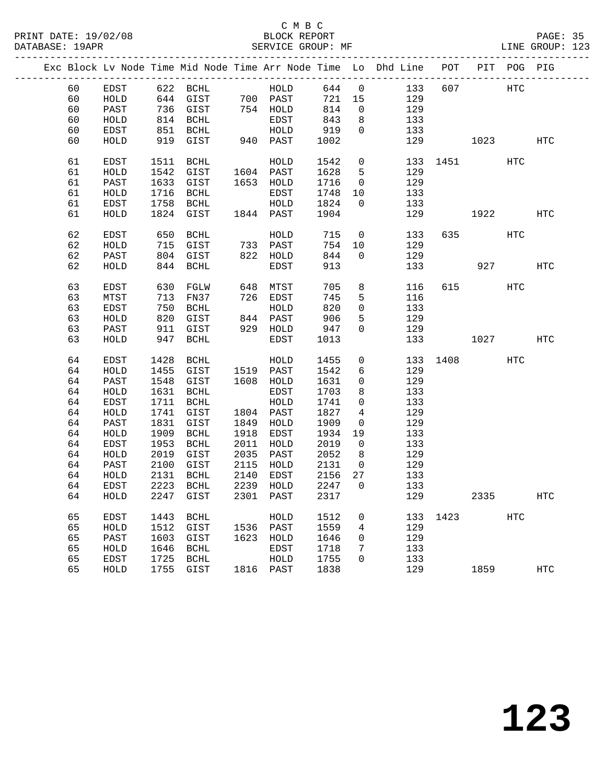PRINT DATE: 19/02/08 BLOCK REPORT BATABASE: 19APR BEST SERVICE GROUP: MF

## C M B C<br>BLOCK REPORT

PAGE: 35<br>LINE GROUP: 123

|  |    |              |              |              |      |                        |        |                | Exc Block Lv Node Time Mid Node Time Arr Node Time Lo Dhd Line POT PIT POG PIG |          |            |     |     |
|--|----|--------------|--------------|--------------|------|------------------------|--------|----------------|--------------------------------------------------------------------------------|----------|------------|-----|-----|
|  | 60 | EDST         |              |              |      |                        | 644 0  |                | 133                                                                            | 607      | <b>HTC</b> |     |     |
|  | 60 | HOLD         |              |              |      |                        | 721 15 |                | 129                                                                            |          |            |     |     |
|  | 60 | PAST         |              | 736 GIST     |      | 754 HOLD               | 814    | $\overline{0}$ | 129                                                                            |          |            |     |     |
|  | 60 | HOLD         |              | 814 BCHL     |      | EDST                   | 843    | 8              | 133                                                                            |          |            |     |     |
|  | 60 | EDST         | 851          | BCHL         |      | HOLD                   | 919    | $\mathbf{0}$   | 133                                                                            |          |            |     |     |
|  | 60 | HOLD         |              | 919 GIST     |      | $940$ PAST             | 1002   |                | 129                                                                            |          | 1023       |     | HTC |
|  | 61 | EDST         | 1511         | BCHL         |      | HOLD                   | 1542   | $\mathsf{O}$   |                                                                                | 133 1451 |            | HTC |     |
|  | 61 | HOLD         | 1542         | GIST         |      |                        | 1628   | $5^{\circ}$    | 129                                                                            |          |            |     |     |
|  | 61 | PAST         | 1633         | GIST         |      | 1604 PAST<br>1653 HOLD | 1716   | $\overline{0}$ | 129                                                                            |          |            |     |     |
|  | 61 | HOLD         | 1716         | BCHL         |      | EDST                   | 1748   | 10             | 133                                                                            |          |            |     |     |
|  | 61 | EDST         | 1758         | BCHL         |      | HOLD                   | 1824   | $\overline{0}$ | 133                                                                            |          |            |     |     |
|  | 61 | HOLD         |              | 1824 GIST    |      | 1844 PAST              | 1904   |                | 129                                                                            |          | 1922       |     | HTC |
|  |    |              |              |              |      |                        |        |                |                                                                                |          |            |     |     |
|  | 62 | EDST         | 650          | BCHL         |      | HOLD                   | 715    | $\overline{0}$ | 133                                                                            |          | 635 000    | HTC |     |
|  | 62 | HOLD         |              | 715 GIST     |      | 733 PAST               | 754    | 10             | 129                                                                            |          |            |     |     |
|  | 62 | PAST         |              | 804 GIST     |      | 822 HOLD               | 844    | $\overline{0}$ | 129                                                                            |          |            |     |     |
|  | 62 | HOLD         |              | 844 BCHL     |      | EDST                   | 913    |                | 133                                                                            |          | 927 — 100  |     | HTC |
|  | 63 | EDST         | 630          | FGLW         |      | 648 MTST               | 705    | 8              | 116                                                                            |          | 615 — 10   | HTC |     |
|  | 63 | MTST         | 713          | FN37         |      | 726 EDST               | 745    | 5              | 116                                                                            |          |            |     |     |
|  | 63 | EDST         | 750          | BCHL         |      | HOLD                   | 820    | $\mathbf 0$    | 133                                                                            |          |            |     |     |
|  | 63 | HOLD         | 820          | GIST         |      | 844 PAST               | 906    | 5              | 129                                                                            |          |            |     |     |
|  | 63 | PAST         | 911          | GIST         |      | 929 HOLD               | 947    | $\Omega$       | 129                                                                            |          |            |     |     |
|  | 63 | HOLD         | 947          | BCHL         |      | EDST                   | 1013   |                |                                                                                | 133      | 1027       |     | HTC |
|  | 64 | EDST         | 1428         | BCHL         |      | HOLD                   | 1455   | $\overline{0}$ |                                                                                | 133 1408 |            | HTC |     |
|  | 64 | HOLD         | 1455         | GIST         |      | 1519 PAST              | 1542   | 6              | 129                                                                            |          |            |     |     |
|  | 64 | PAST         | 1548         | GIST         |      | 1608 HOLD              | 1631   | $\mathbf 0$    | 129                                                                            |          |            |     |     |
|  | 64 | HOLD         | 1631         | BCHL         |      | EDST                   | 1703   | 8              | 133                                                                            |          |            |     |     |
|  | 64 | EDST         | 1711         | BCHL         |      | ${\tt HOLD}$           | 1741   | $\mathsf{O}$   | 133                                                                            |          |            |     |     |
|  | 64 | HOLD         | 1741         | GIST         |      | 1804 PAST              | 1827   | $\overline{4}$ | 129                                                                            |          |            |     |     |
|  | 64 | PAST         | 1831         | GIST         | 1849 | HOLD                   | 1909   | $\overline{0}$ | 129                                                                            |          |            |     |     |
|  | 64 | HOLD         | 1909         | BCHL         | 1918 | EDST                   | 1934   | 19             | 133                                                                            |          |            |     |     |
|  | 64 | EDST         | 1953         | BCHL         | 2011 | HOLD                   | 2019   | $\overline{0}$ | 133                                                                            |          |            |     |     |
|  | 64 | HOLD         | 2019         | GIST         | 2035 | PAST                   | 2052   | 8 <sup>8</sup> | 129                                                                            |          |            |     |     |
|  | 64 | PAST         | 2100         | GIST         | 2115 | HOLD                   | 2131   | $\overline{0}$ | 129                                                                            |          |            |     |     |
|  | 64 | HOLD         | 2131         | BCHL         | 2140 | EDST                   | 2156   | 27             | 133                                                                            |          |            |     |     |
|  | 64 | EDST         |              | 2223 BCHL    |      | 2239 HOLD              | 2247   | $\overline{0}$ | 133                                                                            |          |            |     |     |
|  |    | 64 HOLD      |              |              |      |                        |        |                | 2247 GIST 2301 PAST 2317 129                                                   |          | 2335       |     | HTC |
|  | 65 | EDST         | 1443         | BCHL         |      | HOLD                   | 1512   | $\mathbf 0$    | 133                                                                            | 1423     |            | HTC |     |
|  | 65 | HOLD         | 1512         | GIST         |      | 1536 PAST              | 1559   | 4              | 129                                                                            |          |            |     |     |
|  | 65 | PAST         | 1603         | GIST         | 1623 | HOLD                   | 1646   | 0              | 129                                                                            |          |            |     |     |
|  | 65 | HOLD         | 1646         | BCHL         |      | EDST                   | 1718   | 7              | 133                                                                            |          |            |     |     |
|  | 65 |              |              |              |      |                        | 1755   | 0              | 133                                                                            |          |            |     |     |
|  | 65 | EDST<br>HOLD | 1725<br>1755 | BCHL<br>GIST |      | HOLD<br>1816 PAST      | 1838   |                | 129                                                                            |          | 1859       |     | HTC |
|  |    |              |              |              |      |                        |        |                |                                                                                |          |            |     |     |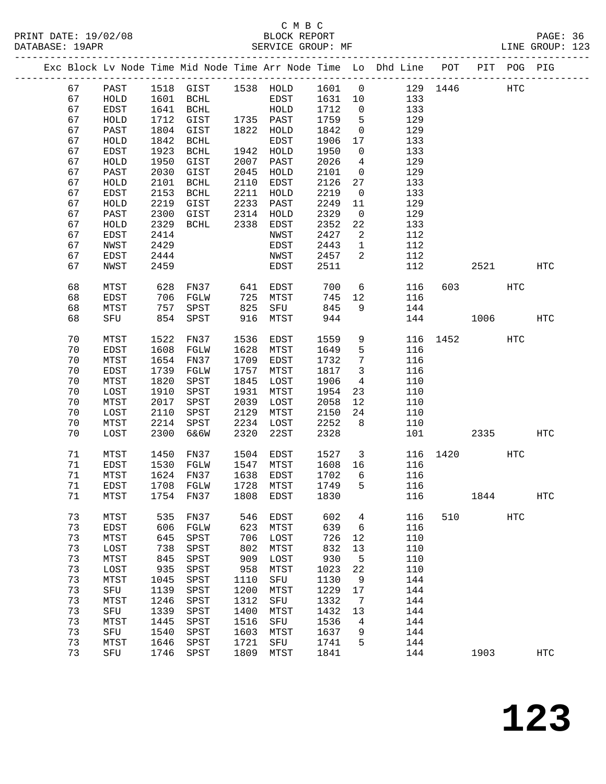PRINT DATE: 19/02/08 BLOCK REPORT PAGE: 36 DATABASE: 19APR

## C M B C<br>BLOCK REPORT

|  | DAIABASE · IYAPR |            |      |                  |      | SEKVICE GKOUP. MF |             |                |                                                                |      |     |     | TIME GKOUL. ISS |  |
|--|------------------|------------|------|------------------|------|-------------------|-------------|----------------|----------------------------------------------------------------|------|-----|-----|-----------------|--|
|  |                  |            |      |                  |      |                   |             |                | Exc Block Ly Node Time Mid Node Time Arr Node Time Lo Dhd Line | POT  | PIT |     | POG PIG         |  |
|  | 67               | PAST       | 1518 | GIST             | 1538 | HOLD              | 1601        | $\Box$         | 129                                                            | 1446 |     | HTC |                 |  |
|  | 67               | HOLD       | 1601 | BCHL             |      | EDST              | 1631 10     |                | 133                                                            |      |     |     |                 |  |
|  | 67               | EDST       | 1641 | BCHL             |      | HOLD              | 1712        | <u>ິດ</u>      | 133                                                            |      |     |     |                 |  |
|  | 67               | HOLD       | 1712 | GIST             | 1735 | PAST              | 1759        | 5              | 129                                                            |      |     |     |                 |  |
|  | 67               | PAST       | 1804 | GIST             | 1822 | HOLD              | 1842        | $\overline{0}$ | 129                                                            |      |     |     |                 |  |
|  | 67               | $U \cap T$ |      | $1912$ $D$ $TIT$ |      | חסתים             | $1006$ $17$ |                | $122$                                                          |      |     |     |                 |  |

| $\cup$ $\prime$ | ⊥பபப⊥        | ᆂᇦᆓ  | سىتاب                 |      | 11 U U U | <b>+1+4</b> | ◡               | ر ر_⊥                 |     |          |     |              |  |
|-----------------|--------------|------|-----------------------|------|----------|-------------|-----------------|-----------------------|-----|----------|-----|--------------|--|
| 67              | HOLD         | 1712 | GIST                  | 1735 | PAST     | 1759        | 5               | 129                   |     |          |     |              |  |
| 67              | PAST         | 1804 | GIST                  | 1822 | HOLD     | 1842        | $\overline{0}$  | 129                   |     |          |     |              |  |
| 67              | HOLD         | 1842 | $\operatorname{BCHL}$ |      | EDST     | 1906        | 17              | 133                   |     |          |     |              |  |
|                 |              |      |                       |      |          |             |                 |                       |     |          |     |              |  |
| 67              | EDST         | 1923 | BCHL                  | 1942 | HOLD     | 1950        | $\overline{0}$  | 133                   |     |          |     |              |  |
| 67              | HOLD         | 1950 | GIST                  | 2007 | PAST     | 2026        | $\overline{4}$  | 129                   |     |          |     |              |  |
| 67              | PAST         | 2030 | GIST                  | 2045 | HOLD     | 2101        | $\overline{0}$  | 129                   |     |          |     |              |  |
| 67              | ${\tt HOLD}$ | 2101 | BCHL                  | 2110 | EDST     | 2126        | 27              | 133                   |     |          |     |              |  |
| 67              | EDST         | 2153 | BCHL                  | 2211 | HOLD     | 2219        | $\overline{0}$  | 133                   |     |          |     |              |  |
| 67              | HOLD         | 2219 | GIST                  | 2233 | PAST     | 2249        | 11              | 129                   |     |          |     |              |  |
| 67              | PAST         | 2300 | GIST                  | 2314 | HOLD     | 2329        | $\overline{0}$  | 129                   |     |          |     |              |  |
|                 |              |      |                       |      |          |             |                 |                       |     |          |     |              |  |
| 67              | HOLD         | 2329 | BCHL                  | 2338 | EDST     | 2352        | 22              | 133                   |     |          |     |              |  |
| 67              | EDST         | 2414 |                       |      | NWST     | 2427        | $\overline{a}$  | 112                   |     |          |     |              |  |
| 67              | NWST         | 2429 |                       |      | EDST     | 2443        | $\mathbf{1}$    | 112                   |     |          |     |              |  |
| 67              | EDST         | 2444 |                       |      | NWST     | 2457        | $\overline{a}$  | 112                   |     |          |     |              |  |
| 67              | NWST         | 2459 |                       |      | EDST     | 2511        |                 | 112                   |     | 2521     |     | <b>HTC</b>   |  |
|                 |              |      |                       |      |          |             |                 |                       |     |          |     |              |  |
| 68              | MTST         | 628  | <b>FN37</b>           | 641  | EDST     | 700         |                 | $6\overline{}$<br>116 | 603 |          | HTC |              |  |
| 68              | EDST         | 706  | FGLW                  | 725  | MTST     | 745         | 12              | 116                   |     |          |     |              |  |
| 68              | MTST         | 757  | SPST                  | 825  | SFU      | 845         | 9               | 144                   |     |          |     |              |  |
|                 |              |      |                       |      |          |             |                 |                       |     |          |     |              |  |
| 68              | SFU          | 854  | SPST                  | 916  | MTST     | 944         |                 | 144                   |     | 1006     |     | <b>HTC</b>   |  |
|                 |              |      |                       |      |          |             |                 |                       |     |          |     |              |  |
| 70              | MTST         | 1522 | FN37                  | 1536 | EDST     | 1559        | 9               | 116                   |     | 1452     | HTC |              |  |
| 70              | EDST         | 1608 | FGLW                  | 1628 | MTST     | 1649        | 5               | 116                   |     |          |     |              |  |
| 70              | MTST         | 1654 | FN37                  | 1709 | EDST     | 1732        | $7\phantom{.0}$ | 116                   |     |          |     |              |  |
| 70              | EDST         | 1739 | FGLW                  | 1757 | MTST     | 1817        | $\mathbf{3}$    | 116                   |     |          |     |              |  |
| 70              | MTST         | 1820 | SPST                  | 1845 | LOST     | 1906        | $4\overline{ }$ | 110                   |     |          |     |              |  |
| 70              | LOST         | 1910 | SPST                  | 1931 | MTST     | 1954        | 23              | 110                   |     |          |     |              |  |
| 70              | MTST         | 2017 | SPST                  | 2039 | LOST     | 2058        | 12              | 110                   |     |          |     |              |  |
| 70              | LOST         | 2110 | SPST                  | 2129 | MTST     | 2150        | 24              | 110                   |     |          |     |              |  |
|                 |              |      |                       | 2234 |          |             |                 |                       |     |          |     |              |  |
| 70              | MTST         | 2214 | SPST                  |      | LOST     | 2252        | 8 <sup>8</sup>  | 110                   |     |          |     |              |  |
| 70              | LOST         | 2300 | 6&6W                  | 2320 | 22ST     | 2328        |                 | 101                   |     | 2335     |     | <b>HTC</b>   |  |
|                 |              |      |                       |      |          |             |                 |                       |     |          |     |              |  |
| 71              | MTST         | 1450 | FN37                  | 1504 | EDST     | 1527        |                 | 3 <sup>1</sup><br>116 |     | 1420 HTC |     |              |  |
| 71              | EDST         | 1530 | FGLW                  | 1547 | MTST     | 1608        | 16              | 116                   |     |          |     |              |  |
| 71              | MTST         | 1624 | FN37                  | 1638 | EDST     | 1702        | 6               | 116                   |     |          |     |              |  |
| 71              | EDST         | 1708 | FGLW                  | 1728 | MTST     | 1749        | 5               | 116                   |     |          |     |              |  |
| 71              | MTST         | 1754 | FN37                  | 1808 | EDST     | 1830        |                 | 116                   |     | 1844     |     | $_{\rm HTC}$ |  |
|                 |              |      |                       |      |          |             |                 |                       |     |          |     |              |  |
| 73              | MTST         | 535  | FN37                  | 546  | EDST     | 602         | $\overline{4}$  | 116                   | 510 |          | HTC |              |  |
| 73              | EDST         | 606  | FGLW                  | 623  | MTST     | 639         | $6\overline{6}$ | 116                   |     |          |     |              |  |
| 73              | MTST         | 645  | SPST                  | 706  | LOST     | 726         | 12              | 110                   |     |          |     |              |  |
| 73              |              |      | 738 SPST              |      |          |             |                 |                       |     |          |     |              |  |
|                 | LOST         |      |                       | 802  | MTST     | 832         | 13              | 110                   |     |          |     |              |  |
| 73              | MTST         | 845  | SPST                  | 909  | LOST     | 930         | 5               | 110                   |     |          |     |              |  |
| 73              | LOST         | 935  | SPST                  | 958  | MTST     | 1023        | 22              | 110                   |     |          |     |              |  |
| 73              | MTST         | 1045 | SPST                  | 1110 | SFU      | 1130        | 9               | 144                   |     |          |     |              |  |
| 73              | SFU          | 1139 | SPST                  | 1200 | MTST     | 1229        | $17$            | 144                   |     |          |     |              |  |
| 73              | MTST         | 1246 | SPST                  | 1312 | SFU      | 1332        | 7               | 144                   |     |          |     |              |  |
| 73              | SFU          | 1339 | SPST                  | 1400 | MTST     | 1432        | 13              | 144                   |     |          |     |              |  |
| 73              | MTST         | 1445 | SPST                  | 1516 | SFU      | 1536        | 4               | 144                   |     |          |     |              |  |
| 73              |              | 1540 |                       | 1603 |          | 1637        |                 | 144                   |     |          |     |              |  |
|                 | SFU          |      | SPST                  |      | MTST     |             | 9               |                       |     |          |     |              |  |
| 73              | MTST         | 1646 | SPST                  | 1721 | SFU      | 1741        | 5               | 144                   |     |          |     |              |  |
| 73              | SFU          | 1746 | SPST                  | 1809 | MTST     | 1841        |                 | 144                   |     | 1903     |     | <b>HTC</b>   |  |
|                 |              |      |                       |      |          |             |                 |                       |     |          |     |              |  |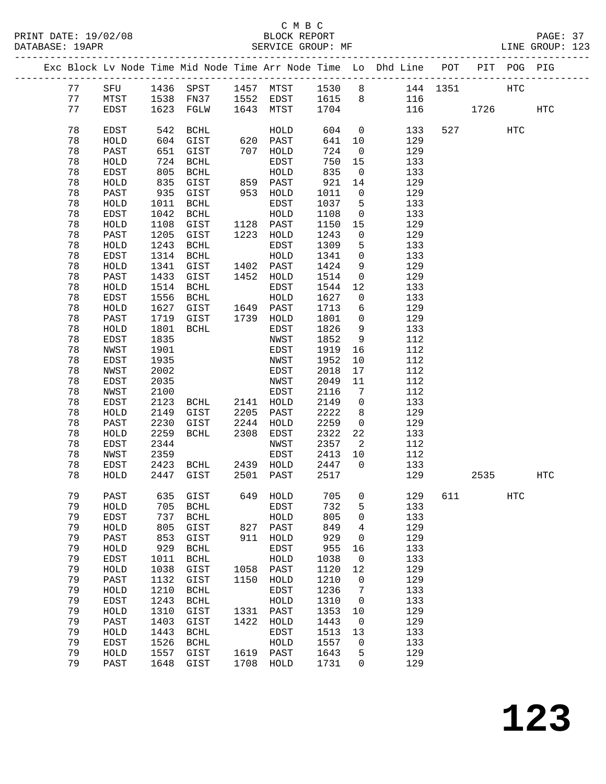PRINT DATE: 19/02/08 BLOCK REPORT BATABASE: 19APR

### C M B C<br>BLOCK REPORT

PAGE: 37<br>LINE GROUP: 123

|  |          |              |              |                       |              |                      |              |                      | Exc Block Lv Node Time Mid Node Time Arr Node Time Lo Dhd Line POT<br>_______________________________ |          |      | PIT POG PIG |            |
|--|----------|--------------|--------------|-----------------------|--------------|----------------------|--------------|----------------------|-------------------------------------------------------------------------------------------------------|----------|------|-------------|------------|
|  | 77       | SFU          |              | 1436 SPST             |              | 1457 MTST            | 1530         | 8 <sup>8</sup>       |                                                                                                       | 144 1351 |      | <b>HTC</b>  |            |
|  | 77       | MTST         | 1538         | FN37                  |              | 1552 EDST            | 1615         | 8                    | 116                                                                                                   |          |      |             |            |
|  | 77       | EDST         | 1623         | FGLW                  | 1643         | MTST                 | 1704         |                      | 116                                                                                                   |          | 1726 |             | <b>HTC</b> |
|  |          |              |              |                       |              |                      |              |                      |                                                                                                       |          |      |             |            |
|  | 78       | EDST         | 542          | BCHL                  |              | HOLD                 | 604          | $\mathsf{O}$         | 133                                                                                                   | 527      |      | <b>HTC</b>  |            |
|  | 78       | HOLD         | 604          | GIST                  | 620          | PAST                 | 641          | 10                   | 129                                                                                                   |          |      |             |            |
|  | 78       | PAST         | 651          | GIST                  | 707          | ${\tt HOLD}$         | 724          | $\mathbf 0$          | 129                                                                                                   |          |      |             |            |
|  | 78       | HOLD         | 724          | $\operatorname{BCHL}$ |              | EDST                 | 750          | 15                   | 133                                                                                                   |          |      |             |            |
|  | 78       | EDST         | 805          | BCHL                  |              | HOLD                 | 835          | $\mathsf{O}$         | 133                                                                                                   |          |      |             |            |
|  | 78       | HOLD         | 835          | GIST                  | 859          | PAST                 | 921          | 14                   | 129                                                                                                   |          |      |             |            |
|  | 78       | PAST         | 935          | GIST                  | 953          | HOLD                 | 1011         | $\mathbf 0$          | 129                                                                                                   |          |      |             |            |
|  | 78       | HOLD         | 1011         | BCHL                  |              | EDST                 | 1037         | 5                    | 133                                                                                                   |          |      |             |            |
|  | 78       | EDST         | 1042         | BCHL                  |              | HOLD                 | 1108         | $\mathsf{O}$         | 133                                                                                                   |          |      |             |            |
|  | 78       | HOLD         | 1108         | GIST                  | 1128         | PAST                 | 1150         | 15                   | 129                                                                                                   |          |      |             |            |
|  | 78<br>78 | PAST<br>HOLD | 1205<br>1243 | GIST<br><b>BCHL</b>   | 1223         | HOLD<br>EDST         | 1243<br>1309 | 0<br>5               | 129<br>133                                                                                            |          |      |             |            |
|  | 78       | EDST         | 1314         | <b>BCHL</b>           |              | HOLD                 | 1341         | $\mathsf{O}$         | 133                                                                                                   |          |      |             |            |
|  | 78       | HOLD         | 1341         | GIST                  | 1402         | PAST                 | 1424         | 9                    | 129                                                                                                   |          |      |             |            |
|  | 78       | PAST         | 1433         | GIST                  | 1452         | HOLD                 | 1514         | 0                    | 129                                                                                                   |          |      |             |            |
|  | 78       | HOLD         | 1514         | BCHL                  |              | EDST                 | 1544         | 12                   | 133                                                                                                   |          |      |             |            |
|  | 78       | EDST         | 1556         | <b>BCHL</b>           |              | HOLD                 | 1627         | $\mathsf{O}$         | 133                                                                                                   |          |      |             |            |
|  | 78       | HOLD         | 1627         | GIST                  | 1649         | PAST                 | 1713         | 6                    | 129                                                                                                   |          |      |             |            |
|  | 78       | PAST         | 1719         | GIST                  | 1739         | HOLD                 | 1801         | 0                    | 129                                                                                                   |          |      |             |            |
|  | 78       | HOLD         | 1801         | BCHL                  |              | EDST                 | 1826         | 9                    | 133                                                                                                   |          |      |             |            |
|  | 78       | EDST         | 1835         |                       |              | NWST                 | 1852         | 9                    | 112                                                                                                   |          |      |             |            |
|  | 78       | NWST         | 1901         |                       |              | EDST                 | 1919         | 16                   | 112                                                                                                   |          |      |             |            |
|  | 78       | EDST         | 1935         |                       |              | NWST                 | 1952         | 10                   | 112                                                                                                   |          |      |             |            |
|  | 78       | NWST         | 2002         |                       |              | EDST                 | 2018         | 17                   | 112                                                                                                   |          |      |             |            |
|  | 78       | EDST         | 2035         |                       |              | NWST                 | 2049         | 11                   | 112                                                                                                   |          |      |             |            |
|  | 78       | NWST         | 2100         |                       |              | EDST                 | 2116         | 7                    | 112                                                                                                   |          |      |             |            |
|  | 78       | EDST         | 2123         | BCHL                  | 2141         | HOLD                 | 2149         | $\mathsf{O}$         | 133                                                                                                   |          |      |             |            |
|  | 78       | HOLD         | 2149         | GIST                  | 2205         | PAST                 | 2222         | 8                    | 129                                                                                                   |          |      |             |            |
|  | 78       | PAST         | 2230         | GIST                  | 2244         | HOLD                 | 2259         | $\mathsf{O}$         | 129                                                                                                   |          |      |             |            |
|  | 78<br>78 | HOLD<br>EDST | 2259<br>2344 | BCHL                  | 2308         | EDST<br>NWST         | 2322<br>2357 | 22<br>$\overline{2}$ | 133<br>112                                                                                            |          |      |             |            |
|  | 78       | NWST         | 2359         |                       |              | EDST                 | 2413         | 10                   | 112                                                                                                   |          |      |             |            |
|  | 78       | EDST         | 2423         | BCHL                  |              | 2439 HOLD            | 2447         | $\overline{0}$       | 133                                                                                                   |          |      |             |            |
|  | 78       | HOLD         | 2447         | GIST                  | 2501         | PAST                 | 2517         |                      | 129                                                                                                   |          | 2535 |             | HTC        |
|  |          |              |              |                       |              |                      |              |                      |                                                                                                       |          |      |             |            |
|  | 79       | PAST         | 635          | GIST                  | 649          | HOLD                 | 705          | 0                    | 129                                                                                                   | 611      |      | HTC         |            |
|  | 79       | HOLD         | 705          | <b>BCHL</b>           |              | EDST                 | 732          | 5                    | 133                                                                                                   |          |      |             |            |
|  | 79       | EDST         | 737          | <b>BCHL</b>           |              | HOLD                 | 805          | 0                    | 133                                                                                                   |          |      |             |            |
|  | 79       | HOLD         | 805          | GIST                  | 827          | $\texttt{PAST}$      | 849          | 4                    | 129                                                                                                   |          |      |             |            |
|  | 79       | PAST         | 853          | GIST                  | 911          | HOLD                 | 929          | 0                    | 129                                                                                                   |          |      |             |            |
|  | 79       | HOLD         | 929          | <b>BCHL</b>           |              | EDST                 | 955          | 16                   | 133                                                                                                   |          |      |             |            |
|  | 79       | EDST         | 1011         | $\operatorname{BCHL}$ |              | ${\tt HOLD}$         | 1038         | 0                    | 133                                                                                                   |          |      |             |            |
|  | 79       | ${\tt HOLD}$ | 1038         | GIST                  | 1058         | PAST                 | 1120         | 12                   | 129                                                                                                   |          |      |             |            |
|  | 79       | PAST         | 1132         | GIST                  | 1150         | HOLD                 | 1210         | 0                    | 129                                                                                                   |          |      |             |            |
|  | 79       | HOLD         | 1210         | <b>BCHL</b>           |              | EDST                 | 1236         | 7                    | 133                                                                                                   |          |      |             |            |
|  | 79       | EDST         | 1243         | <b>BCHL</b>           |              | HOLD                 | 1310         | 0                    | 133                                                                                                   |          |      |             |            |
|  | 79<br>79 | HOLD         | 1310<br>1403 | GIST                  | 1331<br>1422 | PAST<br>${\tt HOLD}$ | 1353<br>1443 | 10                   | 129<br>129                                                                                            |          |      |             |            |
|  | 79       | PAST<br>HOLD | 1443         | GIST<br><b>BCHL</b>   |              | EDST                 | 1513         | 0<br>13              | 133                                                                                                   |          |      |             |            |
|  | 79       | EDST         | 1526         | <b>BCHL</b>           |              | HOLD                 | 1557         | 0                    | 133                                                                                                   |          |      |             |            |
|  | 79       | HOLD         | 1557         | GIST                  | 1619         | PAST                 | 1643         | 5                    | 129                                                                                                   |          |      |             |            |
|  | 79       | PAST         | 1648         | GIST                  | 1708         | HOLD                 | 1731         | 0                    | 129                                                                                                   |          |      |             |            |
|  |          |              |              |                       |              |                      |              |                      |                                                                                                       |          |      |             |            |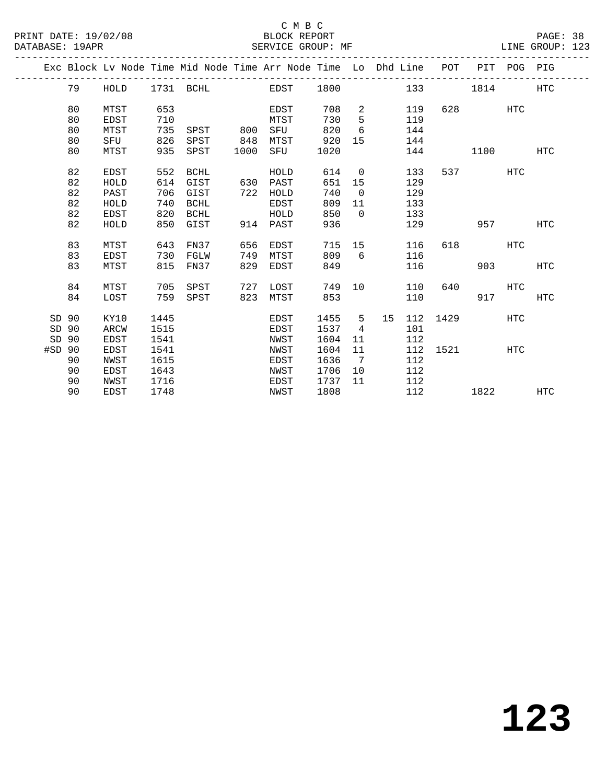|        |    |             |      |             |      | Exc Block Lv Node Time Mid Node Time Arr Node Time Lo Dhd Line POT |      |                |    |     |      | PIT POG PIG |            |            |
|--------|----|-------------|------|-------------|------|--------------------------------------------------------------------|------|----------------|----|-----|------|-------------|------------|------------|
|        | 79 | HOLD        |      |             |      | 1731 BCHL EDST                                                     | 1800 |                |    | 133 |      | 1814        |            | <b>HTC</b> |
|        | 80 | MTST        | 653  |             |      | EDST                                                               | 708  | 2              |    | 119 | 628  |             | <b>HTC</b> |            |
|        | 80 | <b>EDST</b> | 710  |             |      | MTST                                                               | 730  | 5              |    | 119 |      |             |            |            |
|        | 80 | MTST        | 735  | SPST        | 800  | SFU                                                                | 820  | 6              |    | 144 |      |             |            |            |
|        | 80 | SFU         | 826  | SPST        | 848  | MTST                                                               | 920  | 15             |    | 144 |      |             |            |            |
|        | 80 | MTST        | 935  | SPST        | 1000 | SFU                                                                | 1020 |                |    | 144 |      | 1100        |            | HTC        |
|        | 82 | <b>EDST</b> | 552  | <b>BCHL</b> |      | HOLD                                                               | 614  | $\overline{0}$ |    | 133 | 537  |             | HTC        |            |
|        | 82 | HOLD        | 614  | GIST        | 630  | PAST                                                               | 651  | 15             |    | 129 |      |             |            |            |
|        | 82 | PAST        | 706  | GIST        | 722  | HOLD                                                               | 740  | $\overline{0}$ |    | 129 |      |             |            |            |
|        | 82 | HOLD        | 740  | <b>BCHL</b> |      | EDST                                                               | 809  | 11             |    | 133 |      |             |            |            |
|        | 82 | <b>EDST</b> | 820  | BCHL        |      | HOLD                                                               | 850  | $\Omega$       |    | 133 |      |             |            |            |
|        | 82 | HOLD        | 850  | GIST        | 914  | PAST                                                               | 936  |                |    | 129 |      | 957         |            | <b>HTC</b> |
|        | 83 | MTST        | 643  | FN37        | 656  | EDST                                                               | 715  | 15             |    | 116 | 618  |             | HTC        |            |
|        | 83 | <b>EDST</b> | 730  | FGLW        | 749  | MTST                                                               | 809  | 6              |    | 116 |      |             |            |            |
|        | 83 | MTST        | 815  | FN37        | 829  | <b>EDST</b>                                                        | 849  |                |    | 116 |      | 903         |            | <b>HTC</b> |
|        | 84 | MTST        | 705  | SPST        | 727  | LOST                                                               | 749  | 10             |    | 110 | 640  |             | <b>HTC</b> |            |
|        | 84 | LOST        | 759  | SPST        | 823  | MTST                                                               | 853  |                |    | 110 |      | 917         |            | HTC        |
| SD 90  |    | KY10        | 1445 |             |      | EDST                                                               | 1455 | 5              | 15 | 112 | 1429 |             | <b>HTC</b> |            |
| SD 90  |    | ARCW        | 1515 |             |      | EDST                                                               | 1537 | 4              |    | 101 |      |             |            |            |
| SD 90  |    | EDST        | 1541 |             |      | NWST                                                               | 1604 | 11             |    | 112 |      |             |            |            |
| #SD 90 |    | <b>EDST</b> | 1541 |             |      | NWST                                                               | 1604 | 11             |    | 112 | 1521 |             | HTC        |            |
|        | 90 | <b>NWST</b> | 1615 |             |      | EDST                                                               | 1636 | $\overline{7}$ |    | 112 |      |             |            |            |
|        | 90 | <b>EDST</b> | 1643 |             |      | NWST                                                               | 1706 | 10             |    | 112 |      |             |            |            |
|        | 90 | NWST        | 1716 |             |      | EDST                                                               | 1737 | 11             |    | 112 |      |             |            |            |
|        | 90 | <b>EDST</b> | 1748 |             |      | NWST                                                               | 1808 |                |    | 112 |      | 1822        |            | <b>HTC</b> |
|        |    |             |      |             |      |                                                                    |      |                |    |     |      |             |            |            |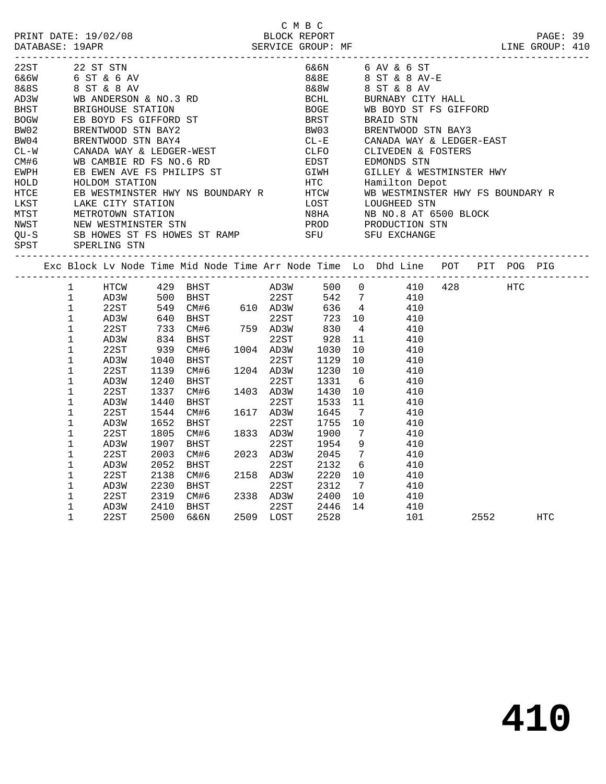|                  |                      |                                                |      |                                     |           | C M B C                   |                 |                                                                                                                                                                                                                                            |      | PAGE: 39<br>LINE GROUP: 410 |  |
|------------------|----------------------|------------------------------------------------|------|-------------------------------------|-----------|---------------------------|-----------------|--------------------------------------------------------------------------------------------------------------------------------------------------------------------------------------------------------------------------------------------|------|-----------------------------|--|
| 22ST             | 22 ST STN            |                                                |      |                                     |           |                           |                 | 6&6N 6 AV & 6 ST                                                                                                                                                                                                                           |      |                             |  |
| 6&6W 6 ST & 6 AV |                      |                                                |      |                                     |           |                           |                 | 8&8E 8 ST & 8 AV-E                                                                                                                                                                                                                         |      |                             |  |
|                  |                      |                                                |      |                                     |           |                           |                 | 8&8W 8 ST & 8 AV<br>BCHL BURNABY CITY                                                                                                                                                                                                      |      |                             |  |
|                  |                      |                                                |      |                                     |           |                           |                 | BURNABY CITY HALL                                                                                                                                                                                                                          |      |                             |  |
|                  |                      |                                                |      |                                     |           |                           |                 | BOGE WB BOYD ST.<br>BRST BRAID STN<br>WB BOYD ST FS GIFFORD                                                                                                                                                                                |      |                             |  |
|                  |                      |                                                |      |                                     |           |                           |                 |                                                                                                                                                                                                                                            |      |                             |  |
| BW02             |                      | BRENTWOOD STN BAY2                             |      |                                     |           |                           |                 |                                                                                                                                                                                                                                            |      |                             |  |
| BW04             |                      | BRENTWOOD STN BAY4                             |      |                                     |           | $CL-E$<br>$CLFO$          |                 | BW03 BRENTWOOD STN BAY3<br>CL-E CANADA WAY & LEDGER-EAST                                                                                                                                                                                   |      |                             |  |
| $CL - W$         |                      | CANADA WAY & LEDGER-WEST                       |      |                                     |           |                           |                 | CLIVEDEN & FOSTERS                                                                                                                                                                                                                         |      |                             |  |
| CM#6             |                      | WB CAMBIE RD FS NO.6 RD                        |      |                                     |           | EDST                      |                 | EDMONDS STN                                                                                                                                                                                                                                |      |                             |  |
| EWPH             |                      |                                                |      |                                     |           |                           |                 |                                                                                                                                                                                                                                            |      |                             |  |
| HOLD             |                      |                                                |      |                                     |           |                           |                 |                                                                                                                                                                                                                                            |      |                             |  |
| HTCE             |                      |                                                |      |                                     |           |                           |                 |                                                                                                                                                                                                                                            |      |                             |  |
| LKST             |                      |                                                |      |                                     |           |                           |                 |                                                                                                                                                                                                                                            |      |                             |  |
| MTST             |                      |                                                |      |                                     |           |                           |                 |                                                                                                                                                                                                                                            |      |                             |  |
| NWST             |                      |                                                |      |                                     |           |                           |                 |                                                                                                                                                                                                                                            |      |                             |  |
| QU-S             |                      |                                                |      |                                     |           |                           |                 | WE CAMBLE AT S NO. 0 AD EDSITED EVERY ARE STRINGED ON STATION<br>EB EWEN AVE FS PHILIPS ST<br>HOLDOM STATION HTC Hamilton Depot<br>EB WESTMINSTER HWY NS BOUNDARY R<br>ER WESTMINSTER HWY NS BOUNDARY R<br>HTC Hamilton Depot<br>HTC Hamil |      |                             |  |
| SPST             | SPERLING STN         |                                                |      |                                     |           |                           |                 |                                                                                                                                                                                                                                            |      |                             |  |
|                  |                      |                                                |      |                                     |           |                           |                 | Exc Block Lv Node Time Mid Node Time Arr Node Time Lo Dhd Line POT PIT POG PIG                                                                                                                                                             |      |                             |  |
|                  | $\mathbf{1}$         | HTCW 429 BHST AD3W                             |      |                                     |           |                           |                 | 500 0 410 428 HTC                                                                                                                                                                                                                          |      |                             |  |
|                  | $\mathbf 1$<br>AD3W  |                                                |      |                                     |           |                           |                 |                                                                                                                                                                                                                                            |      |                             |  |
|                  | $\mathbf{1}$<br>22ST |                                                |      |                                     |           |                           |                 |                                                                                                                                                                                                                                            |      |                             |  |
|                  | $\mathbf 1$<br>AD3W  | 640 BHST<br>733 CM#6 759 AD3W<br>834 BHST 22ST |      |                                     |           | 22ST 723 10<br>AD3W 830 4 |                 | 410                                                                                                                                                                                                                                        |      |                             |  |
|                  | 1<br>22ST            |                                                |      |                                     |           |                           | $4\overline{4}$ | 410                                                                                                                                                                                                                                        |      |                             |  |
|                  | 1<br>AD3W            |                                                |      |                                     |           | $928$ 11                  |                 | 410                                                                                                                                                                                                                                        |      |                             |  |
|                  | 1<br>22ST            | 939                                            |      | $CM#6$ 1004 AD3W                    |           | 1030<br>1129              | 10              | 410                                                                                                                                                                                                                                        |      |                             |  |
|                  | $\mathbf 1$<br>AD3W  | 1040                                           | BHST |                                     | 22ST      |                           | 1129 10         | 410                                                                                                                                                                                                                                        |      |                             |  |
|                  | 1<br>22ST            | 1139                                           | CM#6 |                                     | 1204 AD3W | 1230                      | 10              | 410                                                                                                                                                                                                                                        |      |                             |  |
|                  | $\mathbf 1$<br>AD3W  | 1240                                           | BHST |                                     | 22ST      | 1331                      | 6               | 410                                                                                                                                                                                                                                        |      |                             |  |
|                  | $\mathbf 1$<br>22ST  | 1337                                           | CM#6 |                                     | 1403 AD3W | 1430                      | 10              | 410                                                                                                                                                                                                                                        |      |                             |  |
|                  | 1<br>AD3W            | 1440                                           | BHST |                                     | 22ST      | 1533                      | 11              | 410                                                                                                                                                                                                                                        |      |                             |  |
|                  | 1<br>22ST            | 1544                                           | CM#6 |                                     | 1617 AD3W | 1645                      | $\overline{7}$  | 410                                                                                                                                                                                                                                        |      |                             |  |
|                  | 1<br>AD3W            | 1652                                           | BHST |                                     | 22ST      | 1755                      | 10              | 410                                                                                                                                                                                                                                        |      |                             |  |
|                  | 22ST<br>1            | 1805                                           | CM#6 |                                     | 1833 AD3W | 1900                      | $\overline{7}$  | 410                                                                                                                                                                                                                                        |      |                             |  |
|                  | 1<br>AD3W            | 1907                                           | BHST |                                     | 22ST      | 1954                      |                 | 9<br>410                                                                                                                                                                                                                                   |      |                             |  |
|                  | 1<br>22ST            | 2003                                           | CM#6 |                                     | 2023 AD3W | 2045                      | $7\overline{ }$ | 410                                                                                                                                                                                                                                        |      |                             |  |
|                  | 1<br>AD3W            | 2052                                           |      |                                     | 22ST      | 2132                      | 6               | 410                                                                                                                                                                                                                                        |      |                             |  |
|                  | $\mathbf 1$<br>22ST  | 2138                                           |      |                                     | 2158 AD3W |                           | 2220 10         | 410                                                                                                                                                                                                                                        |      |                             |  |
|                  | 1<br>AD3W            | 2230                                           |      |                                     |           | 2312                      | $\overline{7}$  | 410                                                                                                                                                                                                                                        |      |                             |  |
|                  | 22ST<br>1            | 2319                                           |      |                                     |           |                           | 2400 10         | 410                                                                                                                                                                                                                                        |      |                             |  |
|                  | 1<br>AD3W            | 2410                                           |      | BHST<br>CM#6 2338 AD3W<br>BHST 22ST |           |                           | 2446 14         | 410                                                                                                                                                                                                                                        |      |                             |  |
|                  | $\mathbf{1}$<br>22ST | 2500                                           | 6&6N |                                     | 2509 LOST | 2528                      |                 | 101                                                                                                                                                                                                                                        | 2552 | <b>HTC</b>                  |  |
|                  |                      |                                                |      |                                     |           |                           |                 |                                                                                                                                                                                                                                            |      |                             |  |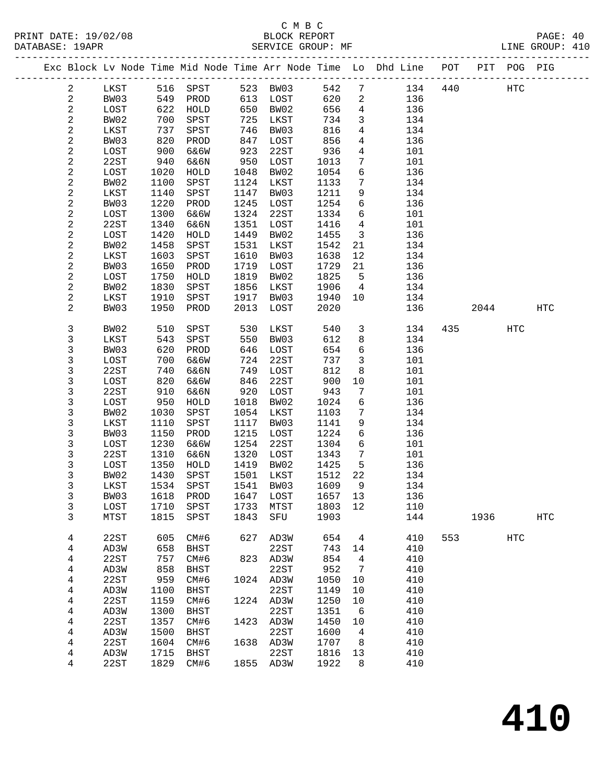|                         |              |              |              |              |              |              |                 | Exc Block Lv Node Time Mid Node Time Arr Node Time Lo Dhd Line POT |     |      | PIT POG PIG |            |
|-------------------------|--------------|--------------|--------------|--------------|--------------|--------------|-----------------|--------------------------------------------------------------------|-----|------|-------------|------------|
| $\overline{a}$          | LKST         |              | 516 SPST     |              | 523 BW03     | 542          | $7\overline{ }$ | 134                                                                | 440 |      | HTC         |            |
| $\sqrt{2}$              | BW03         | 549          | PROD         | 613          | LOST         | 620          | $\overline{a}$  | 136                                                                |     |      |             |            |
| $\sqrt{2}$              | LOST         | 622          | HOLD         | 650          | BW02         | 656          | $\overline{4}$  | 136                                                                |     |      |             |            |
| 2                       | BW02         | 700          | SPST         | 725          | LKST         | 734          | 3               | 134                                                                |     |      |             |            |
| $\sqrt{2}$              | LKST         | 737          | SPST         | 746          | BW03         | 816          | $\overline{4}$  | 134                                                                |     |      |             |            |
| 2                       | BW03         | 820          | PROD         | 847          | LOST         | 856          | $\overline{4}$  | 136                                                                |     |      |             |            |
| 2                       | LOST         | 900          | 6&6W         | 923          | 22ST         | 936          | 4               | 101                                                                |     |      |             |            |
| 2                       | 22ST         | 940          | 6&6N         | 950          | LOST         | 1013         | $7\phantom{.0}$ | 101                                                                |     |      |             |            |
| $\overline{c}$          | LOST         | 1020         | ${\tt HOLD}$ | 1048         | BW02         | 1054         | $\sqrt{6}$      | 136                                                                |     |      |             |            |
| $\overline{\mathbf{c}}$ | BW02         | 1100         | SPST         | 1124         | LKST         | 1133         | $7\phantom{.0}$ | 134                                                                |     |      |             |            |
| $\overline{\mathbf{c}}$ | LKST         | 1140         | SPST         | 1147         | BW03         | 1211         | 9               | 134                                                                |     |      |             |            |
| 2                       | BW03         | 1220         | PROD         | 1245         | LOST         | 1254         | 6               | 136                                                                |     |      |             |            |
| $\overline{\mathbf{c}}$ | LOST         | 1300         | 6&6W         | 1324         | 22ST         | 1334         | $\sqrt{6}$      | 101                                                                |     |      |             |            |
| $\overline{\mathbf{c}}$ | 22ST         | 1340         | 6&6N         | 1351         | LOST         | 1416         | $\overline{4}$  | 101                                                                |     |      |             |            |
| $\overline{\mathbf{c}}$ | LOST         | 1420         | HOLD         | 1449         | BW02         | 1455         | $\mathbf{3}$    | 136                                                                |     |      |             |            |
| $\sqrt{2}$              | BW02         | 1458         | SPST         | 1531         | LKST         | 1542         | 21              | 134                                                                |     |      |             |            |
| $\overline{\mathbf{c}}$ | LKST         | 1603         | SPST         | 1610         | BW03         | 1638         | 12              | 134                                                                |     |      |             |            |
| $\sqrt{2}$              | BW03         | 1650         | PROD         | 1719         | LOST         | 1729         | 21              | 136                                                                |     |      |             |            |
| $\overline{\mathbf{c}}$ | LOST         | 1750         | ${\tt HOLD}$ | 1819         | BW02         | 1825         | $5^{\circ}$     | 136                                                                |     |      |             |            |
| $\sqrt{2}$              | BW02         | 1830         | SPST         | 1856         | LKST         | 1906         | $\overline{4}$  | 134                                                                |     |      |             |            |
| 2                       | LKST         | 1910         | SPST         | 1917         | BW03         | 1940         | 10              | 134                                                                |     |      |             |            |
| $\overline{2}$          | BW03         | 1950         | PROD         | 2013         | LOST         | 2020         |                 | 136                                                                |     | 2044 |             | <b>HTC</b> |
|                         |              |              |              |              |              |              |                 |                                                                    |     |      |             |            |
| 3                       | BW02         | 510          | SPST         | 530          | LKST         | 540          | 3               | 134                                                                | 435 |      | HTC         |            |
| 3                       | LKST         | 543          | SPST         | 550          | BW03         | 612          | 8               | 134                                                                |     |      |             |            |
| 3                       | BW03         | 620          | PROD         | 646          | LOST         | 654          | $\sqrt{6}$      | 136                                                                |     |      |             |            |
| 3                       | LOST         | 700          | 6&6W         | 724          | 22ST         | 737          | $\mathbf{3}$    | 101                                                                |     |      |             |            |
| 3                       | 22ST         | 740          | 6&6N         | 749          | LOST         | 812          | 8               | 101                                                                |     |      |             |            |
| 3                       | LOST         | 820          | 6&6W         | 846          | 22ST         | 900          | 10              | 101                                                                |     |      |             |            |
| 3                       | 22ST         | 910          | 6&6N         | 920          | LOST         | 943          | $7\phantom{.0}$ | 101                                                                |     |      |             |            |
| 3                       | LOST         | 950          | HOLD         | 1018         | BW02         | 1024         | $\sqrt{6}$      | 136                                                                |     |      |             |            |
| 3<br>3                  | BW02<br>LKST | 1030<br>1110 | SPST<br>SPST | 1054<br>1117 | LKST<br>BW03 | 1103<br>1141 | 7<br>9          | 134<br>134                                                         |     |      |             |            |
| 3                       | BW03         | 1150         | PROD         | 1215         | LOST         | 1224         | $\sqrt{6}$      | 136                                                                |     |      |             |            |
| 3                       | LOST         | 1230         | 6&6W         | 1254         | 22ST         | 1304         | $\sqrt{6}$      | 101                                                                |     |      |             |            |
| 3                       | 22ST         | 1310         | 6&6N         | 1320         | LOST         | 1343         | $7\phantom{.0}$ | 101                                                                |     |      |             |            |
| 3                       | LOST         | 1350         | HOLD         | 1419         | BW02         | 1425         | 5               | 136                                                                |     |      |             |            |
| 3                       | BW02         | 1430         | SPST         | 1501         | LKST         | 1512         | 22              | 134                                                                |     |      |             |            |
| 3                       | LKST         | 1534         | SPST         | 1541         | BW03         | 1609         | 9               | 134                                                                |     |      |             |            |
| 3                       | BW03         |              | 1618 PROD    |              | 1647 LOST    | 1657 13      |                 | 136                                                                |     |      |             |            |
| 3                       | LOST         | 1710         | SPST         | 1733         | MTST         | 1803 12      |                 | 110                                                                |     |      |             |            |
| 3                       | MTST         | 1815         | SPST         | 1843         | SFU          | 1903         |                 | 144                                                                |     | 1936 |             | <b>HTC</b> |
|                         |              |              |              |              |              |              |                 |                                                                    |     |      |             |            |
| 4                       | 22ST         | 605          | CM#6         | 627          | AD3W         | 654          | $\overline{4}$  | 410                                                                | 553 |      | HTC         |            |
| 4                       | AD3W         | 658          | BHST         |              | 22ST         | 743          | 14              | 410                                                                |     |      |             |            |
| 4                       | 22ST         | 757          | CM#6         | 823          | AD3W         | 854          | 4               | 410                                                                |     |      |             |            |
| 4                       | AD3W         | 858          | BHST         |              | 22ST         | 952          | $\overline{7}$  | 410                                                                |     |      |             |            |
| 4                       | 22ST         | 959          | CM#6         |              | 1024 AD3W    | 1050         | 10              | 410                                                                |     |      |             |            |
| 4                       | AD3W         | 1100         | BHST         |              | 22ST         | 1149         | $10 \,$         | 410                                                                |     |      |             |            |
| 4                       | 22ST         | 1159         | CM#6         | 1224         | AD3W         | 1250         | $10 \,$         | 410                                                                |     |      |             |            |
| 4                       | AD3W         | 1300         | <b>BHST</b>  |              | 22ST         | 1351         | 6               | 410                                                                |     |      |             |            |
| 4                       | 22ST         | 1357         | CM#6         | 1423         | AD3W         | 1450         | 10              | 410                                                                |     |      |             |            |
| 4                       | AD3W         | 1500         | BHST         |              | 22ST         | 1600         | $\overline{4}$  | 410                                                                |     |      |             |            |
| 4                       | 22ST         | 1604         | CM#6         | 1638         | AD3W         | 1707         | 8               | 410                                                                |     |      |             |            |
| 4                       | AD3W         | 1715         | BHST         |              | 22ST         | 1816         | 13              | 410                                                                |     |      |             |            |
| 4                       | 22ST         | 1829         | CM#6         |              | 1855 AD3W    | 1922         | 8               | 410                                                                |     |      |             |            |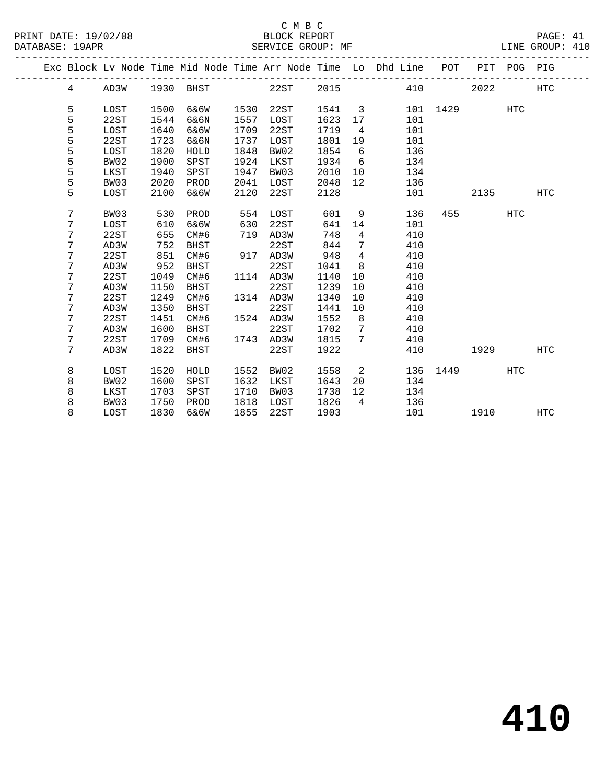### C M B C

| DATABASE: 19APR |              |              |              |      | SERVICE GROUP: MF |              |                   |                                                                    |      |      |             | LINE GROUP: 410 |  |
|-----------------|--------------|--------------|--------------|------|-------------------|--------------|-------------------|--------------------------------------------------------------------|------|------|-------------|-----------------|--|
|                 |              |              |              |      |                   |              |                   | Exc Block Lv Node Time Mid Node Time Arr Node Time Lo Dhd Line POT |      |      | PIT POG PIG |                 |  |
| 4               | AD3W         | 1930         | <b>BHST</b>  |      | 22ST              | 2015         |                   | 410                                                                |      | 2022 |             | <b>HTC</b>      |  |
|                 |              |              |              | 1530 | 22ST              |              |                   |                                                                    | 1429 |      |             |                 |  |
| 5<br>5          | LOST<br>22ST | 1500<br>1544 | 6&6W<br>6&6N | 1557 | LOST              | 1541<br>1623 | 3<br>17           | 101<br>101                                                         |      |      | <b>HTC</b>  |                 |  |
| 5               | LOST         | 1640         | 6&6W         | 1709 | 22ST              | 1719         | 4                 | 101                                                                |      |      |             |                 |  |
| 5               | 22ST         | 1723         | 6&6N         | 1737 | LOST              | 1801         | 19                | 101                                                                |      |      |             |                 |  |
| 5               | LOST         | 1820         | HOLD         | 1848 | BW02              | 1854         | 6                 | 136                                                                |      |      |             |                 |  |
| 5               | BW02         | 1900         | SPST         | 1924 | LKST              | 1934         | - 6               | 134                                                                |      |      |             |                 |  |
| 5               | LKST         | 1940         | SPST         | 1947 | BW03              | 2010         | 10                | 134                                                                |      |      |             |                 |  |
| 5               | BW03         | 2020         | PROD         | 2041 | LOST              | 2048         | $12 \overline{ }$ | 136                                                                |      |      |             |                 |  |
| 5               | LOST         | 2100         | 6&6W         | 2120 | 22ST              | 2128         |                   | 101                                                                |      | 2135 |             | <b>HTC</b>      |  |
|                 |              |              |              |      |                   |              |                   |                                                                    |      |      |             |                 |  |
| 7               | BW03         | 530          | PROD         | 554  | LOST              | 601          | 9                 | 136                                                                | 455  |      | <b>HTC</b>  |                 |  |
| 7               | LOST         | 610          | 6&6W         | 630  | 22ST              | 641          | 14                | 101                                                                |      |      |             |                 |  |
| 7               | 22ST         | 655          | CM#6         | 719  | AD3W              | 748          | 4                 | 410                                                                |      |      |             |                 |  |
| 7               | AD3W         | 752          | BHST         |      | 22ST              | 844          | 7                 | 410                                                                |      |      |             |                 |  |
| 7               | 22ST         | 851          | CM#6         | 917  | AD3W              | 948          | $\overline{4}$    | 410                                                                |      |      |             |                 |  |
| 7               | AD3W         | 952          | <b>BHST</b>  |      | 22ST              | 1041         | 8                 | 410                                                                |      |      |             |                 |  |
| 7               | 22ST         | 1049         | CM#6         | 1114 | AD3W              | 1140         | 10                | 410                                                                |      |      |             |                 |  |
| 7               | AD3W         | 1150         | <b>BHST</b>  |      | 22ST              | 1239         | 10                | 410                                                                |      |      |             |                 |  |
| 7               | 22ST         | 1249         | CM#6         |      | 1314 AD3W         | 1340         | 10                | 410                                                                |      |      |             |                 |  |
| 7               | AD3W         | 1350         | <b>BHST</b>  |      | 22ST              | 1441         | 10                | 410                                                                |      |      |             |                 |  |
| 7               | 22ST         | 1451         | CM#6         |      | 1524 AD3W         | 1552         | 8                 | 410                                                                |      |      |             |                 |  |
| 7               | AD3W         | 1600         | <b>BHST</b>  |      | 22ST              | 1702         | 7                 | 410                                                                |      |      |             |                 |  |
| 7               | 22ST         | 1709         | CM#6         | 1743 | AD3W              | 1815         | 7                 | 410                                                                |      |      |             |                 |  |
| 7               | AD3W         | 1822         | <b>BHST</b>  |      | 22ST              | 1922         |                   | 410                                                                |      | 1929 |             | <b>HTC</b>      |  |
| 8               | LOST         | 1520         | HOLD         | 1552 | BW02              | 1558         | 2                 | 136                                                                | 1449 |      | <b>HTC</b>  |                 |  |
| 8               | BW02         | 1600         | SPST         | 1632 | LKST              | 1643         | 20                | 134                                                                |      |      |             |                 |  |
| 8               | LKST         | 1703         | SPST         | 1710 | BW03              | 1738         | 12                | 134                                                                |      |      |             |                 |  |
| 8               | BW03         | 1750         | PROD         | 1818 | LOST              | 1826         | 4                 | 136                                                                |      |      |             |                 |  |
| 8               | LOST         | 1830         | 6&6W         | 1855 | 22ST              | 1903         |                   | 101                                                                |      | 1910 |             | <b>HTC</b>      |  |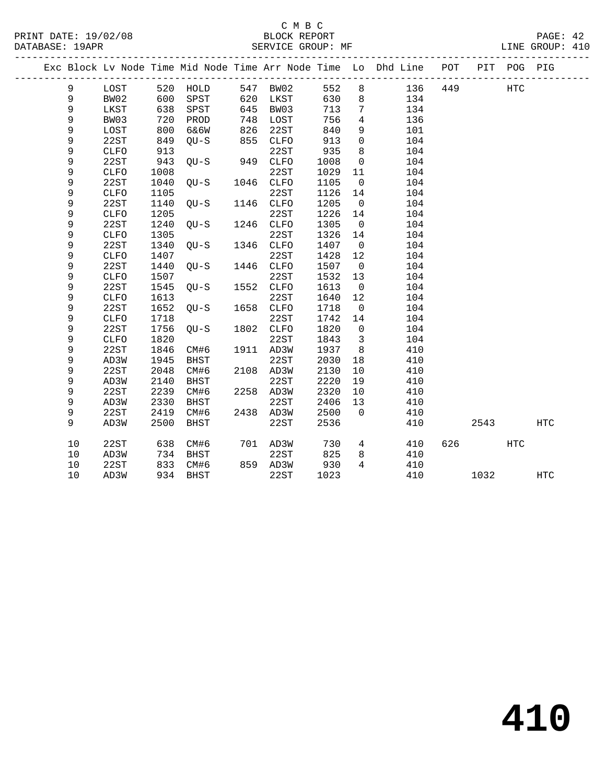|    |              |            |                 |      |           |      |                         | Exc Block Lv Node Time Mid Node Time Arr Node Time Lo Dhd Line POT |     |       | PIT POG PIG |            |  |
|----|--------------|------------|-----------------|------|-----------|------|-------------------------|--------------------------------------------------------------------|-----|-------|-------------|------------|--|
| 9  | LOST         |            | 520 HOLD        |      | 547 BW02  | 552  | 8                       | 136                                                                | 449 |       | HTC         |            |  |
| 9  | BW02         |            | SPST            |      | 620 LKST  | 630  | 8                       | 134                                                                |     |       |             |            |  |
| 9  | LKST         | 600<br>638 | SPST            | 645  | BW03      | 713  | 7                       | 134                                                                |     |       |             |            |  |
| 9  | BW03         | 720        | PROD            | 748  | LOST      | 756  | $\overline{4}$          | 136                                                                |     |       |             |            |  |
| 9  | LOST         | 800        | 6&6W            | 826  | 22ST      | 840  | 9                       | 101                                                                |     |       |             |            |  |
| 9  | 22ST         | 849        | QU-S            | 855  | CLFO      | 913  | $\mathbf 0$             | 104                                                                |     |       |             |            |  |
| 9  | <b>CLFO</b>  | 913        | $QU-S$ 949 CLFO |      | 22ST      | 935  | 8                       | 104                                                                |     |       |             |            |  |
| 9  | 22ST         | 943        |                 |      |           | 1008 | $\overline{0}$          | 104                                                                |     |       |             |            |  |
| 9  | <b>CLFO</b>  | 1008       |                 |      | 22ST      | 1029 | 11                      | 104                                                                |     |       |             |            |  |
| 9  | 22ST         | 1040       | $QU-S$          |      | 1046 CLFO | 1105 | $\overline{0}$          | 104                                                                |     |       |             |            |  |
| 9  | <b>CLFO</b>  | 1105       |                 |      | 22ST      | 1126 | 14                      | 104                                                                |     |       |             |            |  |
| 9  | 22ST         | 1140       | $QU-S$          |      | 1146 CLFO | 1205 | $\overline{0}$          | 104                                                                |     |       |             |            |  |
| 9  | CLFO         | 1205       |                 |      | 22ST      | 1226 | 14                      | 104                                                                |     |       |             |            |  |
| 9  | 22ST         | 1240       | $QU-S$          |      | 1246 CLFO | 1305 | $\overline{0}$          | 104                                                                |     |       |             |            |  |
| 9  | <b>CLFO</b>  | 1305       |                 |      | 22ST      | 1326 | 14                      | 104                                                                |     |       |             |            |  |
| 9  | 22ST         | 1340       | OU-S            |      | 1346 CLFO | 1407 | $\overline{0}$          | 104                                                                |     |       |             |            |  |
| 9  | <b>CLFO</b>  | 1407       |                 |      | 22ST      | 1428 | 12                      | 104                                                                |     |       |             |            |  |
| 9  | 22ST         | 1440       | $QU-S$          | 1446 | CLFO      | 1507 | $\overline{0}$          | 104                                                                |     |       |             |            |  |
| 9  | CLFO         | 1507       |                 |      | 22ST      | 1532 | 13                      | 104                                                                |     |       |             |            |  |
| 9  | 22ST         | 1545       | QU-S            |      | 1552 CLFO | 1613 | $\overline{0}$          | 104                                                                |     |       |             |            |  |
| 9  | <b>CLFO</b>  | 1613       |                 |      | 22ST      | 1640 | 12                      | 104                                                                |     |       |             |            |  |
| 9  | 22ST         | 1652       | $QU-S$          |      | 1658 CLFO | 1718 | $\overline{0}$          | 104                                                                |     |       |             |            |  |
| 9  | <b>CLFO</b>  | 1718       |                 |      | 22ST      | 1742 | 14                      | 104                                                                |     |       |             |            |  |
| 9  | 22ST         | 1756       | QU-S            |      | 1802 CLFO | 1820 | $\overline{0}$          | 104                                                                |     |       |             |            |  |
| 9  | ${\tt CLFO}$ | 1820       |                 |      | 22ST      | 1843 | $\overline{\mathbf{3}}$ | 104                                                                |     |       |             |            |  |
| 9  | 22ST         | 1846       | CM#6            |      | 1911 AD3W | 1937 | 8                       | 410                                                                |     |       |             |            |  |
| 9  | AD3W         | 1945       | BHST            |      | 22ST      | 2030 | 18                      | 410                                                                |     |       |             |            |  |
| 9  | 22ST         | 2048       | CM#6            |      | 2108 AD3W | 2130 | 10                      | 410                                                                |     |       |             |            |  |
| 9  | AD3W         | 2140       | BHST            |      | 22ST      | 2220 | 19                      | 410                                                                |     |       |             |            |  |
| 9  | 22ST         | 2239       | CM#6            |      | 2258 AD3W | 2320 | 10                      | 410                                                                |     |       |             |            |  |
| 9  | AD3W         | 2330       | BHST            |      | 22ST      | 2406 | 13                      | 410                                                                |     |       |             |            |  |
| 9  | 22ST         | 2419       | CM#6            |      | 2438 AD3W | 2500 | $\overline{0}$          | 410                                                                |     |       |             |            |  |
| 9  | AD3W         | 2500       | BHST            |      | 22ST      | 2536 |                         | 410                                                                |     | 2543  |             | <b>HTC</b> |  |
| 10 | 22ST         | 638        | CM#6            |      | 701 AD3W  | 730  |                         | $4\degree$<br>410                                                  |     | 626 7 | HTC         |            |  |
| 10 | AD3W         | 734        | BHST            |      | 22ST      | 825  | 8                       | 410                                                                |     |       |             |            |  |
| 10 | 22ST         | 833        | CM#6            |      | 859 AD3W  | 930  | $\overline{4}$          | 410                                                                |     |       |             |            |  |
| 10 | AD3W         |            | 934 BHST        |      | 22ST      | 1023 |                         | 410                                                                |     | 1032  |             | HTC        |  |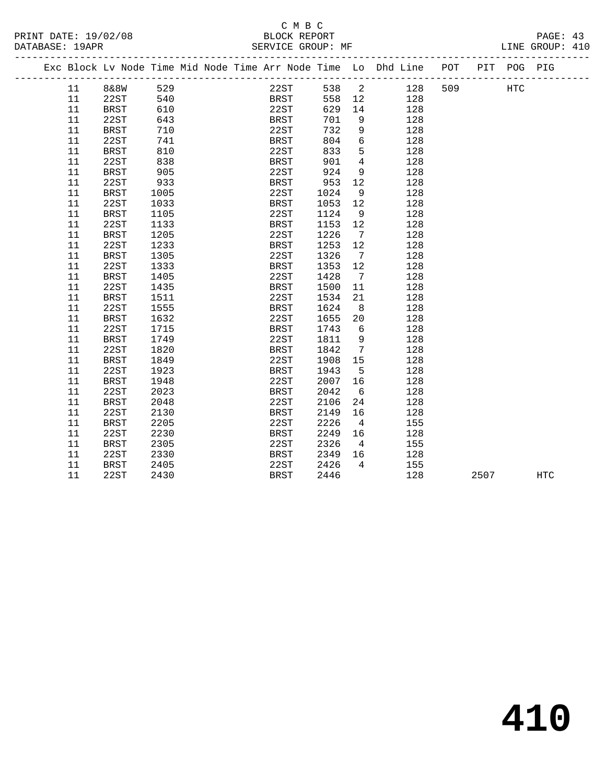# C M B C

| DATABASE: 19APR |        |             |      |     |  | SERVICE GROUP: MF                                                              |        |                   |     |            |            | LINE GROUP: 410 |  |
|-----------------|--------|-------------|------|-----|--|--------------------------------------------------------------------------------|--------|-------------------|-----|------------|------------|-----------------|--|
|                 |        |             |      |     |  | Exc Block Lv Node Time Mid Node Time Arr Node Time Lo Dhd Line POT PIT POG PIG |        |                   |     |            |            |                 |  |
|                 | 11     | 8&8W        | 529  |     |  | 22ST 538 2                                                                     |        |                   |     | 509<br>128 | <b>HTC</b> |                 |  |
|                 | 11     | 22ST        |      | 540 |  | <b>BRST</b>                                                                    | 558 12 |                   | 128 |            |            |                 |  |
|                 | 11     | BRST        | 610  |     |  | 22ST                                                                           | 629    | 14                | 128 |            |            |                 |  |
|                 | 11     | 22ST        | 643  |     |  | BRST                                                                           | 701    | 9                 | 128 |            |            |                 |  |
|                 | 11     | <b>BRST</b> | 710  |     |  | 22ST                                                                           | 732    | 9                 | 128 |            |            |                 |  |
|                 | 11     | 22ST        | 741  |     |  | BRST                                                                           | 804    | 6                 | 128 |            |            |                 |  |
|                 | 11     | BRST        | 810  |     |  | 22ST                                                                           | 833    | 5                 | 128 |            |            |                 |  |
|                 | 11     | 22ST        | 838  |     |  | BRST                                                                           | 901    | $\overline{4}$    | 128 |            |            |                 |  |
|                 | 11     | <b>BRST</b> | 905  |     |  | 22ST                                                                           | 924    | 9                 | 128 |            |            |                 |  |
|                 | 11     | 22ST        | 933  |     |  | BRST                                                                           | 953    | 12                | 128 |            |            |                 |  |
|                 | 11     | BRST        | 1005 |     |  | 22ST                                                                           | 1024   | 9                 | 128 |            |            |                 |  |
|                 | 11     | 22ST        | 1033 |     |  | BRST                                                                           | 1053   | 12                | 128 |            |            |                 |  |
|                 | 11     | BRST        | 1105 |     |  | 22ST                                                                           | 1124   | 9                 | 128 |            |            |                 |  |
|                 | 11     | 22ST        | 1133 |     |  | <b>BRST</b>                                                                    | 1153   | 12                | 128 |            |            |                 |  |
|                 | 11     | BRST        | 1205 |     |  | 22ST                                                                           | 1226   | $\overline{7}$    | 128 |            |            |                 |  |
|                 | 11     | 22ST        | 1233 |     |  | BRST                                                                           | 1253   | $12 \overline{ }$ | 128 |            |            |                 |  |
|                 | $11\,$ | <b>BRST</b> | 1305 |     |  | 22ST                                                                           | 1326   | $\overline{7}$    | 128 |            |            |                 |  |
|                 | 11     | 22ST        | 1333 |     |  | BRST                                                                           | 1353   | 12                | 128 |            |            |                 |  |
|                 | 11     | <b>BRST</b> | 1405 |     |  | 22ST                                                                           | 1428   | $\overline{7}$    | 128 |            |            |                 |  |
|                 | 11     | 22ST        | 1435 |     |  | BRST                                                                           | 1500   | 11                | 128 |            |            |                 |  |
|                 | 11     | BRST        | 1511 |     |  | 22ST                                                                           | 1534   | 21                | 128 |            |            |                 |  |
|                 | 11     | 22ST        | 1555 |     |  | BRST                                                                           | 1624   | 8                 | 128 |            |            |                 |  |
|                 | 11     | <b>BRST</b> | 1632 |     |  | 22ST                                                                           | 1655   | 20                | 128 |            |            |                 |  |
|                 | 11     | 22ST        | 1715 |     |  | BRST                                                                           | 1743   | $6\overline{6}$   | 128 |            |            |                 |  |
|                 | 11     | <b>BRST</b> | 1749 |     |  | 22ST                                                                           | 1811   | 9                 | 128 |            |            |                 |  |
|                 | 11     | 22ST        | 1820 |     |  | BRST                                                                           | 1842   | $7\phantom{.0}$   | 128 |            |            |                 |  |
|                 | $11\,$ | BRST        | 1849 |     |  | 22ST                                                                           | 1908   | 15                | 128 |            |            |                 |  |
|                 | 11     | 22ST        | 1923 |     |  | <b>BRST</b>                                                                    | 1943   | $5^{\circ}$       | 128 |            |            |                 |  |
|                 | 11     | BRST        | 1948 |     |  | 22ST                                                                           | 2007   | 16                | 128 |            |            |                 |  |
|                 | 11     | 22ST        | 2023 |     |  | BRST                                                                           | 2042   | 6                 | 128 |            |            |                 |  |
|                 | 11     | <b>BRST</b> | 2048 |     |  | 22ST                                                                           | 2106   | 24                | 128 |            |            |                 |  |
|                 | 11     | 22ST        | 2130 |     |  | BRST                                                                           | 2149   | 16                | 128 |            |            |                 |  |
|                 | 11     | <b>BRST</b> | 2205 |     |  | 22ST                                                                           | 2226   | $\overline{4}$    | 155 |            |            |                 |  |
|                 | 11     | 22ST        | 2230 |     |  | BRST                                                                           | 2249   | 16                | 128 |            |            |                 |  |
|                 | 11     | <b>BRST</b> | 2305 |     |  | 22ST                                                                           | 2326   | $\overline{4}$    | 155 |            |            |                 |  |
|                 | 11     | 22ST        | 2330 |     |  | BRST                                                                           | 2349   | 16                | 128 |            |            |                 |  |
|                 | 11     | BRST        | 2405 |     |  | 22ST                                                                           | 2426   | $\overline{4}$    | 155 |            |            |                 |  |
|                 | 11     | 22ST        | 2430 |     |  | BRST                                                                           | 2446   |                   | 128 |            | 2507       | <b>HTC</b>      |  |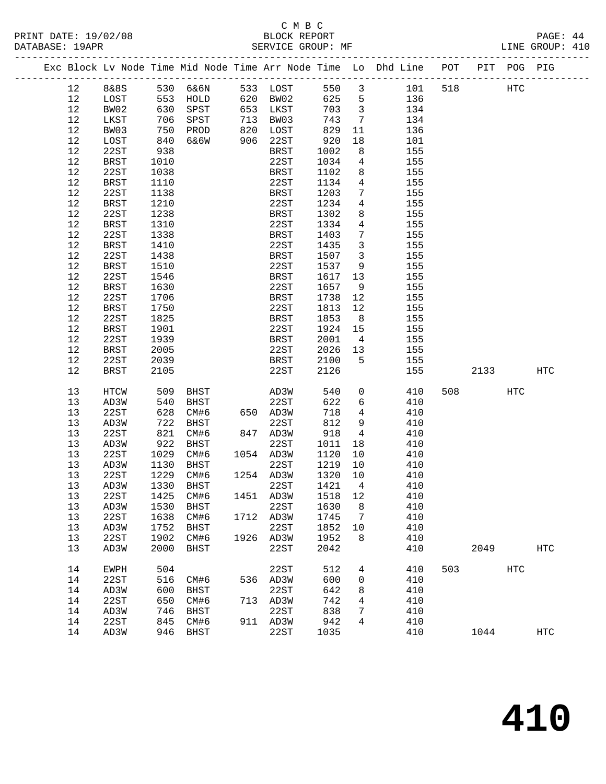#### C M B C DATABASE: 19APR SERVICE GROUP: MF LINE GROUP: 410

| Exc Block Lv Node Time Mid Node Time Arr Node Time Lo Dhd Line POT |               |      |             |     |             |       |                 |     |     |      |             |     |
|--------------------------------------------------------------------|---------------|------|-------------|-----|-------------|-------|-----------------|-----|-----|------|-------------|-----|
|                                                                    |               |      |             |     |             |       |                 |     |     |      | PIT POG PIG |     |
| 12                                                                 | 8&8S          |      | 530 6&6N    |     | 533 LOST    | 550 3 |                 | 101 | 518 |      | HTC         |     |
| 12                                                                 | LOST          | 553  | HOLD        |     | 620 BW02    | 625   | 5               | 136 |     |      |             |     |
| 12                                                                 | BW02          | 630  | SPST        | 653 | LKST        | 703   | $\overline{3}$  | 134 |     |      |             |     |
| 12                                                                 | LKST          | 706  | SPST        | 713 | BW03        | 743   | $7\phantom{.0}$ | 134 |     |      |             |     |
| 12                                                                 | BW03          | 750  | PROD        | 820 | LOST        | 829   | 11              | 136 |     |      |             |     |
| 12                                                                 | LOST          | 840  | 6&6W        | 906 | 22ST        | 920   | 18              | 101 |     |      |             |     |
| 12                                                                 | 22ST          | 938  |             |     | <b>BRST</b> | 1002  | 8               | 155 |     |      |             |     |
| 12                                                                 | BRST          | 1010 |             |     | 22ST        | 1034  | $\overline{4}$  | 155 |     |      |             |     |
| 12                                                                 | 22ST          | 1038 |             |     | <b>BRST</b> | 1102  | 8               | 155 |     |      |             |     |
| 12                                                                 | <b>BRST</b>   | 1110 |             |     | 22ST        | 1134  | $\overline{4}$  | 155 |     |      |             |     |
| 12                                                                 | 22ST          | 1138 |             |     | <b>BRST</b> | 1203  | $7\overline{ }$ | 155 |     |      |             |     |
| 12                                                                 | <b>BRST</b>   | 1210 |             |     | 22ST        | 1234  | $\overline{4}$  | 155 |     |      |             |     |
| 12                                                                 | 22ST          | 1238 |             |     | <b>BRST</b> | 1302  | 8               | 155 |     |      |             |     |
| $12$                                                               | <b>BRST</b>   | 1310 |             |     | 22ST        | 1334  | $\overline{4}$  | 155 |     |      |             |     |
| 12                                                                 | 22ST          | 1338 |             |     | <b>BRST</b> | 1403  | $7\phantom{.0}$ | 155 |     |      |             |     |
| 12                                                                 | <b>BRST</b>   | 1410 |             |     | 22ST        | 1435  | $\mathbf{3}$    | 155 |     |      |             |     |
| 12                                                                 | 22ST          | 1438 |             |     | <b>BRST</b> | 1507  | $\mathbf{3}$    | 155 |     |      |             |     |
| 12                                                                 | BRST          | 1510 |             |     | 22ST        | 1537  | 9               | 155 |     |      |             |     |
| 12                                                                 | 22ST          | 1546 |             |     | <b>BRST</b> | 1617  | 13              | 155 |     |      |             |     |
| 12                                                                 | <b>BRST</b>   | 1630 |             |     | 22ST        | 1657  | 9               | 155 |     |      |             |     |
| 12                                                                 | 22ST          | 1706 |             |     | <b>BRST</b> | 1738  | 12              | 155 |     |      |             |     |
| 12                                                                 | BRST          | 1750 |             |     | 22ST        | 1813  | 12              | 155 |     |      |             |     |
| 12                                                                 | 22ST          | 1825 |             |     | <b>BRST</b> | 1853  | 8               | 155 |     |      |             |     |
| $12$                                                               | $_{\rm BRST}$ | 1901 |             |     | 22ST        | 1924  | 15              | 155 |     |      |             |     |
| 12                                                                 | 22ST          | 1939 |             |     | <b>BRST</b> | 2001  | $\overline{4}$  | 155 |     |      |             |     |
| 12                                                                 | BRST          | 2005 |             |     | 22ST        | 2026  | 13              | 155 |     |      |             |     |
| 12                                                                 | 22ST          | 2039 |             |     | <b>BRST</b> | 2100  | 5               | 155 |     |      |             |     |
| 12                                                                 | <b>BRST</b>   | 2105 |             |     | 22ST        | 2126  |                 | 155 |     | 2133 |             | HTC |
| 13                                                                 | HTCW          | 509  | <b>BHST</b> |     | AD3W        | 540   | $\mathsf{O}$    | 410 | 508 |      | HTC         |     |
| 13                                                                 | AD3W          | 540  | <b>BHST</b> |     | 22ST        | 622   | 6               | 410 |     |      |             |     |
| 13                                                                 | 22ST          | 628  | CM#6        |     | 650 AD3W    | 718   | $\overline{4}$  | 410 |     |      |             |     |
| 13                                                                 | AD3W          | 722  | <b>BHST</b> |     | 22ST        | 812   | 9               | 410 |     |      |             |     |
| 13                                                                 | 22ST          | 821  | CM#6        |     | 847 AD3W    | 918   | $\overline{4}$  | 410 |     |      |             |     |
| 13                                                                 | AD3W          | 922  | <b>BHST</b> |     | 22ST        | 1011  | 18              | 410 |     |      |             |     |
| 13                                                                 | 22ST          | 1029 | CM#6        |     | 1054 AD3W   | 1120  | 10              | 410 |     |      |             |     |
| 13                                                                 | AD3W          | 1130 | <b>BHST</b> |     | 22ST        | 1219  | 10              | 410 |     |      |             |     |
| 13                                                                 | 22ST          | 1229 | CM#6        |     | 1254 AD3W   | 1320  | 10              | 410 |     |      |             |     |
| 13                                                                 | AD3W          | 1330 | <b>BHST</b> |     | 22ST        | 1421  | $\overline{4}$  | 410 |     |      |             |     |
| 13                                                                 | 22ST          | 1425 | CM#6        |     | 1451 AD3W   | 1518  | 12              | 410 |     |      |             |     |

 13 AD3W 1530 BHST 22ST 1630 8 410 13 22ST 1638 CM#6 1712 AD3W 1745 7 410 13 AD3W 1752 BHST 22ST 1852 10 410

 14 22ST 516 CM#6 536 AD3W 600 0 410 14 AD3W 600 BHST 22ST 642 8 410 14 22ST 650 CM#6 713 AD3W 742 4 410 14 AD3W 746 BHST 22ST 838 7 410 14 22ST 845 CM#6 911 AD3W 942 4 410

13 22ST 1638 CM#6 1712 AD3W 1745 7 410<br>13 AD3W 1752 BHST 22ST 1852 10 410<br>13 22ST 1902 CM#6 1926 AD3W 1952 8 410<br>13 AD3W 2000 BHST 22ST 2042 410

14 EWPH 504 22ST 512 4 410 503 HTC

14 AD3W 946 BHST 22ST 1035 410 1044 HTC

2049 HTC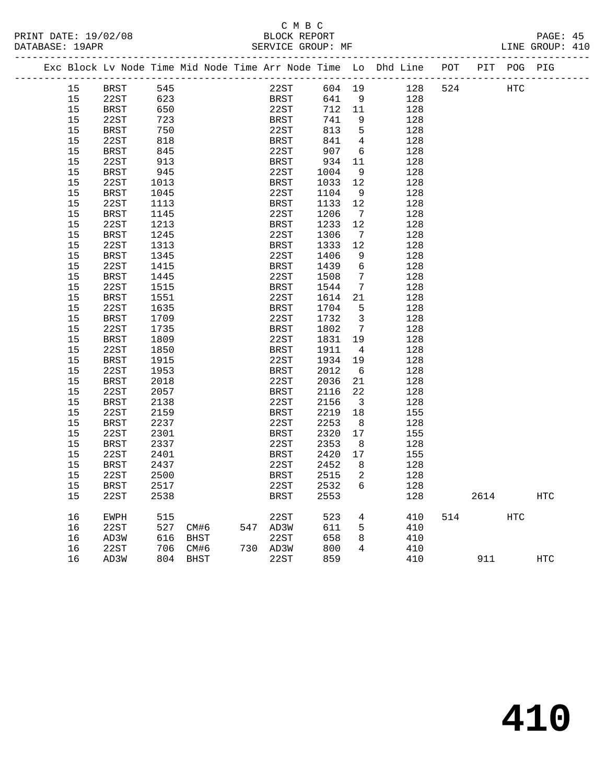# C M B C<br>:BLOCK REPOR

| PRINT DATE: 19/02/08 | BLOCK REPORT      | PAGE:              |
|----------------------|-------------------|--------------------|
| DATABASE: 19APR      | SERVICE GROUP: MF | GROUP: 410<br>LINE |

| 545<br>22ST<br>604 19<br>128<br>524<br><b>HTC</b><br>15<br><b>BRST</b><br>15<br>22ST<br>623<br>641<br>9<br>BRST<br>128<br>15<br>22ST<br>712<br>BRST<br>650<br>11<br>128<br>15<br>22ST<br>723<br>BRST<br>741<br>9<br>128<br>5<br>15<br>750<br>22ST<br>813<br>128<br>BRST<br>15<br>22ST<br>818<br>BRST<br>841<br>$\overline{4}$<br>128<br>22ST<br>907<br>6<br>15<br>BRST<br>845<br>128<br>15<br>22ST<br>913<br>BRST<br>934<br>11<br>128<br>15<br><b>BRST</b><br>945<br>22ST<br>1004<br>128<br>- 9<br>15<br>22ST<br><b>BRST</b><br>12<br>128<br>1013<br>1033<br>15<br><b>BRST</b><br>22ST<br>128<br>1045<br>1104<br>- 9<br>22ST<br>1113<br>12<br>128<br>15<br>BRST<br>1133<br>22ST<br>15<br><b>BRST</b><br>1145<br>1206<br>$\overline{7}$<br>128<br>22ST<br>1213<br>15<br><b>BRST</b><br>1233<br>12<br>128<br>15<br>1245<br>22ST<br>128<br><b>BRST</b><br>1306<br>$\overline{7}$<br>22ST<br>15<br>1313<br><b>BRST</b><br>1333<br>12<br>128 |     |
|-----------------------------------------------------------------------------------------------------------------------------------------------------------------------------------------------------------------------------------------------------------------------------------------------------------------------------------------------------------------------------------------------------------------------------------------------------------------------------------------------------------------------------------------------------------------------------------------------------------------------------------------------------------------------------------------------------------------------------------------------------------------------------------------------------------------------------------------------------------------------------------------------------------------------------------------|-----|
|                                                                                                                                                                                                                                                                                                                                                                                                                                                                                                                                                                                                                                                                                                                                                                                                                                                                                                                                         |     |
|                                                                                                                                                                                                                                                                                                                                                                                                                                                                                                                                                                                                                                                                                                                                                                                                                                                                                                                                         |     |
|                                                                                                                                                                                                                                                                                                                                                                                                                                                                                                                                                                                                                                                                                                                                                                                                                                                                                                                                         |     |
|                                                                                                                                                                                                                                                                                                                                                                                                                                                                                                                                                                                                                                                                                                                                                                                                                                                                                                                                         |     |
|                                                                                                                                                                                                                                                                                                                                                                                                                                                                                                                                                                                                                                                                                                                                                                                                                                                                                                                                         |     |
|                                                                                                                                                                                                                                                                                                                                                                                                                                                                                                                                                                                                                                                                                                                                                                                                                                                                                                                                         |     |
|                                                                                                                                                                                                                                                                                                                                                                                                                                                                                                                                                                                                                                                                                                                                                                                                                                                                                                                                         |     |
|                                                                                                                                                                                                                                                                                                                                                                                                                                                                                                                                                                                                                                                                                                                                                                                                                                                                                                                                         |     |
|                                                                                                                                                                                                                                                                                                                                                                                                                                                                                                                                                                                                                                                                                                                                                                                                                                                                                                                                         |     |
|                                                                                                                                                                                                                                                                                                                                                                                                                                                                                                                                                                                                                                                                                                                                                                                                                                                                                                                                         |     |
|                                                                                                                                                                                                                                                                                                                                                                                                                                                                                                                                                                                                                                                                                                                                                                                                                                                                                                                                         |     |
|                                                                                                                                                                                                                                                                                                                                                                                                                                                                                                                                                                                                                                                                                                                                                                                                                                                                                                                                         |     |
|                                                                                                                                                                                                                                                                                                                                                                                                                                                                                                                                                                                                                                                                                                                                                                                                                                                                                                                                         |     |
|                                                                                                                                                                                                                                                                                                                                                                                                                                                                                                                                                                                                                                                                                                                                                                                                                                                                                                                                         |     |
|                                                                                                                                                                                                                                                                                                                                                                                                                                                                                                                                                                                                                                                                                                                                                                                                                                                                                                                                         |     |
|                                                                                                                                                                                                                                                                                                                                                                                                                                                                                                                                                                                                                                                                                                                                                                                                                                                                                                                                         |     |
| 15<br>1345<br>22ST<br>1406<br>128<br><b>BRST</b><br>9                                                                                                                                                                                                                                                                                                                                                                                                                                                                                                                                                                                                                                                                                                                                                                                                                                                                                   |     |
| $6\overline{6}$<br>15<br>22ST<br>1415<br><b>BRST</b><br>1439<br>128                                                                                                                                                                                                                                                                                                                                                                                                                                                                                                                                                                                                                                                                                                                                                                                                                                                                     |     |
| 15<br>22ST<br>1508<br>7<br>128<br>BRST<br>1445                                                                                                                                                                                                                                                                                                                                                                                                                                                                                                                                                                                                                                                                                                                                                                                                                                                                                          |     |
| 15<br>22ST<br>128<br>1515<br>BRST<br>1544<br>$\overline{7}$                                                                                                                                                                                                                                                                                                                                                                                                                                                                                                                                                                                                                                                                                                                                                                                                                                                                             |     |
| 15<br><b>BRST</b><br>1551<br>22ST<br>1614<br>21<br>128                                                                                                                                                                                                                                                                                                                                                                                                                                                                                                                                                                                                                                                                                                                                                                                                                                                                                  |     |
| 22ST<br>15<br>1635<br><b>BRST</b><br>1704<br>5<br>128                                                                                                                                                                                                                                                                                                                                                                                                                                                                                                                                                                                                                                                                                                                                                                                                                                                                                   |     |
| 15<br><b>BRST</b><br>1709<br>22ST<br>1732<br>$\overline{\mathbf{3}}$<br>128                                                                                                                                                                                                                                                                                                                                                                                                                                                                                                                                                                                                                                                                                                                                                                                                                                                             |     |
| 15<br>22ST<br>1735<br><b>BRST</b><br>1802<br>$\overline{7}$<br>128                                                                                                                                                                                                                                                                                                                                                                                                                                                                                                                                                                                                                                                                                                                                                                                                                                                                      |     |
| 15<br>BRST<br>1809<br>22ST<br>1831<br>19<br>128                                                                                                                                                                                                                                                                                                                                                                                                                                                                                                                                                                                                                                                                                                                                                                                                                                                                                         |     |
| 15<br>22ST<br>1850<br><b>BRST</b><br>128<br>1911<br>$\overline{4}$                                                                                                                                                                                                                                                                                                                                                                                                                                                                                                                                                                                                                                                                                                                                                                                                                                                                      |     |
| 15<br><b>BRST</b><br>1915<br>22ST<br>1934<br>128<br>19                                                                                                                                                                                                                                                                                                                                                                                                                                                                                                                                                                                                                                                                                                                                                                                                                                                                                  |     |
| 15<br>22ST<br>1953<br>2012<br>128<br><b>BRST</b><br>- 6                                                                                                                                                                                                                                                                                                                                                                                                                                                                                                                                                                                                                                                                                                                                                                                                                                                                                 |     |
| 15<br>22ST<br>BRST<br>2018<br>2036<br>21<br>128                                                                                                                                                                                                                                                                                                                                                                                                                                                                                                                                                                                                                                                                                                                                                                                                                                                                                         |     |
| 22ST<br>2057<br>22<br>15<br><b>BRST</b><br>2116<br>128                                                                                                                                                                                                                                                                                                                                                                                                                                                                                                                                                                                                                                                                                                                                                                                                                                                                                  |     |
| 15<br>2138<br>22ST<br>2156<br>$\overline{\mathbf{3}}$<br>128<br>BRST                                                                                                                                                                                                                                                                                                                                                                                                                                                                                                                                                                                                                                                                                                                                                                                                                                                                    |     |
| 15<br>22ST<br>2159<br><b>BRST</b><br>2219<br>18<br>155                                                                                                                                                                                                                                                                                                                                                                                                                                                                                                                                                                                                                                                                                                                                                                                                                                                                                  |     |
| 15<br>2237<br>22ST<br>BRST<br>2253<br>8<br>128                                                                                                                                                                                                                                                                                                                                                                                                                                                                                                                                                                                                                                                                                                                                                                                                                                                                                          |     |
| 15<br>22ST<br><b>BRST</b><br>2320<br>17<br>155<br>2301                                                                                                                                                                                                                                                                                                                                                                                                                                                                                                                                                                                                                                                                                                                                                                                                                                                                                  |     |
| 22ST<br>15<br>BRST<br>2337<br>2353<br>8<br>128                                                                                                                                                                                                                                                                                                                                                                                                                                                                                                                                                                                                                                                                                                                                                                                                                                                                                          |     |
| 15<br>22ST<br>2401<br>BRST<br>2420<br>17<br>155                                                                                                                                                                                                                                                                                                                                                                                                                                                                                                                                                                                                                                                                                                                                                                                                                                                                                         |     |
| 15<br>BRST<br>2437<br>22ST<br>2452<br>- 8<br>128                                                                                                                                                                                                                                                                                                                                                                                                                                                                                                                                                                                                                                                                                                                                                                                                                                                                                        |     |
| 15<br>22ST<br>2500<br><b>BRST</b><br>2515<br>2<br>128                                                                                                                                                                                                                                                                                                                                                                                                                                                                                                                                                                                                                                                                                                                                                                                                                                                                                   |     |
| 15<br><b>BRST</b><br>2517<br>22ST<br>2532<br>6<br>128                                                                                                                                                                                                                                                                                                                                                                                                                                                                                                                                                                                                                                                                                                                                                                                                                                                                                   |     |
| 22ST<br><b>BRST</b><br>2553<br>15<br>2538<br>128<br>2614                                                                                                                                                                                                                                                                                                                                                                                                                                                                                                                                                                                                                                                                                                                                                                                                                                                                                | HTC |
| 523<br>16<br>515<br>22ST<br>$\overline{4}$<br>410<br>514<br><b>HTC</b><br>EWPH                                                                                                                                                                                                                                                                                                                                                                                                                                                                                                                                                                                                                                                                                                                                                                                                                                                          |     |
| 16<br>22ST<br>527 CM#6<br>547 AD3W<br>611<br>5<br>410                                                                                                                                                                                                                                                                                                                                                                                                                                                                                                                                                                                                                                                                                                                                                                                                                                                                                   |     |
| 658<br>616<br>22ST<br>8<br>410<br>16<br>AD3W<br>BHST                                                                                                                                                                                                                                                                                                                                                                                                                                                                                                                                                                                                                                                                                                                                                                                                                                                                                    |     |
| 22ST<br>706<br>CM#6<br>730 AD3W<br>800<br>$\overline{4}$<br>410<br>16                                                                                                                                                                                                                                                                                                                                                                                                                                                                                                                                                                                                                                                                                                                                                                                                                                                                   |     |
| 859<br>16<br>804 BHST<br>22ST<br>410<br>911<br>AD3W                                                                                                                                                                                                                                                                                                                                                                                                                                                                                                                                                                                                                                                                                                                                                                                                                                                                                     | HTC |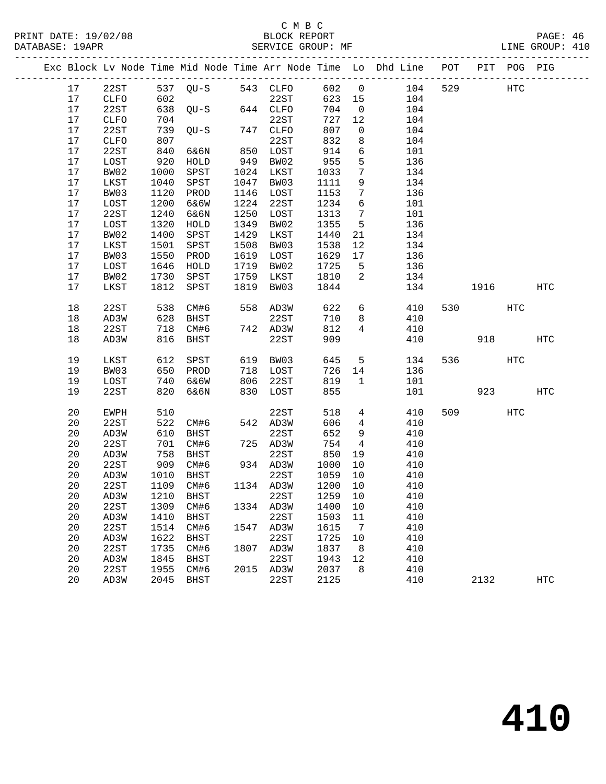### C M B C<br>BLOCK REPORT SERVICE GROUP: MF

|      |               |      |                   |      |              |         |                 | Exc Block Lv Node Time Mid Node Time Arr Node Time Lo Dhd Line | POT |     | PIT POG PIG |            |
|------|---------------|------|-------------------|------|--------------|---------|-----------------|----------------------------------------------------------------|-----|-----|-------------|------------|
| 17   | 22ST          |      | 537 QU-S 543 CLFO |      |              | 602     | $\overline{0}$  | 104                                                            | 529 |     | HTC         |            |
| 17   | CLFO          | 602  |                   |      | 22ST<br>CLFO | 623 15  |                 | 104                                                            |     |     |             |            |
| 17   | 22ST          |      | $638$ QU-S        |      | 644 CLFO     | 704     | $\overline{0}$  | 104                                                            |     |     |             |            |
| 17   | <b>CLFO</b>   | 704  |                   |      | 22ST         | 727     | 12              | 104                                                            |     |     |             |            |
| 17   | 22ST          | 739  | $QU-S$            |      | 747 CLFO     | 807     | $\mathsf{O}$    | 104                                                            |     |     |             |            |
| 17   | CLFO          | 807  |                   |      | 22ST         | 832     | $8\phantom{1}$  | 104                                                            |     |     |             |            |
| 17   | 22ST          | 840  | 6&6N              |      | 850 LOST     | 914     | $6\overline{6}$ | 101                                                            |     |     |             |            |
| 17   | LOST          | 920  | HOLD              |      | 949 BW02     | 955     | 5               | 136                                                            |     |     |             |            |
| 17   | BW02          | 1000 | SPST              |      | 1024 LKST    | 1033    | $7\overline{ }$ | 134                                                            |     |     |             |            |
| 17   | LKST          | 1040 | SPST              | 1047 | BW03         | 1111    | 9               | 134                                                            |     |     |             |            |
| 17   | BW03          | 1120 | PROD              |      | 1146 LOST    | 1153    | $7\phantom{.0}$ | 136                                                            |     |     |             |            |
| 17   | LOST          | 1200 | 6&6W              |      | 1224 22ST    | 1234    | 6               | 101                                                            |     |     |             |            |
| 17   | 22ST          | 1240 | 6&6N              | 1250 | LOST         | 1313    | $7\overline{ }$ | 101                                                            |     |     |             |            |
| 17   | LOST          | 1320 | ${\tt HOLD}$      | 1349 | BW02         | 1355    | $5^{\circ}$     | 136                                                            |     |     |             |            |
| 17   | BW02          | 1400 | SPST              | 1429 | LKST         | 1440    | 21              | 134                                                            |     |     |             |            |
| 17   | $_{\rm LKST}$ | 1501 | SPST              | 1508 | BW03         | 1538    | 12              | 134                                                            |     |     |             |            |
| 17   | BW03          | 1550 | PROD              | 1619 | LOST         | 1629    | 17              | 136                                                            |     |     |             |            |
| 17   | LOST          | 1646 | HOLD              | 1719 | BW02         | 1725    | $5^{\circ}$     | 136                                                            |     |     |             |            |
| $17$ | BW02          | 1730 | SPST              | 1759 | LKST         | 1810    | $\overline{2}$  | 134                                                            |     |     |             |            |
| 17   | LKST          | 1812 | SPST              | 1819 | BW03         | 1844    |                 | 134                                                            |     |     | 1916        | <b>HTC</b> |
|      |               |      |                   |      |              |         |                 |                                                                |     |     |             |            |
| 18   | 22ST          | 538  | CM#6              |      | 558 AD3W     | 622     | 6               | 410                                                            | 530 |     | HTC         |            |
| 18   | AD3W          | 628  | BHST              |      | 22ST         | 710     | 8               | 410                                                            |     |     |             |            |
| 18   | 22ST          | 718  | CM#6              |      | 742 AD3W     | 812     | $\overline{4}$  | 410                                                            |     |     |             |            |
| 18   | AD3W          | 816  | BHST              |      | 22ST         | 909     |                 | 410                                                            |     | 918 |             | <b>HTC</b> |
|      |               |      |                   |      |              |         |                 |                                                                |     |     |             |            |
| 19   | LKST          | 612  | SPST              |      | 619 BW03     | 645     | 5 <sup>5</sup>  | 134                                                            | 536 |     | HTC         |            |
| 19   | BW03          | 650  | PROD              |      | 718 LOST     | 726     | 14              | 136                                                            |     |     |             |            |
| 19   | LOST          | 740  | 6&6W              |      | 806 22ST     | 819     | $\mathbf{1}$    | 101                                                            |     |     |             |            |
| 19   | 22ST          | 820  | 6&6N              |      | 830 LOST     | 855     |                 | 101                                                            |     | 923 |             | HTC        |
|      |               |      |                   |      |              |         |                 |                                                                |     |     |             |            |
| 20   | EWPH          | 510  |                   |      | 22ST         | 518     | $4\overline{ }$ | 410                                                            |     | 509 | <b>HTC</b>  |            |
| 20   | 22ST          | 522  | CM#6              |      | 542 AD3W     | 606     | $\overline{4}$  | 410                                                            |     |     |             |            |
| 20   | AD3W          | 610  | BHST              |      | 22ST         | 652     | 9               | 410                                                            |     |     |             |            |
| 20   | 22ST          | 701  | CM#6              |      | 725 AD3W     | 754     | $4\overline{4}$ | 410                                                            |     |     |             |            |
| 20   | AD3W          | 758  | <b>BHST</b>       |      | 22ST         | 850     | 19              | 410                                                            |     |     |             |            |
| 20   | 22ST          | 909  | CM#6              |      | 934 AD3W     | 1000    | 10              | 410                                                            |     |     |             |            |
| 20   | AD3W          | 1010 | BHST              |      | 22ST         | 1059    | 10              | 410                                                            |     |     |             |            |
| 20   | 22ST          | 1109 | CM#6              |      | 1134 AD3W    | 1200    | 10              | 410                                                            |     |     |             |            |
| 20   | AD3W          | 1210 | BHST              |      | 22ST         | 1259    | 10              | 410                                                            |     |     |             |            |
| 20   | 22ST          | 1309 | CM#6              |      | 1334 AD3W    | 1400    | 10              | 410                                                            |     |     |             |            |
| 20   | AD3W          | 1410 | BHST              |      | 22ST         | 1503    | 11              | 410                                                            |     |     |             |            |
| 20   | 22ST          | 1514 | CM#6              |      | 1547 AD3W    | 1615    | $\overline{7}$  | 410                                                            |     |     |             |            |
| 20   | AD3W          | 1622 | BHST              |      | 22ST         | 1725    | 10              | 410                                                            |     |     |             |            |
| 20   | 22ST          |      | 1735 CM#6         |      | 1807 AD3W    | 1837    | 8 <sup>8</sup>  | 410                                                            |     |     |             |            |
| 20   | AD3W          | 1845 | <b>BHST</b>       |      | 22ST         | 1943 12 |                 | 410                                                            |     |     |             |            |

20 22ST 1955 CM#6 2015 AD3W 2037 8 410

20 AD3W 2045 BHST 22ST 2125 410 2132 HTC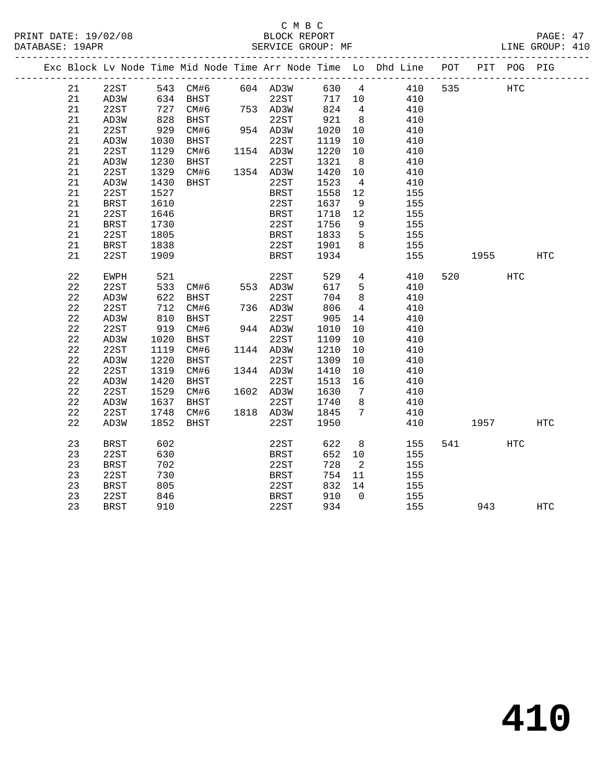### C M B C<br>BLOCK REPORT SERVICE GROUP: MF

|  |    |             |      |                             |                    |                                                       |                | Exc Block Lv Node Time Mid Node Time Arr Node Time Lo Dhd Line POT      |     |        | PIT POG PIG |            |
|--|----|-------------|------|-----------------------------|--------------------|-------------------------------------------------------|----------------|-------------------------------------------------------------------------|-----|--------|-------------|------------|
|  | 21 | 22ST        |      |                             |                    |                                                       |                | $\begin{array}{ccc} -1. & 0.30 & 4 & 410 \\ 717 & 10 & 410 \end{array}$ | 535 |        | <b>HTC</b>  |            |
|  | 21 | AD3W        |      |                             |                    | $\begin{array}{ccc}\n717 & 10 \\ \hline\n\end{array}$ |                |                                                                         |     |        |             |            |
|  | 21 | 22ST        | 727  | CM#6 753 AD3W               |                    | 824 4                                                 |                | 410                                                                     |     |        |             |            |
|  | 21 | AD3W        | 828  | BHST                        | $22ST$<br>954 AD3W | 921                                                   | 8 <sup>8</sup> | 410                                                                     |     |        |             |            |
|  | 21 | 22ST        | 929  | CM#6                        |                    | 1020                                                  | 10             | 410                                                                     |     |        |             |            |
|  | 21 | AD3W        | 1030 | BHST                        | 22ST               | 1119                                                  | 10             | 410                                                                     |     |        |             |            |
|  | 21 | 22ST        | 1129 | CM#6                        | 1154 AD3W          | 1220                                                  | 10             | 410                                                                     |     |        |             |            |
|  | 21 | AD3W        | 1230 | BHST 22ST<br>CM#6 1354 AD3W |                    | 1321                                                  | 8 <sup>8</sup> | 410                                                                     |     |        |             |            |
|  | 21 | 22ST        | 1329 |                             |                    | 1420                                                  | 10             | 410                                                                     |     |        |             |            |
|  | 21 | AD3W        | 1430 | BHST                        | 22ST               | 1523                                                  | $\overline{4}$ | 410                                                                     |     |        |             |            |
|  | 21 | 22ST        | 1527 |                             | <b>BRST</b>        | 1558                                                  | 12             | 155                                                                     |     |        |             |            |
|  | 21 | BRST        | 1610 |                             | 22ST               | 1637                                                  | 9              | 155                                                                     |     |        |             |            |
|  | 21 | 22ST        | 1646 |                             | <b>BRST</b>        | 1718                                                  | 12             | 155                                                                     |     |        |             |            |
|  | 21 | <b>BRST</b> | 1730 |                             | 22ST               | 1756                                                  | 9              | 155                                                                     |     |        |             |            |
|  | 21 | 22ST        | 1805 |                             | BRST               | 1833                                                  | $-5$           | 155                                                                     |     |        |             |            |
|  | 21 | <b>BRST</b> | 1838 |                             | 22ST               | 1901                                                  | 8              | 155                                                                     |     |        |             |            |
|  | 21 | 22ST        | 1909 |                             | <b>BRST</b>        | 1934                                                  |                | 155                                                                     |     | 1955   |             | <b>HTC</b> |
|  |    |             |      |                             |                    |                                                       |                |                                                                         |     |        |             |            |
|  | 22 | EWPH        | 521  |                             | 22ST               | 529                                                   | 4              | 410                                                                     | 520 |        | <b>HTC</b>  |            |
|  | 22 | 22ST        | 533  | CM#6 553 AD3W               |                    | 617                                                   | 5 <sup>5</sup> | 410                                                                     |     |        |             |            |
|  | 22 | AD3W        | 622  | <b>BHST</b>                 | 22ST               | 704                                                   | 8              | 410                                                                     |     |        |             |            |
|  | 22 | 22ST        | 712  | CM#6                        | 736 AD3W           | 806                                                   | $\overline{4}$ | 410                                                                     |     |        |             |            |
|  | 22 | AD3W        | 810  | BHST                        | 22ST               | 905                                                   | 14             | 410                                                                     |     |        |             |            |
|  | 22 | 22ST        | 919  | CM#6                        | 944 AD3W           | 1010                                                  | 10             | 410                                                                     |     |        |             |            |
|  | 22 | AD3W        | 1020 | BHST                        | 22ST               | 1109                                                  | 10             | 410                                                                     |     |        |             |            |
|  | 22 | 22ST        | 1119 | CM#6                        | 1144 AD3W          | 1210                                                  | 10             | 410                                                                     |     |        |             |            |
|  | 22 | AD3W        | 1220 | BHST                        | 22ST               | 1309                                                  | 10             | 410                                                                     |     |        |             |            |
|  | 22 | 22ST        | 1319 | CM#6                        | 1344 AD3W          | 1410                                                  | 10             | 410                                                                     |     |        |             |            |
|  | 22 | AD3W        | 1420 | BHST                        | 22ST               | 1513                                                  | 16             | 410                                                                     |     |        |             |            |
|  | 22 | 22ST        | 1529 | CM#6                        | 1602 AD3W          | 1630                                                  | 7              | 410                                                                     |     |        |             |            |
|  | 22 | AD3W        | 1637 | BHST                        | 22ST               | 1740                                                  | 8 <sup>8</sup> | 410                                                                     |     |        |             |            |
|  | 22 | 22ST        | 1748 | CM#6                        | 1818 AD3W          | 1845                                                  | $\overline{7}$ | 410                                                                     |     |        |             |            |
|  | 22 | AD3W        | 1852 | BHST                        | 22ST               | 1950                                                  |                | 410                                                                     |     | 1957   |             | HTC        |
|  | 23 | BRST        | 602  |                             | 22ST               | 622                                                   | 8 <sup>8</sup> | 155                                                                     |     | 541 64 | HTC         |            |
|  | 23 | 22ST        | 630  |                             | BRST               | 652 10                                                |                | 155                                                                     |     |        |             |            |
|  | 23 | <b>BRST</b> | 702  |                             | 22ST               | 728                                                   | $\overline{2}$ | 155                                                                     |     |        |             |            |
|  | 23 | 22ST        | 730  |                             | BRST               | 754                                                   | 11             | 155                                                                     |     |        |             |            |
|  | 23 | <b>BRST</b> | 805  |                             | 22ST               | 832                                                   | 14             | 155                                                                     |     |        |             |            |
|  | 23 | 22ST        | 846  |                             | <b>BRST</b>        | 910 0                                                 |                | 155                                                                     |     |        |             |            |
|  |    |             |      |                             |                    |                                                       |                |                                                                         |     |        |             |            |

23 BRST 910 22ST 934 155 943 HTC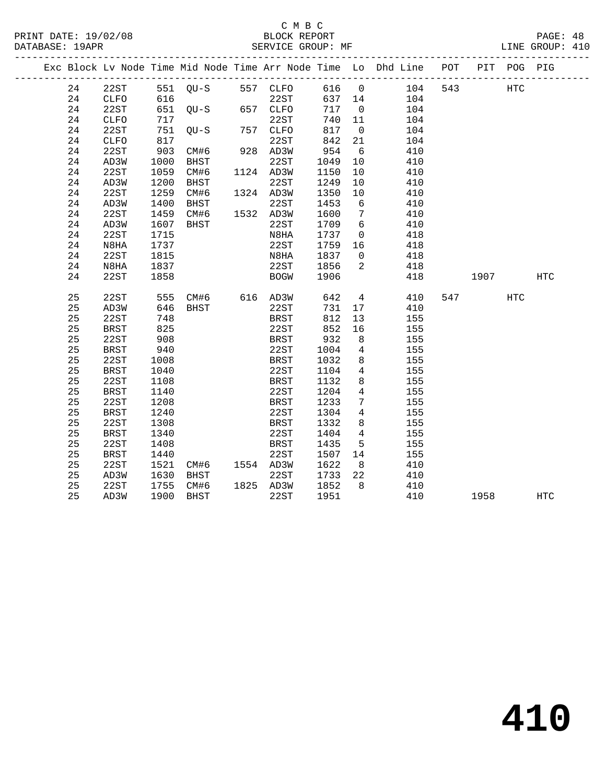|  |    |             |      |                   |                                                                         |             |        |                         | Exc Block Lv Node Time Mid Node Time Arr Node Time Lo Dhd Line POT |     |      | PIT POG PIG |                   |
|--|----|-------------|------|-------------------|-------------------------------------------------------------------------|-------------|--------|-------------------------|--------------------------------------------------------------------|-----|------|-------------|-------------------|
|  | 24 | 22ST        |      | 551 QU-S 557 CLFO |                                                                         |             | 616 0  |                         | 104                                                                | 543 |      | HTC         |                   |
|  | 24 | CLFO        | 616  |                   |                                                                         | 22ST        | 637 14 |                         | 104                                                                |     |      |             |                   |
|  | 24 | 22ST        |      | 651 QU-S          |                                                                         | 657 CLFO    | 717    | $\overline{0}$          | 104                                                                |     |      |             |                   |
|  | 24 | CLFO        | 717  |                   |                                                                         | 22ST        | 740    | 11                      | 104                                                                |     |      |             |                   |
|  | 24 | 22ST        |      | 751 QU-S          |                                                                         | 757 CLFO    | 817    | $\overline{0}$          | 104                                                                |     |      |             |                   |
|  | 24 | CLFO        | 817  |                   |                                                                         | 22ST        | 842    | 21                      | 104                                                                |     |      |             |                   |
|  | 24 | 22ST        | 903  | CM#6              |                                                                         | 928 AD3W    | 954    | 6                       | 410                                                                |     |      |             |                   |
|  | 24 | AD3W        | 1000 | BHST              |                                                                         | 22ST        | 1049   | 10                      | 410                                                                |     |      |             |                   |
|  | 24 | 22ST        | 1059 | CM#6              |                                                                         | 1124 AD3W   | 1150   | 10                      | 410                                                                |     |      |             |                   |
|  | 24 | AD3W        | 1200 | BHST              |                                                                         | 22ST        | 1249   | 10                      | 410                                                                |     |      |             |                   |
|  | 24 | 22ST        | 1259 | CM#6              |                                                                         | 1324 AD3W   | 1350   | 10                      | 410                                                                |     |      |             |                   |
|  | 24 | AD3W        | 1400 | BHST              |                                                                         | 22ST        | 1453   | 6                       | 410                                                                |     |      |             |                   |
|  | 24 | 22ST        | 1459 | CM#6              |                                                                         | 1532 AD3W   | 1600   | $\overline{7}$          | 410                                                                |     |      |             |                   |
|  | 24 | AD3W        | 1607 | BHST              |                                                                         | 22ST        | 1709   | 6                       | 410                                                                |     |      |             |                   |
|  | 24 | 22ST        | 1715 |                   |                                                                         | N8HA        | 1737   | $\overline{0}$          | 418                                                                |     |      |             |                   |
|  | 24 | N8HA        | 1737 |                   |                                                                         | 22ST        | 1759   | 16                      | 418                                                                |     |      |             |                   |
|  | 24 | 22ST        | 1815 |                   |                                                                         | N8HA        | 1837   | $\overline{0}$          | 418                                                                |     |      |             |                   |
|  | 24 | N8HA        | 1837 |                   |                                                                         | 22ST        | 1856   | $\overline{\mathbf{2}}$ | 418                                                                |     |      |             |                   |
|  | 24 | 22ST        | 1858 |                   |                                                                         | <b>BOGW</b> | 1906   |                         | 418                                                                |     | 1907 |             | $_{\mathrm{HTC}}$ |
|  |    |             |      |                   |                                                                         |             |        |                         |                                                                    |     |      |             |                   |
|  | 25 | 22ST        | 555  | CM#6 616 AD3W     |                                                                         |             | 642    |                         | $4\overline{ }$<br>410                                             |     | 547  | HTC         |                   |
|  | 25 | AD3W        | 646  | BHST              |                                                                         | 22ST        | 731    | 17                      | 410                                                                |     |      |             |                   |
|  | 25 | 22ST        | 748  |                   |                                                                         | BRST        | 812    | 13                      | 155                                                                |     |      |             |                   |
|  | 25 | <b>BRST</b> | 825  |                   |                                                                         | 22ST        | 852    | 16                      | 155                                                                |     |      |             |                   |
|  | 25 | 22ST        | 908  |                   |                                                                         | BRST        | 932    | 8 <sup>8</sup>          | 155                                                                |     |      |             |                   |
|  | 25 | BRST        | 940  |                   |                                                                         | 22ST        | 1004   | $\overline{4}$          | 155                                                                |     |      |             |                   |
|  | 25 | 22ST        | 1008 |                   |                                                                         | <b>BRST</b> | 1032   | 8                       | 155                                                                |     |      |             |                   |
|  | 25 | <b>BRST</b> | 1040 |                   |                                                                         | 22ST        | 1104   | $\overline{4}$          | 155                                                                |     |      |             |                   |
|  | 25 | 22ST        | 1108 |                   |                                                                         | BRST        | 1132   | 8                       | 155                                                                |     |      |             |                   |
|  | 25 | BRST        | 1140 |                   |                                                                         | 22ST        | 1204   | $\overline{4}$          | 155                                                                |     |      |             |                   |
|  | 25 | 22ST        | 1208 |                   |                                                                         | <b>BRST</b> | 1233   | $7\overline{ }$         | 155                                                                |     |      |             |                   |
|  | 25 | BRST        | 1240 |                   |                                                                         | 22ST        | 1304   | $\overline{4}$          | 155                                                                |     |      |             |                   |
|  | 25 | 22ST        | 1308 |                   |                                                                         | BRST        | 1332   | 8                       | 155                                                                |     |      |             |                   |
|  | 25 | <b>BRST</b> | 1340 |                   |                                                                         | 22ST        | 1404   | $\overline{4}$          | 155                                                                |     |      |             |                   |
|  | 25 | 22ST        | 1408 |                   |                                                                         | BRST        | 1435   | $5^{\circ}$             | 155                                                                |     |      |             |                   |
|  | 25 | BRST        | 1440 |                   |                                                                         | 22ST        | 1507   | 14                      | 155                                                                |     |      |             |                   |
|  | 25 | 22ST        | 1521 | CM#6 1554 AD3W    | $\begin{array}{c}\n\downarrow \\ \downarrow \\ \downarrow\n\end{array}$ |             | 1622   | 8 <sup>8</sup>          | 410                                                                |     |      |             |                   |
|  | 25 | AD3W        | 1630 | BHST              |                                                                         | 22ST        | 1733   | 22                      | 410                                                                |     |      |             |                   |
|  | 25 | 22ST        | 1755 | CM#6              |                                                                         | 1825 AD3W   | 1852   | 8 <sup>8</sup>          | 410                                                                |     |      |             |                   |
|  | 25 | AD3W        | 1900 | BHST              |                                                                         | 22ST        | 1951   |                         | 410                                                                |     | 1958 |             | <b>HTC</b>        |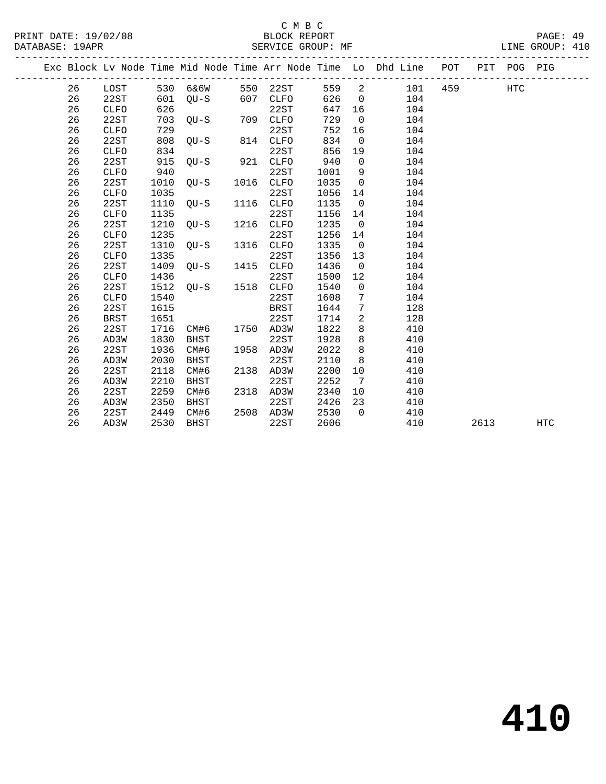### C M B C<br>BLOCK REPORT

| PRINT DATE: 19/02/08                                                                                                                                                                                                          |                   | BLOCK REPORT |  | PAGE:          |  |
|-------------------------------------------------------------------------------------------------------------------------------------------------------------------------------------------------------------------------------|-------------------|--------------|--|----------------|--|
| DATABASE: 19APR                                                                                                                                                                                                               | SERVICE GROUP: MF |              |  | INE GROUP: 410 |  |
| . The contract of the contract of the contract of the contract of the contract of the contract of the contract of the contract of the contract of the contract of the contract of the contract of the contract of the contrac |                   |              |  |                |  |

|  |    |             |      |             |      |             |      |             | Exc Block Lv Node Time Mid Node Time Arr Node Time Lo Dhd Line | POT | PIT  | POG PIG    |            |
|--|----|-------------|------|-------------|------|-------------|------|-------------|----------------------------------------------------------------|-----|------|------------|------------|
|  | 26 | LOST        | 530  | 6&6W        | 550  | 22ST        | 559  | 2           | 101                                                            | 459 |      | <b>HTC</b> |            |
|  | 26 | 22ST        | 601  | $QU-S$      | 607  | <b>CLFO</b> | 626  | 0           | 104                                                            |     |      |            |            |
|  | 26 | <b>CLFO</b> | 626  |             |      | 22ST        | 647  | 16          | 104                                                            |     |      |            |            |
|  | 26 | 22ST        | 703  | $QU-S$      | 709  | <b>CLFO</b> | 729  | 0           | 104                                                            |     |      |            |            |
|  | 26 | CLFO        | 729  |             |      | 22ST        | 752  | 16          | 104                                                            |     |      |            |            |
|  | 26 | 22ST        | 808  | $QU-S$      | 814  | <b>CLFO</b> | 834  | $\mathbf 0$ | 104                                                            |     |      |            |            |
|  | 26 | <b>CLFO</b> | 834  |             |      | 22ST        | 856  | 19          | 104                                                            |     |      |            |            |
|  | 26 | 22ST        | 915  | $OU-S$      | 921  | <b>CLFO</b> | 940  | 0           | 104                                                            |     |      |            |            |
|  | 26 | <b>CLFO</b> | 940  |             |      | 22ST        | 1001 | 9           | 104                                                            |     |      |            |            |
|  | 26 | 22ST        | 1010 | $OU-S$      | 1016 | <b>CLFO</b> | 1035 | $\Omega$    | 104                                                            |     |      |            |            |
|  | 26 | <b>CLFO</b> | 1035 |             |      | 22ST        | 1056 | 14          | 104                                                            |     |      |            |            |
|  | 26 | 22ST        | 1110 | $QU-S$      | 1116 | <b>CLFO</b> | 1135 | $\mathbf 0$ | 104                                                            |     |      |            |            |
|  | 26 | CLFO        | 1135 |             |      | 22ST        | 1156 | 14          | 104                                                            |     |      |            |            |
|  | 26 | 22ST        | 1210 | $QU-S$      | 1216 | CLFO        | 1235 | $\mathbf 0$ | 104                                                            |     |      |            |            |
|  | 26 | CLFO        | 1235 |             |      | 22ST        | 1256 | 14          | 104                                                            |     |      |            |            |
|  | 26 | 22ST        | 1310 | $OU-S$      | 1316 | <b>CLFO</b> | 1335 | 0           | 104                                                            |     |      |            |            |
|  | 26 | <b>CLFO</b> | 1335 |             |      | 22ST        | 1356 | 13          | 104                                                            |     |      |            |            |
|  | 26 | 22ST        | 1409 | $OU-S$      | 1415 | <b>CLFO</b> | 1436 | $\mathbf 0$ | 104                                                            |     |      |            |            |
|  | 26 | <b>CLFO</b> | 1436 |             |      | 22ST        | 1500 | 12          | 104                                                            |     |      |            |            |
|  | 26 | 22ST        | 1512 | $OU-S$      | 1518 | CLFO        | 1540 | $\mathbf 0$ | 104                                                            |     |      |            |            |
|  | 26 | CLFO        | 1540 |             |      | 22ST        | 1608 | 7           | 104                                                            |     |      |            |            |
|  | 26 | 22ST        | 1615 |             |      | <b>BRST</b> | 1644 | 7           | 128                                                            |     |      |            |            |
|  | 26 | BRST        | 1651 |             |      | 22ST        | 1714 | 2           | 128                                                            |     |      |            |            |
|  | 26 | 22ST        | 1716 | CM#6        | 1750 | AD3W        | 1822 | 8           | 410                                                            |     |      |            |            |
|  | 26 | AD3W        | 1830 | BHST        |      | 22ST        | 1928 | 8           | 410                                                            |     |      |            |            |
|  | 26 | 22ST        | 1936 | CM#6        | 1958 | AD3W        | 2022 | 8           | 410                                                            |     |      |            |            |
|  | 26 | AD3W        | 2030 | <b>BHST</b> |      | 22ST        | 2110 | 8           | 410                                                            |     |      |            |            |
|  | 26 | 22ST        | 2118 | CM#6        | 2138 | AD3W        | 2200 | 10          | 410                                                            |     |      |            |            |
|  | 26 | AD3W        | 2210 | <b>BHST</b> |      | 22ST        | 2252 | 7           | 410                                                            |     |      |            |            |
|  | 26 | 22ST        | 2259 | CM#6        | 2318 | AD3W        | 2340 | 10          | 410                                                            |     |      |            |            |
|  | 26 | AD3W        | 2350 | BHST        |      | 22ST        | 2426 | 23          | 410                                                            |     |      |            |            |
|  | 26 | 22ST        | 2449 | CM#6        | 2508 | AD3W        | 2530 | $\Omega$    | 410                                                            |     |      |            |            |
|  | 26 | AD3W        | 2530 | <b>BHST</b> |      | 22ST        | 2606 |             | 410                                                            |     | 2613 |            | <b>HTC</b> |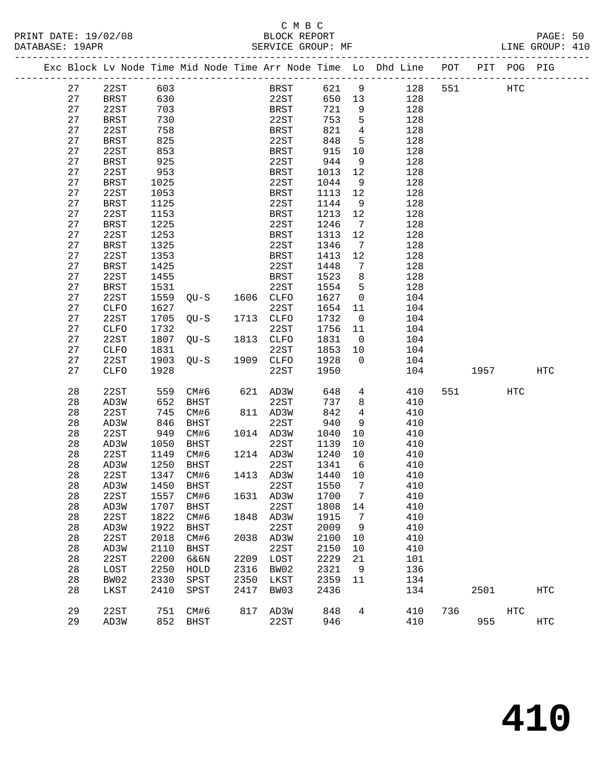|  |    | Exc Block Lv Node Time Mid Node Time Arr Node Time Lo Dhd Line POT |           |             |           |             |                  |                 |     |     |      | PIT POG PIG |                   |
|--|----|--------------------------------------------------------------------|-----------|-------------|-----------|-------------|------------------|-----------------|-----|-----|------|-------------|-------------------|
|  | 27 | 22ST                                                               | 603       |             |           | <b>BRST</b> | 621              | 9               | 128 | 551 |      | HTC         |                   |
|  | 27 | <b>BRST</b>                                                        | 630       |             |           | 22ST        | 650              | 13              | 128 |     |      |             |                   |
|  | 27 | 22ST                                                               | 703       |             |           | <b>BRST</b> | 721              | 9               | 128 |     |      |             |                   |
|  | 27 | BRST                                                               | 730       |             |           | 22ST        | 753              | 5               | 128 |     |      |             |                   |
|  | 27 | 22ST                                                               | 758       |             |           | BRST        | 821              | $\overline{4}$  | 128 |     |      |             |                   |
|  | 27 | <b>BRST</b>                                                        | 825       |             |           | 22ST        | 848              | 5               | 128 |     |      |             |                   |
|  | 27 | 22ST                                                               | 853       |             |           | <b>BRST</b> | 915              | 10              | 128 |     |      |             |                   |
|  | 27 | <b>BRST</b>                                                        | 925       |             |           | 22ST        | 944              | 9               | 128 |     |      |             |                   |
|  | 27 | 22ST                                                               | 953       |             |           | BRST        | 1013             | 12              | 128 |     |      |             |                   |
|  | 27 | <b>BRST</b>                                                        | 1025      |             |           | 22ST        | 1044             | 9               | 128 |     |      |             |                   |
|  | 27 | 22ST                                                               | 1053      |             |           | BRST        | 1113             | 12              | 128 |     |      |             |                   |
|  | 27 | <b>BRST</b>                                                        | 1125      |             |           | 22ST        | 1144             | 9               | 128 |     |      |             |                   |
|  | 27 | 22ST                                                               | 1153      |             |           | BRST        | 1213             | 12              | 128 |     |      |             |                   |
|  | 27 | <b>BRST</b>                                                        | 1225      |             |           | 22ST        | 1246             | 7               | 128 |     |      |             |                   |
|  | 27 | 22ST                                                               | 1253      |             |           | BRST        | 1313             | 12              | 128 |     |      |             |                   |
|  | 27 | <b>BRST</b>                                                        | 1325      |             |           | 22ST        | 1346             | $7\phantom{.0}$ | 128 |     |      |             |                   |
|  | 27 | 22ST                                                               | 1353      |             |           | BRST        | 1413             | 12              | 128 |     |      |             |                   |
|  | 27 | <b>BRST</b>                                                        | 1425      |             |           | 22ST        | 1448             | 7               | 128 |     |      |             |                   |
|  | 27 | 22ST                                                               | 1455      |             |           | BRST        | 1523             | 8               | 128 |     |      |             |                   |
|  | 27 | <b>BRST</b>                                                        | 1531      |             |           | 22ST        | 1554             | 5               | 128 |     |      |             |                   |
|  | 27 | 22ST                                                               | 1559      | QU-S        | 1606 CLFO |             | 1627             | $\mathsf{O}$    | 104 |     |      |             |                   |
|  | 27 | CLFO                                                               | 1627      |             |           | 22ST        | 1654             | 11              | 104 |     |      |             |                   |
|  | 27 | 22ST                                                               | 1705      | $QU-S$      | 1713      | CLFO        | 1732             | $\overline{0}$  | 104 |     |      |             |                   |
|  | 27 | CLFO                                                               | 1732      |             |           | 22ST        | 1756             | 11              | 104 |     |      |             |                   |
|  | 27 | 22ST                                                               | 1807      | $QU-S$      | 1813 CLFO |             | 1831             | $\overline{0}$  | 104 |     |      |             |                   |
|  | 27 | CLFO                                                               | 1831      |             |           | 22ST        | 1853             | 10              | 104 |     |      |             |                   |
|  | 27 | 22ST                                                               | 1903      | $OU-S$      | 1909 CLFO |             | 1928             | $\Omega$        | 104 |     |      |             |                   |
|  | 27 | <b>CLFO</b>                                                        | 1928      |             |           | 22ST        | 1950             |                 | 104 |     | 1957 |             | HTC               |
|  |    |                                                                    |           |             |           |             |                  |                 |     |     |      |             |                   |
|  | 28 | 22ST                                                               | 559       | CM#6        |           | 621 AD3W    | 648              | $4\overline{ }$ | 410 | 551 |      | HTC         |                   |
|  | 28 | AD3W                                                               | 652       | BHST        |           | 22ST        | 737              | 8               | 410 |     |      |             |                   |
|  | 28 | 22ST                                                               | 745       | CM#6        |           | 811 AD3W    | 842              | $\overline{4}$  | 410 |     |      |             |                   |
|  | 28 | AD3W                                                               | 846       | BHST        |           | 22ST        | 940              | 9               | 410 |     |      |             |                   |
|  | 28 | 22ST                                                               | 949       | CM#6        | 1014 AD3W |             | 1040             | 10              | 410 |     |      |             |                   |
|  | 28 | AD3W                                                               | 1050      | BHST        |           | 22ST        | 1139             | $10\,$          | 410 |     |      |             |                   |
|  | 28 | 22ST                                                               | 1149      | CM#6        | 1214 AD3W |             | 1240             | 10              | 410 |     |      |             |                   |
|  | 28 | AD3W                                                               | 1250      | BHST        |           | 22ST        | 1341             | 6               | 410 |     |      |             |                   |
|  | 28 | 22ST                                                               | 1347      | CM#6        | 1413 AD3W |             | 1440             | 10              | 410 |     |      |             |                   |
|  | 28 | AD3W                                                               | 1450      | BHST        |           | 22ST        | 1550             | $\overline{7}$  | 410 |     |      |             |                   |
|  | 28 | 22ST                                                               | 1557 CM#6 |             |           |             | 1631 AD3W 1700 7 |                 | 410 |     |      |             |                   |
|  | 28 | AD3W                                                               | 1707      | <b>BHST</b> |           | 22ST        | 1808             | 14              | 410 |     |      |             |                   |
|  | 28 | 22ST                                                               | 1822      | CM#6        | 1848      | AD3W        | 1915             | 7               | 410 |     |      |             |                   |
|  | 28 | AD3W                                                               | 1922      | <b>BHST</b> |           | 22ST        | 2009             | 9               | 410 |     |      |             |                   |
|  | 28 | 22ST                                                               | 2018      | CM#6        | 2038      | AD3W        | 2100             | 10              | 410 |     |      |             |                   |
|  | 28 | AD3W                                                               | 2110      | <b>BHST</b> |           | 22ST        | 2150             | 10              | 410 |     |      |             |                   |
|  | 28 | 22ST                                                               | 2200      | 6&6N        | 2209      | LOST        | 2229             | 21              | 101 |     |      |             |                   |
|  | 28 | LOST                                                               | 2250      | HOLD        | 2316      | BW02        | 2321             | 9               | 136 |     |      |             |                   |
|  | 28 | BW02                                                               | 2330      | SPST        | 2350      | LKST        | 2359             | 11              | 134 |     |      |             |                   |
|  | 28 | LKST                                                               | 2410      | SPST        | 2417      | BW03        | 2436             |                 | 134 |     | 2501 |             | $_{\mathrm{HTC}}$ |
|  | 29 | 22ST                                                               | 751       | CM#6        | 817       | AD3W        | 848              | 4               | 410 | 736 |      | HTC         |                   |
|  | 29 | AD3W                                                               | 852       | <b>BHST</b> |           | 22ST        | 946              |                 | 410 |     | 955  |             | HTC               |
|  |    |                                                                    |           |             |           |             |                  |                 |     |     |      |             |                   |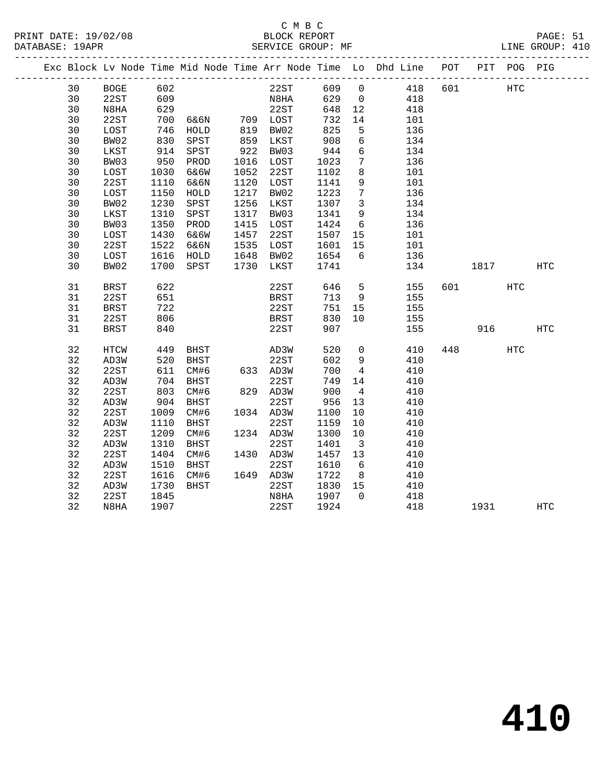### C M B C<br>BLOCK REPORT SERVICE GROUP: MF

|  |    |      |      |             |      |                        |         |                         | Exc Block Lv Node Time Mid Node Time Arr Node Time Lo Dhd Line POT |     |            | PIT POG PIG |     |
|--|----|------|------|-------------|------|------------------------|---------|-------------------------|--------------------------------------------------------------------|-----|------------|-------------|-----|
|  | 30 | BOGE | 602  |             |      | 22ST 609 0             |         |                         | 418                                                                | 601 | <b>HTC</b> |             |     |
|  | 30 | 22ST | 609  |             |      | N8HA                   | 629 0   |                         | 418                                                                |     |            |             |     |
|  | 30 | N8HA | 629  |             |      | 22ST                   | 648     | 12                      | 418                                                                |     |            |             |     |
|  | 30 | 22ST | 700  |             |      |                        | 732     | 14                      | 101                                                                |     |            |             |     |
|  | 30 | LOST | 746  |             |      |                        | 825     | $5^{\circ}$             | 136                                                                |     |            |             |     |
|  | 30 | BW02 | 830  | SPST        |      | 859 LKST               | 908     | 6                       | 134                                                                |     |            |             |     |
|  | 30 | LKST | 914  | SPST        |      | 922 BW03               | 944     | 6                       | 134                                                                |     |            |             |     |
|  | 30 | BW03 | 950  | PROD        |      | 1016 LOST              | 1023    | $7\overline{ }$         | 136                                                                |     |            |             |     |
|  | 30 | LOST | 1030 | 6&6W        |      | 1052 22ST              | 1102    | 8                       | 101                                                                |     |            |             |     |
|  | 30 | 22ST | 1110 | 6&6N        | 1120 | LOST                   | 1141    | 9                       | 101                                                                |     |            |             |     |
|  | 30 | LOST | 1150 | HOLD        | 1217 | BW02                   | 1223    | $7\phantom{.0}$         | 136                                                                |     |            |             |     |
|  | 30 | BW02 | 1230 | SPST        | 1256 | LKST                   | 1307    | $\overline{\mathbf{3}}$ | 134                                                                |     |            |             |     |
|  | 30 | LKST | 1310 | SPST        |      | 1317 BW03              | 1341    | 9                       | 134                                                                |     |            |             |     |
|  | 30 | BW03 | 1350 | PROD        |      | 1415 LOST              | 1424    | 6                       | 136                                                                |     |            |             |     |
|  | 30 | LOST | 1430 | 6&6W        | 1457 | 22ST                   | 1507    | 15                      | 101                                                                |     |            |             |     |
|  | 30 | 22ST | 1522 | 6&6N        |      |                        | 1601    | 15                      | 101                                                                |     |            |             |     |
|  | 30 | LOST |      | 1616 HOLD   |      | 1535 LOST<br>1648 BW02 | 1654    | $6\overline{6}$         | 136                                                                |     |            |             |     |
|  | 30 | BW02 |      | 1700 SPST   |      | 1730 LKST              | 1741    |                         | 134                                                                |     | 1817       |             | HTC |
|  |    |      |      |             |      |                        |         |                         |                                                                    |     |            |             |     |
|  | 31 | BRST | 622  |             |      | 22ST                   | 646     | 5 <sup>5</sup>          | 155                                                                |     | 601 700    | HTC         |     |
|  | 31 | 22ST | 651  |             |      | BRST                   | 713     | - 9                     | 155                                                                |     |            |             |     |
|  | 31 | BRST | 722  |             |      | 22ST                   | 751     | 15                      | 155                                                                |     |            |             |     |
|  | 31 | 22ST | 806  |             |      | BRST                   | 830     | 10                      | 155                                                                |     |            |             |     |
|  | 31 | BRST | 840  |             |      | 22ST                   | 907     |                         | 155                                                                |     |            | 916 — 10    | HTC |
|  |    |      |      |             |      |                        |         |                         |                                                                    |     |            |             |     |
|  | 32 | HTCW | 449  | <b>BHST</b> |      | AD3W                   | 520     |                         | $\overline{0}$<br>410                                              |     | 448        | <b>HTC</b>  |     |
|  | 32 | AD3W | 520  | BHST        |      | 22ST                   | 602     | 9                       | 410                                                                |     |            |             |     |
|  | 32 | 22ST | 611  | CM#6        |      | 633 AD3W               | 700     | $\overline{4}$          | 410                                                                |     |            |             |     |
|  | 32 | AD3W | 704  | BHST        |      | 22ST                   | 749     | 14                      | 410                                                                |     |            |             |     |
|  | 32 | 22ST | 803  | CM#6        |      | 829 AD3W               | 900     | $\overline{4}$          | 410                                                                |     |            |             |     |
|  | 32 | AD3W | 904  | BHST        |      | 22ST                   | 956     | 13                      | 410                                                                |     |            |             |     |
|  | 32 | 22ST | 1009 | CM#6        |      | 1034 AD3W              | 1100    | 10                      | 410                                                                |     |            |             |     |
|  | 32 | AD3W | 1110 | BHST        |      | 22ST                   | 1159    | 10                      | 410                                                                |     |            |             |     |
|  | 32 | 22ST | 1209 | CM#6        |      | 1234 AD3W              | 1300    | 10                      | 410                                                                |     |            |             |     |
|  | 32 | AD3W | 1310 | BHST        |      | 22ST                   | 1401    | $\overline{\mathbf{3}}$ | 410                                                                |     |            |             |     |
|  | 32 | 22ST | 1404 | CM#6        |      | 1430 AD3W              | 1457 13 |                         | 410                                                                |     |            |             |     |
|  | 32 | AD3W | 1510 | BHST        |      | 22ST                   | 1610    | 6                       | 410                                                                |     |            |             |     |
|  | 32 | 22ST | 1616 | CM#6        |      | 1649 AD3W              | 1722    | 8 <sup>8</sup>          | 410                                                                |     |            |             |     |
|  | 32 | AD3W | 1730 | BHST        |      | 22ST                   | 1830 15 |                         | 410                                                                |     |            |             |     |
|  | 32 | 22ST | 1845 |             |      | N8HA                   | 1907 0  |                         | 418                                                                |     |            |             |     |

32 N8HA 1907 22ST 1924 418 1931 HTC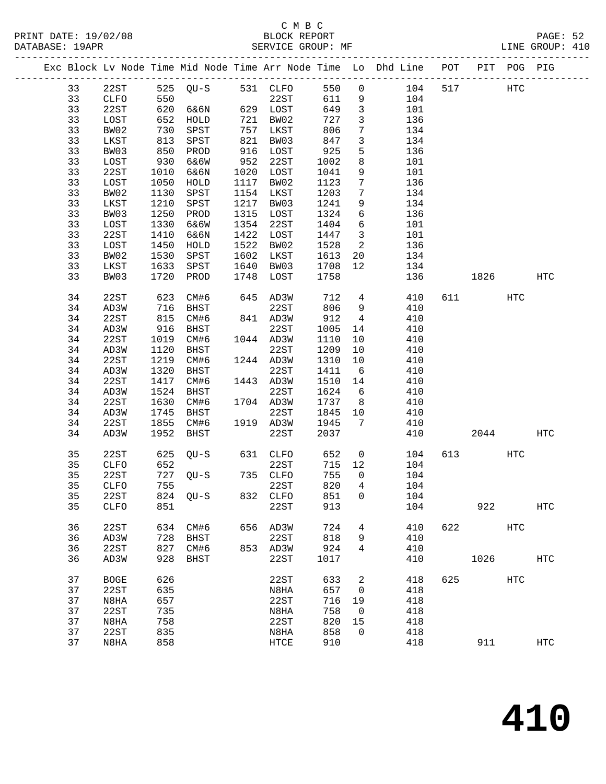|  |    |             |                 |          |                                           |           |       |                         | Exc Block Lv Node Time Mid Node Time Arr Node Time Lo Dhd Line POT |     |          | PIT POG PIG  |                   |
|--|----|-------------|-----------------|----------|-------------------------------------------|-----------|-------|-------------------------|--------------------------------------------------------------------|-----|----------|--------------|-------------------|
|  | 33 | 22ST        |                 |          |                                           |           | 550   | $\overline{0}$          | 104                                                                | 517 |          | $_{\rm HTC}$ |                   |
|  | 33 | CLFO        |                 |          |                                           |           | 611   | 9                       | 104                                                                |     |          |              |                   |
|  | 33 | 22ST        | 620             | 6&6N     |                                           | 629 LOST  | 649   | $\overline{\mathbf{3}}$ | 101                                                                |     |          |              |                   |
|  | 33 | LOST        | 652             | HOLD     |                                           | 721 BW02  | 727   | $\mathbf{3}$            | 136                                                                |     |          |              |                   |
|  | 33 | BW02        | $\frac{1}{813}$ | SPST     | $\begin{array}{c} 757 \\ 821 \end{array}$ | 757 LKST  | 806   | $7\phantom{.0}$         | 134                                                                |     |          |              |                   |
|  | 33 | LKST        |                 | SPST     |                                           | BW03      | 847   | $\mathbf{3}$            | 134                                                                |     |          |              |                   |
|  | 33 | BW03        | 850             | PROD     |                                           | 916 LOST  | 925   | 5                       | 136                                                                |     |          |              |                   |
|  | 33 | LOST        | 930             | 6&6W     |                                           | 952 22ST  | 1002  | 8                       | 101                                                                |     |          |              |                   |
|  | 33 | 22ST        | 1010            | 6&6N     |                                           | 1020 LOST | 1041  | 9                       | 101                                                                |     |          |              |                   |
|  | 33 | LOST        | 1050            | HOLD     |                                           | 1117 BW02 | 1123  | $7\phantom{.0}$         | 136                                                                |     |          |              |                   |
|  | 33 | BW02        | 1130            | SPST     |                                           | 1154 LKST | 1203  | $7\phantom{.0}$         | 134                                                                |     |          |              |                   |
|  | 33 | LKST        | 1210            | SPST     | 1217                                      | BW03      | 1241  | 9                       | 134                                                                |     |          |              |                   |
|  | 33 | BW03        | 1250            | PROD     |                                           | 1315 LOST | 1324  | 6                       | 136                                                                |     |          |              |                   |
|  | 33 | LOST        | 1330            | 6&6W     |                                           | 1354 22ST | 1404  | $6\overline{6}$         | 101                                                                |     |          |              |                   |
|  | 33 | 22ST        | 1410            | 6&6N     |                                           | 1422 LOST | 1447  | $\overline{\mathbf{3}}$ | 101                                                                |     |          |              |                   |
|  | 33 | LOST        | 1450            | HOLD     |                                           | 1522 BW02 | 1528  | $\overline{\mathbf{c}}$ | 136                                                                |     |          |              |                   |
|  | 33 | BW02        | 1530            | SPST     | 1602                                      | LKST      | 1613  | 20                      | 134                                                                |     |          |              |                   |
|  | 33 | LKST        | 1633            | SPST     |                                           | 1640 BW03 | 1708  | 12                      | 134                                                                |     |          |              |                   |
|  | 33 | BW03        | 1720            | PROD     |                                           | 1748 LOST | 1758  |                         | 136                                                                |     | 1826     |              | HTC               |
|  |    |             |                 |          |                                           |           |       |                         |                                                                    |     |          |              |                   |
|  | 34 | 22ST        | 623             | CM#6     |                                           | 645 AD3W  | 712   | $\overline{4}$          | 410                                                                |     | 611 7    | HTC          |                   |
|  | 34 | AD3W        | 716             | BHST     |                                           | 22ST      | 806   | 9                       | 410                                                                |     |          |              |                   |
|  | 34 | 22ST        | $\frac{1}{815}$ | CM#6     |                                           | 841 AD3W  | 912   | $\overline{4}$          | 410                                                                |     |          |              |                   |
|  | 34 | AD3W        | 916             | BHST     |                                           | 22ST      | 1005  | 14                      | 410                                                                |     |          |              |                   |
|  | 34 | 22ST        | 1019            | CM#6     |                                           | 1044 AD3W | 1110  | 10                      | 410                                                                |     |          |              |                   |
|  | 34 | AD3W        | 1120            | BHST     |                                           | 22ST      | 1209  | 10                      | 410                                                                |     |          |              |                   |
|  | 34 | 22ST        | 1219            | CM#6     |                                           | 1244 AD3W | 1310  | 10                      | 410                                                                |     |          |              |                   |
|  | 34 | AD3W        | 1320            | BHST     |                                           | 22ST      | 1411  | 6                       | 410                                                                |     |          |              |                   |
|  | 34 | 22ST        | 1417            | CM#6     |                                           | 1443 AD3W | 1510  | 14                      | 410                                                                |     |          |              |                   |
|  | 34 | AD3W        | 1524            | BHST     |                                           | 22ST      | 1624  | 6                       | 410                                                                |     |          |              |                   |
|  | 34 | 22ST        | 1630            | CM#6     |                                           | 1704 AD3W | 1737  | 8 <sup>8</sup>          | 410                                                                |     |          |              |                   |
|  | 34 | AD3W        | 1745            | BHST     |                                           | 22ST      | 1845  | 10                      | 410                                                                |     |          |              |                   |
|  | 34 | 22ST        | 1855            | CM#6     |                                           | 1919 AD3W | 1945  | $7\overline{ }$         | 410                                                                |     |          |              |                   |
|  | 34 | AD3W        | 1952            | BHST     |                                           | 22ST      | 2037  |                         | 410                                                                |     | 2044     |              | HTC               |
|  |    |             |                 |          |                                           |           |       |                         |                                                                    |     |          |              |                   |
|  | 35 | 22ST        | 625             | QU-S     |                                           | 631 CLFO  | 652   |                         | $\overline{0}$<br>104                                              |     | 613 — 10 | HTC          |                   |
|  | 35 | CLFO        | 652             |          |                                           | 22ST      | 715   | 12                      | 104                                                                |     |          |              |                   |
|  | 35 | 22ST        | 727             | QU-S     |                                           | 735 CLFO  | 755   | $\overline{0}$          | 104                                                                |     |          |              |                   |
|  | 35 | CLFO        | 755             |          |                                           | 22ST      | 820   | $4\overline{4}$         | 104                                                                |     |          |              |                   |
|  | 35 | 22ST        |                 | 824 QU-S |                                           | 832 CLFO  | 851 0 |                         | 104                                                                |     |          |              |                   |
|  | 35 | <b>CLFO</b> | 851             |          |                                           | 22ST      | 913   |                         | 104                                                                |     | 922      |              | <b>HTC</b>        |
|  |    |             |                 |          |                                           |           |       |                         |                                                                    |     |          |              |                   |
|  | 36 | 22ST        | 634             | CM#6     |                                           | 656 AD3W  | 724   | 4                       | 410                                                                | 622 |          | HTC          |                   |
|  | 36 | AD3W        | 728             | BHST     |                                           | 22ST      | 818   | 9                       | 410                                                                |     |          |              |                   |
|  | 36 | 22ST        | 827             | CM#6     | 853                                       | AD3W      | 924   | 4                       | 410                                                                |     |          |              |                   |
|  | 36 | AD3W        | 928             | BHST     |                                           | 22ST      | 1017  |                         | 410                                                                |     | 1026     |              | <b>HTC</b>        |
|  | 37 | <b>BOGE</b> | 626             |          |                                           | 22ST      | 633   | 2                       | 418                                                                | 625 |          | HTC          |                   |
|  | 37 | 22ST        | 635             |          |                                           | N8HA      | 657   | $\mathbf 0$             | 418                                                                |     |          |              |                   |
|  | 37 | N8HA        | 657             |          |                                           | 22ST      | 716   | 19                      | 418                                                                |     |          |              |                   |
|  | 37 | 22ST        | 735             |          |                                           | N8HA      | 758   | 0                       | 418                                                                |     |          |              |                   |
|  | 37 | N8HA        | 758             |          |                                           | 22ST      | 820   | 15                      | 418                                                                |     |          |              |                   |
|  | 37 | 22ST        | 835             |          |                                           | N8HA      | 858   | 0                       | 418                                                                |     |          |              |                   |
|  | 37 | N8HA        | 858             |          |                                           | HTCE      | 910   |                         | 418                                                                |     | 911      |              | $_{\mathrm{HTC}}$ |
|  |    |             |                 |          |                                           |           |       |                         |                                                                    |     |          |              |                   |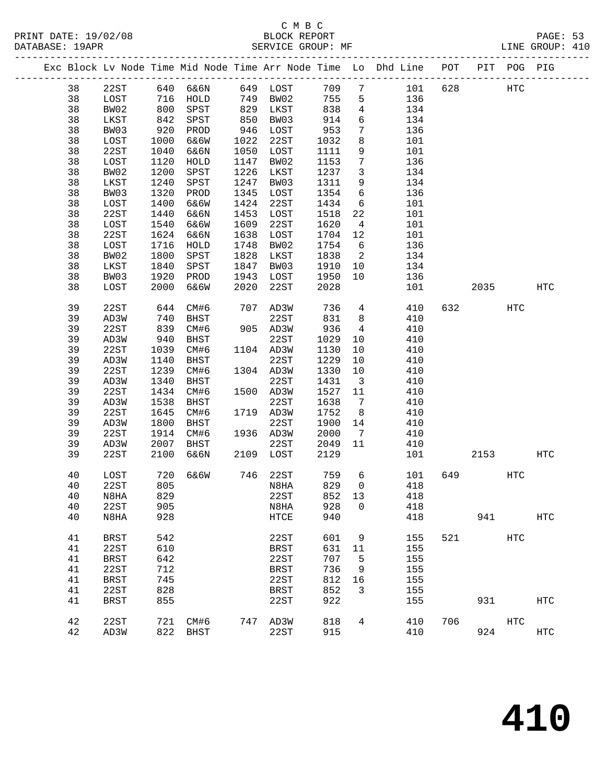# C M B C<br>BLOCK REPORT

DATABASE: 19APR SERVICE GROUP: MF LINE GROUP: 410

| PAIAPACH ISALIV |           |                  |     |          |     | DERVICE GROUP PH |                        |   |                                                                |                 |     | TTME OROOL . TIO |  |
|-----------------|-----------|------------------|-----|----------|-----|------------------|------------------------|---|----------------------------------------------------------------|-----------------|-----|------------------|--|
|                 |           |                  |     |          |     |                  |                        |   | Exc Block Lv Node Time Mid Node Time Arr Node Time Lo Dhd Line | POT PIT POG PIG |     |                  |  |
|                 | 38        | 22ST             |     | 640 6&6N |     | 649 LOST         | 709 7                  |   | 101                                                            | 628             | HTC |                  |  |
|                 | 38        | LOST             | 716 | HOLD     |     | 749 BW02         | 755 5                  |   | 136                                                            |                 |     |                  |  |
|                 | 38        | BW02             | 800 | SPST     | 829 | LKST             | 838                    | 4 | 134                                                            |                 |     |                  |  |
|                 | 38        | LKST             | 842 | SPST     |     | 850 BW03         | 914                    | 6 | 134                                                            |                 |     |                  |  |
|                 | <u>ാറ</u> | DMO <sub>2</sub> |     | ana noon |     | $0.1C$ TO $CD$   | $\cap$ $\Gamma$ $\cap$ |   | 12C                                                            |                 |     |                  |  |

| 38 | LKST        | 842  | SPST         | 850  | BW03          | 914   | 6                | 134 |     |      |                   |                   |
|----|-------------|------|--------------|------|---------------|-------|------------------|-----|-----|------|-------------------|-------------------|
| 38 | BW03        | 920  | PROD         | 946  | LOST          | 953   | $7\phantom{.0}$  | 136 |     |      |                   |                   |
| 38 | LOST        | 1000 | 6&6W         | 1022 | 22ST          | 1032  | 8                | 101 |     |      |                   |                   |
| 38 | 22ST        | 1040 | 6&6N         | 1050 | LOST          | 1111  | 9                | 101 |     |      |                   |                   |
| 38 | LOST        | 1120 | ${\tt HOLD}$ | 1147 | BW02          | 1153  | $\boldsymbol{7}$ | 136 |     |      |                   |                   |
| 38 | BW02        | 1200 | SPST         | 1226 | LKST          | 1237  | $\mathbf{3}$     | 134 |     |      |                   |                   |
| 38 | LKST        | 1240 | SPST         | 1247 | BW03          | 1311  | 9                | 134 |     |      |                   |                   |
| 38 | BW03        | 1320 | PROD         | 1345 | LOST          | 1354  | 6                | 136 |     |      |                   |                   |
| 38 | LOST        | 1400 | 6&6W         | 1424 | 22ST          | 1434  | 6                | 101 |     |      |                   |                   |
| 38 | 22ST        | 1440 | 6&6N         | 1453 | LOST          | 1518  | 22               | 101 |     |      |                   |                   |
| 38 | LOST        | 1540 | 6&6W         | 1609 | 22ST          | 1620  | 4                | 101 |     |      |                   |                   |
| 38 | 22ST        | 1624 | 6&6N         | 1638 | $_{\rm LOST}$ | 1704  | 12               | 101 |     |      |                   |                   |
| 38 | LOST        | 1716 | HOLD         | 1748 | BW02          | 1754  | $\epsilon$       | 136 |     |      |                   |                   |
| 38 | BW02        | 1800 | SPST         | 1828 | LKST          | 1838  | $\mathbf{2}$     | 134 |     |      |                   |                   |
| 38 | LKST        | 1840 | SPST         | 1847 | BW03          | 1910  | 10               | 134 |     |      |                   |                   |
| 38 | BW03        | 1920 | PROD         | 1943 | LOST          | 1950  | 10               | 136 |     |      |                   |                   |
| 38 | LOST        | 2000 | 6&6W         | 2020 | 22ST          | 2028  |                  | 101 |     | 2035 |                   | HTC               |
|    |             |      |              |      |               |       |                  |     |     |      |                   |                   |
| 39 | 22ST        | 644  | CM#6         | 707  | AD3W          | 736   | 4                | 410 | 632 |      | <b>HTC</b>        |                   |
| 39 | AD3W        | 740  | BHST         |      | 22ST          | 831   | $\,8\,$          | 410 |     |      |                   |                   |
| 39 | 22ST        | 839  | CM#6         | 905  | AD3W          | 936   | $\overline{4}$   | 410 |     |      |                   |                   |
| 39 | AD3W        | 940  | BHST         |      | 22ST          | 1029  | 10               | 410 |     |      |                   |                   |
| 39 | 22ST        | 1039 | CM#6         | 1104 | AD3W          | 1130  | 10               | 410 |     |      |                   |                   |
| 39 | AD3W        | 1140 | BHST         |      | 22ST          | 1229  | 10               | 410 |     |      |                   |                   |
| 39 | 22ST        | 1239 | CM#6         | 1304 | AD3W          | 1330  | 10               | 410 |     |      |                   |                   |
| 39 | AD3W        | 1340 | BHST         |      | 22ST          | 1431  | $\mathbf{3}$     | 410 |     |      |                   |                   |
| 39 | 22ST        | 1434 | CM#6         | 1500 | AD3W          | 1527  | 11               | 410 |     |      |                   |                   |
| 39 | AD3W        | 1538 | BHST         |      | 22ST          | 1638  | 7                | 410 |     |      |                   |                   |
| 39 | 22ST        | 1645 | CM#6         | 1719 | AD3W          | 1752  | $\,8\,$          | 410 |     |      |                   |                   |
| 39 | AD3W        | 1800 | BHST         |      | 22ST          | 1900  | 14               | 410 |     |      |                   |                   |
| 39 | 22ST        | 1914 | CM#6         | 1936 | AD3W          | 2000  | $7\phantom{.0}$  | 410 |     |      |                   |                   |
| 39 | AD3W        | 2007 | BHST         |      | 22ST          | 2049  | 11               | 410 |     |      |                   |                   |
| 39 | 22ST        | 2100 | 6&6N         | 2109 | LOST          | 2129  |                  | 101 |     | 2153 |                   | HTC               |
| 40 | LOST        | 720  | 6&6W         | 746  | 22ST          | 759   | 6                | 101 | 649 |      | <b>HTC</b>        |                   |
| 40 | 22ST        | 805  |              |      | N8HA          | 829   | 0                | 418 |     |      |                   |                   |
| 40 | N8HA        | 829  |              |      | 22ST          | 852   | 13               | 418 |     |      |                   |                   |
| 40 | 22ST        | 905  |              |      | N8HA          | 928   | 0                | 418 |     |      |                   |                   |
| 40 | N8HA        | 928  |              |      | HTCE          | 940   |                  | 418 |     | 941  |                   | $_{\mathrm{HTC}}$ |
|    |             |      |              |      |               |       |                  |     |     |      |                   |                   |
| 41 | <b>BRST</b> | 542  |              |      | 22ST          | 601   | 9                | 155 | 521 |      | $_{\mathrm{HTC}}$ |                   |
| 41 | 22ST        | 610  |              |      | BRST          | 631   | 11               | 155 |     |      |                   |                   |
| 41 | <b>BRST</b> | 642  |              |      | 22ST          | 707 5 |                  | 155 |     |      |                   |                   |
| 41 | 22ST        | 712  |              |      | <b>BRST</b>   | 736   | 9                | 155 |     |      |                   |                   |
| 41 | <b>BRST</b> | 745  |              |      | 22ST          | 812   | 16               | 155 |     |      |                   |                   |
| 41 | 22ST        | 828  |              |      | <b>BRST</b>   | 852   | 3                | 155 |     |      |                   |                   |
| 41 | <b>BRST</b> | 855  |              |      | 22ST          | 922   |                  | 155 |     | 931  |                   | <b>HTC</b>        |
|    |             |      |              |      |               |       |                  |     |     |      |                   |                   |
| 42 | 22ST        | 721  | CM#6         | 747  | AD3W          | 818   | 4                | 410 | 706 |      | HTC               |                   |
| 42 | AD3W        | 822  | BHST         |      | 22ST          | 915   |                  | 410 |     | 924  |                   | <b>HTC</b>        |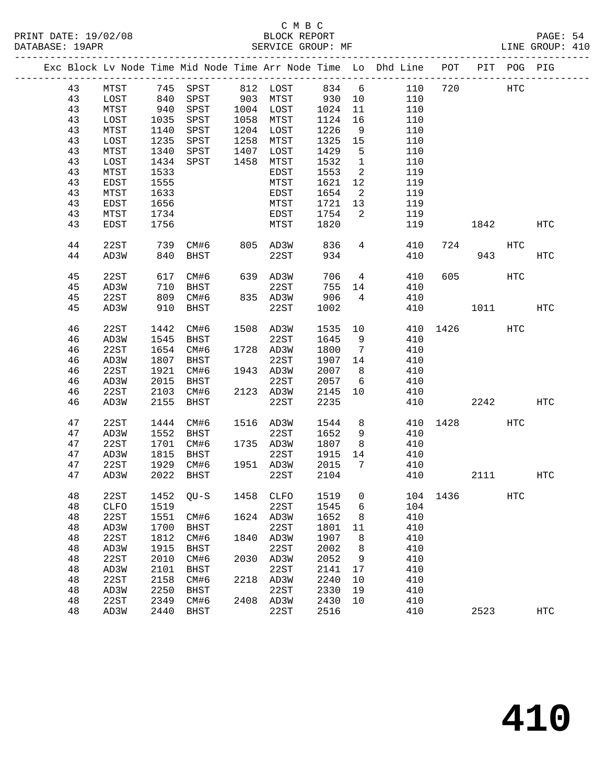|  |    |      |      |             |      |           |       |                            | Exc Block Lv Node Time Mid Node Time Arr Node Time Lo Dhd Line | POT |             | PIT POG PIG |            |
|--|----|------|------|-------------|------|-----------|-------|----------------------------|----------------------------------------------------------------|-----|-------------|-------------|------------|
|  | 43 | MTST |      | 745 SPST    |      | 812 LOST  | 834 6 |                            | 110                                                            | 720 |             | HTC         |            |
|  | 43 | LOST | 840  | SPST        |      | 903 MTST  | 930   | 10                         | 110                                                            |     |             |             |            |
|  | 43 | MTST | 940  | SPST        |      | 1004 LOST | 1024  | 11                         | 110                                                            |     |             |             |            |
|  | 43 | LOST | 1035 | SPST        | 1058 | MTST      | 1124  | 16                         | 110                                                            |     |             |             |            |
|  | 43 | MTST | 1140 | SPST        | 1204 | LOST      | 1226  | - 9                        | 110                                                            |     |             |             |            |
|  | 43 | LOST | 1235 | SPST        | 1258 | MTST      | 1325  | 15                         | 110                                                            |     |             |             |            |
|  | 43 | MTST | 1340 |             | 1407 |           | 1429  |                            | 110                                                            |     |             |             |            |
|  |    |      |      | SPST        | 1458 | LOST      |       | $5^{\circ}$                |                                                                |     |             |             |            |
|  | 43 | LOST | 1434 | SPST        |      | MTST      | 1532  | $\overline{1}$             | 110                                                            |     |             |             |            |
|  | 43 | MTST | 1533 |             |      | EDST      | 1553  | 2                          | 119                                                            |     |             |             |            |
|  | 43 | EDST | 1555 |             |      | MTST      | 1621  | 12                         | 119                                                            |     |             |             |            |
|  | 43 | MTST | 1633 |             |      | EDST      | 1654  | $\overline{\phantom{a}}^2$ | 119                                                            |     |             |             |            |
|  | 43 | EDST | 1656 |             |      | MTST      | 1721  | 13                         | 119                                                            |     |             |             |            |
|  | 43 | MTST | 1734 |             |      | EDST      | 1754  | 2                          | 119                                                            |     |             |             |            |
|  | 43 | EDST | 1756 |             |      | MTST      | 1820  |                            | 119                                                            |     | 1842        |             | HTC        |
|  | 44 | 22ST | 739  | CM#6        |      | 805 AD3W  | 836   | $4\overline{ }$            | 410                                                            | 724 |             | HTC         |            |
|  | 44 | AD3W | 840  | BHST        |      | 22ST      | 934   |                            | 410                                                            |     | 943         |             | HTC        |
|  | 45 | 22ST | 617  | CM#6        |      | 639 AD3W  | 706   | $\overline{4}$             | 410                                                            | 605 |             | HTC         |            |
|  | 45 | AD3W | 710  | BHST        |      | 22ST      | 755   | 14                         | 410                                                            |     |             |             |            |
|  | 45 | 22ST | 809  | CM#6        |      | 835 AD3W  | 906   | $4\overline{ }$            | 410                                                            |     |             |             |            |
|  | 45 | AD3W | 910  | BHST        |      | 22ST      | 1002  |                            | 410                                                            |     | 1011        |             | HTC        |
|  |    |      |      |             |      |           |       |                            |                                                                |     |             |             |            |
|  | 46 | 22ST | 1442 | CM#6        |      | 1508 AD3W | 1535  | 10                         | 410                                                            |     | 1426 200    | HTC         |            |
|  | 46 | AD3W | 1545 | BHST        |      | 22ST      | 1645  | 9                          | 410                                                            |     |             |             |            |
|  | 46 | 22ST | 1654 | CM#6        |      | 1728 AD3W | 1800  | $\overline{7}$             | 410                                                            |     |             |             |            |
|  | 46 | AD3W | 1807 | BHST        |      | 22ST      | 1907  | 14                         | 410                                                            |     |             |             |            |
|  | 46 | 22ST | 1921 | CM#6        |      | 1943 AD3W | 2007  | 8 <sup>8</sup>             | 410                                                            |     |             |             |            |
|  | 46 | AD3W | 2015 | BHST        |      | 22ST      | 2057  | $6\overline{6}$            | 410                                                            |     |             |             |            |
|  | 46 | 22ST | 2103 | CM#6        |      | 2123 AD3W | 2145  | 10                         | 410                                                            |     |             |             |            |
|  | 46 | AD3W | 2155 | BHST        |      | 22ST      | 2235  |                            | 410                                                            |     | 2242        |             | HTC        |
|  | 47 | 22ST | 1444 | CM#6        |      | 1516 AD3W | 1544  | 8                          | 410                                                            |     | 1428   1428 | HTC         |            |
|  | 47 | AD3W | 1552 | BHST        |      | 22ST      | 1652  | 9                          | 410                                                            |     |             |             |            |
|  | 47 | 22ST | 1701 | CM#6        |      | 1735 AD3W | 1807  | 8 <sup>8</sup>             | 410                                                            |     |             |             |            |
|  | 47 | AD3W | 1815 | BHST        |      | 22ST      | 1915  | 14                         | 410                                                            |     |             |             |            |
|  | 47 | 22ST | 1929 | CM#6        |      | 1951 AD3W | 2015  | 7                          | 410                                                            |     |             |             |            |
|  | 47 | AD3W | 2022 | BHST        |      | 22ST      | 2104  |                            | 410                                                            |     | 2111        |             | HTC        |
|  | 48 | 22ST |      |             |      |           |       |                            | 1452 QU-S 1458 CLFO 1519 0 104 1436                            |     |             | HTC         |            |
|  | 48 | CLFO | 1519 |             |      | 22ST      | 1545  | 6                          | 104                                                            |     |             |             |            |
|  | 48 | 22ST | 1551 | CM#6        | 1624 | AD3W      | 1652  | 8                          | 410                                                            |     |             |             |            |
|  | 48 | AD3W | 1700 | BHST        |      | 22ST      | 1801  | 11                         | 410                                                            |     |             |             |            |
|  | 48 | 22ST | 1812 | CM#6        | 1840 | AD3W      | 1907  | 8                          | 410                                                            |     |             |             |            |
|  | 48 | AD3W | 1915 | <b>BHST</b> |      | 22ST      | 2002  | 8                          | 410                                                            |     |             |             |            |
|  | 48 | 22ST | 2010 | CM#6        | 2030 | AD3W      | 2052  | 9                          | 410                                                            |     |             |             |            |
|  | 48 | AD3W | 2101 | <b>BHST</b> |      | 22ST      | 2141  | 17                         | 410                                                            |     |             |             |            |
|  | 48 | 22ST | 2158 | CM#6        | 2218 | AD3W      | 2240  | 10                         | 410                                                            |     |             |             |            |
|  | 48 | AD3W | 2250 | <b>BHST</b> |      | 22ST      | 2330  | 19                         | 410                                                            |     |             |             |            |
|  | 48 | 22ST | 2349 | CM#6        | 2408 | AD3W      | 2430  | 10                         | 410                                                            |     |             |             |            |
|  | 48 | AD3W | 2440 | <b>BHST</b> |      | 22ST      | 2516  |                            | 410                                                            |     | 2523        |             | <b>HTC</b> |
|  |    |      |      |             |      |           |       |                            |                                                                |     |             |             |            |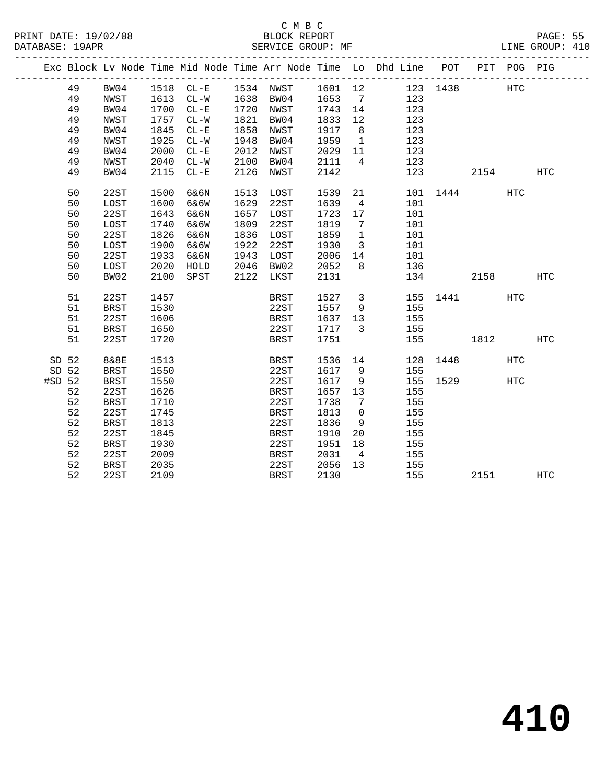|          |    |             |      |           |      |             |         |                         | Exc Block Lv Node Time Mid Node Time Arr Node Time Lo Dhd Line POT |          |      | PIT POG PIG |     |
|----------|----|-------------|------|-----------|------|-------------|---------|-------------------------|--------------------------------------------------------------------|----------|------|-------------|-----|
|          | 49 | BW04        |      |           |      |             |         |                         | 1518 CL-E 1534 NWST 1601 12 123 1438                               |          |      | <b>HTC</b>  |     |
|          | 49 | NWST        |      | 1613 CL-W |      | 1638 BW04   | 1653 7  |                         | 123                                                                |          |      |             |     |
|          | 49 | BW04        | 1700 | $CL - E$  |      | 1720 NWST   | 1743    | 14                      | 123                                                                |          |      |             |     |
|          | 49 | NWST        | 1757 | $CL-W$    | 1821 | BW04        | 1833    | 12                      | 123                                                                |          |      |             |     |
|          | 49 | BW04        | 1845 | $CL - E$  | 1858 | NWST        | 1917    | 8 <sup>8</sup>          | 123                                                                |          |      |             |     |
|          | 49 | NWST        | 1925 | $CL-W$    | 1948 | BW04        | 1959    | $\overline{1}$          | 123                                                                |          |      |             |     |
|          | 49 | BW04        | 2000 | $CL - E$  | 2012 | NWST        | 2029    | 11                      | 123                                                                |          |      |             |     |
|          | 49 | NWST        | 2040 | $CL-W$    | 2100 | BW04        | 2111    | $\overline{4}$          | 123                                                                |          |      |             |     |
|          | 49 | BW04        | 2115 | $CL - E$  | 2126 | NWST        | 2142    |                         |                                                                    | 123      | 2154 |             | HTC |
|          | 50 | 22ST        | 1500 | 6&6N      | 1513 | LOST        | 1539    | 21                      |                                                                    | 101 1444 |      | <b>HTC</b>  |     |
|          | 50 | LOST        | 1600 | 6&6W      | 1629 | 22ST        | 1639    | $\overline{4}$          | 101                                                                |          |      |             |     |
|          | 50 | 22ST        | 1643 | 6&6N      | 1657 | LOST        | 1723    | 17                      | 101                                                                |          |      |             |     |
|          | 50 | LOST        | 1740 | 6&6W      | 1809 | 22ST        | 1819    | $\overline{7}$          | 101                                                                |          |      |             |     |
|          | 50 | 22ST        | 1826 | 6&6N      | 1836 | LOST        | 1859    | $\overline{1}$          | 101                                                                |          |      |             |     |
|          | 50 | LOST        | 1900 | 6&6W      | 1922 | 22ST        | 1930    | $\overline{\mathbf{3}}$ | 101                                                                |          |      |             |     |
|          | 50 | 22ST        | 1933 | 6&6N      | 1943 | LOST        | 2006    | 14                      | 101                                                                |          |      |             |     |
|          | 50 | LOST        | 2020 | HOLD      |      | 2046 BW02   | 2052    | 8                       | 136                                                                |          |      |             |     |
|          | 50 | BW02        | 2100 | SPST      |      | 2122 LKST   | 2131    |                         | 134                                                                |          | 2158 |             | HTC |
|          | 51 | 22ST        | 1457 |           |      | BRST        | 1527    | $\overline{\mathbf{3}}$ |                                                                    | 155 1441 |      | HTC         |     |
|          | 51 | BRST        | 1530 |           |      | 22ST        | 1557    | 9                       | 155                                                                |          |      |             |     |
|          | 51 | 22ST        | 1606 |           |      | BRST        | 1637    | 13                      | 155                                                                |          |      |             |     |
|          | 51 | <b>BRST</b> | 1650 |           |      | 22ST        | 1717    | $\overline{\mathbf{3}}$ | 155                                                                |          |      |             |     |
|          | 51 | 22ST        | 1720 |           |      | BRST        | 1751    |                         |                                                                    | 155      | 1812 |             | HTC |
| SD 52    |    | 8&8E        | 1513 |           |      | BRST        | 1536 14 |                         |                                                                    | 128 1448 |      | HTC         |     |
| SD 52    |    | <b>BRST</b> | 1550 |           |      | 22ST        | 1617    | 9                       | 155                                                                |          |      |             |     |
| $#SD$ 52 |    | <b>BRST</b> | 1550 |           |      | 22ST        | 1617    | 9                       |                                                                    | 155 1529 |      | <b>HTC</b>  |     |
|          | 52 | 22ST        | 1626 |           |      | BRST        | 1657    | 13                      | 155                                                                |          |      |             |     |
|          | 52 | <b>BRST</b> | 1710 |           |      | 22ST        | 1738    | 7                       | 155                                                                |          |      |             |     |
|          | 52 | 22ST        | 1745 |           |      | <b>BRST</b> | 1813    | $\overline{0}$          | 155                                                                |          |      |             |     |
|          | 52 | <b>BRST</b> | 1813 |           |      | 22ST        | 1836    | 9                       | 155                                                                |          |      |             |     |
|          | 52 | 22ST        | 1845 |           |      | BRST        | 1910    | 20                      | 155                                                                |          |      |             |     |
|          | 52 | <b>BRST</b> | 1930 |           |      | 22ST        | 1951    | 18                      | 155                                                                |          |      |             |     |
|          | 52 | 22ST        | 2009 |           |      | BRST        | 2031    | 4                       | 155                                                                |          |      |             |     |
|          | 52 | <b>BRST</b> | 2035 |           |      | 22ST        | 2056    | 13                      | 155                                                                |          |      |             |     |
|          | 52 | 22ST        | 2109 |           |      | <b>BRST</b> | 2130    |                         | 155                                                                |          | 2151 |             | HTC |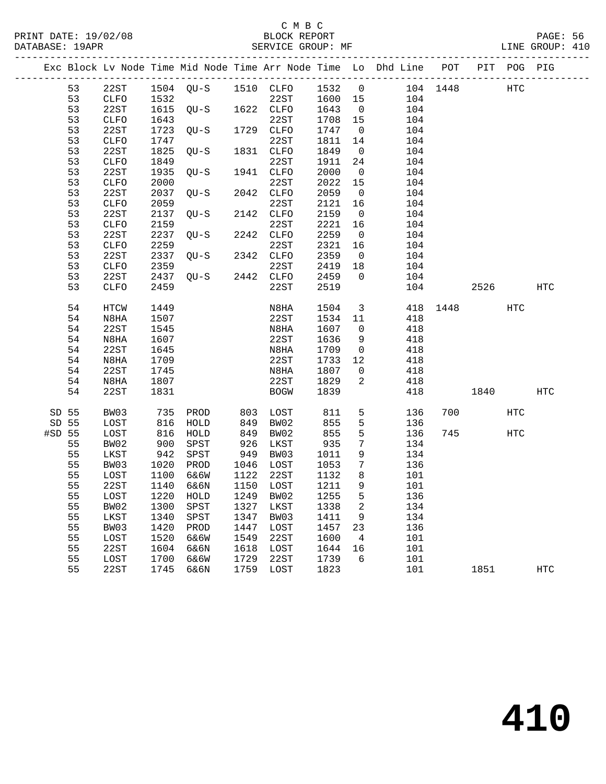### C M B C

|                 | DATABASE: 19APR |              |                      | SERVICE GROUP: MF             |            |              |            |                         | LINE GROUP: 410                                                                |          |      |     |                   |  |
|-----------------|-----------------|--------------|----------------------|-------------------------------|------------|--------------|------------|-------------------------|--------------------------------------------------------------------------------|----------|------|-----|-------------------|--|
|                 |                 |              |                      |                               |            |              |            |                         | Exc Block Lv Node Time Mid Node Time Arr Node Time Lo Dhd Line POT PIT POG PIG |          |      |     |                   |  |
|                 | 53              | 22ST         |                      |                               |            |              |            |                         | 1504 QU-S 1510 CLFO 1532 0 104 1448 HTC                                        |          |      |     |                   |  |
|                 | 53              | CLFO         | 1532                 | 22ST<br>QU-S 1622 CLFO        |            | 22ST 1600 15 |            |                         | 104                                                                            |          |      |     |                   |  |
|                 | 53              | 22ST         | 1615                 |                               |            |              | 1643       | $\overline{0}$          | 104                                                                            |          |      |     |                   |  |
|                 | 53              | CLFO         | 1643                 |                               |            | 22ST         | 1708 15    |                         | 104                                                                            |          |      |     |                   |  |
|                 | 53              | 22ST         | 1723                 | $QU-S$                        |            | 1729 CLFO    | 1747       | $\overline{0}$          | 104                                                                            |          |      |     |                   |  |
|                 | 53              | CLFO         | 1747                 |                               |            | 22ST         | 1811       | 14                      | 104                                                                            |          |      |     |                   |  |
|                 | 53              | 22ST         | 1825                 | $QU-S$                        |            | 1831 CLFO    | 1849       | $\overline{0}$          | 104                                                                            |          |      |     |                   |  |
|                 | 53              | CLFO         | 1849                 |                               |            | 22ST         | 1911       | 24                      | 104                                                                            |          |      |     |                   |  |
|                 | 53              | 22ST         | 1935                 | $QU-S$                        |            | 1941 CLFO    | 2000       | $\overline{0}$          | 104                                                                            |          |      |     |                   |  |
|                 | 53              | CLFO         | 2000                 |                               |            | 22ST         | 2022       | 15                      | 104                                                                            |          |      |     |                   |  |
|                 | 53              | 22ST         | 2037                 | $QU-S$                        |            | 2042 CLFO    | 2059       | $\overline{\mathbf{0}}$ | 104                                                                            |          |      |     |                   |  |
|                 | 53              | CLFO         | 2059                 |                               |            | 22ST         | 2121       | 16                      | 104                                                                            |          |      |     |                   |  |
|                 | 53              | 22ST         | 2137                 | QU-S                          |            | 2142 CLFO    | 2159       | $\overline{0}$          | 104                                                                            |          |      |     |                   |  |
|                 | 53              | CLFO         | 2159                 |                               |            | 22ST         | 2221       | 16                      | 104                                                                            |          |      |     |                   |  |
|                 | 53              | 22ST         | 2237                 | QU-S                          |            | 2242 CLFO    | 2259       | $\overline{0}$          | 104                                                                            |          |      |     |                   |  |
|                 | 53              | ${\tt CLFO}$ | 2259                 | $QU-S$                        |            | 22ST         | 2321       | 16                      | 104                                                                            |          |      |     |                   |  |
|                 | 53              | 22ST         | 2337                 |                               |            | 2342 CLFO    | 2359       | $\overline{0}$          | 104                                                                            |          |      |     |                   |  |
|                 | 53              | CLFO         | 2359                 |                               |            | 22ST         | 2419       | 18                      | 104                                                                            |          |      |     |                   |  |
|                 | 53              | 22ST         | 2437                 | $QU-S$ 2442 $CLFO$            |            |              | 2459       | $\overline{0}$          | 104                                                                            |          |      |     |                   |  |
|                 | 53              | <b>CLFO</b>  | 2459                 |                               |            | 22ST         | 2519       |                         |                                                                                | 104 2526 |      |     | HTC               |  |
|                 | 54              | HTCW         | 1449                 |                               |            | N8HA         | 1504       | $\overline{\mathbf{3}}$ |                                                                                | 418 1448 |      | HTC |                   |  |
|                 | 54              | N8HA         | 1507                 |                               |            | 22ST         | 1534       | 11                      | 418                                                                            |          |      |     |                   |  |
|                 | 54              | 22ST         | 1545                 |                               |            | N8HA         | 1607       | $\overline{0}$          | 418                                                                            |          |      |     |                   |  |
|                 | 54              | N8HA         | 1607                 |                               |            | 22ST         | 1636       | 9                       | 418                                                                            |          |      |     |                   |  |
|                 | 54              | 22ST         | 1645                 |                               |            | N8HA         | 1709       | $\overline{0}$          | 418                                                                            |          |      |     |                   |  |
|                 | 54              | N8HA         | 1709                 |                               |            | 22ST         | 1733       | 12                      | 418                                                                            |          |      |     |                   |  |
|                 | 54              | 22ST         | 1745                 |                               |            | N8HA         | 1807       | $\overline{0}$          | 418                                                                            |          |      |     |                   |  |
|                 | 54              | N8HA         | 1807                 |                               |            | 22ST         | 1829       | 2                       | 418                                                                            |          |      |     |                   |  |
|                 | 54              | 22ST         | 1831                 |                               |            | BOGW         | 1839       |                         | 418                                                                            |          | 1840 |     | HTC               |  |
|                 |                 |              |                      |                               |            |              |            |                         |                                                                                |          |      |     |                   |  |
| SD 55           |                 | BW03         | 735                  | PROD                          |            | 803 LOST     | 811        | 5 <sub>5</sub><br>5     | 136                                                                            |          | 700  | HTC |                   |  |
| SD 55<br>#SD 55 |                 | LOST<br>LOST | $816\n\n816$         | HOLD                          | 849<br>849 | BW02<br>BW02 | 855<br>855 | 5                       | 136<br>136                                                                     |          | 745  | HTC |                   |  |
|                 | 55              | BW02         | 900                  | HOLD<br>SPST                  | 926        | LKST         | 935        | $7\overline{ }$         | 134                                                                            |          |      |     |                   |  |
|                 | 55              | LKST         | 942                  | SPST                          |            | 949 BW03     | 1011       | 9                       | 134                                                                            |          |      |     |                   |  |
|                 | 55              | BW03         |                      | PROD                          |            | 1046 LOST    | 1053       | $\overline{7}$          | 136                                                                            |          |      |     |                   |  |
|                 | 55              | LOST         | 1020<br>1100<br>1100 | 6&6W                          |            | 1122 22ST    | 1132       | 8                       | 101                                                                            |          |      |     |                   |  |
|                 | 55              |              |                      | 22ST 1140 6&6N 1150 LOST 1211 |            |              |            | 9                       | 101                                                                            |          |      |     |                   |  |
|                 | 55              | LOST         | 1220                 | HOLD                          | 1249       | BW02         | 1255       | 5                       | 136                                                                            |          |      |     |                   |  |
|                 | 55              | BW02         | 1300                 | SPST                          | 1327       | LKST         | 1338       | 2                       | 134                                                                            |          |      |     |                   |  |
|                 | 55              | LKST         | 1340                 | SPST                          | 1347       | BW03         | 1411       | 9                       | 134                                                                            |          |      |     |                   |  |
|                 | 55              | BW03         | 1420                 | PROD                          | 1447       | LOST         | 1457       | 23                      | 136                                                                            |          |      |     |                   |  |
|                 | 55              | LOST         | 1520                 | 6&6W                          | 1549       | 22ST         | 1600       | 4                       | 101                                                                            |          |      |     |                   |  |
|                 | 55              | 22ST         | 1604                 | 6&6N                          | 1618       | LOST         | 1644       | 16                      | 101                                                                            |          |      |     |                   |  |
|                 | 55              | LOST         | 1700                 | 6&6W                          | 1729       | 22ST         | 1739       | 6                       | 101                                                                            |          |      |     |                   |  |
|                 | 55              | 22ST         | 1745                 | 6&6N                          | 1759       | LOST         | 1823       |                         | 101                                                                            |          | 1851 |     | $_{\mathrm{HTC}}$ |  |
|                 |                 |              |                      |                               |            |              |            |                         |                                                                                |          |      |     |                   |  |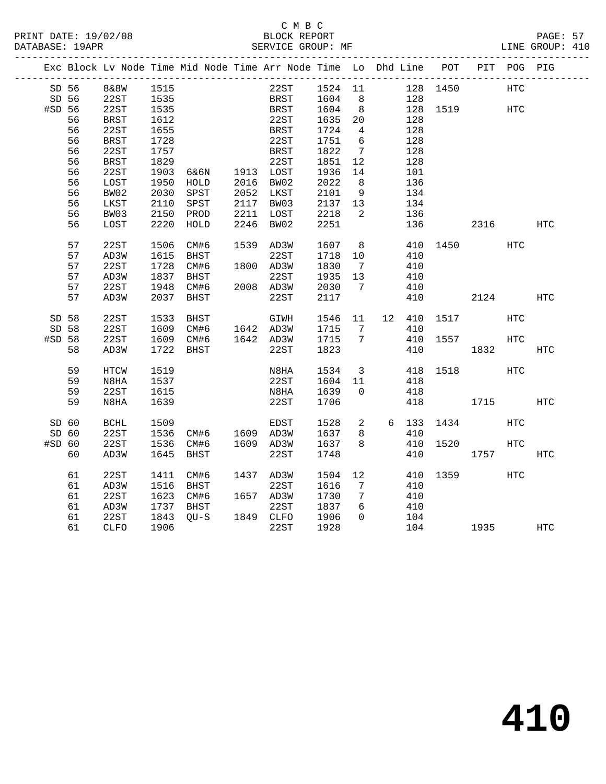PRINT DATE: 19/02/08 BLOCK REPORT<br>DATABASE: 19APR PAGE: 52RVICE GROUP: MF

### C M B C<br>BLOCK REPORT

PAGE: 57<br>LINE GROUP: 410

|        |            |             |      | Exc Block Lv Node Time Mid Node Time Arr Node Time Lo Dhd Line POT |      |             |                  |                 |     |        |              |      | PIT POG PIG |     |
|--------|------------|-------------|------|--------------------------------------------------------------------|------|-------------|------------------|-----------------|-----|--------|--------------|------|-------------|-----|
|        | SD 56 8&8W |             | 1515 |                                                                    |      | 22ST        | 1524 11 128 1450 |                 |     |        |              |      | <b>HTC</b>  |     |
| SD 56  |            | 22ST        | 1535 |                                                                    |      | <b>BRST</b> | 1604             | 8 <sup>8</sup>  |     | 128    |              |      |             |     |
| #SD 56 |            | 22ST        | 1535 |                                                                    |      | BRST        | 1604             | 8 <sup>8</sup>  |     |        | 128 1519 HTC |      |             |     |
|        | 56         | <b>BRST</b> | 1612 |                                                                    |      | 22ST        | 1635             | 20              |     | 128    |              |      |             |     |
|        | 56         | 22ST        | 1655 |                                                                    |      | BRST        | 1724             | $\overline{4}$  |     | 128    |              |      |             |     |
|        | 56         | <b>BRST</b> | 1728 |                                                                    |      | 22ST        | 1751             | 6               |     | 128    |              |      |             |     |
|        | 56         | 22ST        | 1757 |                                                                    |      | <b>BRST</b> | 1822             | $7\overline{ }$ |     | 128    |              |      |             |     |
|        | 56         | <b>BRST</b> | 1829 |                                                                    |      | 22ST        | 1851             | 12              |     | 128    |              |      |             |     |
|        | 56         | 22ST        | 1903 | 6&6N 1913 LOST                                                     |      |             | 1936             | 14              |     | 101    |              |      |             |     |
|        | 56         | LOST        | 1950 | HOLD                                                               |      | 2016 BW02   | 2022             | 8 <sup>8</sup>  |     | 136    |              |      |             |     |
|        | 56         | BW02        | 2030 | SPST                                                               |      | 2052 LKST   | 2101             | 9               |     | 134    |              |      |             |     |
|        | 56         | LKST        | 2110 | SPST                                                               |      | 2117 BW03   | 2137 13          |                 |     | 134    |              |      |             |     |
|        | 56         | BW03        | 2150 | PROD                                                               | 2211 | LOST        | 2218             | 2               |     | 136    |              |      |             |     |
|        | 56         | LOST        | 2220 | HOLD                                                               |      | 2246 BW02   | 2251             |                 |     | 136    |              | 2316 |             | HTC |
|        |            |             |      |                                                                    |      |             |                  |                 |     |        |              |      |             |     |
|        | 57         | 22ST        | 1506 | CM#6                                                               |      | 1539 AD3W   | 1607             | 8 <sup>8</sup>  |     |        | 410 1450 HTC |      |             |     |
|        | 57         | AD3W        | 1615 | BHST                                                               |      | 22ST        | 1718             | 10              |     | 410    |              |      |             |     |
|        | 57         | 22ST        | 1728 | CM#6                                                               |      | 1800 AD3W   | 1830             | $\overline{7}$  |     | 410    |              |      |             |     |
|        | 57         | AD3W        | 1837 | BHST                                                               |      | 22ST        | 1935             | 13              |     | 410    |              |      |             |     |
|        | 57         | 22ST        | 1948 | CM#6                                                               |      | 2008 AD3W   | 2030             | $\overline{7}$  |     | 410    |              |      |             |     |
|        | 57         | AD3W        | 2037 | BHST                                                               |      | 22ST        | 2117             |                 |     | 410    |              | 2124 |             | HTC |
| SD 58  |            | 22ST        | 1533 | BHST                                                               |      | GIWH        | 1546             | 11              |     | 12 410 | 1517         |      | <b>HTC</b>  |     |
| SD 58  |            | 22ST        | 1609 | CM#6                                                               |      | 1642 AD3W   | 1715             | $7\overline{ }$ |     | 410    |              |      |             |     |
| #SD 58 |            | 22ST        |      | 1609 CM#6                                                          |      | 1642 AD3W   | 1715             | 7               |     |        | 410 1557     |      | HTC         |     |
|        | 58         | AD3W        | 1722 | BHST                                                               |      | 22ST        | 1823             |                 |     | 410    | 1832         |      |             | HTC |
|        |            |             |      |                                                                    |      |             |                  |                 |     |        |              |      |             |     |
|        | 59         | HTCW        | 1519 |                                                                    |      | N8HA        | 1534             |                 |     |        | 3 418 1518   |      | HTC         |     |
|        | 59         | N8HA        | 1537 |                                                                    |      | 22ST        | 1604 11          |                 |     | 418    |              |      |             |     |
|        | 59         | 22ST        | 1615 |                                                                    |      | N8HA        | 1639             | $\Omega$        |     | 418    |              |      |             |     |
|        | 59         | N8HA        | 1639 |                                                                    |      | 22ST        | 1706             |                 |     | 418    | 1715         |      |             | HTC |
| SD 60  |            | <b>BCHL</b> | 1509 |                                                                    |      | EDST        | 1528             | $\overline{a}$  |     |        | 6 133 1434   |      | <b>HTC</b>  |     |
| SD 60  |            | 22ST        | 1536 | CM#6 1609 AD3W                                                     |      |             | 1637             | 8               |     | 410    |              |      |             |     |
| #SD 60 |            | 22ST        | 1536 | CM#6                                                               |      | 1609 AD3W   | 1637             | 8               |     | 410    | 1520         |      | HTC         |     |
|        | 60         | AD3W        | 1645 | BHST                                                               |      | 22ST        | 1748             |                 |     | 410    |              | 1757 |             | HTC |
|        |            |             |      |                                                                    |      |             |                  |                 |     |        |              |      |             |     |
|        | 61         | 22ST        | 1411 | CM#6                                                               |      | 1437 AD3W   | 1504             | 12              |     | 410    | 1359         |      | <b>HTC</b>  |     |
|        | 61         | AD3W        | 1516 | BHST                                                               |      | 22ST        | 1616             | 7               |     | 410    |              |      |             |     |
|        | 61         | 22ST        | 1623 | CM#6                                                               |      | 1657 AD3W   | 1730             | $7\overline{ }$ |     | 410    |              |      |             |     |
|        | 61         | AD3W        | 1737 | BHST                                                               |      | 22ST        | 1837             | 6               | 410 |        |              |      |             |     |
|        | 61         | 22ST        | 1843 | QU-S                                                               |      | 1849 CLFO   | 1906             | $\overline{0}$  |     | 104    |              |      |             |     |
|        | 61         | CLFO        | 1906 |                                                                    |      | 22ST        | 1928             |                 |     |        | 104 1935 HTC |      |             |     |
|        |            |             |      |                                                                    |      |             |                  |                 |     |        |              |      |             |     |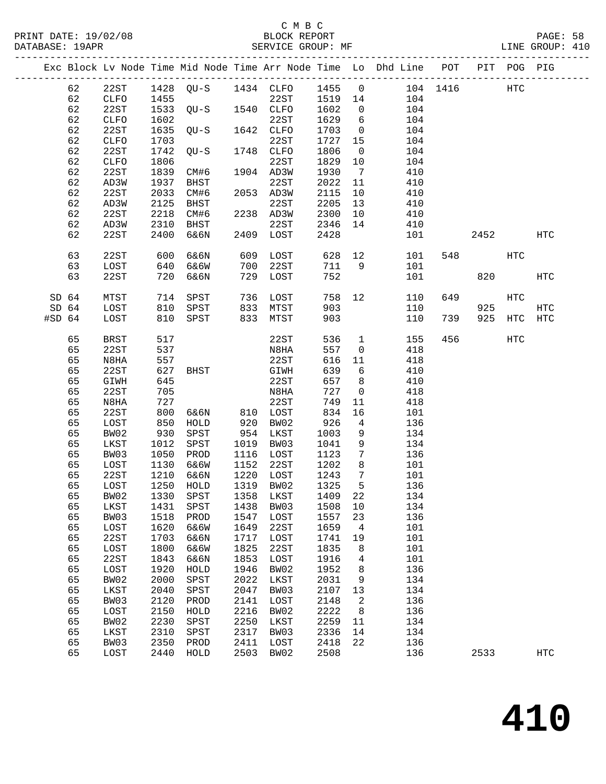|                  |                  |                |      |                                  |      |                   |       |                 | Exc Block Lv Node Time Mid Node Time Arr Node Time Lo Dhd Line POT |     |      | PIT POG PIG |                   |
|------------------|------------------|----------------|------|----------------------------------|------|-------------------|-------|-----------------|--------------------------------------------------------------------|-----|------|-------------|-------------------|
|                  | 62               | 22ST           |      |                                  |      |                   |       |                 |                                                                    |     |      | HTC         |                   |
|                  | 62               | CLFO           |      |                                  |      |                   |       |                 |                                                                    |     |      |             |                   |
|                  | 62               | 22ST           |      | 1435 2231<br>1533 QU-S 1540 CLFO |      |                   | 1602  | $\overline{0}$  | 104                                                                |     |      |             |                   |
|                  | 62               | CLFO           | 1602 |                                  |      | 22ST              | 1629  | $6\overline{6}$ | 104                                                                |     |      |             |                   |
|                  | 62               | 22ST           | 1635 | $QU-S$                           |      | 1642 CLFO         | 1703  | $\overline{0}$  | 104                                                                |     |      |             |                   |
|                  | 62               | ${\tt CLFO}$   | 1703 |                                  |      | 22ST              | 1727  | 15              | 104                                                                |     |      |             |                   |
|                  | 62               | 22ST           | 1742 | $QU-S$                           |      | 1748 CLFO         | 1806  | $\overline{0}$  | 104                                                                |     |      |             |                   |
|                  | 62               | CLFO           | 1806 |                                  |      | 22ST              | 1829  | 10              | 104                                                                |     |      |             |                   |
|                  | 62               | 22ST           | 1839 | CM#6                             |      | 1904 AD3W         | 1930  | $\overline{7}$  | 410                                                                |     |      |             |                   |
|                  | 62               | AD3W           | 1937 | BHST                             |      | 22ST              | 2022  | 11              | 410                                                                |     |      |             |                   |
|                  | 62               | 22ST           | 2033 | CM#6                             |      | 2053 AD3W         | 2115  | 10              | 410                                                                |     |      |             |                   |
|                  | 62               | AD3W           | 2125 | BHST                             |      | 22ST              | 2205  | 13              | 410                                                                |     |      |             |                   |
|                  | 62               | 22ST           | 2218 | CM#6                             |      | 2238 AD3W         | 2300  | 10              | 410                                                                |     |      |             |                   |
|                  | 62               | AD3W           | 2310 | BHST                             |      | 22ST              | 2346  | 14              | 410                                                                |     |      |             |                   |
|                  | 62               | 22ST           | 2400 | 6&6N                             |      | 2409 LOST         | 2428  |                 | 101                                                                |     | 2452 |             | HTC               |
|                  |                  |                |      |                                  |      |                   |       |                 |                                                                    |     |      |             |                   |
|                  | 63               | 22ST           | 600  | 6&6N                             | 609  | LOST              | 628   | 12              | 101                                                                |     | 548  | HTC         |                   |
|                  | 63               | LOST           | 640  | 6&6W                             | 700  | 22ST              | 711 9 |                 | 101                                                                |     |      |             |                   |
|                  | 63               | 22ST           | 720  | 6&6N                             | 729  | LOST              | 752   |                 | 101                                                                |     | 820  |             | HTC               |
|                  |                  |                |      |                                  |      |                   |       |                 |                                                                    |     |      |             |                   |
| SD <sub>64</sub> |                  | MTST           | 714  | SPST                             |      | 736 LOST          | 758   | 12 <sup>°</sup> | 110                                                                | 649 |      | HTC         |                   |
|                  | SD <sub>64</sub> | LOST           | 810  | SPST                             | 833  | MTST              | 903   |                 | 110                                                                |     | 925  |             | HTC               |
| $#SD$ 64         |                  | LOST           | 810  | SPST                             |      | 833 MTST          | 903   |                 | 110                                                                | 739 | 925  | HTC         | HTC               |
|                  |                  |                |      |                                  |      |                   |       |                 |                                                                    |     |      |             |                   |
|                  | 65               | BRST           | 517  |                                  |      | 22ST              | 536   | $\mathbf{1}$    | 155                                                                | 456 |      | HTC         |                   |
|                  | 65               | 22ST           | 537  |                                  |      | N8HA              | 557   | $\overline{0}$  | 418                                                                |     |      |             |                   |
|                  | 65               | N8HA           | 557  |                                  |      | 22ST              | 616   | 11              | 418                                                                |     |      |             |                   |
|                  | 65               | 22ST           | 627  | BHST                             |      | GIWH              | 639   | 6               | 410                                                                |     |      |             |                   |
|                  | 65               | GIWH           | 645  |                                  |      | 22ST              | 657   | 8 <sup>8</sup>  | 410                                                                |     |      |             |                   |
|                  | 65               | 22ST           | 705  |                                  |      | N8HA              | 727   | $\overline{0}$  | 418                                                                |     |      |             |                   |
|                  | 65               | N8HA           | 727  |                                  |      | 22ST              | 749   | 11              | 418                                                                |     |      |             |                   |
|                  | 65               | 22ST           | 800  | 6&6N                             |      | 810 LOST          | 834   | 16              | 101                                                                |     |      |             |                   |
|                  | 65               | LOST           | 850  | HOLD                             | 920  | BW02              | 926   | $\overline{4}$  | 136                                                                |     |      |             |                   |
|                  | 65               | BW02           | 930  | SPST                             |      | 954 LKST          | 1003  | 9               | 134                                                                |     |      |             |                   |
|                  | 65               | LKST           | 1012 | SPST                             |      | 1019 BW03         | 1041  | 9               | 134                                                                |     |      |             |                   |
|                  | 65               | BW03           | 1050 | PROD                             |      | 1116 LOST         | 1123  | $\overline{7}$  | 136                                                                |     |      |             |                   |
|                  | 65               | LOST           | 1130 | 6&6W                             |      | 1152 22ST         | 1202  | 8               | 101                                                                |     |      |             |                   |
|                  | 65               | 22ST           | 1210 | 6&6N                             |      | 1220 LOST         | 1243  | $\overline{7}$  | 101                                                                |     |      |             |                   |
|                  | 65               | LOST           | 1250 | HOLD                             |      | 1319 BW02         | 1325  | $5^{\circ}$     | 136                                                                |     |      |             |                   |
|                  | 65               | BW02 1330 SPST |      |                                  |      | 1358 LKST 1409 22 |       |                 | 134                                                                |     |      |             |                   |
|                  | 65               | LKST           | 1431 | SPST                             | 1438 | BW03              | 1508  | 10              | 134                                                                |     |      |             |                   |
|                  | 65               | BW03           | 1518 | PROD                             | 1547 | LOST              | 1557  | 23              | 136                                                                |     |      |             |                   |
|                  | 65               | LOST           | 1620 | 6&6W                             | 1649 | 22ST              | 1659  | $\overline{4}$  | 101                                                                |     |      |             |                   |
|                  | 65               | 22ST           | 1703 | 6&6N                             | 1717 | LOST              | 1741  | 19              | 101                                                                |     |      |             |                   |
|                  | 65               | LOST           | 1800 | 6&6W                             | 1825 | 22ST              | 1835  | 8               | 101                                                                |     |      |             |                   |
|                  | 65               | 22ST           | 1843 | 6&6N                             | 1853 | LOST              | 1916  | 4               | 101                                                                |     |      |             |                   |
|                  | 65               | LOST           | 1920 | HOLD                             | 1946 | BW02              | 1952  | 8               | 136                                                                |     |      |             |                   |
|                  | 65               | BW02           | 2000 | SPST                             | 2022 | LKST              | 2031  | 9               | 134                                                                |     |      |             |                   |
|                  | 65               | LKST           | 2040 | SPST                             | 2047 | BW03              | 2107  | 13              | 134                                                                |     |      |             |                   |
|                  | 65               | BW03           | 2120 | PROD                             | 2141 | LOST              | 2148  | 2               | 136                                                                |     |      |             |                   |
|                  | 65               | LOST           | 2150 | HOLD                             | 2216 | BW02              | 2222  | 8               | 136                                                                |     |      |             |                   |
|                  | 65               | BW02           | 2230 | SPST                             | 2250 | LKST              | 2259  | 11              | 134                                                                |     |      |             |                   |
|                  | 65               | LKST           | 2310 | SPST                             | 2317 | BW03              | 2336  | 14              | 134                                                                |     |      |             |                   |
|                  | 65               | BW03           | 2350 | PROD                             | 2411 | LOST              | 2418  | 22              | 136                                                                |     |      |             |                   |
|                  | 65               | LOST           | 2440 | HOLD                             | 2503 | BW02              | 2508  |                 | 136                                                                |     | 2533 |             | $_{\mathrm{HTC}}$ |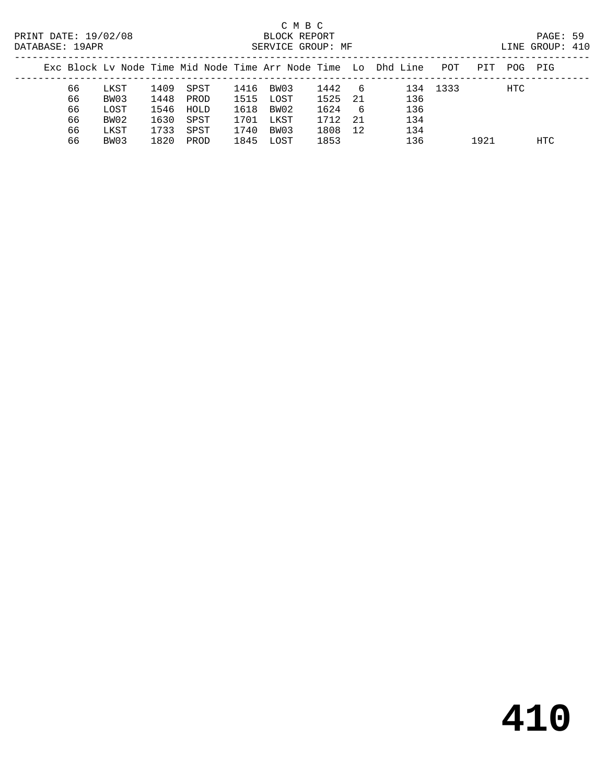# C M B C<br>BLOCK REPORT

DATABASE: 19APR SERVICE GROUP: MF LINE GROUP: 410

| PAIAPACE · ISAER |    |      |      |           |      | DERATCE GROOF. ME |         |     |                                                                                |          |     | TTNE GIVOOL. ITA |  |
|------------------|----|------|------|-----------|------|-------------------|---------|-----|--------------------------------------------------------------------------------|----------|-----|------------------|--|
|                  |    |      |      |           |      |                   |         |     | Exc Block Lv Node Time Mid Node Time Arr Node Time Lo Dhd Line POT PIT POG PIG |          |     |                  |  |
|                  | 66 | LKST |      | 1409 SPST |      | 1416 BW03         | 1442 6  |     |                                                                                | 134 1333 | HTC |                  |  |
|                  | 66 | BW03 |      | 1448 PROD |      | 1515 LOST         | 1525 21 |     | 136                                                                            |          |     |                  |  |
|                  | 66 | LOST |      | 1546 HOLD |      | 1618 BW02         | 1624    | - 6 | 136                                                                            |          |     |                  |  |
|                  | 66 | BW02 | 1630 | SPST      | 1701 | LKST              | 1712 21 |     | 134                                                                            |          |     |                  |  |

66 BW03 1820 PROD 1845 LOST 1853 136 1921 HTC

66 LKST 1733 SPST 1740 BW03 1808 12 134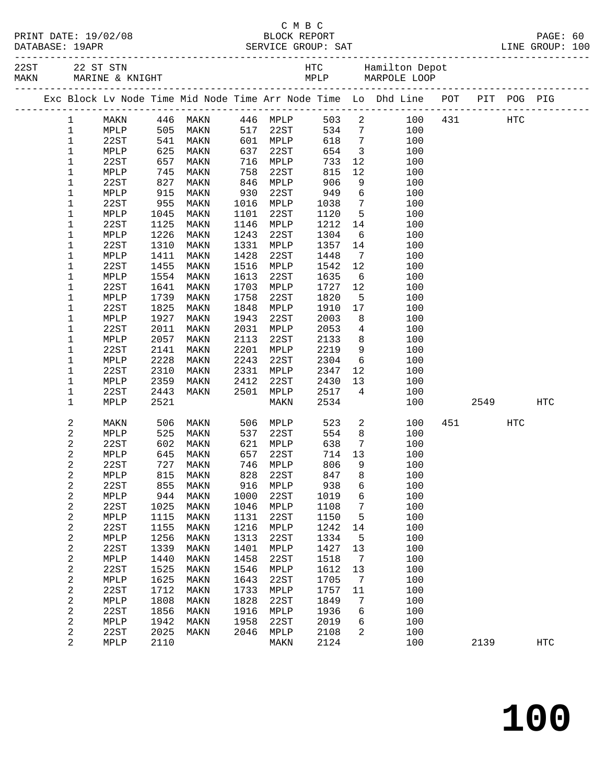| PRINT DATE: 19/02/08 |  |      |  |
|----------------------|--|------|--|
| <b>DAMADA CH.</b>    |  | 1020 |  |

#### C M B C PAGE: 60<br>PAGE: 60<br>RVICE GROUP: SAT RINE GROUP: 100 DATABASE: 19APR SERVICE GROUP: SAT

|  |                  |                 |             |                                                                              |      |          |        |                         | Exc Block Lv Node Time Mid Node Time Arr Node Time Lo Dhd Line POT PIT POG PIG |             |            |            |
|--|------------------|-----------------|-------------|------------------------------------------------------------------------------|------|----------|--------|-------------------------|--------------------------------------------------------------------------------|-------------|------------|------------|
|  | 1                | MAKN            |             | 446 MAKN      446 MPLP<br>505 MAKN     517   22ST<br>541 MAKN      601  MPLP |      |          | 503 2  |                         |                                                                                | 100 431 HTC |            |            |
|  | $\mathbf{1}$     | MPLP            |             |                                                                              |      |          | 534 7  |                         | 100                                                                            |             |            |            |
|  | 1                | 22ST            |             |                                                                              |      |          | 618    | $7\overline{ }$         | 100                                                                            |             |            |            |
|  | $1\,$            | MPLP            | 625         | MAKN                                                                         | 637  | 22ST     | 654    | $\overline{\mathbf{3}}$ | 100                                                                            |             |            |            |
|  | 1                | 22ST            | 657         | MAKN                                                                         | 716  | MPLP     | 733    | 12                      | 100                                                                            |             |            |            |
|  | $1\,$            | MPLP            | 745<br>827  | MAKN                                                                         | 758  | 22ST     | 815    | 12                      | 100                                                                            |             |            |            |
|  | $\mathbf 1$      | 22ST            |             | MAKN                                                                         | 846  | MPLP     | 906    | 9                       | 100                                                                            |             |            |            |
|  | 1                | MPLP            | 915         | MAKN                                                                         | 930  | 22ST     | 949    | 6                       | 100                                                                            |             |            |            |
|  | 1                | 22ST            | 955         | MAKN                                                                         | 1016 | MPLP     | 1038   | $7\overline{ }$         | 100                                                                            |             |            |            |
|  | $\mathbf 1$      | MPLP            | 1045        | MAKN                                                                         | 1101 | 22ST     | 1120   | $5^{\circ}$             | 100                                                                            |             |            |            |
|  | 1                | 22ST            | 1125        | MAKN                                                                         | 1146 | MPLP     | 1212   | 14                      | 100                                                                            |             |            |            |
|  | 1                | MPLP            | 1226        | MAKN                                                                         | 1243 | 22ST     | 1304   | 6                       | 100                                                                            |             |            |            |
|  | 1                | 22ST            | 1310        | MAKN                                                                         | 1331 | MPLP     | 1357   | 14                      | 100                                                                            |             |            |            |
|  | 1                | MPLP            | 1411        | MAKN                                                                         | 1428 | 22ST     | 1448   | $\overline{7}$          | 100                                                                            |             |            |            |
|  | $1\,$            | 22ST            | 1455        | MAKN                                                                         | 1516 | MPLP     | 1542   | 12                      | 100                                                                            |             |            |            |
|  | 1                | MPLP            | 1554        | MAKN                                                                         | 1613 | 22ST     | 1635   | $6\overline{6}$         | 100                                                                            |             |            |            |
|  | 1                | 22ST            | 1641        | MAKN                                                                         | 1703 | MPLP     | 1727   | 12                      | 100                                                                            |             |            |            |
|  | 1                | MPLP            | 1739        | MAKN                                                                         | 1758 | 22ST     | 1820   | 5                       | 100                                                                            |             |            |            |
|  | $1\,$            | 22ST            | 1825        | MAKN                                                                         | 1848 | MPLP     | 1910   | 17                      | 100                                                                            |             |            |            |
|  | 1                | MPLP            | 1927        | MAKN                                                                         | 1943 | 22ST     | 2003   | 8                       | 100                                                                            |             |            |            |
|  | 1                | 22ST            | 2011        | MAKN                                                                         | 2031 | MPLP     | 2053   | $\overline{4}$          | 100                                                                            |             |            |            |
|  | 1                | MPLP            | 2057        | MAKN                                                                         | 2113 | 22ST     | 2133   | 8 <sup>8</sup>          | 100                                                                            |             |            |            |
|  | $1\,$            | 22ST            | 2141        | MAKN                                                                         | 2201 | MPLP     | 2219   | 9                       | 100                                                                            |             |            |            |
|  | 1                | MPLP            | 2228        | MAKN                                                                         | 2243 | 22ST     | 2304   | $6\overline{6}$         | 100                                                                            |             |            |            |
|  | 1                | 22ST            | 2310        | MAKN                                                                         | 2331 | MPLP     | 2347   | 12                      | 100                                                                            |             |            |            |
|  | 1                | MPLP            | 2359        | MAKN                                                                         | 2412 | 22ST     | 2430   | 13                      | 100                                                                            |             |            |            |
|  | $\mathbf 1$      | 22ST            | 2443        | MAKN                                                                         | 2501 | MPLP     | 2517   | $\overline{4}$          | 100                                                                            |             |            |            |
|  | 1                | MPLP            | 2521        |                                                                              |      | MAKN     | 2534   |                         | 100                                                                            | 2549        |            | <b>HTC</b> |
|  | 2                | MAKN            | 506         | MAKN                                                                         | 506  | MPLP     | 523    | $\overline{a}$          | 100                                                                            | 451 72      | <b>HTC</b> |            |
|  | $\sqrt{2}$       | MPLP            | 525         | MAKN                                                                         | 537  | 22ST     | 554    | 8                       | 100                                                                            |             |            |            |
|  | $\sqrt{2}$       | 22ST            | 602         | MAKN                                                                         | 621  | MPLP     | 638    | 7                       | 100                                                                            |             |            |            |
|  | 2                | MPLP            | 645         | MAKN                                                                         | 657  | 22ST     | 714    | 13                      | 100                                                                            |             |            |            |
|  | 2                | 22ST            | 727         | MAKN                                                                         | 746  | MPLP     | 806    | 9                       | 100                                                                            |             |            |            |
|  | 2                | MPLP            | $815$ $855$ | MAKN                                                                         | 828  | 22ST     | 847    | 8 <sup>8</sup>          | 100                                                                            |             |            |            |
|  | 2                | 22ST            | 855         | MAKN                                                                         |      | 916 MPLP | 938    | 6                       | 100                                                                            |             |            |            |
|  | $\mathbf 2$      | $\texttt{MPLP}$ |             | 944 MAKN 1000 22ST                                                           |      |          | 1019 6 |                         | 100                                                                            |             |            |            |
|  | 2                | 22ST            | 1025        | MAKN                                                                         | 1046 | MPLP     | 1108   | $7\phantom{.0}$         | 100                                                                            |             |            |            |
|  | 2                | MPLP            | 1115        | MAKN                                                                         | 1131 | 22ST     | 1150   | $5^{\circ}$             | 100                                                                            |             |            |            |
|  | $\sqrt{2}$       | 22ST            | 1155        | MAKN                                                                         | 1216 | MPLP     | 1242   | 14                      | 100                                                                            |             |            |            |
|  | 2                | MPLP            | 1256        | MAKN                                                                         | 1313 | 22ST     | 1334   | 5                       | 100                                                                            |             |            |            |
|  | $\sqrt{2}$       | 22ST            | 1339        | MAKN                                                                         | 1401 | MPLP     | 1427   | 13                      | 100                                                                            |             |            |            |
|  | 2                | MPLP            | 1440        | MAKN                                                                         | 1458 | 22ST     | 1518   | $\overline{7}$          | 100                                                                            |             |            |            |
|  | $\sqrt{2}$       | 22ST            | 1525        | MAKN                                                                         | 1546 | MPLP     | 1612   | 13                      | 100                                                                            |             |            |            |
|  | 2                | MPLP            | 1625        | MAKN                                                                         | 1643 | 22ST     | 1705   | 7                       | 100                                                                            |             |            |            |
|  | $\boldsymbol{2}$ | 22ST            | 1712        | MAKN                                                                         | 1733 | MPLP     | 1757   | 11                      | 100                                                                            |             |            |            |
|  | 2                | MPLP            | 1808        | MAKN                                                                         | 1828 | 22ST     | 1849   | 7                       | 100                                                                            |             |            |            |
|  | $\sqrt{2}$       | 22ST            | 1856        | MAKN                                                                         | 1916 | MPLP     | 1936   | 6                       | 100                                                                            |             |            |            |
|  | 2                | MPLP            | 1942        | MAKN                                                                         | 1958 | 22ST     | 2019   | 6                       | 100                                                                            |             |            |            |
|  | $\sqrt{2}$       | 22ST            | 2025        | MAKN                                                                         | 2046 | MPLP     | 2108   | 2                       | 100                                                                            |             |            |            |
|  | 2                | MPLP            | 2110        |                                                                              |      | MAKN     | 2124   |                         | 100                                                                            | 2139        |            | <b>HTC</b> |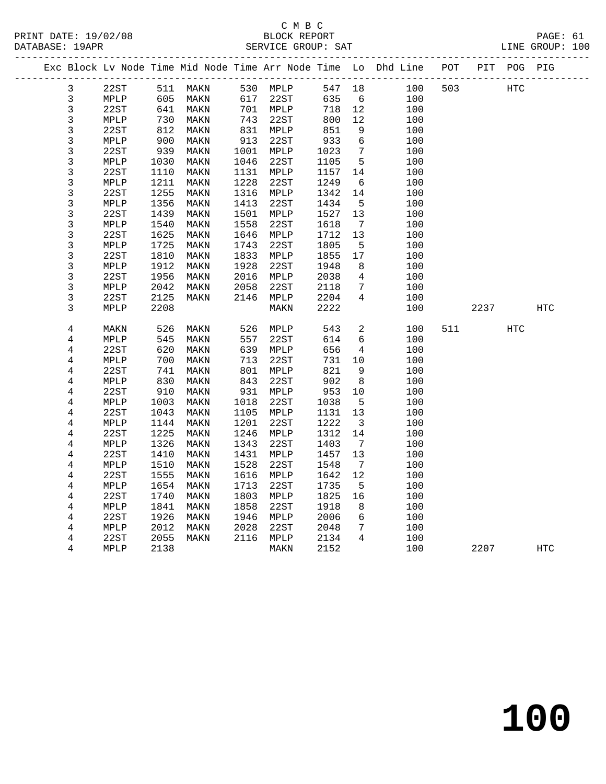|  |                         |              |      | Exc Block Lv Node Time Mid Node Time Arr Node Time Lo Dhd Line POT |                                                                                                                          |              |        |                         |            |     |      | PIT POG PIG |     |
|--|-------------------------|--------------|------|--------------------------------------------------------------------|--------------------------------------------------------------------------------------------------------------------------|--------------|--------|-------------------------|------------|-----|------|-------------|-----|
|  | $\mathbf{3}$            | 22ST         |      | 511 MAKN                                                           |                                                                                                                          | 530 MPLP     | 547 18 |                         | 100        | 503 |      | HTC         |     |
|  | $\mathfrak{Z}$          | MPLP         | 605  | MAKN                                                               | 617                                                                                                                      | 22ST         | 635    | 6                       | 100        |     |      |             |     |
|  | $\mathsf{3}$            | 22ST         | 641  | MAKN                                                               |                                                                                                                          | 701 MPLP     | 718    | 12                      | 100        |     |      |             |     |
|  | $\overline{3}$          | MPLP         | 730  | MAKN                                                               |                                                                                                                          | 22ST         | 800    | 12                      | 100        |     |      |             |     |
|  | 3                       | 22ST         | 812  | MAKN                                                               | $\begin{array}{c} \n \overline{\phantom{0}} \\  831 \\  \overline{\phantom{0}} \\  \overline{\phantom{0}}\n \end{array}$ | MPLP         | 851    | 9                       | 100        |     |      |             |     |
|  | 3                       | MPLP         | 900  | MAKN                                                               | 913                                                                                                                      | 22ST         | 933    | $\epsilon$              | 100        |     |      |             |     |
|  | $\overline{3}$          | 22ST         | 939  | MAKN                                                               | 1001                                                                                                                     | MPLP         | 1023   | $7\overline{ }$         | 100        |     |      |             |     |
|  | 3                       | MPLP         | 1030 | MAKN                                                               | 1046                                                                                                                     | 22ST         | 1105   | 5                       | 100        |     |      |             |     |
|  | 3                       | 22ST         | 1110 | MAKN                                                               | 1131                                                                                                                     | MPLP         | 1157   | 14                      | 100        |     |      |             |     |
|  | 3                       | MPLP         | 1211 | MAKN                                                               | 1228                                                                                                                     | 22ST         | 1249   | 6                       | 100        |     |      |             |     |
|  | 3                       | 22ST         | 1255 | MAKN                                                               | 1316                                                                                                                     | MPLP         | 1342   | 14                      | 100        |     |      |             |     |
|  | 3                       | MPLP         | 1356 | MAKN                                                               | 1413                                                                                                                     | 22ST         | 1434   | 5                       | 100        |     |      |             |     |
|  | 3                       | 22ST         | 1439 | MAKN                                                               | 1501                                                                                                                     | MPLP         | 1527   | 13                      | 100        |     |      |             |     |
|  | 3                       | MPLP         | 1540 | MAKN                                                               | 1558                                                                                                                     | 22ST         | 1618   | $7\phantom{.0}$         | 100        |     |      |             |     |
|  | 3                       | 22ST         | 1625 | MAKN                                                               | 1646                                                                                                                     | MPLP         | 1712   | 13                      | 100        |     |      |             |     |
|  | $\mathfrak{Z}$          | MPLP         | 1725 | MAKN                                                               | 1743                                                                                                                     | 22ST         | 1805   | $5\overline{5}$         | 100        |     |      |             |     |
|  | 3                       | 22ST         | 1810 | MAKN                                                               | 1833                                                                                                                     | MPLP         | 1855   | 17                      | 100        |     |      |             |     |
|  | $\mathfrak{Z}$          | MPLP         | 1912 | MAKN                                                               | 1928                                                                                                                     | 22ST         | 1948   | 8                       | 100        |     |      |             |     |
|  | 3                       | 22ST         | 1956 | MAKN                                                               | 2016                                                                                                                     | MPLP         | 2038   | 4                       | 100        |     |      |             |     |
|  | 3                       | MPLP         | 2042 | MAKN                                                               | 2058                                                                                                                     | 22ST         | 2118   | 7                       | 100        |     |      |             |     |
|  | 3                       | 22ST         | 2125 | MAKN                                                               | 2146                                                                                                                     | MPLP         | 2204   | $4\overline{ }$         | 100        |     |      |             |     |
|  | 3                       | MPLP         | 2208 |                                                                    |                                                                                                                          | MAKN         | 2222   |                         | 100        |     | 2237 |             | HTC |
|  |                         |              | 526  |                                                                    |                                                                                                                          |              | 543    | 2                       |            |     |      |             |     |
|  | 4<br>4                  | MAKN<br>MPLP | 545  | MAKN<br>MAKN                                                       | 526<br>557                                                                                                               | MPLP<br>22ST | 614    | 6                       | 100<br>100 | 511 |      | HTC         |     |
|  | 4                       | 22ST         | 620  | MAKN                                                               | 639                                                                                                                      | MPLP         | 656    | $\overline{4}$          | 100        |     |      |             |     |
|  | $\overline{4}$          | MPLP         | 700  | MAKN                                                               | 713                                                                                                                      | 22ST         | 731    | 10                      | 100        |     |      |             |     |
|  | 4                       | 22ST         | 741  | MAKN                                                               | 801                                                                                                                      | MPLP         | 821    | 9                       | 100        |     |      |             |     |
|  | 4                       | MPLP         | 830  | MAKN                                                               | 843                                                                                                                      | 22ST         | 902    | 8                       | 100        |     |      |             |     |
|  | 4                       | 22ST         | 910  | MAKN                                                               | 931                                                                                                                      | MPLP         | 953    | 10                      | 100        |     |      |             |     |
|  | $\overline{\mathbf{4}}$ | MPLP         | 1003 | MAKN                                                               | 1018                                                                                                                     | 22ST         | 1038   | $5^{\circ}$             | 100        |     |      |             |     |
|  | $\,4$                   | 22ST         | 1043 | MAKN                                                               | 1105                                                                                                                     | MPLP         | 1131   | 13                      | 100        |     |      |             |     |
|  | 4                       | MPLP         | 1144 | MAKN                                                               | 1201                                                                                                                     | 22ST         | 1222   | $\overline{\mathbf{3}}$ | 100        |     |      |             |     |
|  | $\bf 4$                 | 22ST         | 1225 | MAKN                                                               | 1246                                                                                                                     | MPLP         | 1312   | 14                      | 100        |     |      |             |     |
|  | 4                       | MPLP         | 1326 | MAKN                                                               | 1343                                                                                                                     | 22ST         | 1403   | $\overline{7}$          | 100        |     |      |             |     |
|  | 4                       | 22ST         | 1410 | MAKN                                                               | 1431                                                                                                                     | MPLP         | 1457   | 13                      | 100        |     |      |             |     |
|  | 4                       | MPLP         | 1510 | MAKN                                                               | 1528                                                                                                                     | 22ST         | 1548   | $7\phantom{.0}$         | 100        |     |      |             |     |
|  | 4                       | 22ST         | 1555 | MAKN                                                               | 1616                                                                                                                     | MPLP         | 1642   | 12                      | 100        |     |      |             |     |
|  | 4                       | MPLP         | 1654 | MAKN                                                               | 1713                                                                                                                     | 22ST         | 1735   | 5                       | 100        |     |      |             |     |
|  | $\overline{\mathbf{4}}$ | 22ST         | 1740 | MAKN                                                               | 1803                                                                                                                     | MPLP         | 1825   | 16                      | 100        |     |      |             |     |
|  | 4                       | MPLP         | 1841 | MAKN                                                               | 1858                                                                                                                     | 22ST         | 1918   | 8                       | 100        |     |      |             |     |
|  | 4                       | 22ST         | 1926 | MAKN                                                               | 1946                                                                                                                     | MPLP         | 2006   | $6\overline{6}$         | 100        |     |      |             |     |
|  | $\,4$                   | MPLP         | 2012 | MAKN                                                               | 2028                                                                                                                     | 22ST         | 2048   | 7                       | 100        |     |      |             |     |
|  | 4                       | 22ST         | 2055 | MAKN                                                               | 2116                                                                                                                     | MPLP         | 2134   | $\overline{4}$          | 100        |     |      |             |     |
|  | 4                       | MPLP         | 2138 |                                                                    |                                                                                                                          | MAKN         | 2152   |                         | 100        |     | 2207 |             | HTC |
|  |                         |              |      |                                                                    |                                                                                                                          |              |        |                         |            |     |      |             |     |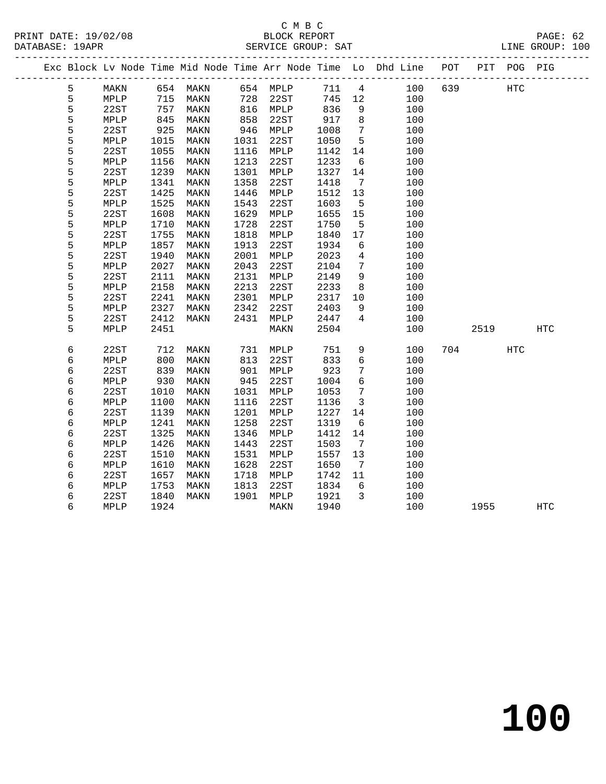### C M B C<br>BLOCK REPORT

| DATABASE: 19APR |   |      |      |          |      | SERVICE GROUP: SAT |      |                 |                                                                                |         |     | LINE GROUP: 100 |  |
|-----------------|---|------|------|----------|------|--------------------|------|-----------------|--------------------------------------------------------------------------------|---------|-----|-----------------|--|
|                 |   |      |      |          |      |                    |      |                 | Exc Block Lv Node Time Mid Node Time Arr Node Time Lo Dhd Line POT PIT POG PIG |         |     |                 |  |
|                 | 5 | MAKN |      | 654 MAKN |      | 654 MPLP           |      |                 | 711 4<br>100                                                                   | 639 HTC |     |                 |  |
|                 | 5 | MPLP | 715  | MAKN     | 728  | 22ST               | 745  | 12              | 100                                                                            |         |     |                 |  |
|                 | 5 | 22ST | 757  | MAKN     | 816  | MPLP               | 836  | 9               | 100                                                                            |         |     |                 |  |
|                 | 5 | MPLP | 845  | MAKN     | 858  | 22ST               | 917  | 8               | 100                                                                            |         |     |                 |  |
|                 | 5 | 22ST | 925  | MAKN     | 946  | MPLP               | 1008 | $7\overline{ }$ | 100                                                                            |         |     |                 |  |
|                 | 5 | MPLP | 1015 | MAKN     | 1031 | 22ST               | 1050 | 5               | 100                                                                            |         |     |                 |  |
|                 | 5 | 22ST | 1055 | MAKN     | 1116 | MPLP               | 1142 | 14              | 100                                                                            |         |     |                 |  |
|                 | 5 | MPLP | 1156 | MAKN     | 1213 | 22ST               | 1233 | 6               | 100                                                                            |         |     |                 |  |
|                 | 5 | 22ST | 1239 | MAKN     | 1301 | MPLP               | 1327 | 14              | 100                                                                            |         |     |                 |  |
|                 | 5 | MPLP | 1341 | MAKN     | 1358 | 22ST               | 1418 | 7               | 100                                                                            |         |     |                 |  |
|                 | 5 | 22ST | 1425 | MAKN     | 1446 | MPLP               | 1512 | 13              | 100                                                                            |         |     |                 |  |
|                 | 5 | MPLP | 1525 | MAKN     | 1543 | 22ST               | 1603 | $5^{\circ}$     | 100                                                                            |         |     |                 |  |
|                 | 5 | 22ST | 1608 | MAKN     | 1629 | MPLP               | 1655 | 15              | 100                                                                            |         |     |                 |  |
|                 | 5 | MPLP | 1710 | MAKN     | 1728 | 22ST               | 1750 | 5               | 100                                                                            |         |     |                 |  |
|                 | 5 | 22ST | 1755 | MAKN     | 1818 | MPLP               | 1840 | 17              | 100                                                                            |         |     |                 |  |
|                 | 5 | MPLP | 1857 | MAKN     | 1913 | 22ST               | 1934 | 6               | 100                                                                            |         |     |                 |  |
|                 | 5 | 22ST | 1940 | MAKN     | 2001 | MPLP               | 2023 | $\overline{4}$  | 100                                                                            |         |     |                 |  |
|                 | 5 | MPLP | 2027 | MAKN     | 2043 | 22ST               | 2104 | $7\overline{ }$ | 100                                                                            |         |     |                 |  |
|                 | 5 | 22ST | 2111 | MAKN     | 2131 | MPLP               | 2149 | 9               | 100                                                                            |         |     |                 |  |
|                 | 5 | MPLP | 2158 | MAKN     | 2213 | 22ST               | 2233 | 8               | 100                                                                            |         |     |                 |  |
|                 | 5 | 22ST | 2241 | MAKN     | 2301 | MPLP               | 2317 | 10              | 100                                                                            |         |     |                 |  |
|                 | 5 | MPLP | 2327 | MAKN     | 2342 | 22ST               | 2403 | 9               | 100                                                                            |         |     |                 |  |
|                 | 5 | 22ST | 2412 | MAKN     | 2431 | MPLP               | 2447 | $\overline{4}$  | 100                                                                            |         |     |                 |  |
|                 | 5 | MPLP | 2451 |          |      | MAKN               | 2504 |                 | 100                                                                            | 2519    |     | <b>HTC</b>      |  |
|                 | 6 | 22ST | 712  | MAKN     | 731  | MPLP               | 751  | 9               | 100                                                                            | 704     | HTC |                 |  |
|                 | 6 | MPLP | 800  | MAKN     | 813  | 22ST               | 833  | 6               | 100                                                                            |         |     |                 |  |
|                 | б | 22ST | 839  | MAKN     | 901  | MPLP               | 923  | $7^{\circ}$     | 100                                                                            |         |     |                 |  |
|                 | б | MPLP | 930  | MAKN     | 945  | 22ST               | 1004 | 6               | 100                                                                            |         |     |                 |  |
|                 | б | 22ST | 1010 | MAKN     | 1031 | MPLP               | 1053 | 7               | 100                                                                            |         |     |                 |  |

 6 MPLP 1100 MAKN 1116 22ST 1136 3 100 6 22ST 1139 MAKN 1201 MPLP 1227 14 100 6 MPLP 1241 MAKN 1258 22ST 1319 6 100

6 MPLP 1426 MAKN 1443 22ST 1503 7 100

6 MPLP 1610 MAKN 1628 22ST 1650 7 100

 6 MPLP 1753 MAKN 1813 22ST 1834 6 100 6 22ST 1840 MAKN 1901 MPLP 1921 3 100

6 22ST 1325 MAKN 1346 MPLP 1412 14 100

6 22ST 1510 MAKN 1531 MPLP 1557 13 100

6 22ST 1657 MAKN 1718 MPLP 1742 11 100

6 MPLP 1924 MAKN 1940 100 1955 HTC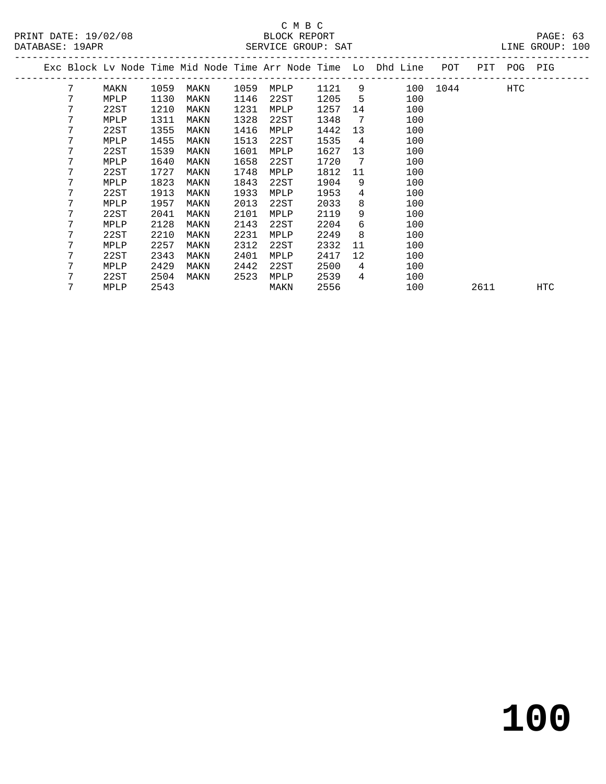# C M B C<br>BLOCK REPORT

 7 22ST 1727 MAKN 1748 MPLP 1812 11 100 7 MPLP 1823 MAKN 1843 22ST 1904 9 100 7 22ST 1913 MAKN 1933 MPLP 1953 4 100 7 MPLP 1957 MAKN 2013 22ST 2033 8 100 7 22ST 2041 MAKN 2101 MPLP 2119 9 100 7 MPLP 2128 MAKN 2143 22ST 2204 6 100 7 22ST 2210 MAKN 2231 MPLP 2249 8 100

 7 MPLP 2429 MAKN 2442 22ST 2500 4 100 7 22ST 2504 MAKN 2523 MPLP 2539 4 100

 7 MPLP 2257 MAKN 2312 22ST 2332 11 100 7 22ST 2343 MAKN 2401 MPLP 2417 12 100

7 MPLP 2543 MAKN 2556 100 2611 HTC

| DATABASE: 19APR |      |      |      |      | SERVICE GROUP: SAT |      |    |                                                                |      |     |     | LINE GROUP: 100 |  |
|-----------------|------|------|------|------|--------------------|------|----|----------------------------------------------------------------|------|-----|-----|-----------------|--|
|                 |      |      |      |      |                    |      |    | Exc Block Ly Node Time Mid Node Time Arr Node Time Lo Dhd Line | POT  | PIT | POG | PIG             |  |
|                 | MAKN | 1059 | MAKN | 1059 | MPLP               | 1121 | 9  | 100                                                            | 1044 |     | HTC |                 |  |
|                 | MPLP | 1130 | MAKN | 1146 | 22ST               | 1205 | 5  | 100                                                            |      |     |     |                 |  |
|                 | 22ST | 1210 | MAKN | 1231 | MPLP               | 1257 | 14 | 100                                                            |      |     |     |                 |  |
|                 | MPLP | 1311 | MAKN | 1328 | 22ST               | 1348 | -7 | 100                                                            |      |     |     |                 |  |
|                 | 22ST | 1355 | MAKN | 1416 | MPLP               | 1442 | 13 | 100                                                            |      |     |     |                 |  |
|                 | MPLP | 1455 | MAKN | 1513 | 22ST               | 1535 | 4  | 100                                                            |      |     |     |                 |  |
|                 | 22ST | 1539 | MAKN | 1601 | MPLP               | 1627 | 13 | 100                                                            |      |     |     |                 |  |
|                 | MPLP | 1640 | MAKN | 1658 | 22ST               | 1720 | 7  | 100                                                            |      |     |     |                 |  |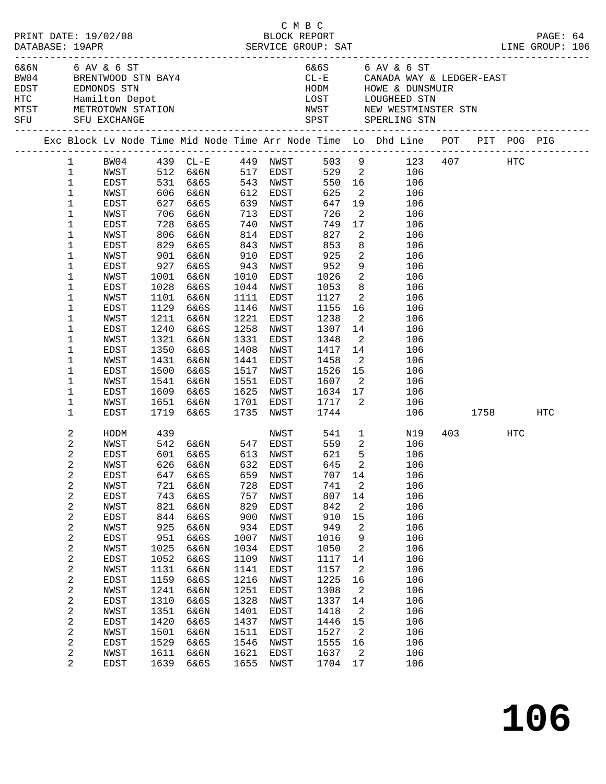| PRINT DATE: 19/02/08                 |                                           |              |              |                                                         |                                           |                        | смвс<br>BLOCK REPORT     |                                  |                                                                                                                                                                  |              | PAGE: 64 |  |
|--------------------------------------|-------------------------------------------|--------------|--------------|---------------------------------------------------------|-------------------------------------------|------------------------|--------------------------|----------------------------------|------------------------------------------------------------------------------------------------------------------------------------------------------------------|--------------|----------|--|
| 6&6N 6 AV & 6 ST<br>SFU SFU EXCHANGE |                                           |              |              | BW04 BRENTWOOD STN BAY4                                 |                                           |                        |                          |                                  | 6&6S 6 AV & 6 ST<br>CL-E CANADA WAY & LEDGER-EAST<br>HODM HOWE & DUNSMUIR<br>LOST LOUGHEED STN<br>NWST NEW WESTMINSTER STN<br>SPST SPERLING STN                  |              |          |  |
|                                      |                                           |              |              |                                                         |                                           |                        |                          |                                  | Exc Block Lv Node Time Mid Node Time Arr Node Time Lo Dhd Line POT PIT POG PIG<br>Exc Block Lv Node Time Mid Node Time Arr Node Time Lo Dhd Line POT PIT POG PIG |              |          |  |
|                                      |                                           |              |              |                                                         |                                           |                        |                          |                                  | 1 BW04 439 CL-E 449 NWST 503 9 123 407 HTC                                                                                                                       |              |          |  |
|                                      | $\mathbf{1}$                              |              |              |                                                         |                                           |                        |                          |                                  | NWST 512 6&6N 517 EDST 529 2 106<br>EDST 531 6&6S 543 NWST 550 16 106<br>NWST 606 6&6N 612 EDST 625 2 106                                                        |              |          |  |
|                                      | $\mathbf{1}$                              |              |              |                                                         |                                           |                        |                          |                                  |                                                                                                                                                                  |              |          |  |
|                                      | $\mathbf 1$                               |              |              |                                                         |                                           |                        |                          |                                  |                                                                                                                                                                  |              |          |  |
|                                      | $\mathbf 1$                               | EDST         |              | 627 6&6S                                                |                                           | 639 NWST               | 647                      |                                  | 19<br>106                                                                                                                                                        |              |          |  |
|                                      | 1                                         | NWST         |              | 706 6&6N                                                |                                           | 713 EDST               |                          |                                  | $\overline{2}$<br>106                                                                                                                                            |              |          |  |
|                                      | 1                                         | EDST         |              | 728 6&6S<br>806 6&6N                                    | $\begin{array}{c} 740 \\ 814 \end{array}$ | NWST                   |                          |                                  | 17<br>106                                                                                                                                                        |              |          |  |
|                                      | 1<br>1                                    | NWST<br>EDST | 829          | 6&6S                                                    | 843                                       | EDST<br>NWST           | 726<br>749<br>827<br>853 | $\overline{\mathbf{2}}$          | 106<br>8<br>106                                                                                                                                                  |              |          |  |
|                                      | 1                                         | NWST         |              | 901 6&6N                                                | 910                                       | EDST                   | 925                      |                                  | $\overline{2}$<br>106                                                                                                                                            |              |          |  |
|                                      | 1                                         | EDST         | 927          | 6&6S                                                    | 943                                       | NWST                   |                          |                                  | 9<br>106                                                                                                                                                         |              |          |  |
|                                      | 1                                         | NWST         |              | 1001 6&6N                                               | 1010                                      | EDST                   | 952<br>1026              | $\overline{\mathbf{2}}$          | 106                                                                                                                                                              |              |          |  |
|                                      | 1                                         | EDST         | 1028         | 6&6S                                                    |                                           | 1044 NWST              | 1053                     |                                  | 8 <sup>1</sup><br>106                                                                                                                                            |              |          |  |
|                                      | 1                                         | NWST         |              | 1101 6&6N                                               | 1111                                      | EDST                   | 1127                     |                                  | $\overline{2}$<br>106                                                                                                                                            |              |          |  |
|                                      | 1                                         | EDST         | 1129         | 6&6S                                                    | 1146                                      | NWST                   | 1155                     |                                  | 16 16<br>106                                                                                                                                                     |              |          |  |
|                                      | 1                                         | NWST         | 1211         | 6&6N                                                    | 1221                                      | EDST                   | 1238                     | $\overline{\mathbf{2}}$          | 106                                                                                                                                                              |              |          |  |
|                                      | 1                                         | EDST         | 1240         | 6&6S                                                    | 1258                                      | NWST                   | 1307                     |                                  | 14<br>106                                                                                                                                                        |              |          |  |
|                                      | $\mathbf 1$                               | NWST         | 1321         | 6&6N                                                    | 1331                                      | EDST                   | 1348                     |                                  | $\overline{2}$<br>106                                                                                                                                            |              |          |  |
|                                      | 1                                         | EDST         | 1350         | 6&6S                                                    | 1408                                      | NWST                   | 1417                     |                                  | 14<br>106                                                                                                                                                        |              |          |  |
|                                      | 1                                         | NWST         | 1431         | 6&6N                                                    | 1441                                      | EDST                   | 1458                     | $\overline{\mathbf{2}}$          | 106<br>$\overline{15}$                                                                                                                                           |              |          |  |
|                                      | 1                                         | EDST         | 1500         | 6&6S                                                    |                                           | 1517 NWST              | 1526                     |                                  | 106                                                                                                                                                              |              |          |  |
|                                      | 1                                         | NWST         |              | 1541 6&6N                                               |                                           | 1551 EDST<br>1625 NWST | 1607                     |                                  | $\overline{2}$<br>106<br>106                                                                                                                                     |              |          |  |
|                                      | 1<br>1                                    | EDST<br>NWST | 1609         | 6&6S<br>1651 6&6N                                       |                                           | 1701 EDST              |                          |                                  | 106                                                                                                                                                              |              |          |  |
|                                      | 1                                         | EDST         | 1719         | 6&6S                                                    |                                           | 1735 NWST              |                          |                                  |                                                                                                                                                                  | 106 1758 HTC |          |  |
|                                      |                                           |              |              |                                                         |                                           |                        |                          |                                  |                                                                                                                                                                  |              |          |  |
|                                      | 2                                         | HODM         | 439          |                                                         |                                           |                        | NWST 541                 |                                  | $1 \qquad \qquad$<br>N19                                                                                                                                         | 403 HTC      |          |  |
|                                      | 2                                         | NWST         |              | 542 6&6N      547   EDST<br>601   6&6S       613   NWST |                                           |                        | 559<br>621               |                                  | $\overline{\mathbf{c}}$<br>106                                                                                                                                   |              |          |  |
|                                      | $\overline{c}$                            | EDST         |              |                                                         |                                           |                        |                          | 5                                | 106                                                                                                                                                              |              |          |  |
|                                      | 2                                         | NWST         |              | 626 6&6N 632 EDST 645 2                                 |                                           |                        |                          |                                  | 106                                                                                                                                                              |              |          |  |
|                                      | 2<br>2                                    | EDST<br>NWST | 647<br>721   | 6&6S<br>6&6N                                            | 659<br>728                                | NWST<br>EDST           | 707<br>741               | 14<br>2                          | 106<br>106                                                                                                                                                       |              |          |  |
|                                      | $\overline{\mathbf{c}}$                   | EDST         | 743          | 6&6S                                                    | 757                                       | NWST                   | 807                      | 14                               | 106                                                                                                                                                              |              |          |  |
|                                      | 2                                         | NWST         | 821          | 6&6N                                                    | 829                                       | EDST                   | 842                      | 2                                | 106                                                                                                                                                              |              |          |  |
|                                      | $\boldsymbol{2}$                          | EDST         | 844          | 6&6S                                                    | 900                                       | NWST                   | 910                      | 15                               | 106                                                                                                                                                              |              |          |  |
|                                      | $\boldsymbol{2}$                          | NWST         | 925          | 6&6N                                                    | 934                                       | EDST                   | 949                      | 2                                | 106                                                                                                                                                              |              |          |  |
|                                      | $\mathbf 2$                               | EDST         | 951          | 6&6S                                                    | 1007                                      | NWST                   | 1016                     | 9                                | 106                                                                                                                                                              |              |          |  |
|                                      | 2                                         | NWST         | 1025         | 6&6N                                                    | 1034                                      | EDST                   | 1050                     | 2                                | 106                                                                                                                                                              |              |          |  |
|                                      | $\sqrt{2}$                                | EDST         | 1052         | 6&6S                                                    | 1109                                      | NWST                   | 1117                     | 14                               | 106                                                                                                                                                              |              |          |  |
|                                      | $\boldsymbol{2}$                          | NWST         | 1131         | 6&6N                                                    | 1141                                      | EDST                   | 1157                     | 2                                | 106                                                                                                                                                              |              |          |  |
|                                      | $\sqrt{2}$                                | EDST         | 1159         | 6&6S                                                    | 1216                                      | NWST                   | 1225                     | 16                               | 106                                                                                                                                                              |              |          |  |
|                                      | $\overline{\mathbf{c}}$                   | NWST         | 1241         | 6&6N                                                    | 1251                                      | EDST                   | 1308                     | 2                                | 106                                                                                                                                                              |              |          |  |
|                                      | $\sqrt{2}$                                | EDST         | 1310         | 6&6S                                                    | 1328                                      | NWST                   | 1337                     | 14                               | 106                                                                                                                                                              |              |          |  |
|                                      | $\boldsymbol{2}$                          | NWST         | 1351         | 6&6N                                                    | 1401                                      | EDST                   | 1418                     | 2                                | 106                                                                                                                                                              |              |          |  |
|                                      | $\sqrt{2}$                                | EDST         | 1420         | 6&6S                                                    | 1437                                      | NWST                   | 1446                     | 15                               | 106                                                                                                                                                              |              |          |  |
|                                      | $\overline{\mathbf{c}}$<br>$\overline{c}$ | NWST<br>EDST | 1501<br>1529 | 6&6N<br>6&6S                                            | 1511<br>1546                              | EDST<br>NWST           | 1527<br>1555             | $\overline{\phantom{a}}^2$<br>16 | 106<br>106                                                                                                                                                       |              |          |  |
|                                      | 2                                         | NWST         | 1611         | 6&6N                                                    | 1621                                      | EDST                   | 1637                     | 2                                | 106                                                                                                                                                              |              |          |  |
|                                      | $\overline{2}$                            | EDST         | 1639         | 6&6S                                                    | 1655                                      | NWST                   | 1704                     | 17                               | 106                                                                                                                                                              |              |          |  |
|                                      |                                           |              |              |                                                         |                                           |                        |                          |                                  |                                                                                                                                                                  |              |          |  |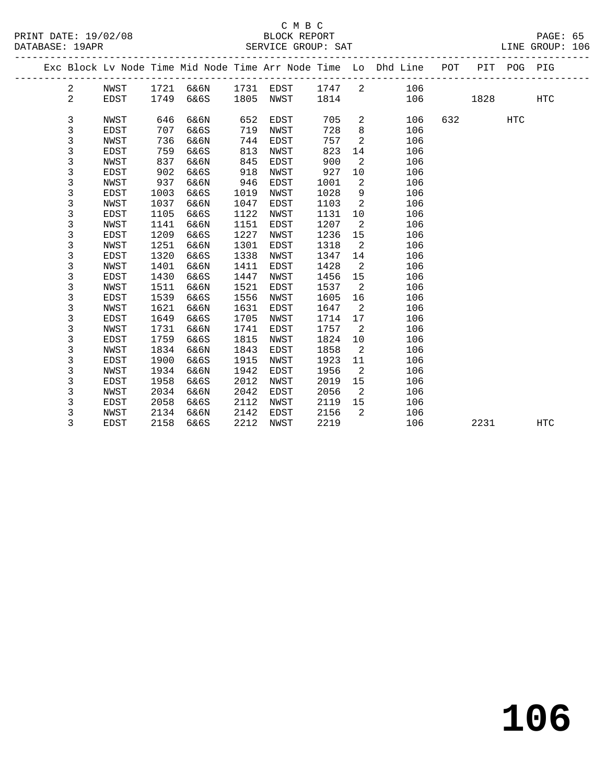### C M B C

|                      | ب سینا             |                 |  |
|----------------------|--------------------|-----------------|--|
| PRINT DATE: 19/02/08 | BLOCK REPORT       | PAGE: 65        |  |
| DATABASE: 19APR      | SERVICE GROUP: SAT | LINE GROUP: 106 |  |

|             | PAGE :                                               |  |
|-------------|------------------------------------------------------|--|
| <b>TATH</b> | $\alpha$ $\beta$ $\gamma$ $\gamma$ $\gamma$ $\gamma$ |  |

|  |                |      |      |      |      |             |      |         | Exc Block Lv Node Time Mid Node Time Arr Node Time Lo Dhd Line POT |     |      | PIT POG PIG |            |
|--|----------------|------|------|------|------|-------------|------|---------|--------------------------------------------------------------------|-----|------|-------------|------------|
|  | $\overline{c}$ | NWST | 1721 | 6&6N | 1731 | EDST        | 1747 | 2       | 106                                                                |     |      |             |            |
|  | 2              | EDST | 1749 | 6&6S | 1805 | NWST        | 1814 |         | 106                                                                |     | 1828 |             | <b>HTC</b> |
|  |                |      |      |      |      |             |      |         |                                                                    |     |      |             |            |
|  | 3              | NWST | 646  | 6&6N | 652  | EDST        | 705  | 2       | 106                                                                | 632 |      | <b>HTC</b>  |            |
|  | 3              | EDST | 707  | 6&6S | 719  | NWST        | 728  | $\,8\,$ | 106                                                                |     |      |             |            |
|  | 3              | NWST | 736  | 6&6N | 744  | EDST        | 757  | 2       | 106                                                                |     |      |             |            |
|  | 3              | EDST | 759  | 6&6S | 813  | NWST        | 823  | 14      | 106                                                                |     |      |             |            |
|  | 3              | NWST | 837  | 6&6N | 845  | EDST        | 900  | 2       | 106                                                                |     |      |             |            |
|  | 3              | EDST | 902  | 6&6S | 918  | NWST        | 927  | 10      | 106                                                                |     |      |             |            |
|  | 3              | NWST | 937  | 6&6N | 946  | EDST        | 1001 | 2       | 106                                                                |     |      |             |            |
|  | 3              | EDST | 1003 | 6&6S | 1019 | NWST        | 1028 | 9       | 106                                                                |     |      |             |            |
|  | 3              | NWST | 1037 | 6&6N | 1047 | EDST        | 1103 | 2       | 106                                                                |     |      |             |            |
|  | 3              | EDST | 1105 | 6&6S | 1122 | NWST        | 1131 | 10      | 106                                                                |     |      |             |            |
|  | 3              | NWST | 1141 | 6&6N | 1151 | EDST        | 1207 | 2       | 106                                                                |     |      |             |            |
|  | 3              | EDST | 1209 | 6&6S | 1227 | NWST        | 1236 | 15      | 106                                                                |     |      |             |            |
|  | 3              | NWST | 1251 | 6&6N | 1301 | <b>EDST</b> | 1318 | 2       | 106                                                                |     |      |             |            |
|  | 3              | EDST | 1320 | 6&6S | 1338 | NWST        | 1347 | 14      | 106                                                                |     |      |             |            |
|  | 3              | NWST | 1401 | 6&6N | 1411 | <b>EDST</b> | 1428 | 2       | 106                                                                |     |      |             |            |
|  | 3              | EDST | 1430 | 6&6S | 1447 | NWST        | 1456 | 15      | 106                                                                |     |      |             |            |
|  | 3              | NWST | 1511 | 6&6N | 1521 | EDST        | 1537 | 2       | 106                                                                |     |      |             |            |
|  | 3              | EDST | 1539 | 6&6S | 1556 | NWST        | 1605 | 16      | 106                                                                |     |      |             |            |
|  | 3              | NWST | 1621 | 6&6N | 1631 | EDST        | 1647 | 2       | 106                                                                |     |      |             |            |
|  | 3              | EDST | 1649 | 6&6S | 1705 | NWST        | 1714 | 17      | 106                                                                |     |      |             |            |
|  | 3              | NWST | 1731 | 6&6N | 1741 | EDST        | 1757 | 2       | 106                                                                |     |      |             |            |
|  | 3              | EDST | 1759 | 6&6S | 1815 | NWST        | 1824 | 10      | 106                                                                |     |      |             |            |
|  | 3              | NWST | 1834 | 6&6N | 1843 | EDST        | 1858 | 2       | 106                                                                |     |      |             |            |
|  | 3              | EDST | 1900 | 6&6S | 1915 | NWST        | 1923 | 11      | 106                                                                |     |      |             |            |
|  | 3              | NWST | 1934 | 6&6N | 1942 | <b>EDST</b> | 1956 | 2       | 106                                                                |     |      |             |            |
|  | 3              | EDST | 1958 | 6&6S | 2012 | NWST        | 2019 | 15      | 106                                                                |     |      |             |            |
|  | 3              | NWST | 2034 | 6&6N | 2042 | EDST        | 2056 | 2       | 106                                                                |     |      |             |            |
|  | 3              | EDST | 2058 | 6&6S | 2112 | NWST        | 2119 | 15      | 106                                                                |     |      |             |            |
|  | 3              | NWST | 2134 | 6&6N | 2142 | EDST        | 2156 | 2       | 106                                                                |     |      |             |            |
|  | 3              | EDST | 2158 | 6&6S | 2212 | NWST        | 2219 |         | 106                                                                |     | 2231 |             | <b>HTC</b> |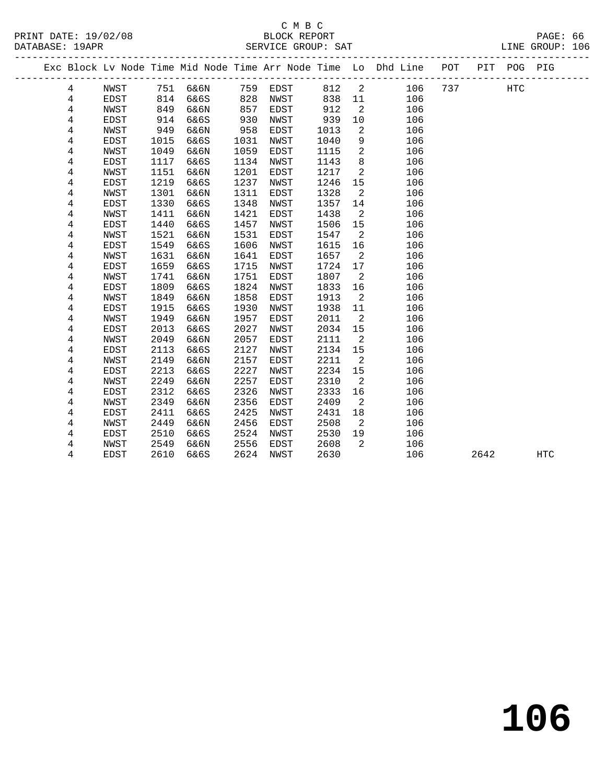### C M B C DATABASE: 19APR SERVICE GROUP: SAT LINE GROUP: 106

|   |      |      |      |      |      |      |    | Exc Block Lv Node Time Mid Node Time Arr Node Time Lo Dhd Line | POT | PIT POG |            | PIG |
|---|------|------|------|------|------|------|----|----------------------------------------------------------------|-----|---------|------------|-----|
| 4 | NWST | 751  | 6&6N | 759  | EDST | 812  | -2 | 106                                                            | 737 |         | <b>HTC</b> |     |
| 4 | EDST | 814  | 6&6S | 828  | NWST | 838  | 11 | 106                                                            |     |         |            |     |
| 4 | NWST | 849  | 6&6N | 857  | EDST | 912  | 2  | 106                                                            |     |         |            |     |
| 4 | EDST | 914  | 6&6S | 930  | NWST | 939  | 10 | 106                                                            |     |         |            |     |
| 4 | NWST | 949  | 6&6N | 958  | EDST | 1013 | 2  | 106                                                            |     |         |            |     |
| 4 | EDST | 1015 | 6&6S | 1031 | NWST | 1040 | 9  | 106                                                            |     |         |            |     |
| 4 | NWST | 1049 | 6&6N | 1059 | EDST | 1115 | 2  | 106                                                            |     |         |            |     |
| 4 | EDST | 1117 | 6&6S | 1134 | NWST | 1143 | 8  | 106                                                            |     |         |            |     |
| 4 | NWST | 1151 | 6&6N | 1201 | EDST | 1217 | 2  | 106                                                            |     |         |            |     |
| 4 | EDST | 1219 | 6&6S | 1237 | NWST | 1246 | 15 | 106                                                            |     |         |            |     |
| 4 | NWST | 1301 | 6&6N | 1311 | EDST | 1328 | 2  | 106                                                            |     |         |            |     |
| 4 | EDST | 1330 | 6&6S | 1348 | NWST | 1357 | 14 | 106                                                            |     |         |            |     |
| 4 | NWST | 1411 | 6&6N | 1421 | EDST | 1438 | -2 | 106                                                            |     |         |            |     |
| 4 | EDST | 1440 | 6&6S | 1457 | NWST | 1506 | 15 | 106                                                            |     |         |            |     |
| 4 | NWST | 1521 | 6&6N | 1531 | EDST | 1547 | 2  | 106                                                            |     |         |            |     |
| 4 | EDST | 1549 | 6&6S | 1606 | NWST | 1615 | 16 | 106                                                            |     |         |            |     |
| 4 | NWST | 1631 | 6&6N | 1641 | EDST | 1657 | 2  | 106                                                            |     |         |            |     |
| 4 | EDST | 1659 | 6&6S | 1715 | NWST | 1724 | 17 | 106                                                            |     |         |            |     |
| 4 | NWST | 1741 | 6&6N | 1751 | EDST | 1807 | 2  | 106                                                            |     |         |            |     |
| 4 | EDST | 1809 | 6&6S | 1824 | NWST | 1833 | 16 | 106                                                            |     |         |            |     |
| 4 | NWST | 1849 | 6&6N | 1858 | EDST | 1913 | 2  | 106                                                            |     |         |            |     |

 4 EDST 1915 6&6S 1930 NWST 1938 11 106 4 NWST 1949 6&6N 1957 EDST 2011 2 106

4 NWST 2249 6&6N 2257 EDST 2310 2 106

 4 NWST 2349 6&6N 2356 EDST 2409 2 106 4 EDST 2411 6&6S 2425 NWST 2431 18 106 4 NWST 2449 6&6N 2456 EDST 2508 2 106

4 NWST 2549 6&6N 2556 EDST 2608 2 106

 4 EDST 2013 6&6S 2027 NWST 2034 15 106 4 NWST 2049 6&6N 2057 EDST 2111 2 106 4 EDST 2113 6&6S 2127 NWST 2134 15 106 4 NWST 2149 6&6N 2157 EDST 2211 2 106 4 EDST 2213 6&6S 2227 NWST 2234 15 106

4 EDST 2312 6&6S 2326 NWST 2333 16 106

4 EDST 2510 6&6S 2524 NWST 2530 19 106

4 EDST 2610 6&6S 2624 NWST 2630 106 2642 HTC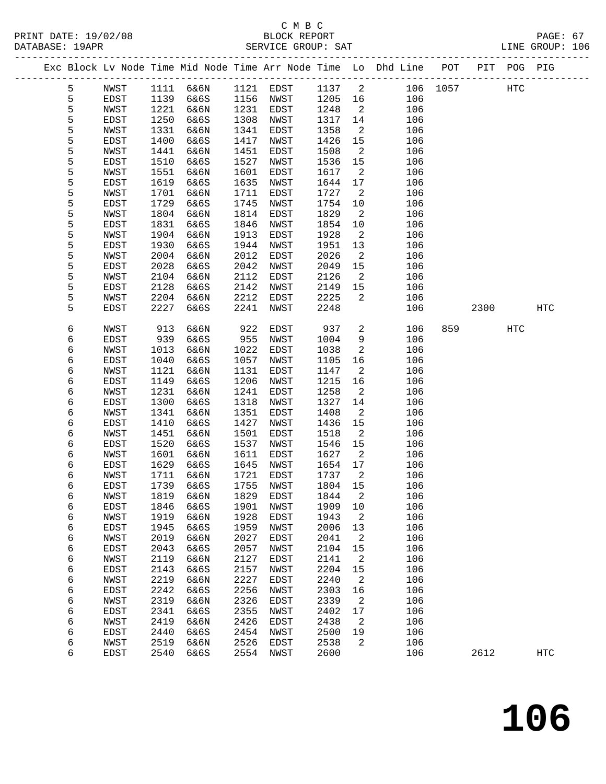### C M B C

| PRINT DATE: 19/02/08<br>DATABASE: 19APR                                        |              |              | 14 B U<br>BLOCK REPORT<br>SERVICE GROUP: SAT |              |              |              |                            |                |            |          |      |            | PAGE: 67<br>LINE GROUP: 106 |  |
|--------------------------------------------------------------------------------|--------------|--------------|----------------------------------------------|--------------|--------------|--------------|----------------------------|----------------|------------|----------|------|------------|-----------------------------|--|
| Exc Block Lv Node Time Mid Node Time Arr Node Time Lo Dhd Line POT PIT POG PIG |              |              |                                              |              |              |              |                            |                |            |          |      |            |                             |  |
| 5                                                                              | NWST         |              | 1111 6&6N                                    |              | 1121 EDST    | 1137 2       |                            |                |            | 106 1057 |      | <b>HTC</b> |                             |  |
| 5                                                                              | EDST         | 1139         | 6&6S                                         |              | 1156 NWST    | 1205 16      |                            |                | 106        |          |      |            |                             |  |
| 5                                                                              | NWST         | 1221         | 6&6N                                         | 1231         | EDST         | 1248         | $\overline{\phantom{a}}$   |                | 106        |          |      |            |                             |  |
| 5                                                                              | EDST         | 1250         | 6&6S                                         | 1308         | NWST         | 1317         | 14                         |                | 106        |          |      |            |                             |  |
| 5                                                                              | NWST         | 1331         | 6&6N                                         | 1341         | EDST         | 1358         | $\overline{2}$             |                | 106        |          |      |            |                             |  |
| 5                                                                              | EDST         | 1400         | 6&6S                                         | 1417         | NWST         | 1426         | 15                         |                | 106        |          |      |            |                             |  |
| 5                                                                              | NWST         | 1441         | 6&6N                                         | 1451         | EDST         | 1508         | $\overline{2}$             |                | 106        |          |      |            |                             |  |
| 5                                                                              | EDST         | 1510         | 6&6S                                         | 1527         | NWST         | 1536         | 15                         |                | 106        |          |      |            |                             |  |
| 5                                                                              | NWST         | 1551         | 6&6N                                         | 1601         | EDST         | 1617         | $\overline{2}$             |                | 106        |          |      |            |                             |  |
| 5                                                                              | EDST         | 1619         | 6&6S                                         | 1635         | NWST         | 1644         | 17                         |                | 106        |          |      |            |                             |  |
| 5                                                                              | NWST         | 1701         | 6&6N                                         | 1711         | EDST         | 1727         | $\overline{2}$             |                | 106        |          |      |            |                             |  |
| 5                                                                              | EDST         | 1729         | 6&6S                                         | 1745         | NWST         | 1754         | 10                         |                | 106        |          |      |            |                             |  |
| 5                                                                              | NWST         | 1804         | 6&6N                                         | 1814         | EDST         | 1829         | $\overline{2}$             |                | 106        |          |      |            |                             |  |
| 5                                                                              | EDST         | 1831         | 6&6S                                         | 1846         | NWST         | 1854         | 10                         |                | 106        |          |      |            |                             |  |
| 5                                                                              | NWST         | 1904         | 6&6N                                         | 1913         | EDST         | 1928         | $\overline{a}$             |                | 106        |          |      |            |                             |  |
| 5                                                                              | EDST         | 1930         | 6&6S                                         | 1944         | NWST         | 1951         | 13                         |                | 106        |          |      |            |                             |  |
| 5                                                                              | NWST         | 2004         | 6&6N                                         | 2012         | EDST         | 2026         | $\overline{a}$             |                | 106        |          |      |            |                             |  |
| 5                                                                              | EDST         | 2028         | 6&6S                                         | 2042         | NWST         | 2049         | 15                         |                | 106        |          |      |            |                             |  |
| 5                                                                              | NWST         | 2104         | 6&6N                                         | 2112         | EDST         | 2126         | $\overline{2}$             |                | 106        |          |      |            |                             |  |
| 5                                                                              | EDST         | 2128         | 6&6S                                         | 2142         | NWST         | 2149         | 15                         |                | 106        |          |      |            |                             |  |
| 5                                                                              | NWST         | 2204         | 6&6N                                         | 2212         | EDST         | 2225         | $\overline{2}$             |                | 106        |          |      |            |                             |  |
| 5                                                                              | EDST         | 2227         | 6&6S                                         | 2241         | NWST         | 2248         |                            |                | 106        |          | 2300 |            | HTC                         |  |
| 6                                                                              | NWST         | 913          | 6&6N                                         | 922          | EDST         | 937          |                            | $\overline{2}$ | 106        | 859      |      | HTC        |                             |  |
| 6                                                                              | EDST         | 939          | 6&6S                                         | 955          | NWST         | 1004         | 9                          |                | 106        |          |      |            |                             |  |
| 6                                                                              | NWST         | 1013         | 6&6N                                         | 1022         | EDST         | 1038         | $\overline{a}$             |                | 106        |          |      |            |                             |  |
| б                                                                              | EDST         | 1040         | 6&6S                                         | 1057         | NWST         | 1105         | 16                         |                | 106        |          |      |            |                             |  |
| 6                                                                              | NWST         | 1121         | 6&6N                                         | 1131         | EDST         | 1147         | $\overline{a}$             |                | 106        |          |      |            |                             |  |
| 6                                                                              | EDST         | 1149         | 6&6S                                         | 1206         | NWST         | 1215         | 16                         |                | 106        |          |      |            |                             |  |
| 6                                                                              | NWST         | 1231         | 6&6N                                         | 1241         | EDST         | 1258         | $\overline{2}$             |                | 106        |          |      |            |                             |  |
| 6<br>6                                                                         | EDST         | 1300         | 6&6S                                         | 1318         | NWST         | 1327         | 14                         |                | 106<br>106 |          |      |            |                             |  |
| 6                                                                              | NWST<br>EDST | 1341<br>1410 | 6&6N<br>6&6S                                 | 1351<br>1427 | EDST<br>NWST | 1408<br>1436 | 2<br>15                    |                | 106        |          |      |            |                             |  |
| 6                                                                              | NWST         | 1451         | 6&6N                                         | 1501         | EDST         | 1518         | $\overline{2}$             |                | 106        |          |      |            |                             |  |
| 6                                                                              | EDST         | 1520         | 6&6S                                         | 1537         | NWST         | 1546         | 15                         |                | 106        |          |      |            |                             |  |
| 6                                                                              | NWST         | 1601         | 6&6N                                         | 1611         | EDST         | 1627         | $\overline{\phantom{a}}^2$ |                | 106        |          |      |            |                             |  |
| б                                                                              | EDST         | 1629         | 6&6S                                         | 1645         | NWST         | 1654         | 17                         |                | 106        |          |      |            |                             |  |
| 6                                                                              | NWST         | 1711         | 6&6N                                         | 1721         | EDST         | 1737         | 2                          |                | 106        |          |      |            |                             |  |
| б                                                                              | EDST         | 1739         | 6&6S                                         | 1755         | NWST         | 1804         | 15                         |                | 106        |          |      |            |                             |  |
| б                                                                              | NWST         | 1819         | 6&6N                                         | 1829         | EDST         | 1844         | 2                          |                | 106        |          |      |            |                             |  |
| 6                                                                              | EDST         | 1846         | 6&6S                                         | 1901         | NWST         | 1909         | 10                         |                | 106        |          |      |            |                             |  |
| б                                                                              | NWST         | 1919         | 6&6N                                         | 1928         | EDST         | 1943         | 2                          |                | 106        |          |      |            |                             |  |
| 6                                                                              | EDST         | 1945         | 6&6S                                         | 1959         | NWST         | 2006         | 13                         |                | 106        |          |      |            |                             |  |
| б                                                                              | NWST         | 2019         | 6&6N                                         | 2027         | EDST         | 2041         | $\boldsymbol{2}$           |                | 106        |          |      |            |                             |  |
| 6                                                                              | EDST         | 2043         | 6&6S                                         | 2057         | NWST         | 2104         | 15                         |                | 106        |          |      |            |                             |  |
| б                                                                              | NWST         | 2119         | 6&6N                                         | 2127         | EDST         | 2141         | 2                          |                | 106        |          |      |            |                             |  |
| б                                                                              | EDST         | 2143         | 6&6S                                         | 2157         | NWST         | 2204         | 15                         |                | 106        |          |      |            |                             |  |
| б                                                                              | NWST         | 2219         | 6&6N                                         | 2227         | EDST         | 2240         | 2                          |                | 106        |          |      |            |                             |  |
| б                                                                              | EDST         | 2242         | 6&6S                                         | 2256         | NWST         | 2303         | 16                         |                | 106        |          |      |            |                             |  |
| б                                                                              | NWST         | 2319         | 6&6N                                         | 2326         | EDST         | 2339         | 2                          |                | 106        |          |      |            |                             |  |
| б                                                                              | EDST         | 2341         | 6&6S                                         | 2355         | NWST         | 2402         | $17$                       |                | 106        |          |      |            |                             |  |
| б                                                                              | NWST         | 2419         | 6&6N                                         | 2426         | EDST         | 2438         | 2                          |                | 106        |          |      |            |                             |  |
| б                                                                              | EDST         | 2440         | 6&6S                                         | 2454         | NWST         | 2500         | 19                         |                | 106        |          |      |            |                             |  |
| б                                                                              | NWST         | 2519         | 6&6N                                         | 2526         | EDST         | 2538         | 2                          |                | 106        |          |      |            |                             |  |
| 6                                                                              | EDST         | 2540         | 6&6S                                         | 2554         | NWST         | 2600         |                            |                | 106        |          | 2612 |            | $_{\mathrm{HTC}}$           |  |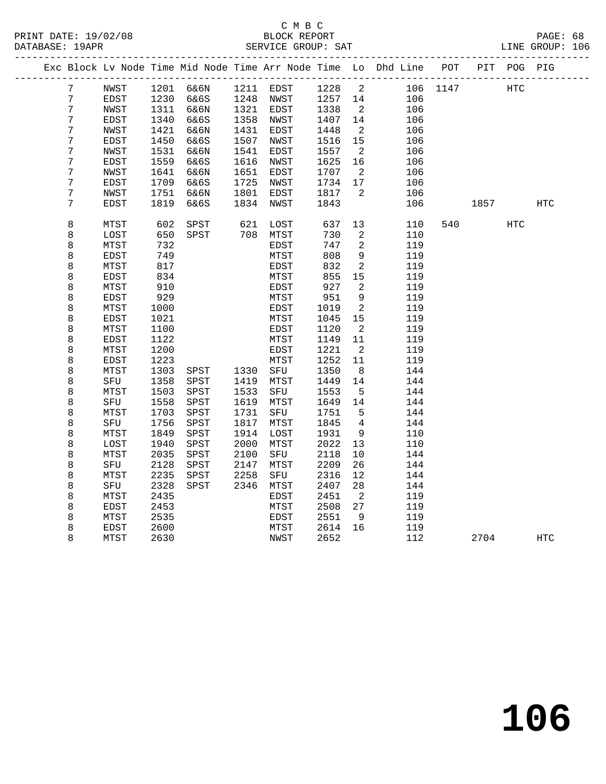|  |                  |              |      |           |      |             |      |                          | Exc Block Lv Node Time Mid Node Time Arr Node Time Lo Dhd Line POT |          |             | PIT POG PIG |            |
|--|------------------|--------------|------|-----------|------|-------------|------|--------------------------|--------------------------------------------------------------------|----------|-------------|-------------|------------|
|  | 7                | NWST         |      | 1201 6&6N |      | 1211 EDST   | 1228 | $\overline{\phantom{a}}$ |                                                                    | 106 1147 | HTC         |             |            |
|  | $7\phantom{.0}$  | EDST         | 1230 | 6&6S      |      | 1248 NWST   | 1257 | 14                       | 106                                                                |          |             |             |            |
|  | $7\phantom{.}$   | NWST         | 1311 | 6&6N      |      | 1321 EDST   | 1338 | $\overline{2}$           | 106                                                                |          |             |             |            |
|  | $\overline{7}$   | EDST         | 1340 | 6&6S      |      | 1358 NWST   | 1407 | 14                       | 106                                                                |          |             |             |            |
|  | $\overline{7}$   | NWST         | 1421 | 6&6N      | 1431 | EDST        | 1448 | $\overline{2}$           | 106                                                                |          |             |             |            |
|  | 7                | EDST         | 1450 | 6&6S      | 1507 | NWST        | 1516 | 15                       | 106                                                                |          |             |             |            |
|  | 7                | NWST         | 1531 | 6&6N      | 1541 | EDST        | 1557 | $\overline{2}$           | 106                                                                |          |             |             |            |
|  | 7                | EDST         | 1559 | 6&6S      | 1616 | NWST        | 1625 | 16                       | 106                                                                |          |             |             |            |
|  | 7                | NWST         | 1641 | 6&6N      | 1651 | EDST        | 1707 | $\overline{2}$           | 106                                                                |          |             |             |            |
|  | $\boldsymbol{7}$ | ${\tt EDST}$ | 1709 | 6&6S      | 1725 | NWST        | 1734 | 17                       | 106                                                                |          |             |             |            |
|  | $\overline{7}$   | NWST         | 1751 | 6&6N      | 1801 | EDST        | 1817 | $\overline{2}$           | 106                                                                |          |             |             |            |
|  | 7                | <b>EDST</b>  | 1819 | 6&6S      | 1834 | NWST        | 1843 |                          | 106                                                                |          | 1857   1900 |             | HTC        |
|  |                  |              |      |           |      |             |      |                          |                                                                    |          |             |             |            |
|  | 8                | MTST         | 602  | SPST      | 621  | LOST        | 637  | 13                       | 110                                                                | 540      |             | HTC         |            |
|  | 8                | LOST         | 650  | SPST      |      | 708 MTST    | 730  | 2                        | 110                                                                |          |             |             |            |
|  | 8                | MTST         | 732  |           |      | EDST        | 747  | $\sqrt{2}$               | 119                                                                |          |             |             |            |
|  | 8                | EDST         | 749  |           |      | MTST        | 808  | $\overline{9}$           | 119                                                                |          |             |             |            |
|  | 8                | MTST         | 817  |           |      | EDST        | 832  | 2                        | 119                                                                |          |             |             |            |
|  | 8                | EDST         | 834  |           |      | MTST        | 855  | 15                       | 119                                                                |          |             |             |            |
|  | 8                | MTST         | 910  |           |      | EDST        | 927  | 2                        | 119                                                                |          |             |             |            |
|  | 8                | EDST         | 929  |           |      | MTST        | 951  | 9                        | 119                                                                |          |             |             |            |
|  | 8                | MTST         | 1000 |           |      | EDST        | 1019 | $\overline{a}$           | 119                                                                |          |             |             |            |
|  | 8                | EDST         | 1021 |           |      | MTST        | 1045 | 15                       | 119                                                                |          |             |             |            |
|  | 8                | MTST         | 1100 |           |      | EDST        | 1120 | $\overline{2}$           | 119                                                                |          |             |             |            |
|  | 8                | EDST         | 1122 |           |      | MTST        | 1149 | 11                       | 119                                                                |          |             |             |            |
|  | 8                | MTST         | 1200 |           |      | EDST        | 1221 | $\overline{2}$           | 119                                                                |          |             |             |            |
|  | 8                | EDST         | 1223 |           |      | MTST        | 1252 | 11                       | 119                                                                |          |             |             |            |
|  | 8                | MTST         | 1303 | SPST      | 1330 | SFU         | 1350 | 8                        | 144                                                                |          |             |             |            |
|  | 8                | SFU          | 1358 | SPST      | 1419 | MTST        | 1449 | 14                       | 144                                                                |          |             |             |            |
|  | 8                | MTST         | 1503 | SPST      | 1533 | SFU         | 1553 | 5                        | 144                                                                |          |             |             |            |
|  | 8                | SFU          | 1558 | SPST      | 1619 | MTST        | 1649 | 14                       | 144                                                                |          |             |             |            |
|  | 8                | MTST         | 1703 | SPST      | 1731 | SFU         | 1751 | 5                        | 144                                                                |          |             |             |            |
|  | 8                | SFU          | 1756 | SPST      | 1817 | MTST        | 1845 | 4                        | 144                                                                |          |             |             |            |
|  | 8                | MTST         | 1849 | SPST      | 1914 | LOST        | 1931 | 9                        | 110                                                                |          |             |             |            |
|  | 8                | LOST         | 1940 | SPST      | 2000 | MTST        | 2022 | 13                       | 110                                                                |          |             |             |            |
|  | 8                | MTST         | 2035 | SPST      | 2100 | SFU         | 2118 | $10\,$                   | 144                                                                |          |             |             |            |
|  | 8                | SFU          | 2128 | SPST      | 2147 | MTST        | 2209 | 26                       | 144                                                                |          |             |             |            |
|  | 8                | MTST         | 2235 | SPST      | 2258 | SFU         | 2316 | 12                       | 144                                                                |          |             |             |            |
|  | 8                | SFU          | 2328 | SPST      | 2346 | MTST        | 2407 | 28                       | 144                                                                |          |             |             |            |
|  | 8                | MTST         | 2435 |           |      | <b>EDST</b> | 2451 | $\overline{2}$           | 119                                                                |          |             |             |            |
|  | 8                | EDST         | 2453 |           |      | MTST        | 2508 | 27                       | 119                                                                |          |             |             |            |
|  | 8                | MTST         | 2535 |           |      | EDST        | 2551 | 9                        | 119                                                                |          |             |             |            |
|  | 8                | EDST         | 2600 |           |      | MTST        | 2614 | 16                       | 119                                                                |          |             |             |            |
|  | 8                | MTST         | 2630 |           |      | NWST        | 2652 |                          | 112                                                                |          | 2704        |             | <b>HTC</b> |
|  |                  |              |      |           |      |             |      |                          |                                                                    |          |             |             |            |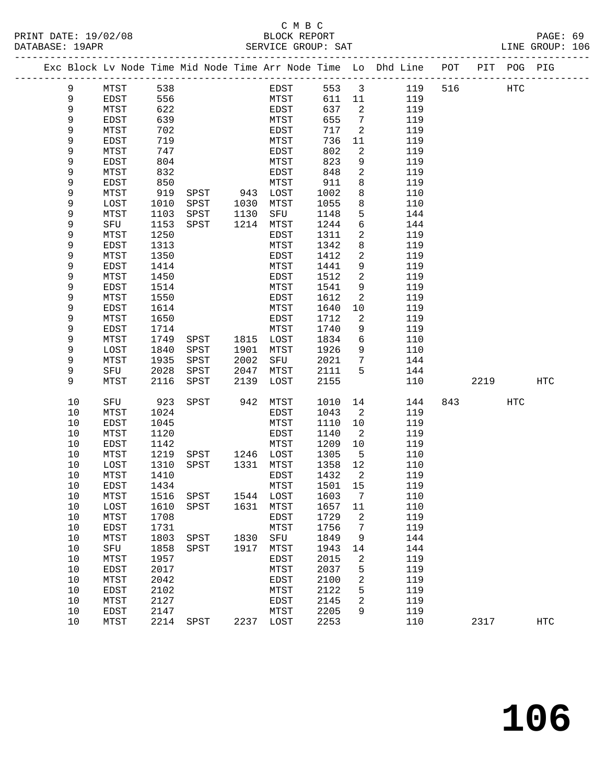|  |        |           |                      | Exc Block Lv Node Time Mid Node Time Arr Node Time Lo Dhd Line |             |        |               | POT | PIT | POG. | PIG |
|--|--------|-----------|----------------------|----------------------------------------------------------------|-------------|--------|---------------|-----|-----|------|-----|
|  | 9      | MTST      | 538                  | EDST                                                           | 553         | 3      | 119           | 516 |     | HTC  |     |
|  | 9      | EDST      | 556                  | MTST                                                           | 611         | 11     | 119           |     |     |      |     |
|  | 9      | MTST      | 622                  | EDST                                                           | 637         | 2      | 119           |     |     |      |     |
|  | 9      | EDST      | 639                  | MTST                                                           | 655         | 7      | 119           |     |     |      |     |
|  | 9      | MTST      | 702                  | EDST                                                           | 717         | 2      | 119           |     |     |      |     |
|  | 9      | EDST      | 719                  | MTST                                                           | 736         | 11     | 119           |     |     |      |     |
|  | 9      | MTST      | 747                  | EDST                                                           | 802         | 2      | 119           |     |     |      |     |
|  | 9      | EDST      | 804                  | MTST                                                           | 823         | 9      | 119           |     |     |      |     |
|  | 9      | MTST      | 832                  | EDST                                                           | 848         | 2      | 119           |     |     |      |     |
|  | $\sim$ | $- - - -$ | $\sim$ $\sim$ $\sim$ | $\sim$ $\sim$ $\sim$ $\sim$                                    | $\sim$ $ -$ | $\sim$ | $\sim$ $\sim$ |     |     |      |     |

| 9           | EDST         | 639  |      |      | MTST         | 655  | 7                | 119 |     |      |                   |                   |
|-------------|--------------|------|------|------|--------------|------|------------------|-----|-----|------|-------------------|-------------------|
| 9           | MTST         | 702  |      |      | EDST         | 717  | $\sqrt{2}$       | 119 |     |      |                   |                   |
| 9           | EDST         | 719  |      |      | MTST         | 736  | $11\,$           | 119 |     |      |                   |                   |
| $\mathsf 9$ | MTST         | 747  |      |      | EDST         | 802  | $\sqrt{2}$       | 119 |     |      |                   |                   |
| 9           | EDST         | 804  |      |      | MTST         | 823  | 9                | 119 |     |      |                   |                   |
| 9           | MTST         | 832  |      |      | EDST         | 848  | 2                | 119 |     |      |                   |                   |
| 9           | EDST         | 850  |      |      | MTST         | 911  | 8                | 119 |     |      |                   |                   |
| 9           | ${\tt MTST}$ | 919  | SPST | 943  | LOST         | 1002 | 8                | 110 |     |      |                   |                   |
| 9           | LOST         | 1010 | SPST | 1030 | MTST         | 1055 | 8                | 110 |     |      |                   |                   |
| 9           | MTST         | 1103 | SPST | 1130 | ${\tt SFU}$  | 1148 | 5                | 144 |     |      |                   |                   |
| 9           | ${\tt SFU}$  | 1153 | SPST | 1214 | ${\tt MTST}$ | 1244 | б                | 144 |     |      |                   |                   |
| 9           | MTST         | 1250 |      |      | EDST         | 1311 | 2                | 119 |     |      |                   |                   |
| 9           | EDST         | 1313 |      |      | MTST         | 1342 | 8                | 119 |     |      |                   |                   |
| 9           | MTST         | 1350 |      |      | EDST         | 1412 | 2                | 119 |     |      |                   |                   |
| 9           | EDST         | 1414 |      |      | MTST         | 1441 | 9                | 119 |     |      |                   |                   |
| 9           | MTST         | 1450 |      |      | EDST         | 1512 | 2                | 119 |     |      |                   |                   |
| 9           | <b>EDST</b>  | 1514 |      |      | ${\tt MTST}$ | 1541 | 9                | 119 |     |      |                   |                   |
| 9           | MTST         | 1550 |      |      | EDST         | 1612 | $\sqrt{2}$       | 119 |     |      |                   |                   |
| $\mathsf 9$ | EDST         | 1614 |      |      | MTST         | 1640 | $10$             | 119 |     |      |                   |                   |
| 9           | ${\tt MTST}$ | 1650 |      |      | EDST         | 1712 | $\sqrt{2}$       | 119 |     |      |                   |                   |
| 9           | EDST         | 1714 |      |      | MTST         | 1740 | $\mathsf 9$      | 119 |     |      |                   |                   |
| 9           | MTST         | 1749 | SPST | 1815 | LOST         | 1834 | б                | 110 |     |      |                   |                   |
| 9           | LOST         | 1840 | SPST | 1901 | MTST         | 1926 | 9                | 110 |     |      |                   |                   |
| 9           | MTST         | 1935 | SPST | 2002 | ${\rm SFU}$  | 2021 | 7                | 144 |     |      |                   |                   |
| $\mathsf 9$ | SFU          | 2028 | SPST | 2047 | MTST         | 2111 | 5                | 144 |     |      |                   |                   |
| 9           | MTST         | 2116 | SPST | 2139 | LOST         | 2155 |                  | 110 |     | 2219 |                   | $_{\mathrm{HTC}}$ |
|             |              |      |      |      |              |      |                  |     |     |      |                   |                   |
| $10$        | ${\rm SFU}$  | 923  | SPST | 942  | ${\tt MTST}$ | 1010 | 14               | 144 | 843 |      | $_{\mathrm{HTC}}$ |                   |
| $10$        | MTST         | 1024 |      |      | EDST         | 1043 | $\sqrt{2}$       | 119 |     |      |                   |                   |
| $10$        | EDST         | 1045 |      |      | MTST         | 1110 | $10$             | 119 |     |      |                   |                   |
| 10          | MTST         | 1120 |      |      | <b>EDST</b>  | 1140 | $\sqrt{2}$       | 119 |     |      |                   |                   |
| 10          | <b>EDST</b>  | 1142 |      |      | MTST         | 1209 | $10$             | 119 |     |      |                   |                   |
| 10          | MTST         | 1219 | SPST | 1246 | LOST         | 1305 | 5                | 110 |     |      |                   |                   |
| 10          | LOST         | 1310 | SPST | 1331 | MTST         | 1358 | $12$             | 110 |     |      |                   |                   |
| $10$        | MTST         | 1410 |      |      | EDST         | 1432 | $\sqrt{2}$       | 119 |     |      |                   |                   |
| $10$        | EDST         | 1434 |      |      | ${\tt MTST}$ | 1501 | $15$             | 119 |     |      |                   |                   |
| $10$        | MTST         | 1516 | SPST | 1544 | LOST         | 1603 | $\boldsymbol{7}$ | 110 |     |      |                   |                   |
| 10          | LOST         | 1610 | SPST | 1631 | MTST         | 1657 | 11               | 110 |     |      |                   |                   |
| 10          | ${\tt MTST}$ | 1708 |      |      | EDST         | 1729 | 2                | 119 |     |      |                   |                   |
| 10          | EDST         | 1731 |      |      | MTST         | 1756 | 7                | 119 |     |      |                   |                   |
| 10          | MTST         | 1803 | SPST | 1830 | ${\rm SFU}$  | 1849 | 9                | 144 |     |      |                   |                   |
| 10          | ${\rm SFU}$  | 1858 | SPST | 1917 | ${\tt MTST}$ | 1943 | 14               | 144 |     |      |                   |                   |
| $10$        | MTST         | 1957 |      |      | EDST         | 2015 | $\sqrt{2}$       | 119 |     |      |                   |                   |
| $10$        | EDST         | 2017 |      |      | MTST         | 2037 | 5                | 119 |     |      |                   |                   |
| $10$        | ${\tt MTST}$ | 2042 |      |      | EDST         | 2100 | 2                | 119 |     |      |                   |                   |
| $10$        | EDST         | 2102 |      |      | MTST         | 2122 | 5                | 119 |     |      |                   |                   |
| $10$        | ${\tt MTST}$ | 2127 |      |      | EDST         | 2145 | 2                | 119 |     |      |                   |                   |
| 10          | <b>EDST</b>  | 2147 |      |      | MTST         | 2205 | 9                | 119 |     |      |                   |                   |
| 10          | MTST         | 2214 | SPST | 2237 | LOST         | 2253 |                  | 110 |     | 2317 |                   | HTC               |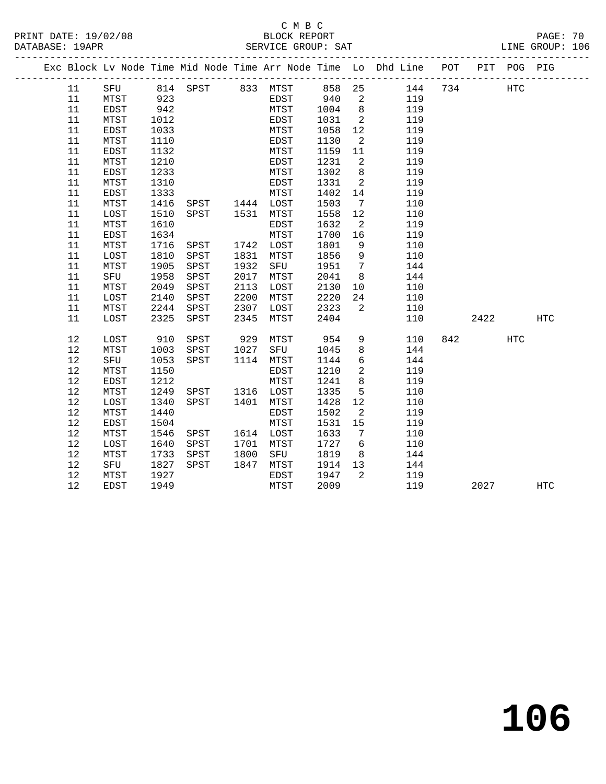### C M B C<br>BLOCK REPORT SERVICE GROUP: SAT

|          |              |              |                |              |           |              |                          | Exc Block Lv Node Time Mid Node Time Arr Node Time Lo Dhd Line POT PIT POG PIG |                          |            |            |
|----------|--------------|--------------|----------------|--------------|-----------|--------------|--------------------------|--------------------------------------------------------------------------------|--------------------------|------------|------------|
| 11       |              |              |                |              |           |              |                          | SFU 814 SPST 833 MTST 858 25 144 734<br>MTST 923 EDST 940 2 119                |                          | <b>HTC</b> |            |
| 11       |              | 923          |                |              |           |              |                          |                                                                                |                          |            |            |
| 11       | EDST         | 942          |                |              |           | MTST 1004    | 8 <sup>8</sup>           | 119                                                                            |                          |            |            |
| 11       | MTST         | 1012         |                |              | EDST      | 1031         | $\overline{\phantom{a}}$ | 119                                                                            |                          |            |            |
| 11       | EDST         | 1033         |                |              | MTST      | 1058         | 12                       | 119                                                                            |                          |            |            |
| 11       | MTST         | 1110         |                |              | EDST      | 1130         | $\overline{2}$           | 119                                                                            |                          |            |            |
| 11       | ${\tt EDST}$ | 1132         |                |              | MTST      | 1159         | 11                       | 119                                                                            |                          |            |            |
| 11       | MTST         | 1210         |                |              | EDST      | 1231         | $\overline{\phantom{a}}$ | 119                                                                            |                          |            |            |
| 11       | EDST         | 1233         |                |              | MTST      | 1302         | 8 <sup>8</sup>           | 119                                                                            |                          |            |            |
| 11       | MTST         | 1310         |                |              | EDST      | 1331         | $\overline{\mathbf{c}}$  | 119                                                                            |                          |            |            |
| 11       | EDST         | 1333         |                |              | MTST      | 1402         | 14                       | 119                                                                            |                          |            |            |
| 11       | MTST         | 1416         | SPST 1444 LOST |              |           | 1503         | $\overline{7}$           | 110                                                                            |                          |            |            |
| 11       | LOST         | 1510         | SPST 1531 MTST |              |           | 1558         | 12                       | 110                                                                            |                          |            |            |
| 11       | MTST         | 1610         |                |              | EDST      | 1632         | $\overline{2}$           | 119                                                                            |                          |            |            |
| 11       | EDST         | 1634         |                |              | MTST      | 1700         | 16                       | 119                                                                            |                          |            |            |
| 11       | MTST         | 1716         | SPST           |              | 1742 LOST | 1801         | 9                        | 110                                                                            |                          |            |            |
| 11       | LOST         | 1810         | SPST           | 1831         | MTST      | 1856         | 9                        | 110                                                                            |                          |            |            |
| 11       | MTST         | 1905         | SPST           |              | 1932 SFU  | 1951         | $\overline{7}$           | 144                                                                            |                          |            |            |
| 11       | SFU          | 1958         | SPST           | 2017         | MTST      | 2041         | 8 <sup>8</sup>           | 144                                                                            |                          |            |            |
| 11       | MTST         | 2049         | SPST           | 2113         | LOST      | 2130<br>2220 | 10                       | 110                                                                            |                          |            |            |
| 11<br>11 | LOST         | 2140         | SPST           | 2200<br>2307 | MTST      | LOST 2323    | 24                       | 110                                                                            |                          |            |            |
| 11       | MTST<br>LOST | 2244<br>2325 | SPST<br>SPST   | 2345         | MTST      | 2404         | $\overline{\mathbf{2}}$  | 110<br>110                                                                     | 2422                     |            | <b>HTC</b> |
|          |              |              |                |              |           |              |                          |                                                                                |                          |            |            |
| 12       | LOST         | 910          | SPST           |              | 929 MTST  | 954          | 9                        | 110                                                                            | 842 and $\overline{842}$ | HTC        |            |
| 12       | MTST         | 1003         | SPST           | 1027         | SFU       | 1045         | 8                        | 144                                                                            |                          |            |            |
| 12       | SFU          | 1053         | SPST           |              | 1114 MTST | 1144         | 6                        | 144                                                                            |                          |            |            |
| 12       | MTST         | 1150         |                |              | EDST      | 1210         | $\overline{2}$           | 119                                                                            |                          |            |            |
| 12       | EDST         | 1212         |                |              | MTST      | 1241         | 8                        | 119                                                                            |                          |            |            |
| 12       | MTST         | 1249         | SPST 1316 LOST |              |           | 1335         | $5^{\circ}$              | 110                                                                            |                          |            |            |
| 12       | LOST         | 1340         | SPST 1401      |              | MTST      | 1428         | 12                       | 110                                                                            |                          |            |            |
| 12       | MTST         | 1440         |                |              | EDST      | 1502         | 2                        | 119                                                                            |                          |            |            |
| 12       | EDST         | 1504         |                |              | MTST      | 1531         | 15                       | 119                                                                            |                          |            |            |
| 12       | MTST         | 1546         | SPST 1614 LOST |              |           | 1633         | $\overline{7}$           | 110                                                                            |                          |            |            |
| 12       | LOST         | 1640         | SPST           |              | 1701 MTST | 1727         | 6                        | 110                                                                            |                          |            |            |
| 12       | MTST         | 1733         | SPST           | 1800         | SFU       | 1819         | 8 <sup>8</sup>           | 144                                                                            |                          |            |            |
| 12       | SFU          | 1827         | SPST           | 1847         | MTST      | 1914         | 13                       | 144                                                                            |                          |            |            |
| 12       | MTST         | 1927         |                |              | EDST      | 1947         | $\overline{2}$           | 119                                                                            |                          |            |            |
| 12       | EDST         | 1949         |                |              | MTST      | 2009         |                          | 119                                                                            | 2027                     |            | HTC        |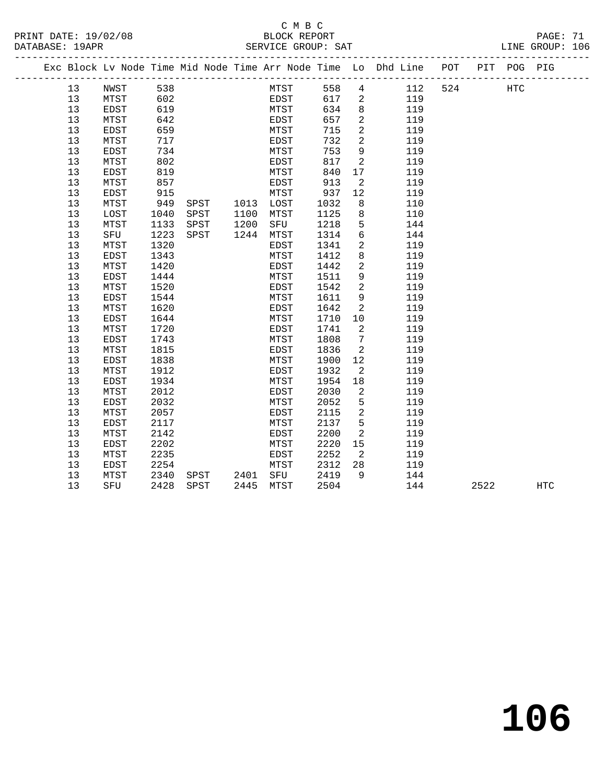|  | <b>PAG</b> |
|--|------------|

|  |          | Exc Block Lv Node Time Mid Node Time Arr Node Time Lo Dhd Line POT |              |               |                |              |              |              |                            |       |            |     |      | PIT POG PIG |     |  |
|--|----------|--------------------------------------------------------------------|--------------|---------------|----------------|--------------|--------------|--------------|----------------------------|-------|------------|-----|------|-------------|-----|--|
|  | 13       | NWST                                                               | 538          |               |                |              | MTST<br>EDST | 558          |                            | 4 112 |            | 524 |      | <b>HTC</b>  |     |  |
|  | 13       | MTST                                                               | 602          |               |                |              |              | 617          | $\overline{a}$             |       | 119        |     |      |             |     |  |
|  | 13       | EDST                                                               | 619          |               |                | MTST         |              | 634          | 8 <sup>8</sup>             |       | 119        |     |      |             |     |  |
|  | 13       | MTST                                                               | 642          |               |                | EDST         |              | 657          | 2                          |       | 119        |     |      |             |     |  |
|  | 13       | <b>EDST</b>                                                        | 659          |               |                | MTST         |              | 715          | $\overline{2}$             |       | 119        |     |      |             |     |  |
|  | 13       | MTST                                                               | 717          |               |                | EDST         |              | 732          | $\overline{2}$             |       | 119        |     |      |             |     |  |
|  | 13       | EDST                                                               | 734          |               |                | MTST         |              | 753          | 9                          |       | 119        |     |      |             |     |  |
|  | 13       | MTST                                                               | 802          |               |                | EDST         |              | 817          | $\overline{a}$             |       | 119        |     |      |             |     |  |
|  | 13       | EDST                                                               | 819          |               |                | MTST         |              | 840          | 17                         |       | 119        |     |      |             |     |  |
|  | 13       | MTST                                                               | 857          |               |                | EDST         |              | 913          | 2                          |       | 119        |     |      |             |     |  |
|  | 13       | EDST                                                               | 915          |               |                | MTST         |              | 937          | 12                         |       | 119        |     |      |             |     |  |
|  | 13       | MTST                                                               | 949          |               | SPST 1013 LOST |              |              | 1032         | 8                          |       | 110        |     |      |             |     |  |
|  | 13       | LOST                                                               | 1040         | SPST          | 1100           | MTST         |              | 1125         | 8                          |       | 110        |     |      |             |     |  |
|  | 13       | MTST                                                               | 1133         | SPST          | 1200           | SFU          |              | 1218         | 5                          |       | 144        |     |      |             |     |  |
|  | 13       | SFU                                                                | 1223         | SPST          | 1244 MTST      |              |              | 1314         | $6\overline{6}$            |       | 144        |     |      |             |     |  |
|  | 13       | MTST                                                               | 1320         |               |                | EDST         |              | 1341         | 2                          |       | 119        |     |      |             |     |  |
|  | 13       | <b>EDST</b>                                                        | 1343         |               |                | MTST         |              | 1412         | 8                          |       | 119        |     |      |             |     |  |
|  | 13       | MTST                                                               | 1420         |               |                | EDST         |              | 1442         | 2                          |       | 119        |     |      |             |     |  |
|  | 13       | <b>EDST</b>                                                        | 1444         |               |                | MTST         |              | 1511         | 9                          |       | 119        |     |      |             |     |  |
|  | 13       | MTST                                                               | 1520         |               |                | EDST         |              | 1542         | 2                          |       | 119        |     |      |             |     |  |
|  | 13       | EDST                                                               | 1544         |               |                | MTST         |              | 1611         | 9                          |       | 119        |     |      |             |     |  |
|  | 13       | MTST                                                               | 1620         |               |                | EDST         |              | 1642         | 2                          |       | 119        |     |      |             |     |  |
|  | 13<br>13 | <b>EDST</b><br>MTST                                                | 1644<br>1720 |               |                | MTST<br>EDST |              | 1710<br>1741 | 10<br>$\overline{a}$       |       | 119<br>119 |     |      |             |     |  |
|  | 13       | EDST                                                               | 1743         |               |                | MTST         |              | 1808         | $\overline{7}$             |       | 119        |     |      |             |     |  |
|  | 13       | MTST                                                               | 1815         |               |                | EDST         |              | 1836         | $\overline{a}$             |       | 119        |     |      |             |     |  |
|  | 13       | EDST                                                               | 1838         |               |                | MTST         |              | 1900         | 12                         |       | 119        |     |      |             |     |  |
|  | 13       | MTST                                                               | 1912         |               |                | EDST         |              | 1932         | 2                          |       | 119        |     |      |             |     |  |
|  | 13       | <b>EDST</b>                                                        | 1934         |               |                | MTST         |              | 1954         | 18                         |       | 119        |     |      |             |     |  |
|  | 13       | MTST                                                               | 2012         |               |                | EDST         |              | 2030         | $\overline{2}$             |       | 119        |     |      |             |     |  |
|  | 13       | EDST                                                               | 2032         |               |                | MTST         |              | 2052         | 5                          |       | 119        |     |      |             |     |  |
|  | 13       | MTST                                                               | 2057         |               |                | EDST         |              | 2115         | $\overline{2}$             |       | 119        |     |      |             |     |  |
|  | 13       | EDST                                                               | 2117         |               |                | MTST         |              | 2137         | 5                          |       | 119        |     |      |             |     |  |
|  | 13       | MTST                                                               | 2142         |               |                | EDST         |              | 2200         | 2                          |       | 119        |     |      |             |     |  |
|  | 13       | EDST                                                               | 2202         |               |                | MTST         |              | 2220         | 15                         |       | 119        |     |      |             |     |  |
|  | 13       | MTST                                                               | 2235         |               |                | EDST         |              | 2252         | $\overline{\phantom{a}}^2$ |       | 119        |     |      |             |     |  |
|  | 13       | EDST                                                               | 2254         |               |                | MTST         |              | 2312         | 28                         |       | 119        |     |      |             |     |  |
|  | 13       | MTST                                                               | 2340         | SPST 2401 SFU |                |              |              | 2419         | 9                          |       | 144        |     |      |             |     |  |
|  | 13       | SFU                                                                | 2428         | SPST          | 2445 MTST      |              |              | 2504         |                            |       | 144        |     | 2522 |             | HTC |  |
|  |          |                                                                    |              |               |                |              |              |              |                            |       |            |     |      |             |     |  |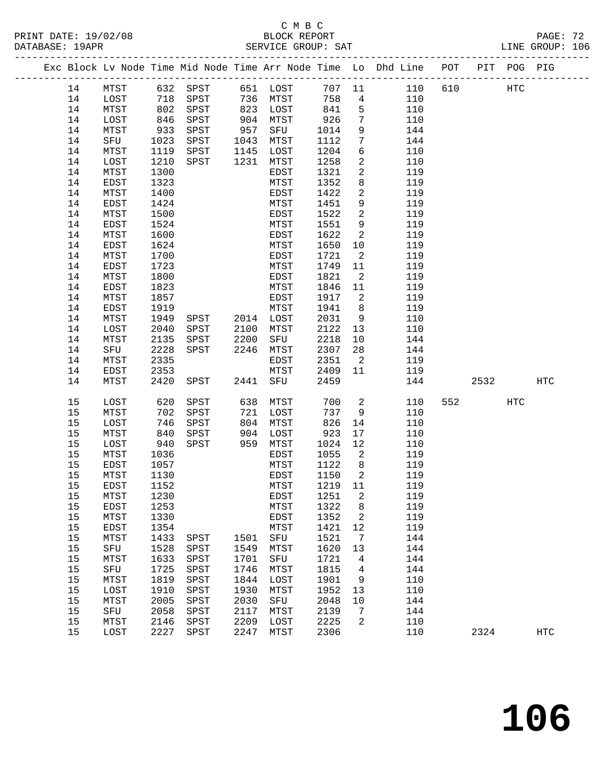# C M B C<br>BLOCK REPORT

------------------------------------------------------------------------------------------------- Exc Block Lv Node Time Mid Node Time Arr Node Time Lo Dhd Line POT PIT POG PIG

LINE GROUP: 106

| 14 | MTST        |      | 632 SPST     |           | 651 LOST | 707 11      |                            | 110 | 610 |      | HTC |            |
|----|-------------|------|--------------|-----------|----------|-------------|----------------------------|-----|-----|------|-----|------------|
| 14 | LOST        | 718  | SPST         | 736       | MTST     | 758         | $4\overline{ }$            | 110 |     |      |     |            |
| 14 | MTST        | 802  | SPST         | 823       | LOST     | 841         | 5                          | 110 |     |      |     |            |
| 14 | LOST        | 846  | ${\tt SPST}$ | 904       | MTST     | 926         | $7\phantom{.0}$            | 110 |     |      |     |            |
| 14 | MTST        | 933  | SPST         | 957       | SFU      | 1014        | 9                          | 144 |     |      |     |            |
| 14 | SFU         | 1023 | SPST         | 1043      | MTST     | 1112        | $7\phantom{.0}$            | 144 |     |      |     |            |
| 14 | MTST        | 1119 | SPST         | 1145      | LOST     | 1204        | $6\overline{6}$            | 110 |     |      |     |            |
| 14 | LOST        | 1210 | SPST         | 1231      | MTST     | 1258        | $\overline{a}$             | 110 |     |      |     |            |
| 14 | MTST        | 1300 |              |           | EDST     | 1321        | $\overline{a}$             | 119 |     |      |     |            |
| 14 | EDST        | 1323 |              |           | MTST     | 1352        | 8                          | 119 |     |      |     |            |
| 14 | MTST        | 1400 |              |           | EDST     | 1422        | $\overline{a}$             | 119 |     |      |     |            |
| 14 | EDST        | 1424 |              |           | MTST     | 1451        | 9                          | 119 |     |      |     |            |
| 14 | MTST        | 1500 |              |           | EDST     | 1522        | $\overline{a}$             | 119 |     |      |     |            |
| 14 | EDST        | 1524 |              |           | MTST     | 1551        | 9                          | 119 |     |      |     |            |
| 14 | MTST        | 1600 |              |           | EDST     | 1622        | $\overline{2}$             | 119 |     |      |     |            |
| 14 | EDST        | 1624 |              |           | MTST     | 1650        |                            | 119 |     |      |     |            |
|    |             |      |              |           |          |             | 10                         |     |     |      |     |            |
| 14 | MTST        | 1700 |              |           | EDST     | 1721        | $\overline{2}$             | 119 |     |      |     |            |
| 14 | EDST        | 1723 |              |           | MTST     | 1749        | 11                         | 119 |     |      |     |            |
| 14 | MTST        | 1800 |              |           | EDST     | 1821        | $\overline{\phantom{a}}$   | 119 |     |      |     |            |
| 14 | EDST        | 1823 |              |           | MTST     | 1846        | 11                         | 119 |     |      |     |            |
| 14 | MTST        | 1857 |              |           | EDST     | 1917        | $\overline{\phantom{a}}^2$ | 119 |     |      |     |            |
| 14 | EDST        | 1919 |              |           | MTST     | 1941        | 8 <sup>8</sup>             | 119 |     |      |     |            |
| 14 | MTST        | 1949 | SPST         | 2014 LOST |          | 2031        | 9                          | 110 |     |      |     |            |
| 14 | LOST        | 2040 | SPST         | 2100      | MTST     | 2122        | 13                         | 110 |     |      |     |            |
| 14 | MTST        | 2135 | SPST         | 2200      | SFU      | 2218        | 10                         | 144 |     |      |     |            |
| 14 | SFU         | 2228 | SPST         | 2246      | MTST     | 2307        | 28                         | 144 |     |      |     |            |
| 14 | MTST        | 2335 |              |           | EDST     | 2351        | $\overline{2}$             | 119 |     |      |     |            |
| 14 | EDST        | 2353 |              |           | MTST     | 2409        | 11                         | 119 |     |      |     |            |
| 14 | MTST        | 2420 | SPST         |           | 2441 SFU | 2459        |                            | 144 |     | 2532 |     | HTC        |
|    |             |      |              |           |          |             |                            |     |     |      |     |            |
| 15 | LOST        | 620  | SPST         | 638       | MTST     | 700         | $\overline{\phantom{a}}$   | 110 |     | 552  | HTC |            |
| 15 | MTST        | 702  | SPST         | 721       | LOST     | 737         | 9                          | 110 |     |      |     |            |
| 15 | LOST        | 746  | SPST         | 804       | MTST     | 826         | 14                         | 110 |     |      |     |            |
| 15 | MTST        | 840  | SPST         | 904       | LOST     | 923         | 17                         | 110 |     |      |     |            |
| 15 | LOST        | 940  | SPST         | 959       | MTST     | 1024        | 12                         | 110 |     |      |     |            |
| 15 | MTST        | 1036 |              |           | EDST     | 1055        | $\overline{a}$             | 119 |     |      |     |            |
| 15 | EDST        | 1057 |              |           | MTST     | 1122        | 8 <sup>8</sup>             | 119 |     |      |     |            |
| 15 | MTST        | 1130 |              |           | EDST     | 1150        | $\overline{2}$             | 119 |     |      |     |            |
| 15 | EDST        | 1152 |              |           | MTST     | 1219        | 11                         | 119 |     |      |     |            |
| 15 | MTST        | 1230 |              |           | EDST     | 1251        | 2                          | 119 |     |      |     |            |
| 15 | <b>EDST</b> | 1253 |              |           | MTST     | 1322        | 8                          | 119 |     |      |     |            |
| 15 | MTST        | 1330 |              |           |          | EDST 1352 2 |                            | 119 |     |      |     |            |
| 15 | EDST        | 1354 |              |           | MTST     | 1421        | 12                         | 119 |     |      |     |            |
| 15 | MTST        | 1433 | SPST         | 1501      | SFU      | 1521        | 7                          | 144 |     |      |     |            |
| 15 | SFU         | 1528 | SPST         | 1549      | MTST     | 1620        | 13                         | 144 |     |      |     |            |
| 15 | MTST        | 1633 | SPST         | 1701      | SFU      | 1721        | 4                          | 144 |     |      |     |            |
| 15 | SFU         | 1725 | SPST         | 1746      | MTST     | 1815        | 4                          | 144 |     |      |     |            |
| 15 | MTST        | 1819 | SPST         | 1844      | LOST     | 1901        | 9                          | 110 |     |      |     |            |
| 15 | LOST        | 1910 | SPST         | 1930      | MTST     | 1952        | 13                         | 110 |     |      |     |            |
| 15 | MTST        | 2005 | SPST         | 2030      | SFU      | 2048        | 10                         | 144 |     |      |     |            |
| 15 | SFU         | 2058 | SPST         | 2117      | MTST     | 2139        | 7                          | 144 |     |      |     |            |
| 15 | MTST        | 2146 | SPST         | 2209      | LOST     | 2225        | 2                          | 110 |     |      |     |            |
| 15 | LOST        | 2227 | SPST         | 2247      | MTST     | 2306        |                            | 110 |     | 2324 |     | <b>HTC</b> |
|    |             |      |              |           |          |             |                            |     |     |      |     |            |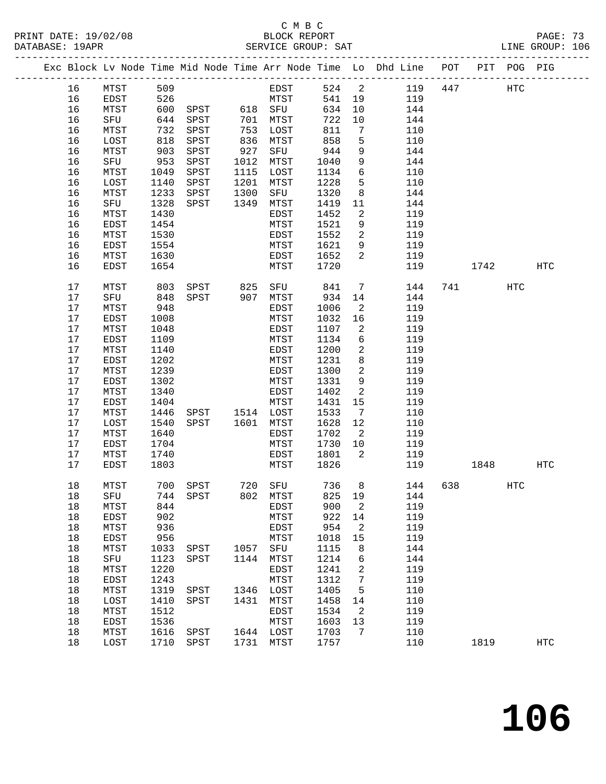# C M B C

| DATABASE: 19APR |    |          |                  |                |      | SERVICE GROUP: SAT |        |                         | LINE GROUP: 106                                                                |      |              |     |  |
|-----------------|----|----------|------------------|----------------|------|--------------------|--------|-------------------------|--------------------------------------------------------------------------------|------|--------------|-----|--|
|                 |    |          |                  |                |      |                    |        |                         | Exc Block Lv Node Time Mid Node Time Arr Node Time Lo Dhd Line POT PIT POG PIG |      |              |     |  |
|                 | 16 | MTST 509 |                  |                |      |                    |        |                         | EDST 524 2 119 447 HTC                                                         |      |              |     |  |
|                 | 16 | EDST     | 526              |                |      | MTST               | 541 19 |                         | 119                                                                            |      |              |     |  |
|                 | 16 | MTST     | 600              | SPST 618 SFU   |      |                    | 634    | 10                      | 144                                                                            |      |              |     |  |
|                 | 16 | SFU      | $-00$<br>644     |                |      |                    | 722    | 10                      | 144                                                                            |      |              |     |  |
|                 | 16 | MTST     | 732              |                |      |                    | 811    | $7\overline{ }$         | 110                                                                            |      |              |     |  |
|                 | 16 | LOST     | 818              | SPST           |      | 836 MTST           | 858    | 5                       | 110                                                                            |      |              |     |  |
|                 | 16 | MTST     | 903              | SPST           | 927  | SFU                | 944    | 9                       | 144                                                                            |      |              |     |  |
|                 | 16 | SFU      |                  | SPST           | 1012 | MTST               | 1040   | 9                       | 144                                                                            |      |              |     |  |
|                 | 16 | MTST     | $-953$<br>$-953$ | SPST           | 1115 | LOST               | 1134   | $6\overline{6}$         | 110                                                                            |      |              |     |  |
|                 | 16 | LOST     | 1140             | SPST           | 1201 | MTST               | 1228   | $5^{\circ}$             | 110                                                                            |      |              |     |  |
|                 | 16 | MTST     | 1233             | SPST           | 1300 | SFU                | 1320   | 8 <sup>8</sup>          | 144                                                                            |      |              |     |  |
|                 | 16 | SFU      | 1328             | SPST           | 1349 | MTST               | 1419   | 11                      | 144                                                                            |      |              |     |  |
|                 | 16 | MTST     | 1430             |                |      | EDST               | 1452   | $\overline{a}$          | 119                                                                            |      |              |     |  |
|                 | 16 | EDST     | 1454             |                |      | MTST               | 1521   | 9                       | 119                                                                            |      |              |     |  |
|                 | 16 | MTST     | 1530             |                |      | EDST               | 1552   | $\overline{a}$          | 119                                                                            |      |              |     |  |
|                 | 16 | EDST     | 1554             |                |      | MTST               | 1621   | 9                       | 119                                                                            |      |              |     |  |
|                 | 16 | MTST     | 1630             |                |      | EDST               | 1652   | 2                       | 119                                                                            |      |              |     |  |
|                 | 16 | EDST     | 1654             |                |      | MTST               | 1720   |                         | 119                                                                            | 1742 |              | HTC |  |
|                 |    |          |                  |                |      |                    |        |                         |                                                                                |      |              |     |  |
|                 | 17 | MTST     | 803              |                |      | SPST 825 SFU       | 841    | $\overline{7}$          | 144                                                                            |      | HTC          |     |  |
|                 | 17 | SFU      | 848              | SPST 907 MTST  |      |                    | 934    | 14                      | 144                                                                            |      |              |     |  |
|                 | 17 | MTST     | 948              |                |      | EDST               | 1006   | $\overline{a}$          | 119                                                                            |      |              |     |  |
|                 | 17 | EDST     | 1008             |                |      | MTST               | 1032   | 16                      | 119                                                                            |      |              |     |  |
|                 | 17 | MTST     | 1048             |                |      | EDST               | 1107   | 2                       | 119                                                                            |      |              |     |  |
|                 | 17 | EDST     | 1109             |                |      | MTST               | 1134   | 6                       | 119                                                                            |      |              |     |  |
|                 | 17 | MTST     | 1140             |                |      | EDST               | 1200   | $\overline{a}$          | 119                                                                            |      |              |     |  |
|                 | 17 | EDST     | 1202             |                |      | MTST               | 1231   | 8                       | 119                                                                            |      |              |     |  |
|                 | 17 | MTST     | 1239             |                |      | EDST               | 1300   | $\overline{a}$          | 119                                                                            |      |              |     |  |
|                 | 17 | EDST     | 1302             |                |      | MTST               | 1331   | 9                       | 119                                                                            |      |              |     |  |
|                 | 17 | MTST     | 1340             |                |      | EDST               | 1402   | 2                       | 119                                                                            |      |              |     |  |
|                 | 17 | EDST     | 1404             |                |      | MTST               | 1431   | 15                      | 119                                                                            |      |              |     |  |
|                 | 17 | MTST     | 1446             | SPST 1514 LOST |      |                    | 1533   | $\overline{7}$          | 110                                                                            |      |              |     |  |
|                 | 17 | LOST     | 1540             | SPST 1601 MTST |      |                    | 1628   | 12                      | 110                                                                            |      |              |     |  |
|                 | 17 | MTST     | 1640             |                |      | EDST               | 1702   | $\overline{2}$          | 119                                                                            |      |              |     |  |
|                 | 17 | EDST     | 1704             |                |      | MTST               | 1730   | 10                      | 119                                                                            |      |              |     |  |
|                 | 17 | MTST     | 1740             |                |      | EDST               | 1801   | $\overline{\mathbf{2}}$ | 119                                                                            |      |              |     |  |
|                 | 17 | EDST     | 1803             |                |      | MTST               | 1826   |                         | 119                                                                            | 1848 |              | HTC |  |
|                 | 18 |          |                  |                |      |                    |        |                         | MTST 700 SPST 720 SFU 736 8 144 638                                            |      | $_{\rm HTC}$ |     |  |
|                 | 18 | SFU      | 744              | SPST           | 802  | MTST               | 825    | 19                      | 144                                                                            |      |              |     |  |
|                 | 18 | MTST     | 844              |                |      | EDST               | 900    | 2                       | 119                                                                            |      |              |     |  |
|                 | 18 | EDST     | 902              |                |      | MTST               | 922    | 14                      | 119                                                                            |      |              |     |  |
|                 | 18 | MTST     | 936              |                |      | EDST               | 954    | 2                       | 119                                                                            |      |              |     |  |
|                 | 18 | EDST     | 956              |                |      | MTST               | 1018   | 15                      | 119                                                                            |      |              |     |  |
|                 | 18 | MTST     | 1033             | SPST           | 1057 | SFU                | 1115   | 8                       | 144                                                                            |      |              |     |  |
|                 | 18 | SFU      | 1123             | SPST           | 1144 | MTST               | 1214   | 6                       | 144                                                                            |      |              |     |  |
|                 | 18 | MTST     | 1220             |                |      | EDST               | 1241   | 2                       | 119                                                                            |      |              |     |  |
|                 | 18 | EDST     | 1243             |                |      | MTST               | 1312   | 7                       | 119                                                                            |      |              |     |  |
|                 | 18 | MTST     | 1319             | SPST           | 1346 | LOST               | 1405   | 5                       | 110                                                                            |      |              |     |  |
|                 | 18 | LOST     | 1410             | SPST           | 1431 | MTST               | 1458   | 14                      | 110                                                                            |      |              |     |  |
|                 | 18 | MTST     | 1512             |                |      | EDST               | 1534   | 2                       | 119                                                                            |      |              |     |  |
|                 | 18 | EDST     | 1536             |                |      | MTST               | 1603   | 13                      | 119                                                                            |      |              |     |  |
|                 | 18 | MTST     | 1616             | SPST           |      | 1644 LOST          | 1703   | 7                       | 110                                                                            |      |              |     |  |
|                 | 18 | LOST     | 1710             | SPST           | 1731 | MTST               | 1757   |                         | 110                                                                            | 1819 |              | HTC |  |
|                 |    |          |                  |                |      |                    |        |                         |                                                                                |      |              |     |  |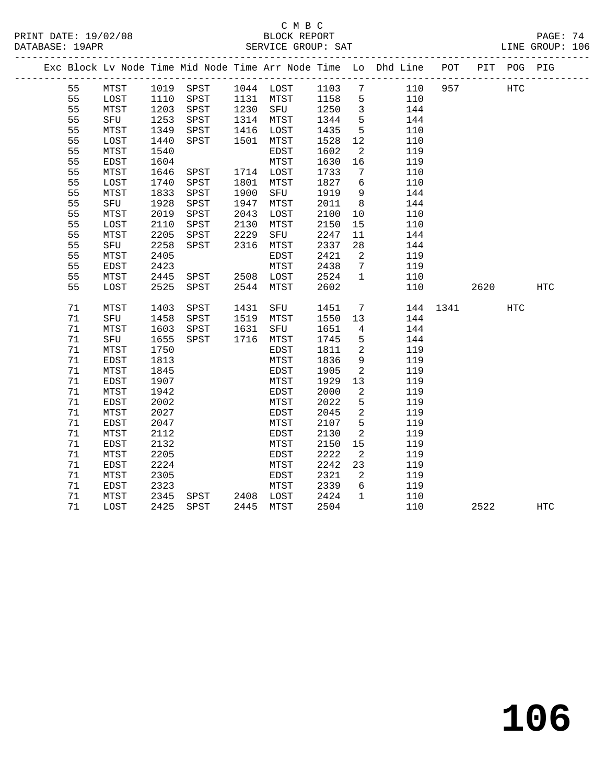|  |          |              |              |                |      |                                 |              |                               | Exc Block Lv Node Time Mid Node Time Arr Node Time Lo Dhd Line POT |          |      | PIT POG PIG |              |
|--|----------|--------------|--------------|----------------|------|---------------------------------|--------------|-------------------------------|--------------------------------------------------------------------|----------|------|-------------|--------------|
|  | 55       | MTST         |              |                |      | 1019 SPST 1044 LOST 1103 7      |              |                               | 110                                                                | 957      |      | HTC         |              |
|  | 55       | LOST         | 1110         |                |      | SPST 1131 MTST 1158             |              | $5^{\circ}$                   | 110                                                                |          |      |             |              |
|  | 55       | MTST         | 1203         | SPST           |      | 1230 SFU 1250<br>1314 MTST 1344 |              | $\overline{\mathbf{3}}$       | 144                                                                |          |      |             |              |
|  | 55       | SFU          | 1253         | SPST           |      |                                 |              | $5\overline{5}$               | 144                                                                |          |      |             |              |
|  | 55       | MTST         | 1349         | SPST           |      | 1416 LOST                       | 1435         | $5^{\circ}$                   | 110                                                                |          |      |             |              |
|  | 55       | LOST         | 1440         | SPST           |      | 1501 MTST                       | 1528         | 12                            | 110                                                                |          |      |             |              |
|  | 55       | MTST         | 1540         |                |      | EDST                            | 1602         | $\overline{2}$                | 119                                                                |          |      |             |              |
|  | 55       | EDST         | 1604         |                |      | MTST                            | 1630         | 16                            | 119                                                                |          |      |             |              |
|  | 55       | MTST         | 1646         | SPST 1714 LOST |      |                                 | 1733         | 7                             | 110                                                                |          |      |             |              |
|  | 55       | LOST         | 1740         | SPST           |      | 1801 MTST                       | 1827         | 6                             | 110                                                                |          |      |             |              |
|  | 55       | MTST         | 1833         | SPST           | 1900 | SFU                             | 1919         | 9                             | 144                                                                |          |      |             |              |
|  | 55       | SFU          | 1928         | SPST           | 1947 | MTST                            | 2011         | 8 <sup>8</sup>                | 144                                                                |          |      |             |              |
|  | 55       | MTST         | 2019         | SPST           | 2043 | LOST                            | 2100         | 10                            | 110                                                                |          |      |             |              |
|  | 55       | LOST         | 2110         | SPST           | 2130 | MTST                            | 2150         | 15                            | 110                                                                |          |      |             |              |
|  | 55       | MTST         | 2205         | SPST           | 2229 | SFU                             | 2247         | 11                            | 144                                                                |          |      |             |              |
|  | 55       | SFU          | 2258         | SPST           | 2316 | MTST                            | 2337         | 28                            | 144                                                                |          |      |             |              |
|  | 55       | MTST         | 2405         |                |      | EDST                            | 2421         | $\overline{2}$                | 119                                                                |          |      |             |              |
|  | 55       | EDST         | 2423         |                |      | MTST                            | 2438         | $7\phantom{0}$                | 119                                                                |          |      |             |              |
|  | 55       | MTST         | 2445         | SPST 2508 LOST |      |                                 | 2524         | $\mathbf{1}$                  | 110                                                                |          |      |             |              |
|  | 55       | LOST         | 2525         | SPST           |      | 2544 MTST                       | 2602         |                               | 110                                                                |          | 2620 |             | HTC          |
|  |          |              |              |                |      |                                 |              |                               |                                                                    |          |      |             |              |
|  | 71       | MTST         | 1403         | SPST           |      | 1431 SFU                        | 1451         | $7\overline{ }$               |                                                                    | 144 1341 |      | HTC         |              |
|  | 71       | SFU          | 1458         | SPST           |      | 1519 MTST                       | 1550         | 13                            | 144                                                                |          |      |             |              |
|  | 71       | MTST         | 1603         | SPST           | 1631 | SFU                             | 1651         | $\overline{4}$                | 144                                                                |          |      |             |              |
|  | 71       | SFU          | 1655         | SPST           |      | 1716 MTST                       | 1745         | 5                             | 144                                                                |          |      |             |              |
|  | 71       | MTST         | 1750         |                |      | EDST                            | 1811         | 2                             | 119                                                                |          |      |             |              |
|  | 71       | EDST         | 1813         |                |      | MTST                            | 1836         | 9                             | 119                                                                |          |      |             |              |
|  | 71       | MTST         | 1845         |                |      | EDST                            | 1905         | $\overline{2}$                | 119                                                                |          |      |             |              |
|  | 71       | EDST         | 1907         |                |      | MTST                            | 1929         | 13                            | 119                                                                |          |      |             |              |
|  | 71       | MTST         | 1942         |                |      | EDST                            | 2000         | $\overline{2}$                | 119                                                                |          |      |             |              |
|  | 71       | EDST         | 2002         |                |      | MTST                            | 2022         | 5                             | 119                                                                |          |      |             |              |
|  | 71       | MTST         | 2027         |                |      | EDST                            | 2045<br>2107 | $\overline{2}$<br>$5^{\circ}$ | 119                                                                |          |      |             |              |
|  | 71<br>71 | EDST         | 2047         |                |      | MTST                            |              |                               | 119                                                                |          |      |             |              |
|  |          | MTST         | 2112         |                |      | EDST                            | 2130         | 2                             | 119                                                                |          |      |             |              |
|  | 71<br>71 | EDST         | 2132         |                |      | MTST                            | 2150         | 15                            | 119                                                                |          |      |             |              |
|  | 71       | MTST         | 2205<br>2224 |                |      | EDST                            | 2222         | $\overline{2}$                | 119                                                                |          |      |             |              |
|  | 71       | EDST<br>MTST | 2305         |                |      | MTST<br>EDST                    | 2242<br>2321 | 23<br>$\overline{2}$          | 119<br>119                                                         |          |      |             |              |
|  | 71       | EDST         | 2323         |                |      | MTST                            | 2339         | 6                             | 119                                                                |          |      |             |              |
|  | 71       |              |              | SPST 2408 LOST |      |                                 | 2424         | $\overline{1}$                |                                                                    |          |      |             |              |
|  | 71       | MTST<br>LOST | 2345         | 2425 SPST      |      | 2445 MTST                       | 2504         |                               | 110<br>110                                                         |          | 2522 |             |              |
|  |          |              |              |                |      |                                 |              |                               |                                                                    |          |      |             | $_{\rm HTC}$ |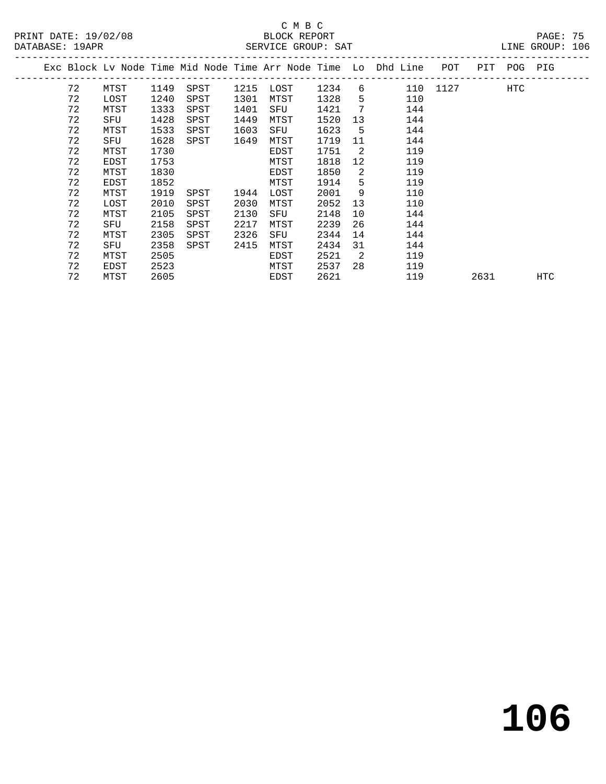|    |      |      |      |      |      |      |    | Exc Block Lv Node Time Mid Node Time Arr Node Time Lo Dhd Line | POT  | PIT  | POG | PIG        |  |
|----|------|------|------|------|------|------|----|----------------------------------------------------------------|------|------|-----|------------|--|
| 72 | MTST | 1149 | SPST | 1215 | LOST | 1234 | 6  | 110                                                            | 1127 |      | HTC |            |  |
| 72 | LOST | 1240 | SPST | 1301 | MTST | 1328 | 5  | 110                                                            |      |      |     |            |  |
| 72 | MTST | 1333 | SPST | 1401 | SFU  | 1421 | 7  | 144                                                            |      |      |     |            |  |
| 72 | SFU  | 1428 | SPST | 1449 | MTST | 1520 | 13 | 144                                                            |      |      |     |            |  |
| 72 | MTST | 1533 | SPST | 1603 | SFU  | 1623 | 5  | 144                                                            |      |      |     |            |  |
| 72 | SFU  | 1628 | SPST | 1649 | MTST | 1719 | 11 | 144                                                            |      |      |     |            |  |
| 72 | MTST | 1730 |      |      | EDST | 1751 | 2  | 119                                                            |      |      |     |            |  |
| 72 | EDST | 1753 |      |      | MTST | 1818 | 12 | 119                                                            |      |      |     |            |  |
| 72 | MTST | 1830 |      |      | EDST | 1850 | 2  | 119                                                            |      |      |     |            |  |
| 72 | EDST | 1852 |      |      | MTST | 1914 | 5  | 119                                                            |      |      |     |            |  |
| 72 | MTST | 1919 | SPST | 1944 | LOST | 2001 | 9  | 110                                                            |      |      |     |            |  |
| 72 | LOST | 2010 | SPST | 2030 | MTST | 2052 | 13 | 110                                                            |      |      |     |            |  |
| 72 | MTST | 2105 | SPST | 2130 | SFU  | 2148 | 10 | 144                                                            |      |      |     |            |  |
| 72 | SFU  | 2158 | SPST | 2217 | MTST | 2239 | 26 | 144                                                            |      |      |     |            |  |
| 72 | MTST | 2305 | SPST | 2326 | SFU  | 2344 | 14 | 144                                                            |      |      |     |            |  |
| 72 | SFU  | 2358 | SPST | 2415 | MTST | 2434 | 31 | 144                                                            |      |      |     |            |  |
| 72 | MTST | 2505 |      |      | EDST | 2521 | 2  | 119                                                            |      |      |     |            |  |
| 72 | EDST | 2523 |      |      | MTST | 2537 | 28 | 119                                                            |      |      |     |            |  |
| 72 | MTST | 2605 |      |      | EDST | 2621 |    | 119                                                            |      | 2631 |     | <b>HTC</b> |  |
|    |      |      |      |      |      |      |    |                                                                |      |      |     |            |  |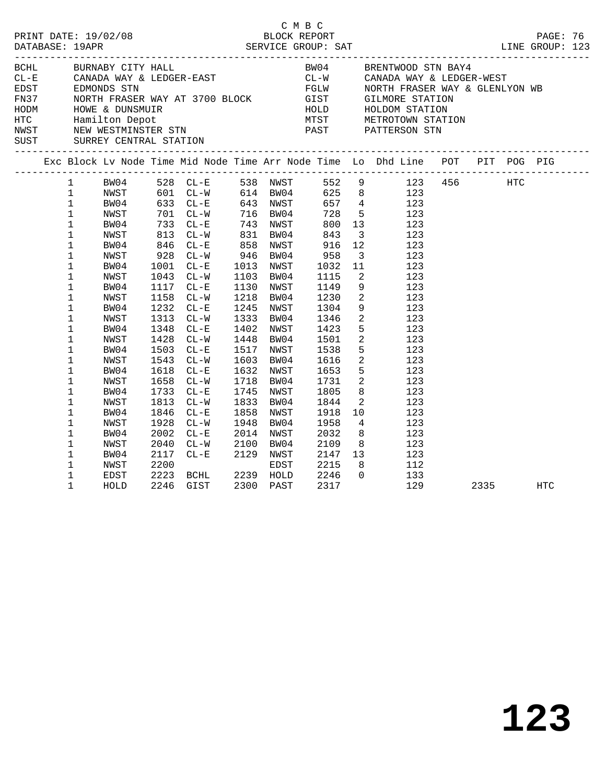|  |                                                                                                                                                               |                                                                                                                      |                                                                              |                                                                                                                                                                         |                                  |                                                                                                                                                          | C M B C |                                                                                                                   |                                                                                                                           |                                                                                                                                                                                                                                                                                                                                                                                                                                                                                     |      | LINE GROUP: 123 |  |
|--|---------------------------------------------------------------------------------------------------------------------------------------------------------------|----------------------------------------------------------------------------------------------------------------------|------------------------------------------------------------------------------|-------------------------------------------------------------------------------------------------------------------------------------------------------------------------|----------------------------------|----------------------------------------------------------------------------------------------------------------------------------------------------------|---------|-------------------------------------------------------------------------------------------------------------------|---------------------------------------------------------------------------------------------------------------------------|-------------------------------------------------------------------------------------------------------------------------------------------------------------------------------------------------------------------------------------------------------------------------------------------------------------------------------------------------------------------------------------------------------------------------------------------------------------------------------------|------|-----------------|--|
|  |                                                                                                                                                               | BCHL BURNABY CITY HALL                                                                                               |                                                                              |                                                                                                                                                                         |                                  |                                                                                                                                                          |         |                                                                                                                   |                                                                                                                           | BW04 BRENTWOOD STN BAY4<br>ECHE BURNABY CITY HALL BOOT BOOT BE CAN BE SENTWOOD STARDA WAY & LEDGER-WEST<br>EDGER EDGER-EAST CL-W CANADA WAY & LEDGER-WEST<br>FN37 NORTH FRASER WAY AT 3700 BLOCK GIST GILMORE STATION<br>HODM HOWE & DUNSMUIR<br>HODM HOWE & DUNS                                                                                                                                                                                                                   |      |                 |  |
|  |                                                                                                                                                               |                                                                                                                      |                                                                              |                                                                                                                                                                         |                                  |                                                                                                                                                          |         |                                                                                                                   |                                                                                                                           | Exc Block Lv Node Time Mid Node Time Arr Node Time Lo Dhd Line POT PIT POG PIG                                                                                                                                                                                                                                                                                                                                                                                                      |      |                 |  |
|  | $\mathbf{1}$<br>$\mathbf 1$<br>$\mathbf{1}$<br>1<br>$\mathbf 1$<br>1<br>$\mathbf 1$<br>$\mathbf 1$<br>1<br>1<br>$\mathbf 1$<br>1<br>$1\,$<br>$\mathbf 1$<br>1 | NWST<br>BW04<br>NWST<br>BW04<br>NWST<br>BW04<br>NWST<br>BW04<br>NWST<br>BW04<br>NWST<br>BW04<br>NWST<br>BW04<br>NWST | 1001<br>1043<br>1158<br>1313<br>1348<br>1543<br>1658                         | 813 CL-W<br>846 CL-E<br>928 CL-W<br>$CL-E$<br>$CL-W$<br>1117 CL-E<br>$CL-W$<br>1232 CL-E<br>$CL-W$<br>$CL-E$<br>1428 CL-W<br>1503 CL-E<br>$CL-W$<br>1618 CL-E<br>$CL-W$ | 831 BW04<br>858 NWST<br>946 BW04 | 1013 NWST<br>1103 BW04<br>1130 NWST<br>1218 BW04<br>1245 NWST<br>1333 BW04<br>1402 NWST<br>1448 BW04<br>1517 NWST<br>1603 BW04<br>1632 NWST<br>1718 BW04 |         | 843<br>916<br>958<br>1032<br>1115<br>1149<br>1230<br>1304<br>1346<br>1423<br>1501<br>1538<br>1616<br>1653<br>1731 | $\overline{\mathbf{3}}$<br>12<br>11<br>$\overline{\mathbf{2}}$<br>9<br>$\overline{\mathbf{2}}$<br>$\overline{\mathbf{c}}$ | 1 BW04 528 CL-E 538 NWST 552 9 123 456 HTC<br>1 NWST 601 CL-W 614 BW04 625 8 123<br>1 BW04 633 CL-E 643 NWST 657 4 123<br>1 NWST 701 CL-W 716 BW04 728 5 123<br>1 BW04 733 CL-E 743 NWST 800 13 123<br>123<br>123<br>$3 \t 123$<br>123<br>123<br>9 123<br>$\frac{2}{2}$ 123<br>123<br>123<br>$\begin{array}{ccc} 5 & \hspace{1.5cm} 123 \\ 2 & \hspace{1.5cm} 123 \end{array}$<br>5 123<br>$\begin{array}{ccc} 2 & \hspace{1.5cm} 123 \\ 5 & \hspace{1.5cm} 123 \end{array}$<br>123 |      |                 |  |
|  | 1<br>1<br>1<br>1<br>$\mathbf 1$<br>1<br>1<br>1<br>$\mathbf 1$<br>1                                                                                            | BW04<br>NWST<br>BW04<br>NWST<br>BW04<br>NWST<br>BW04<br>NWST<br>EDST<br>HOLD                                         | 1733<br>1813<br>1846<br>1928<br>2002<br>2040<br>2117<br>2200<br>2223<br>2246 | $CL - E$<br>$CL-W$<br>$CL-E$<br>$CL - W$<br>$CL - E$<br>$CL - W$<br>$CL-E$ 2129<br>$CL - E$<br>BCHL 2239 HOLD<br>GIST                                                   | 1948<br>2100 BW04                | 1745 NWST<br>1833 BW04<br>1858 NWST<br>BW04<br>2014 NWST<br>2129 NWST<br>EDST<br>2300 PAST                                                               |         | 1805<br>1844<br>1918<br>1958<br>2032<br>2109<br>2147<br>2215<br>2246<br>2317                                      | 10<br>$\Omega$                                                                                                            | $\begin{array}{cc} 8 & 123 \\ 2 & 123 \end{array}$<br>123<br>$\begin{array}{cc} 4 & 123 \\ 8 & 123 \end{array}$<br>8 123<br>$\begin{array}{cc} 13 & \hspace{1.5cm} 123 \\ 8 & \hspace{1.5cm} 112 \end{array}$<br>133<br>129                                                                                                                                                                                                                                                         | 2335 | HTC             |  |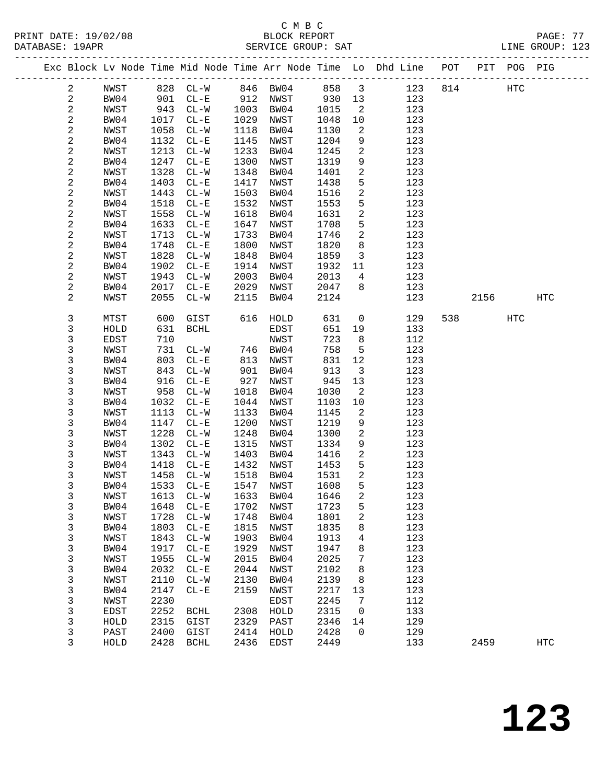|  |                |              |              |                          |              |              |              |                            | Exc Block Lv Node Time Mid Node Time Arr Node Time Lo Dhd Line POT |     |      | PIT POG PIG |                   |
|--|----------------|--------------|--------------|--------------------------|--------------|--------------|--------------|----------------------------|--------------------------------------------------------------------|-----|------|-------------|-------------------|
|  | $\overline{a}$ | NWST         |              |                          |              |              |              |                            |                                                                    |     |      | HTC         |                   |
|  | $\mathbf{2}$   | BW04         |              |                          |              |              |              |                            | 828 CL-W 846 BW04 858 3 123 814<br>901 CL-E 912 NWST 930 13 123    |     |      |             |                   |
|  | 2              | NWST         | 943          | $CL-W$                   | 1003         | BW04         | 1015         | $\overline{\phantom{a}}^2$ | 123                                                                |     |      |             |                   |
|  | $\sqrt{2}$     | BW04         | 1017         | $CL - E$                 | 1029         | NWST         | 1048         | 10                         | 123                                                                |     |      |             |                   |
|  | 2              | NWST         | 1058         | $CL-W$                   | 1118         | BW04         | 1130         | 2                          | 123                                                                |     |      |             |                   |
|  | $\mathbf{2}$   | BW04         | 1132         | $CL - E$                 | 1145         | NWST         | 1204         | 9                          | 123                                                                |     |      |             |                   |
|  | 2              | NWST         | 1213         | $CL-W$                   | 1233         | BW04         | 1245         | $\overline{a}$             | 123                                                                |     |      |             |                   |
|  | 2              | BW04         | 1247         | $CL - E$                 | 1300         | NWST         | 1319         | 9                          | 123                                                                |     |      |             |                   |
|  | 2              | NWST         | 1328         | $CL-W$                   | 1348         | BW04         | 1401         | $\overline{a}$             | 123                                                                |     |      |             |                   |
|  | $\sqrt{2}$     | BW04         | 1403         | $CL-E$                   | 1417         | NWST         | 1438         | 5                          | 123                                                                |     |      |             |                   |
|  | 2              | NWST         | 1443         | $CL-W$                   | 1503         | BW04         | 1516         | $\overline{a}$             | 123                                                                |     |      |             |                   |
|  | 2              | BW04         | 1518         | $CL - E$                 | 1532         | NWST         | 1553         | 5                          | 123                                                                |     |      |             |                   |
|  | 2              | NWST         | 1558         | $CL-W$                   | 1618         | BW04         | 1631         | $\overline{a}$             | 123                                                                |     |      |             |                   |
|  | 2              | BW04         | 1633         | $CL - E$                 | 1647         | NWST         | 1708         | 5                          | 123                                                                |     |      |             |                   |
|  | 2              | NWST         | 1713         | $CL-W$                   | 1733         | BW04         | 1746         | $\overline{a}$             | 123                                                                |     |      |             |                   |
|  | 2              | BW04         | 1748         | $CL - E$                 | 1800         | NWST         | 1820         | 8                          | 123                                                                |     |      |             |                   |
|  | 2              | NWST         | 1828         | $CL-W$                   | 1848         | BW04         | 1859         | $\overline{\mathbf{3}}$    | 123                                                                |     |      |             |                   |
|  | $\sqrt{2}$     | BW04         | 1902         | $CL - E$                 | 1914         | NWST         | 1932         | 11                         | 123                                                                |     |      |             |                   |
|  | 2              | NWST         | 1943         | $CL-W$                   | 2003         | BW04         | 2013         | $\overline{4}$             | 123                                                                |     |      |             |                   |
|  | 2              | BW04         | 2017         | $CL - E$                 | 2029         | NWST         | 2047         | 8                          | 123                                                                |     |      |             |                   |
|  | $\overline{2}$ | NWST         | 2055         | $CL-W$                   | 2115         | BW04         | 2124         |                            | 123                                                                |     | 2156 |             | HTC               |
|  | 3              | MTST         | 600          | GIST                     |              | 616 HOLD     | 631          | $\overline{0}$             | 129                                                                | 538 |      | <b>HTC</b>  |                   |
|  | 3              | HOLD         | 631          | BCHL                     |              | EDST         | 651          | 19                         | 133                                                                |     |      |             |                   |
|  | 3              | EDST         | 710          |                          |              | NWST         | 723          | 8                          | 112                                                                |     |      |             |                   |
|  | 3              | NWST         | 731          | $CL-W$                   | 746          | BW04         | 758          | $5^{\circ}$                | 123                                                                |     |      |             |                   |
|  | 3              | BW04         | 803          | $CL - E$                 | 813          | NWST         | 831          | 12                         | 123                                                                |     |      |             |                   |
|  | 3              | NWST         | 843          | $CL-W$                   | 901          | BW04         | 913          | $\overline{\mathbf{3}}$    | 123                                                                |     |      |             |                   |
|  | 3              | BW04         | 916          | $CL - E$                 | 927          | NWST         | 945          | 13                         | 123                                                                |     |      |             |                   |
|  | 3              | NWST         | 958          | $CL-W$                   | 1018         | BW04         | 1030         | $\overline{a}$             | 123                                                                |     |      |             |                   |
|  | 3              | BW04         | 1032         | $CL - E$                 | 1044         | NWST         | 1103<br>1145 | 10                         | 123<br>123                                                         |     |      |             |                   |
|  | 3<br>3         | NWST<br>BW04 | 1113<br>1147 | $CL-W$<br>$CL - E$       | 1133<br>1200 | BW04<br>NWST | 1219         | 2<br>9                     | 123                                                                |     |      |             |                   |
|  | 3              | <b>NWST</b>  | 1228         | $CL-W$                   | 1248         | BW04         | 1300         | $\overline{a}$             | 123                                                                |     |      |             |                   |
|  | 3              | BW04         | 1302         | $CL - E$                 | 1315         | NWST         | 1334         | 9                          | 123                                                                |     |      |             |                   |
|  | 3              | NWST         | 1343         | $CL-W$                   | 1403         | BW04         | 1416         | $\overline{a}$             | 123                                                                |     |      |             |                   |
|  | 3              | BW04         | 1418         | $CL - E$                 | 1432         | NWST         | 1453         | 5                          | 123                                                                |     |      |             |                   |
|  | 3              | NWST         | 1458         | $CL-W$                   | 1518         | BW04         | 1531         | 2                          | 123                                                                |     |      |             |                   |
|  | 3              | BW04         | 1533         | $CL - E$                 | 1547         | NWST         | 1608         | 5                          | 123                                                                |     |      |             |                   |
|  | 3              | NWST         |              | 1613 CL-W 1633 BW04 1646 |              |              |              | 2 <sup>1</sup>             | 123                                                                |     |      |             |                   |
|  | 3              | BW04         | 1648         | $CL - E$                 | 1702         | NWST         | 1723         | 5                          | 123                                                                |     |      |             |                   |
|  | 3              | NWST         | 1728         | $CL-W$                   | 1748         | BW04         | 1801         | 2                          | 123                                                                |     |      |             |                   |
|  | 3              | BW04         | 1803         | $CL - E$                 | 1815         | NWST         | 1835         | 8                          | 123                                                                |     |      |             |                   |
|  | 3              | NWST         | 1843         | $CL - W$                 | 1903         | BW04         | 1913         | 4                          | 123                                                                |     |      |             |                   |
|  | 3              | BW04         | 1917         | $CL - E$                 | 1929         | NWST         | 1947         | 8                          | 123                                                                |     |      |             |                   |
|  | 3              | NWST         | 1955         | $CL - W$                 | 2015         | BW04         | 2025         | 7                          | 123                                                                |     |      |             |                   |
|  | 3              | BW04         | 2032         | $\rm CL-E$               | 2044         | NWST         | 2102         | 8                          | 123                                                                |     |      |             |                   |
|  | 3              | NWST         | 2110         | $CL - W$                 | 2130         | BW04         | 2139         | 8                          | 123                                                                |     |      |             |                   |
|  | 3              | BW04         | 2147         | $CL - E$                 | 2159         | NWST         | 2217         | 13                         | 123                                                                |     |      |             |                   |
|  | 3              | NWST         | 2230         |                          |              | EDST         | 2245         | 7                          | 112                                                                |     |      |             |                   |
|  | 3              | EDST         | 2252         | <b>BCHL</b>              | 2308         | HOLD         | 2315         | $\mathbf 0$                | 133                                                                |     |      |             |                   |
|  | 3              | HOLD         | 2315         | GIST                     | 2329         | PAST         | 2346         | 14                         | 129                                                                |     |      |             |                   |
|  | 3              | PAST         | 2400         | GIST                     | 2414         | HOLD         | 2428         | $\mathsf{O}$               | 129                                                                |     |      |             |                   |
|  | 3              | HOLD         | 2428         | <b>BCHL</b>              | 2436         | EDST         | 2449         |                            | 133                                                                |     | 2459 |             | $_{\mathrm{HTC}}$ |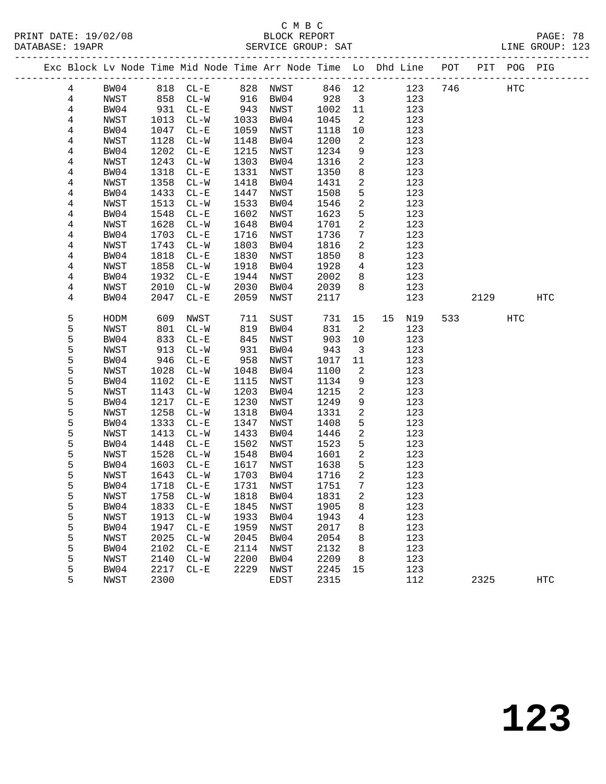PRINT DATE: 19/02/08 BLOCK REPORT BATABASE: 19APR

## C M B C<br>BLOCK REPORT

PAGE: 78<br>LINE GROUP: 123

|  |   |      |      |                          |      |             |        |                         | Exc Block Lv Node Time Mid Node Time Arr Node Time Lo Dhd Line POT<br>_______________________________ |     |      | PIT POG PIG |            |
|--|---|------|------|--------------------------|------|-------------|--------|-------------------------|-------------------------------------------------------------------------------------------------------|-----|------|-------------|------------|
|  | 4 | BW04 | 818  | $CL-E$                   |      | 828 NWST    | 846 12 |                         | 123                                                                                                   | 746 |      | <b>HTC</b>  |            |
|  | 4 | NWST | 858  | $CL-W$                   | 916  | BW04        | 928    | $\overline{\mathbf{3}}$ | 123                                                                                                   |     |      |             |            |
|  | 4 | BW04 | 931  | $CL - E$                 | 943  | NWST        | 1002   | 11                      | 123                                                                                                   |     |      |             |            |
|  | 4 | NWST | 1013 | $CL-W$                   | 1033 | BW04        | 1045   | $\overline{2}$          | 123                                                                                                   |     |      |             |            |
|  | 4 | BW04 | 1047 | $CL - E$                 | 1059 | NWST        | 1118   | 10                      | 123                                                                                                   |     |      |             |            |
|  | 4 | NWST | 1128 | $CL - W$                 | 1148 | BW04        | 1200   | 2                       | 123                                                                                                   |     |      |             |            |
|  | 4 | BW04 | 1202 | $\rm CL-E$               | 1215 | NWST        | 1234   | 9                       | 123                                                                                                   |     |      |             |            |
|  | 4 | NWST | 1243 | $CL-W$                   | 1303 | BW04        | 1316   | $\mathbf{2}$            | 123                                                                                                   |     |      |             |            |
|  | 4 | BW04 | 1318 | $CL-E$                   | 1331 | NWST        | 1350   | 8                       | 123                                                                                                   |     |      |             |            |
|  | 4 | NWST | 1358 | $CL - W$                 | 1418 | BW04        | 1431   | $\overline{a}$          | 123                                                                                                   |     |      |             |            |
|  | 4 | BW04 | 1433 | $CL - E$                 | 1447 | NWST        | 1508   | 5                       | 123                                                                                                   |     |      |             |            |
|  | 4 | NWST | 1513 | $CL - W$                 | 1533 | BW04        | 1546   | 2                       | 123                                                                                                   |     |      |             |            |
|  | 4 | BW04 | 1548 | $CL - E$                 | 1602 | NWST        | 1623   | 5                       | 123                                                                                                   |     |      |             |            |
|  | 4 | NWST | 1628 | $CL - W$                 | 1648 | BW04        | 1701   | 2                       | 123                                                                                                   |     |      |             |            |
|  | 4 | BW04 | 1703 | $CL - E$                 | 1716 | NWST        | 1736   | 7                       | 123                                                                                                   |     |      |             |            |
|  | 4 | NWST | 1743 | $CL - W$                 | 1803 | BW04        | 1816   | 2                       | 123                                                                                                   |     |      |             |            |
|  | 4 | BW04 | 1818 | $CL - E$                 | 1830 | NWST        | 1850   | 8                       | 123                                                                                                   |     |      |             |            |
|  | 4 | NWST | 1858 | $CL - W$                 | 1918 | BW04        | 1928   | 4                       | 123                                                                                                   |     |      |             |            |
|  | 4 | BW04 | 1932 | $CL - E$                 | 1944 | NWST        | 2002   | 8                       | 123                                                                                                   |     |      |             |            |
|  | 4 | NWST | 2010 | $CL-W$                   | 2030 | BW04        | 2039   | 8                       | 123                                                                                                   |     |      |             |            |
|  | 4 | BW04 | 2047 | $CL - E$                 | 2059 | NWST        | 2117   |                         | 123                                                                                                   |     | 2129 |             | HTC        |
|  |   |      |      |                          |      |             |        |                         |                                                                                                       |     |      |             |            |
|  | 5 | HODM | 609  | NWST                     | 711  | SUST        | 731    | 15                      | 15<br>N19                                                                                             | 533 |      | HTC         |            |
|  | 5 | NWST | 801  | $CL-W$                   | 819  | BW04        | 831    | 2                       | 123                                                                                                   |     |      |             |            |
|  | 5 | BW04 | 833  | $CL - E$                 | 845  | NWST        | 903    | 10                      | 123                                                                                                   |     |      |             |            |
|  | 5 | NWST | 913  | $CL-W$                   | 931  | BW04        | 943    | 3                       | 123                                                                                                   |     |      |             |            |
|  | 5 | BW04 | 946  | $CL - E$                 | 958  | NWST        | 1017   | 11                      | 123                                                                                                   |     |      |             |            |
|  | 5 | NWST | 1028 | $CL-W$                   | 1048 | BW04        | 1100   | 2                       | 123                                                                                                   |     |      |             |            |
|  | 5 | BW04 | 1102 | $CL - E$                 | 1115 | NWST        | 1134   | 9                       | 123                                                                                                   |     |      |             |            |
|  | 5 | NWST | 1143 | $CL - W$                 | 1203 | BW04        | 1215   | 2                       | 123                                                                                                   |     |      |             |            |
|  | 5 | BW04 | 1217 | $CL - E$                 | 1230 | NWST        | 1249   | 9                       | 123                                                                                                   |     |      |             |            |
|  | 5 | NWST | 1258 | $CL-W$                   | 1318 | BW04        | 1331   | 2                       | 123                                                                                                   |     |      |             |            |
|  | 5 | BW04 | 1333 | $CL - E$                 | 1347 | NWST        | 1408   | 5                       | 123                                                                                                   |     |      |             |            |
|  | 5 | NWST | 1413 | $CL - W$                 | 1433 | BW04        | 1446   | 2                       | 123                                                                                                   |     |      |             |            |
|  | 5 | BW04 | 1448 | $CL - E$                 | 1502 | NWST        | 1523   | 5                       | 123                                                                                                   |     |      |             |            |
|  | 5 | NWST | 1528 | $CL-W$                   | 1548 | BW04        | 1601   | 2                       | 123                                                                                                   |     |      |             |            |
|  | 5 | BW04 | 1603 | $CL - E$                 | 1617 | NWST        | 1638   | 5                       | 123                                                                                                   |     |      |             |            |
|  | 5 | NWST | 1643 | $CL-W$                   | 1703 | BW04        | 1716   | 2                       | 123                                                                                                   |     |      |             |            |
|  | 5 | BW04 | 1718 | $CL - E$                 | 1731 | NWST        | 1751   | $7\phantom{.0}$         | 123                                                                                                   |     |      |             |            |
|  | 5 | NWST | 1758 | CL-W                     | 1818 | BW04        | 1831   | $\overline{a}$          | 123                                                                                                   |     |      |             |            |
|  | 5 | BW04 | 1833 | $CL - E$                 | 1845 | NWST        | 1905   | 8                       | 123                                                                                                   |     |      |             |            |
|  | 5 | NWST | 1913 | $\mathtt{CL-}\mathtt{W}$ | 1933 | BW04        | 1943   | 4                       | 123                                                                                                   |     |      |             |            |
|  | 5 | BW04 | 1947 | $CL - E$                 | 1959 | <b>NWST</b> | 2017   | 8                       | 123                                                                                                   |     |      |             |            |
|  | 5 | NWST | 2025 | $CL-W$                   | 2045 | BW04        | 2054   | 8                       | 123                                                                                                   |     |      |             |            |
|  | 5 | BW04 | 2102 | $\rm CL-E$               | 2114 | NWST        | 2132   | 8                       | 123                                                                                                   |     |      |             |            |
|  | 5 | NWST | 2140 | $\mathtt{CL-}\mathtt{W}$ | 2200 | BW04        | 2209   | 8                       | 123                                                                                                   |     |      |             |            |
|  | 5 | BW04 | 2217 | $CL - E$                 | 2229 | <b>NWST</b> | 2245   | 15                      | 123                                                                                                   |     |      |             |            |
|  | 5 | NWST | 2300 |                          |      | EDST        | 2315   |                         | 112                                                                                                   |     | 2325 |             | <b>HTC</b> |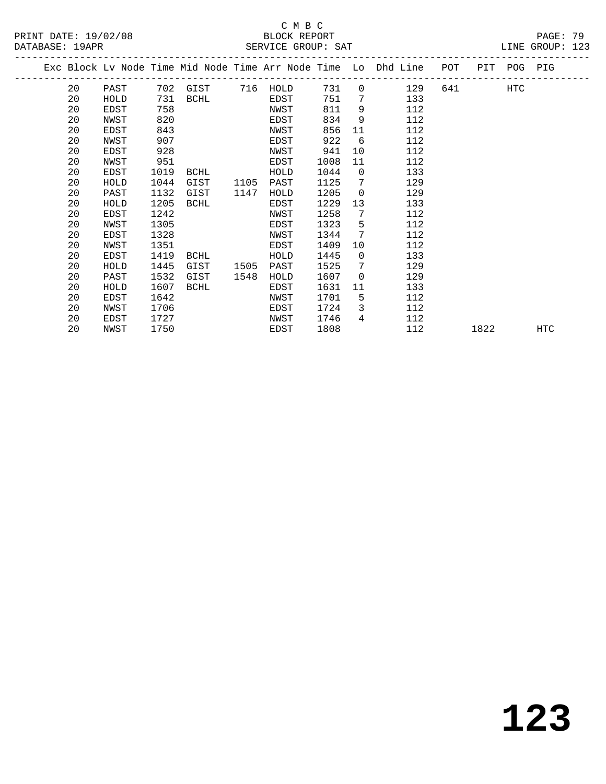# SERVICE GROUP: SAT

|                      | C M B C            |                 |
|----------------------|--------------------|-----------------|
| PRINT DATE: 19/02/08 | BLOCK REPORT       | PAGE: 79        |
| DATABASE: 19APR      | SERVICE GROUP: SAT | LINE GROUP: 123 |

|  |    |             |      |             |      |          |      |                | Exc Block Lv Node Time Mid Node Time Arr Node Time Lo Dhd Line POT |        |      | PIT POG PIG |            |
|--|----|-------------|------|-------------|------|----------|------|----------------|--------------------------------------------------------------------|--------|------|-------------|------------|
|  | 20 | PAST        |      | 702 GIST    |      | 716 HOLD | 731  | $\overline{0}$ | 129                                                                | 641 64 |      | HTC         |            |
|  | 20 | HOLD        | 731  | BCHL        |      | EDST     | 751  | 7              | 133                                                                |        |      |             |            |
|  | 20 | EDST        | 758  |             |      | NWST     | 811  | 9              | 112                                                                |        |      |             |            |
|  | 20 | NWST        | 820  |             |      | EDST     | 834  | 9              | 112                                                                |        |      |             |            |
|  | 20 | EDST        | 843  |             |      | NWST     | 856  | 11             | 112                                                                |        |      |             |            |
|  | 20 | NWST        | 907  |             |      | EDST     | 922  | 6              | 112                                                                |        |      |             |            |
|  | 20 | EDST        | 928  |             |      | NWST     | 941  | 10             | 112                                                                |        |      |             |            |
|  | 20 | NWST        | 951  |             |      | EDST     | 1008 | 11             | 112                                                                |        |      |             |            |
|  | 20 | EDST        | 1019 | <b>BCHL</b> |      | HOLD     | 1044 | $\overline{0}$ | 133                                                                |        |      |             |            |
|  | 20 | HOLD        | 1044 | GIST        | 1105 | PAST     | 1125 | 7              | 129                                                                |        |      |             |            |
|  | 20 | PAST        | 1132 | GIST        | 1147 | HOLD     | 1205 | $\mathbf 0$    | 129                                                                |        |      |             |            |
|  | 20 | HOLD        | 1205 | BCHL        |      | EDST     | 1229 | 13             | 133                                                                |        |      |             |            |
|  | 20 | EDST        | 1242 |             |      | NWST     | 1258 | 7              | 112                                                                |        |      |             |            |
|  | 20 | NWST        | 1305 |             |      | EDST     | 1323 | 5              | 112                                                                |        |      |             |            |
|  | 20 | <b>EDST</b> | 1328 |             |      | NWST     | 1344 | 7              | 112                                                                |        |      |             |            |
|  | 20 | NWST        | 1351 |             |      | EDST     | 1409 | 10             | 112                                                                |        |      |             |            |
|  | 20 | EDST        | 1419 | BCHL        |      | HOLD     | 1445 | $\overline{0}$ | 133                                                                |        |      |             |            |
|  | 20 | HOLD        | 1445 | GIST        | 1505 | PAST     | 1525 | 7              | 129                                                                |        |      |             |            |
|  | 20 | PAST        | 1532 | GIST        | 1548 | HOLD     | 1607 | $\overline{0}$ | 129                                                                |        |      |             |            |
|  | 20 | HOLD        | 1607 | BCHL        |      | EDST     | 1631 | 11             | 133                                                                |        |      |             |            |
|  | 20 | EDST        | 1642 |             |      | NWST     | 1701 | 5              | 112                                                                |        |      |             |            |
|  | 20 | NWST        | 1706 |             |      | EDST     | 1724 | 3              | 112                                                                |        |      |             |            |
|  | 20 | EDST        | 1727 |             |      | NWST     | 1746 | 4              | 112                                                                |        |      |             |            |
|  | 20 | NWST        | 1750 |             |      | EDST     | 1808 |                | 112                                                                |        | 1822 |             | <b>HTC</b> |
|  |    |             |      |             |      |          |      |                |                                                                    |        |      |             |            |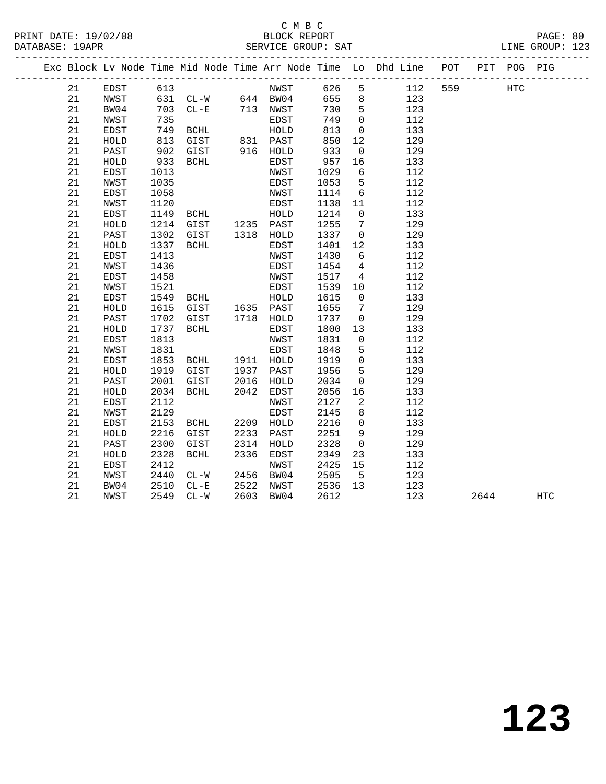| PRINT DATE: 19/02/08<br>DATABASE: 19APR |    |             |      |                 |      | C M B C     |      |                 | --<br>-----------------------------                                |     |     |            | PAGE: 80<br>LINE GROUP: 123 |  |
|-----------------------------------------|----|-------------|------|-----------------|------|-------------|------|-----------------|--------------------------------------------------------------------|-----|-----|------------|-----------------------------|--|
|                                         |    |             |      |                 |      |             |      |                 | Exc Block Lv Node Time Mid Node Time Arr Node Time Lo Dhd Line POT |     | PIT | POG PIG    |                             |  |
|                                         | 21 | <b>EDST</b> | 613  |                 |      | NWST        | 626  | 5               | 112                                                                | 559 |     | <b>HTC</b> |                             |  |
|                                         | 21 | NWST        | 631  | $CL-W$ 644 BW04 |      |             | 655  | 8 <sup>8</sup>  | 123                                                                |     |     |            |                             |  |
|                                         | 21 | BW04        | 703  | $CL-E$          |      | 713 NWST    | 730  | $5^{\circ}$     | 123                                                                |     |     |            |                             |  |
|                                         | 21 | NWST        | 735  |                 |      | EDST        | 749  | $\overline{0}$  | 112                                                                |     |     |            |                             |  |
|                                         | 21 | EDST        | 749  | BCHL            |      | HOLD        | 813  | $\mathbf 0$     | 133                                                                |     |     |            |                             |  |
|                                         | 21 | HOLD        | 813  | GIST            |      | 831 PAST    | 850  | 12              | 129                                                                |     |     |            |                             |  |
|                                         | 21 | PAST        | 902  | GIST            |      | 916 HOLD    | 933  | 0               | 129                                                                |     |     |            |                             |  |
|                                         | 21 | HOLD        | 933  | BCHL            |      | EDST        | 957  | 16              | 133                                                                |     |     |            |                             |  |
|                                         | 21 | EDST        | 1013 |                 |      | NWST        | 1029 | 6               | 112                                                                |     |     |            |                             |  |
|                                         | 21 | NWST        | 1035 |                 |      | EDST        | 1053 | 5               | 112                                                                |     |     |            |                             |  |
|                                         | 21 | EDST        | 1058 |                 |      | NWST        | 1114 | 6               | 112                                                                |     |     |            |                             |  |
|                                         | 21 | NWST        | 1120 |                 |      | EDST        | 1138 | 11              | 112                                                                |     |     |            |                             |  |
|                                         | 21 | EDST        | 1149 | BCHL            |      | HOLD        | 1214 | $\mathbf{0}$    | 133                                                                |     |     |            |                             |  |
|                                         | 21 | HOLD        | 1214 | GIST            |      | 1235 PAST   | 1255 | 7               | 129                                                                |     |     |            |                             |  |
|                                         | 21 | PAST        | 1302 | GIST            |      | 1318 HOLD   | 1337 | $\overline{0}$  | 129                                                                |     |     |            |                             |  |
|                                         | 21 | HOLD        | 1337 | BCHL            |      | EDST        | 1401 | 12              | 133                                                                |     |     |            |                             |  |
|                                         | 21 | EDST        | 1413 |                 |      | NWST        | 1430 | 6               | 112                                                                |     |     |            |                             |  |
|                                         | 21 | NWST        | 1436 |                 |      | EDST        | 1454 | $\overline{4}$  | 112                                                                |     |     |            |                             |  |
|                                         | 21 | EDST        | 1458 |                 |      | NWST        | 1517 | 4               | 112                                                                |     |     |            |                             |  |
|                                         | 21 | NWST        | 1521 |                 |      | <b>EDST</b> | 1539 | 10              | 112                                                                |     |     |            |                             |  |
|                                         | 21 | EDST        | 1549 | BCHL            |      | HOLD        | 1615 | $\mathbf{0}$    | 133                                                                |     |     |            |                             |  |
|                                         | 21 | HOLD        | 1615 | GIST            |      | 1635 PAST   | 1655 | $7\phantom{.0}$ | 129                                                                |     |     |            |                             |  |
|                                         | 21 | PAST        | 1702 | GIST            | 1718 | HOLD        | 1737 | 0               | 129                                                                |     |     |            |                             |  |
|                                         | 21 | HOLD        | 1737 | BCHL            |      | EDST        | 1800 | 13              | 133                                                                |     |     |            |                             |  |
|                                         | 21 | EDST        | 1813 |                 |      | NWST        | 1831 | 0               | 112                                                                |     |     |            |                             |  |
|                                         | 21 | NWST        | 1831 |                 |      | EDST        | 1848 | 5               | 112                                                                |     |     |            |                             |  |
|                                         | 21 | EDST        | 1853 | BCHL            |      | 1911 HOLD   | 1919 | 0               | 133                                                                |     |     |            |                             |  |
|                                         | 21 | HOLD        | 1919 | GIST            | 1937 | PAST        | 1956 | 5               | 129                                                                |     |     |            |                             |  |
|                                         | 21 | PAST        | 2001 | GIST            | 2016 | HOLD        | 2034 | 0               | 129                                                                |     |     |            |                             |  |
|                                         | 21 | HOLD        | 2034 | BCHL            | 2042 | EDST        | 2056 | 16              | 133                                                                |     |     |            |                             |  |
|                                         | 21 | EDST        | 2112 |                 |      | NWST        | 2127 | 2               | 112                                                                |     |     |            |                             |  |
|                                         | 21 | NWST        | 2129 |                 |      | EDST        | 2145 | 8               | 112                                                                |     |     |            |                             |  |
|                                         | 21 | EDST        | 2153 | BCHL            | 2209 | HOLD        | 2216 | $\mathbf 0$     | 133                                                                |     |     |            |                             |  |
|                                         | 21 | HOLD        | 2216 | GIST            | 2233 | PAST        | 2251 | 9               | 129                                                                |     |     |            |                             |  |
|                                         | 21 | PAST        | 2300 | GIST            | 2314 | HOLD        | 2328 | $\overline{0}$  | 129                                                                |     |     |            |                             |  |
|                                         | 21 | HOLD        | 2328 | BCHL            | 2336 | EDST        | 2349 | 23              | 133                                                                |     |     |            |                             |  |
|                                         | 21 | EDST        | 2412 |                 |      | NWST        | 2425 | 15              | 112                                                                |     |     |            |                             |  |
|                                         | 21 | NWST        | 2440 | $CL-W$          | 2456 | BW04        | 2505 | - 5             | 123                                                                |     |     |            |                             |  |
|                                         | 21 | BW04        | 2510 | $CL - E$        |      | 2522 NWST   | 2536 | 13              | 123                                                                |     |     |            |                             |  |

21 NWST 2549 CL-W 2603 BW04 2612 123 2644 HTC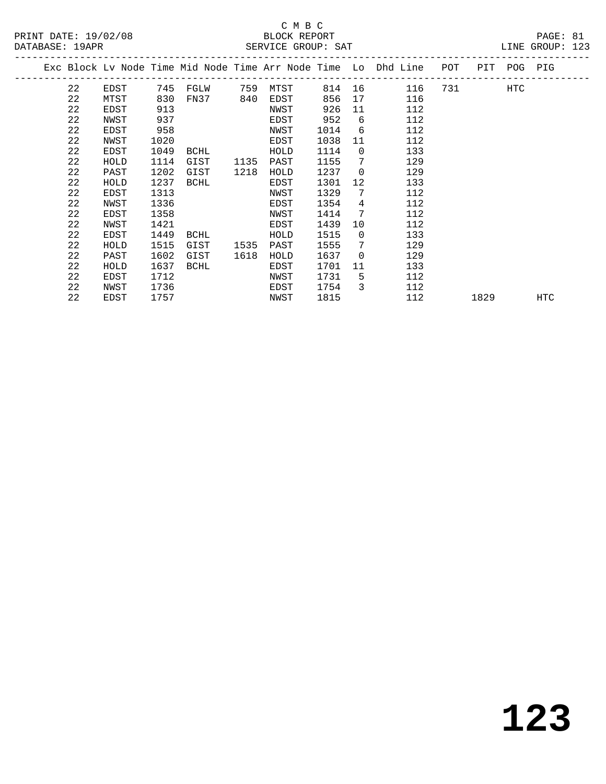#### C M B C<br>BLOCK REPORT DATABASE: 19APR SERVICE GROUP: SAT LINE GROUP: 123

|  |    |      |     |          |     |      |        |     | Exc Block Ly Node Time Mid Node Time Arr Node Time Lo Dhd Line | POT | PIT | POG PIG |  |
|--|----|------|-----|----------|-----|------|--------|-----|----------------------------------------------------------------|-----|-----|---------|--|
|  | 22 | EDST |     | 745 FGLW | 759 | MTST | 814 16 |     | 116                                                            | 731 |     | HTC     |  |
|  | 22 | MTST | 830 | FN37     | 840 | EDST | 856 17 |     | 116                                                            |     |     |         |  |
|  | 22 | EDST | 913 |          |     | NWST | 926 11 |     | 112                                                            |     |     |         |  |
|  | 22 | NWST | 937 |          |     | EDST | 952    | - 6 | 112                                                            |     |     |         |  |
|  | 22 | EDST | 958 |          |     | NWST | 1014   | 6   | 112                                                            |     |     |         |  |
|  |    |      |     |          |     |      |        |     |                                                                |     |     |         |  |

 22 NWST 1020 EDST 1038 11 112 22 EDST 1049 BCHL HOLD 1114 0 133 22 HOLD 1114 GIST 1135 PAST 1155 7 129 22 PAST 1202 GIST 1218 HOLD 1237 0 129 22 HOLD 1237 BCHL EDST 1301 12 133 22 EDST 1313 NWST 1329 7 112 22 NWST 1336 EDST 1354 4 112 22 EDST 1358 NWST 1414 7 112 22 NWST 1421 EDST 1439 10 112 22 EDST 1449 BCHL HOLD 1515 0 133 22 HOLD 1515 GIST 1535 PAST 1555 7 129 22 PAST 1602 GIST 1618 HOLD 1637 0 129 22 HOLD 1637 BCHL EDST 1701 11 133 22 EDST 1712 NWST 1731 5 112 22 NWST 1736 EDST 1754 3 112

**123**

22 EDST 1757 NWST 1815 112 1829 HTC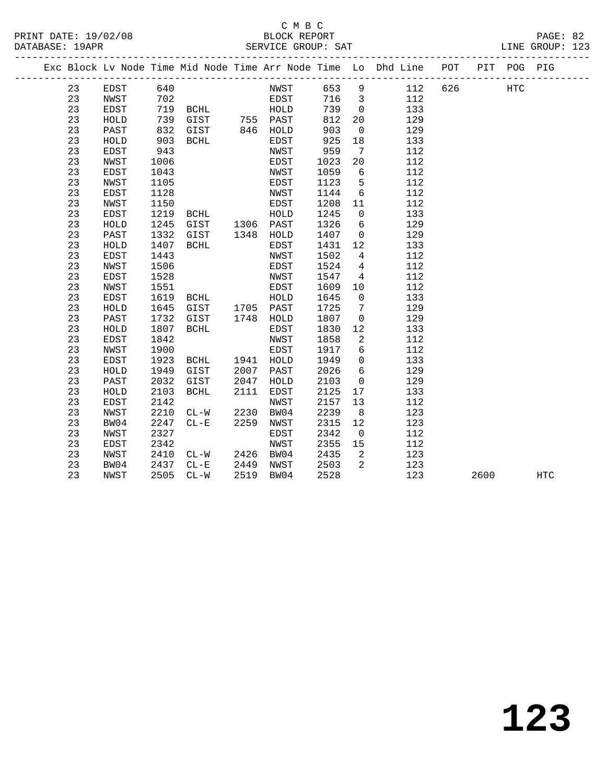| PRINT DATE: 19/02/08<br>DATABASE: 19APR |    |             |      |                   |      | C M B C<br>BLOCK REPORT |      |                 | SERVICE GROUP: SAT                                                             |         | PAGE: 82<br>LINE GROUP: 123 |  |
|-----------------------------------------|----|-------------|------|-------------------|------|-------------------------|------|-----------------|--------------------------------------------------------------------------------|---------|-----------------------------|--|
|                                         |    |             |      |                   |      |                         |      |                 | Exc Block Lv Node Time Mid Node Time Arr Node Time Lo Dhd Line POT PIT POG PIG |         |                             |  |
|                                         | 23 | EDST 640    |      |                   |      | NWST 653 9              |      |                 | 112                                                                            | 626 HTC |                             |  |
|                                         | 23 | NWST        | 702  |                   |      | EDST                    |      |                 | 716 3<br>112                                                                   |         |                             |  |
|                                         | 23 | EDST        |      |                   |      | 719 BCHL HOLD           | 739  |                 | $\overline{0}$<br>133                                                          |         |                             |  |
|                                         | 23 | HOLD        |      | 739 GIST 755 PAST |      |                         | 812  |                 | 20<br>129                                                                      |         |                             |  |
|                                         | 23 | PAST        |      | 832 GIST 846 HOLD |      |                         | 903  | $\overline{0}$  | 129                                                                            |         |                             |  |
|                                         | 23 | HOLD        | 903  | <b>BCHL</b>       |      | EDST                    | 925  | 18              | 133                                                                            |         |                             |  |
|                                         | 23 | EDST        | 943  |                   |      | NWST                    | 959  | $\overline{7}$  | 112                                                                            |         |                             |  |
|                                         | 23 | NWST        | 1006 |                   |      | EDST                    | 1023 | 20              | 112                                                                            |         |                             |  |
|                                         | 23 | EDST        | 1043 |                   |      | NWST                    | 1059 | 6               | 112                                                                            |         |                             |  |
|                                         | 23 | NWST        | 1105 |                   |      | EDST                    | 1123 | 5               | 112                                                                            |         |                             |  |
|                                         | 23 | EDST        | 1128 |                   |      | NWST                    | 1144 |                 | 112<br>$6\overline{}$                                                          |         |                             |  |
|                                         | 23 | NWST        | 1150 |                   |      | EDST                    | 1208 | 11              | 112                                                                            |         |                             |  |
|                                         | 23 | EDST        | 1219 | <b>BCHL</b>       |      | HOLD                    | 1245 |                 | 133<br>$\Omega$                                                                |         |                             |  |
|                                         | 23 | HOLD        | 1245 | GIST 1306 PAST    |      |                         | 1326 | $6\overline{6}$ | 129                                                                            |         |                             |  |
|                                         | 23 | PAST        | 1332 | GIST              |      | 1348 HOLD               | 1407 | $\overline{0}$  | 129                                                                            |         |                             |  |
|                                         | 23 | HOLD        | 1407 | BCHL              |      | EDST                    | 1431 | 12              | 133                                                                            |         |                             |  |
|                                         | 23 | EDST        | 1443 |                   |      | NWST                    | 1502 | $\overline{4}$  | 112                                                                            |         |                             |  |
|                                         | 23 | NWST        | 1506 |                   |      | EDST                    | 1524 | $\overline{4}$  | 112                                                                            |         |                             |  |
|                                         | 23 | EDST        | 1528 |                   |      | NWST                    | 1547 | $\overline{4}$  | 112                                                                            |         |                             |  |
|                                         | 23 | NWST        | 1551 |                   |      | EDST                    | 1609 | $10 \,$         | 112                                                                            |         |                             |  |
|                                         | 23 | EDST        | 1619 | BCHL              |      | HOLD                    | 1645 | $\overline{0}$  | 133                                                                            |         |                             |  |
|                                         | 23 | HOLD        | 1645 | GIST              |      | 1705 PAST               | 1725 | 7               | 129                                                                            |         |                             |  |
|                                         | 23 | PAST        | 1732 | GIST              |      | 1748 HOLD               | 1807 | $\overline{0}$  | 129                                                                            |         |                             |  |
|                                         | 23 | HOLD        | 1807 | BCHL              |      | EDST                    | 1830 | 12 <sup>°</sup> | 133                                                                            |         |                             |  |
|                                         | 23 | <b>EDST</b> | 1842 |                   |      | NWST                    | 1858 | 2               | 112                                                                            |         |                             |  |
|                                         | 23 | NWST        | 1900 |                   |      | EDST                    | 1917 | 6               | 112                                                                            |         |                             |  |
|                                         | 23 | EDST        | 1923 | BCHL              |      | 1941 HOLD               | 1949 | $\Omega$        | 133                                                                            |         |                             |  |
|                                         | 23 | HOLD        | 1949 | GIST              | 2007 | PAST                    | 2026 | 6               | 129                                                                            |         |                             |  |
|                                         | 23 | PAST        | 2032 | GIST              | 2047 | HOLD                    | 2103 | $\overline{0}$  | 129                                                                            |         |                             |  |
|                                         | 23 | HOLD        | 2103 | BCHL              | 2111 | EDST                    | 2125 | 17              | 133                                                                            |         |                             |  |

 23 EDST 2142 NWST 2157 13 112 23 NWST 2210 CL-W 2230 BW04 2239 8 123 23 BW04 2247 CL-E 2259 NWST 2315 12 123

23 NWST 2410 CL-W 2426 BW04 2435 2 123

23 NWST 2505 CL-W 2519 BW04 2528 123 2600 HTC

 23 NWST 2327 EDST 2342 0 112 23 EDST 2342 NWST 2355 15 112

23 BW04 2437 CL-E 2449 NWST 2503 2 123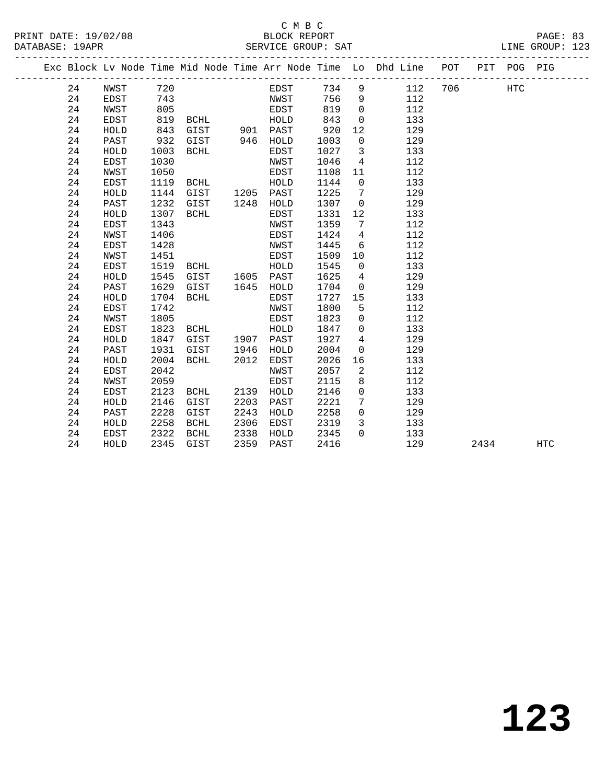|  |    |             |      |                       |      |           |      |                         | Exc Block Lv Node Time Mid Node Time Arr Node Time Lo Dhd Line POT |     |      | PIT POG PIG |            |
|--|----|-------------|------|-----------------------|------|-----------|------|-------------------------|--------------------------------------------------------------------|-----|------|-------------|------------|
|  | 24 | NWST        | 720  |                       |      | EDST      | 734  | 9                       | 112                                                                | 706 |      | HTC         |            |
|  | 24 | EDST        | 743  |                       |      | NWST      | 756  | 9                       | 112                                                                |     |      |             |            |
|  | 24 | NWST        | 805  |                       |      | EDST      | 819  | $\overline{0}$          | 112                                                                |     |      |             |            |
|  | 24 | EDST        | 819  | BCHL                  |      | HOLD      | 843  | $\mathbf 0$             | 133                                                                |     |      |             |            |
|  | 24 | HOLD        | 843  | GIST 901 PAST         |      |           | 920  | 12                      | 129                                                                |     |      |             |            |
|  | 24 | PAST        | 932  | GIST                  |      | 946 HOLD  | 1003 | $\overline{0}$          | 129                                                                |     |      |             |            |
|  | 24 | HOLD        | 1003 | BCHL                  |      | EDST      | 1027 | $\overline{\mathbf{3}}$ | 133                                                                |     |      |             |            |
|  | 24 | EDST        | 1030 |                       |      | NWST      | 1046 | $4\overline{4}$         | 112                                                                |     |      |             |            |
|  | 24 | NWST        | 1050 |                       |      | EDST      | 1108 | 11                      | 112                                                                |     |      |             |            |
|  | 24 | EDST        | 1119 | BCHL                  |      | HOLD      | 1144 | $\overline{0}$          | 133                                                                |     |      |             |            |
|  | 24 | HOLD        | 1144 | GIST                  | 1205 | PAST      | 1225 | $\overline{7}$          | 129                                                                |     |      |             |            |
|  | 24 | PAST        | 1232 | GIST                  | 1248 | HOLD      | 1307 | $\overline{0}$          | 129                                                                |     |      |             |            |
|  | 24 | HOLD        | 1307 | BCHL                  |      | EDST      | 1331 | 12                      | 133                                                                |     |      |             |            |
|  | 24 | EDST        | 1343 |                       |      | NWST      | 1359 | 7                       | 112                                                                |     |      |             |            |
|  | 24 | NWST        | 1406 |                       |      | EDST      | 1424 | $\overline{4}$          | 112                                                                |     |      |             |            |
|  | 24 | <b>EDST</b> | 1428 |                       |      | NWST      | 1445 | 6                       | 112                                                                |     |      |             |            |
|  | 24 | NWST        | 1451 |                       |      | EDST      | 1509 | 10                      | 112                                                                |     |      |             |            |
|  | 24 | EDST        | 1519 | BCHL                  |      | HOLD      | 1545 | $\mathsf{O}$            | 133                                                                |     |      |             |            |
|  | 24 | HOLD        | 1545 | GIST                  |      | 1605 PAST | 1625 | $\overline{4}$          | 129                                                                |     |      |             |            |
|  | 24 | PAST        | 1629 | GIST                  |      | 1645 HOLD | 1704 | $\overline{0}$          | 129                                                                |     |      |             |            |
|  | 24 | HOLD        | 1704 | BCHL                  |      | EDST      | 1727 | 15                      | 133                                                                |     |      |             |            |
|  | 24 | EDST        | 1742 |                       |      | NWST      | 1800 | 5                       | 112                                                                |     |      |             |            |
|  | 24 | NWST        | 1805 |                       |      | EDST      | 1823 | $\mathsf{O}$            | 112                                                                |     |      |             |            |
|  | 24 | EDST        | 1823 | BCHL                  |      | HOLD      | 1847 | $\overline{0}$          | 133                                                                |     |      |             |            |
|  | 24 | HOLD        | 1847 | GIST                  |      | 1907 PAST | 1927 | $4\overline{ }$         | 129                                                                |     |      |             |            |
|  | 24 | PAST        | 1931 | GIST                  | 1946 | HOLD      | 2004 | $\overline{0}$          | 129                                                                |     |      |             |            |
|  | 24 | HOLD        | 2004 | BCHL                  | 2012 | EDST      | 2026 | 16                      | 133                                                                |     |      |             |            |
|  | 24 | EDST        | 2042 |                       |      | NWST      | 2057 | 2                       | 112                                                                |     |      |             |            |
|  | 24 | NWST        | 2059 |                       |      | EDST      | 2115 | 8                       | 112                                                                |     |      |             |            |
|  | 24 | EDST        | 2123 | BCHL                  | 2139 | HOLD      | 2146 | $\mathsf{O}$            | 133                                                                |     |      |             |            |
|  | 24 | HOLD        | 2146 | GIST                  | 2203 | PAST      | 2221 | 7                       | 129                                                                |     |      |             |            |
|  | 24 | PAST        | 2228 | GIST                  | 2243 | HOLD      | 2258 | $\mathbf 0$             | 129                                                                |     |      |             |            |
|  | 24 | HOLD        | 2258 | <b>BCHL</b>           | 2306 | EDST      | 2319 | 3                       | 133                                                                |     |      |             |            |
|  | 24 | EDST        | 2322 | $\operatorname{BCHL}$ | 2338 | HOLD      | 2345 | $\Omega$                | 133                                                                |     |      |             |            |
|  | 24 | HOLD        | 2345 | GIST                  | 2359 | PAST      | 2416 |                         | 129                                                                |     | 2434 |             | <b>HTC</b> |
|  |    |             |      |                       |      |           |      |                         |                                                                    |     |      |             |            |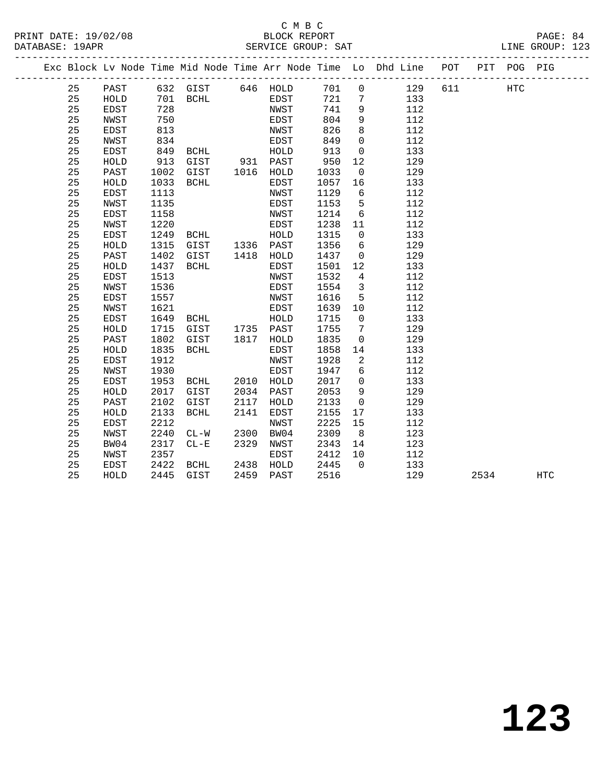|  |    |             |      |             |      |           |      |                 | Exc Block Lv Node Time Mid Node Time Arr Node Time Lo Dhd Line POT PIT POG PIG |     |      |     |            |
|--|----|-------------|------|-------------|------|-----------|------|-----------------|--------------------------------------------------------------------------------|-----|------|-----|------------|
|  | 25 | PAST        |      | 632 GIST    |      | 646 HOLD  | 701  | $\overline{0}$  | 129                                                                            | 611 |      | HTC |            |
|  | 25 | HOLD        | 701  | BCHL        |      | EDST      | 721  | 7               | 133                                                                            |     |      |     |            |
|  | 25 | EDST        | 728  |             |      | NWST      | 741  | 9               | 112                                                                            |     |      |     |            |
|  | 25 | NWST        | 750  |             |      | EDST      | 804  | 9               | 112                                                                            |     |      |     |            |
|  | 25 | EDST        | 813  |             |      | NWST      | 826  | 8               | 112                                                                            |     |      |     |            |
|  | 25 | NWST        | 834  |             |      | EDST      | 849  | $\mathbf 0$     | 112                                                                            |     |      |     |            |
|  | 25 | <b>EDST</b> | 849  | BCHL        |      | HOLD      | 913  | $\mathbf 0$     | 133                                                                            |     |      |     |            |
|  | 25 | HOLD        | 913  | GIST        |      | 931 PAST  | 950  | $12$            | 129                                                                            |     |      |     |            |
|  | 25 | PAST        | 1002 | GIST        |      | 1016 HOLD | 1033 | $\mathsf 0$     | 129                                                                            |     |      |     |            |
|  | 25 | HOLD        | 1033 | BCHL        |      | EDST      | 1057 | 16              | 133                                                                            |     |      |     |            |
|  | 25 | EDST        | 1113 |             |      | NWST      | 1129 | 6               | 112                                                                            |     |      |     |            |
|  | 25 | NWST        | 1135 |             |      | EDST      | 1153 | 5               | 112                                                                            |     |      |     |            |
|  | 25 | EDST        | 1158 |             |      | NWST      | 1214 | 6               | 112                                                                            |     |      |     |            |
|  | 25 | NWST        | 1220 |             |      | EDST      | 1238 | 11              | 112                                                                            |     |      |     |            |
|  | 25 | EDST        | 1249 | BCHL        |      | HOLD      | 1315 | $\mathbf 0$     | 133                                                                            |     |      |     |            |
|  | 25 | HOLD        | 1315 | GIST        |      | 1336 PAST | 1356 | $6\overline{6}$ | 129                                                                            |     |      |     |            |
|  | 25 | PAST        | 1402 | GIST        |      | 1418 HOLD | 1437 | $\mathsf{O}$    | 129                                                                            |     |      |     |            |
|  | 25 | HOLD        | 1437 | BCHL        |      | EDST      | 1501 | 12              | 133                                                                            |     |      |     |            |
|  | 25 | <b>EDST</b> | 1513 |             |      | NWST      | 1532 | 4               | 112                                                                            |     |      |     |            |
|  | 25 | NWST        | 1536 |             |      | EDST      | 1554 | $\overline{3}$  | 112                                                                            |     |      |     |            |
|  | 25 | <b>EDST</b> | 1557 |             |      | NWST      | 1616 | 5               | 112                                                                            |     |      |     |            |
|  | 25 | NWST        | 1621 |             |      | EDST      | 1639 | 10              | 112                                                                            |     |      |     |            |
|  | 25 | EDST        | 1649 | BCHL        |      | HOLD      | 1715 | $\overline{0}$  | 133                                                                            |     |      |     |            |
|  | 25 | HOLD        | 1715 | GIST        |      | 1735 PAST | 1755 | $7\phantom{.0}$ | 129                                                                            |     |      |     |            |
|  | 25 | PAST        | 1802 | GIST        | 1817 | HOLD      | 1835 | $\mathsf{O}$    | 129                                                                            |     |      |     |            |
|  | 25 | HOLD        | 1835 | BCHL        |      | EDST      | 1858 | 14              | 133                                                                            |     |      |     |            |
|  | 25 | <b>EDST</b> | 1912 |             |      | NWST      | 1928 | 2               | 112                                                                            |     |      |     |            |
|  | 25 | NWST        | 1930 |             |      | EDST      | 1947 | 6               | 112                                                                            |     |      |     |            |
|  | 25 | <b>EDST</b> | 1953 | BCHL        | 2010 | HOLD      | 2017 | $\mathbf{0}$    | 133                                                                            |     |      |     |            |
|  | 25 | HOLD        | 2017 | GIST        | 2034 | PAST      | 2053 | 9               | 129                                                                            |     |      |     |            |
|  | 25 | PAST        | 2102 | GIST        | 2117 | HOLD      | 2133 | $\mathsf 0$     | 129                                                                            |     |      |     |            |
|  | 25 | HOLD        | 2133 | <b>BCHL</b> | 2141 | EDST      | 2155 | 17              | 133                                                                            |     |      |     |            |
|  | 25 | EDST        | 2212 |             |      | NWST      | 2225 | 15              | 112                                                                            |     |      |     |            |
|  | 25 | NWST        | 2240 | $CL-W$      | 2300 | BW04      | 2309 | 8               | 123                                                                            |     |      |     |            |
|  | 25 | BW04        | 2317 | $CL - E$    | 2329 | NWST      | 2343 | 14              | 123                                                                            |     |      |     |            |
|  | 25 | NWST        | 2357 |             |      | EDST      | 2412 | 10              | 112                                                                            |     |      |     |            |
|  | 25 | EDST        | 2422 | BCHL        | 2438 | HOLD      | 2445 | $\Omega$        | 133                                                                            |     |      |     |            |
|  | 25 | HOLD        | 2445 | GIST        | 2459 | PAST      | 2516 |                 | 129                                                                            |     | 2534 |     | <b>HTC</b> |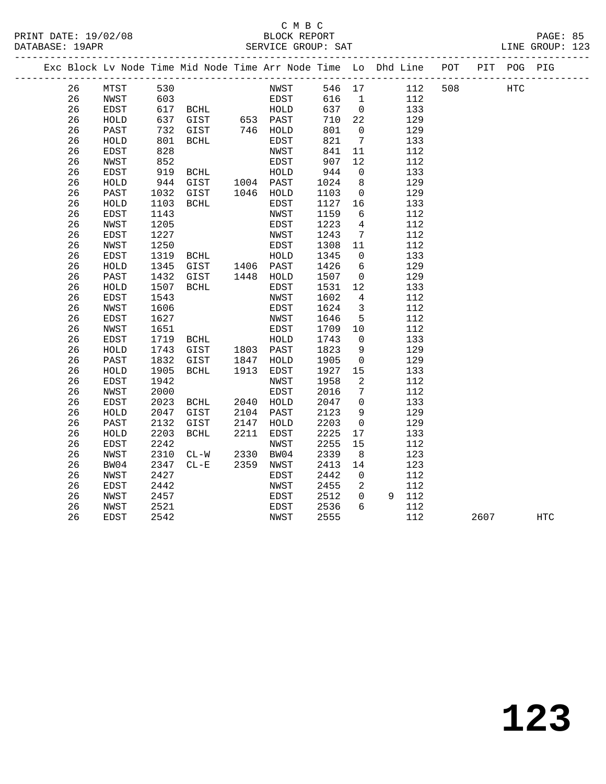|  |          |              |              | Exc Block Lv Node Time Mid Node Time Arr Node Time Lo Dhd Line POT |              |              |              |                                  |            |     |      | PIT POG PIG |                   |
|--|----------|--------------|--------------|--------------------------------------------------------------------|--------------|--------------|--------------|----------------------------------|------------|-----|------|-------------|-------------------|
|  | 26       | MTST         | 530          |                                                                    |              | NWST         |              | 546 17                           | 112        | 508 |      | HTC         |                   |
|  | 26       | NWST         | 603          |                                                                    |              | EDST         | 616 1        |                                  | 112        |     |      |             |                   |
|  | 26       | EDST         |              |                                                                    |              |              | 637 0        |                                  | 133        |     |      |             |                   |
|  | 26       | HOLD         |              |                                                                    |              |              | 710          | 22                               | 129        |     |      |             |                   |
|  | 26       | PAST         | 732          | GIST                                                               |              | 746 HOLD     | 801          | $\overline{0}$                   | 129        |     |      |             |                   |
|  | 26       | HOLD         | 801          | BCHL                                                               |              | EDST         | 821          | $\overline{7}$                   | 133        |     |      |             |                   |
|  | 26       | EDST         | 828          |                                                                    |              | NWST         | 841          | 11                               | 112        |     |      |             |                   |
|  | 26       | NWST         | 852          |                                                                    |              | EDST         | 907          | 12                               | 112        |     |      |             |                   |
|  | 26       | EDST         | 919          | BCHL                                                               |              | HOLD         | 944          | $\overline{0}$                   | 133        |     |      |             |                   |
|  | 26       | HOLD         | 944          | GIST                                                               |              | 1004 PAST    | 1024         | 8 <sup>8</sup>                   | 129        |     |      |             |                   |
|  | 26       | PAST         | 1032         | GIST                                                               |              | 1046 HOLD    | 1103         | $\overline{0}$                   | 129        |     |      |             |                   |
|  | 26       | HOLD         | 1103         | BCHL                                                               |              | EDST         | 1127         | 16                               | 133        |     |      |             |                   |
|  | 26       | <b>EDST</b>  | 1143         |                                                                    |              | NWST         | 1159         | $6\overline{6}$                  | 112        |     |      |             |                   |
|  | 26       | NWST         | 1205         |                                                                    |              | EDST         | 1223         | 4                                | 112        |     |      |             |                   |
|  | 26       | EDST         | 1227         |                                                                    |              | NWST         | 1243         | $\overline{7}$                   | 112        |     |      |             |                   |
|  | 26       | NWST         | 1250         |                                                                    |              | EDST         | 1308         | 11                               | 112        |     |      |             |                   |
|  | 26       | EDST         | 1319         | BCHL                                                               |              | HOLD         | 1345         | $\overline{0}$                   | 133        |     |      |             |                   |
|  | 26       | HOLD         | 1345         | GIST 1406 PAST<br>GIST 1448 HOLD                                   |              |              | 1426         | 6                                | 129        |     |      |             |                   |
|  | 26       | PAST         | 1432         |                                                                    |              |              | 1507         | $\overline{0}$                   | 129        |     |      |             |                   |
|  | 26       | HOLD         | 1507         | BCHL                                                               |              | EDST         | 1531         | 12                               | 133        |     |      |             |                   |
|  | 26       | <b>EDST</b>  | 1543         |                                                                    |              | NWST         | 1602         | 4                                | 112        |     |      |             |                   |
|  | 26       | NWST         | 1606         |                                                                    |              | EDST         | 1624         | $\overline{3}$                   | 112        |     |      |             |                   |
|  | 26       | EDST         | 1627         |                                                                    |              | NWST         | 1646         | 5                                | 112        |     |      |             |                   |
|  | 26       | NWST         | 1651         | <b>BCHL</b>                                                        |              | EDST         | 1709         | 10                               | 112        |     |      |             |                   |
|  | 26       | EDST         | 1719         |                                                                    |              | HOLD         | 1743         | $\overline{0}$                   | 133        |     |      |             |                   |
|  | 26       | HOLD         | 1743         | GIST                                                               |              | 1803 PAST    | 1823         | 9                                | 129        |     |      |             |                   |
|  | 26       | PAST         | 1832         | GIST                                                               | 1847         | HOLD         | 1905         | $\overline{0}$                   | 129        |     |      |             |                   |
|  | 26       | HOLD         | 1905         | BCHL                                                               | 1913         | EDST         | 1927         | 15                               | 133        |     |      |             |                   |
|  | 26       | EDST         | 1942         |                                                                    |              | NWST         | 1958         | 2                                | 112        |     |      |             |                   |
|  | 26       | NWST         | 2000         |                                                                    |              | EDST         | 2016         | $7\phantom{.0}$                  | 112        |     |      |             |                   |
|  | 26       | EDST         | 2023         | BCHL                                                               |              | 2040 HOLD    | 2047         | $\overline{0}$                   | 133        |     |      |             |                   |
|  | 26       | HOLD         | 2047         | GIST                                                               | 2104         | PAST         | 2123         | 9                                | 129        |     |      |             |                   |
|  | 26       | PAST         | 2132         | GIST                                                               | 2147         | HOLD         | 2203         | $\overline{0}$                   | 129        |     |      |             |                   |
|  | 26       | ${\tt HOLD}$ | 2203         | <b>BCHL</b>                                                        | 2211         | EDST         | 2225         | 17                               | 133        |     |      |             |                   |
|  | 26       | EDST         | 2242         |                                                                    |              | NWST         | 2255         | 15                               | 112        |     |      |             |                   |
|  | 26       | NWST         | 2310         | $CL-W$                                                             | 2330<br>2359 | BW04         | 2339         | 8                                | 123        |     |      |             |                   |
|  | 26       | BW04         | 2347         | $CL - E$                                                           |              | NWST         | 2413         | 14                               | 123        |     |      |             |                   |
|  | 26<br>26 | NWST<br>EDST | 2427<br>2442 |                                                                    |              | EDST<br>NWST | 2442<br>2455 | $\overline{0}$<br>$\overline{a}$ | 112<br>112 |     |      |             |                   |
|  | 26       | NWST         | 2457         |                                                                    |              | EDST         | 2512         | $\overline{0}$                   | 9 112      |     |      |             |                   |
|  | 26       | NWST         | 2521         |                                                                    |              | EDST         | 2536         | 6                                | 112        |     |      |             |                   |
|  | 26       | <b>EDST</b>  | 2542         |                                                                    |              | NWST         | 2555         |                                  | 112        |     | 2607 |             | $_{\mathrm{HTC}}$ |
|  |          |              |              |                                                                    |              |              |              |                                  |            |     |      |             |                   |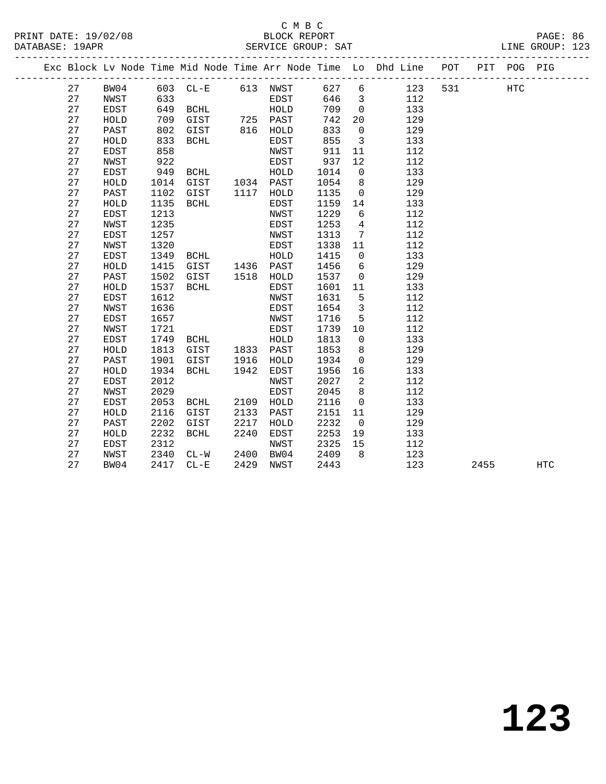#### C M B C<br>BLOCK REPORT PRINT DATE: 19/02/08 BLOCK REPORT PAGE: 86 SERVICE GROUP: SAT

|  |          |              |              |                                               |      |                   |              |                            | Exc Block Lv Node Time Mid Node Time Arr Node Time Lo Dhd Line POT |     |      | PIT POG PIG |            |
|--|----------|--------------|--------------|-----------------------------------------------|------|-------------------|--------------|----------------------------|--------------------------------------------------------------------|-----|------|-------------|------------|
|  | 27       | BW04         |              | 603 CL-E                                      |      | 613 NWST          | 627          | 6                          | 123                                                                | 531 |      | <b>HTC</b>  |            |
|  | 27       | NWST         | 633          |                                               |      | EDST              | 646          | $\overline{\mathbf{3}}$    | 112                                                                |     |      |             |            |
|  | 27       | EDST         | 649          | BCHL                                          |      | HOLD              | 709          | $\overline{0}$             | 133                                                                |     |      |             |            |
|  | 27       | HOLD         | 709          | BURL ------<br>GIST 725 PAST<br>GIST 816 HOLD |      |                   | 742          | 20                         | 129                                                                |     |      |             |            |
|  | 27       | PAST         | 802          |                                               |      |                   | 833          | $\overline{0}$             | 129                                                                |     |      |             |            |
|  | 27       | HOLD         | 833          | BCHL                                          |      | EDST              | 855          | $\overline{\mathbf{3}}$    | 133                                                                |     |      |             |            |
|  | 27       | EDST         | 858          |                                               |      | NWST              | 911          | 11                         | 112                                                                |     |      |             |            |
|  | 27       | NWST         | 922          |                                               |      | EDST              | 937          | 12                         | 112                                                                |     |      |             |            |
|  | 27       | EDST         | 949          | BCHL                                          |      | HOLD              | 1014         | $\overline{0}$             | 133                                                                |     |      |             |            |
|  | 27       | HOLD         | 1014         | GIST                                          |      | 1034 PAST         | 1054         | 8                          | 129                                                                |     |      |             |            |
|  | 27       | PAST         | 1102         | GIST                                          |      | 1117 HOLD         | 1135         | $\overline{0}$             | 129                                                                |     |      |             |            |
|  | 27       | HOLD         | 1135         | <b>BCHL</b>                                   |      | <b>EDST</b>       | 1159         | 14                         | 133                                                                |     |      |             |            |
|  | 27       | EDST         | 1213         |                                               |      | NWST              | 1229         | 6                          | 112                                                                |     |      |             |            |
|  | 27       | NWST         | 1235         |                                               |      | EDST              | 1253         | $\overline{4}$             | 112                                                                |     |      |             |            |
|  | 27       | EDST         | 1257         |                                               |      | NWST              | 1313         | 7                          | 112                                                                |     |      |             |            |
|  | 27       | NWST         | 1320         |                                               |      | EDST              | 1338         | 11                         | 112                                                                |     |      |             |            |
|  | 27       | EDST         | 1349         | BCHL                                          |      | HOLD              | 1415         | $\overline{0}$             | 133                                                                |     |      |             |            |
|  | 27       | HOLD         | 1415         | GIST 1436 PAST                                |      |                   | 1456         | 6                          | 129                                                                |     |      |             |            |
|  | 27       | PAST         | 1502         | GIST                                          |      | 1518 HOLD         | 1537         | $\overline{0}$             | 129                                                                |     |      |             |            |
|  | 27       | HOLD         | 1537         | BCHL                                          |      | EDST              | 1601         | 11                         | 133                                                                |     |      |             |            |
|  | 27       | EDST         | 1612         |                                               |      | NWST              | 1631         | $5^{\circ}$                | 112                                                                |     |      |             |            |
|  | 27       | NWST         | 1636         |                                               |      | EDST              | 1654         | $\overline{\mathbf{3}}$    | 112                                                                |     |      |             |            |
|  | 27       | EDST         | 1657         |                                               |      | NWST              | 1716         | 5                          | 112                                                                |     |      |             |            |
|  | 27       | NWST         | 1721         |                                               |      | EDST              | 1739         | 10                         | 112                                                                |     |      |             |            |
|  | 27<br>27 | EDST         | 1749         | BCHL                                          |      | HOLD<br>1833 PAST | 1813         | $\overline{0}$             | 133                                                                |     |      |             |            |
|  | 27       | HOLD<br>PAST | 1813<br>1901 | GIST<br>GIST                                  | 1916 |                   | 1853<br>1934 | 8<br>$\overline{0}$        | 129<br>129                                                         |     |      |             |            |
|  | 27       | HOLD         | 1934         | BCHL                                          | 1942 | HOLD<br>EDST      | 1956         | 16                         | 133                                                                |     |      |             |            |
|  | 27       | EDST         | 2012         |                                               |      | NWST              | 2027         | $\overline{\phantom{a}}^2$ | 112                                                                |     |      |             |            |
|  | 27       | NWST         | 2029         |                                               |      | EDST              | 2045         | 8                          | 112                                                                |     |      |             |            |
|  | 27       | EDST         | 2053         | <b>BCHL</b>                                   | 2109 | HOLD              | 2116         | $\mathbf 0$                | 133                                                                |     |      |             |            |
|  | 27       | HOLD         | 2116         | GIST                                          | 2133 | PAST              | 2151         | 11                         | 129                                                                |     |      |             |            |
|  | 27       | PAST         | 2202         | GIST                                          | 2217 | HOLD              | 2232         | $\overline{\phantom{0}}$   | 129                                                                |     |      |             |            |
|  | 27       | HOLD         | 2232         | BCHL                                          | 2240 | EDST              | 2253         | 19                         | 133                                                                |     |      |             |            |
|  | 27       | EDST         | 2312         |                                               |      | NWST              | 2325         | 15                         | 112                                                                |     |      |             |            |
|  | 27       | NWST         | 2340         | $CL-W$                                        | 2400 | BW04              | 2409         | 8 <sup>8</sup>             | 123                                                                |     |      |             |            |
|  | 27       | BW04         | 2417         | $CL - E$                                      | 2429 | NWST              | 2443         |                            | 123                                                                |     | 2455 |             | <b>HTC</b> |
|  |          |              |              |                                               |      |                   |              |                            |                                                                    |     |      |             |            |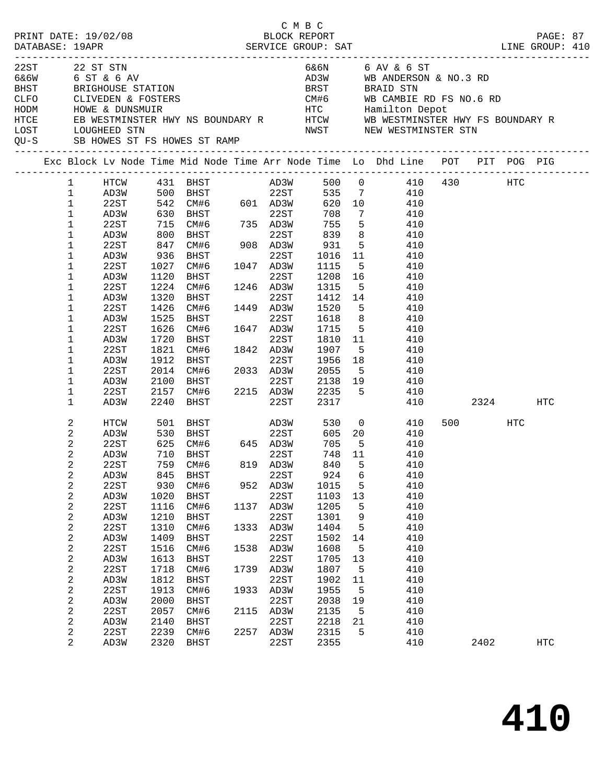|      |                | PRINT DATE: 19/02/08                                                      |            |                                           |      | C M B C<br>BLOCK REPORT |         |                 |                                                                                |     |         |      | PAGE: 87 |  |
|------|----------------|---------------------------------------------------------------------------|------------|-------------------------------------------|------|-------------------------|---------|-----------------|--------------------------------------------------------------------------------|-----|---------|------|----------|--|
|      |                |                                                                           |            |                                           |      |                         |         |                 |                                                                                |     |         |      |          |  |
| 22ST |                | 22 ST STN                                                                 |            |                                           |      |                         |         |                 | 6&6N 6 AV & 6 ST                                                               |     |         |      |          |  |
|      |                | 6&6W 6 ST & 6 AV                                                          |            |                                           |      |                         |         |                 | AD3W WB ANDERSON & NO.3 RD                                                     |     |         |      |          |  |
|      |                | BRIGHOUSE STATION                                                         |            |                                           |      |                         |         |                 | BRST BRAID STN                                                                 |     |         |      |          |  |
|      |                | BHST BRIGHOUSE STATION<br>CLFO CLIVEDEN & FOSTERS<br>HODM HOWE & DUNSMUIR |            |                                           |      |                         |         |                 |                                                                                |     |         |      |          |  |
|      |                |                                                                           |            |                                           |      |                         |         |                 |                                                                                |     |         |      |          |  |
| HTCE |                |                                                                           |            |                                           |      |                         |         |                 |                                                                                |     |         |      |          |  |
| LOST |                | LOUGHEED STN                                                              |            |                                           |      |                         |         |                 | NWST NEW WESTMINSTER STN                                                       |     |         |      |          |  |
| QU-S |                |                                                                           |            | SB HOWES ST FS HOWES ST RAMP              |      |                         |         |                 |                                                                                |     |         |      |          |  |
|      |                |                                                                           |            |                                           |      |                         |         |                 | Exc Block Lv Node Time Mid Node Time Arr Node Time Lo Dhd Line POT PIT POG PIG |     |         |      |          |  |
|      | 1              | HTCW                                                                      |            |                                           |      |                         |         |                 |                                                                                |     |         |      |          |  |
|      | $\mathbf 1$    |                                                                           |            |                                           |      |                         |         |                 | $500$ 0 $410$ $430$ HTC<br>535 7 $410$                                         |     |         |      |          |  |
|      | $\mathbf 1$    | 22ST                                                                      |            | 542 CM#6 601 AD3W                         |      |                         | 620 10  |                 | 410                                                                            |     |         |      |          |  |
|      | $\mathbf 1$    | AD3W                                                                      |            |                                           |      |                         | 708     | $7\phantom{.0}$ | 410                                                                            |     |         |      |          |  |
|      | $\mathbf 1$    | 22ST                                                                      |            | 630 BHST<br>715 CM#6 735 AD3W<br>800 BHST |      |                         | 755     | 5 <sup>5</sup>  | 410                                                                            |     |         |      |          |  |
|      | 1              | AD3W                                                                      |            |                                           |      |                         | 839     | 8 <sup>8</sup>  | 410                                                                            |     |         |      |          |  |
|      | 1              | 22ST                                                                      | 847        | $CM#6$ 908 AD3W                           |      |                         | 931     | 5 <sup>5</sup>  | 410                                                                            |     |         |      |          |  |
|      | 1              | AD3W                                                                      | 936        | BHST                                      |      | 22ST                    | 1016 11 |                 | 410                                                                            |     |         |      |          |  |
|      | 1              | 22ST                                                                      | 1027       | CM#6                                      |      | 1047 AD3W               | 1115    | $5^{\circ}$     | 410                                                                            |     |         |      |          |  |
|      | 1              | AD3W                                                                      | 1120       | BHST                                      |      | 22ST                    | 1208 16 |                 | 410                                                                            |     |         |      |          |  |
|      | 1              | 22ST                                                                      | 1224       | CM#6                                      |      | 1246 AD3W               | 1315    | $-5$            | 410                                                                            |     |         |      |          |  |
|      | 1              | AD3W                                                                      | 1320       | BHST                                      |      | 22ST                    | 1412 14 |                 | 410                                                                            |     |         |      |          |  |
|      | 1              | 22ST                                                                      | 1426       | CM#6                                      |      | 1449 AD3W               | 1520    | $5^{\circ}$     | 410                                                                            |     |         |      |          |  |
|      | 1              | AD3W                                                                      | 1525       | BHST                                      |      | 22ST                    | 1618    | 8 <sup>8</sup>  | 410                                                                            |     |         |      |          |  |
|      | 1              | 22ST                                                                      | 1626       | CM#6                                      |      | 1647 AD3W               | 1715    | 5 <sup>5</sup>  | 410                                                                            |     |         |      |          |  |
|      | 1              | AD3W                                                                      | 1720       | BHST                                      |      | 22ST                    | 1810 11 |                 | 410                                                                            |     |         |      |          |  |
|      | 1              | 22ST                                                                      | 1821       | CM#6                                      |      | 1842 AD3W               | 1907    | 5               | 410                                                                            |     |         |      |          |  |
|      | 1              | AD3W                                                                      | 1912       | BHST                                      |      | 22ST                    | 1956    | 18              | 410                                                                            |     |         |      |          |  |
|      | 1              | 22ST                                                                      | 2014       | CM#6 2033 AD3W                            |      |                         | 2055    | 5 <sup>5</sup>  | 410                                                                            |     |         |      |          |  |
|      | 1              | AD3W                                                                      | 2100       | BHST                                      |      | 22ST                    | 2138 19 |                 | 410                                                                            |     |         |      |          |  |
|      | 1              | 22ST                                                                      | 2157       | CM#6                                      |      | 2215 AD3W               | 2235    | 5 <sub>5</sub>  | 410                                                                            |     |         |      |          |  |
|      | 1              | AD3W                                                                      | 2240       | BHST                                      |      | 22ST                    | 2317    |                 |                                                                                | 410 |         | 2324 | HTC      |  |
|      | 2              | HTCW                                                                      | 501        | <b>BHST</b>                               |      | AD3W                    | 530     |                 | $\overline{0}$<br>410                                                          |     | 500 HTC |      |          |  |
|      | 2              | AD3W                                                                      | 530        | <b>BHST</b>                               |      | 22ST                    |         |                 | 605 20<br>410                                                                  |     |         |      |          |  |
|      | 2              | 22ST                                                                      |            | CM#6 645 AD3W                             |      |                         | 705     | $5^{\circ}$     | 410                                                                            |     |         |      |          |  |
|      | $\sqrt{2}$     | AD3W                                                                      | 625<br>710 | 710 BHST                                  |      | 22ST                    | 748 11  |                 | 410                                                                            |     |         |      |          |  |
|      | 2              | 22ST                                                                      |            | 759 CM#6                                  |      | 819 AD3W                | 840 5   |                 | 410                                                                            |     |         |      |          |  |
|      | 2              | AD3W                                                                      | 845        | BHST                                      |      | 22ST                    | 924     | 6               | 410                                                                            |     |         |      |          |  |
|      | $\sqrt{2}$     | 22ST                                                                      | 930        | CM#6                                      |      | 952 AD3W                | 1015    | 5               | 410                                                                            |     |         |      |          |  |
|      | $\sqrt{2}$     | AD3W                                                                      | 1020       | BHST                                      |      | 22ST                    | 1103    | 13              | 410                                                                            |     |         |      |          |  |
|      | 2              | 22ST                                                                      | 1116       | CM#6                                      | 1137 | AD3W                    | 1205    | 5               | 410                                                                            |     |         |      |          |  |
|      | 2              | AD3W                                                                      | 1210       | BHST                                      |      | 22ST                    | 1301    | 9               | 410                                                                            |     |         |      |          |  |
|      | 2              | 22ST                                                                      | 1310       | CM#6                                      | 1333 | AD3W                    | 1404    | 5               | 410                                                                            |     |         |      |          |  |
|      | $\sqrt{2}$     | AD3W                                                                      | 1409       | BHST                                      |      | 22ST                    | 1502    | 14              | 410                                                                            |     |         |      |          |  |
|      | 2              | 22ST                                                                      | 1516       | CM#6                                      | 1538 | AD3W                    | 1608    | 5               | 410                                                                            |     |         |      |          |  |
|      | $\sqrt{2}$     | AD3W                                                                      | 1613       | BHST                                      |      | 22ST                    | 1705    | 13              | 410                                                                            |     |         |      |          |  |
|      | 2              | 22ST                                                                      | 1718       | CM#6                                      | 1739 | AD3W                    | 1807    | 5               | 410                                                                            |     |         |      |          |  |
|      | $\sqrt{2}$     | AD3W                                                                      | 1812       | BHST                                      |      | 22ST                    | 1902    | 11              | 410                                                                            |     |         |      |          |  |
|      | 2              | 22ST                                                                      | 1913       | CM#6                                      | 1933 | AD3W                    | 1955    | 5               | 410                                                                            |     |         |      |          |  |
|      | $\sqrt{2}$     | AD3W                                                                      | 2000       | BHST                                      |      | 22ST                    | 2038    | 19              | 410                                                                            |     |         |      |          |  |
|      | 2              | 22ST                                                                      | 2057       | CM#6                                      | 2115 | AD3W                    | 2135    | 5               | 410                                                                            |     |         |      |          |  |
|      | $\overline{c}$ | AD3W                                                                      | 2140       | BHST                                      |      | 22ST                    | 2218    | 21              | 410                                                                            |     |         |      |          |  |
|      | 2              | 22ST                                                                      | 2239       | CM#6                                      |      | 2257 AD3W               | 2315    | 5               | 410                                                                            |     |         |      |          |  |
|      | $\overline{a}$ | AD3W                                                                      | 2320       | BHST                                      |      | 22ST                    | 2355    |                 | 410                                                                            |     | 2402    |      | HTC      |  |
|      |                |                                                                           |            |                                           |      |                         |         |                 |                                                                                |     |         |      |          |  |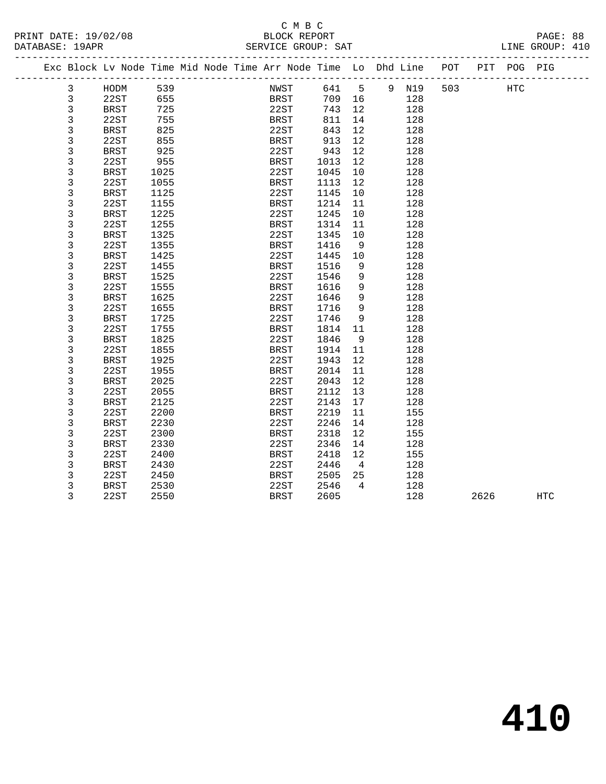#### C M B C<br>BLOCK REPORT PRINT DATE: 19/02/08 BLOCK REPORT PAGE: 88 SERVICE GROUP: SAT

|  | PA |
|--|----|

|  |   | Exc Block Lv Node Time Mid Node Time Arr Node Time Lo Dhd Line |      |  |             |             |        |                 |       | POT |      | PIT POG PIG |            |  |
|--|---|----------------------------------------------------------------|------|--|-------------|-------------|--------|-----------------|-------|-----|------|-------------|------------|--|
|  | 3 | HODM                                                           | 539  |  | NWST        |             | 641    | $5^{\circ}$     | 9 N19 | 503 |      | <b>HTC</b>  |            |  |
|  | 3 | 22ST                                                           | 655  |  |             | <b>BRST</b> | 709 16 |                 | 128   |     |      |             |            |  |
|  | 3 | BRST                                                           | 725  |  | 22ST        |             | 743    | 12              | 128   |     |      |             |            |  |
|  | 3 | 22ST                                                           | 755  |  | BRST        |             | 811    | 14              | 128   |     |      |             |            |  |
|  | 3 | BRST                                                           | 825  |  | 22ST        |             | 843    | 12              | 128   |     |      |             |            |  |
|  | 3 | 22ST                                                           | 855  |  | BRST        |             | 913    | 12              | 128   |     |      |             |            |  |
|  | 3 | <b>BRST</b>                                                    | 925  |  | 22ST        |             | 943    | 12              | 128   |     |      |             |            |  |
|  | 3 | 22ST                                                           | 955  |  | BRST        |             | 1013   | 12              | 128   |     |      |             |            |  |
|  | 3 | BRST                                                           | 1025 |  | 22ST        |             | 1045   | 10              | 128   |     |      |             |            |  |
|  | 3 | 22ST                                                           | 1055 |  | BRST        |             | 1113   | 12              | 128   |     |      |             |            |  |
|  | 3 | BRST                                                           | 1125 |  | 22ST        |             | 1145   | 10              | 128   |     |      |             |            |  |
|  | 3 | 22ST                                                           | 1155 |  | <b>BRST</b> |             | 1214   | 11              | 128   |     |      |             |            |  |
|  | 3 | BRST                                                           | 1225 |  | 22ST        |             | 1245   | 10              | 128   |     |      |             |            |  |
|  | 3 | 22ST                                                           | 1255 |  | <b>BRST</b> |             | 1314   | 11              | 128   |     |      |             |            |  |
|  | 3 | <b>BRST</b>                                                    | 1325 |  | 22ST        |             | 1345   | 10              | 128   |     |      |             |            |  |
|  | 3 | 22ST                                                           | 1355 |  | <b>BRST</b> |             | 1416   | 9               | 128   |     |      |             |            |  |
|  | 3 | <b>BRST</b>                                                    | 1425 |  | 22ST        |             | 1445   | 10              | 128   |     |      |             |            |  |
|  | 3 | 22ST                                                           | 1455 |  | <b>BRST</b> |             | 1516   | 9               | 128   |     |      |             |            |  |
|  | 3 | BRST                                                           | 1525 |  | 22ST        |             | 1546   | 9               | 128   |     |      |             |            |  |
|  | 3 | 22ST                                                           | 1555 |  | <b>BRST</b> |             | 1616   | 9               | 128   |     |      |             |            |  |
|  | 3 | <b>BRST</b>                                                    | 1625 |  | 22ST        |             | 1646   | $\overline{9}$  | 128   |     |      |             |            |  |
|  | 3 | 22ST                                                           | 1655 |  | BRST        |             | 1716   | 9               | 128   |     |      |             |            |  |
|  | 3 | <b>BRST</b>                                                    | 1725 |  | 22ST        |             | 1746   | 9               | 128   |     |      |             |            |  |
|  | 3 | 22ST                                                           | 1755 |  | <b>BRST</b> |             | 1814   | 11              | 128   |     |      |             |            |  |
|  | 3 | BRST                                                           | 1825 |  | 22ST        |             | 1846   | 9               | 128   |     |      |             |            |  |
|  | 3 | 22ST                                                           | 1855 |  | <b>BRST</b> |             | 1914   | 11              | 128   |     |      |             |            |  |
|  | 3 | BRST                                                           | 1925 |  | 22ST        |             | 1943   | 12              | 128   |     |      |             |            |  |
|  | 3 | 22ST                                                           | 1955 |  | BRST        |             | 2014   | 11              | 128   |     |      |             |            |  |
|  | 3 | BRST                                                           | 2025 |  | 22ST        |             | 2043   | 12              | 128   |     |      |             |            |  |
|  | 3 | 22ST                                                           | 2055 |  | BRST        |             | 2112   | 13              | 128   |     |      |             |            |  |
|  | 3 | <b>BRST</b>                                                    | 2125 |  | 22ST        |             | 2143   | 17              | 128   |     |      |             |            |  |
|  | 3 | 22ST                                                           | 2200 |  | BRST        |             | 2219   | 11              | 155   |     |      |             |            |  |
|  | 3 | BRST                                                           | 2230 |  | 22ST        |             | 2246   | 14              | 128   |     |      |             |            |  |
|  | 3 | 22ST                                                           | 2300 |  | BRST        |             | 2318   | 12              | 155   |     |      |             |            |  |
|  | 3 | <b>BRST</b>                                                    | 2330 |  | 22ST        |             | 2346   | 14              | 128   |     |      |             |            |  |
|  | 3 | 22ST                                                           | 2400 |  | <b>BRST</b> |             | 2418   | 12              | 155   |     |      |             |            |  |
|  | 3 | BRST                                                           | 2430 |  | 22ST        |             | 2446   | $4\overline{4}$ | 128   |     |      |             |            |  |
|  | 3 | 22ST                                                           | 2450 |  | <b>BRST</b> |             | 2505   | 25              | 128   |     |      |             |            |  |
|  | 3 | <b>BRST</b>                                                    | 2530 |  | 22ST        |             | 2546   | $\overline{4}$  | 128   |     |      |             |            |  |
|  | 3 | 22ST                                                           | 2550 |  | <b>BRST</b> |             | 2605   |                 | 128   |     | 2626 |             | <b>HTC</b> |  |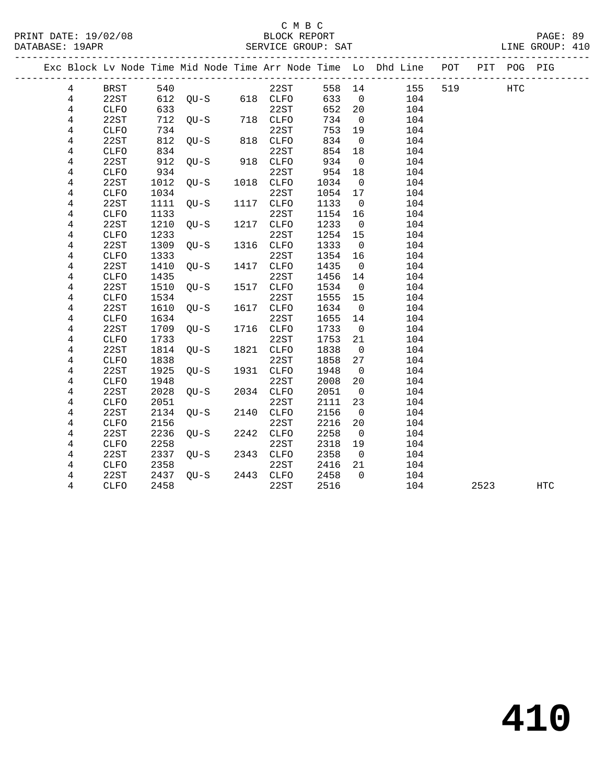## C M B C<br>BLOCK BEDORT

| PRINT DATE: 19/02/08<br>DATABASE: 19APR |             |      |                               | . C 11 D C<br>BLOCK REPORT |        |                |                                                                                |         | PAGE: 89<br>LINE GROUP: 410 |  |
|-----------------------------------------|-------------|------|-------------------------------|----------------------------|--------|----------------|--------------------------------------------------------------------------------|---------|-----------------------------|--|
|                                         |             |      |                               |                            |        |                | Exc Block Lv Node Time Mid Node Time Arr Node Time Lo Dhd Line POT PIT POG PIG |         |                             |  |
| $4\overline{ }$                         | BRST        |      |                               | 22ST                       |        |                | 558 14 155                                                                     | 519 HTC |                             |  |
| 4                                       | 22ST        |      |                               |                            |        |                | 633 0 104                                                                      |         |                             |  |
| 4                                       | CLFO        |      |                               | 22ST                       |        |                | 652 20<br>104                                                                  |         |                             |  |
| 4                                       | 22ST        |      | 633 22ST<br>712 QU-S 718 CLFO |                            | 734 0  |                | 104                                                                            |         |                             |  |
| 4                                       | <b>CLFO</b> |      |                               |                            | 753    |                | 19<br>104                                                                      |         |                             |  |
| 4                                       | 22ST        |      | 734 22ST<br>812 QU-S 818 CLFO |                            | 834    |                | $\overline{0}$<br>104                                                          |         |                             |  |
| 4                                       | <b>CLFO</b> |      |                               |                            | 854    |                | 18<br>104                                                                      |         |                             |  |
| 4                                       | 22ST        |      | 834 22ST<br>912 QU-S 918 CLFO |                            | 934    |                | 104<br>$\overline{0}$                                                          |         |                             |  |
| 4                                       | <b>CLFO</b> | 934  |                               | 22ST                       | 954    | 18             | 104                                                                            |         |                             |  |
| 4                                       | 22ST        |      | 1012 QU-S 1018 CLFO           |                            | 1034   | $\overline{0}$ | 104                                                                            |         |                             |  |
| 4                                       | <b>CLFO</b> | 1034 |                               | 22ST                       | 1054   | 17             | 104                                                                            |         |                             |  |
| 4                                       | 22ST        |      | 1111 QU-S 1117 CLFO           |                            | 1133   | $\overline{0}$ | 104                                                                            |         |                             |  |
| 4                                       | <b>CLFO</b> | 1133 |                               | 22ST                       | 1154   | 16             | 104                                                                            |         |                             |  |
| 4                                       | 22ST        | 1210 | OU-S 1217 CLFO                |                            | 1233   | $\overline{0}$ | 104                                                                            |         |                             |  |
| 4                                       | <b>CLFO</b> | 1233 |                               | 22ST                       | 1254   | 15             | 104                                                                            |         |                             |  |
| 4                                       | 22ST        | 1309 | OU-S 1316 CLFO                |                            | 1333   | $\overline{0}$ | 104                                                                            |         |                             |  |
| 4                                       | <b>CLFO</b> | 1333 |                               | 22ST                       | 1354   | 16             | 104                                                                            |         |                             |  |
| 4                                       | 22ST        | 1410 | QU-S 1417 CLFO                |                            | 1435   | $\overline{0}$ | 104                                                                            |         |                             |  |
| 4                                       | <b>CLFO</b> | 1435 |                               | 22ST                       | 1456   | 14             | 104                                                                            |         |                             |  |
| 4                                       | 22ST        | 1510 | OU-S 1517                     | CLFO                       | 1534   | $\overline{0}$ | 104                                                                            |         |                             |  |
| 4                                       | <b>CLFO</b> | 1534 |                               | 22ST                       | 1555   | 15             | 104                                                                            |         |                             |  |
| 4                                       | 22ST        | 1610 | QU-S 1617                     | CLFO                       | 1634   | $\overline{0}$ | 104                                                                            |         |                             |  |
| 4                                       | CLFO        | 1634 |                               | 22ST                       | 1655   | 14             | 104                                                                            |         |                             |  |
| 4                                       | 22ST        |      | 1709 QU-S 1716 CLFO           |                            | 1733   | $\overline{0}$ | 104                                                                            |         |                             |  |
| 4                                       | <b>CLFO</b> | 1733 |                               | 22ST                       | 1753   | 21             | 104                                                                            |         |                             |  |
| 4                                       | 22ST        |      | 1814 QU-S 1821 CLFO           |                            | 1838   | $\overline{0}$ | 104                                                                            |         |                             |  |
| 4                                       | <b>CLFO</b> | 1838 |                               | 22ST                       | 1858   | 27             | 104                                                                            |         |                             |  |
| 4                                       | 22ST        |      | 1925 QU-S 1931 CLFO           |                            | 1948   | $\overline{0}$ | 104                                                                            |         |                             |  |
| 4                                       | <b>CLFO</b> | 1948 |                               | 22ST                       | 2008   | 20             | 104                                                                            |         |                             |  |
| 4                                       | 22ST        |      | 2028 QU-S 2034 CLFO           |                            | 2051 0 |                | 104                                                                            |         |                             |  |
| 4                                       | <b>CLFO</b> | 2051 |                               | 22ST                       | 2111   | 23             | 104                                                                            |         |                             |  |

4 CLFO 2051 22ST 2111 23 104

4 CLFO 2156 22ST 2216 20 104

4 CLFO 2258 22ST 2318 19 104

4 CLFO 2358 22ST 2416 21 104

4 22ST 2134 QU-S 2140 CLFO 2156 0 104

4 22ST 2236 QU-S 2242 CLFO 2258 0 104

4 22ST 2337 QU-S 2343 CLFO 2358 0 104

4 22ST 2437 QU-S 2443 CLFO 2458 0 104

4 CLFO 2458 22ST 2516 104 2523 HTC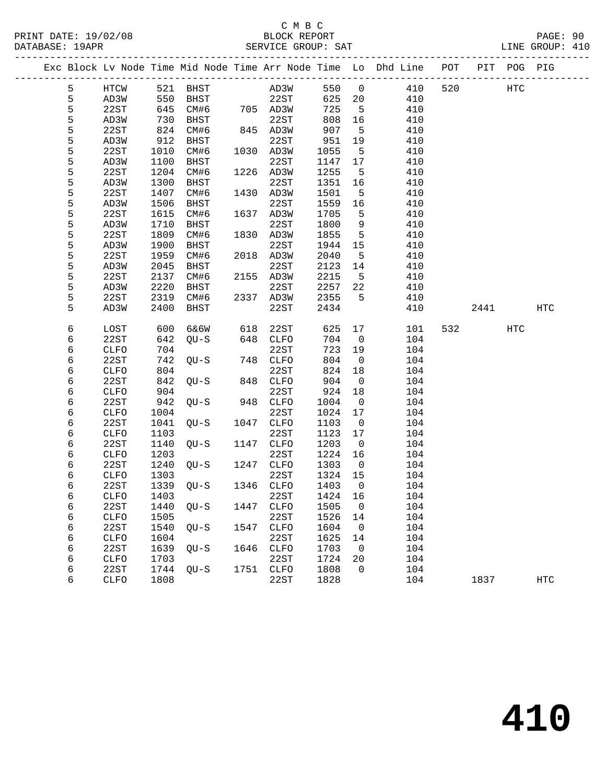#### C M B C<br>BLOCK REPORT PRINT DATE: 19/02/08 BLOCK REPORT PAGE: 90 SERVICE GROUP: SAT

|  |        |              |              |                |      |              |              |                          | Exc Block Lv Node Time Mid Node Time Arr Node Time Lo Dhd Line POT |     |      | PIT POG PIG |     |
|--|--------|--------------|--------------|----------------|------|--------------|--------------|--------------------------|--------------------------------------------------------------------|-----|------|-------------|-----|
|  | 5      | HTCW         |              | 521 BHST       |      | AD3W<br>22ST | 550 0        |                          | 410                                                                | 520 |      | HTC         |     |
|  | 5      | AD3W         | 550          | BHST           |      |              | 625 20       |                          | 410                                                                |     |      |             |     |
|  | 5      | 22ST         | 645          | CM#6           |      | 705 AD3W     | 725          | $5^{\circ}$              | 410                                                                |     |      |             |     |
|  | 5      | AD3W         | 730          | BHST           |      | 22ST         | 808          | 16                       | 410                                                                |     |      |             |     |
|  | 5      | 22ST         | 824          | CM#6           |      | 845 AD3W     | 907          | $-5$                     | 410                                                                |     |      |             |     |
|  | 5      | AD3W         | 912          | BHST           |      | 22ST         | 951          | 19                       | 410                                                                |     |      |             |     |
|  | 5      | 22ST         | 1010         | CM#6           |      | 1030 AD3W    | 1055         | $-5$                     | 410                                                                |     |      |             |     |
|  | 5      | AD3W         | 1100         | BHST           |      | 22ST         | 1147         | 17                       | 410                                                                |     |      |             |     |
|  | 5      | 22ST         | 1204         | CM#6           |      | 1226 AD3W    | 1255         | $-5$                     | 410                                                                |     |      |             |     |
|  | 5      | AD3W         | 1300         | BHST           |      | 22ST         | 1351         | 16                       | 410                                                                |     |      |             |     |
|  | 5      | 22ST         | 1407         | CM#6           |      | 1430 AD3W    | 1501         | $5^{\circ}$              | 410                                                                |     |      |             |     |
|  | 5      | AD3W         | 1506         | BHST           |      | 22ST         | 1559         | 16                       | 410                                                                |     |      |             |     |
|  | 5      | 22ST         | 1615         | CM#6           |      | 1637 AD3W    | 1705         | 5                        | 410                                                                |     |      |             |     |
|  | 5      | AD3W         | 1710         | BHST           |      | 22ST         | 1800         | 9                        | 410                                                                |     |      |             |     |
|  | 5      | 22ST         | 1809         | CM#6           |      | 1830 AD3W    | 1855         | $5^{\circ}$              | 410                                                                |     |      |             |     |
|  | 5      | AD3W         | 1900         | BHST           |      | 22ST         | 1944         | 15                       | 410                                                                |     |      |             |     |
|  | 5      | 22ST         | 1959         | CM#6           |      | 2018 AD3W    | 2040         | $-5$                     | 410                                                                |     |      |             |     |
|  | 5      | AD3W         | 2045         | BHST           |      | 22ST         | 2123         | 14                       | 410                                                                |     |      |             |     |
|  | 5      | 22ST         | 2137         | CM#6           |      | 2155 AD3W    | 2215         | $5^{\circ}$              | 410                                                                |     |      |             |     |
|  | 5      | AD3W         | 2220         | BHST           |      | 22ST         | 2257         | 22                       | 410                                                                |     |      |             |     |
|  | 5      | 22ST         | 2319         | CM#6           |      | 2337 AD3W    | 2355         | 5                        | 410                                                                |     |      |             |     |
|  | 5      | AD3W         | 2400         | BHST           |      | 22ST         | 2434         |                          | 410                                                                |     | 2441 |             | HTC |
|  | 6      | LOST         | 600          | 6&6W           | 618  | 22ST         | 625          | 17                       | 101                                                                |     | 532  | HTC         |     |
|  | 6      | 22ST         | 642          | QU-S           | 648  | CLFO         | 704          | $\overline{\phantom{0}}$ | 104                                                                |     |      |             |     |
|  | 6      | CLFO         | 704          |                |      | 22ST         | 723          | 19                       | 104                                                                |     |      |             |     |
|  | 6      | 22ST         | 742          | $QU-S$         |      | 748 CLFO     | 804          | $\overline{0}$           | 104                                                                |     |      |             |     |
|  | 6      | CLFO         | 804          |                |      | 22ST         | 824          | 18                       | 104                                                                |     |      |             |     |
|  | 6      | 22ST         | 842          | OU-S           | 848  | CLFO         | 904          | $\overline{0}$           | 104                                                                |     |      |             |     |
|  | 6      | CLFO         | 904          |                |      | 22ST         | 924          | 18                       | 104                                                                |     |      |             |     |
|  | 6      | 22ST         | 942          | QU-S           |      | 948 CLFO     | 1004         | $\overline{0}$           | 104                                                                |     |      |             |     |
|  | 6      | CLFO         | 1004         |                |      | 22ST         | 1024         | 17                       | 104                                                                |     |      |             |     |
|  | 6      | 22ST         | 1041         | QU-S           | 1047 | CLFO         | 1103         | $\overline{0}$           | 104                                                                |     |      |             |     |
|  | 6      | CLFO         | 1103         |                |      | 22ST         | 1123         | 17                       | 104                                                                |     |      |             |     |
|  | 6      | 22ST         | 1140         | QU-S           |      | 1147 CLFO    | 1203         | $\overline{0}$           | 104                                                                |     |      |             |     |
|  | 6      | CLFO         | 1203         |                |      | 22ST         | 1224         | 16                       | 104                                                                |     |      |             |     |
|  | 6      | 22ST         | 1240         | $QU-S$         | 1247 | CLFO         | 1303         | $\overline{\mathbf{0}}$  | 104                                                                |     |      |             |     |
|  | 6      | CLFO         | 1303         |                |      | 22ST         | 1324         | 15                       | 104                                                                |     |      |             |     |
|  | 6      | 22ST         | 1339         | $QU-S$         |      | 1346 CLFO    | 1403         | $\overline{0}$           | 104                                                                |     |      |             |     |
|  | 6      |              |              | CLFO 1403 22ST |      |              | 1424 16      |                          | 104                                                                |     |      |             |     |
|  | 6      | 22ST         | 1440         | QU-S           | 1447 | CLFO         | 1505         | 0                        | 104                                                                |     |      |             |     |
|  | 6      | CLFO         | 1505         |                |      | 22ST         | 1526         | 14                       | 104                                                                |     |      |             |     |
|  | 6      | 22ST         | 1540         | QU-S           | 1547 | CLFO         | 1604         | $\overline{0}$           | 104                                                                |     |      |             |     |
|  | 6      | CLFO<br>22ST | 1604         |                | 1646 | 22ST         | 1625<br>1703 | 14                       | 104                                                                |     |      |             |     |
|  | 6<br>6 |              | 1639         | $QU-S$         |      | CLFO<br>22ST | 1724         | 0<br>20                  | 104<br>104                                                         |     |      |             |     |
|  | 6      | CLFO<br>22ST | 1703<br>1744 | $QU-S$         | 1751 | CLFO         | 1808         | 0                        | 104                                                                |     |      |             |     |
|  | 6      | CLFO         | 1808         |                |      | 22ST         | 1828         |                          | 104                                                                |     | 1837 |             | HTC |
|  |        |              |              |                |      |              |              |                          |                                                                    |     |      |             |     |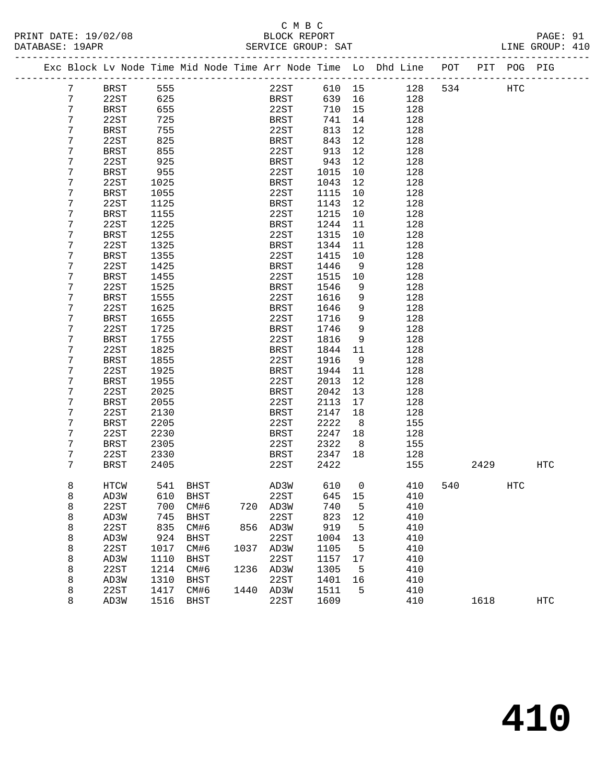| PRINT DATE: 19/02/08 | BLOCK REPORT       | PAGE: 91        |  |
|----------------------|--------------------|-----------------|--|
| DATABASE: 19APR      | SERVICE GROUP: SAT | LINE GROUP: 410 |  |

|  |                 | Exc Block Lv Node Time Mid Node Time Arr Node Time Lo Dhd Line POT |          |             |      |             |             |                |     |     |      | PIT POG PIG |            |
|--|-----------------|--------------------------------------------------------------------|----------|-------------|------|-------------|-------------|----------------|-----|-----|------|-------------|------------|
|  | $7\phantom{.0}$ | BRST                                                               | 555      |             |      | 22ST        | 610 15      |                | 128 | 534 |      | HTC         |            |
|  | 7               | 22ST                                                               | 625      |             |      | BRST        | 639         | 16             | 128 |     |      |             |            |
|  | 7               | BRST                                                               | 655      |             |      | 22ST        | 710         | 15             | 128 |     |      |             |            |
|  | 7               | 22ST                                                               | 725      |             |      | BRST        | 741         | 14             | 128 |     |      |             |            |
|  | 7               | <b>BRST</b>                                                        | 755      |             |      | 22ST        | 813         | 12             | 128 |     |      |             |            |
|  | 7               | 22ST                                                               | 825      |             |      | <b>BRST</b> | 843         | 12             | 128 |     |      |             |            |
|  | 7               | <b>BRST</b>                                                        | 855      |             |      | 22ST        | 913         | 12             | 128 |     |      |             |            |
|  | 7               | 22ST                                                               | 925      |             |      | <b>BRST</b> | 943         | 12             | 128 |     |      |             |            |
|  | 7               | <b>BRST</b>                                                        | 955      |             |      | 22ST        | 1015        | 10             | 128 |     |      |             |            |
|  | 7               | 22ST                                                               | 1025     |             |      | <b>BRST</b> | 1043        | 12             | 128 |     |      |             |            |
|  | 7               | <b>BRST</b>                                                        | 1055     |             |      | 22ST        | 1115        | 10             | 128 |     |      |             |            |
|  | 7               | 22ST                                                               | 1125     |             |      | <b>BRST</b> | 1143        | 12             | 128 |     |      |             |            |
|  | 7               | BRST                                                               | 1155     |             |      | 22ST        | 1215        | $10\,$         | 128 |     |      |             |            |
|  | 7               | 22ST                                                               | 1225     |             |      | BRST        | 1244        | 11             | 128 |     |      |             |            |
|  | 7               | <b>BRST</b>                                                        | 1255     |             |      | 22ST        | 1315        | 10             | 128 |     |      |             |            |
|  | 7               | 22ST                                                               | 1325     |             |      | <b>BRST</b> | 1344        | 11             | 128 |     |      |             |            |
|  | 7               | BRST                                                               | 1355     |             |      | 22ST        | 1415        | 10             | 128 |     |      |             |            |
|  | 7               | 22ST                                                               | 1425     |             |      | <b>BRST</b> | 1446        | 9              | 128 |     |      |             |            |
|  | 7               | <b>BRST</b>                                                        | 1455     |             |      | 22ST        | 1515        | 10             | 128 |     |      |             |            |
|  | 7               | 22ST                                                               | 1525     |             |      | <b>BRST</b> | 1546        | 9              | 128 |     |      |             |            |
|  | 7               | BRST                                                               | 1555     |             |      | 22ST        | 1616        | 9              | 128 |     |      |             |            |
|  | 7               | 22ST                                                               | 1625     |             |      | <b>BRST</b> | 1646        | 9              | 128 |     |      |             |            |
|  | 7               | <b>BRST</b>                                                        | 1655     |             |      | 22ST        | 1716        | 9              | 128 |     |      |             |            |
|  | 7               | 22ST                                                               | 1725     |             |      | <b>BRST</b> | 1746        | 9              | 128 |     |      |             |            |
|  | 7               | <b>BRST</b>                                                        | 1755     |             |      | 22ST        | 1816        | 9              | 128 |     |      |             |            |
|  | 7               | 22ST                                                               | 1825     |             |      | BRST        | 1844        | 11             | 128 |     |      |             |            |
|  | 7               | <b>BRST</b>                                                        | 1855     |             |      | 22ST        | 1916        | 9              | 128 |     |      |             |            |
|  | 7               | 22ST                                                               | 1925     |             |      | <b>BRST</b> | 1944        | 11             | 128 |     |      |             |            |
|  | 7               | <b>BRST</b>                                                        | 1955     |             |      | 22ST        | 2013        | 12             | 128 |     |      |             |            |
|  | 7               | 22ST                                                               | 2025     |             |      | <b>BRST</b> | 2042        | 13             | 128 |     |      |             |            |
|  | 7               | <b>BRST</b>                                                        | 2055     |             |      | 22ST        | 2113        | 17             | 128 |     |      |             |            |
|  | 7               | 22ST                                                               | 2130     |             |      | <b>BRST</b> | 2147        | 18             | 128 |     |      |             |            |
|  | 7               | <b>BRST</b>                                                        | 2205     |             |      | 22ST        | 2222        | 8              | 155 |     |      |             |            |
|  | 7               | 22ST                                                               | 2230     |             |      | <b>BRST</b> | 2247        | 18             | 128 |     |      |             |            |
|  | 7               | <b>BRST</b>                                                        | 2305     |             |      | 22ST        | 2322        | - 8            | 155 |     |      |             |            |
|  | 7               | 22ST                                                               | 2330     |             |      | BRST        | 2347        | 18             | 128 |     |      |             |            |
|  | 7               | <b>BRST</b>                                                        | 2405     |             |      | 22ST        | 2422        |                | 155 |     | 2429 |             | <b>HTC</b> |
|  | 8               | HTCW                                                               |          | 541 BHST    |      | AD3W        | 610         | $\overline{0}$ | 410 | 540 |      | <b>HTC</b>  |            |
|  | 8               | AD3W                                                               | 610 BHST |             |      |             | 22ST 645 15 |                | 410 |     |      |             |            |
|  | 8               | 22ST                                                               | 700      | CM#6        | 720  | AD3W        | 740         | 5              | 410 |     |      |             |            |
|  | 8               | AD3W                                                               | 745      | <b>BHST</b> |      | 22ST        | 823         | 12             | 410 |     |      |             |            |
|  | 8               | 22ST                                                               | 835      | CM#6        | 856  | AD3W        | 919         | 5              | 410 |     |      |             |            |
|  | 8               | AD3W                                                               | 924      | <b>BHST</b> |      | 22ST        | 1004        | 13             | 410 |     |      |             |            |
|  | 8               | 22ST                                                               | 1017     | CM#6        | 1037 | AD3W        | 1105        | 5              | 410 |     |      |             |            |
|  | 8               | AD3W                                                               | 1110     | <b>BHST</b> |      | 22ST        | 1157        | 17             | 410 |     |      |             |            |
|  | 8               | 22ST                                                               | 1214     | CM#6        | 1236 | AD3W        | 1305        | 5              | 410 |     |      |             |            |
|  | 8               | AD3W                                                               | 1310     | BHST        |      | 22ST        | 1401        | 16             | 410 |     |      |             |            |
|  | 8               | 22ST                                                               | 1417     | CM#6        | 1440 | AD3W        | 1511        | 5              | 410 |     |      |             |            |
|  | 8               | AD3W                                                               | 1516     | <b>BHST</b> |      | 22ST        | 1609        |                | 410 |     | 1618 |             | <b>HTC</b> |
|  |                 |                                                                    |          |             |      |             |             |                |     |     |      |             |            |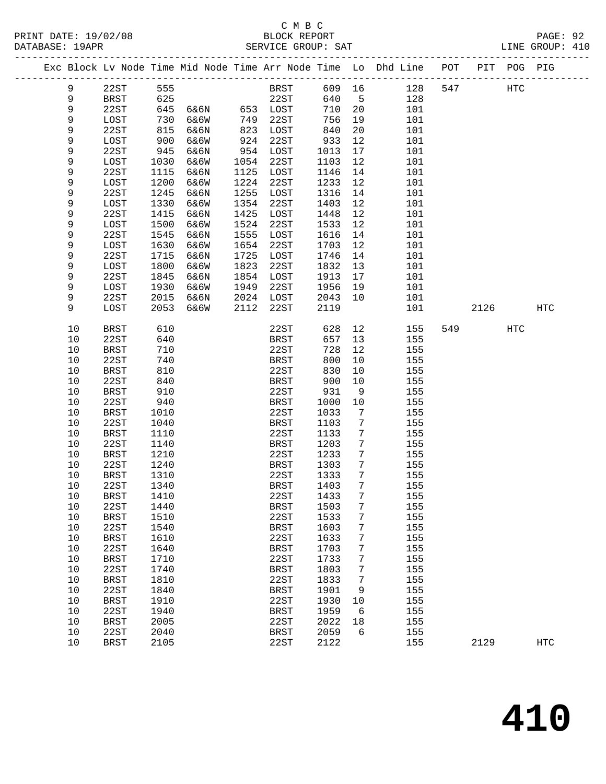|          |                     |              |      |              |              |              |                      | Exc Block Lv Node Time Mid Node Time Arr Node Time Lo Dhd Line POT |     |      | PIT POG PIG |            |
|----------|---------------------|--------------|------|--------------|--------------|--------------|----------------------|--------------------------------------------------------------------|-----|------|-------------|------------|
| 9        | 22ST                | 555          |      |              | BRST         | 609 16       |                      | 128                                                                | 547 |      | HTC         |            |
| 9        | BRST                | 625          |      |              | 22ST         | 640          | $5^{\circ}$          | 128                                                                |     |      |             |            |
| 9        | 22ST                | 645          | 6&6N |              | 653 LOST     | 710          | 20                   | 101                                                                |     |      |             |            |
| 9        | LOST                | 730          | 6&6W | 749          | 22ST         | 756          | 19                   | 101                                                                |     |      |             |            |
| 9        | 22ST                | 815          | 6&6N | 823          | LOST         | 840          | 20                   | 101                                                                |     |      |             |            |
| 9        | LOST                | 900          | 6&6W | 924          | 22ST         | 933          | 12                   | 101                                                                |     |      |             |            |
| 9        | 22ST                | 945          | 6&6N | 954          | LOST         | 1013         | 17                   | 101                                                                |     |      |             |            |
| 9        | LOST                | 1030         | 6&6W | 1054         | 22ST         | 1103         | 12                   | 101                                                                |     |      |             |            |
| 9        | 22ST                | 1115         | 6&6N | 1125         | LOST         | 1146         | 14                   | 101                                                                |     |      |             |            |
| 9        | LOST                | 1200         | 6&6W | 1224         | 22ST         | 1233         | 12                   | 101                                                                |     |      |             |            |
| 9        | 22ST                | 1245         | 6&6N | 1255         | LOST         | 1316         | 14                   | 101                                                                |     |      |             |            |
| 9        | LOST                | 1330         | 6&6W | 1354         | 22ST         | 1403         | 12                   | 101                                                                |     |      |             |            |
| 9        | 22ST                | 1415         | 6&6N | 1425         | LOST         | 1448         | 12                   | 101                                                                |     |      |             |            |
| 9        | LOST                | 1500         | 6&6W | 1524         | 22ST         | 1533         | 12                   | 101                                                                |     |      |             |            |
| 9        | 22ST                | 1545         | 6&6N | 1555         | LOST         | 1616         | 14                   | 101                                                                |     |      |             |            |
| 9        | LOST                | 1630         | 6&6W | 1654         | 22ST         | 1703         | 12                   | 101                                                                |     |      |             |            |
| 9        | 22ST                | 1715         | 6&6N | 1725         | LOST         | 1746         | 14                   | 101                                                                |     |      |             |            |
| 9        | LOST                | 1800         | 6&6W | 1823         | 22ST         | 1832         | 13                   | 101                                                                |     |      |             |            |
| 9        | 22ST                | 1845         | 6&6N | 1854         | LOST         | 1913         | 17                   | 101                                                                |     |      |             |            |
| 9        | LOST                | 1930         | 6&6W | 1949<br>2024 | 22ST         | 1956<br>2043 | 19                   | 101                                                                |     |      |             |            |
| 9<br>9   | 22ST                | 2015<br>2053 | 6&6N |              | LOST         |              | 10                   | 101                                                                |     | 2126 |             | <b>HTC</b> |
|          | LOST                |              | 6&6W | 2112         | 22ST         | 2119         |                      | 101                                                                |     |      |             |            |
| 10       | <b>BRST</b>         | 610          |      |              | 22ST         | 628          | 12                   | 155                                                                | 549 |      | HTC         |            |
| 10       | 22ST                | 640          |      |              | <b>BRST</b>  | 657          | 13                   | 155                                                                |     |      |             |            |
| 10       | BRST                | 710          |      |              | 22ST         | 728          | 12                   | 155                                                                |     |      |             |            |
| 10       | 22ST                | 740          |      |              | BRST         | 800          | 10                   | 155                                                                |     |      |             |            |
| 10       | BRST                | 810          |      |              | 22ST         | 830          | 10                   | 155                                                                |     |      |             |            |
| 10       | 22ST                | 840          |      |              | BRST         | 900          | 10                   | 155                                                                |     |      |             |            |
| 10       | BRST                | 910          |      |              | 22ST         | 931          | 9                    | 155                                                                |     |      |             |            |
| 10       | 22ST                | 940          |      |              | BRST         | 1000         | 10                   | 155                                                                |     |      |             |            |
| 10       | BRST                | 1010         |      |              | 22ST         | 1033         | 7                    | 155                                                                |     |      |             |            |
| 10       | 22ST                | 1040         |      |              | BRST         | 1103         | 7                    | 155                                                                |     |      |             |            |
| 10       | BRST                | 1110         |      |              | 22ST         | 1133         | 7                    | 155                                                                |     |      |             |            |
| 10       | 22ST                | 1140         |      |              | BRST         | 1203         | 7                    | 155                                                                |     |      |             |            |
| 10<br>10 | <b>BRST</b><br>22ST | 1210<br>1240 |      |              | 22ST<br>BRST | 1233<br>1303 | $7\phantom{.0}$<br>7 | 155<br>155                                                         |     |      |             |            |
| 10       | BRST                | 1310         |      |              | 22ST         | 1333         | 7                    | 155                                                                |     |      |             |            |
| 10       | 22ST                | 1340         |      |              | BRST         | 1403         | 7                    | 155                                                                |     |      |             |            |
| $10$     | <b>BRST</b>         | 1410         |      |              | 22ST 1433 7  |              |                      | 155                                                                |     |      |             |            |
| 10       | 22ST                | 1440         |      |              | <b>BRST</b>  | 1503         | 7                    | 155                                                                |     |      |             |            |
| 10       | <b>BRST</b>         | 1510         |      |              | 22ST         | 1533         | 7                    | 155                                                                |     |      |             |            |
| 10       | 22ST                | 1540         |      |              | <b>BRST</b>  | 1603         | 7                    | 155                                                                |     |      |             |            |
| 10       | <b>BRST</b>         | 1610         |      |              | 22ST         | 1633         | 7                    | 155                                                                |     |      |             |            |
| 10       | 22ST                | 1640         |      |              | <b>BRST</b>  | 1703         | 7                    | 155                                                                |     |      |             |            |
| 10       | <b>BRST</b>         | 1710         |      |              | 22ST         | 1733         | 7                    | 155                                                                |     |      |             |            |
| 10       | 22ST                | 1740         |      |              | <b>BRST</b>  | 1803         | 7                    | 155                                                                |     |      |             |            |
| 10       | <b>BRST</b>         | 1810         |      |              | 22ST         | 1833         | 7                    | 155                                                                |     |      |             |            |
| 10       | 22ST                | 1840         |      |              | <b>BRST</b>  | 1901         | 9                    | 155                                                                |     |      |             |            |
| 10       | <b>BRST</b>         | 1910         |      |              | 22ST         | 1930         | 10                   | 155                                                                |     |      |             |            |
| 10       | 22ST                | 1940         |      |              | <b>BRST</b>  | 1959         | 6                    | 155                                                                |     |      |             |            |
| 10       | <b>BRST</b>         | 2005         |      |              | 22ST         | 2022         | $18\,$               | 155                                                                |     |      |             |            |
| 10       | 22ST                | 2040         |      |              | <b>BRST</b>  | 2059         | 6                    | 155                                                                |     |      |             |            |
| 10       | <b>BRST</b>         | 2105         |      |              | 22ST         | 2122         |                      | 155                                                                |     | 2129 |             | <b>HTC</b> |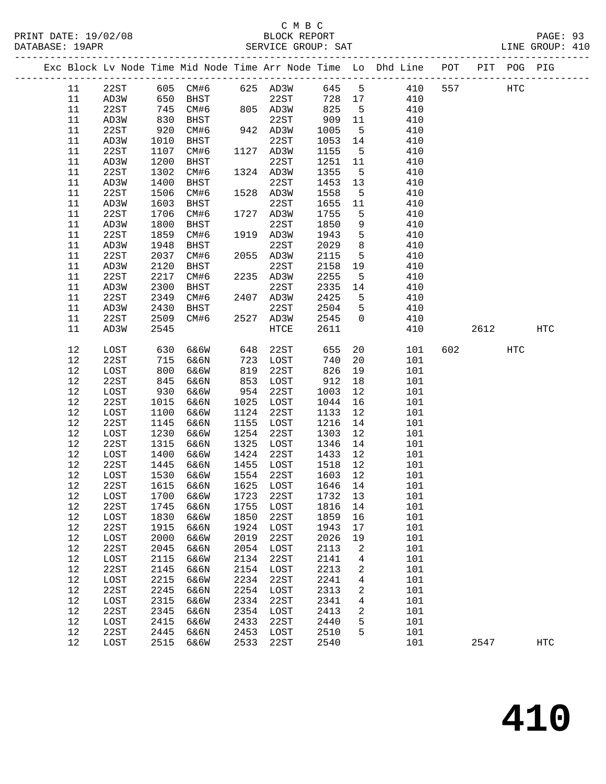|  |          |              |            |                          |            |              |            |                | Exc Block Lv Node Time Mid Node Time Arr Node Time Lo Dhd Line POT PIT POG PIG |     |         |     |                   |
|--|----------|--------------|------------|--------------------------|------------|--------------|------------|----------------|--------------------------------------------------------------------------------|-----|---------|-----|-------------------|
|  | 11       | 22ST         |            | 605 CM#6 625 AD3W        |            |              | 645 5      |                | 410                                                                            | 557 |         | HTC |                   |
|  | 11       | AD3W         | 650        | BHST                     |            | 22ST         | 728 17     |                | 410                                                                            |     |         |     |                   |
|  | 11       | 22ST         | 745        | CM#6                     |            | 805 AD3W     | 825        | $5^{\circ}$    | 410                                                                            |     |         |     |                   |
|  | 11       | AD3W         | 830        | BHST                     |            | 22ST         | 909        | 11             | 410                                                                            |     |         |     |                   |
|  | 11       | 22ST         | 920        | CM#6                     |            | 942 AD3W     | 1005       | $5^{\circ}$    | 410                                                                            |     |         |     |                   |
|  | 11       | AD3W         | 1010       | BHST                     |            | 22ST         | 1053       | 14             | 410                                                                            |     |         |     |                   |
|  | 11       | 22ST         | 1107       | CM#6                     |            | 1127 AD3W    | 1155       | $5^{\circ}$    | 410                                                                            |     |         |     |                   |
|  | 11       | AD3W         | 1200       | BHST                     |            | 22ST         | 1251       | 11             | 410                                                                            |     |         |     |                   |
|  | 11       | 22ST         | 1302       | CM#6                     |            | 1324 AD3W    | 1355       | $5^{\circ}$    | 410                                                                            |     |         |     |                   |
|  | 11       | AD3W         | 1400       | BHST                     |            | 22ST         | 1453       | 13             | 410                                                                            |     |         |     |                   |
|  | 11       | 22ST         | 1506       | CM#6                     |            | 1528 AD3W    | 1558       | $5^{\circ}$    | 410                                                                            |     |         |     |                   |
|  | 11       | AD3W         | 1603       | BHST                     |            | 22ST         | 1655       | 11             | 410                                                                            |     |         |     |                   |
|  | 11       | 22ST         | 1706       | CM#6                     |            | 1727 AD3W    | 1755       | 5              | 410                                                                            |     |         |     |                   |
|  | 11       | AD3W         | 1800       | BHST                     |            | 22ST         | 1850       | 9              | 410                                                                            |     |         |     |                   |
|  | 11       | 22ST         | 1859       | CM#6                     |            | 1919 AD3W    | 1943       | $5^{\circ}$    | 410                                                                            |     |         |     |                   |
|  | 11       | AD3W         | 1948       | BHST                     |            | 22ST         | 2029       | 8              | 410                                                                            |     |         |     |                   |
|  | 11       | 22ST         | 2037       | CM#6                     |            | 2055 AD3W    | 2115       | $5^{\circ}$    | 410                                                                            |     |         |     |                   |
|  | 11       | AD3W         | 2120       | BHST                     |            | 22ST         | 2158       | 19             | 410                                                                            |     |         |     |                   |
|  | 11       | 22ST         | 2217       | CM#6                     |            | 2235 AD3W    | 2255       | $5^{\circ}$    | 410                                                                            |     |         |     |                   |
|  | 11       | AD3W         | 2300       | BHST                     |            | 22ST         | 2335       | 14             | 410                                                                            |     |         |     |                   |
|  | 11       | 22ST         | 2349       | CM#6                     |            | 2407 AD3W    | 2425       | 5              | 410                                                                            |     |         |     |                   |
|  | 11       | AD3W         | 2430       | BHST                     |            | 22ST         | 2504       | 5              | 410                                                                            |     |         |     |                   |
|  | 11       | 22ST         | 2509       | CM#6                     |            | 2527 AD3W    | 2545       | $\overline{0}$ | 410                                                                            |     |         |     |                   |
|  | 11       | AD3W         | 2545       |                          |            | HTCE         | 2611       |                | 410                                                                            |     | 2612    |     | $_{\mathrm{HTC}}$ |
|  |          |              |            |                          |            |              |            |                |                                                                                |     |         |     |                   |
|  | 12       | LOST         | 630<br>715 | 6&6W                     | 648        | 22ST         | 655        | 20             | 101                                                                            |     | 602 000 | HTC |                   |
|  | 12       | 22ST         |            | 6&6N                     | 723        | LOST         | 740        | 20             | 101                                                                            |     |         |     |                   |
|  | 12<br>12 | LOST<br>22ST | 800<br>845 | 6&6W                     | 819<br>853 | 22ST         | 826<br>912 | 19             | 101                                                                            |     |         |     |                   |
|  | 12       | LOST         | 930        | 6&6N<br>6&6W             | 954        | LOST<br>22ST | 1003       | 18<br>12       | 101<br>101                                                                     |     |         |     |                   |
|  | 12       | 22ST         | 1015       | 6&6N                     | 1025       | LOST         | 1044       | 16             | 101                                                                            |     |         |     |                   |
|  | 12       | LOST         | 1100       | 6&6W                     | 1124       | 22ST         | 1133       | 12             | 101                                                                            |     |         |     |                   |
|  | $12$     | 22ST         | 1145       | 6&6N                     | 1155       | LOST         | 1216       | 14             | 101                                                                            |     |         |     |                   |
|  | 12       | LOST         | 1230       | 6&6W                     | 1254       | 22ST         | 1303       | 12             | 101                                                                            |     |         |     |                   |
|  | 12       | 22ST         | 1315       | 6&6N                     | 1325       | LOST         | 1346       | 14             | 101                                                                            |     |         |     |                   |
|  | 12       | LOST         | 1400       | 6&6W                     | 1424       | 22ST         | 1433       | 12             | 101                                                                            |     |         |     |                   |
|  | $12$     | 22ST         | 1445       | 6&6N                     | 1455       | LOST         | 1518       | 12             | 101                                                                            |     |         |     |                   |
|  | 12       | LOST         | 1530       | 6&6W                     | 1554       | 22ST         | 1603       | 12             | 101                                                                            |     |         |     |                   |
|  | 12       | 22ST         | 1615       | 6&6N                     |            | 1625 LOST    | 1646       | 14             | 101                                                                            |     |         |     |                   |
|  | 12       |              |            | LOST 1700 6&6W 1723 22ST |            |              | 1732 13    |                | 101                                                                            |     |         |     |                   |
|  | 12       | 22ST         | 1745       | 6&6N                     | 1755       | LOST         | 1816       | 14             | 101                                                                            |     |         |     |                   |
|  | 12       | LOST         | 1830       | 6&6W                     | 1850       | 22ST         | 1859       | 16             | 101                                                                            |     |         |     |                   |
|  | 12       | 22ST         | 1915       | 6&6N                     | 1924       | LOST         | 1943       | 17             | 101                                                                            |     |         |     |                   |
|  | 12       | LOST         | 2000       | 6&6W                     | 2019       | 22ST         | 2026       | 19             | 101                                                                            |     |         |     |                   |
|  | $12$     | 22ST         | 2045       | 6&6N                     | 2054       | LOST         | 2113       | 2              | 101                                                                            |     |         |     |                   |
|  | 12       | LOST         | 2115       | 6&6W                     | 2134       | 22ST         | 2141       | 4              | 101                                                                            |     |         |     |                   |
|  | 12       | 22ST         | 2145       | 6&6N                     | 2154       | LOST         | 2213       | 2              | 101                                                                            |     |         |     |                   |
|  | 12       | LOST         | 2215       | 6&6W                     | 2234       | 22ST         | 2241       | 4              | 101                                                                            |     |         |     |                   |
|  | 12       | 22ST         | 2245       | 6&6N                     | 2254       | LOST         | 2313       | 2              | 101                                                                            |     |         |     |                   |
|  | 12       | LOST         | 2315       | 6&6W                     | 2334       | 22ST         | 2341       | 4              | 101                                                                            |     |         |     |                   |
|  | 12       | 22ST         | 2345       | 6&6N                     | 2354       | LOST         | 2413       | 2              | 101                                                                            |     |         |     |                   |
|  | 12       | LOST         | 2415       | 6&6W                     | 2433       | 22ST         | 2440       | 5              | 101                                                                            |     |         |     |                   |
|  | 12       | 22ST         | 2445       | 6&6N                     | 2453       | LOST         | 2510       | 5              | 101                                                                            |     |         |     |                   |
|  | 12       | LOST         | 2515       | 6&6W                     | 2533       | 22ST         | 2540       |                | 101                                                                            |     | 2547    |     | HTC               |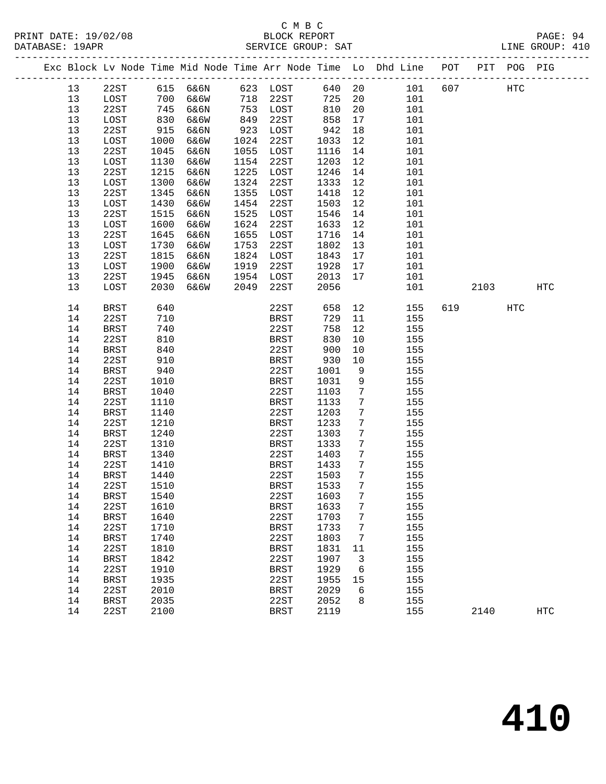# C M B C<br>BLOCK REPORT

| 19/02/08<br>PRINT 1<br>DATE: | DT<br>REPORT<br>CCK         | PAGE                  |
|------------------------------|-----------------------------|-----------------------|
| 9APR<br>DATABASE:            | GROUP:<br>SAT<br>그도<br>ミドドバ | 410<br>TNE.<br>GROUP: |
|                              |                             |                       |

|  |    |             |      |          |      |             |        |                 | Exc Block Lv Node Time Mid Node Time Arr Node Time Lo Dhd Line | POT |      | PIT POG PIG |            |
|--|----|-------------|------|----------|------|-------------|--------|-----------------|----------------------------------------------------------------|-----|------|-------------|------------|
|  | 13 | 22ST        |      | 615 6&6N |      | 623 LOST    | 640 20 |                 | 101                                                            | 607 |      | HTC         |            |
|  | 13 | LOST        | 700  | 6&6W     |      | 718 22ST    | 725    | 20              | 101                                                            |     |      |             |            |
|  | 13 | 22ST        | 745  | 6&6N     | 753  | LOST        | 810    | 20              | 101                                                            |     |      |             |            |
|  | 13 | LOST        | 830  | 6&6W     | 849  | 22ST        | 858    | 17              | 101                                                            |     |      |             |            |
|  | 13 | 22ST        | 915  | 6&6N     | 923  | LOST        | 942    | 18              | 101                                                            |     |      |             |            |
|  | 13 | LOST        | 1000 | 6&6W     | 1024 | 22ST        | 1033   | 12              | 101                                                            |     |      |             |            |
|  | 13 | 22ST        | 1045 | 6&6N     | 1055 | LOST        | 1116   | 14              | 101                                                            |     |      |             |            |
|  | 13 | LOST        | 1130 | 6&6W     | 1154 | 22ST        | 1203   | 12              | 101                                                            |     |      |             |            |
|  | 13 | 22ST        | 1215 | 6&6N     | 1225 | LOST        | 1246   | 14              | 101                                                            |     |      |             |            |
|  | 13 | LOST        | 1300 | 6&6W     | 1324 | 22ST        | 1333   | 12              | 101                                                            |     |      |             |            |
|  | 13 | 22ST        | 1345 | 6&6N     | 1355 | LOST        | 1418   | 12              | 101                                                            |     |      |             |            |
|  | 13 | LOST        | 1430 | 6&6W     | 1454 | 22ST        | 1503   | 12              | 101                                                            |     |      |             |            |
|  | 13 | 22ST        | 1515 | 6&6N     | 1525 | LOST        | 1546   | 14              | 101                                                            |     |      |             |            |
|  | 13 | LOST        | 1600 | 6&6W     | 1624 | 22ST        | 1633   | 12              | 101                                                            |     |      |             |            |
|  | 13 | 22ST        | 1645 | 6&6N     | 1655 | LOST        | 1716   | 14              | 101                                                            |     |      |             |            |
|  | 13 | LOST        | 1730 | 6&6W     | 1753 | 22ST        | 1802   | 13              | 101                                                            |     |      |             |            |
|  | 13 | 22ST        | 1815 | 6&6N     | 1824 | LOST        | 1843   | 17              | 101                                                            |     |      |             |            |
|  | 13 | LOST        | 1900 | 6&6W     | 1919 | 22ST        | 1928   | 17              | 101                                                            |     |      |             |            |
|  | 13 | 22ST        | 1945 | 6&6N     | 1954 | LOST        | 2013   | 17              | 101                                                            |     |      |             |            |
|  | 13 | LOST        | 2030 | 6&6W     | 2049 | 22ST        | 2056   |                 | 101                                                            |     | 2103 |             | <b>HTC</b> |
|  |    |             |      |          |      |             |        |                 |                                                                |     |      |             |            |
|  | 14 | <b>BRST</b> | 640  |          |      | 22ST        | 658    | 12              | 155                                                            | 619 |      | HTC         |            |
|  | 14 | 22ST        | 710  |          |      | BRST        | 729    | 11              | 155                                                            |     |      |             |            |
|  | 14 | BRST        | 740  |          |      | 22ST        | 758    | 12              | 155                                                            |     |      |             |            |
|  | 14 | 22ST        | 810  |          |      | BRST        | 830    | 10              | 155                                                            |     |      |             |            |
|  | 14 | BRST        | 840  |          |      | 22ST        | 900    | 10              | 155                                                            |     |      |             |            |
|  | 14 | 22ST        | 910  |          |      | BRST        | 930    | 10              | 155                                                            |     |      |             |            |
|  | 14 | BRST        | 940  |          |      | 22ST        | 1001   | 9               | 155                                                            |     |      |             |            |
|  | 14 | 22ST        | 1010 |          |      | BRST        | 1031   | 9               | 155                                                            |     |      |             |            |
|  | 14 | <b>BRST</b> | 1040 |          |      | 22ST        | 1103   | 7               | 155                                                            |     |      |             |            |
|  | 14 | 22ST        | 1110 |          |      | <b>BRST</b> | 1133   | $7\phantom{.0}$ | 155                                                            |     |      |             |            |
|  | 14 | <b>BRST</b> | 1140 |          |      | 22ST        | 1203   | 7               | 155                                                            |     |      |             |            |
|  | 14 | 22ST        | 1210 |          |      | BRST        | 1233   | 7               | 155                                                            |     |      |             |            |
|  | 14 | BRST        | 1240 |          |      | 22ST        | 1303   | 7               | 155                                                            |     |      |             |            |
|  | 14 | 22ST        | 1310 |          |      | BRST        | 1333   | $7\phantom{.0}$ | 155                                                            |     |      |             |            |
|  | 14 | BRST        | 1340 |          |      | 22ST        | 1403   | $7\phantom{.0}$ | 155                                                            |     |      |             |            |
|  | 14 | 22ST        | 1410 |          |      | BRST        | 1433   | $7\phantom{.0}$ | 155                                                            |     |      |             |            |
|  | 14 | BRST        | 1440 |          |      | 22ST        | 1503   | $7\phantom{.0}$ | 155                                                            |     |      |             |            |
|  | 14 | 22ST        | 1510 |          |      | BRST        | 1533   | 7               | 155                                                            |     |      |             |            |
|  | 14 | BRST        | 1540 |          |      | 22ST 1603   |        | 7 <sup>7</sup>  | 155                                                            |     |      |             |            |
|  | 14 | 22ST        | 1610 |          |      | BRST        | 1633   | 7               | 155                                                            |     |      |             |            |
|  | 14 | <b>BRST</b> | 1640 |          |      | 22ST        | 1703   | 7               | 155                                                            |     |      |             |            |
|  | 14 | 22ST        | 1710 |          |      | <b>BRST</b> | 1733   | 7               | 155                                                            |     |      |             |            |
|  | 14 | <b>BRST</b> | 1740 |          |      | 22ST        | 1803   | 7               | 155                                                            |     |      |             |            |
|  | 14 | 22ST        | 1810 |          |      | BRST        | 1831   | 11              | 155                                                            |     |      |             |            |
|  | 14 | <b>BRST</b> | 1842 |          |      | 22ST        | 1907   | 3               | 155                                                            |     |      |             |            |
|  | 14 | 22ST        | 1910 |          |      | BRST        | 1929   | 6               | 155                                                            |     |      |             |            |
|  | 14 | <b>BRST</b> | 1935 |          |      | 22ST        | 1955   | 15              | 155                                                            |     |      |             |            |
|  | 14 | 22ST        | 2010 |          |      | BRST        | 2029   | 6               | 155                                                            |     |      |             |            |
|  | 14 | <b>BRST</b> | 2035 |          |      | 22ST        | 2052   | 8               | 155                                                            |     |      |             |            |
|  | 14 | 22ST        | 2100 |          |      | <b>BRST</b> | 2119   |                 | 155                                                            |     | 2140 |             | <b>HTC</b> |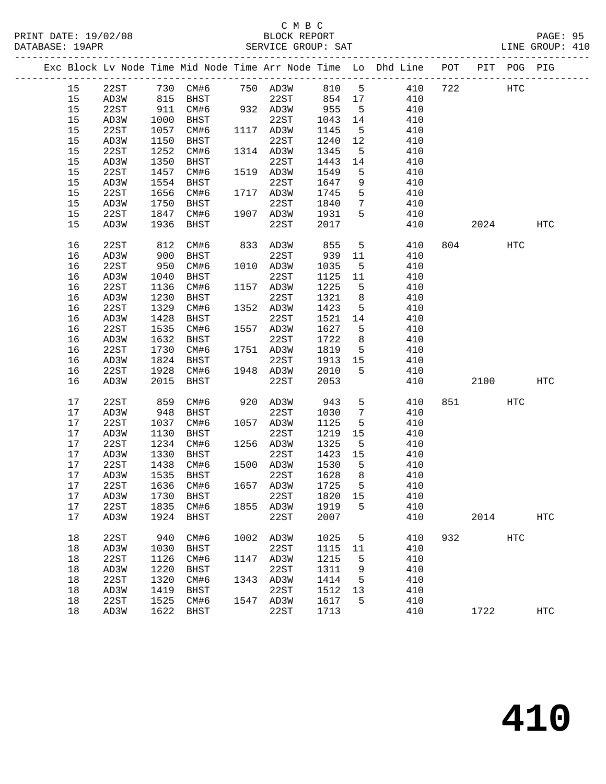|  |    |                |      |      |      |           |         |                              | Exc Block Lv Node Time Mid Node Time Arr Node Time Lo Dhd Line POT |     |           | PIT POG PIG  |            |
|--|----|----------------|------|------|------|-----------|---------|------------------------------|--------------------------------------------------------------------|-----|-----------|--------------|------------|
|  | 15 | 22ST           |      |      |      |           |         |                              |                                                                    | 722 |           | $_{\rm HTC}$ |            |
|  | 15 | AD3W           |      |      |      |           |         |                              | 410                                                                |     |           |              |            |
|  | 15 | 22ST           | 911  | CM#6 |      | 932 AD3W  | 955     | $5^{\circ}$                  | 410                                                                |     |           |              |            |
|  | 15 | AD3W           | 1000 | BHST |      | 22ST      | 1043    | 14                           | 410                                                                |     |           |              |            |
|  | 15 | 22ST           | 1057 | CM#6 |      | 1117 AD3W | 1145    | $5^{\circ}$                  | 410                                                                |     |           |              |            |
|  | 15 | AD3W           | 1150 | BHST |      | 22ST      | 1240    | 12                           | 410                                                                |     |           |              |            |
|  | 15 | 22ST           | 1252 | CM#6 |      | 1314 AD3W | 1345    | $5^{\circ}$                  | 410                                                                |     |           |              |            |
|  | 15 | AD3W           | 1350 | BHST |      | 22ST      | 1443    | 14                           | 410                                                                |     |           |              |            |
|  | 15 | 22ST           | 1457 | CM#6 |      | 1519 AD3W | 1549    | 5                            | 410                                                                |     |           |              |            |
|  | 15 | AD3W           | 1554 | BHST |      | 22ST      | 1647    | 9                            | 410                                                                |     |           |              |            |
|  | 15 | 22ST           | 1656 | CM#6 |      | 1717 AD3W | 1745    | 5                            | 410                                                                |     |           |              |            |
|  | 15 | AD3W           | 1750 | BHST |      | 22ST      | 1840    | $\overline{7}$               | 410                                                                |     |           |              |            |
|  | 15 | 22ST           | 1847 | CM#6 |      | 1907 AD3W | 1931    | 5                            | 410                                                                |     |           |              |            |
|  | 15 | AD3W           | 1936 | BHST |      | 22ST      | 2017    |                              | 410                                                                |     | 2024      |              | HTC        |
|  | 16 | 22ST           | 812  | CM#6 |      | 833 AD3W  | 855     | 5                            | 410                                                                |     | 804       | HTC          |            |
|  | 16 | AD3W           | 900  | BHST |      | 22ST      | 939     | 11                           | 410                                                                |     |           |              |            |
|  | 16 | 22ST           | 950  | CM#6 |      | 1010 AD3W | 1035    | $-5$                         | 410                                                                |     |           |              |            |
|  | 16 | AD3W           | 1040 | BHST |      | 22ST      | 1125    | 11                           | 410                                                                |     |           |              |            |
|  | 16 | 22ST           | 1136 | CM#6 |      | 1157 AD3W | 1225    | $5^{\circ}$                  | 410                                                                |     |           |              |            |
|  | 16 | AD3W           | 1230 | BHST |      | 22ST      | 1321    | 8                            | 410                                                                |     |           |              |            |
|  | 16 | 22ST           | 1329 | CM#6 |      | 1352 AD3W | 1423    | $5^{\circ}$                  | 410                                                                |     |           |              |            |
|  | 16 | AD3W           | 1428 | BHST |      | 22ST      | 1521    | 14                           | 410                                                                |     |           |              |            |
|  | 16 | 22ST           | 1535 | CM#6 |      | 1557 AD3W | 1627    | $-5$                         | 410                                                                |     |           |              |            |
|  | 16 | AD3W           | 1632 | BHST |      | 22ST      | 1722    | 8                            | 410                                                                |     |           |              |            |
|  | 16 | 22ST           | 1730 | CM#6 |      | 1751 AD3W | 1819    | 5 <sup>5</sup>               | 410                                                                |     |           |              |            |
|  | 16 | AD3W           | 1824 | BHST |      | 22ST      | 1913    | 15                           | 410                                                                |     |           |              |            |
|  | 16 | 22ST           | 1928 | CM#6 |      | 1948 AD3W | 2010    | 5                            | 410                                                                |     |           |              |            |
|  | 16 | AD3W           | 2015 | BHST |      | 22ST      | 2053    |                              | 410                                                                |     | 2100      |              | <b>HTC</b> |
|  | 17 | 22ST           | 859  | CM#6 |      | 920 AD3W  | 943     | 5 <sup>5</sup>               | 410                                                                |     | 851 — 100 | HTC          |            |
|  | 17 | AD3W           | 948  | BHST |      | 22ST      | 1030    | $7\phantom{.0}\phantom{.0}7$ | 410                                                                |     |           |              |            |
|  | 17 | 22ST           | 1037 | CM#6 |      | 1057 AD3W | 1125    | 5                            | 410                                                                |     |           |              |            |
|  | 17 | AD3W           | 1130 | BHST |      | 22ST      | 1219    | 15                           | 410                                                                |     |           |              |            |
|  | 17 | 22ST           | 1234 | CM#6 |      | 1256 AD3W | 1325    | $5^{\circ}$                  | 410                                                                |     |           |              |            |
|  | 17 | AD3W           | 1330 | BHST |      | 22ST      | 1423    | 15                           | 410                                                                |     |           |              |            |
|  | 17 | 22ST           | 1438 | CM#6 |      | 1500 AD3W | 1530    | $5^{\circ}$                  | 410                                                                |     |           |              |            |
|  | 17 | AD3W           | 1535 | BHST |      | 22ST      | 1628    | 8                            | 410                                                                |     |           |              |            |
|  | 17 | 22ST           | 1636 | CM#6 |      | 1657 AD3W | 1725    | $5^{\circ}$                  | 410                                                                |     |           |              |            |
|  | 17 | AD3W 1730 BHST |      |      |      | 22ST      | 1820 15 |                              | 410                                                                |     |           |              |            |
|  | 17 | 22ST           | 1835 | CM#6 |      | 1855 AD3W | 1919    | 5                            | 410                                                                |     |           |              |            |
|  | 17 | AD3W           | 1924 | BHST |      | 22ST      | 2007    |                              | 410                                                                |     | 2014      |              | <b>HTC</b> |
|  | 18 | 22ST           | 940  | CM#6 | 1002 | AD3W      | 1025    | 5                            | 410                                                                | 932 |           | <b>HTC</b>   |            |
|  | 18 | AD3W           | 1030 | BHST |      | 22ST      | 1115    | 11                           | 410                                                                |     |           |              |            |
|  | 18 | 22ST           | 1126 | CM#6 | 1147 | AD3W      | 1215    | 5                            | 410                                                                |     |           |              |            |
|  | 18 | AD3W           | 1220 | BHST |      | 22ST      | 1311    | 9                            | 410                                                                |     |           |              |            |
|  | 18 | 22ST           | 1320 | CM#6 | 1343 | AD3W      | 1414    | 5                            | 410                                                                |     |           |              |            |
|  | 18 | AD3W           | 1419 | BHST |      | 22ST      | 1512    | 13                           | 410                                                                |     |           |              |            |
|  | 18 | 22ST           | 1525 | CM#6 | 1547 | AD3W      | 1617    | 5                            | 410                                                                |     |           |              |            |
|  | 18 | AD3W           | 1622 | BHST |      | 22ST      | 1713    |                              | 410                                                                |     | 1722      |              | <b>HTC</b> |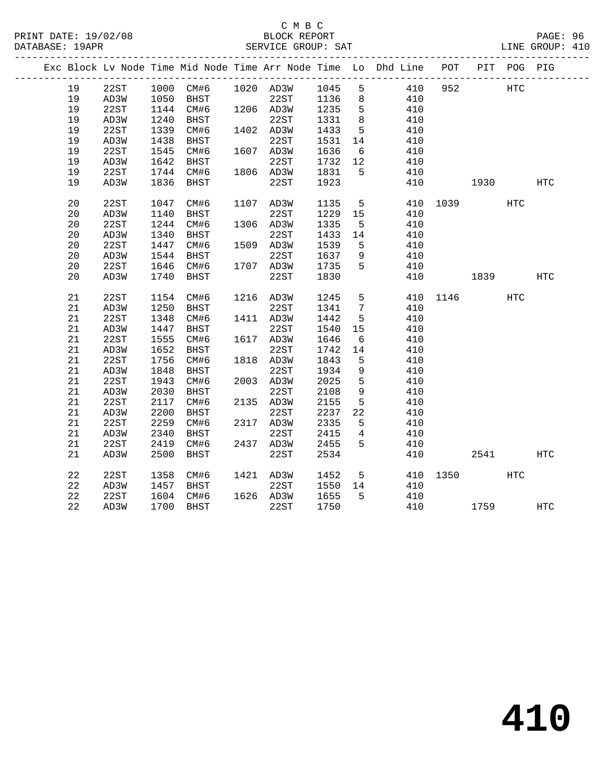#### C M B C<br>BLOCK REPORT SERVICE GROUP: SAT

|  |    |      |      |             |                            |         |                 | Exc Block Lv Node Time Mid Node Time Arr Node Time Lo Dhd Line POT |          |                   | PIT POG PIG |              |
|--|----|------|------|-------------|----------------------------|---------|-----------------|--------------------------------------------------------------------|----------|-------------------|-------------|--------------|
|  | 19 | 22ST |      |             | 1000 CM#6 1020 AD3W 1045 5 |         |                 | 410                                                                | 952      | HTC               |             |              |
|  | 19 | AD3W | 1050 | <b>BHST</b> | 22ST 1136                  |         | 8 <sup>8</sup>  | 410                                                                |          |                   |             |              |
|  | 19 | 22ST | 1144 | CM#6        | 1206 AD3W                  | 1235    | $5^{\circ}$     | 410                                                                |          |                   |             |              |
|  | 19 | AD3W | 1240 | BHST        | 22ST                       | 1331    | 8 <sup>8</sup>  | 410                                                                |          |                   |             |              |
|  | 19 | 22ST | 1339 | CM#6        | 1402 AD3W                  | 1433    | 5               | 410                                                                |          |                   |             |              |
|  | 19 | AD3W | 1438 | BHST        | 22ST                       | 1531    | 14              | 410                                                                |          |                   |             |              |
|  | 19 | 22ST | 1545 | CM#6        | 1607 AD3W                  | 1636    | 6               | 410                                                                |          |                   |             |              |
|  | 19 | AD3W | 1642 | BHST        | 22ST                       | 1732    | 12              | 410                                                                |          |                   |             |              |
|  | 19 | 22ST | 1744 | CM#6        | 1806 AD3W                  | 1831    | 5               | 410                                                                |          |                   |             |              |
|  | 19 | AD3W | 1836 | BHST        | 22ST                       | 1923    |                 | 410                                                                |          | 1930 1990         |             | $_{\rm HTC}$ |
|  | 20 | 22ST | 1047 | CM#6        | 1107 AD3W                  | 1135    | $5\overline{)}$ | 410                                                                |          | 1039 — 1039 — 104 | HTC         |              |
|  | 20 | AD3W | 1140 | BHST        | 22ST                       | 1229    | 15              | 410                                                                |          |                   |             |              |
|  | 20 | 22ST | 1244 | CM#6        | 1306 AD3W                  | 1335    | $5^{\circ}$     | 410                                                                |          |                   |             |              |
|  | 20 | AD3W | 1340 | BHST        | 22ST                       | 1433    | 14              | 410                                                                |          |                   |             |              |
|  | 20 | 22ST | 1447 | CM#6        | 1509 AD3W                  | 1539    | 5               | 410                                                                |          |                   |             |              |
|  | 20 | AD3W | 1544 | BHST        | 22ST                       | 1637    | 9               | 410                                                                |          |                   |             |              |
|  | 20 | 22ST | 1646 | CM#6        | 1707 AD3W                  | 1735    | 5               | 410                                                                |          |                   |             |              |
|  | 20 | AD3W | 1740 | BHST        | 22ST                       | 1830    |                 | 410                                                                |          | 1839              |             | HTC          |
|  | 21 | 22ST | 1154 | CM#6        | 1216 AD3W                  | 1245    | 5               |                                                                    | 410 1146 |                   | HTC         |              |
|  | 21 | AD3W | 1250 | BHST        | 22ST                       | 1341    | $7\phantom{.0}$ | 410                                                                |          |                   |             |              |
|  | 21 | 22ST | 1348 | CM#6        | 1411 AD3W                  | 1442    | 5               | 410                                                                |          |                   |             |              |
|  | 21 | AD3W | 1447 | BHST        | 22ST                       | 1540    | 15              | 410                                                                |          |                   |             |              |
|  | 21 | 22ST | 1555 | CM#6        | 1617 AD3W                  | 1646    | 6               | 410                                                                |          |                   |             |              |
|  | 21 | AD3W | 1652 | BHST        | 22ST                       | 1742    | 14              | 410                                                                |          |                   |             |              |
|  | 21 | 22ST | 1756 | CM#6        | 1818 AD3W                  | 1843    | $5^{\circ}$     | 410                                                                |          |                   |             |              |
|  | 21 | AD3W | 1848 | BHST        | 22ST                       | 1934    | 9               | 410                                                                |          |                   |             |              |
|  | 21 | 22ST | 1943 | CM#6        | 2003 AD3W                  | 2025    | 5               | 410                                                                |          |                   |             |              |
|  | 21 | AD3W | 2030 | BHST        | 22ST                       | 2108    | $\overline{9}$  | 410                                                                |          |                   |             |              |
|  | 21 | 22ST | 2117 | CM#6        | 2135 AD3W                  | 2155    | 5               | 410                                                                |          |                   |             |              |
|  | 21 | AD3W | 2200 | BHST        | 22ST                       | 2237    | 22              | 410                                                                |          |                   |             |              |
|  | 21 | 22ST | 2259 | CM#6        | 2317 AD3W                  | 2335    | $5^{\circ}$     | 410                                                                |          |                   |             |              |
|  | 21 | AD3W | 2340 | BHST        | 22ST                       | 2415    | $\overline{4}$  | 410                                                                |          |                   |             |              |
|  | 21 | 22ST | 2419 | CM#6        | 2437 AD3W                  | 2455    | 5               | 410                                                                |          |                   |             |              |
|  | 21 | AD3W | 2500 | BHST        | 22ST                       | 2534    |                 | 410                                                                |          | 2541              |             | <b>HTC</b>   |
|  | 22 | 22ST | 1358 | CM#6        | 1421 AD3W                  | 1452    | $5^{\circ}$     | 410                                                                | 1350 30  |                   | HTC         |              |
|  | 22 | AD3W | 1457 | BHST        | 22ST                       | 1550 14 |                 | 410                                                                |          |                   |             |              |
|  | 22 | 22ST | 1604 | CM#6        | 1626 AD3W                  | 1655    | 5               | 410                                                                |          |                   |             |              |
|  | 22 | AD3W | 1700 | BHST        | 22ST                       | 1750    |                 | 410                                                                |          | 1759              |             | HTC          |
|  |    |      |      |             |                            |         |                 |                                                                    |          |                   |             |              |

**410**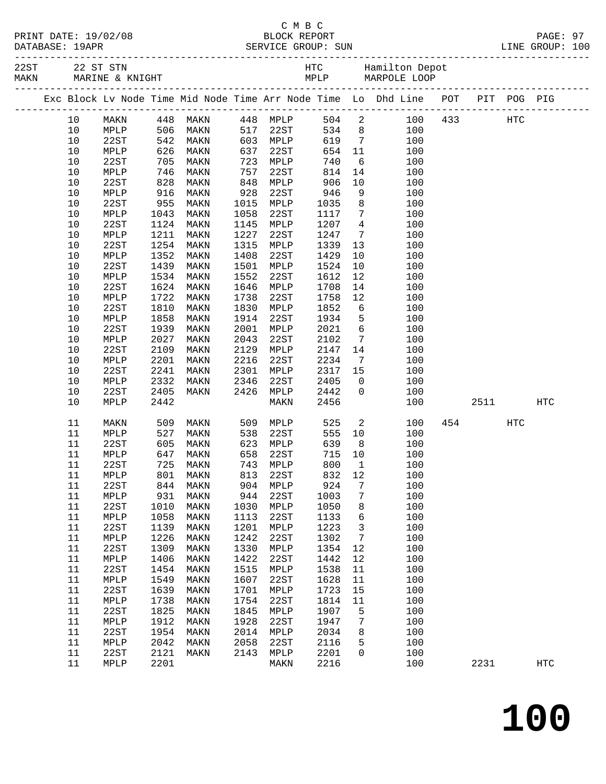|              | PRINT DATE: 19/02/08 |
|--------------|----------------------|
| . <i>.</i> . |                      |

#### C M B C PAGE: 97<br>PAGE: 97<br>RVICE GROUP: SUN PRINT CROUP: 100 DATABASE: 19APR SERVICE GROUP: SUN

| MAKN | 22ST 22 ST STN |                 |             |                                                                                |      |          |      |            |                 |       |     |             |            |                   |
|------|----------------|-----------------|-------------|--------------------------------------------------------------------------------|------|----------|------|------------|-----------------|-------|-----|-------------|------------|-------------------|
|      |                |                 |             | Exc Block Lv Node Time Mid Node Time Arr Node Time Lo Dhd Line POT PIT POG PIG |      |          |      |            |                 |       |     |             |            |                   |
|      | 10             | MAKN            |             | 448 MAKN      448 MPLP<br>506 MAKN     517 22ST<br>542 MAKN     603 MPLP       |      |          |      |            |                 | 504 2 |     | 100 433 HTC |            |                   |
|      | 10             | MPLP            |             |                                                                                |      |          |      | 534 8      |                 |       | 100 |             |            |                   |
|      | 10             | 22ST            |             |                                                                                |      |          |      | 619        | $7\overline{ }$ |       | 100 |             |            |                   |
|      | $10$           | MPLP            | 626         | MAKN                                                                           | 637  |          | 22ST | 654        | 11              |       | 100 |             |            |                   |
|      | 10             | 22ST            | 705         | MAKN                                                                           | 723  | MPLP     |      | 740        | 6               |       | 100 |             |            |                   |
|      | 10             | MPLP            | 746<br>828  | MAKN                                                                           | 757  | 22ST     |      | 814        | 14              |       | 100 |             |            |                   |
|      | 10             | 22ST            |             | MAKN                                                                           | 848  | MPLP     |      | 906        | 10              |       | 100 |             |            |                   |
|      | 10             | MPLP            | 916         | MAKN                                                                           | 928  | 22ST     |      | 946        | 9               |       | 100 |             |            |                   |
|      | 10             | 22ST            | 955         | MAKN                                                                           | 1015 | MPLP     |      | 1035       | 8 <sup>8</sup>  |       | 100 |             |            |                   |
|      | 10             | MPLP            | 1043        | MAKN                                                                           | 1058 | 22ST     |      | 1117       | $7\overline{ }$ |       | 100 |             |            |                   |
|      | 10             | 22ST            | 1124        | MAKN                                                                           | 1145 | MPLP     |      | 1207       | $4\overline{4}$ |       | 100 |             |            |                   |
|      | $10$           | MPLP            | 1211        | MAKN                                                                           | 1227 | 22ST     |      | 1247       | $7\overline{ }$ |       | 100 |             |            |                   |
|      | 10             | 22ST            | 1254        | MAKN                                                                           | 1315 | MPLP     |      | 1339       | 13              |       | 100 |             |            |                   |
|      | 10             | MPLP            | 1352        | MAKN                                                                           | 1408 | 22ST     |      | 1429       | 10              |       | 100 |             |            |                   |
|      | $10$           | 22ST            | 1439        | MAKN                                                                           | 1501 | MPLP     |      | 1524       | 10              |       | 100 |             |            |                   |
|      | $10$           | MPLP            | 1534        | MAKN                                                                           | 1552 | 22ST     |      | 1612       | 12              |       | 100 |             |            |                   |
|      | 10             | 22ST            | 1624        | MAKN                                                                           | 1646 | MPLP     |      | 1708       | 14              |       | 100 |             |            |                   |
|      | $10$           | MPLP            | 1722        | MAKN                                                                           | 1738 | 22ST     |      | 1758       | 12              |       | 100 |             |            |                   |
|      | $10$           | 22ST            | 1810        | MAKN                                                                           | 1830 | MPLP     |      | 1852       | $6\overline{6}$ |       | 100 |             |            |                   |
|      | $10$           | MPLP            | 1858        | MAKN                                                                           | 1914 | 22ST     |      | 1934       | $5^{\circ}$     |       | 100 |             |            |                   |
|      | 10             | 22ST            | 1939        | MAKN                                                                           | 2001 | MPLP     |      | 2021       | $6\overline{6}$ |       | 100 |             |            |                   |
|      | 10             | MPLP            | 2027        | MAKN                                                                           | 2043 | 22ST     |      | 2102       | $7\overline{ }$ |       | 100 |             |            |                   |
|      | $10$           | 22ST            | 2109        | MAKN                                                                           | 2129 | MPLP     |      | 2147       | 14              |       | 100 |             |            |                   |
|      | 10             | MPLP            | 2201        | MAKN                                                                           | 2216 | 22ST     |      | 2234       | $7\overline{ }$ |       | 100 |             |            |                   |
|      | 10             | 22ST            | 2241        | MAKN                                                                           | 2301 | MPLP     |      | 2317 15    |                 |       | 100 |             |            |                   |
|      | 10             | MPLP            | 2332        | MAKN                                                                           | 2346 | 22ST     |      | 2405       | $\overline{0}$  |       | 100 |             |            |                   |
|      | 10             | 22ST            | 2405        | MAKN                                                                           | 2426 | MPLP     |      | 2442       | $\mathsf{O}$    |       | 100 |             |            |                   |
|      | 10             | MPLP            | 2442        |                                                                                |      | MAKN     |      | 2456       |                 |       | 100 | 2511        |            | <b>HTC</b>        |
|      | 11             | MAKN            | 509         | MAKN                                                                           | 509  | MPLP     |      | 525        | $\overline{a}$  |       | 100 | 454         | <b>HTC</b> |                   |
|      | 11             | MPLP            | 527         | MAKN                                                                           | 538  | 22ST     |      | 555        | 10              |       | 100 |             |            |                   |
|      | 11             | 22ST            | 605         | MAKN                                                                           | 623  | MPLP     |      | 639        | 8 <sup>8</sup>  |       | 100 |             |            |                   |
|      | 11             | MPLP            | 647         | MAKN                                                                           | 658  | 22ST     |      | 715        | 10              |       | 100 |             |            |                   |
|      | 11             | 22ST            | 725         | MAKN                                                                           | 743  | MPLP     |      | 800        | $\overline{1}$  |       | 100 |             |            |                   |
|      | 11             | MPLP            | $801$ $844$ | MAKN                                                                           | 813  | 22ST     |      | 832<br>924 | 12              |       | 100 |             |            |                   |
|      | 11             | 22ST            |             | 844 MAKN                                                                       |      | 904 MPLP |      |            | $\overline{7}$  |       | 100 |             |            |                   |
|      | 11 MPLP        |                 |             | 931 MAKN                                                                       |      | 944 22ST |      | 1003 7     |                 |       | 100 |             |            |                   |
|      | 11             | 22ST            | 1010        | MAKN                                                                           | 1030 | MPLP     |      | 1050       | 8               |       | 100 |             |            |                   |
|      | 11             | MPLP            | 1058        | MAKN                                                                           | 1113 | 22ST     |      | 1133       | 6               |       | 100 |             |            |                   |
|      | 11             | 22ST            | 1139        | MAKN                                                                           | 1201 | MPLP     |      | 1223       | $\overline{3}$  |       | 100 |             |            |                   |
|      | 11             | MPLP            | 1226        | MAKN                                                                           | 1242 | 22ST     |      | 1302       | 7               |       | 100 |             |            |                   |
|      | 11             | 22ST            | 1309        | MAKN                                                                           | 1330 | MPLP     |      | 1354       | 12              |       | 100 |             |            |                   |
|      | 11             | $\texttt{MPLP}$ | 1406        | MAKN                                                                           | 1422 | 22ST     |      | 1442       | 12              |       | 100 |             |            |                   |
|      | 11             | 22ST            | 1454        | MAKN                                                                           | 1515 | MPLP     |      | 1538       | 11              |       | 100 |             |            |                   |
|      | 11             | $\texttt{MPLP}$ | 1549        | MAKN                                                                           | 1607 | 22ST     |      | 1628       | 11              |       | 100 |             |            |                   |
|      | 11             | 22ST            | 1639        | MAKN                                                                           | 1701 | MPLP     |      | 1723       | 15              |       | 100 |             |            |                   |
|      | 11             | $\texttt{MPLP}$ | 1738        | MAKN                                                                           | 1754 | 22ST     |      | 1814       | 11              |       | 100 |             |            |                   |
|      | 11             | 22ST            | 1825        | MAKN                                                                           | 1845 | MPLP     |      | 1907       | 5               |       | 100 |             |            |                   |
|      | 11             | $\texttt{MPLP}$ | 1912        | MAKN                                                                           | 1928 | 22ST     |      | 1947       | $7\phantom{.0}$ |       | 100 |             |            |                   |
|      | 11             | 22ST            | 1954        | MAKN                                                                           | 2014 | MPLP     |      | 2034       | 8               |       | 100 |             |            |                   |
|      | 11             | $\texttt{MPLP}$ | 2042        | MAKN                                                                           | 2058 | 22ST     |      | 2116       | 5               |       | 100 |             |            |                   |
|      | 11             | 22ST            | 2121        | MAKN                                                                           | 2143 | MPLP     |      | 2201       | $\mathsf{O}$    |       | 100 |             |            |                   |
|      | 11             | MPLP            | 2201        |                                                                                |      | MAKN     |      | 2216       |                 |       | 100 | 2231        |            | $_{\mathrm{HTC}}$ |
|      |                |                 |             |                                                                                |      |          |      |            |                 |       |     |             |            |                   |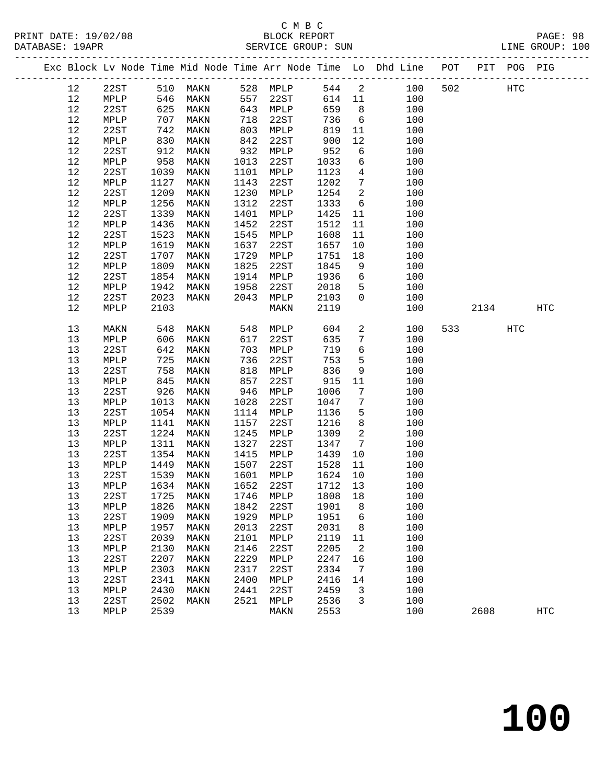|  |      |      |      |                             |      |          |      |                         | Exc Block Lv Node Time Mid Node Time Arr Node Time Lo Dhd Line POT |     |      | PIT POG PIG       |            |
|--|------|------|------|-----------------------------|------|----------|------|-------------------------|--------------------------------------------------------------------|-----|------|-------------------|------------|
|  | 12   | 22ST |      | 510 MAKN                    |      | 528 MPLP | 544  | $\overline{\mathbf{c}}$ | 100                                                                | 502 |      | $_{\mathrm{HTC}}$ |            |
|  | 12   | MPLP | 546  | MAKN                        | 557  | 22ST     | 614  | 11                      | 100                                                                |     |      |                   |            |
|  | 12   | 22ST | 625  | MAKN                        | 643  | MPLP     | 659  | 8 <sup>8</sup>          | 100                                                                |     |      |                   |            |
|  | 12   | MPLP | 707  | MAKN                        | 718  | 22ST     | 736  | $6\overline{6}$         | 100                                                                |     |      |                   |            |
|  | 12   | 22ST | 742  | MAKN                        | 803  | MPLP     | 819  | 11                      | 100                                                                |     |      |                   |            |
|  | 12   | MPLP | 830  | MAKN                        | 842  | 22ST     | 900  | 12                      | 100                                                                |     |      |                   |            |
|  | 12   | 22ST | 912  | MAKN                        | 932  | MPLP     | 952  | 6                       | 100                                                                |     |      |                   |            |
|  | $12$ | MPLP | 958  | MAKN                        | 1013 | 22ST     | 1033 | 6                       | 100                                                                |     |      |                   |            |
|  | 12   | 22ST | 1039 | MAKN                        | 1101 | MPLP     | 1123 | $\overline{4}$          | 100                                                                |     |      |                   |            |
|  | 12   | MPLP | 1127 | MAKN                        | 1143 | 22ST     | 1202 | $7\phantom{.0}$         | 100                                                                |     |      |                   |            |
|  | 12   | 22ST | 1209 | MAKN                        | 1230 | MPLP     | 1254 | 2                       | 100                                                                |     |      |                   |            |
|  | 12   | MPLP | 1256 | MAKN                        | 1312 | 22ST     | 1333 | 6                       | 100                                                                |     |      |                   |            |
|  | 12   | 22ST | 1339 | MAKN                        | 1401 | MPLP     | 1425 | 11                      | 100                                                                |     |      |                   |            |
|  | 12   | MPLP | 1436 | MAKN                        | 1452 | 22ST     | 1512 | 11                      | 100                                                                |     |      |                   |            |
|  | 12   | 22ST | 1523 | MAKN                        | 1545 | MPLP     | 1608 | 11                      | 100                                                                |     |      |                   |            |
|  | 12   | MPLP | 1619 | MAKN                        | 1637 | 22ST     | 1657 | 10                      | 100                                                                |     |      |                   |            |
|  | 12   | 22ST | 1707 | MAKN                        | 1729 | MPLP     | 1751 | 18                      | 100                                                                |     |      |                   |            |
|  | 12   | MPLP | 1809 | MAKN                        | 1825 | 22ST     | 1845 | 9                       | 100                                                                |     |      |                   |            |
|  | 12   | 22ST | 1854 | MAKN                        | 1914 | MPLP     | 1936 | 6                       | 100                                                                |     |      |                   |            |
|  | 12   | MPLP | 1942 | MAKN                        | 1958 | 22ST     | 2018 | 5                       | 100                                                                |     |      |                   |            |
|  |      |      |      |                             |      |          |      | $\overline{0}$          |                                                                    |     |      |                   |            |
|  | 12   | 22ST | 2023 | MAKN                        | 2043 | MPLP     | 2103 |                         | 100                                                                |     |      |                   |            |
|  | 12   | MPLP | 2103 |                             |      | MAKN     | 2119 |                         | 100                                                                |     | 2134 |                   | <b>HTC</b> |
|  | 13   | MAKN | 548  | MAKN                        | 548  | MPLP     | 604  | $\overline{a}$          | 100                                                                | 533 |      | <b>HTC</b>        |            |
|  | 13   | MPLP | 606  | MAKN                        | 617  | 22ST     | 635  | $7\phantom{.0}$         | 100                                                                |     |      |                   |            |
|  | 13   | 22ST | 642  | MAKN                        | 703  | MPLP     | 719  | $6\overline{6}$         | 100                                                                |     |      |                   |            |
|  | 13   | MPLP | 725  | MAKN                        | 736  | 22ST     | 753  | 5                       | 100                                                                |     |      |                   |            |
|  | 13   | 22ST | 758  | MAKN                        | 818  | MPLP     | 836  | 9                       | 100                                                                |     |      |                   |            |
|  | 13   | MPLP | 845  | MAKN                        | 857  | 22ST     | 915  | 11                      | 100                                                                |     |      |                   |            |
|  | 13   | 22ST | 926  | MAKN                        | 946  | MPLP     | 1006 | 7                       | 100                                                                |     |      |                   |            |
|  | 13   | MPLP | 1013 | MAKN                        | 1028 | 22ST     | 1047 | $7\phantom{.0}$         | 100                                                                |     |      |                   |            |
|  | 13   | 22ST | 1054 | MAKN                        | 1114 | MPLP     | 1136 | 5                       | 100                                                                |     |      |                   |            |
|  | 13   | MPLP | 1141 | MAKN                        | 1157 | 22ST     | 1216 | 8                       | 100                                                                |     |      |                   |            |
|  | 13   | 22ST | 1224 | MAKN                        | 1245 | MPLP     | 1309 | 2                       | 100                                                                |     |      |                   |            |
|  | 13   | MPLP | 1311 | MAKN                        | 1327 | 22ST     | 1347 | $\overline{7}$          | 100                                                                |     |      |                   |            |
|  | 13   | 22ST | 1354 | MAKN                        | 1415 | MPLP     | 1439 | 10                      | 100                                                                |     |      |                   |            |
|  | 13   | MPLP | 1449 | MAKN                        | 1507 | 22ST     | 1528 | 11                      | 100                                                                |     |      |                   |            |
|  | 13   | 22ST | 1539 | MAKN                        | 1601 | MPLP     | 1624 | 10                      | 100                                                                |     |      |                   |            |
|  | 13   | MPLP | 1634 | MAKN                        | 1652 | 22ST     | 1712 | 13                      | 100                                                                |     |      |                   |            |
|  | 13   | 22ST |      | 1725 MAKN 1746 MPLP 1808 18 |      |          |      |                         | 100                                                                |     |      |                   |            |
|  | 13   | MPLP | 1826 | MAKN                        | 1842 | 22ST     | 1901 | 8                       | 100                                                                |     |      |                   |            |
|  | 13   | 22ST | 1909 | MAKN                        | 1929 | MPLP     | 1951 | 6                       | 100                                                                |     |      |                   |            |
|  | 13   | MPLP | 1957 | MAKN                        | 2013 | 22ST     | 2031 | 8                       | 100                                                                |     |      |                   |            |
|  | 13   | 22ST | 2039 | MAKN                        | 2101 | MPLP     | 2119 | 11                      | 100                                                                |     |      |                   |            |
|  | 13   | MPLP | 2130 | MAKN                        | 2146 | 22ST     | 2205 | 2                       | 100                                                                |     |      |                   |            |
|  | 13   | 22ST | 2207 | MAKN                        | 2229 | MPLP     | 2247 | 16                      | 100                                                                |     |      |                   |            |
|  | 13   | MPLP | 2303 | MAKN                        | 2317 | 22ST     | 2334 | 7                       | 100                                                                |     |      |                   |            |
|  | 13   | 22ST | 2341 | MAKN                        | 2400 | MPLP     | 2416 | 14                      | 100                                                                |     |      |                   |            |
|  | 13   | MPLP | 2430 | MAKN                        | 2441 | 22ST     | 2459 | 3                       | 100                                                                |     |      |                   |            |
|  | 13   | 22ST | 2502 | MAKN                        | 2521 | MPLP     | 2536 | 3                       | 100                                                                |     |      |                   |            |
|  | 13   | MPLP | 2539 |                             |      | MAKN     | 2553 |                         | 100                                                                |     | 2608 |                   | HTC        |
|  |      |      |      |                             |      |          |      |                         |                                                                    |     |      |                   |            |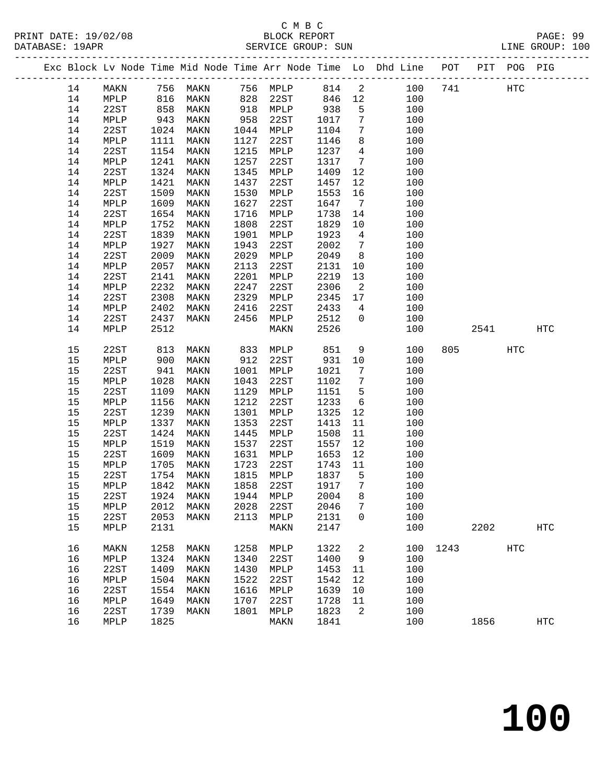## C M B C<br>BLOCK REPORT

| DATABASE: 19APR |    |      |      |                  |      | SERVICE GROUP: SUN |      |                              |                                                                                |      | LINE GROUP: 100 |  |
|-----------------|----|------|------|------------------|------|--------------------|------|------------------------------|--------------------------------------------------------------------------------|------|-----------------|--|
|                 |    |      |      |                  |      |                    |      |                              | Exc Block Lv Node Time Mid Node Time Arr Node Time Lo Dhd Line POT PIT POG PIG |      |                 |  |
|                 |    |      |      | 14 MAKN 756 MAKN |      | 756 MPLP 814 2     |      |                              | 100 741 HTC                                                                    |      |                 |  |
|                 | 14 | MPLP | 816  | MAKN             | 828  | 22ST               | 846  |                              | 12<br>100                                                                      |      |                 |  |
|                 | 14 | 22ST | 858  | MAKN             | 918  | MPLP               | 938  | $5 -$                        | 100                                                                            |      |                 |  |
|                 | 14 | MPLP | 943  | MAKN             | 958  | 22ST               | 1017 | $7\overline{ }$              | 100                                                                            |      |                 |  |
|                 | 14 | 22ST | 1024 | MAKN             | 1044 | MPLP               | 1104 | $7\overline{ }$              | 100                                                                            |      |                 |  |
|                 | 14 | MPLP | 1111 | MAKN             | 1127 | 22ST               | 1146 | 8                            | 100                                                                            |      |                 |  |
|                 | 14 | 22ST | 1154 | MAKN             | 1215 | MPLP               | 1237 | $\overline{4}$               | 100                                                                            |      |                 |  |
|                 | 14 | MPLP | 1241 | MAKN             | 1257 | 22ST               | 1317 | $7\overline{ }$              | 100                                                                            |      |                 |  |
|                 | 14 | 22ST | 1324 | MAKN             | 1345 | MPLP               | 1409 | $12 \overline{ }$            | 100                                                                            |      |                 |  |
|                 | 14 | MPLP | 1421 | MAKN             | 1437 | 22ST               | 1457 | 12                           | 100                                                                            |      |                 |  |
|                 | 14 | 22ST | 1509 | MAKN             | 1530 | MPLP               | 1553 | 16                           | 100                                                                            |      |                 |  |
|                 | 14 | MPLP | 1609 | MAKN             | 1627 | 22ST               | 1647 | $7\phantom{0}$               | 100                                                                            |      |                 |  |
|                 | 14 | 22ST | 1654 | MAKN             | 1716 | MPLP               | 1738 | 14                           | 100                                                                            |      |                 |  |
|                 | 14 | MPLP | 1752 | MAKN             | 1808 | 22ST               | 1829 | 10                           | 100                                                                            |      |                 |  |
|                 | 14 | 22ST | 1839 | MAKN             | 1901 | MPLP               | 1923 | $\overline{4}$               | 100                                                                            |      |                 |  |
|                 | 14 | MPLP | 1927 | MAKN             | 1943 | 22ST               | 2002 | $7\phantom{.0}\phantom{.0}7$ | 100                                                                            |      |                 |  |
|                 | 14 | 22ST | 2009 | MAKN             | 2029 | MPLP               | 2049 | 8 <sup>8</sup>               | 100                                                                            |      |                 |  |
|                 | 14 | MPLP | 2057 | MAKN             | 2113 | 22ST               | 2131 | 10                           | 100                                                                            |      |                 |  |
|                 | 14 | 22ST | 2141 | MAKN             | 2201 | MPLP               | 2219 | 13                           | 100                                                                            |      |                 |  |
|                 | 14 | MPLP | 2232 | MAKN             | 2247 | 22ST               | 2306 | 2                            | 100                                                                            |      |                 |  |
|                 | 14 | 22ST | 2308 | MAKN             | 2329 | MPLP               | 2345 | 17                           | 100                                                                            |      |                 |  |
|                 | 14 | MPLP | 2402 | MAKN             | 2416 | 22ST               | 2433 | $4\overline{4}$              | 100                                                                            |      |                 |  |
|                 | 14 | 22ST | 2437 | MAKN             | 2456 | MPLP               | 2512 | $\Omega$                     | 100                                                                            |      |                 |  |
|                 | 14 | MPLP | 2512 |                  |      | MAKN               | 2526 |                              | 100                                                                            | 2541 | HTC             |  |
|                 |    |      |      |                  |      |                    |      |                              |                                                                                |      |                 |  |

| <b>_ _</b> | 22U 1 | 2999 | --------- | ---  |      | 2010 | — <i>1</i>        | ∸∪∽ |      |      |     |            |
|------------|-------|------|-----------|------|------|------|-------------------|-----|------|------|-----|------------|
| 14         | MPLP  | 2402 | MAKN      | 2416 | 22ST | 2433 | 4                 | 100 |      |      |     |            |
| 14         | 22ST  | 2437 | MAKN      | 2456 | MPLP | 2512 | $\Omega$          | 100 |      |      |     |            |
| 14         | MPLP  | 2512 |           |      | MAKN | 2526 |                   | 100 |      | 2541 |     | <b>HTC</b> |
|            |       |      |           |      |      |      |                   |     |      |      |     |            |
| 15         | 22ST  | 813  | MAKN      | 833  | MPLP | 851  | 9                 | 100 | 805  |      | HTC |            |
| 15         | MPLP  | 900  | MAKN      | 912  | 22ST | 931  | 10                | 100 |      |      |     |            |
| $15$       | 22ST  | 941  | MAKN      | 1001 | MPLP | 1021 | 7                 | 100 |      |      |     |            |
| 15         | MPLP  | 1028 | MAKN      | 1043 | 22ST | 1102 | 7                 | 100 |      |      |     |            |
| 15         | 22ST  | 1109 | MAKN      | 1129 | MPLP | 1151 | 5                 | 100 |      |      |     |            |
| 15         | MPLP  | 1156 | MAKN      | 1212 | 22ST | 1233 | 6                 | 100 |      |      |     |            |
| 15         | 22ST  | 1239 | MAKN      | 1301 | MPLP | 1325 | 12                | 100 |      |      |     |            |
| 15         | MPLP  | 1337 | MAKN      | 1353 | 22ST | 1413 | 11                | 100 |      |      |     |            |
| 15         | 22ST  | 1424 | MAKN      | 1445 | MPLP | 1508 | 11                | 100 |      |      |     |            |
| 15         | MPLP  | 1519 | MAKN      | 1537 | 22ST | 1557 | $12 \overline{ }$ | 100 |      |      |     |            |
| $15$       | 22ST  | 1609 | MAKN      | 1631 | MPLP | 1653 | 12                | 100 |      |      |     |            |
| 15         | MPLP  | 1705 | MAKN      | 1723 | 22ST | 1743 | 11                | 100 |      |      |     |            |
| 15         | 22ST  | 1754 | MAKN      | 1815 | MPLP | 1837 | 5                 | 100 |      |      |     |            |
| $15$       | MPLP  | 1842 | MAKN      | 1858 | 22ST | 1917 | 7                 | 100 |      |      |     |            |
| $15$       | 22ST  | 1924 | MAKN      | 1944 | MPLP | 2004 | 8                 | 100 |      |      |     |            |
| 15         | MPLP  | 2012 | MAKN      | 2028 | 22ST | 2046 | $7\phantom{.0}$   | 100 |      |      |     |            |
| 15         | 22ST  | 2053 | MAKN      | 2113 | MPLP | 2131 | $\Omega$          | 100 |      |      |     |            |
| 15         | MPLP  | 2131 |           |      | MAKN | 2147 |                   | 100 |      | 2202 |     | <b>HTC</b> |
|            |       |      |           |      |      |      |                   |     |      |      |     |            |
| 16         | MAKN  | 1258 | MAKN      | 1258 | MPLP | 1322 | 2                 | 100 | 1243 |      | HTC |            |
| 16         | MPLP  | 1324 | MAKN      | 1340 | 22ST | 1400 | 9                 | 100 |      |      |     |            |
| 16         | 22ST  | 1409 | MAKN      | 1430 | MPLP | 1453 | 11                | 100 |      |      |     |            |
| 16         | MPLP  | 1504 | MAKN      | 1522 | 22ST | 1542 | 12                | 100 |      |      |     |            |
| 16         | 22ST  | 1554 | MAKN      | 1616 | MPLP | 1639 | 10                | 100 |      |      |     |            |
| 16         | MPLP  | 1649 | MAKN      | 1707 | 22ST | 1728 | 11                | 100 |      |      |     |            |
| 16         | 22ST  | 1739 | MAKN      | 1801 | MPLP | 1823 | 2                 | 100 |      |      |     |            |
| 16         | MPLP  | 1825 |           |      | MAKN | 1841 |                   | 100 |      | 1856 |     | HTC        |
|            |       |      |           |      |      |      |                   |     |      |      |     |            |

**100**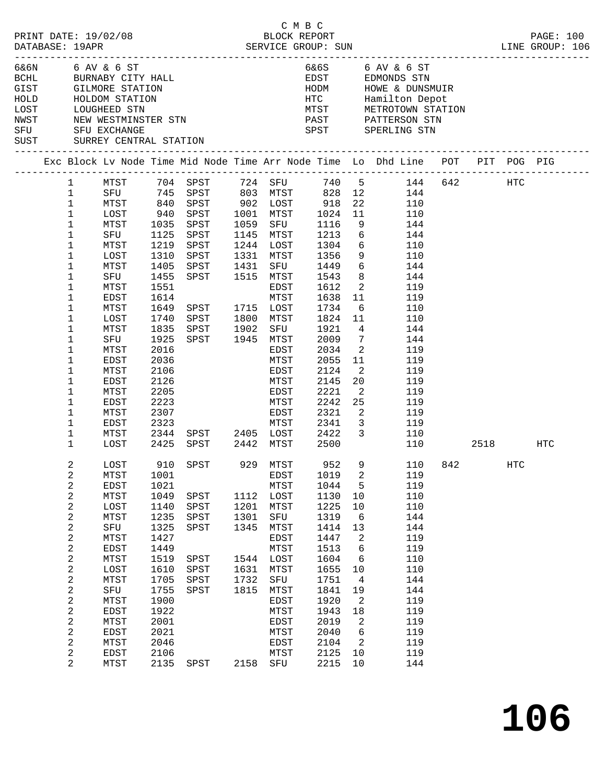|      |                         |                                          |              |                        |      | СМВС<br>BLOCK REPORT |              |                            |                                                                                |  |               |           |
|------|-------------------------|------------------------------------------|--------------|------------------------|------|----------------------|--------------|----------------------------|--------------------------------------------------------------------------------|--|---------------|-----------|
|      | DATABASE: 19APR         | PRINT DATE: 19/02/08                     |              |                        |      |                      |              |                            |                                                                                |  |               | PAGE: 100 |
|      |                         |                                          |              |                        |      |                      |              |                            |                                                                                |  |               |           |
|      |                         | 6&6N 6 AV & 6 ST                         |              |                        |      |                      |              |                            | 6&6S 6 AV & 6 ST                                                               |  |               |           |
|      |                         |                                          |              | BCHL BURNABY CITY HALL |      |                      |              |                            | EDST EDMONDS STN                                                               |  |               |           |
|      |                         | GIST GILMORE STATION                     |              |                        |      |                      | HODM         |                            | HOWE & DUNSMUIR                                                                |  |               |           |
| HOLD |                         | HOLDOM STATION                           |              |                        |      |                      |              |                            | HTC Hamilton Depot<br>MTST METROTOWN STATION                                   |  |               |           |
| LOST |                         | HOLDOM DIE<br>LOUGHEED STN<br>TIMESTMINS |              |                        |      |                      |              |                            |                                                                                |  |               |           |
| NWST |                         | NEW WESTMINSTER STN                      |              |                        |      |                      |              |                            | PAST PATTERSON STN                                                             |  |               |           |
|      |                         | SFU SFU EXCHANGE                         |              |                        |      |                      |              |                            | SPST SPERLING STN                                                              |  |               |           |
| SUST |                         | SURREY CENTRAL STATION                   |              |                        |      |                      |              |                            |                                                                                |  |               |           |
|      |                         |                                          |              |                        |      |                      |              |                            | Exc Block Lv Node Time Mid Node Time Arr Node Time Lo Dhd Line POT PIT POG PIG |  |               |           |
|      | $\mathbf{1}$            | MTST                                     |              |                        |      |                      |              |                            | 740 5 144 642 HTC<br>828 12 144                                                |  |               |           |
|      | $\mathbf{1}$            |                                          |              |                        |      |                      |              |                            |                                                                                |  |               |           |
|      | $\mathbf{1}$            | MTST                                     |              | 840 SPST 902 LOST 918  |      |                      |              | 22                         | 110                                                                            |  |               |           |
|      | $\mathbf{1}$            | LOST                                     | 940          | SPST                   |      | 1001 MTST            | 1024         | 11                         | 110                                                                            |  |               |           |
|      | $\mathbf 1$             | MTST                                     | 1035         | SPST                   |      | 1059 SFU             | 1116<br>1213 | 9                          | 144                                                                            |  |               |           |
|      | $\mathbf 1$             | SFU                                      | 1125         | SPST                   |      | 1145 MTST            |              | 6                          | 144                                                                            |  |               |           |
|      | 1                       | MTST                                     | 1219         | SPST                   |      | $1244$ LOST $1304$ 6 |              |                            | 110                                                                            |  |               |           |
|      | $\mathbf 1$             | LOST                                     | 1310         | SPST                   |      | 1331 MTST            | 1356         | 9                          | 110                                                                            |  |               |           |
|      | 1                       | MTST                                     | 1405         | SPST<br>SPST 1515 MTST | 1431 | SFU                  | 1449         | 8 <sup>8</sup>             | $6\overline{}$<br>144<br>144                                                   |  |               |           |
|      | 1<br>1                  | SFU<br>MTST                              | 1455<br>1551 |                        |      | EDST                 | 1543<br>1612 | $\overline{2}$             | 119                                                                            |  |               |           |
|      | $\mathbf 1$             | EDST                                     | 1614         |                        |      | MTST                 | 1638         | 11                         | 119                                                                            |  |               |           |
|      | 1                       | MTST                                     | 1649         | SPST 1715 LOST         |      |                      | 1734         | 6                          | 110                                                                            |  |               |           |
|      | 1                       | LOST                                     | 1740         | SPST                   |      | 1800 MTST            | 1824 11      |                            | 110                                                                            |  |               |           |
|      | 1                       | MTST                                     | 1835         | SPST                   | 1902 | SFU                  | 1921         | $\overline{4}$             | 144                                                                            |  |               |           |
|      | 1                       | SFU                                      | 1925         | SPST 1945 MTST         |      |                      | 2009         | $\overline{7}$             | 144                                                                            |  |               |           |
|      | 1                       | MTST                                     | 2016         |                        |      | EDST                 | 2034         | $\overline{\phantom{a}}^2$ | 119                                                                            |  |               |           |
|      | 1                       | EDST                                     | 2036         |                        |      | MTST                 | 2055         | 11                         | 119                                                                            |  |               |           |
|      | $\mathbf 1$             | MTST                                     | 2106         |                        |      | EDST                 | 2124         | $\overline{2}$             | 119                                                                            |  |               |           |
|      | 1                       | EDST                                     | 2126         |                        |      | MTST                 | 2145         | 20                         | 119                                                                            |  |               |           |
|      | $\mathbf 1$             | MTST                                     | 2205         |                        |      | EDST                 | 2221         | $\overline{2}$             | 119                                                                            |  |               |           |
|      | 1                       | EDST                                     | 2223         |                        |      | MTST                 | 2242         | 25                         | 119                                                                            |  |               |           |
|      | $\mathbf 1$             | MTST                                     | 2307         |                        |      | EDST                 | 2321         | $\overline{\phantom{a}}$   | 119                                                                            |  |               |           |
|      | $\mathbf 1$             | EDST                                     | 2323         |                        |      |                      | MTST 2341    | $\overline{\mathbf{3}}$    | 119                                                                            |  |               |           |
|      | $\mathbf 1$             | MTST                                     | 2344         | SPST 2405 LOST 2422    |      |                      |              |                            | $\overline{\mathbf{3}}$<br>110                                                 |  |               |           |
|      | $\mathbf{1}$            | LOST                                     | 2425         | SPST 2442 MTST 2500    |      |                      |              |                            | 110                                                                            |  | 2518 — 10     | HTC       |
|      | 2                       | LOST                                     |              | 910 SPST               |      | 929 MTST             | 952          |                            | 9 110 842                                                                      |  | $_{\rm{HTC}}$ |           |
|      | 2                       | MTST                                     | 1001         |                        |      | EDST                 | 1019         | 2                          | 119                                                                            |  |               |           |
|      | $\overline{\mathbf{c}}$ | EDST                                     | 1021         |                        |      | MTST                 | 1044         | 5                          | 119                                                                            |  |               |           |
|      | $\boldsymbol{2}$        | MTST                                     | 1049         | SPST                   |      | 1112 LOST            | 1130         | 10                         | 110                                                                            |  |               |           |
|      | 2                       | LOST                                     | 1140         | SPST                   | 1201 | MTST                 | 1225         | 10                         | 110                                                                            |  |               |           |
|      | $\overline{\mathbf{c}}$ | MTST                                     | 1235         | SPST                   | 1301 | SFU                  | 1319         | 6                          | 144                                                                            |  |               |           |
|      | 2                       | SFU                                      | 1325         | SPST                   | 1345 | MTST                 | 1414         | 13                         | 144                                                                            |  |               |           |
|      | $\boldsymbol{2}$        | MTST                                     | 1427<br>1449 |                        |      | EDST                 | 1447         | 2<br>6                     | 119<br>119                                                                     |  |               |           |
|      | 2<br>$\overline{c}$     | EDST<br>MTST                             | 1519         | SPST                   |      | MTST<br>1544 LOST    | 1513<br>1604 | 6                          | 110                                                                            |  |               |           |
|      | 2                       | LOST                                     | 1610         | SPST                   | 1631 | MTST                 | 1655         | 10                         | 110                                                                            |  |               |           |
|      | $\boldsymbol{2}$        | MTST                                     | 1705         | SPST                   | 1732 | SFU                  | 1751         | $\overline{4}$             | 144                                                                            |  |               |           |
|      | 2                       | SFU                                      | 1755         | SPST                   | 1815 | MTST                 | 1841         | 19                         | 144                                                                            |  |               |           |
|      | 2                       | MTST                                     | 1900         |                        |      | EDST                 | 1920         | 2                          | 119                                                                            |  |               |           |
|      | $\overline{\mathbf{c}}$ | EDST                                     | 1922         |                        |      | MTST                 | 1943         | 18                         | 119                                                                            |  |               |           |
|      | $\boldsymbol{2}$        | MTST                                     | 2001         |                        |      | EDST                 | 2019         | 2                          | 119                                                                            |  |               |           |
|      | $\overline{c}$          | EDST                                     | 2021         |                        |      | MTST                 | 2040         | 6                          | 119                                                                            |  |               |           |
|      | 2                       | MTST                                     | 2046         |                        |      | EDST                 | 2104         | $\overline{2}$             | 119                                                                            |  |               |           |
|      | 2                       | EDST                                     | 2106         |                        |      | MTST                 | 2125         | 10                         | 119                                                                            |  |               |           |
|      | $\overline{2}$          | MTST                                     | 2135         | SPST                   |      | 2158 SFU             | 2215         | 10                         | 144                                                                            |  |               |           |
|      |                         |                                          |              |                        |      |                      |              |                            |                                                                                |  |               |           |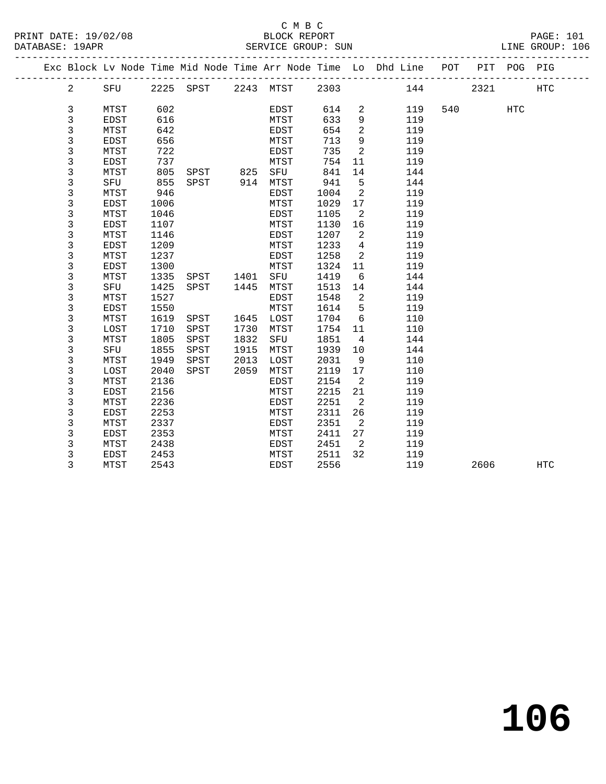|  |                |      |      | Exc Block Lv Node Time Mid Node Time Arr Node Time Lo Dhd Line |      |             |      |                 |     | POT | PIT  | POG | PIG        |
|--|----------------|------|------|----------------------------------------------------------------|------|-------------|------|-----------------|-----|-----|------|-----|------------|
|  | $\overline{a}$ | SFU  |      | 2225 SPST 2243 MTST                                            |      |             | 2303 |                 | 144 |     | 2321 |     | <b>HTC</b> |
|  |                |      |      |                                                                |      |             |      |                 |     |     |      |     |            |
|  | 3              | MTST | 602  |                                                                |      | EDST        | 614  | 2               | 119 | 540 |      | HTC |            |
|  | 3              | EDST | 616  |                                                                |      | MTST        | 633  | $\overline{9}$  | 119 |     |      |     |            |
|  | 3              | MTST | 642  |                                                                |      | EDST        | 654  | 2               | 119 |     |      |     |            |
|  | 3              | EDST | 656  |                                                                |      | MTST        | 713  | 9               | 119 |     |      |     |            |
|  | 3              | MTST | 722  |                                                                |      | EDST        | 735  | 2               | 119 |     |      |     |            |
|  | 3              | EDST | 737  |                                                                |      | MTST        | 754  | 11              | 119 |     |      |     |            |
|  | 3              | MTST | 805  | SPST                                                           | 825  | SFU         | 841  | 14              | 144 |     |      |     |            |
|  | 3              | SFU  | 855  | SPST                                                           |      | 914 MTST    | 941  | 5               | 144 |     |      |     |            |
|  | 3              | MTST | 946  |                                                                |      | EDST        | 1004 | 2               | 119 |     |      |     |            |
|  | 3              | EDST | 1006 |                                                                |      | MTST        | 1029 | 17              | 119 |     |      |     |            |
|  | 3              | MTST | 1046 |                                                                |      | EDST        | 1105 | -2              | 119 |     |      |     |            |
|  | 3              | EDST | 1107 |                                                                |      | MTST        | 1130 | 16              | 119 |     |      |     |            |
|  | 3              | MTST | 1146 |                                                                |      | EDST        | 1207 | 2               | 119 |     |      |     |            |
|  | 3              | EDST | 1209 |                                                                |      | MTST        | 1233 | $\overline{4}$  | 119 |     |      |     |            |
|  | 3              | MTST | 1237 |                                                                |      | EDST        | 1258 | 2               | 119 |     |      |     |            |
|  | 3              | EDST | 1300 |                                                                |      | MTST        | 1324 | 11              | 119 |     |      |     |            |
|  | 3              | MTST | 1335 | SPST                                                           | 1401 | SFU         | 1419 | $6\overline{6}$ | 144 |     |      |     |            |
|  | 3              | SFU  | 1425 | SPST                                                           | 1445 | MTST        | 1513 | 14              | 144 |     |      |     |            |
|  | 3              | MTST | 1527 |                                                                |      | EDST        | 1548 | $\overline{2}$  | 119 |     |      |     |            |
|  | 3              | EDST | 1550 |                                                                |      | MTST        | 1614 | 5               | 119 |     |      |     |            |
|  | 3              | MTST | 1619 | SPST                                                           | 1645 | LOST        | 1704 | 6               | 110 |     |      |     |            |
|  | 3              | LOST | 1710 | SPST                                                           | 1730 | MTST        | 1754 | 11              | 110 |     |      |     |            |
|  | 3              | MTST | 1805 | SPST                                                           | 1832 | SFU         | 1851 | $\overline{4}$  | 144 |     |      |     |            |
|  | 3              | SFU  | 1855 | SPST                                                           | 1915 | MTST        | 1939 | 10              | 144 |     |      |     |            |
|  | 3              | MTST | 1949 | SPST                                                           | 2013 | LOST        | 2031 | 9               | 110 |     |      |     |            |
|  | 3              | LOST | 2040 | SPST                                                           | 2059 | MTST        | 2119 | 17              | 110 |     |      |     |            |
|  | 3              | MTST | 2136 |                                                                |      | EDST        | 2154 | $\overline{2}$  | 119 |     |      |     |            |
|  | 3              | EDST | 2156 |                                                                |      | MTST        | 2215 | 21              | 119 |     |      |     |            |
|  | 3              | MTST | 2236 |                                                                |      | EDST        | 2251 | 2               | 119 |     |      |     |            |
|  | 3              | EDST | 2253 |                                                                |      | MTST        | 2311 | 26              | 119 |     |      |     |            |
|  | 3              | MTST | 2337 |                                                                |      | EDST        | 2351 | $\overline{2}$  | 119 |     |      |     |            |
|  | 3              | EDST | 2353 |                                                                |      | MTST        | 2411 | 27              | 119 |     |      |     |            |
|  | 3              | MTST | 2438 |                                                                |      | EDST        | 2451 | $\overline{2}$  | 119 |     |      |     |            |
|  | 3              | EDST | 2453 |                                                                |      | MTST        | 2511 | 32              | 119 |     |      |     |            |
|  | 3              | MTST | 2543 |                                                                |      | <b>EDST</b> | 2556 |                 | 119 |     | 2606 |     | <b>HTC</b> |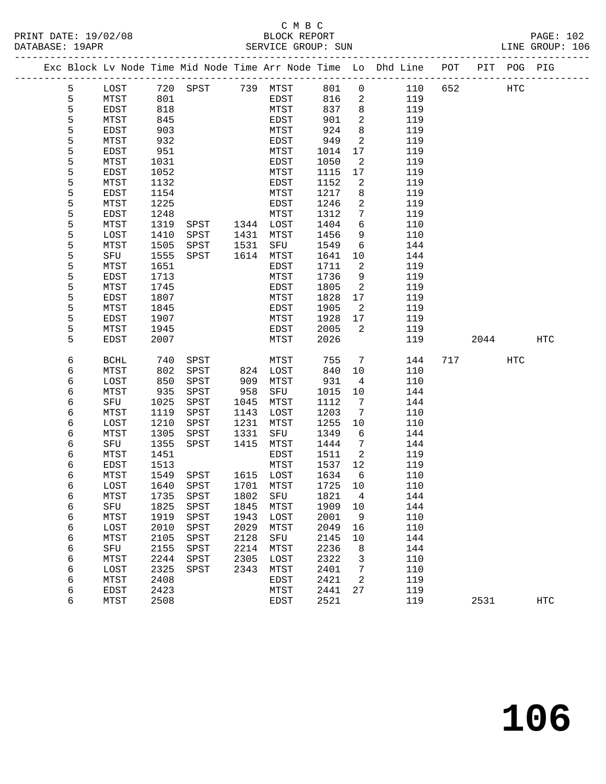### C M B C<br>BLOCK REPORT SERVICE GROUP: SUN

|        |             |      |               |      |           |        |                | Exc Block Lv Node Time Mid Node Time Arr Node Time Lo Dhd Line POT PIT POG PIG |     |      |     |            |
|--------|-------------|------|---------------|------|-----------|--------|----------------|--------------------------------------------------------------------------------|-----|------|-----|------------|
| 5      | LOST        | 720  | SPST 739 MTST |      |           | 801    | $\mathsf{O}$   | 110                                                                            | 652 |      | HTC |            |
| 5      | MTST        | 801  |               |      | EDST      | 816    | 2              | 119                                                                            |     |      |     |            |
| 5      | EDST        | 818  |               |      | MTST      | 837    | 8              | 119                                                                            |     |      |     |            |
| 5      | MTST        | 845  |               |      | EDST      | 901    | 2              | 119                                                                            |     |      |     |            |
| 5      | EDST        | 903  |               |      | MTST      | 924    | 8              | 119                                                                            |     |      |     |            |
| 5      | MTST        | 932  |               |      | EDST      | 949    | 2              | 119                                                                            |     |      |     |            |
| 5      | EDST        | 951  |               |      | MTST      | 1014   | 17             | 119                                                                            |     |      |     |            |
| 5      | MTST        | 1031 |               |      | EDST      | 1050   | 2              | 119                                                                            |     |      |     |            |
| 5      | <b>EDST</b> | 1052 |               |      | MTST      | 1115   | 17             | 119                                                                            |     |      |     |            |
| 5      | MTST        | 1132 |               |      | EDST      | 1152   | 2              | 119                                                                            |     |      |     |            |
| 5      | EDST        | 1154 |               |      | MTST      | 1217   | 8              | 119                                                                            |     |      |     |            |
| 5      | MTST        | 1225 |               |      | EDST      | 1246   | 2              | 119                                                                            |     |      |     |            |
| 5      | EDST        | 1248 |               |      | MTST      | 1312   | 7              | 119                                                                            |     |      |     |            |
| 5      | MTST        | 1319 | SPST          |      | 1344 LOST | 1404   | 6              | 110                                                                            |     |      |     |            |
| 5      | LOST        | 1410 | SPST          | 1431 | MTST      | 1456   | 9              | 110                                                                            |     |      |     |            |
| 5      | MTST        | 1505 | SPST          | 1531 | SFU       | 1549   | 6              | 144                                                                            |     |      |     |            |
| 5      | SFU         | 1555 | SPST          | 1614 | MTST      | 1641   | 10             | 144                                                                            |     |      |     |            |
| 5      | MTST        | 1651 |               |      | EDST      | 1711   | 2              | 119                                                                            |     |      |     |            |
| 5      | EDST        | 1713 |               |      | MTST      | 1736   | 9              | 119                                                                            |     |      |     |            |
| 5      | MTST        | 1745 |               |      | EDST      | 1805   | 2              | 119                                                                            |     |      |     |            |
| 5      | EDST        | 1807 |               |      | MTST      | 1828   | 17             | 119                                                                            |     |      |     |            |
| 5      | MTST        | 1845 |               |      | EDST      | 1905   | 2              | 119                                                                            |     |      |     |            |
| 5      | EDST        | 1907 |               |      | MTST      | 1928   | 17             | 119                                                                            |     |      |     |            |
| 5<br>5 | MTST        | 1945 |               |      | EDST      | 2005   | 2              | 119                                                                            |     |      |     |            |
|        | EDST        | 2007 |               |      | MTST      | 2026   |                | 119                                                                            |     | 2044 |     | <b>HTC</b> |
| 6      | <b>BCHL</b> | 740  | SPST          |      | MTST      | 755    | $\overline{7}$ | 144                                                                            | 717 |      | HTC |            |
| 6      | MTST        | 802  | SPST          |      | 824 LOST  | 840    | 10             | 110                                                                            |     |      |     |            |
| 6      | LOST        | 850  | SPST          | 909  | MTST      | 931    | $\overline{4}$ | 110                                                                            |     |      |     |            |
| 6      | MTST        | 935  | SPST          | 958  | SFU       | 1015   | 10             | 144                                                                            |     |      |     |            |
| 6      | SFU         | 1025 | SPST          | 1045 | MTST      | 1112   | 7              | 144                                                                            |     |      |     |            |
| 6      | MTST        | 1119 | SPST          | 1143 | LOST      | 1203   | 7              | 110                                                                            |     |      |     |            |
| 6      | LOST        | 1210 | SPST          | 1231 | MTST      | 1255   | 10             | 110                                                                            |     |      |     |            |
| 6      | MTST        | 1305 | SPST          | 1331 | SFU       | 1349   | 6              | 144                                                                            |     |      |     |            |
| 6      | SFU         | 1355 | SPST          | 1415 | MTST      | 1444   | 7              | 144                                                                            |     |      |     |            |
| 6      | MTST        | 1451 |               |      | EDST      | 1511   | 2              | 119                                                                            |     |      |     |            |
| 6      | EDST        | 1513 |               |      | MTST      | 1537   | 12             | 119                                                                            |     |      |     |            |
| 6      | MTST        | 1549 | SPST          |      | 1615 LOST | 1634   | 6              | 110                                                                            |     |      |     |            |
| 6      | LOST        | 1640 | SPST          |      | 1701 MTST | 1725   | 10             | 110                                                                            |     |      |     |            |
| 6      | MTST        |      | 1735 SPST     |      | 1802 SFU  | 1821 4 |                | 144                                                                            |     |      |     |            |
| 6      | SFU         | 1825 | SPST          | 1845 | MTST      | 1909   | 10             | 144                                                                            |     |      |     |            |
| 6      | MTST        | 1919 | SPST          | 1943 | LOST      | 2001   | 9              | 110                                                                            |     |      |     |            |
| 6      | LOST        | 2010 | SPST          | 2029 | MTST      | 2049   | 16             | 110                                                                            |     |      |     |            |
| 6      | <b>MTST</b> | 2105 | SPST          | 2128 | SFU       | 2145   | 10             | 144                                                                            |     |      |     |            |
| 6      | SFU         | 2155 | SPST          | 2214 | MTST      | 2236   | 8              | 144                                                                            |     |      |     |            |
| 6      | MTST        | 2244 | SPST          | 2305 | LOST      | 2322   | 3              | 110                                                                            |     |      |     |            |
| 6      | LOST        | 2325 | SPST          | 2343 | MTST      | 2401   | 7              | 110                                                                            |     |      |     |            |
| 6      | MTST        | 2408 |               |      | EDST      | 2421   | 2              | 119                                                                            |     |      |     |            |
| 6      | EDST        | 2423 |               |      | MTST      | 2441   | 27             | 119                                                                            |     |      |     |            |

6 MTST 2508 EDST 2521 119 2531 HTC

**106**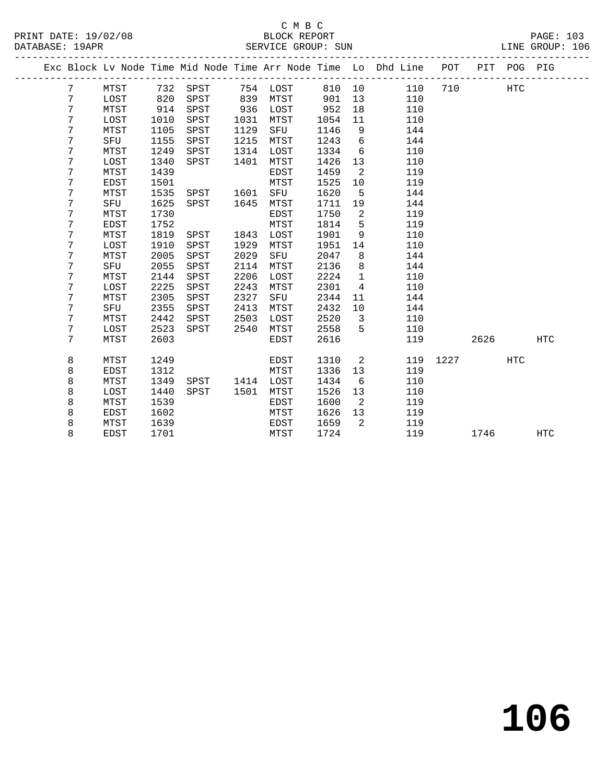| Exc Block Lv Node Time Mid Node Time Arr Node Time Lo Dhd Line POT PIT POG PIG<br>$7\phantom{.}$<br>732 SPST<br>754 LOST<br>110<br>MTST<br>810 10<br>710<br>HTC<br>7<br>820<br>839<br>901<br>110<br>LOST<br>SPST<br>MTST<br>13<br>7<br>952<br>MTST<br>914<br>SPST<br>936<br>LOST<br>18<br>110<br>7<br>LOST<br>1010<br>1031<br>1054<br>110<br>SPST<br>MTST<br>11<br>7<br>1105<br>1129<br>SFU<br>1146<br>9<br>144<br>MTST<br>SPST<br>7<br>$6\overline{6}$<br>1155<br>1215<br>1243<br>144<br>SFU<br>SPST<br>MTST<br>7<br>1249<br>1314<br>1334<br>6<br>MTST<br>SPST<br>LOST<br>110<br>7<br>1340<br>1401<br>MTST<br>1426<br>13<br>110<br>LOST<br>SPST<br>1439<br>7<br>MTST<br>1459<br>2<br>119<br>EDST<br>7<br>1501<br>1525<br>119<br><b>EDST</b><br>MTST<br>10<br>1620<br>7<br>1535<br>SFU<br>144<br>MTST<br>1601<br>5<br>SPST<br>7<br>1625<br>144<br>SFU<br>SPST<br>1645<br>MTST<br>1711<br>19<br>7<br>1730<br>2<br>1750<br>119<br>MTST<br>EDST<br>7<br>1752<br>5<br>MTST<br>1814<br>119<br>EDST<br>1819<br>9<br>7<br>MTST<br>1843<br>LOST<br>1901<br>110<br>SPST<br>1929<br>7<br>LOST<br>1910<br>SPST<br>1951<br>110<br>MTST<br>14<br>7<br>MTST<br>2005<br>SPST<br>2029<br>SFU<br>2047<br>8<br>144<br>7<br>2055<br>2114<br>2136<br>8<br>SFU<br>SPST<br>MTST<br>144<br>7<br>2144<br>2206<br>2224<br>$\mathbf{1}$<br>MTST<br>SPST<br>LOST<br>110<br>7<br>2225<br>2243<br>2301<br>$\overline{4}$<br>LOST<br>SPST<br>110<br>MTST<br>2305<br>2327<br>2344<br>7<br>SPST<br>144<br>MTST<br>SFU<br>11<br>7<br>2355<br>2413<br>2432<br>SFU<br>SPST<br>MTST<br>10<br>144<br>7<br>2442<br>2503<br>2520<br>MTST<br>SPST<br>LOST<br>3<br>110<br>7<br>2523<br>2540<br>2558<br>5<br>LOST<br>SPST<br>MTST<br>110<br>7<br>2603<br>2616<br>2626<br>MTST<br><b>EDST</b><br>119<br>8<br>1249<br>1310<br>2<br>119<br>1227<br>HTC<br>MTST<br>EDST<br>8<br>1312<br>1336<br>119<br>EDST<br>MTST<br>13<br>8<br>1349<br>110<br>MTST<br>SPST<br>1414<br>LOST<br>1434<br>6<br>8<br>1440<br>1501<br>1526<br>LOST<br>SPST<br>MTST<br>13<br>110<br>8<br>1539<br>MTST<br>1600<br>$\overline{2}$<br>119<br>EDST<br>8<br>EDST<br>1602<br>MTST<br>1626<br>13<br>119<br>8<br>MTST<br>1639<br>EDST<br>1659<br>2<br>119<br>8<br>1724<br><b>EDST</b><br>1701<br>MTST<br>119<br>1746 |  |  |  |  |  |  |  |            |
|--------------------------------------------------------------------------------------------------------------------------------------------------------------------------------------------------------------------------------------------------------------------------------------------------------------------------------------------------------------------------------------------------------------------------------------------------------------------------------------------------------------------------------------------------------------------------------------------------------------------------------------------------------------------------------------------------------------------------------------------------------------------------------------------------------------------------------------------------------------------------------------------------------------------------------------------------------------------------------------------------------------------------------------------------------------------------------------------------------------------------------------------------------------------------------------------------------------------------------------------------------------------------------------------------------------------------------------------------------------------------------------------------------------------------------------------------------------------------------------------------------------------------------------------------------------------------------------------------------------------------------------------------------------------------------------------------------------------------------------------------------------------------------------------------------------------------------------------------------------------------------------------------------------------------------------------------------------------------------------------------------------------------------------------------------------------------------------------------------------------------------------------------------------------------------------------------------------------------------------------|--|--|--|--|--|--|--|------------|
|                                                                                                                                                                                                                                                                                                                                                                                                                                                                                                                                                                                                                                                                                                                                                                                                                                                                                                                                                                                                                                                                                                                                                                                                                                                                                                                                                                                                                                                                                                                                                                                                                                                                                                                                                                                                                                                                                                                                                                                                                                                                                                                                                                                                                                            |  |  |  |  |  |  |  |            |
|                                                                                                                                                                                                                                                                                                                                                                                                                                                                                                                                                                                                                                                                                                                                                                                                                                                                                                                                                                                                                                                                                                                                                                                                                                                                                                                                                                                                                                                                                                                                                                                                                                                                                                                                                                                                                                                                                                                                                                                                                                                                                                                                                                                                                                            |  |  |  |  |  |  |  |            |
|                                                                                                                                                                                                                                                                                                                                                                                                                                                                                                                                                                                                                                                                                                                                                                                                                                                                                                                                                                                                                                                                                                                                                                                                                                                                                                                                                                                                                                                                                                                                                                                                                                                                                                                                                                                                                                                                                                                                                                                                                                                                                                                                                                                                                                            |  |  |  |  |  |  |  |            |
|                                                                                                                                                                                                                                                                                                                                                                                                                                                                                                                                                                                                                                                                                                                                                                                                                                                                                                                                                                                                                                                                                                                                                                                                                                                                                                                                                                                                                                                                                                                                                                                                                                                                                                                                                                                                                                                                                                                                                                                                                                                                                                                                                                                                                                            |  |  |  |  |  |  |  |            |
|                                                                                                                                                                                                                                                                                                                                                                                                                                                                                                                                                                                                                                                                                                                                                                                                                                                                                                                                                                                                                                                                                                                                                                                                                                                                                                                                                                                                                                                                                                                                                                                                                                                                                                                                                                                                                                                                                                                                                                                                                                                                                                                                                                                                                                            |  |  |  |  |  |  |  |            |
|                                                                                                                                                                                                                                                                                                                                                                                                                                                                                                                                                                                                                                                                                                                                                                                                                                                                                                                                                                                                                                                                                                                                                                                                                                                                                                                                                                                                                                                                                                                                                                                                                                                                                                                                                                                                                                                                                                                                                                                                                                                                                                                                                                                                                                            |  |  |  |  |  |  |  |            |
|                                                                                                                                                                                                                                                                                                                                                                                                                                                                                                                                                                                                                                                                                                                                                                                                                                                                                                                                                                                                                                                                                                                                                                                                                                                                                                                                                                                                                                                                                                                                                                                                                                                                                                                                                                                                                                                                                                                                                                                                                                                                                                                                                                                                                                            |  |  |  |  |  |  |  |            |
|                                                                                                                                                                                                                                                                                                                                                                                                                                                                                                                                                                                                                                                                                                                                                                                                                                                                                                                                                                                                                                                                                                                                                                                                                                                                                                                                                                                                                                                                                                                                                                                                                                                                                                                                                                                                                                                                                                                                                                                                                                                                                                                                                                                                                                            |  |  |  |  |  |  |  |            |
|                                                                                                                                                                                                                                                                                                                                                                                                                                                                                                                                                                                                                                                                                                                                                                                                                                                                                                                                                                                                                                                                                                                                                                                                                                                                                                                                                                                                                                                                                                                                                                                                                                                                                                                                                                                                                                                                                                                                                                                                                                                                                                                                                                                                                                            |  |  |  |  |  |  |  |            |
|                                                                                                                                                                                                                                                                                                                                                                                                                                                                                                                                                                                                                                                                                                                                                                                                                                                                                                                                                                                                                                                                                                                                                                                                                                                                                                                                                                                                                                                                                                                                                                                                                                                                                                                                                                                                                                                                                                                                                                                                                                                                                                                                                                                                                                            |  |  |  |  |  |  |  |            |
|                                                                                                                                                                                                                                                                                                                                                                                                                                                                                                                                                                                                                                                                                                                                                                                                                                                                                                                                                                                                                                                                                                                                                                                                                                                                                                                                                                                                                                                                                                                                                                                                                                                                                                                                                                                                                                                                                                                                                                                                                                                                                                                                                                                                                                            |  |  |  |  |  |  |  |            |
|                                                                                                                                                                                                                                                                                                                                                                                                                                                                                                                                                                                                                                                                                                                                                                                                                                                                                                                                                                                                                                                                                                                                                                                                                                                                                                                                                                                                                                                                                                                                                                                                                                                                                                                                                                                                                                                                                                                                                                                                                                                                                                                                                                                                                                            |  |  |  |  |  |  |  |            |
|                                                                                                                                                                                                                                                                                                                                                                                                                                                                                                                                                                                                                                                                                                                                                                                                                                                                                                                                                                                                                                                                                                                                                                                                                                                                                                                                                                                                                                                                                                                                                                                                                                                                                                                                                                                                                                                                                                                                                                                                                                                                                                                                                                                                                                            |  |  |  |  |  |  |  |            |
|                                                                                                                                                                                                                                                                                                                                                                                                                                                                                                                                                                                                                                                                                                                                                                                                                                                                                                                                                                                                                                                                                                                                                                                                                                                                                                                                                                                                                                                                                                                                                                                                                                                                                                                                                                                                                                                                                                                                                                                                                                                                                                                                                                                                                                            |  |  |  |  |  |  |  |            |
|                                                                                                                                                                                                                                                                                                                                                                                                                                                                                                                                                                                                                                                                                                                                                                                                                                                                                                                                                                                                                                                                                                                                                                                                                                                                                                                                                                                                                                                                                                                                                                                                                                                                                                                                                                                                                                                                                                                                                                                                                                                                                                                                                                                                                                            |  |  |  |  |  |  |  |            |
|                                                                                                                                                                                                                                                                                                                                                                                                                                                                                                                                                                                                                                                                                                                                                                                                                                                                                                                                                                                                                                                                                                                                                                                                                                                                                                                                                                                                                                                                                                                                                                                                                                                                                                                                                                                                                                                                                                                                                                                                                                                                                                                                                                                                                                            |  |  |  |  |  |  |  |            |
|                                                                                                                                                                                                                                                                                                                                                                                                                                                                                                                                                                                                                                                                                                                                                                                                                                                                                                                                                                                                                                                                                                                                                                                                                                                                                                                                                                                                                                                                                                                                                                                                                                                                                                                                                                                                                                                                                                                                                                                                                                                                                                                                                                                                                                            |  |  |  |  |  |  |  |            |
|                                                                                                                                                                                                                                                                                                                                                                                                                                                                                                                                                                                                                                                                                                                                                                                                                                                                                                                                                                                                                                                                                                                                                                                                                                                                                                                                                                                                                                                                                                                                                                                                                                                                                                                                                                                                                                                                                                                                                                                                                                                                                                                                                                                                                                            |  |  |  |  |  |  |  |            |
|                                                                                                                                                                                                                                                                                                                                                                                                                                                                                                                                                                                                                                                                                                                                                                                                                                                                                                                                                                                                                                                                                                                                                                                                                                                                                                                                                                                                                                                                                                                                                                                                                                                                                                                                                                                                                                                                                                                                                                                                                                                                                                                                                                                                                                            |  |  |  |  |  |  |  |            |
|                                                                                                                                                                                                                                                                                                                                                                                                                                                                                                                                                                                                                                                                                                                                                                                                                                                                                                                                                                                                                                                                                                                                                                                                                                                                                                                                                                                                                                                                                                                                                                                                                                                                                                                                                                                                                                                                                                                                                                                                                                                                                                                                                                                                                                            |  |  |  |  |  |  |  |            |
|                                                                                                                                                                                                                                                                                                                                                                                                                                                                                                                                                                                                                                                                                                                                                                                                                                                                                                                                                                                                                                                                                                                                                                                                                                                                                                                                                                                                                                                                                                                                                                                                                                                                                                                                                                                                                                                                                                                                                                                                                                                                                                                                                                                                                                            |  |  |  |  |  |  |  |            |
|                                                                                                                                                                                                                                                                                                                                                                                                                                                                                                                                                                                                                                                                                                                                                                                                                                                                                                                                                                                                                                                                                                                                                                                                                                                                                                                                                                                                                                                                                                                                                                                                                                                                                                                                                                                                                                                                                                                                                                                                                                                                                                                                                                                                                                            |  |  |  |  |  |  |  |            |
|                                                                                                                                                                                                                                                                                                                                                                                                                                                                                                                                                                                                                                                                                                                                                                                                                                                                                                                                                                                                                                                                                                                                                                                                                                                                                                                                                                                                                                                                                                                                                                                                                                                                                                                                                                                                                                                                                                                                                                                                                                                                                                                                                                                                                                            |  |  |  |  |  |  |  |            |
|                                                                                                                                                                                                                                                                                                                                                                                                                                                                                                                                                                                                                                                                                                                                                                                                                                                                                                                                                                                                                                                                                                                                                                                                                                                                                                                                                                                                                                                                                                                                                                                                                                                                                                                                                                                                                                                                                                                                                                                                                                                                                                                                                                                                                                            |  |  |  |  |  |  |  |            |
|                                                                                                                                                                                                                                                                                                                                                                                                                                                                                                                                                                                                                                                                                                                                                                                                                                                                                                                                                                                                                                                                                                                                                                                                                                                                                                                                                                                                                                                                                                                                                                                                                                                                                                                                                                                                                                                                                                                                                                                                                                                                                                                                                                                                                                            |  |  |  |  |  |  |  |            |
|                                                                                                                                                                                                                                                                                                                                                                                                                                                                                                                                                                                                                                                                                                                                                                                                                                                                                                                                                                                                                                                                                                                                                                                                                                                                                                                                                                                                                                                                                                                                                                                                                                                                                                                                                                                                                                                                                                                                                                                                                                                                                                                                                                                                                                            |  |  |  |  |  |  |  | <b>HTC</b> |
|                                                                                                                                                                                                                                                                                                                                                                                                                                                                                                                                                                                                                                                                                                                                                                                                                                                                                                                                                                                                                                                                                                                                                                                                                                                                                                                                                                                                                                                                                                                                                                                                                                                                                                                                                                                                                                                                                                                                                                                                                                                                                                                                                                                                                                            |  |  |  |  |  |  |  |            |
|                                                                                                                                                                                                                                                                                                                                                                                                                                                                                                                                                                                                                                                                                                                                                                                                                                                                                                                                                                                                                                                                                                                                                                                                                                                                                                                                                                                                                                                                                                                                                                                                                                                                                                                                                                                                                                                                                                                                                                                                                                                                                                                                                                                                                                            |  |  |  |  |  |  |  |            |
|                                                                                                                                                                                                                                                                                                                                                                                                                                                                                                                                                                                                                                                                                                                                                                                                                                                                                                                                                                                                                                                                                                                                                                                                                                                                                                                                                                                                                                                                                                                                                                                                                                                                                                                                                                                                                                                                                                                                                                                                                                                                                                                                                                                                                                            |  |  |  |  |  |  |  |            |
|                                                                                                                                                                                                                                                                                                                                                                                                                                                                                                                                                                                                                                                                                                                                                                                                                                                                                                                                                                                                                                                                                                                                                                                                                                                                                                                                                                                                                                                                                                                                                                                                                                                                                                                                                                                                                                                                                                                                                                                                                                                                                                                                                                                                                                            |  |  |  |  |  |  |  |            |
|                                                                                                                                                                                                                                                                                                                                                                                                                                                                                                                                                                                                                                                                                                                                                                                                                                                                                                                                                                                                                                                                                                                                                                                                                                                                                                                                                                                                                                                                                                                                                                                                                                                                                                                                                                                                                                                                                                                                                                                                                                                                                                                                                                                                                                            |  |  |  |  |  |  |  |            |
|                                                                                                                                                                                                                                                                                                                                                                                                                                                                                                                                                                                                                                                                                                                                                                                                                                                                                                                                                                                                                                                                                                                                                                                                                                                                                                                                                                                                                                                                                                                                                                                                                                                                                                                                                                                                                                                                                                                                                                                                                                                                                                                                                                                                                                            |  |  |  |  |  |  |  |            |
|                                                                                                                                                                                                                                                                                                                                                                                                                                                                                                                                                                                                                                                                                                                                                                                                                                                                                                                                                                                                                                                                                                                                                                                                                                                                                                                                                                                                                                                                                                                                                                                                                                                                                                                                                                                                                                                                                                                                                                                                                                                                                                                                                                                                                                            |  |  |  |  |  |  |  |            |
|                                                                                                                                                                                                                                                                                                                                                                                                                                                                                                                                                                                                                                                                                                                                                                                                                                                                                                                                                                                                                                                                                                                                                                                                                                                                                                                                                                                                                                                                                                                                                                                                                                                                                                                                                                                                                                                                                                                                                                                                                                                                                                                                                                                                                                            |  |  |  |  |  |  |  | <b>HTC</b> |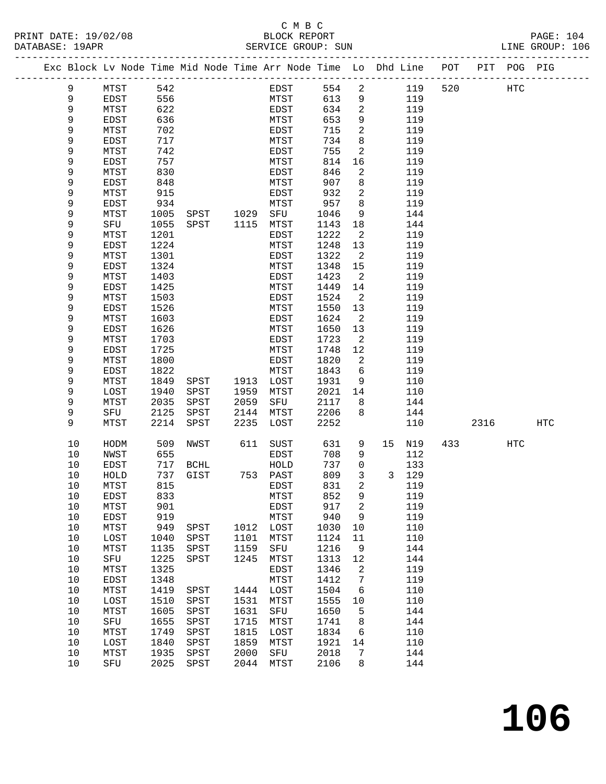|  |          | Exc Block Lv Node Time Mid Node Time Arr Node Time Lo Dhd Line |              |              |                        |              |      |              |                            |    |            | POT |                        | PIT POG PIG |     |
|--|----------|----------------------------------------------------------------|--------------|--------------|------------------------|--------------|------|--------------|----------------------------|----|------------|-----|------------------------|-------------|-----|
|  | 9        | MTST                                                           | 542          |              |                        |              | EDST | 554          | $\overline{a}$             |    | 119        | 520 |                        | HTC         |     |
|  | 9        | EDST                                                           | 556          |              |                        | MTST         |      | 613          | 9                          |    | 119        |     |                        |             |     |
|  | 9        | MTST                                                           | 622          |              |                        | EDST         |      | 634          | 2                          |    | 119        |     |                        |             |     |
|  | 9        | EDST                                                           | 636          |              |                        | MTST         |      | 653          | 9                          |    | 119        |     |                        |             |     |
|  | 9        | MTST                                                           | 702          |              |                        | EDST         |      | 715          | 2                          |    | 119        |     |                        |             |     |
|  | 9        | EDST                                                           | 717          |              |                        | MTST         |      | 734          | 8                          |    | 119        |     |                        |             |     |
|  | 9        | MTST                                                           | 742          |              |                        | EDST         |      | 755          | 2                          |    | 119        |     |                        |             |     |
|  | 9        | EDST                                                           | 757          |              |                        | MTST         |      | 814          | 16                         |    | 119        |     |                        |             |     |
|  | 9        | MTST                                                           | 830          |              |                        | EDST         |      | 846          | $\overline{2}$             |    | 119        |     |                        |             |     |
|  | 9        | EDST                                                           | 848          |              |                        | MTST         |      | 907          | 8                          |    | 119        |     |                        |             |     |
|  | 9        | MTST                                                           | 915          |              |                        | EDST         |      | 932          | 2                          |    | 119        |     |                        |             |     |
|  | 9<br>9   | EDST<br>MTST                                                   | 934<br>1005  |              |                        | MTST<br>SFU  |      | 957<br>1046  | 8<br>9                     |    | 119<br>144 |     |                        |             |     |
|  | 9        | SFU                                                            | 1055         | SPST         | SPST 1029<br>SPST 1115 | MTST         |      | 1143         | 18                         |    | 144        |     |                        |             |     |
|  | 9        | MTST                                                           | 1201         |              |                        | EDST         |      | 1222         | $\overline{2}$             |    | 119        |     |                        |             |     |
|  | 9        | EDST                                                           | 1224         |              |                        | MTST         |      | 1248         | 13                         |    | 119        |     |                        |             |     |
|  | 9        | MTST                                                           | 1301         |              |                        | EDST         |      | 1322         | $\overline{\phantom{a}}^2$ |    | 119        |     |                        |             |     |
|  | 9        | EDST                                                           | 1324         |              |                        | MTST         |      | 1348         | 15                         |    | 119        |     |                        |             |     |
|  | 9        | MTST                                                           | 1403         |              |                        | EDST         |      | 1423         | $\overline{2}$             |    | 119        |     |                        |             |     |
|  | 9        | EDST                                                           | 1425         |              |                        | MTST         |      | 1449         | 14                         |    | 119        |     |                        |             |     |
|  | 9        | MTST                                                           | 1503         |              |                        | EDST         |      | 1524         | 2                          |    | 119        |     |                        |             |     |
|  | 9        | EDST                                                           | 1526         |              |                        | MTST         |      | 1550         | 13                         |    | 119        |     |                        |             |     |
|  | 9        | MTST                                                           | 1603         |              |                        | EDST         |      | 1624         | $\overline{2}$             |    | 119        |     |                        |             |     |
|  | 9        | EDST                                                           | 1626         |              |                        | MTST         |      | 1650         | 13                         |    | 119        |     |                        |             |     |
|  | 9        | MTST                                                           | 1703         |              |                        | EDST         |      | 1723         | $\overline{\phantom{a}}^2$ |    | 119        |     |                        |             |     |
|  | 9        | EDST                                                           | 1725         |              |                        | MTST         |      | 1748         | 12                         |    | 119        |     |                        |             |     |
|  | 9        | MTST                                                           | 1800         |              |                        | EDST         |      | 1820         | $\overline{2}$             |    | 119        |     |                        |             |     |
|  | 9        | EDST                                                           | 1822         |              |                        | MTST         |      | 1843         | 6                          |    | 119        |     |                        |             |     |
|  | 9        | MTST                                                           | 1849         | SPST         | 1913                   | LOST         |      | 1931         | 9                          |    | 110        |     |                        |             |     |
|  | 9        | LOST                                                           | 1940         | SPST         | 1959                   | MTST         |      | 2021         | 14                         |    | 110        |     |                        |             |     |
|  | 9<br>9   | MTST<br>SFU                                                    | 2035<br>2125 | SPST<br>SPST | 2059<br>2144           | SFU          |      | 2117<br>2206 | 8<br>8                     |    | 144        |     |                        |             |     |
|  | 9        | MTST                                                           | 2214         | SPST         | 2235                   | MTST<br>LOST |      | 2252         |                            |    | 144<br>110 |     | 2316                   |             | HTC |
|  |          |                                                                |              |              |                        |              |      |              |                            |    |            |     |                        |             |     |
|  | 10       | HODM                                                           | 509          | NWST         | 611                    | SUST         |      | 631          | 9                          | 15 | N19        |     | 433 and $\overline{a}$ | HTC         |     |
|  | 10       | NWST                                                           | 655          |              |                        | EDST         |      | 708          | 9                          |    | 112        |     |                        |             |     |
|  | 10       | EDST                                                           | 717          | BCHL         |                        | HOLD         |      | 737          | 0                          |    | 133        |     |                        |             |     |
|  | 10       | HOLD                                                           | 737          | GIST         | 753 PAST               |              |      | 809          | 3                          |    | 3 129      |     |                        |             |     |
|  | 10       | MTST                                                           | 815          |              |                        | EDST         |      | 831          | $\overline{a}$<br>q        |    | 119        |     |                        |             |     |
|  | 10<br>10 | EDST<br>MTST                                                   | 833<br>901   |              |                        | MTST<br>EDST |      | 852<br>917   | 2                          |    | 119<br>119 |     |                        |             |     |
|  | 10       | EDST                                                           | 919          |              |                        | MTST         |      | 940          | 9                          |    | 119        |     |                        |             |     |
|  | 10       | MTST                                                           | 949          | SPST         | 1012 LOST              |              |      | 1030         | 10                         |    | 110        |     |                        |             |     |
|  | 10       | LOST                                                           | 1040         | SPST         | 1101                   | MTST         |      | 1124         | 11                         |    | 110        |     |                        |             |     |
|  | 10       | MTST                                                           | 1135         | SPST         | 1159                   | SFU          |      | 1216         | 9                          |    | 144        |     |                        |             |     |
|  | 10       | SFU                                                            | 1225         | SPST         | 1245                   | MTST         |      | 1313         | 12                         |    | 144        |     |                        |             |     |
|  | 10       | MTST                                                           | 1325         |              |                        | EDST         |      | 1346         | $\overline{\phantom{0}}^2$ |    | 119        |     |                        |             |     |
|  | 10       | EDST                                                           | 1348         |              |                        | MTST         |      | 1412         | $\overline{7}$             |    | 119        |     |                        |             |     |
|  | 10       | MTST                                                           | 1419         | SPST         | 1444 LOST              |              |      | 1504         | 6                          |    | 110        |     |                        |             |     |
|  | 10       | LOST                                                           | 1510         | SPST         | 1531                   | MTST         |      | 1555         | 10                         |    | 110        |     |                        |             |     |
|  | 10       | MTST                                                           | 1605         | SPST         | 1631                   | SFU          |      | 1650         | $5^{\circ}$                |    | 144        |     |                        |             |     |
|  | 10       | SFU                                                            | 1655         | SPST         | 1715                   | MTST         |      | 1741         | 8                          |    | 144        |     |                        |             |     |
|  | 10       | MTST                                                           | 1749         | SPST         | 1815                   | LOST         |      | 1834         | 6                          |    | 110        |     |                        |             |     |
|  | 10       | LOST                                                           | 1840         | SPST         | 1859                   | MTST         |      | 1921         | 14                         |    | 110        |     |                        |             |     |
|  | 10       | MTST                                                           | 1935         | SPST         | 2000                   | SFU          |      | 2018         | 7                          |    | 144        |     |                        |             |     |
|  | 10       | SFU                                                            |              | 2025 SPST    | 2044                   | MTST         |      | 2106         | 8                          |    | 144        |     |                        |             |     |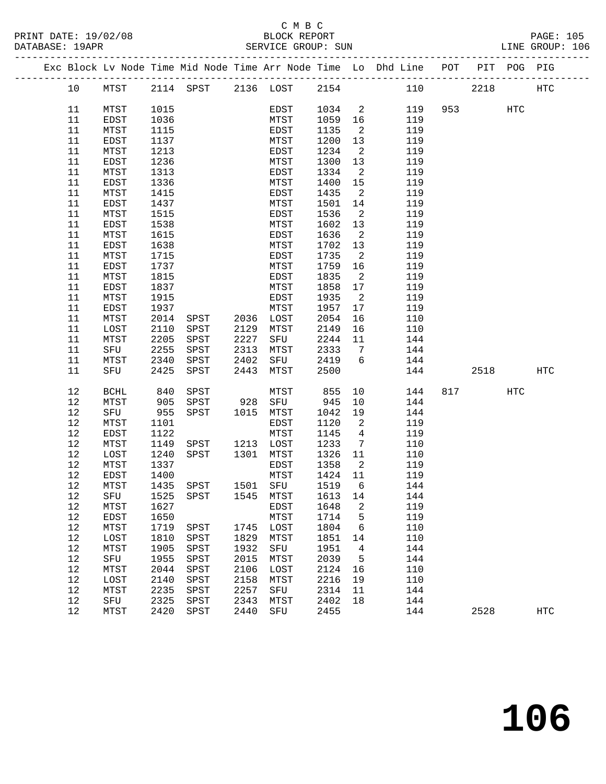# C M B C

| PRINT DATE: 19/02/08<br>DATABASE: 19APR |      |              |      |                                                                                |      |                |         |                            |     |                        |         | $\begin{tabular}{lllllllllll} \multicolumn{2}{c}{\textbf{2/08}} & \multicolumn{2}{c}{\textbf{PAGE: 105}}\\ & \multicolumn{2}{c}{\textbf{BLOCK REPORT}}\\ & \multicolumn{2}{c}{\textbf{SERVICE GROUP: SUN}}\\ \end{tabular}$ |
|-----------------------------------------|------|--------------|------|--------------------------------------------------------------------------------|------|----------------|---------|----------------------------|-----|------------------------|---------|-----------------------------------------------------------------------------------------------------------------------------------------------------------------------------------------------------------------------------|
|                                         |      |              |      | Exc Block Lv Node Time Mid Node Time Arr Node Time Lo Dhd Line POT PIT POG PIG |      |                |         |                            |     |                        |         |                                                                                                                                                                                                                             |
|                                         | 10   |              |      | MTST 2114 SPST 2136 LOST 2154 110                                              |      |                |         |                            |     |                        |         | 2218 HTC                                                                                                                                                                                                                    |
|                                         | 11   | MTST         | 1015 |                                                                                |      | EDST           |         |                            |     | 1034  2  119  953  HTC |         |                                                                                                                                                                                                                             |
|                                         | 11   | EDST         | 1036 |                                                                                |      | MTST           | 1059 16 |                            | 119 |                        |         |                                                                                                                                                                                                                             |
|                                         | 11   | MTST         | 1115 |                                                                                |      | EDST           | 1135 2  |                            | 119 |                        |         |                                                                                                                                                                                                                             |
|                                         | 11   | EDST         | 1137 |                                                                                |      | MTST           | 1200 13 |                            | 119 |                        |         |                                                                                                                                                                                                                             |
|                                         | 11   | MTST         | 1213 |                                                                                |      | EDST           | 1234    | $\overline{2}$             | 119 |                        |         |                                                                                                                                                                                                                             |
|                                         | 11   | EDST         | 1236 |                                                                                |      | MTST           | 1300 13 |                            | 119 |                        |         |                                                                                                                                                                                                                             |
|                                         | 11   | MTST         | 1313 |                                                                                |      | EDST           | 1334    | $\overline{\phantom{a}}$   | 119 |                        |         |                                                                                                                                                                                                                             |
|                                         | 11   | EDST         | 1336 |                                                                                |      | MTST           | 1400 15 |                            | 119 |                        |         |                                                                                                                                                                                                                             |
|                                         | 11   | MTST         | 1415 |                                                                                |      | EDST           | 1435    | $\overline{\phantom{a}}^2$ | 119 |                        |         |                                                                                                                                                                                                                             |
|                                         | 11   | EDST         | 1437 |                                                                                |      | MTST           | 1501    | 14                         | 119 |                        |         |                                                                                                                                                                                                                             |
|                                         | 11   | MTST         | 1515 |                                                                                |      | EDST           | 1536    | $\overline{\phantom{a}}^2$ | 119 |                        |         |                                                                                                                                                                                                                             |
|                                         | 11   | EDST         | 1538 |                                                                                |      | MTST           | 1602 13 |                            | 119 |                        |         |                                                                                                                                                                                                                             |
|                                         | 11   | MTST         | 1615 |                                                                                |      | EDST           | 1636    | $\overline{2}$             | 119 |                        |         |                                                                                                                                                                                                                             |
|                                         | 11   | EDST         | 1638 |                                                                                |      | MTST           | 1702 13 |                            | 119 |                        |         |                                                                                                                                                                                                                             |
|                                         | 11   | MTST         | 1715 |                                                                                |      | EDST           | 1735 2  |                            | 119 |                        |         |                                                                                                                                                                                                                             |
|                                         | 11   | EDST         | 1737 |                                                                                |      | MTST           | 1759 16 |                            | 119 |                        |         |                                                                                                                                                                                                                             |
|                                         | 11   | MTST         | 1815 |                                                                                |      | EDST           | 1835    | $\overline{\phantom{a}}^2$ | 119 |                        |         |                                                                                                                                                                                                                             |
|                                         | 11   | EDST         | 1837 |                                                                                |      | MTST           | 1858 17 |                            | 119 |                        |         |                                                                                                                                                                                                                             |
|                                         | 11   | MTST         | 1915 |                                                                                |      | EDST           | 1935    | $\overline{\mathbf{c}}$    | 119 |                        |         |                                                                                                                                                                                                                             |
|                                         | 11   | EDST         | 1937 |                                                                                |      | MTST           | 1957 17 |                            | 119 |                        |         |                                                                                                                                                                                                                             |
|                                         | 11   | MTST         | 2014 | SPST 2036 LOST                                                                 |      |                | 2054    | 16                         | 110 |                        |         |                                                                                                                                                                                                                             |
|                                         | 11   | LOST         | 2110 | SPST 2129                                                                      |      | MTST           | 2149    | 16                         | 110 |                        |         |                                                                                                                                                                                                                             |
|                                         | 11   | MTST         | 2205 | SPST                                                                           | 2227 | SFU            | 2244 11 |                            | 144 |                        |         |                                                                                                                                                                                                                             |
|                                         | 11   | SFU          | 2255 | SPST                                                                           | 2313 | MTST           | 2333 7  |                            | 144 |                        |         |                                                                                                                                                                                                                             |
|                                         | 11   | MTST         | 2340 | SPST                                                                           | 2402 | SFU            | 2419 6  |                            | 144 |                        |         |                                                                                                                                                                                                                             |
|                                         | 11   | SFU          | 2425 | SPST                                                                           | 2443 | MTST           | 2500    |                            |     | 144                    | 2518    | HTC                                                                                                                                                                                                                         |
|                                         | 12   | <b>BCHL</b>  | 840  | SPST                                                                           |      | MTST 855 10    |         |                            | 144 |                        | 817 HTC |                                                                                                                                                                                                                             |
|                                         | 12   | MTST         | 905  | SPST                                                                           |      | 928 SFU 945 10 |         |                            | 144 |                        |         |                                                                                                                                                                                                                             |
|                                         | 12   | SFU          | 955  | SPST 1015 MTST                                                                 |      |                | 1042 19 |                            | 144 |                        |         |                                                                                                                                                                                                                             |
|                                         | 12   | MTST         | 1101 |                                                                                |      | EDST           | 1120    | $\overline{\mathbf{c}}$    | 119 |                        |         |                                                                                                                                                                                                                             |
|                                         | 12   | EDST         | 1122 | EDST<br>MTST<br>SPST 1213 LOST                                                 |      |                | 1145 4  |                            | 119 |                        |         |                                                                                                                                                                                                                             |
|                                         | 12   | MTST         | 1149 |                                                                                |      |                | 1233 7  |                            | 110 |                        |         |                                                                                                                                                                                                                             |
|                                         | 12   | LOST         | 1240 | SPST 1301 MTST                                                                 |      |                | 1326 11 |                            | 110 |                        |         |                                                                                                                                                                                                                             |
|                                         | 12   | MTST         | 1337 |                                                                                |      | EDST           | 1358    | $\overline{\phantom{a}}$   | 119 |                        |         |                                                                                                                                                                                                                             |
|                                         |      | 12 EDST 1400 |      |                                                                                |      | MTST 1424 11   |         |                            | 119 |                        |         |                                                                                                                                                                                                                             |
|                                         | 12   | MTST         | 1435 | SPST                                                                           | 1501 | SFU            | 1519    | 6                          | 144 |                        |         |                                                                                                                                                                                                                             |
|                                         | 12   | SFU          | 1525 | SPST                                                                           | 1545 | MTST           | 1613    | 14                         | 144 |                        |         |                                                                                                                                                                                                                             |
|                                         | 12   | MTST         | 1627 |                                                                                |      | EDST           | 1648    | 2                          | 119 |                        |         |                                                                                                                                                                                                                             |
|                                         | 12   | EDST         | 1650 |                                                                                |      | MTST           | 1714    | 5                          | 119 |                        |         |                                                                                                                                                                                                                             |
|                                         | 12   | MTST         | 1719 | SPST                                                                           | 1745 | LOST           | 1804    | 6                          | 110 |                        |         |                                                                                                                                                                                                                             |
|                                         | 12   | LOST         | 1810 | SPST                                                                           | 1829 | MTST           | 1851    | 14                         | 110 |                        |         |                                                                                                                                                                                                                             |
|                                         | 12   | MTST         | 1905 | SPST                                                                           | 1932 | SFU            | 1951    | 4                          | 144 |                        |         |                                                                                                                                                                                                                             |
|                                         | $12$ | SFU          | 1955 | SPST                                                                           | 2015 | MTST           | 2039    | 5                          | 144 |                        |         |                                                                                                                                                                                                                             |
|                                         | 12   | MTST         | 2044 | SPST                                                                           | 2106 | LOST           | 2124    | 16                         | 110 |                        |         |                                                                                                                                                                                                                             |
|                                         | 12   | LOST         | 2140 | SPST                                                                           | 2158 | MTST           | 2216    | 19                         | 110 |                        |         |                                                                                                                                                                                                                             |
|                                         | 12   | MTST         | 2235 | SPST                                                                           | 2257 | SFU            | 2314    | 11                         | 144 |                        |         |                                                                                                                                                                                                                             |
|                                         | $12$ | SFU          | 2325 | SPST                                                                           | 2343 | MTST           | 2402    | 18                         | 144 |                        |         |                                                                                                                                                                                                                             |
|                                         | 12   | MTST         | 2420 | SPST                                                                           | 2440 | SFU            | 2455    |                            | 144 |                        | 2528    | HTC                                                                                                                                                                                                                         |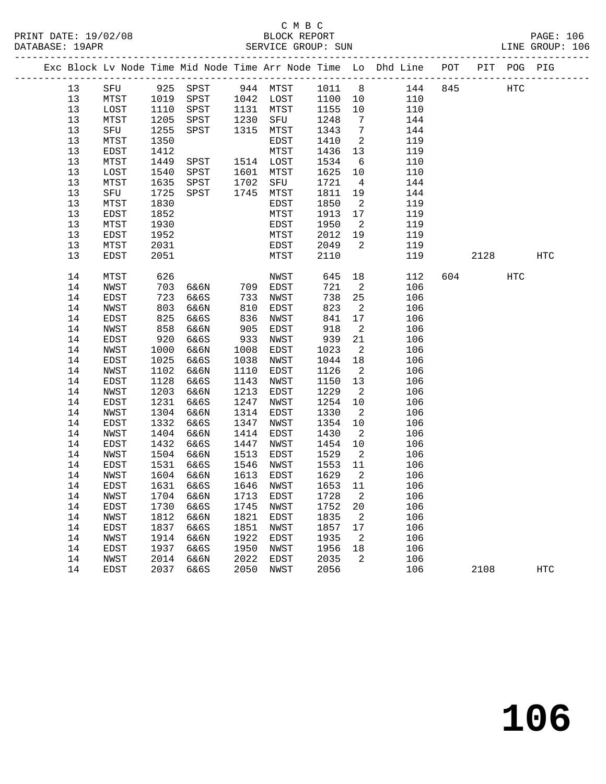|          |              |              |                       |              |              |              |                                  | Exc Block Lv Node Time Mid Node Time Arr Node Time Lo Dhd Line POT |     |      | PIT POG PIG |            |
|----------|--------------|--------------|-----------------------|--------------|--------------|--------------|----------------------------------|--------------------------------------------------------------------|-----|------|-------------|------------|
| 13       |              |              | SFU 925 SPST 944 MTST |              |              |              |                                  | 1011 8 144                                                         | 845 |      | HTC         |            |
| 13       | MTST         | 1019         | SPST                  |              | 1042 LOST    | 1100         | 10                               | 110                                                                |     |      |             |            |
| 13       | LOST         | 1110         | SPST                  | 1131         | MTST         | 1155         | 10                               | 110                                                                |     |      |             |            |
| 13       | MTST         | 1205         | SPST                  | 1230         | SFU          | 1248         | $7\overline{ }$                  | 144                                                                |     |      |             |            |
| 13       | SFU          | 1255         | SPST                  | 1315         | MTST         | 1343         | $\overline{7}$                   | 144                                                                |     |      |             |            |
| 13       | MTST         | 1350         |                       |              | EDST         | 1410         | $\overline{\phantom{a}}$         | 119                                                                |     |      |             |            |
| 13       | EDST         | 1412         |                       |              | MTST         | 1436         | 13                               | 119                                                                |     |      |             |            |
| 13       | MTST         | 1449         | SPST                  |              | 1514 LOST    | 1534         | $6\overline{6}$                  | 110                                                                |     |      |             |            |
| 13       | LOST         | 1540         | SPST                  | 1601         | MTST         | 1625         | 10                               | 110                                                                |     |      |             |            |
| 13       | MTST         | 1635         | SPST                  | 1702         | SFU          | 1721         | $\overline{4}$                   | 144                                                                |     |      |             |            |
| 13       | SFU          | 1725         | SPST                  |              | 1745 MTST    | 1811         | 19                               | 144                                                                |     |      |             |            |
| 13       | MTST         | 1830         |                       |              | EDST         | 1850         | $\overline{2}$                   | 119                                                                |     |      |             |            |
| 13       | EDST         | 1852         |                       |              | MTST         | 1913         | 17                               | 119                                                                |     |      |             |            |
| 13       | MTST         | 1930         |                       |              | EDST         | 1950         | $\overline{\mathbf{c}}$          | 119                                                                |     |      |             |            |
| 13       | EDST         | 1952         |                       |              | MTST         | 2012         | 19                               | 119                                                                |     |      |             |            |
| 13       | MTST         | 2031         |                       |              | EDST         | 2049         | $\overline{2}$                   | 119                                                                |     |      |             |            |
| 13       | EDST         | 2051         |                       |              | MTST         | 2110         |                                  | 119                                                                |     | 2128 |             | <b>HTC</b> |
| 14       | MTST         | 626          |                       |              | NWST         | 645          | 18                               | 112                                                                | 604 |      | HTC         |            |
| 14       | NWST         | 703          | 6&6N                  |              | 709 EDST     | 721          | $\overline{\phantom{a}}^2$       | 106                                                                |     |      |             |            |
| 14       | EDST         | 723          | 6&6S                  | 733          | NWST         | 738          | 25                               | 106                                                                |     |      |             |            |
| 14       | NWST         | 803          | 6&6N                  | 810          | EDST         | 823          | $\overline{\phantom{a}}^2$       | 106                                                                |     |      |             |            |
| 14       | EDST         | 825          | 6&6S                  | 836          | NWST         | 841          | 17                               | 106                                                                |     |      |             |            |
| 14       | NWST         | 858          | 6&6N                  | 905          | EDST         | 918          | $\overline{\phantom{a}}$         | 106                                                                |     |      |             |            |
| 14       | EDST         | 920          | 6&6S                  | 933          | NWST         | 939          | 21                               | 106                                                                |     |      |             |            |
| 14       | NWST         | 1000         | 6&6N                  | 1008         | EDST         | 1023         | $\overline{\phantom{a}}^2$       | 106                                                                |     |      |             |            |
| 14       | EDST         | 1025         | 6&6S                  | 1038         | NWST         | 1044         | 18                               | 106                                                                |     |      |             |            |
| 14       | NWST         | 1102         | 6&6N                  | 1110         | EDST         | 1126         | $\overline{\phantom{a}}$         | 106                                                                |     |      |             |            |
| 14       | EDST         | 1128         | 6&6S                  | 1143         | NWST         | 1150         | 13                               | 106                                                                |     |      |             |            |
| 14       | NWST         | 1203         | 6&6N                  | 1213         | EDST         | 1229         | $\overline{2}$                   | 106                                                                |     |      |             |            |
| 14       | EDST         | 1231         | 6&6S                  | 1247         | NWST         | 1254         | 10                               | 106                                                                |     |      |             |            |
| 14       | NWST         | 1304<br>1332 | 6&6N                  | 1314<br>1347 | EDST         | 1330<br>1354 | $\overline{2}$                   | 106                                                                |     |      |             |            |
| 14       | EDST         | 1404         | 6&6S                  | 1414         | NWST         | 1430         | 10<br>$\overline{\phantom{a}}^2$ | 106<br>106                                                         |     |      |             |            |
| 14<br>14 | NWST<br>EDST | 1432         | 6&6N<br>6&6S          | 1447         | EDST<br>NWST | 1454         | 10                               | 106                                                                |     |      |             |            |
| 14       | NWST         | 1504         | 6&6N                  | 1513         | EDST         | 1529         | $\overline{\phantom{a}}^2$       | 106                                                                |     |      |             |            |
| 14       | EDST         | 1531         | 6&6S                  | 1546         | NWST         | 1553         | 11                               | 106                                                                |     |      |             |            |
| 14       | NWST         | 1604         | 6&6N                  | 1613         | EDST         | 1629         | $\overline{\phantom{a}}$         | 106                                                                |     |      |             |            |
| 14       | EDST         | 1631         | 6&6S                  |              | 1646 NWST    | 1653         | 11                               | 106                                                                |     |      |             |            |
|          | 14 NWST      |              | 1704 6&6N 1713 EDST   |              |              | 1728 2       |                                  | 106                                                                |     |      |             |            |
| 14       | EDST         | 1730         | 6&6S                  | 1745         | NWST         | 1752         | 20                               | 106                                                                |     |      |             |            |
| 14       | NWST         | 1812         | 6&6N                  | 1821         | EDST         | 1835         | 2                                | 106                                                                |     |      |             |            |
| 14       | EDST         | 1837         | 6&6S                  | 1851         | NWST         | 1857         | 17                               | 106                                                                |     |      |             |            |
| 14       | NWST         | 1914         | 6&6N                  | 1922         | EDST         | 1935         | 2                                | 106                                                                |     |      |             |            |
| 14       | EDST         | 1937         | 6&6S                  | 1950         | NWST         | 1956         | 18                               | 106                                                                |     |      |             |            |
| 14       | NWST         | 2014         | 6&6N                  | 2022         | EDST         | 2035         | 2                                | 106                                                                |     |      |             |            |
| 14       | EDST         | 2037         | 6&6S                  | 2050         | NWST         | 2056         |                                  | 106                                                                |     | 2108 |             | HTC        |
|          |              |              |                       |              |              |              |                                  |                                                                    |     |      |             |            |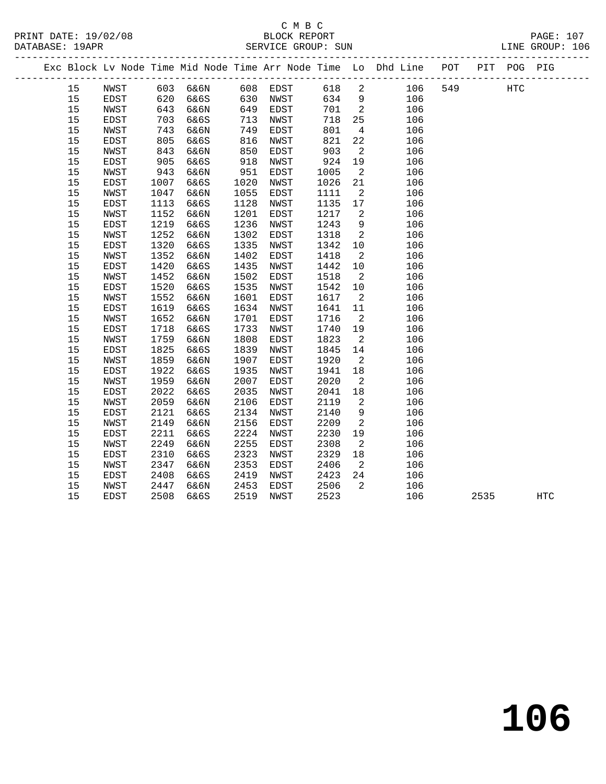#### C M B C<br>BLOCK REPORT PRINT DATE: 19/02/08 BLOCK REPORT PAGE: 107 SERVICE GROUP: SUN

|    |      |      |                   |      |      |      |                            | Exc Block Lv Node Time Mid Node Time Arr Node Time Lo Dhd Line POT PIT POG PIG |     |      |     |                   |
|----|------|------|-------------------|------|------|------|----------------------------|--------------------------------------------------------------------------------|-----|------|-----|-------------------|
| 15 | NWST |      | 603 6&6N 608 EDST |      |      | 618  | $\overline{\phantom{a}}$   | 106                                                                            | 549 |      | HTC |                   |
| 15 | EDST |      | 620 6&6S          | 630  | NWST | 634  | 9                          | 106                                                                            |     |      |     |                   |
| 15 | NWST |      | 643 6&6N          | 649  | EDST | 701  | $\overline{\phantom{a}}$   | 106                                                                            |     |      |     |                   |
| 15 | EDST | 703  | 6&6S              | 713  | NWST | 718  | 25                         | 106                                                                            |     |      |     |                   |
| 15 | NWST | 743  | 6&6N              | 749  | EDST | 801  | $4\overline{4}$            | 106                                                                            |     |      |     |                   |
| 15 | EDST | 805  | 6&6S              | 816  | NWST | 821  | 22                         | 106                                                                            |     |      |     |                   |
| 15 | NWST | 843  | 6&6N              | 850  | EDST | 903  | $\overline{2}$             | 106                                                                            |     |      |     |                   |
| 15 | EDST | 905  | 6&6S              | 918  | NWST | 924  | 19                         | 106                                                                            |     |      |     |                   |
| 15 | NWST | 943  | 6&6N              | 951  | EDST | 1005 | $\overline{2}$             | 106                                                                            |     |      |     |                   |
| 15 | EDST | 1007 | 6&6S              | 1020 | NWST | 1026 | 21                         | 106                                                                            |     |      |     |                   |
| 15 | NWST | 1047 | 6&6N              | 1055 | EDST | 1111 | $\overline{\phantom{a}}$   | 106                                                                            |     |      |     |                   |
| 15 | EDST | 1113 | 6&6S              | 1128 | NWST | 1135 | 17                         | 106                                                                            |     |      |     |                   |
| 15 | NWST | 1152 | 6&6N              | 1201 | EDST | 1217 | $\overline{2}$             | 106                                                                            |     |      |     |                   |
| 15 | EDST | 1219 | 6&6S              | 1236 | NWST | 1243 | 9                          | 106                                                                            |     |      |     |                   |
| 15 | NWST | 1252 | 6&6N              | 1302 | EDST | 1318 | $\overline{\phantom{a}}^2$ | 106                                                                            |     |      |     |                   |
| 15 | EDST | 1320 | 6&6S              | 1335 | NWST | 1342 | 10                         | 106                                                                            |     |      |     |                   |
| 15 | NWST | 1352 | 6&6N              | 1402 | EDST | 1418 | $\overline{2}$             | 106                                                                            |     |      |     |                   |
| 15 | EDST | 1420 | 6&6S              | 1435 | NWST | 1442 | 10                         | 106                                                                            |     |      |     |                   |
| 15 | NWST | 1452 | 6&6N              | 1502 | EDST | 1518 | $\overline{\phantom{a}}^2$ | 106                                                                            |     |      |     |                   |
| 15 | EDST | 1520 | 6&6S              | 1535 | NWST | 1542 | 10                         | 106                                                                            |     |      |     |                   |
| 15 | NWST | 1552 | 6&6N              | 1601 | EDST | 1617 | $\overline{2}$             | 106                                                                            |     |      |     |                   |
| 15 | EDST | 1619 | 6&6S              | 1634 | NWST | 1641 | 11                         | 106                                                                            |     |      |     |                   |
| 15 | NWST | 1652 | 6&6N              | 1701 | EDST | 1716 | $\overline{2}$             | 106                                                                            |     |      |     |                   |
| 15 | EDST | 1718 | 6&6S              | 1733 | NWST | 1740 | 19                         | 106                                                                            |     |      |     |                   |
| 15 | NWST | 1759 | 6&6N              | 1808 | EDST | 1823 | $\overline{\phantom{a}}^2$ | 106                                                                            |     |      |     |                   |
| 15 | EDST | 1825 | 6&6S              | 1839 | NWST | 1845 | 14                         | 106                                                                            |     |      |     |                   |
| 15 | NWST | 1859 | 6&6N              | 1907 | EDST | 1920 | $\overline{2}$             | 106                                                                            |     |      |     |                   |
| 15 | EDST | 1922 | 6&6S              | 1935 | NWST | 1941 | 18                         | 106                                                                            |     |      |     |                   |
| 15 | NWST | 1959 | 6&6N              | 2007 | EDST | 2020 | $\overline{2}$             | 106                                                                            |     |      |     |                   |
| 15 | EDST | 2022 | 6&6S              | 2035 | NWST | 2041 | $18\,$                     | 106                                                                            |     |      |     |                   |
| 15 | NWST | 2059 | 6&6N              | 2106 | EDST | 2119 | $\overline{2}$             | 106                                                                            |     |      |     |                   |
| 15 | EDST | 2121 | 6&6S              | 2134 | NWST | 2140 | 9                          | 106                                                                            |     |      |     |                   |
| 15 | NWST | 2149 | 6&6N              | 2156 | EDST | 2209 | $\overline{a}$             | 106                                                                            |     |      |     |                   |
| 15 | EDST | 2211 | 6&6S              | 2224 | NWST | 2230 | 19                         | 106                                                                            |     |      |     |                   |
| 15 | NWST | 2249 | 6&6N              | 2255 | EDST | 2308 | $\overline{\phantom{a}}$   | 106                                                                            |     |      |     |                   |
| 15 | EDST | 2310 | 6&6S              | 2323 | NWST | 2329 | 18                         | 106                                                                            |     |      |     |                   |
| 15 | NWST | 2347 | 6&6N              | 2353 | EDST | 2406 | $\overline{2}$             | 106                                                                            |     |      |     |                   |
| 15 | EDST | 2408 | 6&6S              | 2419 | NWST | 2423 | 24                         | 106                                                                            |     |      |     |                   |
| 15 | NWST | 2447 | 6&6N              | 2453 | EDST | 2506 | $\overline{\mathbf{2}}$    | 106                                                                            |     |      |     |                   |
| 15 | EDST | 2508 | 6&6S              | 2519 | NWST | 2523 |                            | 106                                                                            |     | 2535 |     | $_{\mathrm{HTC}}$ |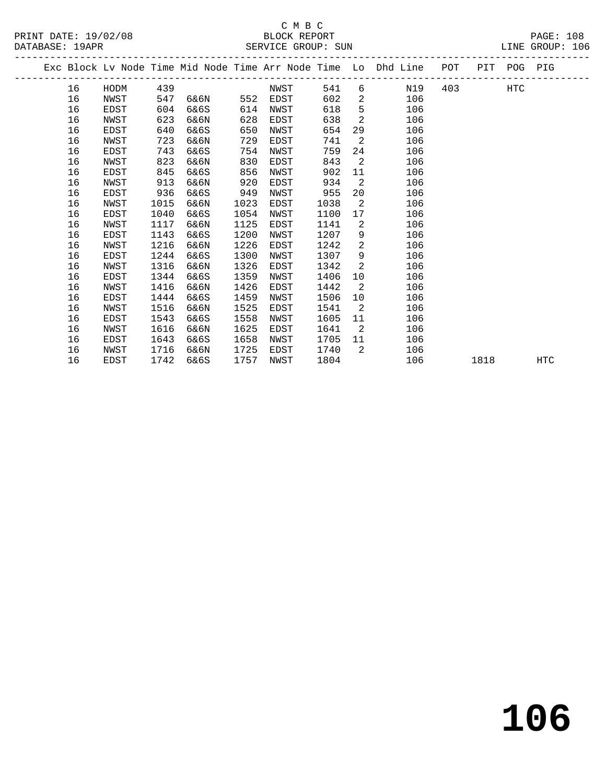# C M B C<br>BLOCK REPORT

| PRINT DATE: 19/02/08    | BLOCK REPORT          |      | PAGE:  |     |
|-------------------------|-----------------------|------|--------|-----|
| $19$ $APR$<br>DATARASE: | SUN<br>SERVICE GROUP: | LINE | GROUP: | 106 |
|                         |                       |      |        |     |

|  |    |             |      |      |      |      |      |                | Exc Block Lv Node Time Mid Node Time Arr Node Time Lo Dhd Line | POT | PIT  | POG PIG    |            |  |
|--|----|-------------|------|------|------|------|------|----------------|----------------------------------------------------------------|-----|------|------------|------------|--|
|  | 16 | HODM        | 439  |      |      | NWST | 541  |                | N19<br>$6 \qquad \qquad$                                       | 403 |      | <b>HTC</b> |            |  |
|  | 16 | NWST        | 547  | 6&6N | 552  | EDST | 602  | $\overline{2}$ | 106                                                            |     |      |            |            |  |
|  | 16 | EDST        | 604  | 6&6S | 614  | NWST | 618  | 5              | 106                                                            |     |      |            |            |  |
|  | 16 | NWST        | 623  | 6&6N | 628  | EDST | 638  | 2              | 106                                                            |     |      |            |            |  |
|  | 16 | EDST        | 640  | 6&6S | 650  | NWST | 654  | 29             | 106                                                            |     |      |            |            |  |
|  | 16 | NWST        | 723  | 6&6N | 729  | EDST | 741  | 2              | 106                                                            |     |      |            |            |  |
|  | 16 | EDST        | 743  | 6&6S | 754  | NWST | 759  | 24             | 106                                                            |     |      |            |            |  |
|  | 16 | NWST        | 823  | 6&6N | 830  | EDST | 843  | 2              | 106                                                            |     |      |            |            |  |
|  | 16 | EDST        | 845  | 6&6S | 856  | NWST | 902  | 11             | 106                                                            |     |      |            |            |  |
|  | 16 | NWST        | 913  | 6&6N | 920  | EDST | 934  | $\overline{2}$ | 106                                                            |     |      |            |            |  |
|  | 16 | EDST        | 936  | 6&6S | 949  | NWST | 955  | 20             | 106                                                            |     |      |            |            |  |
|  | 16 | NWST        | 1015 | 6&6N | 1023 | EDST | 1038 | $\overline{a}$ | 106                                                            |     |      |            |            |  |
|  | 16 | EDST        | 1040 | 6&6S | 1054 | NWST | 1100 | 17             | 106                                                            |     |      |            |            |  |
|  | 16 | NWST        | 1117 | 6&6N | 1125 | EDST | 1141 | 2              | 106                                                            |     |      |            |            |  |
|  | 16 | EDST        | 1143 | 6&6S | 1200 | NWST | 1207 | 9              | 106                                                            |     |      |            |            |  |
|  | 16 | NWST        | 1216 | 6&6N | 1226 | EDST | 1242 | $\overline{2}$ | 106                                                            |     |      |            |            |  |
|  | 16 | EDST        | 1244 | 6&6S | 1300 | NWST | 1307 | 9              | 106                                                            |     |      |            |            |  |
|  | 16 | NWST        | 1316 | 6&6N | 1326 | EDST | 1342 | 2              | 106                                                            |     |      |            |            |  |
|  | 16 | EDST        | 1344 | 6&6S | 1359 | NWST | 1406 | 10             | 106                                                            |     |      |            |            |  |
|  | 16 | NWST        | 1416 | 6&6N | 1426 | EDST | 1442 | -2             | 106                                                            |     |      |            |            |  |
|  | 16 | EDST        | 1444 | 6&6S | 1459 | NWST | 1506 | 10             | 106                                                            |     |      |            |            |  |
|  | 16 | NWST        | 1516 | 6&6N | 1525 | EDST | 1541 | $\overline{2}$ | 106                                                            |     |      |            |            |  |
|  | 16 | EDST        | 1543 | 6&6S | 1558 | NWST | 1605 | 11             | 106                                                            |     |      |            |            |  |
|  | 16 | NWST        | 1616 | 6&6N | 1625 | EDST | 1641 | $\overline{2}$ | 106                                                            |     |      |            |            |  |
|  | 16 | EDST        | 1643 | 6&6S | 1658 | NWST | 1705 | 11             | 106                                                            |     |      |            |            |  |
|  | 16 | NWST        | 1716 | 6&6N | 1725 | EDST | 1740 | 2              | 106                                                            |     |      |            |            |  |
|  | 16 | <b>EDST</b> | 1742 | 6&6S | 1757 | NWST | 1804 |                | 106                                                            |     | 1818 |            | <b>HTC</b> |  |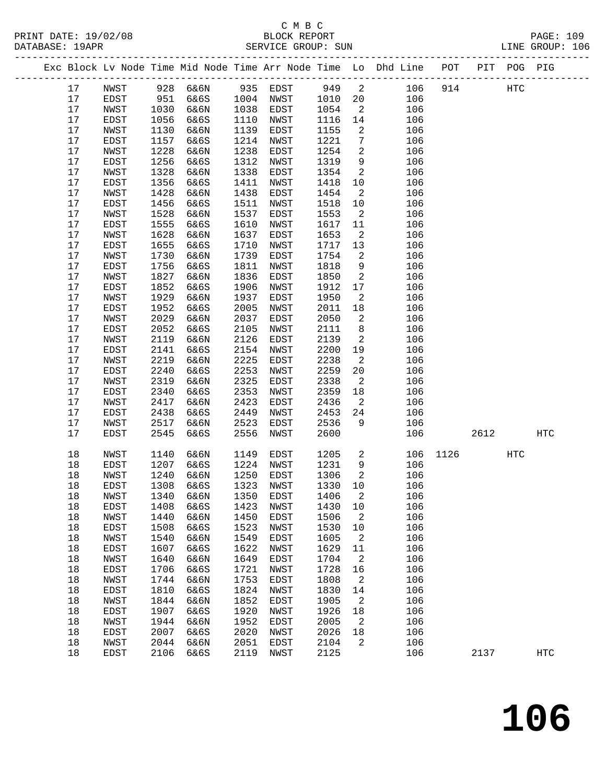|          |              |              |              |              |              |              |                 | Exc Block Lv Node Time Mid Node Time Arr Node Time Lo Dhd Line POT<br>-------------------------------- |      |      | PIT POG PIG |            |
|----------|--------------|--------------|--------------|--------------|--------------|--------------|-----------------|--------------------------------------------------------------------------------------------------------|------|------|-------------|------------|
| 17       | NWST         | 928          | 6&6N         | 935          | EDST         | 949          | $\overline{c}$  | 106                                                                                                    | 914  |      | HTC         |            |
| 17       | EDST         | 951          | 6&6S         | 1004         | NWST         | 1010         | 20              | 106                                                                                                    |      |      |             |            |
| $17$     | NWST         | 1030         | 6&6N         | 1038         | EDST         | 1054         | 2               | 106                                                                                                    |      |      |             |            |
| 17       | EDST         | 1056         | 6&6S         | 1110         | NWST         | 1116         | 14              | 106                                                                                                    |      |      |             |            |
| $17$     | NWST         | 1130         | 6&6N         | 1139         | EDST         | 1155         | 2               | 106                                                                                                    |      |      |             |            |
| 17       | EDST         | 1157         | 6&6S         | 1214         | NWST         | 1221         | $7\phantom{.0}$ | 106                                                                                                    |      |      |             |            |
| $17$     | NWST         | 1228         | 6&6N         | 1238         | EDST         | 1254         | $\overline{a}$  | 106                                                                                                    |      |      |             |            |
| $17$     | EDST         | 1256         | 6&6S         | 1312         | NWST         | 1319         | 9               | 106                                                                                                    |      |      |             |            |
| $17$     | NWST         | 1328         | 6&6N         | 1338         | EDST         | 1354         | 2               | 106                                                                                                    |      |      |             |            |
| $17$     | EDST         | 1356         | 6&6S         | 1411         | NWST         | 1418         | 10              | 106                                                                                                    |      |      |             |            |
| $17$     | NWST         | 1428         | 6&6N         | 1438         | EDST         | 1454         | 2               | 106                                                                                                    |      |      |             |            |
| $17$     | EDST         | 1456         | 6&6S         | 1511         | NWST         | 1518         | 10              | 106                                                                                                    |      |      |             |            |
| $17$     | NWST         | 1528         | 6&6N         | 1537         | EDST         | 1553         | 2               | 106                                                                                                    |      |      |             |            |
| $17$     | EDST         | 1555         | 6&6S         | 1610         | NWST         | 1617         | 11              | 106                                                                                                    |      |      |             |            |
| $17$     | NWST         | 1628         | 6&6N         | 1637         | EDST         | 1653         | 2               | 106                                                                                                    |      |      |             |            |
| $17$     | EDST         | 1655         | 6&6S         | 1710         | NWST         | 1717         | 13              | 106                                                                                                    |      |      |             |            |
| 17       | NWST         | 1730         | 6&6N         | 1739         | EDST         | 1754         | 2               | 106                                                                                                    |      |      |             |            |
| $17$     | EDST         | 1756         | 6&6S         | 1811         | NWST         | 1818         | 9               | 106                                                                                                    |      |      |             |            |
| $17$     | NWST         | 1827         | 6&6N         | 1836         | EDST         | 1850         | 2               | 106                                                                                                    |      |      |             |            |
| $17$     | EDST         | 1852         | 6&6S         | 1906         | NWST         | 1912         | 17              | 106                                                                                                    |      |      |             |            |
| 17       | NWST         | 1929         | 6&6N         | 1937         | EDST         | 1950         | 2               | 106                                                                                                    |      |      |             |            |
| $17$     | EDST         | 1952<br>2029 | 6&6S         | 2005<br>2037 | NWST         | 2011         | 18              | 106<br>106                                                                                             |      |      |             |            |
| 17<br>17 | NWST<br>EDST | 2052         | 6&6N<br>6&6S | 2105         | EDST<br>NWST | 2050<br>2111 | 2<br>8          | 106                                                                                                    |      |      |             |            |
| $17$     | NWST         | 2119         | 6&6N         | 2126         | EDST         | 2139         | 2               | 106                                                                                                    |      |      |             |            |
| $17$     | EDST         | 2141         | 6&6S         | 2154         | NWST         | 2200         | 19              | 106                                                                                                    |      |      |             |            |
| $17$     | NWST         | 2219         | 6&6N         | 2225         | EDST         | 2238         | 2               | 106                                                                                                    |      |      |             |            |
| $17$     | EDST         | 2240         | 6&6S         | 2253         | NWST         | 2259         | 20              | 106                                                                                                    |      |      |             |            |
| $17$     | NWST         | 2319         | 6&6N         | 2325         | EDST         | 2338         | $\overline{2}$  | 106                                                                                                    |      |      |             |            |
| $17$     | EDST         | 2340         | 6&6S         | 2353         | NWST         | 2359         | 18              | 106                                                                                                    |      |      |             |            |
| 17       | NWST         | 2417         | 6&6N         | 2423         | EDST         | 2436         | $\overline{a}$  | 106                                                                                                    |      |      |             |            |
| $17$     | EDST         | 2438         | 6&6S         | 2449         | NWST         | 2453         | 24              | 106                                                                                                    |      |      |             |            |
| $17$     | NWST         | 2517         | 6&6N         | 2523         | EDST         | 2536         | 9               | 106                                                                                                    |      |      |             |            |
| 17       | EDST         | 2545         | 6&6S         | 2556         | NWST         | 2600         |                 | 106                                                                                                    |      | 2612 |             | <b>HTC</b> |
| 18       | NWST         | 1140         | 6&6N         | 1149         | EDST         | 1205         | $\overline{a}$  | 106                                                                                                    | 1126 |      | HTC         |            |
| 18       | EDST         | 1207         | 6&6S         | 1224         | NWST         | 1231         | 9               | 106                                                                                                    |      |      |             |            |
| 18       | NWST         | 1240         | 6&6N         | 1250         | EDST         | 1306         | 2               | 106                                                                                                    |      |      |             |            |
| 18       | EDST         | 1308         | 6&6S         | 1323         | NWST         | 1330         | 10              | 106                                                                                                    |      |      |             |            |
| $18\,$   | NWST         | 1340         | 6&6N         | 1350         | EDST         | 1406         | 2               | 106                                                                                                    |      |      |             |            |
| 18       | EDST         | 1408         | 6&6S         | 1423         | NWST         | 1430         | 10              | 106                                                                                                    |      |      |             |            |
| $18\,$   | NWST         | 1440         | 6&6N         | 1450         | EDST         | 1506         | 2               | 106                                                                                                    |      |      |             |            |
| 18       | EDST         | 1508         | 6&6S         | 1523         | NWST         | 1530         | 10              | 106                                                                                                    |      |      |             |            |
| $18\,$   | NWST         | 1540         | 6&6N         | 1549         | EDST         | 1605         | 2               | 106                                                                                                    |      |      |             |            |
| $18\,$   | EDST         | 1607         | 6&6S         | 1622         | NWST         | 1629         | 11              | 106                                                                                                    |      |      |             |            |
| 18       | NWST         | 1640         | 6&6N         | 1649         | EDST         | 1704         | $\sqrt{2}$      | 106                                                                                                    |      |      |             |            |
| $18\,$   | EDST         | 1706         | 6&6S         | 1721         | NWST         | 1728         | 16              | 106                                                                                                    |      |      |             |            |
| $18\,$   | NWST         | 1744         | 6&6N         | 1753         | EDST         | 1808         | 2               | 106                                                                                                    |      |      |             |            |
| $18\,$   | EDST         | 1810         | 6&6S         | 1824         | NWST         | 1830         | 14              | 106                                                                                                    |      |      |             |            |
| 18       | NWST         | 1844         | 6&6N         | 1852         | EDST         | 1905         | 2               | 106                                                                                                    |      |      |             |            |
| 18       | EDST         | 1907         | 6&6S         | 1920         | NWST         | 1926         | 18              | 106                                                                                                    |      |      |             |            |
| 18       | NWST         | 1944         | 6&6N         | 1952         | EDST         | 2005         | 2               | 106                                                                                                    |      |      |             |            |
| $18\,$   | EDST         | 2007         | 6&6S         | 2020         | NWST         | 2026         | $18\,$          | 106                                                                                                    |      |      |             |            |
| 18       | NWST         | 2044         | 6&6N         | 2051         | EDST         | 2104         | 2               | 106                                                                                                    |      |      |             |            |
| 18       | EDST         | 2106         | 6&6S         | 2119         | NWST         | 2125         |                 | 106                                                                                                    |      | 2137 |             | <b>HTC</b> |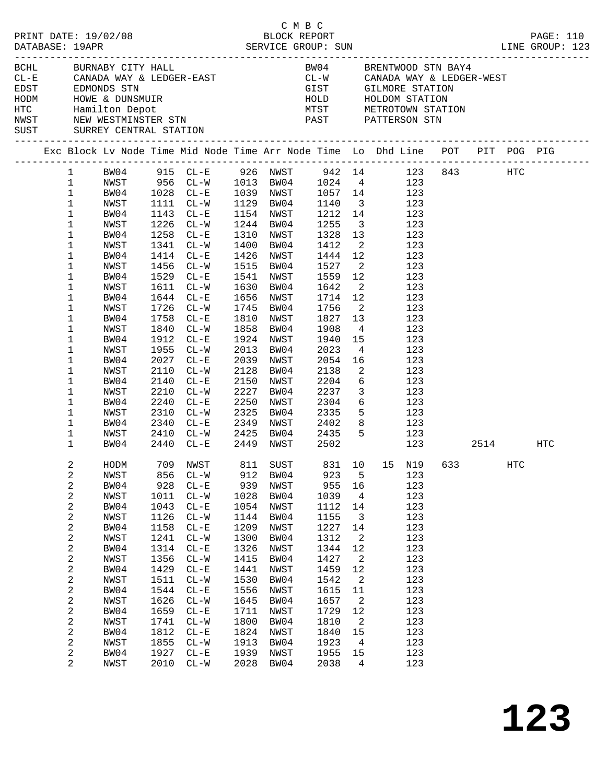|  |                                                                                                                                                                                                                                                                                                                            | PRINT DATE: 19/02/08                                                                                                                                                                         |                                                                                                                                                    |                                                                                                                                                                                                                                                                                                                                |                                                                                                                                                    | C M B C<br>BLOCK REPORT                                                                                                                                                                                                                                 |                                                                                                                                                                                       |                                                                                                                                                                                                            |                                                                                                                                                                                                                                                                                                                                                                                                                                                                                    |          |     | PAGE: 110 |
|--|----------------------------------------------------------------------------------------------------------------------------------------------------------------------------------------------------------------------------------------------------------------------------------------------------------------------------|----------------------------------------------------------------------------------------------------------------------------------------------------------------------------------------------|----------------------------------------------------------------------------------------------------------------------------------------------------|--------------------------------------------------------------------------------------------------------------------------------------------------------------------------------------------------------------------------------------------------------------------------------------------------------------------------------|----------------------------------------------------------------------------------------------------------------------------------------------------|---------------------------------------------------------------------------------------------------------------------------------------------------------------------------------------------------------------------------------------------------------|---------------------------------------------------------------------------------------------------------------------------------------------------------------------------------------|------------------------------------------------------------------------------------------------------------------------------------------------------------------------------------------------------------|------------------------------------------------------------------------------------------------------------------------------------------------------------------------------------------------------------------------------------------------------------------------------------------------------------------------------------------------------------------------------------------------------------------------------------------------------------------------------------|----------|-----|-----------|
|  |                                                                                                                                                                                                                                                                                                                            | BCHL BURNABY CITY HALL<br>SUST SURREY CENTRAL STATION                                                                                                                                        |                                                                                                                                                    |                                                                                                                                                                                                                                                                                                                                |                                                                                                                                                    |                                                                                                                                                                                                                                                         |                                                                                                                                                                                       |                                                                                                                                                                                                            | BW04 BRENTWOOD STN BAY4<br>$CL-E$ CANADA WAY & LEDGER-EAST $CL-W$ CANADA WAY & LEDGER-WEST EDST EDST EDMONDS STN<br>EDST EDMONDS STN GIST GILMORE STATION<br>HODM HOWE & DUNSMUIR<br>HOLD HOLDOM STATION<br>HOLD HOLDOM STATION<br>HOLD HOLDOM STATION<br>NETROTOWN STATION<br>NEW WESTMINSTER STN PAST PATTERSON STN                                                                                                                                                              |          |     |           |
|  |                                                                                                                                                                                                                                                                                                                            |                                                                                                                                                                                              |                                                                                                                                                    |                                                                                                                                                                                                                                                                                                                                |                                                                                                                                                    |                                                                                                                                                                                                                                                         |                                                                                                                                                                                       |                                                                                                                                                                                                            | Exc Block Lv Node Time Mid Node Time Arr Node Time Lo Dhd Line POT PIT POG PIG                                                                                                                                                                                                                                                                                                                                                                                                     |          |     |           |
|  | $\mathbf{1}$<br>$\mathbf 1$<br>$\mathbf{1}$<br>$\mathbf{1}$<br>$\mathbf{1}$<br>$\mathbf 1$<br>$\mathbf{1}$<br>1<br>$\mathbf{1}$<br>$\mathbf 1$<br>$\mathbf{1}$<br>$\mathbf 1$<br>1<br>$\mathbf 1$<br>1<br>1<br>1<br>$\mathbf 1$<br>$\mathbf 1$<br>1<br>1<br>$\mathbf 1$<br>$\mathbf 1$<br>$\mathbf 1$<br>1<br>$\mathbf{1}$ | NWST<br>BW04<br>NWST<br>BW04<br>NWST<br>BW04<br>NWST<br>BW04<br>NWST<br>BW04<br>NWST<br>BW04<br>NWST<br>BW04<br>NWST<br>BW04<br>NWST<br>BW04<br>NWST<br>BW04<br>NWST<br>BW04<br>NWST<br>BW04 | 1912<br>1955<br>2027<br>2110<br>2140<br>2210<br>2240                                                                                               | 1111 CL-W<br>1143 CL-E<br>1226 CL-W<br>1258 CL-E<br>1341 CL-W<br>1414 CL-E<br>1456 CL-W<br>1529 CL-E<br>1611 CL-W<br>1644 CL-E<br>1726 CL-W<br>1758 CL-E<br>1840 CL-W<br>$CL-E$<br>$CL-W$<br>$CL - E$<br>$CL-W$<br>$CL-E$<br>$CL - W$<br>$CL - E$<br>2310 CL-W<br>2340 CL-E<br>2410 CL-W 2425 BW04 2435<br>2440 CL-E 2449 NWST | 1810<br>1858<br>2013<br>2150<br>2227<br>2250<br>2325                                                                                               | 1129 BW04<br>1154 NWST<br>1244 BW04<br>1310 NWST<br>1400 BW04<br>1426 NWST<br>1515 BW04<br>1541 NWST<br>1630 BW04<br>1656 NWST<br>1745 BW04<br>NWST<br>BW04<br>1924 NWST<br>BW04<br>2039 NWST<br>2128 BW04<br>NWST<br>BW04<br>NWST<br>BW04<br>2349 NWST | 1140<br>1212 14<br>1255<br>1328<br>1412<br>1444 12<br>1527<br>1559<br>1642<br>1714 12<br>1756<br>1827<br>1908<br>1940<br>2023<br>2054<br>2138<br>2204<br>2237<br>2304<br>2335<br>2502 | 13<br>12<br>$\overline{\phantom{a}}$<br>13<br>$4\overline{4}$<br>16<br>$\overline{\mathbf{c}}$<br>$\overline{\mathbf{3}}$                                                                                  | 1 BW04 915 CL-E 926 NWST 942 14 123 843 HTC<br>NWST 956 CL-W 1013 BW04 1024 4 123<br>BW04 1028 CL-E 1039 NWST 1057 14 123<br>3 123<br>123<br>$\frac{3}{2}$ 123<br>123<br>$\overline{a}$<br>123<br>123<br>$\overline{\mathbf{c}}$<br>123<br>123<br>$\overline{a}$<br>123<br>123<br>123<br>123<br>123<br>15<br>123<br>$4\overline{ }$<br>123<br>123<br>123<br>$6\overline{6}$<br>123<br>123<br>$\begin{array}{ccc} 6 & & 123 \\ 5 & & 123 \end{array}$<br>2402 8 123<br>5 123<br>123 | 2514 HTC |     |           |
|  | 2<br>2<br>2<br>$\sqrt{2}$<br>2<br>2<br>$\sqrt{2}$<br>$\sqrt{2}$<br>2<br>2<br>2<br>$\sqrt{2}$<br>2<br>$\sqrt{2}$<br>$\sqrt{2}$<br>$\sqrt{2}$<br>2<br>2<br>2<br>$\overline{a}$                                                                                                                                               | NWST<br>BW04<br>NWST<br>BW04<br>NWST<br>BW04<br>NWST<br>BW04<br>NWST<br>BW04<br>NWST<br>BW04<br>NWST<br>BW04<br>NWST<br>BW04<br>NWST<br>BW04<br>NWST                                         | 856<br>928<br>1011<br>1043<br>1126<br>1158<br>1241<br>1314<br>1356<br>1429<br>1511<br>1544<br>1626<br>1659<br>1741<br>1812<br>1855<br>1927<br>2010 | $CL - W$<br>$CL - E$<br>$CL-W$<br>$CL-E$<br>$CL-W$<br>$CL - E$<br>$CL-W$<br>$CL - E$<br>$CL-W$<br>$CL - E$<br>$CL-W$<br>$CL - E$<br>$CL-W$<br>$CL - E$<br>$CL-W$<br>$CL - E$<br>$CL-W$<br>$CL - E$<br>$CL-W$                                                                                                                   | 912<br>939<br>1028<br>1054<br>1144<br>1209<br>1300<br>1326<br>1415<br>1441<br>1530<br>1556<br>1645<br>1711<br>1800<br>1824<br>1913<br>1939<br>2028 | BW04<br>NWST<br>BW04<br>NWST<br>BW04<br>NWST<br>BW04<br>NWST<br>BW04<br>NWST<br>BW04<br>NWST<br>BW04<br>NWST<br>BW04<br>NWST<br>BW04<br>NWST<br>BW04                                                                                                    | 923<br>955<br>1039<br>1112<br>1155<br>1227<br>1312<br>1344<br>1427<br>1459<br>1542<br>1615<br>1657<br>1729<br>1810<br>1840<br>1923<br>1955<br>2038                                    | 5<br>16<br>$\overline{4}$<br>14<br>$\overline{3}$<br>14<br>$\overline{a}$<br>12<br>$\overline{\phantom{a}}^2$<br>12<br>2<br>11<br>$\overline{\phantom{a}}^2$<br>12<br>2<br>15<br>$\overline{4}$<br>15<br>4 | HODM 709 NWST 811 SUST 831 10 15 N19 633<br>123<br>123<br>123<br>123<br>123<br>123<br>123<br>123<br>123<br>123<br>123<br>123<br>123<br>123<br>123<br>123<br>123<br>123<br>123                                                                                                                                                                                                                                                                                                      |          | HTC |           |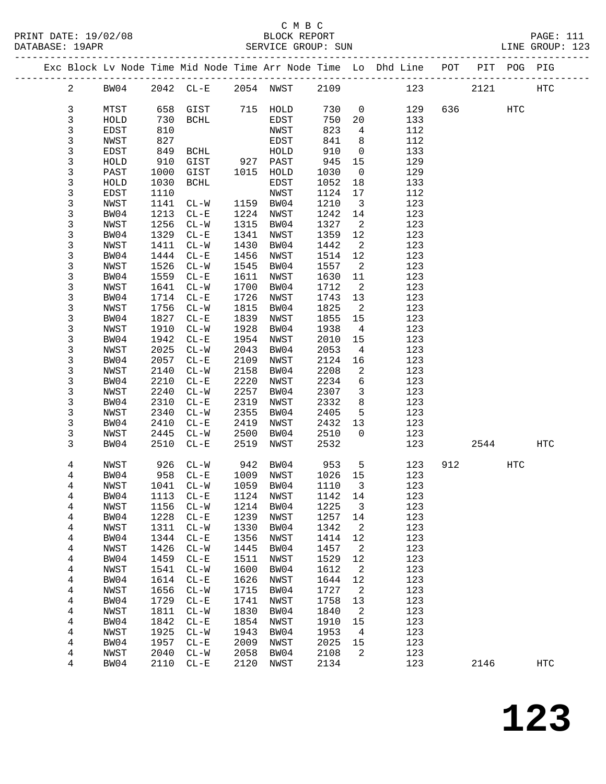|  |                |      |      |                             |      |           |         |                            | Exc Block Lv Node Time Mid Node Time Arr Node Time Lo Dhd Line POT PIT POG PIG |        |     |              |
|--|----------------|------|------|-----------------------------|------|-----------|---------|----------------------------|--------------------------------------------------------------------------------|--------|-----|--------------|
|  | $\overline{a}$ | BW04 |      | 2042 CL-E 2054 NWST 2109    |      |           |         |                            | 123                                                                            | 2121   |     | HTC          |
|  | 3              | MTST |      | 658 GIST                    |      | 715 HOLD  | 730     | $\overline{0}$             | 129                                                                            | 636 70 | HTC |              |
|  | 3              | HOLD | 730  | BCHL                        |      | EDST      | 750     | 20                         | 133                                                                            |        |     |              |
|  | 3              | EDST | 810  |                             |      | NWST      | 823     | $\overline{4}$             | 112                                                                            |        |     |              |
|  | 3              | NWST | 827  |                             |      | EDST      | 841     | 8 <sup>8</sup>             | 112                                                                            |        |     |              |
|  | 3              | EDST | 849  | BCHL                        |      | HOLD      | 910     | $\overline{0}$             | 133                                                                            |        |     |              |
|  | 3              | HOLD | 910  | GIST                        | 927  | PAST      | 945     | 15                         | 129                                                                            |        |     |              |
|  | 3              | PAST | 1000 | GIST                        |      | 1015 HOLD | 1030    | $\overline{0}$             | 129                                                                            |        |     |              |
|  | 3              | HOLD | 1030 | BCHL                        |      | EDST      | 1052    | 18                         | 133                                                                            |        |     |              |
|  | 3              | EDST | 1110 |                             |      | NWST      | 1124    | 17                         | 112                                                                            |        |     |              |
|  | 3              | NWST | 1141 | $CL - W$                    |      | 1159 BW04 | 1210    | $\overline{\mathbf{3}}$    | 123                                                                            |        |     |              |
|  | 3              | BW04 | 1213 | $CL - E$                    | 1224 | NWST      | 1242    | 14                         | 123                                                                            |        |     |              |
|  | 3              | NWST | 1256 | $CL-W$                      |      | 1315 BW04 | 1327    | $\overline{\phantom{a}}^2$ | 123                                                                            |        |     |              |
|  | 3              | BW04 | 1329 | $CL - E$                    | 1341 | NWST      | 1359    | 12                         | 123                                                                            |        |     |              |
|  | 3              | NWST | 1411 | $CL-W$                      | 1430 | BW04      | 1442    | $\overline{\phantom{a}}^2$ | 123                                                                            |        |     |              |
|  | $\mathsf{3}$   | BW04 | 1444 | $CL-E$                      | 1456 | NWST      | 1514    | 12                         | 123                                                                            |        |     |              |
|  | 3              | NWST | 1526 | $CL-W$                      | 1545 | BW04      | 1557    | $\overline{\mathbf{c}}$    | 123                                                                            |        |     |              |
|  | 3              | BW04 | 1559 | $CL - E$                    | 1611 | NWST      | 1630    | 11                         | 123                                                                            |        |     |              |
|  | 3              | NWST | 1641 | $CL-W$                      | 1700 | BW04      | 1712    | $\overline{\phantom{a}}^2$ | 123                                                                            |        |     |              |
|  | 3              | BW04 | 1714 | $CL - E$                    | 1726 | NWST      | 1743    | 13                         | 123                                                                            |        |     |              |
|  | 3              | NWST | 1756 | $CL-W$                      | 1815 | BW04      | 1825    | $\overline{2}$             | 123                                                                            |        |     |              |
|  | 3              | BW04 | 1827 | $CL - E$                    | 1839 | NWST      | 1855    | 15                         | 123                                                                            |        |     |              |
|  | 3              | NWST | 1910 | $CL - W$                    | 1928 | BW04      | 1938    | $\overline{4}$             | 123                                                                            |        |     |              |
|  | 3              | BW04 | 1942 | $CL - E$                    | 1954 | NWST      | 2010    | 15                         | 123                                                                            |        |     |              |
|  | 3              | NWST | 2025 | $CL-W$                      | 2043 | BW04      | 2053    | $\overline{4}$             | 123                                                                            |        |     |              |
|  | 3              | BW04 | 2057 | $CL-E$                      | 2109 | NWST      | 2124    | 16                         | 123                                                                            |        |     |              |
|  | 3              | NWST | 2140 | $CL-W$                      | 2158 | BW04      | 2208    | $\overline{2}$             | 123                                                                            |        |     |              |
|  | 3              | BW04 | 2210 | $CL - E$                    | 2220 | NWST      | 2234    | 6                          | 123                                                                            |        |     |              |
|  | 3              | NWST | 2240 | $CL-W$                      | 2257 | BW04      | 2307    | $\overline{\mathbf{3}}$    | 123                                                                            |        |     |              |
|  | 3              | BW04 | 2310 | $CL-E$                      | 2319 | NWST      | 2332    | 8                          | 123                                                                            |        |     |              |
|  | 3              | NWST | 2340 | $CL-W$                      | 2355 | BW04      | 2405    | 5                          | 123                                                                            |        |     |              |
|  | 3              | BW04 | 2410 | $CL - E$                    | 2419 | NWST      | 2432    | 13                         | 123                                                                            |        |     |              |
|  | 3              | NWST | 2445 | $CL-W$                      | 2500 | BW04      | 2510    | $\overline{0}$             | 123                                                                            |        |     |              |
|  | 3              | BW04 | 2510 | $CL - E$                    | 2519 | NWST      | 2532    |                            | 123                                                                            | 2544   |     | HTC          |
|  | 4              | NWST | 926  | $CL-W$                      | 942  | BW04      | 953     | $5^{\circ}$                | 123                                                                            | 912    | HTC |              |
|  | 4              | BW04 | 958  | $CL - E$                    |      | 1009 NWST | 1026 15 |                            | 123                                                                            |        |     |              |
|  | 4              | NWST |      | 1041 CL-W                   |      | 1059 BW04 | 1110    | $\overline{\mathbf{3}}$    | 123                                                                            |        |     |              |
|  | 4              | BW04 |      | 1113 CL-E 1124 NWST 1142 14 |      |           |         |                            | 123                                                                            |        |     |              |
|  | 4              | NWST | 1156 | $CL - W$                    | 1214 | BW04      | 1225    | 3                          | 123                                                                            |        |     |              |
|  | 4              | BW04 | 1228 | $CL - E$                    | 1239 | NWST      | 1257    | 14                         | 123                                                                            |        |     |              |
|  | 4              | NWST | 1311 | $CL - W$                    | 1330 | BW04      | 1342    | $\overline{a}$             | 123                                                                            |        |     |              |
|  | 4              | BW04 | 1344 | $CL-E$                      | 1356 | NWST      | 1414    | 12                         | 123                                                                            |        |     |              |
|  | 4              | NWST | 1426 | $CL-W$                      | 1445 | BW04      | 1457    | 2                          | 123                                                                            |        |     |              |
|  | 4              | BW04 | 1459 | $CL - E$                    | 1511 | NWST      | 1529    | 12                         | 123                                                                            |        |     |              |
|  | 4              | NWST | 1541 | $CL - W$                    | 1600 | BW04      | 1612    | $\overline{a}$             | 123                                                                            |        |     |              |
|  | 4              | BW04 | 1614 | $CL-E$                      | 1626 | NWST      | 1644    | 12                         | 123                                                                            |        |     |              |
|  | 4              | NWST | 1656 | $CL-W$                      | 1715 | BW04      | 1727    | $\overline{\phantom{a}}$   | 123                                                                            |        |     |              |
|  | 4              | BW04 | 1729 | $CL - E$                    | 1741 | NWST      | 1758    | 13                         | 123                                                                            |        |     |              |
|  | 4              | NWST | 1811 | $CL-W$                      | 1830 | BW04      | 1840    | $\overline{a}$             | 123                                                                            |        |     |              |
|  | 4              | BW04 | 1842 | $CL-E$                      | 1854 | NWST      | 1910    | 15                         | 123                                                                            |        |     |              |
|  | 4              | NWST | 1925 | $CL - W$                    | 1943 | BW04      | 1953    | $\overline{4}$             | 123                                                                            |        |     |              |
|  | 4              | BW04 | 1957 | $CL - E$                    | 2009 | NWST      | 2025    | 15                         | 123                                                                            |        |     |              |
|  | 4              | NWST | 2040 | $CL-W$                      | 2058 | BW04      | 2108    | 2                          | 123                                                                            |        |     |              |
|  | 4              | BW04 | 2110 | $CL-E$                      | 2120 | NWST      | 2134    |                            | 123                                                                            | 2146   |     | $_{\rm HTC}$ |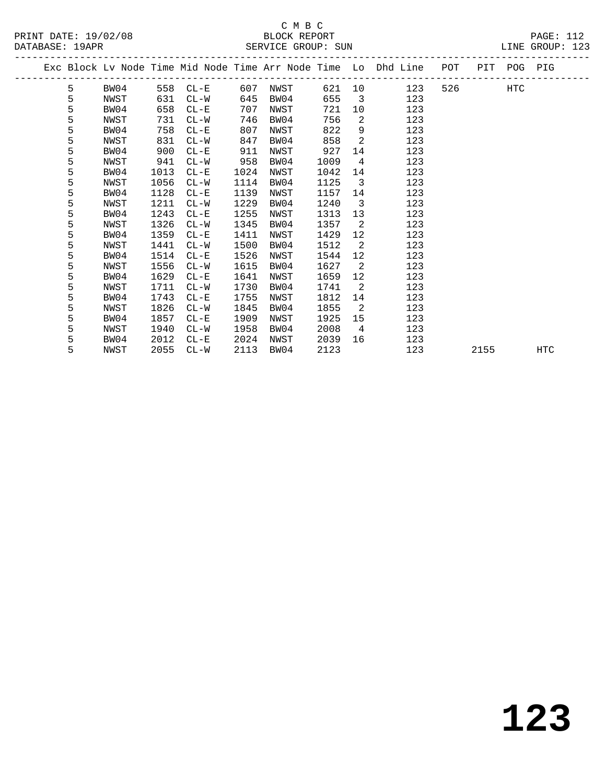| PRINT DATE: 19/02/08 | BLOCK REPORT       | <b>PAGE: 112</b> |
|----------------------|--------------------|------------------|
| DATABASE: 19APR      | SERVICE GROUP: SUN | LINE GROUP: 123  |

|  |   |      |      |          |      |      |      |                         | Exc Block Lv Node Time Mid Node Time Arr Node Time Lo Dhd Line POT |        |      | PIT POG PIG |            |
|--|---|------|------|----------|------|------|------|-------------------------|--------------------------------------------------------------------|--------|------|-------------|------------|
|  | 5 | BW04 |      | 558 CL-E | 607  | NWST |      |                         | 621 10<br>123                                                      | 526 32 |      | HTC         |            |
|  | 5 | NWST | 631  | $CL-W$   | 645  | BW04 | 655  | $\overline{\mathbf{3}}$ | 123                                                                |        |      |             |            |
|  | 5 | BW04 | 658  | $CL-E$   | 707  | NWST | 721  | 10                      | 123                                                                |        |      |             |            |
|  | 5 | NWST | 731  | $CL-W$   | 746  | BW04 | 756  | 2                       | 123                                                                |        |      |             |            |
|  | 5 | BW04 | 758  | $CL - E$ | 807  | NWST | 822  | 9                       | 123                                                                |        |      |             |            |
|  | 5 | NWST | 831  | $CL-W$   | 847  | BW04 | 858  | 2                       | 123                                                                |        |      |             |            |
|  | 5 | BW04 | 900  | $CL - E$ | 911  | NWST | 927  | 14                      | 123                                                                |        |      |             |            |
|  | 5 | NWST | 941  | $CL-W$   | 958  | BW04 | 1009 | $\overline{4}$          | 123                                                                |        |      |             |            |
|  | 5 | BW04 | 1013 | $CL-E$   | 1024 | NWST | 1042 | 14                      | 123                                                                |        |      |             |            |
|  | 5 | NWST | 1056 | $CL-W$   | 1114 | BW04 | 1125 | $\overline{\mathbf{3}}$ | 123                                                                |        |      |             |            |
|  | 5 | BW04 | 1128 | $CL - E$ | 1139 | NWST | 1157 | 14                      | 123                                                                |        |      |             |            |
|  | 5 | NWST | 1211 | $CL-W$   | 1229 | BW04 | 1240 | $\overline{3}$          | 123                                                                |        |      |             |            |
|  | 5 | BW04 | 1243 | $CL - E$ | 1255 | NWST | 1313 | 13                      | 123                                                                |        |      |             |            |
|  | 5 | NWST | 1326 | $CL-W$   | 1345 | BW04 | 1357 | 2                       | 123                                                                |        |      |             |            |
|  | 5 | BW04 | 1359 | $CL - E$ | 1411 | NWST | 1429 | 12                      | 123                                                                |        |      |             |            |
|  | 5 | NWST | 1441 | $CL-W$   | 1500 | BW04 | 1512 | 2                       | 123                                                                |        |      |             |            |
|  | 5 | BW04 | 1514 | $CL - E$ | 1526 | NWST | 1544 | 12                      | 123                                                                |        |      |             |            |
|  | 5 | NWST | 1556 | $CL-W$   | 1615 | BW04 | 1627 | $\overline{2}$          | 123                                                                |        |      |             |            |
|  | 5 | BW04 | 1629 | $CL-E$   | 1641 | NWST | 1659 | 12                      | 123                                                                |        |      |             |            |
|  | 5 | NWST | 1711 | $CL-W$   | 1730 | BW04 | 1741 | $\overline{2}$          | 123                                                                |        |      |             |            |
|  | 5 | BW04 | 1743 | $CL - E$ | 1755 | NWST | 1812 | 14                      | 123                                                                |        |      |             |            |
|  | 5 | NWST | 1826 | $CL-W$   | 1845 | BW04 | 1855 | $\overline{2}$          | 123                                                                |        |      |             |            |
|  | 5 | BW04 | 1857 | $CL - E$ | 1909 | NWST | 1925 | 15                      | 123                                                                |        |      |             |            |
|  | 5 | NWST | 1940 | $CL-W$   | 1958 | BW04 | 2008 | 4                       | 123                                                                |        |      |             |            |
|  | 5 | BW04 | 2012 | $CL-E$   | 2024 | NWST | 2039 | 16                      | 123                                                                |        |      |             |            |
|  | 5 | NWST | 2055 | $CL-W$   | 2113 | BW04 | 2123 |                         | 123                                                                |        | 2155 |             | <b>HTC</b> |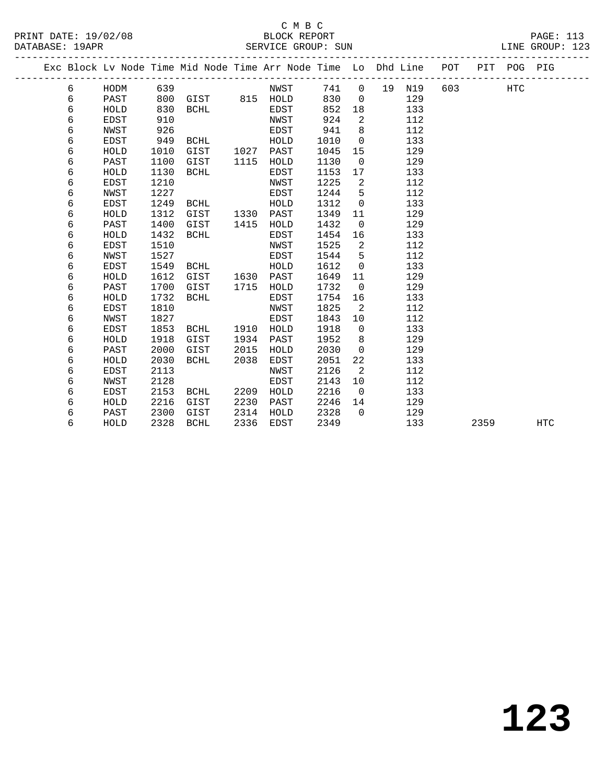PRINT DATE: 19/02/08 BLOCK REPORT PAGE: 113

|  |        |                     |              | Exc Block Lv Node Time Mid Node Time Arr Node Time Lo Dhd Line |      |              |              |               |    |            | POT |      | PIT POG PIG |            |
|--|--------|---------------------|--------------|----------------------------------------------------------------|------|--------------|--------------|---------------|----|------------|-----|------|-------------|------------|
|  | 6      | HODM                | 639          |                                                                |      | NWST         | 741          | $\mathbf 0$   | 19 | N19        | 603 |      | HTC         |            |
|  | 6      | PAST                | 800          | GIST                                                           |      | 815 HOLD     | 830          | $\mathbf 0$   |    | 129        |     |      |             |            |
|  | 6      | HOLD                | 830          | BCHL                                                           |      | EDST         | 852          | 18            |    | 133        |     |      |             |            |
|  | 6      | EDST                | 910          |                                                                |      | NWST         | 924          | 2             |    | 112        |     |      |             |            |
|  | 6      | NWST                | 926          |                                                                |      | EDST         | 941          | 8             |    | 112        |     |      |             |            |
|  | 6      | <b>EDST</b>         | 949          | <b>BCHL</b>                                                    |      | HOLD         | 1010         | $\Omega$      |    | 133        |     |      |             |            |
|  | 6      | HOLD                | 1010         | GIST                                                           | 1027 | PAST         | 1045         | 15            |    | 129        |     |      |             |            |
|  | 6      | PAST                | 1100         | GIST                                                           | 1115 | HOLD         | 1130         | $\mathbf 0$   |    | 129        |     |      |             |            |
|  | 6      | HOLD                | 1130         | <b>BCHL</b>                                                    |      | EDST         | 1153         | 17            |    | 133        |     |      |             |            |
|  | 6      | EDST                | 1210         |                                                                |      | NWST         | 1225         | 2             |    | 112        |     |      |             |            |
|  | 6      | NWST                | 1227         |                                                                |      | EDST         | 1244         | 5             |    | 112        |     |      |             |            |
|  | 6      | EDST                | 1249         | <b>BCHL</b>                                                    |      | HOLD         | 1312         | $\mathbf 0$   |    | 133        |     |      |             |            |
|  | 6      | HOLD                | 1312         | GIST                                                           | 1330 | PAST         | 1349         | 11            |    | 129        |     |      |             |            |
|  | 6      | PAST                | 1400         | GIST                                                           | 1415 | HOLD         | 1432         | $\mathbf 0$   |    | 129        |     |      |             |            |
|  | 6      | HOLD                | 1432         | <b>BCHL</b>                                                    |      | EDST         | 1454         | 16            |    | 133        |     |      |             |            |
|  | 6      | EDST                | 1510         |                                                                |      | NWST         | 1525         | 2             |    | 112        |     |      |             |            |
|  | 6      | NWST                | 1527         |                                                                |      | EDST         | 1544         | 5             |    | 112        |     |      |             |            |
|  | 6      | <b>EDST</b>         | 1549         | <b>BCHL</b>                                                    |      | HOLD         | 1612         | $\Omega$      |    | 133        |     |      |             |            |
|  | 6      | HOLD                | 1612         | GIST                                                           | 1630 | PAST         | 1649         | 11            |    | 129        |     |      |             |            |
|  | 6      | PAST                | 1700         | GIST                                                           | 1715 | HOLD         | 1732         | $\mathbf 0$   |    | 129        |     |      |             |            |
|  | 6      | HOLD                | 1732         | <b>BCHL</b>                                                    |      | EDST         | 1754         | 16            |    | 133        |     |      |             |            |
|  | 6      | <b>EDST</b>         | 1810         |                                                                |      | NWST         | 1825         | 2             |    | 112        |     |      |             |            |
|  | 6      | NWST                | 1827         |                                                                |      | EDST         | 1843         | 10            |    | 112        |     |      |             |            |
|  | 6      | <b>EDST</b>         | 1853         | <b>BCHL</b>                                                    | 1910 | HOLD         | 1918         | $\mathbf 0$   |    | 133        |     |      |             |            |
|  | 6<br>6 | HOLD                | 1918         | GIST                                                           | 1934 | PAST         | 1952         | 8<br>$\Omega$ |    | 129        |     |      |             |            |
|  |        | PAST                | 2000         | GIST                                                           | 2015 | HOLD         | 2030         |               |    | 129        |     |      |             |            |
|  | 6      | HOLD                | 2030         | <b>BCHL</b>                                                    | 2038 | EDST         | 2051         | 22            |    | 133        |     |      |             |            |
|  | 6<br>6 | <b>EDST</b><br>NWST | 2113<br>2128 |                                                                |      | NWST<br>EDST | 2126<br>2143 | 2<br>10       |    | 112<br>112 |     |      |             |            |
|  | 6      |                     | 2153         |                                                                | 2209 |              | 2216         | $\Omega$      |    | 133        |     |      |             |            |
|  | 6      | EDST<br>HOLD        | 2216         | <b>BCHL</b><br>GIST                                            | 2230 | HOLD<br>PAST | 2246         | 14            |    | 129        |     |      |             |            |
|  | 6      | PAST                | 2300         | GIST                                                           | 2314 | HOLD         | 2328         | $\Omega$      |    | 129        |     |      |             |            |
|  | 6      | HOLD                | 2328         | <b>BCHL</b>                                                    | 2336 | EDST         | 2349         |               |    | 133        |     | 2359 |             | <b>HTC</b> |
|  |        |                     |              |                                                                |      |              |              |               |    |            |     |      |             |            |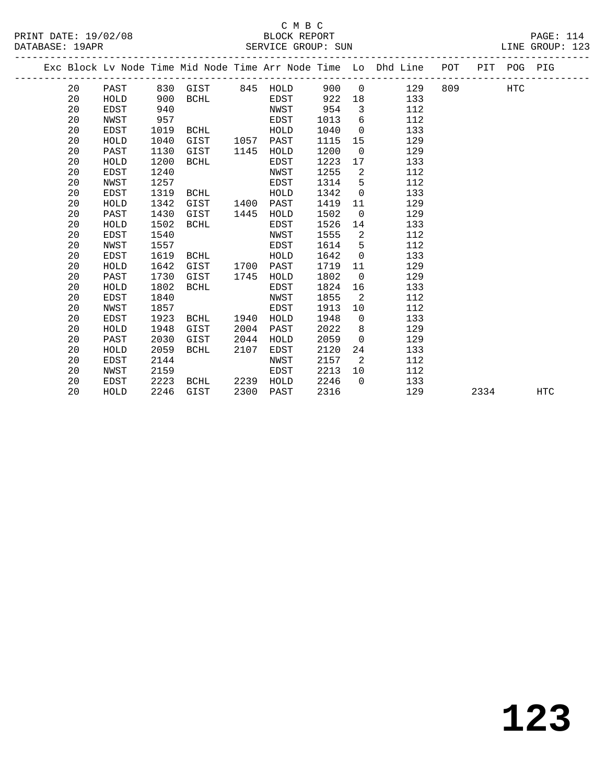#### C M B C<br>BLOCK REPORT PRINT DATE: 19/02/08 BLOCK REPORT PAGE: 114 SERVICE GROUP: SUN

|  |    |             |      |                   |      |      |      |                | Exc Block Lv Node Time Mid Node Time Arr Node Time Lo Dhd Line | POT |      | PIT POG PIG |     |
|--|----|-------------|------|-------------------|------|------|------|----------------|----------------------------------------------------------------|-----|------|-------------|-----|
|  | 20 | PAST        |      | 830 GIST 845 HOLD |      |      | 900  | $\overline{0}$ | 129                                                            | 809 |      | <b>HTC</b>  |     |
|  | 20 | HOLD        | 900  | <b>BCHL</b>       |      | EDST | 922  | 18             | 133                                                            |     |      |             |     |
|  | 20 | <b>EDST</b> | 940  |                   |      | NWST | 954  | $\overline{3}$ | 112                                                            |     |      |             |     |
|  | 20 | NWST        | 957  |                   |      | EDST | 1013 | 6              | 112                                                            |     |      |             |     |
|  | 20 | EDST        | 1019 | BCHL              |      | HOLD | 1040 | $\overline{0}$ | 133                                                            |     |      |             |     |
|  | 20 | HOLD        | 1040 | GIST              | 1057 | PAST | 1115 | 15             | 129                                                            |     |      |             |     |
|  | 20 | PAST        | 1130 | GIST              | 1145 | HOLD | 1200 | $\overline{0}$ | 129                                                            |     |      |             |     |
|  | 20 | HOLD        | 1200 | <b>BCHL</b>       |      | EDST | 1223 | 17             | 133                                                            |     |      |             |     |
|  | 20 | <b>EDST</b> | 1240 |                   |      | NWST | 1255 | 2              | 112                                                            |     |      |             |     |
|  | 20 | NWST        | 1257 |                   |      | EDST | 1314 | 5              | 112                                                            |     |      |             |     |
|  | 20 | EDST        | 1319 | BCHL              |      | HOLD | 1342 | 0              | 133                                                            |     |      |             |     |
|  | 20 | HOLD        | 1342 | GIST              | 1400 | PAST | 1419 | 11             | 129                                                            |     |      |             |     |
|  | 20 | PAST        | 1430 | GIST              | 1445 | HOLD | 1502 | $\overline{0}$ | 129                                                            |     |      |             |     |
|  | 20 | HOLD        | 1502 | <b>BCHL</b>       |      | EDST | 1526 | 14             | 133                                                            |     |      |             |     |
|  | 20 | <b>EDST</b> | 1540 |                   |      | NWST | 1555 | $\overline{2}$ | 112                                                            |     |      |             |     |
|  | 20 | NWST        | 1557 |                   |      | EDST | 1614 | 5              | 112                                                            |     |      |             |     |
|  | 20 | <b>EDST</b> | 1619 | BCHL              |      | HOLD | 1642 | $\overline{0}$ | 133                                                            |     |      |             |     |
|  | 20 | HOLD        | 1642 | GIST              | 1700 | PAST | 1719 | 11             | 129                                                            |     |      |             |     |
|  | 20 | PAST        | 1730 | GIST              | 1745 | HOLD | 1802 | $\overline{0}$ | 129                                                            |     |      |             |     |
|  | 20 | HOLD        | 1802 | <b>BCHL</b>       |      | EDST | 1824 | 16             | 133                                                            |     |      |             |     |
|  | 20 | EDST        | 1840 |                   |      | NWST | 1855 | 2              | 112                                                            |     |      |             |     |
|  | 20 | NWST        | 1857 |                   |      | EDST | 1913 | 10             | 112                                                            |     |      |             |     |
|  | 20 | EDST        | 1923 | BCHL              | 1940 | HOLD | 1948 | $\mathbf 0$    | 133                                                            |     |      |             |     |
|  | 20 | HOLD        | 1948 | GIST              | 2004 | PAST | 2022 | 8              | 129                                                            |     |      |             |     |
|  | 20 | PAST        | 2030 | GIST              | 2044 | HOLD | 2059 | $\overline{0}$ | 129                                                            |     |      |             |     |
|  | 20 | HOLD        | 2059 | <b>BCHL</b>       | 2107 | EDST | 2120 | 24             | 133                                                            |     |      |             |     |
|  | 20 | EDST        | 2144 |                   |      | NWST | 2157 | 2              | 112                                                            |     |      |             |     |
|  | 20 | NWST        | 2159 |                   |      | EDST | 2213 | 10             | 112                                                            |     |      |             |     |
|  | 20 | EDST        | 2223 | BCHL              | 2239 | HOLD | 2246 | $\Omega$       | 133                                                            |     |      |             |     |
|  | 20 | HOLD        | 2246 | GIST              | 2300 | PAST | 2316 |                | 129                                                            |     | 2334 |             | HTC |
|  |    |             |      |                   |      |      |      |                |                                                                |     |      |             |     |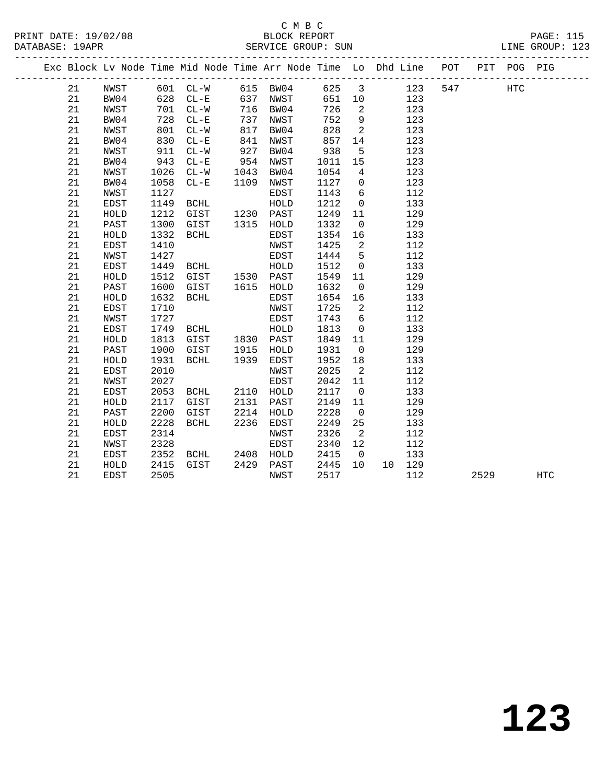# C M B C<br>BLOCK REPORT

| PRINT DATE: 19/02/08<br>DATABASE: 19APR |    |      |      |                                 |      | ∪ ™ ⊃ ∪ |      |                 | BLOCK REPORT<br>SERVICE GROUP: SUN                                             |         |  | <b>PAGE: 115</b><br>LINE GROUP: 123 |  |
|-----------------------------------------|----|------|------|---------------------------------|------|---------|------|-----------------|--------------------------------------------------------------------------------|---------|--|-------------------------------------|--|
|                                         |    |      |      |                                 |      |         |      |                 | Exc Block Lv Node Time Mid Node Time Arr Node Time Lo Dhd Line POT PIT POG PIG |         |  |                                     |  |
|                                         |    |      |      | 21 NWST 601 CL-W 615 BW04 625 3 |      |         |      |                 | 123                                                                            | 547 HTC |  |                                     |  |
|                                         | 21 | BW04 | 628  | $CL-E$                          | 637  | NWST    | 651  | 10              | 123                                                                            |         |  |                                     |  |
|                                         | 21 | NWST | 701  | $CL-W$                          | 716  | BW04    | 726  | $\overline{2}$  | 123                                                                            |         |  |                                     |  |
|                                         | 21 | BW04 | 728  | $CL-E$                          | 737  | NWST    | 752  |                 | $9 \left( \frac{1}{2} \right)$<br>123                                          |         |  |                                     |  |
|                                         | 21 | NWST | 801  | CL-W                            | 817  | BW04    | 828  | $\overline{2}$  | 123                                                                            |         |  |                                     |  |
|                                         | 21 | BW04 | 830  | $CL-E$                          | 841  | NWST    | 857  | 14              | 123                                                                            |         |  |                                     |  |
|                                         | 21 | NWST | 911  | CL-W                            | 927  | BW04    | 938  | 5               | 123                                                                            |         |  |                                     |  |
|                                         | 21 | BW04 | 943  | $CL - E$                        | 954  | NWST    | 1011 | 15              | 123                                                                            |         |  |                                     |  |
|                                         | 21 | NWST | 1026 | $CL-W$                          | 1043 | BW04    | 1054 | $4\overline{ }$ | 123                                                                            |         |  |                                     |  |
|                                         | 21 | BW04 | 1058 | $CL-E$                          | 1109 | NWST    | 1127 | $\overline{0}$  | 123                                                                            |         |  |                                     |  |
|                                         | 21 | NWST | 1127 |                                 |      | EDST    | 1143 | 6               | 112                                                                            |         |  |                                     |  |
|                                         | 21 | EDST | 1149 | BCHL                            |      | HOLD    | 1212 | $\overline{0}$  | 133                                                                            |         |  |                                     |  |
|                                         | 21 | HOLD | 1212 | GIST                            | 1230 | PAST    | 1249 | 11              | 129                                                                            |         |  |                                     |  |
|                                         | 21 | PAST | 1300 | GIST                            | 1315 | HOLD    | 1332 | $\overline{0}$  | 129                                                                            |         |  |                                     |  |
|                                         | 21 | HOLD | 1332 | BCHL                            |      | EDST    | 1354 | 16              | 133                                                                            |         |  |                                     |  |
|                                         | 21 | EDST | 1410 |                                 |      | NWST    | 1425 | 2               | 112                                                                            |         |  |                                     |  |
|                                         | 21 | NWST | 1427 |                                 |      | EDST    | 1444 | 5               | 112                                                                            |         |  |                                     |  |
|                                         | 21 | EDST | 1449 | BCHL                            |      | HOLD    | 1512 | $\Omega$        | 133                                                                            |         |  |                                     |  |
|                                         | 21 | HOLD | 1512 | GIST                            | 1530 | PAST    | 1549 | 11              | 129                                                                            |         |  |                                     |  |
|                                         | 21 | PAST | 1600 | GIST                            | 1615 | HOLD    | 1632 | $\overline{0}$  | 129                                                                            |         |  |                                     |  |
|                                         | 21 | HOLD | 1632 | BCHL                            |      | EDST    | 1654 | 16              | 133                                                                            |         |  |                                     |  |
|                                         | 21 | EDST | 1710 |                                 |      | NWST    | 1725 | 2               | 112                                                                            |         |  |                                     |  |
|                                         | 21 | NWST | 1727 |                                 |      | EDST    | 1743 | 6               | 112                                                                            |         |  |                                     |  |

 21 NWST 1727 EDST 1743 6 112 21 EDST 1749 BCHL HOLD 1813 0 133 21 HOLD 1813 GIST 1830 PAST 1849 11 129 21 PAST 1900 GIST 1915 HOLD 1931 0 129 21 HOLD 1931 BCHL 1939 EDST 1952 18 133 21 EDST 2010 NWST 2025 2 112

 21 EDST 2053 BCHL 2110 HOLD 2117 0 133 21 HOLD 2117 GIST 2131 PAST 2149 11 129 21 PAST 2200 GIST 2214 HOLD 2228 0 129 21 HOLD 2228 BCHL 2236 EDST 2249 25 133 21 EDST 2314 NWST 2326 2 112 21 NWST 2328 EDST 2340 12 112 21 EDST 2352 BCHL 2408 HOLD 2415 0 133 21 HOLD 2415 GIST 2429 PAST 2445 10 10 129

21 HOLD 1913 GIST 1915 HOLD 1931 0 129<br>
21 HOLD 1931 BCHL 1939 EDST 1952 18 133<br>
21 EDST 2010 NWST 2025 2 112<br>
21 NWST 2027 EDST 2042 11 112<br>
21 EDST 2053 BCHL 2110 HOLD 2117 0 133<br>
21 HOLD 2117 GIST 2131 PAST 2149 11 129<br>

21 EDST 2505 NWST 2517 112 2529 HTC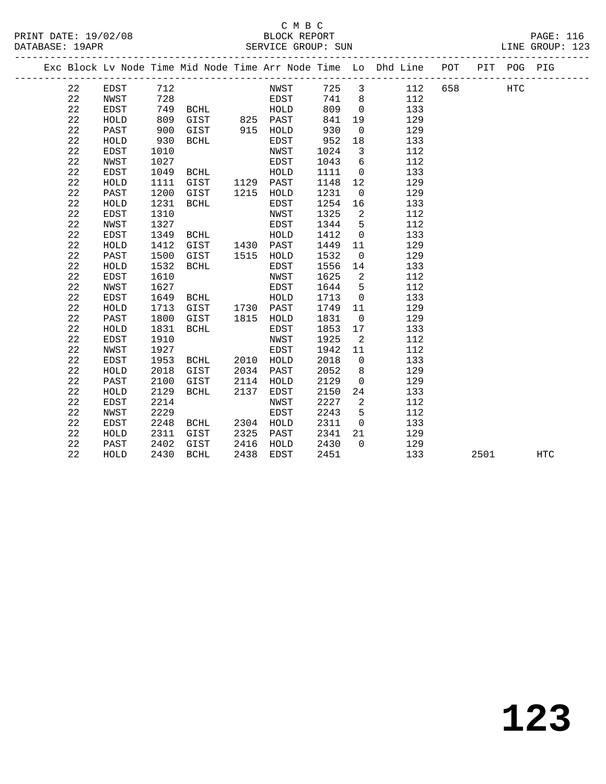#### C M B C<br>BLOCK REPORT PRINT DATE: 19/02/08 BLOCK REPORT PAGE: 116 SERVICE GROUP: SUN

| Exc Block Lv Node Time Mid Node Time Arr Node Time Lo Dhd Line POT<br>PIT POG PIG<br>725 3<br>712<br>658<br>22<br>EDST<br>NWST<br>112<br><b>HTC</b><br>22<br>NWST<br>728<br>EDST<br>741<br>8 <sup>8</sup><br>112<br>22<br>809<br>749<br>$\overline{0}$<br>133<br>EDST<br>BCHL<br>HOLD<br>22<br>809<br>825 PAST<br>841<br>19<br>HOLD<br>GIST<br>129<br>22<br>930<br>900<br>915 HOLD<br>$\mathbf 0$<br>129<br>PAST<br>GIST<br>22<br>930<br>952<br>133<br>HOLD<br>BCHL<br>EDST<br>18<br>22<br>EDST<br>1010<br>NWST<br>1024<br>$\overline{\mathbf{3}}$<br>112<br>$6\overline{6}$<br>22<br>1027<br>112<br>NWST<br>EDST<br>1043<br>22<br>EDST<br>1049<br>${\tt HOLD}$<br>1111<br>$\overline{0}$<br>133<br>BCHL<br>GIST 1129 PAST<br>22<br>1148<br>12<br>129<br>HOLD<br>1111<br>22<br>1215<br>1200<br>1231<br>$\overline{0}$<br>129<br>PAST<br>GIST<br>HOLD<br>22<br>1231<br>1254<br>HOLD<br>BCHL<br>EDST<br>16<br>133<br>22<br>1310<br>1325<br>$\overline{a}$<br>112<br>EDST<br>NWST<br>22<br>1327<br>1344<br>5<br>NWST<br>EDST<br>112<br>22<br>1349<br>1412<br><b>EDST</b><br>HOLD<br>$\overline{0}$<br>133<br>BCHL<br>$2\sqrt{2}$<br>1412<br>HOLD<br>GIST<br>1430 PAST<br>1449<br>11<br>129<br>$2\sqrt{2}$<br>1500<br>1532<br>129<br>PAST<br>GIST<br>1515 HOLD<br>$\overline{0}$<br>22<br>1532<br>${\tt HOLD}$<br>BCHL<br>1556<br>133<br>EDST<br>14<br>22<br>1610<br>1625<br>$\overline{2}$<br>112<br>EDST<br>NWST<br>22<br>1644<br>$5^{\circ}$<br>112<br>NWST<br>1627<br>EDST<br>22<br>133<br>EDST<br>1649<br>HOLD<br>1713<br>BCHL<br>$\overline{0}$<br>1730 PAST<br>22<br>HOLD<br>1713<br>GIST<br>1749<br>11<br>129<br>22<br>1800<br>1815<br>1831<br>129<br>PAST<br>GIST<br>HOLD<br>$\overline{0}$<br>22<br>HOLD<br>1831<br>BCHL<br>EDST<br>1853<br>17<br>133<br>22<br>1925<br>EDST<br>1910<br>NWST<br>2<br>112<br>22<br>1927<br>1942<br>NWST<br>EDST<br>11<br>112<br>$2\sqrt{2}$<br>1953<br><b>EDST</b><br>BCHL<br>2010<br>HOLD<br>2018<br>$\mathbf 0$<br>133<br>22<br>2018<br>2034<br>2052<br>129<br>HOLD<br>GIST<br>PAST<br>8<br>22<br>2100<br>2129<br>PAST<br>2114<br>$\mathbf 0$<br>129<br>GIST<br>HOLD<br>22<br>2129<br>2137<br>133<br>HOLD<br>BCHL<br>EDST<br>2150<br>24<br>22<br>2214<br>2227<br><b>EDST</b><br>$\overline{2}$<br>112<br>NWST<br>22<br>2229<br>2243<br>5<br>112<br><b>NWST</b><br>EDST<br>22<br>EDST<br>2248<br>2304 HOLD<br>2311<br>$\overline{0}$<br>133<br>BCHL<br>22<br>2311<br>2325<br>2341<br>129<br>HOLD<br>GIST<br>PAST<br>21<br>22<br>2402<br>2416<br>GIST<br>2430<br>$\overline{0}$<br>129<br>PAST<br>HOLD<br>22<br>2430<br>BCHL<br>2438<br>2451<br>133<br>2501<br>HOLD<br>EDST<br>HTC |  |  |  |  |  |  |  |  |
|------------------------------------------------------------------------------------------------------------------------------------------------------------------------------------------------------------------------------------------------------------------------------------------------------------------------------------------------------------------------------------------------------------------------------------------------------------------------------------------------------------------------------------------------------------------------------------------------------------------------------------------------------------------------------------------------------------------------------------------------------------------------------------------------------------------------------------------------------------------------------------------------------------------------------------------------------------------------------------------------------------------------------------------------------------------------------------------------------------------------------------------------------------------------------------------------------------------------------------------------------------------------------------------------------------------------------------------------------------------------------------------------------------------------------------------------------------------------------------------------------------------------------------------------------------------------------------------------------------------------------------------------------------------------------------------------------------------------------------------------------------------------------------------------------------------------------------------------------------------------------------------------------------------------------------------------------------------------------------------------------------------------------------------------------------------------------------------------------------------------------------------------------------------------------------------------------------------------------------------------------------------------------------------------------------------------------------------------------------------------------------------------------------------------------------------------------------------------------------------------------------------------------------------------------------------------------------------------------------------------|--|--|--|--|--|--|--|--|
|                                                                                                                                                                                                                                                                                                                                                                                                                                                                                                                                                                                                                                                                                                                                                                                                                                                                                                                                                                                                                                                                                                                                                                                                                                                                                                                                                                                                                                                                                                                                                                                                                                                                                                                                                                                                                                                                                                                                                                                                                                                                                                                                                                                                                                                                                                                                                                                                                                                                                                                                                                                                                        |  |  |  |  |  |  |  |  |
|                                                                                                                                                                                                                                                                                                                                                                                                                                                                                                                                                                                                                                                                                                                                                                                                                                                                                                                                                                                                                                                                                                                                                                                                                                                                                                                                                                                                                                                                                                                                                                                                                                                                                                                                                                                                                                                                                                                                                                                                                                                                                                                                                                                                                                                                                                                                                                                                                                                                                                                                                                                                                        |  |  |  |  |  |  |  |  |
|                                                                                                                                                                                                                                                                                                                                                                                                                                                                                                                                                                                                                                                                                                                                                                                                                                                                                                                                                                                                                                                                                                                                                                                                                                                                                                                                                                                                                                                                                                                                                                                                                                                                                                                                                                                                                                                                                                                                                                                                                                                                                                                                                                                                                                                                                                                                                                                                                                                                                                                                                                                                                        |  |  |  |  |  |  |  |  |
|                                                                                                                                                                                                                                                                                                                                                                                                                                                                                                                                                                                                                                                                                                                                                                                                                                                                                                                                                                                                                                                                                                                                                                                                                                                                                                                                                                                                                                                                                                                                                                                                                                                                                                                                                                                                                                                                                                                                                                                                                                                                                                                                                                                                                                                                                                                                                                                                                                                                                                                                                                                                                        |  |  |  |  |  |  |  |  |
|                                                                                                                                                                                                                                                                                                                                                                                                                                                                                                                                                                                                                                                                                                                                                                                                                                                                                                                                                                                                                                                                                                                                                                                                                                                                                                                                                                                                                                                                                                                                                                                                                                                                                                                                                                                                                                                                                                                                                                                                                                                                                                                                                                                                                                                                                                                                                                                                                                                                                                                                                                                                                        |  |  |  |  |  |  |  |  |
|                                                                                                                                                                                                                                                                                                                                                                                                                                                                                                                                                                                                                                                                                                                                                                                                                                                                                                                                                                                                                                                                                                                                                                                                                                                                                                                                                                                                                                                                                                                                                                                                                                                                                                                                                                                                                                                                                                                                                                                                                                                                                                                                                                                                                                                                                                                                                                                                                                                                                                                                                                                                                        |  |  |  |  |  |  |  |  |
|                                                                                                                                                                                                                                                                                                                                                                                                                                                                                                                                                                                                                                                                                                                                                                                                                                                                                                                                                                                                                                                                                                                                                                                                                                                                                                                                                                                                                                                                                                                                                                                                                                                                                                                                                                                                                                                                                                                                                                                                                                                                                                                                                                                                                                                                                                                                                                                                                                                                                                                                                                                                                        |  |  |  |  |  |  |  |  |
|                                                                                                                                                                                                                                                                                                                                                                                                                                                                                                                                                                                                                                                                                                                                                                                                                                                                                                                                                                                                                                                                                                                                                                                                                                                                                                                                                                                                                                                                                                                                                                                                                                                                                                                                                                                                                                                                                                                                                                                                                                                                                                                                                                                                                                                                                                                                                                                                                                                                                                                                                                                                                        |  |  |  |  |  |  |  |  |
|                                                                                                                                                                                                                                                                                                                                                                                                                                                                                                                                                                                                                                                                                                                                                                                                                                                                                                                                                                                                                                                                                                                                                                                                                                                                                                                                                                                                                                                                                                                                                                                                                                                                                                                                                                                                                                                                                                                                                                                                                                                                                                                                                                                                                                                                                                                                                                                                                                                                                                                                                                                                                        |  |  |  |  |  |  |  |  |
|                                                                                                                                                                                                                                                                                                                                                                                                                                                                                                                                                                                                                                                                                                                                                                                                                                                                                                                                                                                                                                                                                                                                                                                                                                                                                                                                                                                                                                                                                                                                                                                                                                                                                                                                                                                                                                                                                                                                                                                                                                                                                                                                                                                                                                                                                                                                                                                                                                                                                                                                                                                                                        |  |  |  |  |  |  |  |  |
|                                                                                                                                                                                                                                                                                                                                                                                                                                                                                                                                                                                                                                                                                                                                                                                                                                                                                                                                                                                                                                                                                                                                                                                                                                                                                                                                                                                                                                                                                                                                                                                                                                                                                                                                                                                                                                                                                                                                                                                                                                                                                                                                                                                                                                                                                                                                                                                                                                                                                                                                                                                                                        |  |  |  |  |  |  |  |  |
|                                                                                                                                                                                                                                                                                                                                                                                                                                                                                                                                                                                                                                                                                                                                                                                                                                                                                                                                                                                                                                                                                                                                                                                                                                                                                                                                                                                                                                                                                                                                                                                                                                                                                                                                                                                                                                                                                                                                                                                                                                                                                                                                                                                                                                                                                                                                                                                                                                                                                                                                                                                                                        |  |  |  |  |  |  |  |  |
|                                                                                                                                                                                                                                                                                                                                                                                                                                                                                                                                                                                                                                                                                                                                                                                                                                                                                                                                                                                                                                                                                                                                                                                                                                                                                                                                                                                                                                                                                                                                                                                                                                                                                                                                                                                                                                                                                                                                                                                                                                                                                                                                                                                                                                                                                                                                                                                                                                                                                                                                                                                                                        |  |  |  |  |  |  |  |  |
|                                                                                                                                                                                                                                                                                                                                                                                                                                                                                                                                                                                                                                                                                                                                                                                                                                                                                                                                                                                                                                                                                                                                                                                                                                                                                                                                                                                                                                                                                                                                                                                                                                                                                                                                                                                                                                                                                                                                                                                                                                                                                                                                                                                                                                                                                                                                                                                                                                                                                                                                                                                                                        |  |  |  |  |  |  |  |  |
|                                                                                                                                                                                                                                                                                                                                                                                                                                                                                                                                                                                                                                                                                                                                                                                                                                                                                                                                                                                                                                                                                                                                                                                                                                                                                                                                                                                                                                                                                                                                                                                                                                                                                                                                                                                                                                                                                                                                                                                                                                                                                                                                                                                                                                                                                                                                                                                                                                                                                                                                                                                                                        |  |  |  |  |  |  |  |  |
|                                                                                                                                                                                                                                                                                                                                                                                                                                                                                                                                                                                                                                                                                                                                                                                                                                                                                                                                                                                                                                                                                                                                                                                                                                                                                                                                                                                                                                                                                                                                                                                                                                                                                                                                                                                                                                                                                                                                                                                                                                                                                                                                                                                                                                                                                                                                                                                                                                                                                                                                                                                                                        |  |  |  |  |  |  |  |  |
|                                                                                                                                                                                                                                                                                                                                                                                                                                                                                                                                                                                                                                                                                                                                                                                                                                                                                                                                                                                                                                                                                                                                                                                                                                                                                                                                                                                                                                                                                                                                                                                                                                                                                                                                                                                                                                                                                                                                                                                                                                                                                                                                                                                                                                                                                                                                                                                                                                                                                                                                                                                                                        |  |  |  |  |  |  |  |  |
|                                                                                                                                                                                                                                                                                                                                                                                                                                                                                                                                                                                                                                                                                                                                                                                                                                                                                                                                                                                                                                                                                                                                                                                                                                                                                                                                                                                                                                                                                                                                                                                                                                                                                                                                                                                                                                                                                                                                                                                                                                                                                                                                                                                                                                                                                                                                                                                                                                                                                                                                                                                                                        |  |  |  |  |  |  |  |  |
|                                                                                                                                                                                                                                                                                                                                                                                                                                                                                                                                                                                                                                                                                                                                                                                                                                                                                                                                                                                                                                                                                                                                                                                                                                                                                                                                                                                                                                                                                                                                                                                                                                                                                                                                                                                                                                                                                                                                                                                                                                                                                                                                                                                                                                                                                                                                                                                                                                                                                                                                                                                                                        |  |  |  |  |  |  |  |  |
|                                                                                                                                                                                                                                                                                                                                                                                                                                                                                                                                                                                                                                                                                                                                                                                                                                                                                                                                                                                                                                                                                                                                                                                                                                                                                                                                                                                                                                                                                                                                                                                                                                                                                                                                                                                                                                                                                                                                                                                                                                                                                                                                                                                                                                                                                                                                                                                                                                                                                                                                                                                                                        |  |  |  |  |  |  |  |  |
|                                                                                                                                                                                                                                                                                                                                                                                                                                                                                                                                                                                                                                                                                                                                                                                                                                                                                                                                                                                                                                                                                                                                                                                                                                                                                                                                                                                                                                                                                                                                                                                                                                                                                                                                                                                                                                                                                                                                                                                                                                                                                                                                                                                                                                                                                                                                                                                                                                                                                                                                                                                                                        |  |  |  |  |  |  |  |  |
|                                                                                                                                                                                                                                                                                                                                                                                                                                                                                                                                                                                                                                                                                                                                                                                                                                                                                                                                                                                                                                                                                                                                                                                                                                                                                                                                                                                                                                                                                                                                                                                                                                                                                                                                                                                                                                                                                                                                                                                                                                                                                                                                                                                                                                                                                                                                                                                                                                                                                                                                                                                                                        |  |  |  |  |  |  |  |  |
|                                                                                                                                                                                                                                                                                                                                                                                                                                                                                                                                                                                                                                                                                                                                                                                                                                                                                                                                                                                                                                                                                                                                                                                                                                                                                                                                                                                                                                                                                                                                                                                                                                                                                                                                                                                                                                                                                                                                                                                                                                                                                                                                                                                                                                                                                                                                                                                                                                                                                                                                                                                                                        |  |  |  |  |  |  |  |  |
|                                                                                                                                                                                                                                                                                                                                                                                                                                                                                                                                                                                                                                                                                                                                                                                                                                                                                                                                                                                                                                                                                                                                                                                                                                                                                                                                                                                                                                                                                                                                                                                                                                                                                                                                                                                                                                                                                                                                                                                                                                                                                                                                                                                                                                                                                                                                                                                                                                                                                                                                                                                                                        |  |  |  |  |  |  |  |  |
|                                                                                                                                                                                                                                                                                                                                                                                                                                                                                                                                                                                                                                                                                                                                                                                                                                                                                                                                                                                                                                                                                                                                                                                                                                                                                                                                                                                                                                                                                                                                                                                                                                                                                                                                                                                                                                                                                                                                                                                                                                                                                                                                                                                                                                                                                                                                                                                                                                                                                                                                                                                                                        |  |  |  |  |  |  |  |  |
|                                                                                                                                                                                                                                                                                                                                                                                                                                                                                                                                                                                                                                                                                                                                                                                                                                                                                                                                                                                                                                                                                                                                                                                                                                                                                                                                                                                                                                                                                                                                                                                                                                                                                                                                                                                                                                                                                                                                                                                                                                                                                                                                                                                                                                                                                                                                                                                                                                                                                                                                                                                                                        |  |  |  |  |  |  |  |  |
|                                                                                                                                                                                                                                                                                                                                                                                                                                                                                                                                                                                                                                                                                                                                                                                                                                                                                                                                                                                                                                                                                                                                                                                                                                                                                                                                                                                                                                                                                                                                                                                                                                                                                                                                                                                                                                                                                                                                                                                                                                                                                                                                                                                                                                                                                                                                                                                                                                                                                                                                                                                                                        |  |  |  |  |  |  |  |  |
|                                                                                                                                                                                                                                                                                                                                                                                                                                                                                                                                                                                                                                                                                                                                                                                                                                                                                                                                                                                                                                                                                                                                                                                                                                                                                                                                                                                                                                                                                                                                                                                                                                                                                                                                                                                                                                                                                                                                                                                                                                                                                                                                                                                                                                                                                                                                                                                                                                                                                                                                                                                                                        |  |  |  |  |  |  |  |  |
|                                                                                                                                                                                                                                                                                                                                                                                                                                                                                                                                                                                                                                                                                                                                                                                                                                                                                                                                                                                                                                                                                                                                                                                                                                                                                                                                                                                                                                                                                                                                                                                                                                                                                                                                                                                                                                                                                                                                                                                                                                                                                                                                                                                                                                                                                                                                                                                                                                                                                                                                                                                                                        |  |  |  |  |  |  |  |  |
|                                                                                                                                                                                                                                                                                                                                                                                                                                                                                                                                                                                                                                                                                                                                                                                                                                                                                                                                                                                                                                                                                                                                                                                                                                                                                                                                                                                                                                                                                                                                                                                                                                                                                                                                                                                                                                                                                                                                                                                                                                                                                                                                                                                                                                                                                                                                                                                                                                                                                                                                                                                                                        |  |  |  |  |  |  |  |  |
|                                                                                                                                                                                                                                                                                                                                                                                                                                                                                                                                                                                                                                                                                                                                                                                                                                                                                                                                                                                                                                                                                                                                                                                                                                                                                                                                                                                                                                                                                                                                                                                                                                                                                                                                                                                                                                                                                                                                                                                                                                                                                                                                                                                                                                                                                                                                                                                                                                                                                                                                                                                                                        |  |  |  |  |  |  |  |  |
|                                                                                                                                                                                                                                                                                                                                                                                                                                                                                                                                                                                                                                                                                                                                                                                                                                                                                                                                                                                                                                                                                                                                                                                                                                                                                                                                                                                                                                                                                                                                                                                                                                                                                                                                                                                                                                                                                                                                                                                                                                                                                                                                                                                                                                                                                                                                                                                                                                                                                                                                                                                                                        |  |  |  |  |  |  |  |  |
|                                                                                                                                                                                                                                                                                                                                                                                                                                                                                                                                                                                                                                                                                                                                                                                                                                                                                                                                                                                                                                                                                                                                                                                                                                                                                                                                                                                                                                                                                                                                                                                                                                                                                                                                                                                                                                                                                                                                                                                                                                                                                                                                                                                                                                                                                                                                                                                                                                                                                                                                                                                                                        |  |  |  |  |  |  |  |  |
|                                                                                                                                                                                                                                                                                                                                                                                                                                                                                                                                                                                                                                                                                                                                                                                                                                                                                                                                                                                                                                                                                                                                                                                                                                                                                                                                                                                                                                                                                                                                                                                                                                                                                                                                                                                                                                                                                                                                                                                                                                                                                                                                                                                                                                                                                                                                                                                                                                                                                                                                                                                                                        |  |  |  |  |  |  |  |  |
|                                                                                                                                                                                                                                                                                                                                                                                                                                                                                                                                                                                                                                                                                                                                                                                                                                                                                                                                                                                                                                                                                                                                                                                                                                                                                                                                                                                                                                                                                                                                                                                                                                                                                                                                                                                                                                                                                                                                                                                                                                                                                                                                                                                                                                                                                                                                                                                                                                                                                                                                                                                                                        |  |  |  |  |  |  |  |  |
|                                                                                                                                                                                                                                                                                                                                                                                                                                                                                                                                                                                                                                                                                                                                                                                                                                                                                                                                                                                                                                                                                                                                                                                                                                                                                                                                                                                                                                                                                                                                                                                                                                                                                                                                                                                                                                                                                                                                                                                                                                                                                                                                                                                                                                                                                                                                                                                                                                                                                                                                                                                                                        |  |  |  |  |  |  |  |  |
|                                                                                                                                                                                                                                                                                                                                                                                                                                                                                                                                                                                                                                                                                                                                                                                                                                                                                                                                                                                                                                                                                                                                                                                                                                                                                                                                                                                                                                                                                                                                                                                                                                                                                                                                                                                                                                                                                                                                                                                                                                                                                                                                                                                                                                                                                                                                                                                                                                                                                                                                                                                                                        |  |  |  |  |  |  |  |  |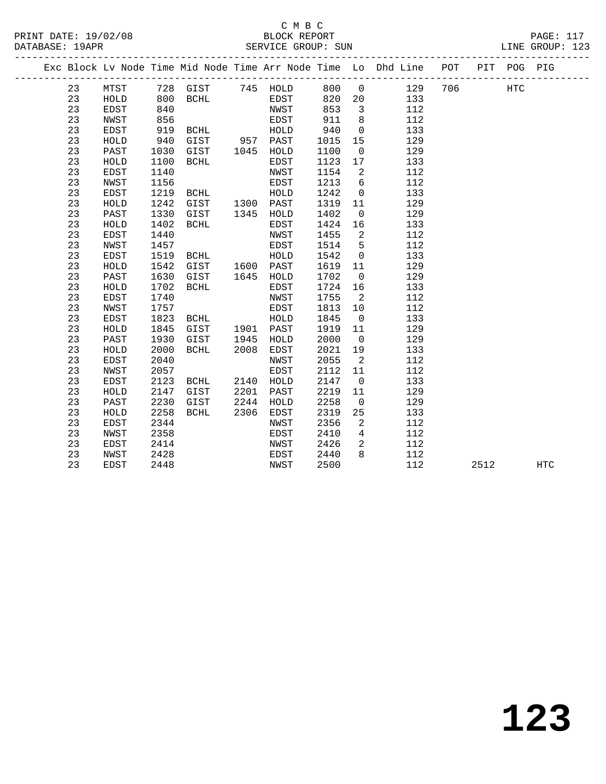PRINT DATE: 19/02/08 BLOCK REPORT PAGE: 117

|  |    |             |      |             |      |           |      |                 | Exc Block Lv Node Time Mid Node Time Arr Node Time Lo Dhd Line POT PIT POG PIG |     |      |            |            |
|--|----|-------------|------|-------------|------|-----------|------|-----------------|--------------------------------------------------------------------------------|-----|------|------------|------------|
|  | 23 | MTST        |      | 728 GIST    |      | 745 HOLD  | 800  | $\overline{0}$  | 129                                                                            | 706 |      | <b>HTC</b> |            |
|  | 23 | HOLD        | 800  | BCHL        |      | EDST      | 820  | 20              | 133                                                                            |     |      |            |            |
|  | 23 | EDST        | 840  |             |      | NWST      | 853  | 3               | 112                                                                            |     |      |            |            |
|  | 23 | NWST        | 856  |             |      | EDST      | 911  | 8               | 112                                                                            |     |      |            |            |
|  | 23 | <b>EDST</b> | 919  | BCHL        |      | HOLD      | 940  | $\mathbf 0$     | 133                                                                            |     |      |            |            |
|  | 23 | HOLD        | 940  | GIST        |      | 957 PAST  | 1015 | 15              | 129                                                                            |     |      |            |            |
|  | 23 | PAST        | 1030 | GIST        | 1045 | HOLD      | 1100 | $\mathsf{O}$    | 129                                                                            |     |      |            |            |
|  | 23 | HOLD        | 1100 | BCHL        |      | EDST      | 1123 | 17              | 133                                                                            |     |      |            |            |
|  | 23 | <b>EDST</b> | 1140 |             |      | NWST      | 1154 | 2               | 112                                                                            |     |      |            |            |
|  | 23 | <b>NWST</b> | 1156 |             |      | EDST      | 1213 | 6               | 112                                                                            |     |      |            |            |
|  | 23 | EDST        | 1219 | BCHL        |      | HOLD      | 1242 | $\mathsf{O}$    | 133                                                                            |     |      |            |            |
|  | 23 | HOLD        | 1242 | GIST        |      | 1300 PAST | 1319 | 11              | 129                                                                            |     |      |            |            |
|  | 23 | PAST        | 1330 | GIST        | 1345 | HOLD      | 1402 | $\overline{0}$  | 129                                                                            |     |      |            |            |
|  | 23 | HOLD        | 1402 | <b>BCHL</b> |      | EDST      | 1424 | 16              | 133                                                                            |     |      |            |            |
|  | 23 | <b>EDST</b> | 1440 |             |      | NWST      | 1455 | 2               | 112                                                                            |     |      |            |            |
|  | 23 | NWST        | 1457 |             |      | EDST      | 1514 | 5               | 112                                                                            |     |      |            |            |
|  | 23 | <b>EDST</b> | 1519 | BCHL        |      | HOLD      | 1542 | $\mathbf 0$     | 133                                                                            |     |      |            |            |
|  | 23 | HOLD        | 1542 | GIST        | 1600 | PAST      | 1619 | 11              | 129                                                                            |     |      |            |            |
|  | 23 | PAST        | 1630 | GIST        | 1645 | HOLD      | 1702 | $\overline{0}$  | 129                                                                            |     |      |            |            |
|  | 23 | HOLD        | 1702 | <b>BCHL</b> |      | EDST      | 1724 | 16              | 133                                                                            |     |      |            |            |
|  | 23 | <b>EDST</b> | 1740 |             |      | NWST      | 1755 | $\overline{2}$  | 112                                                                            |     |      |            |            |
|  | 23 | NWST        | 1757 |             |      | EDST      | 1813 | 10              | 112                                                                            |     |      |            |            |
|  | 23 | <b>EDST</b> | 1823 | BCHL        |      | HOLD      | 1845 | $\overline{0}$  | 133                                                                            |     |      |            |            |
|  | 23 | HOLD        | 1845 | GIST        | 1901 | PAST      | 1919 | 11              | 129                                                                            |     |      |            |            |
|  | 23 | PAST        | 1930 | GIST        | 1945 | HOLD      | 2000 | $\overline{0}$  | 129                                                                            |     |      |            |            |
|  | 23 | HOLD        | 2000 | BCHL        | 2008 | EDST      | 2021 | 19              | 133                                                                            |     |      |            |            |
|  | 23 | <b>EDST</b> | 2040 |             |      | NWST      | 2055 | 2               | 112                                                                            |     |      |            |            |
|  | 23 | NWST        | 2057 |             |      | EDST      | 2112 | 11              | 112                                                                            |     |      |            |            |
|  | 23 | EDST        | 2123 | BCHL        | 2140 | HOLD      | 2147 | 0               | 133                                                                            |     |      |            |            |
|  | 23 | HOLD        | 2147 | GIST        | 2201 | PAST      | 2219 | 11              | 129                                                                            |     |      |            |            |
|  | 23 | PAST        | 2230 | GIST        | 2244 | HOLD      | 2258 | $\overline{0}$  | 129                                                                            |     |      |            |            |
|  | 23 | HOLD        | 2258 | BCHL        | 2306 | EDST      | 2319 | 25              | 133                                                                            |     |      |            |            |
|  | 23 | <b>EDST</b> | 2344 |             |      | NWST      | 2356 | 2               | 112                                                                            |     |      |            |            |
|  | 23 | NWST        | 2358 |             |      | EDST      | 2410 | $4\overline{ }$ | 112                                                                            |     |      |            |            |
|  | 23 | <b>EDST</b> | 2414 |             |      | NWST      | 2426 | 2               | 112                                                                            |     |      |            |            |
|  | 23 | NWST        | 2428 |             |      | EDST      | 2440 | 8               | 112                                                                            |     |      |            |            |
|  | 23 | <b>EDST</b> | 2448 |             |      | NWST      | 2500 |                 | 112                                                                            |     | 2512 |            | <b>HTC</b> |
|  |    |             |      |             |      |           |      |                 |                                                                                |     |      |            |            |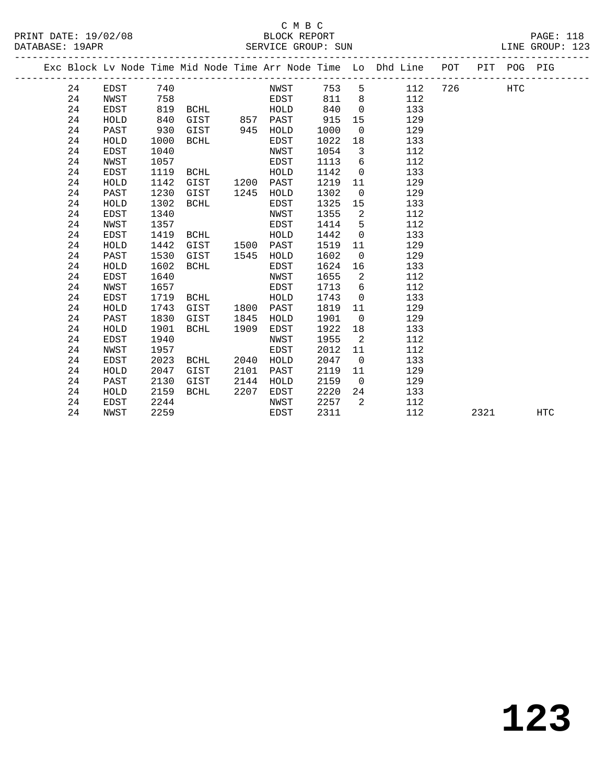PRINT DATE: 19/02/08 BLOCK REPORT PAGE: 118 DATABASE: 19APR

## C M B C<br>BLOCK REPORT

 24 EDST 1119 BCHL HOLD 1142 0 133 24 HOLD 1142 GIST 1200 PAST 1219 11 129 24 PAST 1230 GIST 1245 HOLD 1302 0 129 24 HOLD 1302 BCHL EDST 1325 15 133 24 EDST 1340 NWST 1355 2 112 24 NWST 1357 EDST 1414 5 112 24 EDST 1419 BCHL HOLD 1442 0 133 24 HOLD 1442 GIST 1500 PAST 1519 11 129 24 PAST 1530 GIST 1545 HOLD 1602 0 129 24 HOLD 1602 BCHL EDST 1624 16 133 24 EDST 1640 NWST 1655 2 112 24 NWST 1657 EDST 1713 6 112 24 EDST 1719 BCHL HOLD 1743 0 133 24 HOLD 1743 GIST 1800 PAST 1819 11 129 24 PAST 1830 GIST 1845 HOLD 1901 0 129 24 HOLD 1901 BCHL 1909 EDST 1922 18 133 24 EDST 1940 NWST 1955 2 112 24 NWST 1957 EDST 2012 11 112 24 EDST 2023 BCHL 2040 HOLD 2047 0 133 24 HOLD 2047 GIST 2101 PAST 2119 11 129 24 PAST 2130 GIST 2144 HOLD 2159 0 129 24 HOLD 2159 BCHL 2207 EDST 2220 24 133 24 EDST 2244 NWST 2257 2 112

|    |      |                  |      |     |      |      |                |                              | POT                                                            | PIT | POG | PIG |                 |
|----|------|------------------|------|-----|------|------|----------------|------------------------------|----------------------------------------------------------------|-----|-----|-----|-----------------|
| 24 | EDST | 740              |      |     | NWST | 753  | -5             | 112                          | 726                                                            |     | HTC |     |                 |
| 24 | NWST | 758              |      |     | EDST | 811  | -8             | 112                          |                                                                |     |     |     |                 |
| 24 | EDST | 819              | BCHL |     | HOLD | 840  | $\Omega$       | 133                          |                                                                |     |     |     |                 |
| 24 | HOLD | 840              | GIST | 857 | PAST |      |                | 129                          |                                                                |     |     |     |                 |
| 24 | PAST | 930              | GIST | 945 | HOLD | 1000 | $\overline{0}$ | 129                          |                                                                |     |     |     |                 |
| 24 | HOLD | 1000             | BCHL |     | EDST | 1022 | 18             | 133                          |                                                                |     |     |     |                 |
| 24 | EDST | 1040             |      |     | NWST | 1054 | -3             | 112                          |                                                                |     |     |     |                 |
| 24 | NWST | 1057             |      |     | EDST | 1113 | 6              | 112                          |                                                                |     |     |     |                 |
|    |      | DAIABASE · IYAPK |      |     |      |      |                | SEKVICE GKOUP. SUN<br>915 15 | Exc Block Ly Node Time Mid Node Time Arr Node Time Lo Dhd Line |     |     |     | TINE GKOOL. ISS |

24 NWST 2259 EDST 2311 112 2321 HTC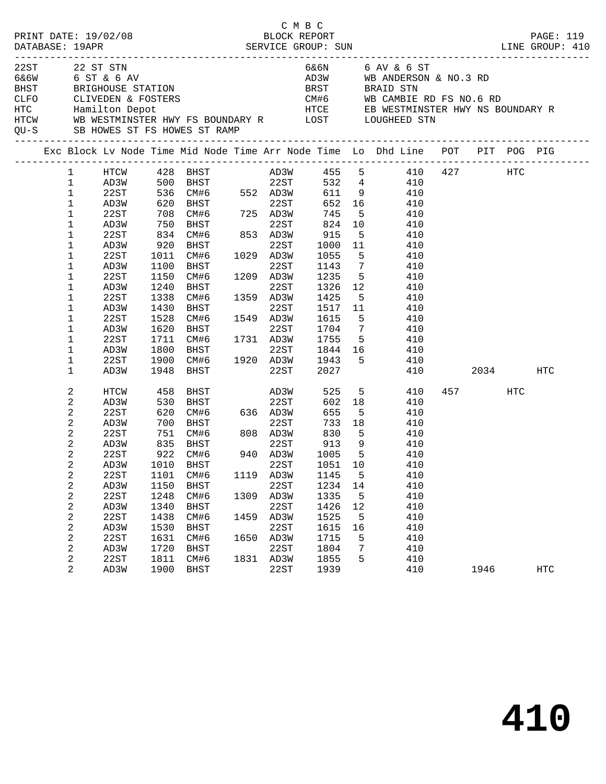|      |                                                                                                                                                                                                                                                                                                                            | PRINT DATE: 19/02/08                                                                                                                 |                                                                                                                        |                                                                                                                                                                                                                                                                                                |                              | C M B C<br>BLOCK REPORT                                                                           |                                                                                                                                       |                                                                                                                                                                  |                                                                                                                                                                                                                                                                                      |             |     | PAGE: 119  |
|------|----------------------------------------------------------------------------------------------------------------------------------------------------------------------------------------------------------------------------------------------------------------------------------------------------------------------------|--------------------------------------------------------------------------------------------------------------------------------------|------------------------------------------------------------------------------------------------------------------------|------------------------------------------------------------------------------------------------------------------------------------------------------------------------------------------------------------------------------------------------------------------------------------------------|------------------------------|---------------------------------------------------------------------------------------------------|---------------------------------------------------------------------------------------------------------------------------------------|------------------------------------------------------------------------------------------------------------------------------------------------------------------|--------------------------------------------------------------------------------------------------------------------------------------------------------------------------------------------------------------------------------------------------------------------------------------|-------------|-----|------------|
| 22ST |                                                                                                                                                                                                                                                                                                                            | 22 ST STN<br>6&6W 6 ST & 6 AV<br>QU-S SB HOWES ST FS HOWES ST RAMP                                                                   |                                                                                                                        |                                                                                                                                                                                                                                                                                                |                              |                                                                                                   |                                                                                                                                       |                                                                                                                                                                  | 6&6N 6 AV & 6 ST<br>AD3W WB ANDERSON & NO.3 RD<br>BHST BRIGHOUSE STATION BRST BRAID STN<br>CLFO CLIVEDEN & FOSTERS CLEVED COME COME COME COMBIE RD FS NO.6 RD<br>HTC Hamilton Depot HTCE EB WESTMINSTER HWY NS BOUNDARY R<br>HTCW WB WESTMINSTER HWY FS BOUNDARY R LOST LOUGHEED STN |             |     |            |
|      |                                                                                                                                                                                                                                                                                                                            |                                                                                                                                      |                                                                                                                        |                                                                                                                                                                                                                                                                                                |                              |                                                                                                   |                                                                                                                                       |                                                                                                                                                                  | Exc Block Lv Node Time Mid Node Time Arr Node Time Lo Dhd Line POT PIT POG PIG                                                                                                                                                                                                       |             |     |            |
|      | $\mathbf{1}$<br>$\mathbf{1}$<br>$\mathbf{1}$<br>$\mathbf{1}$<br>$\mathbf{1}$<br>$\mathbf{1}$<br>$\mathbf{1}$<br>$\mathbf{1}$<br>$\mathbf{1}$<br>$\mathbf{1}$<br>$\mathbf{1}$<br>$\mathbf{1}$<br>$\mathbf{1}$<br>$\mathbf{1}$<br>$\mathbf{1}$<br>$\mathbf{1}$<br>$\mathbf 1$<br>$\mathbf 1$<br>$\mathbf{1}$<br>$\mathbf{1}$ | 22ST<br>AD3W<br>22ST<br>AD3W<br>22ST<br>AD3W<br>22ST<br>AD3W<br>22ST<br>AD3W<br>22ST<br>AD3W<br>22ST<br>AD3W<br>22ST<br>AD3W         | 1011<br>1100<br>1150<br>1240<br>1338<br>1430<br>1528<br>1620<br>1711<br>1800<br>1900                                   | AD3W 500 BHST 22ST<br>22ST 536 CM#6 552 AD3W<br>AD3W 620 BHST 22ST<br>708 CM#6 725 AD3W<br>750 BHST 22ST<br>834 CM#6 853 AD3W<br>920 BHST<br>CM#6 1029 AD3W<br>BHST<br>CM#6<br>BHST<br>CM#6<br>BHST<br>CM#6<br>BHST<br>CM#6 1731 AD3W<br>BHST 22ST<br>CM#6 1920 AD3W<br>BHST 22ST<br>1948 BHST | 1549                         | 22ST<br>22ST<br>1209 AD3W<br>22ST<br>1359 AD3W<br>22ST<br>1549 AD3W<br>22ST                       | 652<br>745<br>824<br>915<br>1000<br>1055<br>1143<br>1235<br>1326<br>1425<br>1517<br>1615<br>1704<br>1755<br>1943<br>2027              | $5^{\circ}$<br>10<br>5 <sub>5</sub><br>11<br>$5^{\circ}$<br>$7\overline{ }$<br>5 <sup>5</sup><br>12<br>11<br>5 <sup>5</sup><br>$7\overline{ }$<br>5 <sub>5</sub> | HTCW 428 BHST AD3W 455 5 410 427 HTC<br>532  4  410<br>611  9  410<br>16 410<br>410<br>410<br>410<br>410<br>410<br>410<br>410<br>410<br>$5^{\circ}$<br>410<br>410<br>410<br>410<br>$5^{\circ}$<br>410<br>1844 16<br>410<br>410<br>410                                                | 2034        |     | HTC        |
|      | 2<br>2<br>2<br>2<br>2<br>2<br>2<br>2<br>2<br>2<br>2<br>2<br>2<br>2<br>2<br>2<br>2<br>2                                                                                                                                                                                                                                     | HTCW<br>AD3W<br>22ST<br>AD3W<br>22ST<br>AD3W<br>22ST<br>22ST<br>AD3W<br>22ST<br>AD3W<br>22ST<br>AD3W<br>22ST<br>AD3W<br>22ST<br>AD3W | 458<br>530<br>620<br>620<br>700<br>751<br>1101<br>1150<br>1248<br>1340<br>1438<br>1530<br>1631<br>1720<br>1811<br>1900 | BHST AD3W<br>BHST<br>CM#6 808 AD3W<br>835 BHST 22ST<br>922 CM#6 940 AD3W<br>AD3W 1010 BHST 22ST<br>CM#6<br>BHST<br>CM#6<br>BHST<br>CM#6<br>BHST<br>CM#6<br>BHST<br>CM#6<br>BHST                                                                                                                | 1119<br>1309<br>1459<br>1831 | 22ST<br>22ST<br>AD3W<br>22ST<br>AD3W<br>22ST<br>AD3W<br>22ST<br>1650 AD3W<br>22ST<br>AD3W<br>22ST | 525<br>602<br>655<br>733<br>830<br>$\frac{0.30}{913}$<br>1145<br>1234<br>1335<br>1426<br>1525<br>1615<br>1715<br>1804<br>1855<br>1939 | 18<br>5 <sup>5</sup><br>18<br>5 <sup>5</sup><br>9<br>$5^{\circ}$<br>5<br>14<br>5<br>12<br>5<br>16<br>5<br>7<br>5                                                 | $5^{\circ}$<br>410<br>410<br>410<br>410<br>410<br>410<br>410<br>1051 10 410<br>410<br>410<br>410<br>410<br>410<br>410<br>410<br>410<br>410<br>410                                                                                                                                    | 457<br>1946 | HTC | <b>HTC</b> |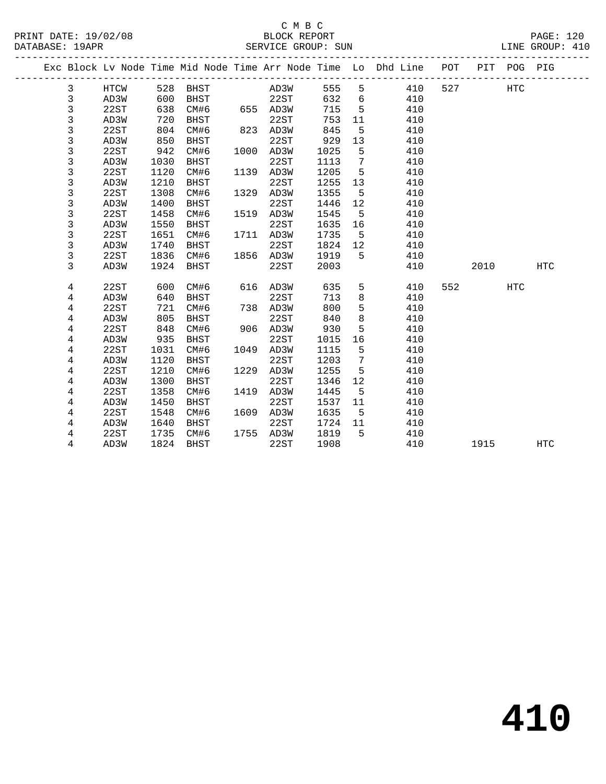## C M B C<br>BLOCK REPORT

| DATABASE: 19APR |                |      |      |               |      |           |         |                |                                                                                |     |         |            | LINE GROUP: 410 |
|-----------------|----------------|------|------|---------------|------|-----------|---------|----------------|--------------------------------------------------------------------------------|-----|---------|------------|-----------------|
|                 |                |      |      |               |      |           |         |                | Exc Block Lv Node Time Mid Node Time Arr Node Time Lo Dhd Line POT PIT POG PIG |     |         |            |                 |
|                 | 3              | HTCW |      | 528 BHST      |      | AD3W      |         |                | 555 5<br>410                                                                   |     | 527 HTC |            |                 |
|                 | 3              | AD3W | 600  | <b>BHST</b>   |      | 22ST      |         |                | 632 6<br>410                                                                   |     |         |            |                 |
|                 | 3              | 22ST | 638  | CM#6 655 AD3W |      |           | 715     | 5 <sub>5</sub> | 410                                                                            |     |         |            |                 |
|                 | 3              | AD3W | 720  | BHST          |      | 22ST      | 753     | 11             | 410                                                                            |     |         |            |                 |
|                 | 3              | 22ST | 804  | CM#6          |      | 823 AD3W  | 845     | $5^{\circ}$    | 410                                                                            |     |         |            |                 |
|                 | 3              | AD3W | 850  | BHST          |      | 22ST      | 929     | 13             | 410                                                                            |     |         |            |                 |
|                 | 3              | 22ST | 942  | CM#6          |      | 1000 AD3W | 1025    | $5^{\circ}$    | 410                                                                            |     |         |            |                 |
|                 | 3              | AD3W | 1030 | BHST          |      | 22ST      | 1113    | $\overline{7}$ | 410                                                                            |     |         |            |                 |
|                 | 3              | 22ST | 1120 | CM#6          |      | 1139 AD3W | 1205    | 5 <sub>5</sub> | 410                                                                            |     |         |            |                 |
|                 | 3              | AD3W | 1210 | <b>BHST</b>   |      | 22ST      | 1255    | 13             | 410                                                                            |     |         |            |                 |
|                 | 3              | 22ST | 1308 | CM#6          |      | 1329 AD3W | 1355    | $5^{\circ}$    | 410                                                                            |     |         |            |                 |
|                 | 3              | AD3W | 1400 | BHST          |      | 22ST      | 1446    | 12             | 410                                                                            |     |         |            |                 |
|                 | 3              | 22ST | 1458 | CM#6          |      | 1519 AD3W | 1545    | $5^{\circ}$    | 410                                                                            |     |         |            |                 |
|                 | 3              | AD3W | 1550 | BHST          |      | 22ST      | 1635 16 |                | 410                                                                            |     |         |            |                 |
|                 | 3              | 22ST | 1651 | CM#6          |      | 1711 AD3W | 1735    | 5 <sup>5</sup> | 410                                                                            |     |         |            |                 |
|                 | 3              | AD3W | 1740 | BHST          |      | 22ST      | 1824 12 |                | 410                                                                            |     |         |            |                 |
|                 | 3              | 22ST | 1836 | CM#6          |      | 1856 AD3W | 1919    | $5^{\circ}$    | 410                                                                            |     |         |            |                 |
|                 | 3              | AD3W | 1924 | BHST          |      | 22ST      | 2003    |                | 410                                                                            |     | 2010    |            | <b>HTC</b>      |
|                 | 4              | 22ST | 600  | CM#6          |      | 616 AD3W  | 635     |                | $5^{\circ}$<br>410                                                             | 552 |         | <b>HTC</b> |                 |
|                 | 4              | AD3W | 640  | BHST          |      | 22ST      | 713     | 8              | 410                                                                            |     |         |            |                 |
|                 | 4              | 22ST | 721  | CM#6          |      | 738 AD3W  | 800     | 5 <sup>5</sup> | 410                                                                            |     |         |            |                 |
|                 | 4              | AD3W | 805  | BHST          |      | 22ST      | 840     | 8 <sup>8</sup> | 410                                                                            |     |         |            |                 |
|                 | 4              | 22ST | 848  | CM#6          |      | 906 AD3W  | 930     | 5              | 410                                                                            |     |         |            |                 |
|                 | 4              | AD3W | 935  | BHST          |      | 22ST      | 1015    | 16             | 410                                                                            |     |         |            |                 |
|                 | 4              | 22ST | 1031 | CM#6          | 1049 | AD3W      | 1115    | $5^{\circ}$    | 410                                                                            |     |         |            |                 |
|                 | 4              | AD3W | 1120 | BHST          |      | 22ST      | 1203    | $\overline{7}$ | 410                                                                            |     |         |            |                 |
|                 | 4              | 22ST | 1210 | CM#6          | 1229 | AD3W      | 1255    | $5^{\circ}$    | 410                                                                            |     |         |            |                 |
|                 | 4              | AD3W | 1300 | BHST          |      | 22ST      | 1346    | 12             | 410                                                                            |     |         |            |                 |
|                 | $\overline{4}$ | 22ST | 1358 | CM#6          |      | 1419 AD3W | 1445    | $5^{\circ}$    | 410                                                                            |     |         |            |                 |
|                 | 4              | AD3W | 1450 | BHST          |      | 22ST      | 1537 11 |                | 410                                                                            |     |         |            |                 |
|                 | 4              | 22ST | 1548 | CM#6          |      | 1609 AD3W | 1635    | $5^{\circ}$    | 410                                                                            |     |         |            |                 |
|                 | 4              | AD3W | 1640 | BHST          |      | 22ST      | 1724 11 |                | 410                                                                            |     |         |            |                 |
|                 | 4              | 22ST |      | 1735 CM#6     |      | 1755 AD3W | 1819    | $5^{\circ}$    | 410                                                                            |     |         |            |                 |

4 AD3W 1824 BHST 22ST 1908 410 1915 HTC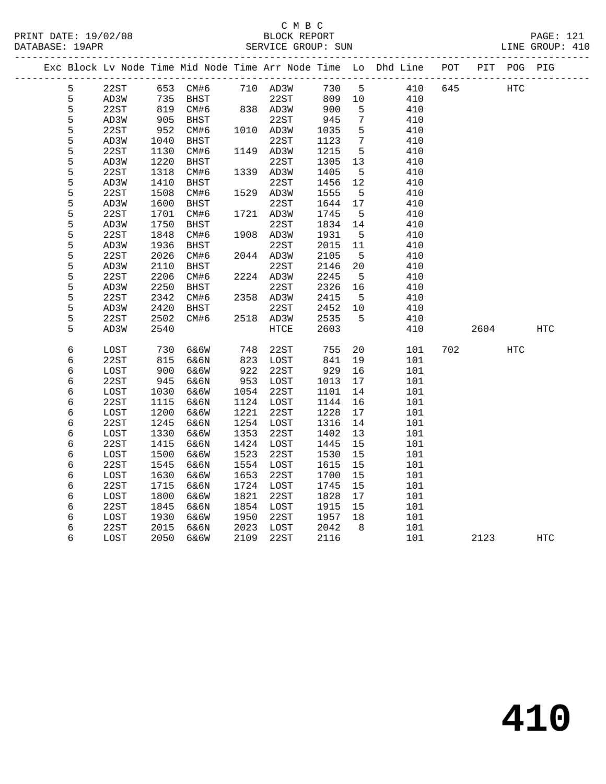| PRINT DATE: 19/02/08<br>DATABASE: 19APR |            |      |      |             |      | BLOCK REPORT<br>SERVICE GROUP: SUN |      |    |                                                                    |     |      |             | PAGE: 121<br>LINE GROUP: 410 |  |
|-----------------------------------------|------------|------|------|-------------|------|------------------------------------|------|----|--------------------------------------------------------------------|-----|------|-------------|------------------------------|--|
|                                         |            |      |      |             |      |                                    |      |    | Exc Block Lv Node Time Mid Node Time Arr Node Time Lo Dhd Line POT |     |      | PIT POG PIG |                              |  |
|                                         | 5          | 22ST | 653  | CM#6        |      | 710 AD3W                           | 730  | 5  | 410                                                                | 645 |      | HTC         |                              |  |
|                                         | 5          | AD3W | 735  | <b>BHST</b> |      | 22ST                               | 809  | 10 | 410                                                                |     |      |             |                              |  |
|                                         | 5          | 22ST | 819  | CM#6        |      | 838 AD3W                           | 900  | 5  | 410                                                                |     |      |             |                              |  |
|                                         | 5          | AD3W | 905  | BHST        |      | 22ST                               | 945  | 7  | 410                                                                |     |      |             |                              |  |
|                                         | 5          | 22ST | 952  | CM#6        |      | 1010 AD3W                          | 1035 | 5  | 410                                                                |     |      |             |                              |  |
|                                         | 5          | AD3W | 1040 | <b>BHST</b> |      | 22ST                               | 1123 | 7  | 410                                                                |     |      |             |                              |  |
|                                         | 5          | 22ST | 1130 | CM#6        | 1149 | AD3W                               | 1215 | 5  | 410                                                                |     |      |             |                              |  |
|                                         | 5          | AD3W | 1220 | <b>BHST</b> |      | 22ST                               | 1305 | 13 | 410                                                                |     |      |             |                              |  |
|                                         | 5          | 22ST | 1318 | CM#6        |      | 1339 AD3W                          | 1405 | 5  | 410                                                                |     |      |             |                              |  |
|                                         | 5          | AD3W | 1410 | <b>BHST</b> |      | 22ST                               | 1456 | 12 | 410                                                                |     |      |             |                              |  |
|                                         | 5          | 22ST | 1508 | CM#6        | 1529 | AD3W                               | 1555 | 5  | 410                                                                |     |      |             |                              |  |
|                                         | 5          | AD3W | 1600 | <b>BHST</b> |      | 22ST                               | 1644 | 17 | 410                                                                |     |      |             |                              |  |
|                                         | 5          | 22ST | 1701 | CM#6        |      | 1721 AD3W                          | 1745 | 5  | 410                                                                |     |      |             |                              |  |
|                                         | 5          | AD3W | 1750 | <b>BHST</b> |      | 22ST                               | 1834 | 14 | 410                                                                |     |      |             |                              |  |
|                                         | 5          | 22ST | 1848 | CM#6        |      | 1908 AD3W                          | 1931 | 5  | 410                                                                |     |      |             |                              |  |
|                                         | 5          | AD3W | 1936 | <b>BHST</b> |      | 22ST                               | 2015 | 11 | 410                                                                |     |      |             |                              |  |
|                                         | 5          | 22ST | 2026 | CM#6        |      | 2044 AD3W                          | 2105 | 5  | 410                                                                |     |      |             |                              |  |
|                                         | 5          | AD3W | 2110 | <b>BHST</b> |      | 22ST                               | 2146 | 20 | 410                                                                |     |      |             |                              |  |
|                                         | 5          | 22ST | 2206 | CM#6        |      | 2224 AD3W                          | 2245 | -5 | 410                                                                |     |      |             |                              |  |
|                                         | 5          | AD3W | 2250 | <b>BHST</b> |      | 22ST                               | 2326 | 16 | 410                                                                |     |      |             |                              |  |
|                                         | 5          | 22ST | 2342 | CM#6        | 2358 | AD3W                               | 2415 | 5  | 410                                                                |     |      |             |                              |  |
|                                         | 5          | AD3W | 2420 | <b>BHST</b> |      | 22ST                               | 2452 | 10 | 410                                                                |     |      |             |                              |  |
|                                         | 5          | 22ST | 2502 | CM#6        | 2518 | AD3W                               | 2535 | 5  | 410                                                                |     |      |             |                              |  |
|                                         | 5          | AD3W | 2540 |             |      | HTCE                               | 2603 |    | 410                                                                |     | 2604 |             | HTC                          |  |
|                                         | $\epsilon$ | LOST | 730  | 6&6W        | 748  | 22ST                               | 755  | 20 | 101                                                                | 702 |      | <b>HTC</b>  |                              |  |
|                                         | 6          | 22ST | 815  | 6&6N        | 823  | LOST                               | 841  | 19 | 101                                                                |     |      |             |                              |  |
|                                         | б          | LOST | 900  | 6&6W        | 922  | 22ST                               | 929  | 16 | 101                                                                |     |      |             |                              |  |
|                                         | 6          | 22ST | 945  | 6&6N        | 953  | LOST                               | 1013 | 17 | 101                                                                |     |      |             |                              |  |
|                                         | 6          | LOST | 1030 | 6&6W        | 1054 | 22ST                               | 1101 | 14 | 101                                                                |     |      |             |                              |  |
|                                         | 6          | 22ST | 1115 | 6&6N        | 1124 | LOST                               | 1144 | 16 | 101                                                                |     |      |             |                              |  |
|                                         | 6          | LOST | 1200 | 6&6W        | 1221 | 22ST                               | 1228 | 17 | 101                                                                |     |      |             |                              |  |
|                                         | 6          | 22ST | 1245 | 6&6N        | 1254 | LOST                               | 1316 | 14 | 101                                                                |     |      |             |                              |  |
|                                         | б          | LOST | 1330 | 6&6W        | 1353 | 22ST                               | 1402 | 13 | 101                                                                |     |      |             |                              |  |
|                                         | 6          | 22ST | 1415 | 6&6N        | 1424 | LOST                               | 1445 | 15 | 101                                                                |     |      |             |                              |  |
|                                         | б          | LOST | 1500 | 6&6W        | 1523 | 22ST                               | 1530 | 15 | 101                                                                |     |      |             |                              |  |
|                                         | б          | 22ST | 1545 | 6&6N        | 1554 | LOST                               | 1615 | 15 | 101                                                                |     |      |             |                              |  |
|                                         | б          | LOST | 1630 | 6&6W        | 1653 | 22ST                               | 1700 | 15 | 101                                                                |     |      |             |                              |  |
|                                         | б          | 22ST | 1715 | 6&6N        | 1724 | LOST                               | 1745 | 15 | 101                                                                |     |      |             |                              |  |
|                                         | б          | LOST | 1800 | 6&6W        | 1821 | 22ST                               | 1828 | 17 | 101                                                                |     |      |             |                              |  |
|                                         | б          | 22ST | 1845 | 6&6N        | 1854 | LOST                               | 1915 | 15 | 101                                                                |     |      |             |                              |  |
|                                         | б          | LOST | 1930 | 6&6W        | 1950 | 22ST                               | 1957 | 18 | 101                                                                |     |      |             |                              |  |
|                                         | 6          | 22ST | 2015 | 6&6N        | 2023 | LOST                               | 2042 | 8  | 101                                                                |     |      |             |                              |  |
|                                         | 6          | LOST | 2050 | 6&6W        | 2109 | 22ST                               | 2116 |    | 101                                                                |     | 2123 |             | <b>HTC</b>                   |  |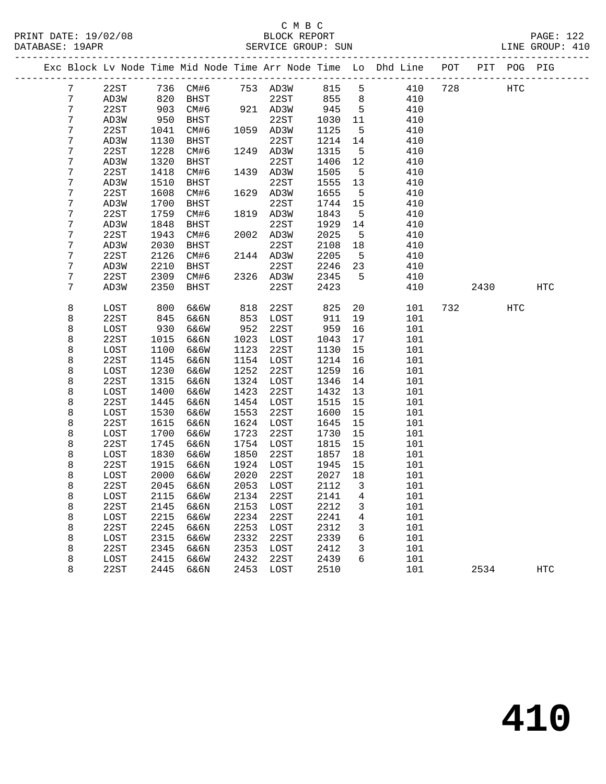#### C M B C<br>BLOCK REPORT PRINT DATE: 19/02/08 BLOCK REPORT PAGE: 122 SERVICE GROUP: SUN

|                 |      |      |           |      |           |        |                         | Exc Block Lv Node Time Mid Node Time Arr Node Time Lo Dhd Line POT |     |      | PIT POG PIG |     |
|-----------------|------|------|-----------|------|-----------|--------|-------------------------|--------------------------------------------------------------------|-----|------|-------------|-----|
| $7\phantom{.0}$ | 22ST |      | 736 CM#6  |      | 753 AD3W  | 815    | 5                       | 410                                                                | 728 |      | HTC         |     |
| 7               | AD3W | 820  | BHST      |      | 22ST      | 855    | 8                       | 410                                                                |     |      |             |     |
| 7               | 22ST | 903  | CM#6      |      | 921 AD3W  | 945    | $5\overline{5}$         | 410                                                                |     |      |             |     |
| 7               | AD3W | 950  | BHST      |      | 22ST      | 1030   | 11                      | 410                                                                |     |      |             |     |
| 7               | 22ST | 1041 | CM#6      |      | 1059 AD3W | 1125   | 5                       | 410                                                                |     |      |             |     |
| 7               | AD3W | 1130 | BHST      |      | 22ST      | 1214   | 14                      | 410                                                                |     |      |             |     |
| 7               | 22ST | 1228 | CM#6      |      | 1249 AD3W | 1315   | $5^{\circ}$             | 410                                                                |     |      |             |     |
| 7               | AD3W | 1320 | BHST      |      | 22ST      | 1406   | 12                      | 410                                                                |     |      |             |     |
| 7               | 22ST | 1418 | CM#6      | 1439 | AD3W      | 1505   | 5                       | 410                                                                |     |      |             |     |
| 7               | AD3W | 1510 | BHST      |      | 22ST      | 1555   | 13                      | 410                                                                |     |      |             |     |
| 7               | 22ST | 1608 | CM#6      |      | 1629 AD3W | 1655   | $5\overline{)}$         | 410                                                                |     |      |             |     |
| 7               | AD3W | 1700 | BHST      |      | 22ST      | 1744   | 15                      | 410                                                                |     |      |             |     |
| 7               | 22ST | 1759 | CM#6      | 1819 | AD3W      | 1843   | 5                       | 410                                                                |     |      |             |     |
| 7               | AD3W | 1848 | BHST      |      | 22ST      | 1929   | 14                      | 410                                                                |     |      |             |     |
| 7               | 22ST | 1943 | CM#6      |      | 2002 AD3W | 2025   | $5\overline{)}$         | 410                                                                |     |      |             |     |
| 7               | AD3W | 2030 | BHST      |      | 22ST      | 2108   | 18                      | 410                                                                |     |      |             |     |
| 7               | 22ST | 2126 | CM#6      |      | 2144 AD3W | 2205   | $5^{\circ}$             | 410                                                                |     |      |             |     |
| 7               | AD3W | 2210 | BHST      |      | 22ST      | 2246   | 23                      | 410                                                                |     |      |             |     |
| 7               | 22ST | 2309 | CM#6      |      | 2326 AD3W | 2345   | $5^{\circ}$             | 410                                                                |     |      |             |     |
| 7               | AD3W | 2350 | BHST      |      | 22ST      | 2423   |                         | 410                                                                |     | 2430 |             | HTC |
| 8               | LOST | 800  | 6&6W      | 818  | 22ST      | 825    | 20                      | 101                                                                | 732 |      | <b>HTC</b>  |     |
| 8               | 22ST | 845  | 6&6N      | 853  | LOST      | 911    | 19                      | 101                                                                |     |      |             |     |
| 8               | LOST | 930  | 6&6W      | 952  | 22ST      | 959    | 16                      | 101                                                                |     |      |             |     |
| 8               | 22ST | 1015 | 6&6N      | 1023 | LOST      | 1043   | 17                      | 101                                                                |     |      |             |     |
| 8               | LOST | 1100 | 6&6W      | 1123 | 22ST      | 1130   | 15                      | 101                                                                |     |      |             |     |
| 8               | 22ST | 1145 | 6&6N      | 1154 | LOST      | 1214   | 16                      | 101                                                                |     |      |             |     |
| 8               | LOST | 1230 | 6&6W      | 1252 | 22ST      | 1259   | 16                      | 101                                                                |     |      |             |     |
| 8               | 22ST | 1315 | 6&6N      | 1324 | LOST      | 1346   | 14                      | 101                                                                |     |      |             |     |
| 8               | LOST | 1400 | 6&6W      | 1423 | 22ST      | 1432   | 13                      | 101                                                                |     |      |             |     |
| 8               | 22ST | 1445 | 6&6N      | 1454 | LOST      | 1515   | 15                      | 101                                                                |     |      |             |     |
| 8               | LOST | 1530 | 6&6W      | 1553 | 22ST      | 1600   | 15                      | 101                                                                |     |      |             |     |
| 8               | 22ST | 1615 | 6&6N      | 1624 | LOST      | 1645   | 15                      | 101                                                                |     |      |             |     |
| 8               | LOST | 1700 | 6&6W      | 1723 | 22ST      | 1730   | 15                      | 101                                                                |     |      |             |     |
| 8               | 22ST | 1745 | 6&6N      | 1754 | LOST      | 1815   | 15                      | 101                                                                |     |      |             |     |
| 8               | LOST | 1830 | 6&6W      | 1850 | 22ST      | 1857   | 18                      | 101                                                                |     |      |             |     |
| 8               | 22ST | 1915 | 6&6N      | 1924 | LOST      | 1945   | 15                      | 101                                                                |     |      |             |     |
| 8               | LOST | 2000 | 6&6W      | 2020 | 22ST      | 2027   | 18                      | 101                                                                |     |      |             |     |
| 8               | 22ST | 2045 | 6&6N      | 2053 | LOST      | 2112   | $\overline{\mathbf{3}}$ | 101                                                                |     |      |             |     |
| 8               | LOST |      | 2115 6&6W |      | 2134 22ST | 2141 4 |                         | 101                                                                |     |      |             |     |
| 8               | 22ST | 2145 | 6&6N      | 2153 | LOST      | 2212   | 3                       | 101                                                                |     |      |             |     |
| 8               | LOST | 2215 | 6&6W      | 2234 | 22ST      | 2241   | 4                       | 101                                                                |     |      |             |     |
| 8               | 22ST | 2245 | 6&6N      | 2253 | LOST      | 2312   | 3                       | 101                                                                |     |      |             |     |
| 8               | LOST | 2315 | 6&6W      | 2332 | 22ST      | 2339   | 6                       | 101                                                                |     |      |             |     |
| 8               | 22ST | 2345 | 6&6N      | 2353 | LOST      | 2412   | 3                       | 101                                                                |     |      |             |     |
| 8               | LOST | 2415 | 6&6W      | 2432 | 22ST      | 2439   | 6                       | 101                                                                |     |      |             |     |
| 8               | 22ST | 2445 | 6&6N      | 2453 | LOST      | 2510   |                         | 101                                                                |     | 2534 |             | HTC |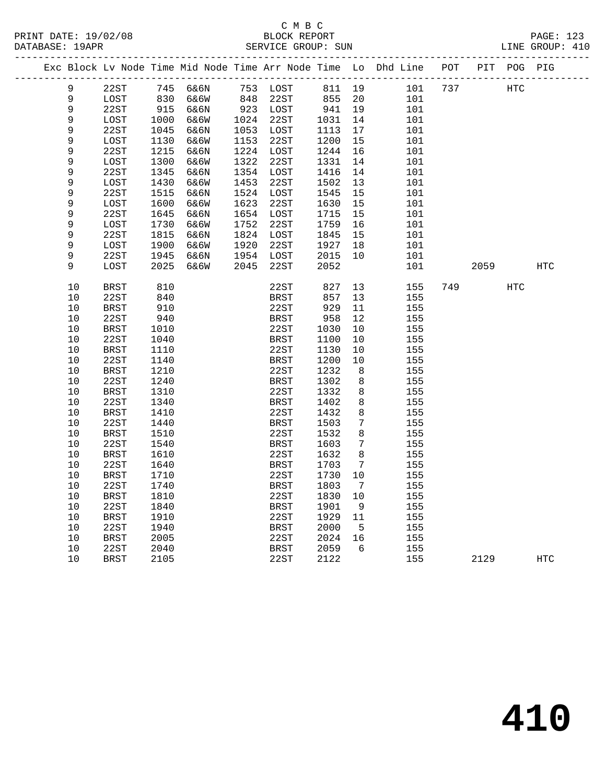|             |               |      |                 |      |             |        |                 | Exc Block Lv Node Time Mid Node Time Arr Node Time Lo Dhd Line | POT |      | PIT POG PIG |            |
|-------------|---------------|------|-----------------|------|-------------|--------|-----------------|----------------------------------------------------------------|-----|------|-------------|------------|
| 9           | 22ST          |      | 745 6&6N        |      | 753 LOST    | 811 19 |                 | 101                                                            | 737 |      | HTC         |            |
| 9           | LOST          | 830  | 6&6W            | 848  | 22ST        | 855    | 20              | 101                                                            |     |      |             |            |
| $\mathsf 9$ | 22ST          |      | 915 6&6N        |      | 923 LOST    | 941    | 19              | 101                                                            |     |      |             |            |
| $\mathsf 9$ | $_{\rm LOST}$ | 1000 | 6&6W            | 1024 | 22ST        | 1031   | 14              | 101                                                            |     |      |             |            |
| $\mathsf 9$ | 22ST          | 1045 | 6&6N            | 1053 | LOST        | 1113   | 17              | 101                                                            |     |      |             |            |
| $\mathsf 9$ | LOST          | 1130 | 6&6W            | 1153 | 22ST        | 1200   | 15              | 101                                                            |     |      |             |            |
| $\mathsf 9$ | 22ST          | 1215 | 6&6N            | 1224 | LOST        | 1244   | 16              | 101                                                            |     |      |             |            |
| $\mathsf 9$ | LOST          | 1300 | 6&6W            | 1322 | 22ST        | 1331   | 14              | 101                                                            |     |      |             |            |
| 9           | 22ST          | 1345 | 6&6N            | 1354 | LOST        | 1416   | 14              | 101                                                            |     |      |             |            |
| $\mathsf 9$ | LOST          | 1430 | <b>6&amp;6W</b> | 1453 | 22ST        | 1502   | 13              | 101                                                            |     |      |             |            |
| 9           | 22ST          | 1515 | 6&6N            | 1524 | LOST        | 1545   | 15              | 101                                                            |     |      |             |            |
| 9           | LOST          | 1600 | 6&6W            | 1623 | 22ST        | 1630   | 15              | 101                                                            |     |      |             |            |
| 9           | 22ST          | 1645 | 6&6N            | 1654 | LOST        | 1715   | 15              | 101                                                            |     |      |             |            |
| 9           | LOST          | 1730 | 6&6W            | 1752 | 22ST        | 1759   | 16              | 101                                                            |     |      |             |            |
| 9           | 22ST          | 1815 | 6&6N            | 1824 | LOST        | 1845   | 15              | 101                                                            |     |      |             |            |
| $\mathsf 9$ | LOST          | 1900 | 6&6W            | 1920 | 22ST        | 1927   | 18              | 101                                                            |     |      |             |            |
| 9           | 22ST          | 1945 | 6&6N            | 1954 | LOST        | 2015   | 10              | 101                                                            |     |      |             |            |
| 9           | LOST          | 2025 | 6&6W            | 2045 | 22ST        | 2052   |                 | 101                                                            |     | 2059 |             | HTC        |
| 10          | <b>BRST</b>   | 810  |                 |      | 22ST        | 827    | 13              | 155                                                            | 749 |      | HTC         |            |
| 10          | 22ST          | 840  |                 |      | BRST        | 857    | 13              | 155                                                            |     |      |             |            |
| 10          | <b>BRST</b>   | 910  |                 |      | 22ST        | 929    | 11              | 155                                                            |     |      |             |            |
| 10          | 22ST          | 940  |                 |      | <b>BRST</b> | 958    | 12              | 155                                                            |     |      |             |            |
| 10          | <b>BRST</b>   | 1010 |                 |      | 22ST        | 1030   | 10              | 155                                                            |     |      |             |            |
| 10          | 22ST          | 1040 |                 |      | <b>BRST</b> | 1100   | 10              | 155                                                            |     |      |             |            |
| 10          | <b>BRST</b>   | 1110 |                 |      | 22ST        | 1130   | 10              | 155                                                            |     |      |             |            |
| 10          | 22ST          | 1140 |                 |      | <b>BRST</b> | 1200   | 10              | 155                                                            |     |      |             |            |
| 10          | <b>BRST</b>   | 1210 |                 |      | 22ST        | 1232   | 8               | 155                                                            |     |      |             |            |
| 10          | 22ST          | 1240 |                 |      | BRST        | 1302   | 8               | 155                                                            |     |      |             |            |
| 10          | <b>BRST</b>   | 1310 |                 |      | 22ST        | 1332   | 8               | 155                                                            |     |      |             |            |
| 10          | 22ST          | 1340 |                 |      | <b>BRST</b> | 1402   | 8               | 155                                                            |     |      |             |            |
| 10          | <b>BRST</b>   | 1410 |                 |      | 22ST        | 1432   | 8               | 155                                                            |     |      |             |            |
| 10          | 22ST          | 1440 |                 |      | BRST        | 1503   | 7               | 155                                                            |     |      |             |            |
| 10          | <b>BRST</b>   | 1510 |                 |      | 22ST        | 1532   | 8               | 155                                                            |     |      |             |            |
| 10          | 22ST          | 1540 |                 |      | BRST        | 1603   | 7               | 155                                                            |     |      |             |            |
| 10          | BRST          | 1610 |                 |      | 22ST        | 1632   | 8               | 155                                                            |     |      |             |            |
| 10          | 22ST          | 1640 |                 |      | BRST        | 1703   | 7               | 155                                                            |     |      |             |            |
| 10          | BRST          | 1710 |                 |      | 22ST        | 1730   | $10 \,$         | 155                                                            |     |      |             |            |
| 10          | 22ST          | 1740 |                 |      | BRST        | 1803   | $7\phantom{.0}$ | 155                                                            |     |      |             |            |
| 10          | <b>BRST</b>   | 1810 |                 |      | 22ST        | 1830   | 10              | 155                                                            |     |      |             |            |
| 10          | 22ST          | 1840 |                 |      | BRST        | 1901   | - 9             | 155                                                            |     |      |             |            |
| 10          | BRST          | 1910 |                 |      | 22ST        | 1929   | 11              | 155                                                            |     |      |             |            |
| 10          | 22ST          | 1940 |                 |      | BRST        | 2000   | $-5$            | 155                                                            |     |      |             |            |
| 10          | BRST          | 2005 |                 |      | 22ST        | 2024   | 16              | 155                                                            |     |      |             |            |
| 10          | 22ST          | 2040 |                 |      | BRST        | 2059   | 6               | 155                                                            |     |      |             |            |
| 10          | <b>BRST</b>   | 2105 |                 |      | 22ST        | 2122   |                 | 155                                                            |     | 2129 |             | <b>HTC</b> |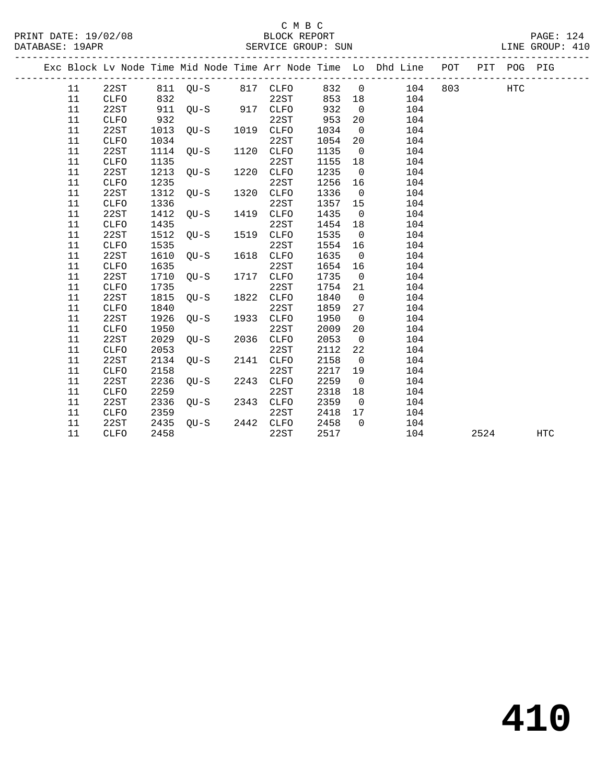## C M B C<br>BLOCK REPORT

PRINT DATE: 19/02/08 BLOCK REPORT PAGE: 124 SERVICE GROUP: SUN

|  |    |             |      |                   |      |             |       |                          | Exc Block Lv Node Time Mid Node Time Arr Node Time Lo Dhd Line POT PIT POG PIG |      |     |            |  |
|--|----|-------------|------|-------------------|------|-------------|-------|--------------------------|--------------------------------------------------------------------------------|------|-----|------------|--|
|  | 11 | 22ST        |      | 811 QU-S 817 CLFO |      |             | 832 0 |                          | 104 803                                                                        |      | HTC |            |  |
|  | 11 | CLFO        | 832  |                   |      | 22ST        | 853   | 18                       | 104                                                                            |      |     |            |  |
|  | 11 | 22ST        | 911  | $QU-S$ 917 $CLFO$ |      |             | 932   | $\overline{0}$           | 104                                                                            |      |     |            |  |
|  | 11 | <b>CLFO</b> | 932  |                   |      | 22ST        | 953   | 20                       | 104                                                                            |      |     |            |  |
|  | 11 | 22ST        | 1013 | QU-S              |      | 1019 CLFO   | 1034  | $\overline{0}$           | 104                                                                            |      |     |            |  |
|  | 11 | CLFO        | 1034 |                   |      | 22ST        | 1054  | 20                       | 104                                                                            |      |     |            |  |
|  | 11 | 22ST        | 1114 | QU-S              |      | 1120 CLFO   | 1135  | $\overline{0}$           | 104                                                                            |      |     |            |  |
|  | 11 | CLFO        | 1135 |                   |      | 22ST        | 1155  | 18                       | 104                                                                            |      |     |            |  |
|  | 11 | 22ST        | 1213 | QU-S              | 1220 | <b>CLFO</b> | 1235  | $\overline{0}$           | 104                                                                            |      |     |            |  |
|  | 11 | <b>CLFO</b> | 1235 |                   |      | 22ST        | 1256  | 16                       | 104                                                                            |      |     |            |  |
|  | 11 | 22ST        | 1312 | OU-S              | 1320 | <b>CLFO</b> | 1336  | $\overline{\phantom{0}}$ | 104                                                                            |      |     |            |  |
|  | 11 | CLFO        | 1336 |                   |      | 22ST        | 1357  | 15                       | 104                                                                            |      |     |            |  |
|  | 11 | 22ST        | 1412 | $QU-S$            | 1419 | <b>CLFO</b> | 1435  | $\overline{0}$           | 104                                                                            |      |     |            |  |
|  | 11 | <b>CLFO</b> | 1435 |                   |      | 22ST        | 1454  | 18                       | 104                                                                            |      |     |            |  |
|  | 11 | 22ST        | 1512 | $OU-S$            | 1519 | <b>CLFO</b> | 1535  | $\overline{0}$           | 104                                                                            |      |     |            |  |
|  | 11 | <b>CLFO</b> | 1535 |                   |      | 22ST        | 1554  | 16                       | 104                                                                            |      |     |            |  |
|  | 11 | 22ST        | 1610 | OU-S              | 1618 | <b>CLFO</b> | 1635  | $\overline{0}$           | 104                                                                            |      |     |            |  |
|  | 11 | <b>CLFO</b> | 1635 |                   |      | 22ST        | 1654  | 16                       | 104                                                                            |      |     |            |  |
|  | 11 | 22ST        | 1710 | $OU-S$            | 1717 | <b>CLFO</b> | 1735  | $\overline{0}$           | 104                                                                            |      |     |            |  |
|  | 11 | <b>CLFO</b> | 1735 |                   |      | 22ST        | 1754  | 21                       | 104                                                                            |      |     |            |  |
|  | 11 | 22ST        | 1815 | $OU-S$            | 1822 | <b>CLFO</b> | 1840  | $\overline{0}$           | 104                                                                            |      |     |            |  |
|  | 11 | <b>CLFO</b> | 1840 |                   |      | 22ST        | 1859  | 27                       | 104                                                                            |      |     |            |  |
|  | 11 | 22ST        | 1926 | $OU-S$            | 1933 | <b>CLFO</b> | 1950  | $\overline{0}$           | 104                                                                            |      |     |            |  |
|  | 11 | CLFO        | 1950 |                   |      | 22ST        | 2009  | 20                       | 104                                                                            |      |     |            |  |
|  | 11 | 22ST        | 2029 | $OU-S$            | 2036 | CLFO        | 2053  | $\overline{0}$           | 104                                                                            |      |     |            |  |
|  | 11 | CLFO        | 2053 |                   |      | 22ST        | 2112  | 22                       | 104                                                                            |      |     |            |  |
|  | 11 | 22ST        | 2134 | $OU-S$            | 2141 | <b>CLFO</b> | 2158  | $\overline{0}$           | 104                                                                            |      |     |            |  |
|  | 11 | <b>CLFO</b> | 2158 |                   |      | 22ST        | 2217  | 19                       | 104                                                                            |      |     |            |  |
|  | 11 | 22ST        | 2236 | $QU-S$            | 2243 | CLFO        | 2259  | $\overline{0}$           | 104                                                                            |      |     |            |  |
|  | 11 | CLFO        | 2259 |                   |      | 22ST        | 2318  | 18                       | 104                                                                            |      |     |            |  |
|  | 11 | 22ST        | 2336 | $QU-S$            | 2343 | CLFO        | 2359  | $\overline{0}$           | 104                                                                            |      |     |            |  |
|  | 11 | <b>CLFO</b> | 2359 |                   |      | 22ST        | 2418  | 17                       | 104                                                                            |      |     |            |  |
|  | 11 | 22ST        | 2435 | $OU-S$            |      | 2442 CLFO   | 2458  | $\overline{0}$           | 104                                                                            |      |     |            |  |
|  | 11 | <b>CLFO</b> | 2458 |                   |      | 22ST        | 2517  |                          | 104                                                                            | 2524 |     | <b>HTC</b> |  |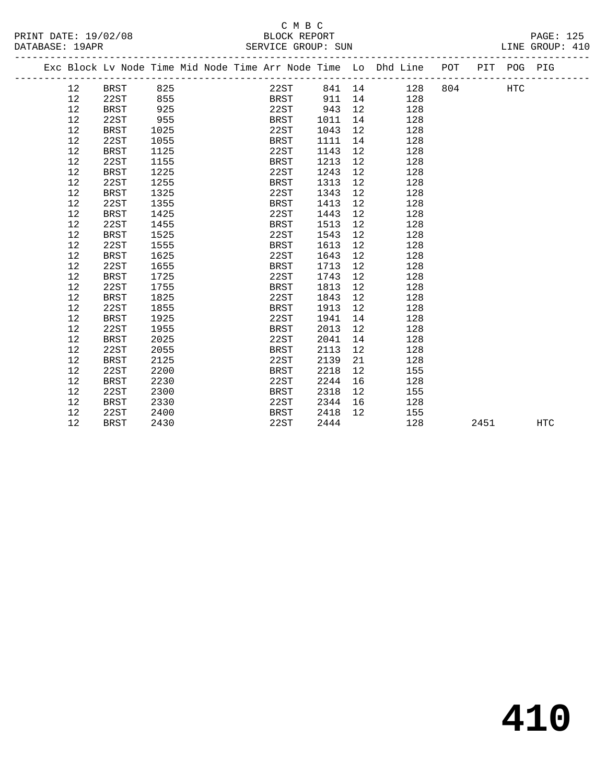#### C M B C<br>BLOCK REPORT PRINT DATE: 19/02/08 BLOCK REPORT PAGE: 125 SERVICE GROUP: SUN

|  |    |             |      |  | Exc Block Lv Node Time Mid Node Time Arr Node Time Lo Dhd Line POT |        |    |         |      | PIT POG PIG |     |
|--|----|-------------|------|--|--------------------------------------------------------------------|--------|----|---------|------|-------------|-----|
|  | 12 | BRST        | 825  |  | 22ST                                                               | 841 14 |    | 128 804 |      | HTC         |     |
|  | 12 | 22ST        | 855  |  | BRST                                                               | 911    | 14 | 128     |      |             |     |
|  | 12 | <b>BRST</b> | 925  |  | 22ST                                                               | 943    | 12 | 128     |      |             |     |
|  | 12 | 22ST        | 955  |  | BRST                                                               | 1011   | 14 | 128     |      |             |     |
|  | 12 | <b>BRST</b> | 1025 |  | 22ST                                                               | 1043   | 12 | 128     |      |             |     |
|  | 12 | 22ST        | 1055 |  | <b>BRST</b>                                                        | 1111   | 14 | 128     |      |             |     |
|  | 12 | <b>BRST</b> | 1125 |  | 22ST                                                               | 1143   | 12 | 128     |      |             |     |
|  | 12 | 22ST        | 1155 |  | BRST                                                               | 1213   | 12 | 128     |      |             |     |
|  | 12 | <b>BRST</b> | 1225 |  | 22ST                                                               | 1243   | 12 | 128     |      |             |     |
|  | 12 | 22ST        | 1255 |  | <b>BRST</b>                                                        | 1313   | 12 | 128     |      |             |     |
|  | 12 | <b>BRST</b> | 1325 |  | 22ST                                                               | 1343   | 12 | 128     |      |             |     |
|  | 12 | 22ST        | 1355 |  | BRST                                                               | 1413   | 12 | 128     |      |             |     |
|  | 12 | BRST        | 1425 |  | 22ST                                                               | 1443   | 12 | 128     |      |             |     |
|  | 12 | 22ST        | 1455 |  | <b>BRST</b>                                                        | 1513   | 12 | 128     |      |             |     |
|  | 12 | <b>BRST</b> | 1525 |  | 22ST                                                               | 1543   | 12 | 128     |      |             |     |
|  | 12 | 22ST        | 1555 |  | BRST                                                               | 1613   | 12 | 128     |      |             |     |
|  | 12 | <b>BRST</b> | 1625 |  | 22ST                                                               | 1643   | 12 | 128     |      |             |     |
|  | 12 | 22ST        | 1655 |  | BRST                                                               | 1713   | 12 | 128     |      |             |     |
|  | 12 | BRST        | 1725 |  | 22ST                                                               | 1743   | 12 | 128     |      |             |     |
|  | 12 | 22ST        | 1755 |  | <b>BRST</b>                                                        | 1813   | 12 | 128     |      |             |     |
|  | 12 | <b>BRST</b> | 1825 |  | 22ST                                                               | 1843   | 12 | 128     |      |             |     |
|  | 12 | 22ST        | 1855 |  | <b>BRST</b>                                                        | 1913   | 12 | 128     |      |             |     |
|  | 12 | <b>BRST</b> | 1925 |  | 22ST                                                               | 1941   | 14 | 128     |      |             |     |
|  | 12 | 22ST        | 1955 |  | <b>BRST</b>                                                        | 2013   | 12 | 128     |      |             |     |
|  | 12 | <b>BRST</b> | 2025 |  | 22ST                                                               | 2041   | 14 | 128     |      |             |     |
|  | 12 | 22ST        | 2055 |  | <b>BRST</b>                                                        | 2113   | 12 | 128     |      |             |     |
|  | 12 | <b>BRST</b> | 2125 |  | 22ST                                                               | 2139   | 21 | 128     |      |             |     |
|  | 12 | 22ST        | 2200 |  | BRST                                                               | 2218   | 12 | 155     |      |             |     |
|  | 12 | <b>BRST</b> | 2230 |  | 22ST                                                               | 2244   | 16 | 128     |      |             |     |
|  | 12 | 22ST        | 2300 |  | BRST                                                               | 2318   | 12 | 155     |      |             |     |
|  | 12 | <b>BRST</b> | 2330 |  | 22ST                                                               | 2344   | 16 | 128     |      |             |     |
|  | 12 | 22ST        | 2400 |  | <b>BRST</b>                                                        | 2418   | 12 | 155     |      |             |     |
|  | 12 | <b>BRST</b> | 2430 |  | 22ST                                                               | 2444   |    | 128     | 2451 |             | HTC |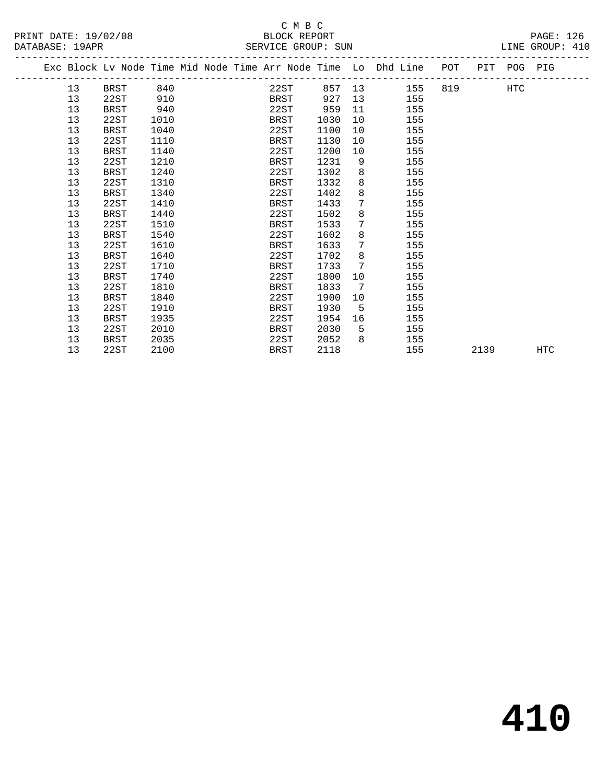PRINT DATE: 19/02/08 BLOCK REPORT PAGE: 126

|  |    | Exc Block Lv Node Time Mid Node Time Arr Node Time Lo Dhd Line POT |      |  |             |      |      |                |        |     |          |      | PIT POG PIG |     |
|--|----|--------------------------------------------------------------------|------|--|-------------|------|------|----------------|--------|-----|----------|------|-------------|-----|
|  | 13 | BRST                                                               | 840  |  |             | 22ST |      |                | 857 13 | 155 | 819 — 10 |      | HTC         |     |
|  | 13 | 22ST                                                               | 910  |  | BRST        |      | 927  | 13             |        | 155 |          |      |             |     |
|  | 13 | <b>BRST</b>                                                        | 940  |  | 22ST        |      | 959  | 11             |        | 155 |          |      |             |     |
|  | 13 | 22ST                                                               | 1010 |  | BRST        |      | 1030 | 10             |        | 155 |          |      |             |     |
|  | 13 | <b>BRST</b>                                                        | 1040 |  | 22ST        |      | 1100 | 10             |        | 155 |          |      |             |     |
|  | 13 | 22ST                                                               | 1110 |  | BRST        |      | 1130 | 10             |        | 155 |          |      |             |     |
|  | 13 | <b>BRST</b>                                                        | 1140 |  | 22ST        |      | 1200 | 10             |        | 155 |          |      |             |     |
|  | 13 | 22ST                                                               | 1210 |  | BRST        |      | 1231 | 9              |        | 155 |          |      |             |     |
|  | 13 | BRST                                                               | 1240 |  | 22ST        |      | 1302 | 8              |        | 155 |          |      |             |     |
|  | 13 | 22ST                                                               | 1310 |  | <b>BRST</b> |      | 1332 | 8              |        | 155 |          |      |             |     |
|  | 13 | <b>BRST</b>                                                        | 1340 |  | 22ST        |      | 1402 | 8              |        | 155 |          |      |             |     |
|  | 13 | 22ST                                                               | 1410 |  | BRST        |      | 1433 | 7 <sup>1</sup> |        | 155 |          |      |             |     |
|  | 13 | BRST                                                               | 1440 |  | 22ST        |      | 1502 | 8              |        | 155 |          |      |             |     |
|  | 13 | 22ST                                                               | 1510 |  | BRST        |      | 1533 | 7              |        | 155 |          |      |             |     |
|  | 13 | BRST                                                               | 1540 |  | 22ST        |      | 1602 | 8              |        | 155 |          |      |             |     |
|  | 13 | 22ST                                                               | 1610 |  | BRST        |      | 1633 | 7              |        | 155 |          |      |             |     |
|  | 13 | <b>BRST</b>                                                        | 1640 |  | 22ST        |      | 1702 | 8              |        | 155 |          |      |             |     |
|  | 13 | 22ST                                                               | 1710 |  | <b>BRST</b> |      | 1733 | 7              |        | 155 |          |      |             |     |
|  | 13 | <b>BRST</b>                                                        | 1740 |  | 22ST        |      | 1800 | 10             |        | 155 |          |      |             |     |
|  | 13 | 22ST                                                               | 1810 |  | <b>BRST</b> |      | 1833 | 7              |        | 155 |          |      |             |     |
|  | 13 | <b>BRST</b>                                                        | 1840 |  | 22ST        |      | 1900 | 10             |        | 155 |          |      |             |     |
|  | 13 | 22ST                                                               | 1910 |  | BRST        |      | 1930 | 5              |        | 155 |          |      |             |     |
|  | 13 | <b>BRST</b>                                                        | 1935 |  | 22ST        |      | 1954 | 16             |        | 155 |          |      |             |     |
|  | 13 | 22ST                                                               | 2010 |  | BRST        |      | 2030 | 5              |        | 155 |          |      |             |     |
|  | 13 | BRST                                                               | 2035 |  | 22ST        |      | 2052 | 8              |        | 155 |          |      |             |     |
|  | 13 | 22ST                                                               | 2100 |  | <b>BRST</b> |      | 2118 |                |        | 155 |          | 2139 |             | HTC |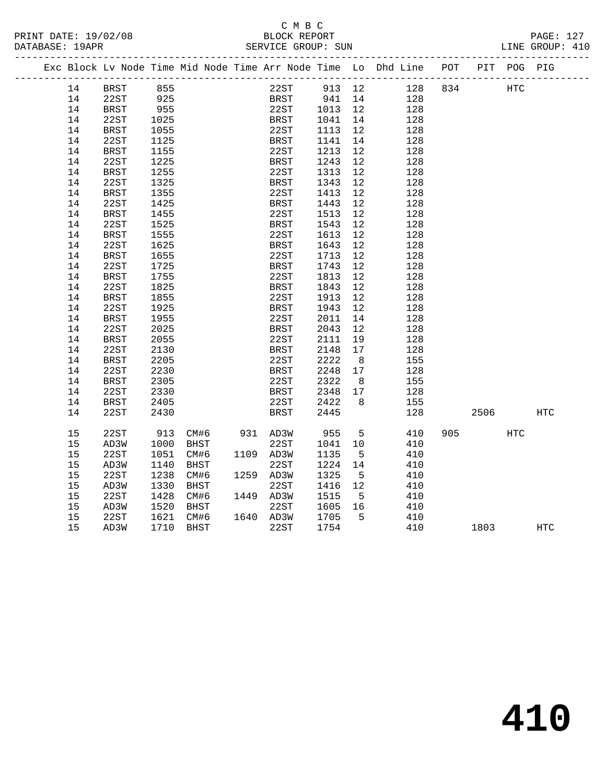| PRINT DATE: 19/02/08 | BLOCK REPORT       | <b>PAGE: 127</b> |
|----------------------|--------------------|------------------|
| DATABASE: 19APR      | SERVICE GROUP: SUN | LINE GROUP: 410  |

|  |    |             |      |      |           |             |                                             |                | Exc Block Lv Node Time Mid Node Time Arr Node Time Lo Dhd Line POT |     |      | PIT POG PIG |            |
|--|----|-------------|------|------|-----------|-------------|---------------------------------------------|----------------|--------------------------------------------------------------------|-----|------|-------------|------------|
|  | 14 | BRST        | 855  |      |           |             | 22ST 913 12                                 |                | 128                                                                | 834 | HTC  |             |            |
|  | 14 | 22ST        | 925  |      |           |             | BRST 941 14<br>22ST 1013 12<br>BRST 1041 14 |                | 128                                                                |     |      |             |            |
|  | 14 | <b>BRST</b> | 955  |      |           |             |                                             |                | 128                                                                |     |      |             |            |
|  | 14 | 22ST        | 1025 |      |           |             |                                             |                | 128                                                                |     |      |             |            |
|  | 14 | <b>BRST</b> | 1055 |      |           | 22ST        | 1113 12                                     |                | 128                                                                |     |      |             |            |
|  | 14 | 22ST        | 1125 |      |           | BRST        | 1141 14                                     |                | 128                                                                |     |      |             |            |
|  | 14 | BRST        | 1155 |      |           | 22ST        | 1213 12                                     |                | 128                                                                |     |      |             |            |
|  | 14 | 22ST        | 1225 |      |           | <b>BRST</b> | 1243                                        | 12             | 128                                                                |     |      |             |            |
|  | 14 | BRST        | 1255 |      |           | 22ST        | 1313                                        | 12             | 128                                                                |     |      |             |            |
|  | 14 | 22ST        | 1325 |      |           | <b>BRST</b> | 1343                                        | 12             | 128                                                                |     |      |             |            |
|  | 14 | BRST        | 1355 |      |           | 22ST        | 1413                                        | 12             | 128                                                                |     |      |             |            |
|  | 14 | 22ST        | 1425 |      |           | BRST        | 1443                                        | 12             | 128                                                                |     |      |             |            |
|  | 14 | <b>BRST</b> | 1455 |      |           | 22ST        | 1513                                        | 12             | 128                                                                |     |      |             |            |
|  | 14 | 22ST        | 1525 |      |           | <b>BRST</b> | 1543                                        | 12             | 128                                                                |     |      |             |            |
|  | 14 | BRST        | 1555 |      |           | 22ST        | 1613                                        | 12             | 128                                                                |     |      |             |            |
|  | 14 | 22ST        | 1625 |      |           | <b>BRST</b> | 1643                                        | 12             | 128                                                                |     |      |             |            |
|  | 14 | BRST        | 1655 |      |           | 22ST        | 1713                                        | 12             | 128                                                                |     |      |             |            |
|  | 14 | 22ST        | 1725 |      |           | BRST        | 1743                                        | 12             | 128                                                                |     |      |             |            |
|  | 14 | <b>BRST</b> | 1755 |      |           | 22ST        | 1813                                        | 12             | 128                                                                |     |      |             |            |
|  | 14 | 22ST        | 1825 |      |           | BRST        | 1843                                        | 12             | 128                                                                |     |      |             |            |
|  | 14 | <b>BRST</b> | 1855 |      |           | 22ST        | 1913                                        | 12             | 128                                                                |     |      |             |            |
|  | 14 | 22ST        | 1925 |      |           | <b>BRST</b> | 1943                                        | 12             | 128                                                                |     |      |             |            |
|  | 14 | BRST        | 1955 |      |           | 22ST        | 2011                                        | 14             | 128                                                                |     |      |             |            |
|  | 14 | 22ST        | 2025 |      |           | <b>BRST</b> | 2043                                        | 12             | 128                                                                |     |      |             |            |
|  | 14 | BRST        | 2055 |      |           | 22ST        | 2111                                        | 19             | 128                                                                |     |      |             |            |
|  | 14 | 22ST        | 2130 |      |           | <b>BRST</b> | 2148                                        | 17             | 128                                                                |     |      |             |            |
|  | 14 | <b>BRST</b> | 2205 |      |           | 22ST        | 2222                                        | 8 <sup>8</sup> | 155                                                                |     |      |             |            |
|  | 14 | 22ST        | 2230 |      |           | BRST        | 2248                                        | 17             | 128                                                                |     |      |             |            |
|  | 14 | <b>BRST</b> | 2305 |      |           | 22ST        | 2322                                        | 8 <sup>8</sup> | 155                                                                |     |      |             |            |
|  | 14 | 22ST        | 2330 |      |           | <b>BRST</b> | 2348 17                                     |                | 128                                                                |     |      |             |            |
|  | 14 | BRST        | 2405 |      |           | 22ST        | 2422                                        | 8              | 155                                                                |     |      |             |            |
|  | 14 | 22ST        | 2430 |      |           | <b>BRST</b> | 2445                                        |                | 128                                                                |     | 2506 |             | HTC        |
|  |    |             |      |      |           |             |                                             |                |                                                                    |     |      |             |            |
|  | 15 | 22ST        | 913  | CM#6 | 931 AD3W  |             | 955                                         | $5^{\circ}$    | 410                                                                | 905 |      | <b>HTC</b>  |            |
|  | 15 | AD3W        | 1000 | BHST |           | 22ST        | 1041 10                                     |                | 410                                                                |     |      |             |            |
|  | 15 | 22ST        | 1051 | CM#6 | 1109 AD3W |             | 1135                                        | $-5$           | 410                                                                |     |      |             |            |
|  | 15 | AD3W        | 1140 | BHST |           | 22ST        | 1224                                        | 14             | 410                                                                |     |      |             |            |
|  | 15 | 22ST        | 1238 | CM#6 | 1259 AD3W |             | 1325                                        | $5^{\circ}$    | 410                                                                |     |      |             |            |
|  | 15 | AD3W        | 1330 | BHST |           | 22ST        | 1416 12                                     |                | 410                                                                |     |      |             |            |
|  | 15 | 22ST        | 1428 | CM#6 | 1449 AD3W |             | 1515                                        | $5^{\circ}$    | 410                                                                |     |      |             |            |
|  | 15 | AD3W        | 1520 | BHST |           | 22ST        | $\frac{1}{1605}$ 16                         |                | 410                                                                |     |      |             |            |
|  | 15 | 22ST        | 1621 | CM#6 | 1640 AD3W |             | 1705                                        | $5^{\circ}$    | 410                                                                |     |      |             |            |
|  | 15 | AD3W        | 1710 | BHST |           | 22ST        | 1754                                        |                | 410                                                                |     | 1803 |             | <b>HTC</b> |
|  |    |             |      |      |           |             |                                             |                |                                                                    |     |      |             |            |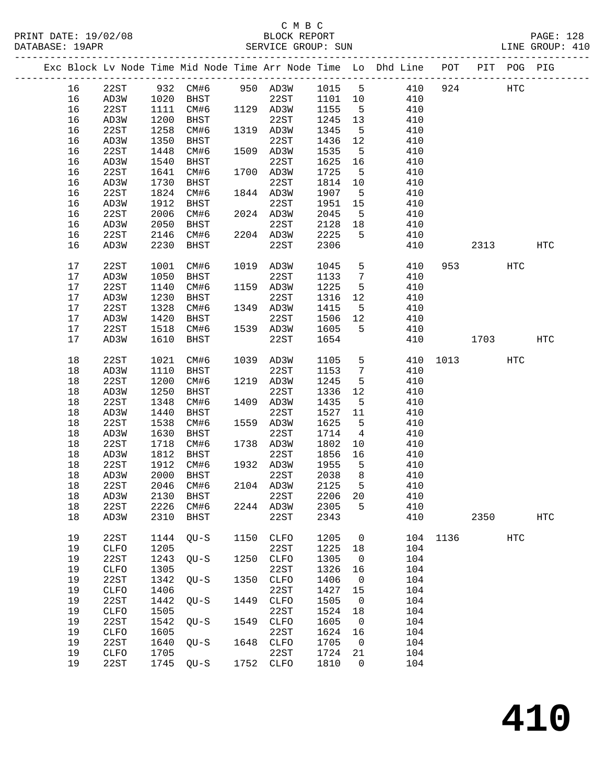| PRINT DATE: 19/02/08<br>DATABASE: 19APR |        |              |      | 08 BLOCK REPORT BLOCK REPORT  |      |              |      |                 |                                                                                |          |      |            | PAGE: 128<br>LINE GROUP: 410 |  |
|-----------------------------------------|--------|--------------|------|-------------------------------|------|--------------|------|-----------------|--------------------------------------------------------------------------------|----------|------|------------|------------------------------|--|
|                                         |        |              |      |                               |      |              |      |                 | Exc Block Lv Node Time Mid Node Time Arr Node Time Lo Dhd Line POT PIT POG PIG |          |      |            |                              |  |
|                                         | 16     |              |      |                               |      |              |      |                 | 22ST 932 CM#6 950 AD3W 1015 5 410 924 HTC                                      |          |      |            |                              |  |
|                                         | 16     | AD3W         |      | 1020 BHST                     |      | 22ST 1101 10 |      |                 | 410                                                                            |          |      |            |                              |  |
|                                         | 16     | 22ST         |      | 1111 CM#6                     |      | 1129 AD3W    | 1155 | $5^{\circ}$     | 410                                                                            |          |      |            |                              |  |
|                                         | 16     | AD3W         | 1200 | BHST                          |      | 22ST         | 1245 | 13              | 410                                                                            |          |      |            |                              |  |
|                                         | 16     | 22ST         | 1258 | CM#6                          |      | 1319 AD3W    | 1345 | $5^{\circ}$     | 410                                                                            |          |      |            |                              |  |
|                                         | 16     | AD3W         | 1350 | BHST                          |      | 22ST         | 1436 | 12              | 410                                                                            |          |      |            |                              |  |
|                                         |        | 22ST         |      | CM#6                          |      | 1509 AD3W    | 1535 |                 | 410                                                                            |          |      |            |                              |  |
|                                         | 16     |              | 1448 |                               |      | 22ST         | 1625 | $5^{\circ}$     | 410                                                                            |          |      |            |                              |  |
|                                         | 16     | AD3W         | 1540 | BHST                          |      | 1700 AD3W    |      | 16              |                                                                                |          |      |            |                              |  |
|                                         | 16     | 22ST         | 1641 | CM#6                          |      |              | 1725 | $5^{\circ}$     | 410                                                                            |          |      |            |                              |  |
|                                         | 16     | AD3W         | 1730 | BHST                          |      | 22ST         | 1814 | 10              | 410                                                                            |          |      |            |                              |  |
|                                         | 16     | 22ST         | 1824 | CM#6                          |      | 1844 AD3W    | 1907 | $5^{\circ}$     | 410                                                                            |          |      |            |                              |  |
|                                         | 16     | AD3W         | 1912 | BHST                          |      | 22ST         | 1951 | 15              | 410                                                                            |          |      |            |                              |  |
|                                         | 16     | 22ST         | 2006 | CM#6                          |      | 2024 AD3W    | 2045 | $5^{\circ}$     | 410                                                                            |          |      |            |                              |  |
|                                         | 16     | AD3W         | 2050 | BHST                          |      | 22ST         | 2128 | 18              | 410                                                                            |          |      |            |                              |  |
|                                         | 16     | 22ST         | 2146 | CM#6                          |      | 2204 AD3W    | 2225 | 5               | 410                                                                            |          |      |            |                              |  |
|                                         | 16     | AD3W         | 2230 | BHST                          |      | 22ST         | 2306 |                 | 410                                                                            |          | 2313 |            | HTC                          |  |
|                                         | 17     | 22ST         |      | 1001 CM#6                     |      | 1019 AD3W    | 1045 | 5 <sub>5</sub>  | 410                                                                            |          |      | HTC        |                              |  |
|                                         | 17     | AD3W         | 1050 | BHST                          |      | 22ST         | 1133 | $7\overline{ }$ | 410                                                                            |          |      |            |                              |  |
|                                         | 17     | 22ST         | 1140 | CM#6                          |      | 1159 AD3W    | 1225 | 5               | 410                                                                            |          |      |            |                              |  |
|                                         | 17     | AD3W         | 1230 | BHST                          |      | 22ST         | 1316 | 12              | 410                                                                            |          |      |            |                              |  |
|                                         | 17     | 22ST         | 1328 | CM#6                          |      | 1349 AD3W    | 1415 | 5 <sup>5</sup>  | 410                                                                            |          |      |            |                              |  |
|                                         | 17     | AD3W         | 1420 | BHST                          |      | 22ST         | 1506 | 12              | 410                                                                            |          |      |            |                              |  |
|                                         | 17     | 22ST         | 1518 | CM#6                          |      | 1539 AD3W    | 1605 | 5 <sub>5</sub>  | 410                                                                            |          |      |            |                              |  |
|                                         | 17     | AD3W         | 1610 | BHST                          |      | 22ST         | 1654 |                 | 410                                                                            |          | 1703 |            | HTC                          |  |
|                                         | 18     | 22ST         | 1021 | CM#6                          |      | 1039 AD3W    | 1105 | 5 <sub>5</sub>  |                                                                                | 410 1013 |      | HTC        |                              |  |
|                                         | 18     | AD3W         | 1110 | BHST                          |      | 22ST         | 1153 | $\overline{7}$  | 410                                                                            |          |      |            |                              |  |
|                                         | 18     | 22ST         | 1200 | CM#6                          |      | 1219 AD3W    | 1245 | $5\overline{)}$ | 410                                                                            |          |      |            |                              |  |
|                                         | 18     | AD3W         | 1250 | BHST                          |      | 22ST         | 1336 | 12              | 410                                                                            |          |      |            |                              |  |
|                                         | 18     | 22ST         | 1348 | CM#6                          |      | 1409 AD3W    | 1435 | 5               | 410                                                                            |          |      |            |                              |  |
|                                         | 18     | AD3W         | 1440 | BHST                          |      | 22ST         | 1527 | 11              | 410                                                                            |          |      |            |                              |  |
|                                         | 18     | 22ST         | 1538 | CM#6                          |      | 1559 AD3W    | 1625 | 5               | 410                                                                            |          |      |            |                              |  |
|                                         | 18     | AD3W         | 1630 | BHST                          |      | 22ST         | 1714 | $4\overline{4}$ | 410                                                                            |          |      |            |                              |  |
|                                         | 18     | 22ST         |      | 1718 CM#6                     |      | 1738 AD3W    | 1802 | 10              | 410                                                                            |          |      |            |                              |  |
|                                         | 18     | AD3W         |      | 1812 BHST                     |      | 22ST         | 1856 | 16              | 410                                                                            |          |      |            |                              |  |
|                                         | 18     | 22ST         |      | 1912 CM#6                     |      | 1932 AD3W    | 1955 | $5^{\circ}$     | 410                                                                            |          |      |            |                              |  |
|                                         |        |              |      | 18 AD3W 2000 BHST 22ST 2038 8 |      |              |      |                 | 410                                                                            |          |      |            |                              |  |
|                                         |        | 22ST         |      |                               |      |              | 2125 |                 |                                                                                |          |      |            |                              |  |
|                                         | 18     |              | 2046 | CM#6<br><b>BHST</b>           |      | 2104 AD3W    | 2206 | 5               | 410                                                                            |          |      |            |                              |  |
|                                         | $18\,$ | AD3W         | 2130 |                               |      | 22ST         |      | 20              | 410                                                                            |          |      |            |                              |  |
|                                         | 18     | 22ST         | 2226 | CM#6                          | 2244 | AD3W         | 2305 | 5               | 410                                                                            |          |      |            |                              |  |
|                                         | $18\,$ | AD3W         | 2310 | <b>BHST</b>                   |      | 22ST         | 2343 |                 | 410                                                                            |          | 2350 |            | <b>HTC</b>                   |  |
|                                         | 19     | 22ST         | 1144 | $QU-S$                        | 1150 | <b>CLFO</b>  | 1205 | $\mathsf{O}$    | 104                                                                            | 1136     |      | <b>HTC</b> |                              |  |
|                                         | 19     | CLFO         | 1205 |                               |      | 22ST         | 1225 | 18              | 104                                                                            |          |      |            |                              |  |
|                                         | 19     | 22ST         | 1243 | $QU-S$                        | 1250 | CLFO         | 1305 | $\overline{0}$  | 104                                                                            |          |      |            |                              |  |
|                                         | 19     | CLFO         | 1305 |                               |      | 22ST         | 1326 | 16              | 104                                                                            |          |      |            |                              |  |
|                                         | 19     | 22ST         | 1342 | $QU-S$                        | 1350 | CLFO         | 1406 | $\overline{0}$  | 104                                                                            |          |      |            |                              |  |
|                                         | 19     | CLFO         | 1406 |                               |      | 22ST         | 1427 | 15              | 104                                                                            |          |      |            |                              |  |
|                                         | 19     | 22ST         | 1442 | $QU-S$                        | 1449 | CLFO         | 1505 | $\overline{0}$  | 104                                                                            |          |      |            |                              |  |
|                                         | 19     | CLFO         | 1505 |                               |      | 22ST         | 1524 | 18              | 104                                                                            |          |      |            |                              |  |
|                                         | 19     | 22ST         | 1542 | $QU-S$                        | 1549 | ${\tt CLFO}$ | 1605 | $\overline{0}$  | 104                                                                            |          |      |            |                              |  |
|                                         |        |              |      |                               |      |              |      |                 |                                                                                |          |      |            |                              |  |
|                                         | 19     | ${\tt CLFO}$ | 1605 |                               |      | 22ST         | 1624 | 16              | 104                                                                            |          |      |            |                              |  |
|                                         | 19     | 22ST         | 1640 | $QU-S$                        | 1648 | CLFO         | 1705 | $\overline{0}$  | 104                                                                            |          |      |            |                              |  |
|                                         | 19     | CLFO         | 1705 |                               |      | 22ST         | 1724 | 21              | 104                                                                            |          |      |            |                              |  |
|                                         | 19     | 22ST         | 1745 | $QU-S$                        | 1752 | CLFO         | 1810 | 0               | 104                                                                            |          |      |            |                              |  |

**410**